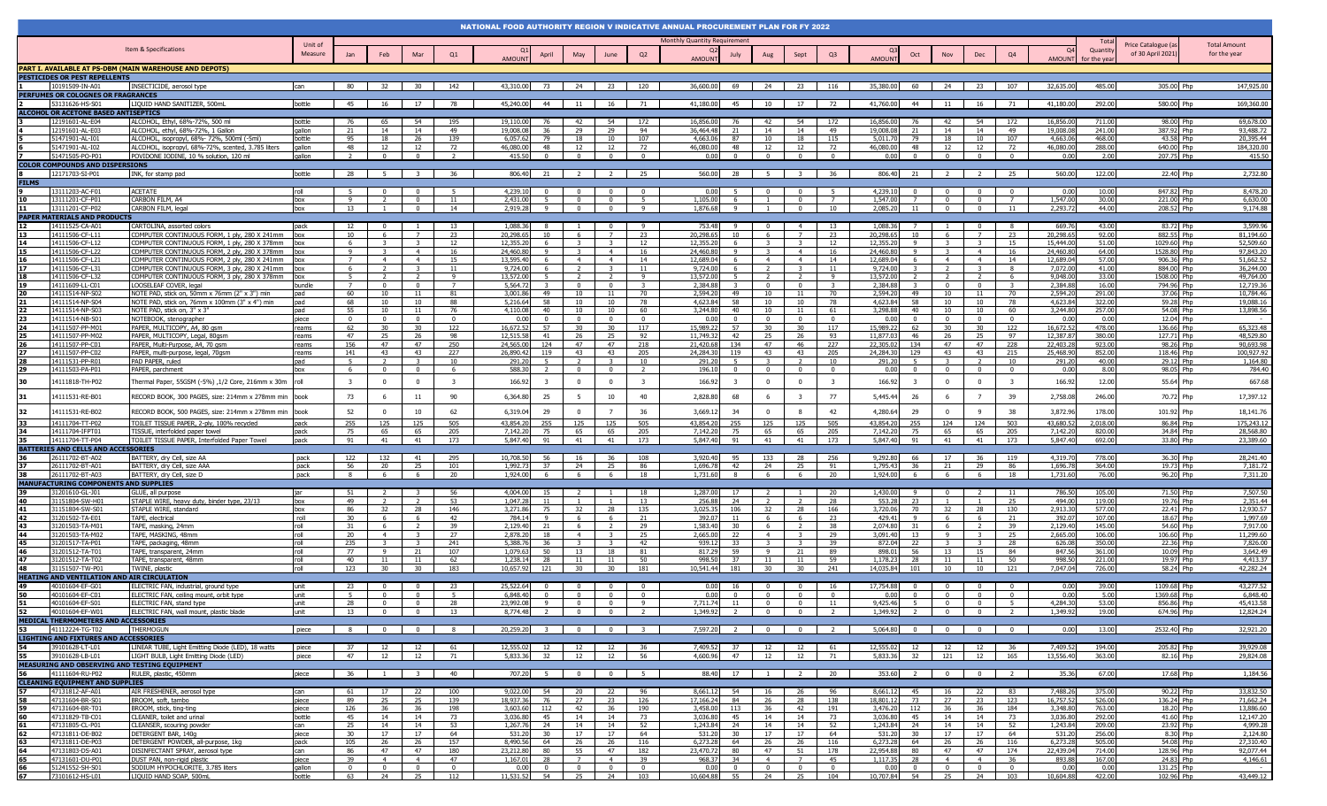|                                                                                           |                                                                                                 |                    |                 |                     |                      |                         | NATIONAL FOOD AUTHORITY REGION V INDICATIVE ANNUAL PROCUREMENT PLAN FOR FY 2022 |                |                                     |                            |                         |                              |                         |                                                     |                                         |                         |                       |                                              |                                |                         |                       |                  |                                         |                                     |
|-------------------------------------------------------------------------------------------|-------------------------------------------------------------------------------------------------|--------------------|-----------------|---------------------|----------------------|-------------------------|---------------------------------------------------------------------------------|----------------|-------------------------------------|----------------------------|-------------------------|------------------------------|-------------------------|-----------------------------------------------------|-----------------------------------------|-------------------------|-----------------------|----------------------------------------------|--------------------------------|-------------------------|-----------------------|------------------|-----------------------------------------|-------------------------------------|
|                                                                                           |                                                                                                 |                    |                 |                     |                      |                         |                                                                                 |                |                                     |                            |                         | Monthly Quantity Requirement |                         |                                                     |                                         |                         |                       |                                              |                                |                         |                       |                  |                                         |                                     |
|                                                                                           | Item & Specifications                                                                           | Unit of<br>Measure | Jan             |                     |                      | Q1                      |                                                                                 |                |                                     | June                       | Q2                      |                              |                         |                                                     |                                         |                         |                       | Nov                                          |                                | Q4                      |                       | Quanti           | Price Catalogue (as<br>of 30 April 2021 | <b>Total Amount</b><br>for the year |
|                                                                                           |                                                                                                 |                    |                 | Feb                 | Mar                  |                         | <b>AMOUNT</b>                                                                   | April          | May                                 |                            |                         | <b>AMOUNT</b>                | July                    | Aug                                                 | Sept                                    | Q3                      | <b>AMOUN</b>          | Oct                                          | Dec                            |                         | <b>AMOUNT</b>         | for the yea      |                                         |                                     |
| PART I. AVAILABLE AT PS-DBM (MAIN WAREHOUSE AND DEPOTS)                                   |                                                                                                 |                    |                 |                     |                      |                         |                                                                                 |                |                                     |                            |                         |                              |                         |                                                     |                                         |                         |                       |                                              |                                |                         |                       |                  |                                         |                                     |
| PESTICIDES OR PEST REPELLENTS<br>10191509-IN-A01                                          | INSECTICIDE, aerosol type                                                                       | can                | 80              | 32                  | 30                   | 142                     | 43,310.00                                                                       | 73   24        |                                     | 23                         | 120                     | 36,600.00                    |                         | 69 24                                               | 23                                      | 116                     | 35,380.00             | 60<br>24                                     | - 23                           | 107                     | 32,635.00             | 485.00           | 305.00 Php                              | 147,925.00                          |
| <b>ERFUMES OR COLOGNES OR FRAGRANCES</b>                                                  |                                                                                                 |                    |                 |                     |                      |                         |                                                                                 |                |                                     |                            |                         |                              |                         |                                                     |                                         |                         |                       |                                              |                                |                         |                       |                  |                                         |                                     |
| 53131626-HS-S01                                                                           | LIQUID HAND SANITIZER, 500mL                                                                    | bottle             | 45              | 16                  | 17                   | 78                      | 45,240.00                                                                       | $44$           | 11                                  | 16                         | 71                      | 41,180.00                    | 45                      | 10                                                  | 17                                      | 72                      | 41,760.00             | 44<br>11                                     | 16                             | 71                      | 41,180.00             | 292.00           | 580.00 Php                              | 169,360.00                          |
| ALCOHOL OR ACETONE BASED ANTISEPTICS                                                      |                                                                                                 |                    |                 |                     |                      |                         |                                                                                 |                |                                     |                            |                         |                              |                         |                                                     |                                         |                         |                       |                                              |                                |                         |                       |                  |                                         |                                     |
| 12191601-AL-E04<br>12191601-AL-E0                                                         | ALCOHOL, Ethyl, 68%-72%, 500 ml<br>ALCOHOL, ethyl, 68%-72%, 1 Gallon                            | bottle<br>aallon   | 76              | 65<br>14            | 54<br>14             | 195<br>49               | 19,110.00<br>19,008.08                                                          |                | -42<br>29                           | 54<br>29                   | 172<br>94               | 16,856.00<br>36,464.48       | 21                      | 42<br>14                                            | 54<br>14                                | 172<br>49               | 16,856.0<br>19,008.0  | 76<br>42<br>21<br>14                         | 54<br>14                       | 172<br>49               | 16,856.00<br>19,008.0 | 711.00<br>241.00 | 98.00 Php<br>387.92<br>Phr              | 69,678.00<br>93,488.72              |
| 51471901-AL-I01                                                                           | ALCOHOL, isopropyl, 68%- 72%, 500ml (-5ml)                                                      | bottle             | 95              | 18                  | 26                   | 139                     | 6.057.62                                                                        | 79             | 18                                  | 10                         | 107                     | 4.663.06                     | 87                      | 10                                                  | 18                                      | 115                     | 5,011.7               | 79<br>18                                     | 10                             | 107                     | 4,663.0               | 468.00           | 43.58 Php                               | 20,395.44                           |
| 51471901-AL-I02                                                                           | ALCOHOL, isopropyl, 68%-72%, scented, 3.785 liters                                              | qallon             | 48              | 12                  | 12                   | 72                      | 46,080.00                                                                       | 48             | 12                                  | 12                         | 72                      | 46.080.00                    | 48                      | 12                                                  | 12                                      | 72                      | 46.080.00             | 12<br>48                                     | 12                             | 72                      | 46,080.0              | 288.00           | 640.00 Php                              | 184,320.0                           |
| 51471505-PO-P01                                                                           | POVIDONE IODINE, 10 % solution, 120 ml                                                          | gallon             |                 | $\overline{0}$      | $\overline{0}$       | <sup>2</sup>            | 415.50                                                                          | $\overline{0}$ | $\overline{0}$                      | $\overline{0}$             | $\overline{0}$          |                              | 0.00<br>$\Omega$        | $\overline{0}$                                      | $\overline{0}$                          | $\overline{0}$          | 0.00                  | $\overline{0}$<br>$\overline{0}$             | $\overline{0}$                 | $\overline{0}$          | 0.00                  | 2.00             | 207.75 Php                              | 415.50                              |
| <b>COLOR COMPOUNDS AND DISP</b><br>12171703-SI-P01                                        | <b>RSIONS</b><br>INK, for stamp pad                                                             | bottle             | 28              |                     | $\mathbf{R}$         | 36                      | 806.40                                                                          | 21             | $\overline{2}$                      | $\overline{2}$             | 25                      | 560.00                       | 28                      | 5                                                   |                                         | 36                      | 806.40                | 21<br>$\overline{2}$                         | $\overline{2}$                 | 25                      | 560.00                | 122.00           | 22.40 Php                               | 2,732.80                            |
| <b>FILMS</b>                                                                              |                                                                                                 |                    |                 |                     |                      |                         |                                                                                 |                |                                     |                            |                         |                              |                         |                                                     |                                         |                         |                       |                                              |                                |                         |                       |                  |                                         |                                     |
| 13111203-AC-F01                                                                           | <b>ACETATE</b>                                                                                  | roll               |                 |                     |                      |                         | 4,239.10                                                                        | - 0            | $\Omega$                            |                            | $\Omega$                | 0.00                         |                         |                                                     |                                         |                         | 4,239.10              | $\Omega$                                     |                                |                         | 0.00                  | 10.00            | 847.82 Php                              | 8,478.20                            |
| 13111201-CF-P01                                                                           | CARBON FILM, A4                                                                                 | <b>box</b>         | -9              |                     | $\Omega$             | 11                      | 2,431.00                                                                        |                | $\Omega$                            | $\Omega$                   | -5                      | 1,105.00                     | -6                      |                                                     | . വ                                     | $\overline{7}$          | 1,547.00              | $\Omega$                                     | $\Omega$                       | $\overline{7}$          | 1,547.00              | 30.00            | 221.00 Php                              | 6.630.00                            |
| 13111201-CF-P02<br>11                                                                     | CARBON FILM, legal                                                                              | hox                | 13              |                     | $\Omega$             | 14                      | 2,919.28                                                                        | $\mathbf{q}$   | $\Omega$                            |                            | 9                       | 1.876.68                     | $\mathbf{q}$            |                                                     |                                         | 10                      | 2,085.2               | 11                                           | $\overline{0}$                 | 11                      | 2,293.72              | 44.00            | 208.52 Php                              | 9,174.88                            |
| PAPER MATERIALS AND PRODUCTS<br>14111525-CA-A0                                            | CARTOLINA, assorted colors                                                                      | nack               |                 |                     |                      |                         | 1,088.36                                                                        |                |                                     |                            | Q                       | 753.48                       |                         |                                                     |                                         | 13                      | 1.088.3               |                                              |                                |                         | 669.7                 | 43.00            | 83.72 Php                               | 3,599.96                            |
| 13<br>14111506-CF-L11                                                                     | COMPUTER CONTINUOUS FORM, 1 ply, 280 X 241mm                                                    |                    | 10 <sup>1</sup> |                     |                      | 23                      | 20,298.65                                                                       |                |                                     | $\overline{7}$             | 23                      | 20,298.65                    |                         |                                                     |                                         | 23                      | 20,298.65             | 10 <sup>10</sup>                             |                                | 23                      | 20,298.65             | 92.00            | 882.55 Php                              | 81,194.60                           |
| 14<br>14111506-CF-L12                                                                     | COMPUTER CONTINUOUS FORM, 1 ply, 280 X 378mm                                                    |                    |                 |                     |                      | 12                      | 12,355.20                                                                       |                |                                     |                            | 12                      | 12,355.20                    |                         |                                                     |                                         | 12                      | 12,355.2              | 9                                            |                                | 15                      | 15,444.00             | 51.00            | 1029.60 Php                             | 52,509.60                           |
| 15 <sub>1</sub><br>14111506-CF-L22                                                        | COMPUTER CONTINUOUS FORM, 2 ply, 280 X 378mm                                                    |                    |                 |                     | $\overline{4}$       | 16                      | 24,460.80                                                                       | $\mathbf{Q}$   | -3                                  | $\overline{4}$             | 16                      | 24,460.80                    | $\alpha$                |                                                     |                                         | 16                      | 24,460.80             | $\overline{9}$                               | $\overline{4}$                 | 16                      | 24,460.80             | 64.00            | 1528.80 Php                             | 97,843.20                           |
| 16<br>14111506-CF-L2:<br>17<br>14111506-CF-L3:                                            | COMPUTER CONTINUOUS FORM, 2 ply, 280 X 241mm<br>COMPUTER CONTINUOUS FORM, 3 ply, 280 X 241mm    | hox<br>hox         |                 | $\overline{4}$      | $\overline{4}$       | 15<br>11                | 13,595.40<br>9,724.00                                                           | 6<br>6         | $\overline{4}$                      | $\overline{4}$             | 14<br>11                | 12.689.04<br>9.724.00        |                         | $\overline{4}$                                      | $\overline{4}$                          | 14<br>11                | 12,689.04<br>9,724.0  | $\overline{4}$<br>-6<br>$\overline{2}$       | $\overline{4}$<br>$\mathbf{3}$ | 14<br>8                 | 12,689.0<br>7,072.0   | 57.00<br>41.00   | 906.36 Php<br>884.00 Php                | 51,662.52<br>36,244.00              |
| 18<br>14111506-CF-L32                                                                     | COMPUTER CONTINUOUS FORM, 3 ply, 280 X 378mm                                                    | hox                |                 | $\overline{2}$      | $\overline{2}$       | $\mathbf{q}$            | 13,572.00                                                                       |                | $\overline{2}$                      | $\overline{2}$             | $\mathbf{q}$            | 13.572.00                    |                         | $\overline{2}$                                      |                                         | $\mathbf{q}$            | 13,572.0              | $\overline{2}$<br>$\overline{2}$             | $\overline{2}$                 | - 6                     | 9,048,00              | 33.00            | 1508.00 Php                             | 49.764.00                           |
| 19<br>14111609-LL-C01                                                                     | LOOSELEAF COVER, legal                                                                          | bundle             | $\overline{7}$  | $\overline{0}$      | $\overline{0}$       | $\overline{7}$          | 5,564.72                                                                        |                | $\mathbf{0}$                        | $\mathbf{0}$               | $\mathbf{R}$            | 2,384.88                     |                         | $\overline{0}$                                      | $\Omega$                                | $\mathbf{z}$            | 2,384.88              | $\mathbf{R}$<br>$\overline{0}$               | $\overline{0}$                 | $\overline{\mathbf{3}}$ | 2,384.8               | 16.00            | 794.96 Php                              | 12,719.36                           |
| 20<br>14111514-NP-S02<br>21<br>14111514-NP-S04                                            | NOTE PAD, stick on, 50mm x 76mm (2" x 3") min<br>NOTE PAD, stick on, 76mm x 100mm (3" x 4") min | nad                | 60<br>68        | 10                  | 11<br>10             | 81<br>88                | 3,001.86<br>5.216.64                                                            | 49<br>58       | 10                                  | 11<br>10                   | 70<br>78                | 2,594.20<br>4.623.84         | 49<br>58                | 10                                                  | 11<br>10                                | 70<br>78                | 2,594.20<br>4,623.84  | 10<br>49<br>58<br>10                         | 11<br>10                       | 70<br>78                | 2,594.2<br>4,623,84   | 291.00<br>322.00 | 37.06 Php<br>59.28 Php                  | 10,784.46<br>19.088.16              |
| 22<br>14111514-NP-S03                                                                     | NOTE PAD, stick on, 3" x 3"                                                                     | pad                | 55              | 10<br>10            | 11                   | 76                      | 4,110.08                                                                        | 40             | 10<br>10                            | 10                         | 60                      | 3.244.80                     | 40                      | 10<br>10                                            | 11                                      | 61                      | 3,298.88              | 10<br>40                                     | 10 <sup>1</sup>                | 60                      | 3,244.80              | 257.00           | 54.08 Php                               | 13,898.56                           |
| 23<br>14111514-NB-S01                                                                     | NOTEBOOK, stenographer                                                                          | piece              | $\Omega$        | $\Omega$            | $\Omega$             | $\mathbf{0}$            | 0.00                                                                            | $\Omega$       | $\overline{\mathbf{0}}$             | $\Omega$                   | $\overline{0}$          | 0.00                         | $\Omega$                | $\overline{\mathbf{0}}$                             | $\Omega$                                | $\mathbf{0}$            | 0.00                  | $\overline{\mathbf{0}}$<br>$\overline{0}$    | $\Omega$                       | $\Omega$                | 0.00                  | 0.00             | 12.04 Php                               |                                     |
| 24<br>14111507-PP-M01                                                                     | PAPER, MULTICOPY, A4, 80 qsm                                                                    | reams              | 62              | 30                  | 30                   | 122                     | 16,672.52                                                                       | 57             | -30                                 | 30                         | 117                     | 15,989.22                    | 57                      | 30                                                  | 30                                      | 117                     | 15,989.2              | 30<br>-62                                    | 30                             | 122                     | 16,672.5              | 478.00           | 136.66 Php                              | 65,323.48                           |
| 25<br>14111507-PP-M02<br>26<br>14111507-PP-C01                                            | PAPER, MULTICOPY, Legal, 80gsm<br>PAPER, Multi-Purpose, A4, 70 gsm                              | reams<br>reams     | 47<br>156       | 25<br>47            | 26<br>47             | 98<br>250               | 12.515.58<br>24,565.00                                                          | 41<br>124      | 26<br>47                            | 25<br>47                   | 92<br>218               | 11.749.32<br>21,420.68       | 42<br>134               | 25<br>47                                            | 46                                      | 93<br>227               | 11.877.0<br>22.305.0  | 46<br>26<br>134<br>47                        | 25<br>47                       | 97<br>228               | 12.387.8<br>22,403.2  | 380.00<br>923.00 | 127.71 Php<br>98.26 Php                 | 48,529.80<br>90.693.98              |
| 27<br>14111507-PP-C02                                                                     | PAPER, multi-purpose, legal, 70gsm                                                              | reams              | 141             | 43                  | 43                   | 227                     | 26,890.42                                                                       | 119            | 43                                  | 43                         | 205                     | 24,284.30                    | 119                     | 43                                                  | 43                                      | 205                     | 24,284.3              | 129<br>43                                    | 43                             | 215                     | 25,468.9              | 852.00           | 118.46 Php                              | 100,927.92                          |
| 28<br>14111531-PP-R01                                                                     | PAD PAPER, ruled                                                                                |                    |                 |                     |                      | 10 <sup>1</sup>         | 291.20                                                                          |                |                                     |                            | 10 <sup>1</sup>         | 291.20                       |                         |                                                     |                                         | 10                      | 291.2                 | $\overline{5}$                               |                                | 10                      | 291.20                | 40.00            | 29.12 Php                               | 1,164.80                            |
| 29<br>14111503-PA-P01                                                                     | PAPER, parchment                                                                                | hox                |                 | $\mathbf{0}$        | $\mathbf{0}$         | -6                      | 588.30                                                                          |                | $\overline{\mathbf{0}}$             | $\Omega$                   | $\overline{z}$          | 196.10                       | $\Omega$                | $\Omega$                                            | $\Omega$                                | $\mathbf{0}$            | 0.00                  | $\overline{\mathbf{0}}$<br>$\overline{0}$    | $\mathbf{0}$                   | $\Omega$                | 0.00                  | 8.00             | 98.05 Php                               | 784.40                              |
| 30<br>14111818-TH-P02                                                                     | Thermal Paper, 55GSM (-5%) ,1/2 Core, 216mm x 30m                                               |                    | $\mathbf{3}$    | $\Omega$            | $\Omega$             | $\overline{\mathbf{3}}$ | 166.92                                                                          | -3             | $\overline{0}$                      | $\Omega$                   | $\overline{\mathbf{3}}$ | 166.92                       | -3                      | $\Omega$                                            | $\Omega$                                | $\overline{\mathbf{3}}$ | 166.92                | $^{\circ}$<br>- 3                            | $\mathbf{0}$                   | $\overline{\mathbf{3}}$ | 166.92                | 12.00            | 55.64 Php                               | 667.68                              |
| 31<br>4111531-RE-B01                                                                      | RECORD BOOK, 300 PAGES, size: 214mm x 278mm min                                                 | book               | 73              | -6                  | 11                   | 90                      | 6,364.80                                                                        | 25             | - 5                                 | 10                         | 40                      | 2,828.80                     | 68                      | 6                                                   | $\overline{\mathbf{3}}$                 | 77                      | 5,445.44              | 26<br>- 6                                    | $\overline{7}$                 | 39                      | 2,758.08              | 246.00           | 70.72<br>Php                            | 17,397.12                           |
|                                                                                           |                                                                                                 |                    |                 |                     |                      |                         |                                                                                 |                |                                     |                            |                         |                              |                         |                                                     |                                         |                         |                       |                                              |                                |                         |                       |                  |                                         |                                     |
| 32<br>14111531-RE-B02                                                                     | RECORD BOOK, 500 PAGES, size: 214mm x 278mm min                                                 | book               | 52              |                     | 10                   | 62                      | 6,319.04                                                                        | 29             | $\mathbf{0}$                        | $\overline{7}$             | 36                      | 3,669.1                      | 34                      | $\Omega$                                            |                                         | 42                      | 4,280.6               | 29<br>$^{\circ}$                             | 9                              | 38                      | 3,872.9               | 178.00           | 101.92<br>Php                           | 18,141.76                           |
| 33<br>14111704-TT-P02                                                                     | TOILET TISSUE PAPER, 2-ply, 100% recycled                                                       | nack               | 255             | 125                 | 125                  | 505<br>205              | 43,854.20                                                                       | 255            | 125                                 | 125                        | 505                     | 43.854.20                    | 255                     | 125                                                 | 125                                     | 505<br>205              | 43.854.2              | 124<br>255                                   | 124                            | 503                     | 43,680.5              | 2.018.00         | 86,84 Php                               | 175,243.12<br>28,568.80             |
| 34<br>14111704-IFPT01<br>35<br>14111704-TT-P04                                            | TISSUE, interfolded paper towel<br>TOILET TISSUE PAPER, Interfolded Paper Towel                 | pack<br>pack       | 75<br>91        | 65<br>41            | 65<br>41             | 173                     | 7,142.20<br>5.847.40                                                            | 75<br>91       | 65<br>41                            | 65<br>41                   | 205<br>173              | 7,142.20<br>5.847.40         | 75<br>91                | 65<br>41                                            | 65<br>41                                | 173                     | 7,142.2<br>5.847.40   | 65<br>75<br>91<br>41                         | 65<br>41                       | 205<br>173              | 7,142.2<br>5.847.40   | 820.00<br>692.00 | 34.84 Php<br>33.80 Php                  | 23,389.60                           |
| BATTERIES AND CELLS AND ACCESSORIES                                                       |                                                                                                 |                    |                 |                     |                      |                         |                                                                                 |                |                                     |                            |                         |                              |                         |                                                     |                                         |                         |                       |                                              |                                |                         |                       |                  |                                         |                                     |
| 26111702-BT-A0                                                                            | BATTERY, dry Cell, size AA                                                                      | pack               | 122             | 132                 | 41                   | 295                     | 10,708.50                                                                       |                | 16                                  |                            | 108                     | 3.920.40                     | 95                      | 133                                                 |                                         | 256                     | 9,292.80              | 66<br>17                                     | 36                             | 119                     | 4,319,70              | 778.00           | 36.30 Php                               | 28,241.40                           |
| 26111702-BT-A0<br>37                                                                      | BATTERY, dry Cell, size AAA                                                                     | pack               | 56              | 20<br>-6            | 25                   | 101<br>20               | 1.992.73<br>1.924.00                                                            | 37             | 24<br>6                             | 25                         | 86<br>18                | 1.696.78<br>1,731.60         | 42                      | 24                                                  | 25                                      | 91<br>20                | 1.795.43<br>1,924.00  |                                              | 29<br>6                        | 86<br>18                | 1.696.7<br>1,731.60   | 364.00<br>76.00  | 19.73 Php<br>96.20 Php                  | 7.181.72<br>7,311.20                |
| 38<br>26111702-BT-A03<br><b>MANUFACTURING COMPONENTS AND SUPPLIES</b>                     | BATTERY, dry Cell, size D                                                                       | pack               |                 |                     | 6                    |                         |                                                                                 |                |                                     |                            |                         |                              |                         | 6                                                   | 6                                       |                         |                       | 6                                            |                                |                         |                       |                  |                                         |                                     |
| 31201610-GL-J01                                                                           | GLUE, all purpose                                                                               |                    | 51              |                     |                      | 56                      | 4,004.00                                                                        | 15             | $\overline{2}$                      |                            | 18                      | 1,287.00                     | 17                      |                                                     |                                         | 20                      | 1,430.00              | $\mathbf{q}$<br>$\Omega$                     |                                | 11                      | 786.50                | 105.00           | 71.50 Php                               | 7,507.50                            |
| 40<br>31151804-SW-H01                                                                     | STAPLE WIRE, heavy duty, binder type, 23/13                                                     | box                | 49              |                     |                      | 53                      | 1.047.28                                                                        | 11             |                                     |                            | 13                      | 256.88                       | - 24                    |                                                     |                                         | 28                      | 553.28                | 23                                           |                                | 25                      | 494.00                | 119.00           | 19.76 Php                               | 2,351.44                            |
| 31151804-SW-S01<br>31201502-TA-E01                                                        | STAPLE WIRE, standard<br>TAPE, electrical                                                       | hox<br>roll        | 86              | 32<br>-6            | 28<br>- 6            | 146<br>42               | 3.271.86                                                                        | 75<br>Q        | 32<br>- 6                           | 28<br>- 6                  | 135                     | 3.025.35                     | 106                     | 32<br>- 6                                           | 28                                      | 166<br>23               | 3,720.06              | 70<br>32<br>Q<br>- 6                         | 28<br>- 6                      | 130                     | 2.913.30              | 577.00<br>107.00 | 22.41 Php<br>18.67 Php                  | 12.930.57<br>1.997.69               |
| 42<br>43<br>31201503-TA-M01                                                               | TAPE, masking, 24mm                                                                             | roll               | 30<br>31        | 6                   | $\overline{2}$       | 39                      | 784.14<br>2,129.40                                                              | 21             | 6                                   | $\overline{2}$             | 21<br>29                | 392.07<br>1.583.40           | 11<br>30                | -6                                                  |                                         | 38                      | 429.41<br>2,074.80    | 31<br>6                                      | $\overline{2}$                 | 21<br>39                | 392.07<br>2,129.40    | 145.00           | 54.60 Php                               | 7,917.00                            |
| 44<br>31201503-TA-M02                                                                     | TAPE, MASKING, 48mm                                                                             | roll               | 20              | $\overline{4}$      |                      | 27                      | 2,878.20                                                                        | 18             | $\overline{4}$                      |                            | 25                      | 2,665.00                     | 22                      | $\overline{4}$                                      |                                         | 29                      | 3,091.40              | 13<br>9                                      | $\mathbf{R}$                   | 25                      | 2,665.00              | 106.00           | 106.60 Php                              | 11,299.60                           |
| 45<br>31201517-TA-P01                                                                     | TAPE, packaging, 48mm                                                                           | roll               | 235             |                     | 3                    | 241                     | 5.388.76                                                                        | 36.            |                                     |                            | 42                      | 939.12                       | 33                      |                                                     |                                         | 39                      | 872.04                | 22                                           |                                | 28                      | 626.08                | 350.00           | 22.36 Php                               | 7,826.00                            |
| 46<br>31201512-TA-T01<br>47<br>31201512-TA-T02                                            | TAPE, transparent, 24mm<br>TAPE, transparent, 48mm                                              | roll<br>roll       | 77<br>40        | $\mathbf{q}$<br>11  | 21<br>11             | 107<br>62               | 1.079.63<br>1,238.14                                                            | 50<br>28       | 13<br>11                            | 18<br>11                   | 81<br>50                | 817.29<br>998.50             | 59<br>37                | $\mathbf{q}$<br>11                                  | 21                                      | 89<br>59                | 898.01<br>1,178.2     | 56<br>13<br>11<br>- 28                       | 15<br>11                       | 84<br>50                | 847.56<br>998.5       | 361.00<br>221.00 | 10.09 Php<br>19.97 Php                  | 3,642.49<br>4,413.37                |
| 48<br>31151507-TW-P0                                                                      | TWINE, plastic                                                                                  | roll               | 123             | 30                  | 30                   | 183                     | 10.657.92                                                                       | 121            | 30                                  | 30                         | 181                     | 10.541.44                    | 181                     | 30                                                  | 30                                      | 241                     | 14.035.84             | 101<br>10                                    | 10                             | 121                     | 7.047.04              | 726.00           | 58.24 Php                               | 42,282.24                           |
| <b>HEATING AND VENTILATION AND AIR CIRCULATION</b>                                        |                                                                                                 |                    |                 |                     |                      |                         |                                                                                 |                |                                     |                            |                         |                              |                         |                                                     |                                         |                         |                       |                                              |                                |                         |                       |                  |                                         |                                     |
| 49<br>40101604-EF-G01                                                                     | ELECTRIC FAN, industrial, ground type                                                           | unit               | 23              |                     |                      | 23                      | 25,522.64                                                                       | $\Omega$       |                                     |                            | $\Omega$                | 0.00                         |                         |                                                     |                                         | 16                      | 17,754.88             | $\Omega$                                     |                                |                         | 0.00                  | 39.00            | 1109.68 Php                             | 43,277.52                           |
| 50<br>40101604-EF-C01<br>40101604-EF-S01                                                  | ELECTRIC FAN, ceiling mount, orbit type                                                         | unit<br>unit       | -5.<br>28       | $\sim$<br>$\Omega$  | $\Omega$<br>$\Omega$ | -5<br>28                | 6.848.40<br>23,992.08                                                           | $\Omega$<br>-9 | $\Omega$<br>$\overline{\mathbf{0}}$ | $\sim$<br>$\overline{0}$   | $\Omega$<br>-9          | 0.00<br>7,711.74             | - 0<br>11               | $\Omega$<br>$\overline{0}$                          | $\mathsf{n}$<br>$\overline{\mathbf{0}}$ | $\Omega$<br>11          | . በ በበ<br>9,425.46    | $\Omega$<br>$\Omega$<br>$\overline{0}$<br>-5 | $\Omega$<br>$\Omega$           | $\Omega$<br>5           | 0.00<br>4,284.30      | 5.00<br>53.00    | 1369.68 Php<br>856.86 Php               | 6.848.40<br>45,413.58               |
| $\frac{51}{52}$<br>40101604-FF-W01                                                        | ELECTRIC FAN, stand type<br>ELECTRIC FAN wall mount plactic blade                               |                    | 13              | $\Omega$            |                      | 13                      | 8 774 48                                                                        |                | $\Omega$                            |                            |                         | 1 349 92                     |                         | $\Omega$                                            |                                         |                         | 1.349.92              |                                              |                                |                         | 13490                 | 19.00            | 674.96 Php                              | 1282424                             |
| MEDICAL THERMOMETERS AND ACCESSORIES                                                      |                                                                                                 |                    |                 |                     |                      |                         |                                                                                 |                |                                     |                            |                         |                              |                         |                                                     |                                         |                         |                       |                                              |                                |                         |                       |                  |                                         |                                     |
| 53<br>41112224-TG-T02                                                                     | <b>THERMOGUN</b>                                                                                | piece              |                 | 8 0 0 8             |                      |                         | 20,259.20 3 0 0 3                                                               |                |                                     |                            |                         |                              |                         |                                                     |                                         | 7,597.20 2 0 0 2        | 5,064.80              |                                              | $0$ 0 0 0                      | $\overline{\mathbf{0}}$ | 0.00                  | 13.00            | 2532.40 Php                             | 32,921.20                           |
| <b>LIGHTING AND FIXTURES AND ACCESSORIES</b>                                              |                                                                                                 |                    |                 |                     |                      |                         |                                                                                 |                |                                     |                            |                         |                              |                         |                                                     |                                         |                         |                       |                                              |                                |                         |                       |                  |                                         |                                     |
| 54<br>39101628-LT-L01<br>55<br>39101628-LB-L01                                            | LINEAR TUBE, Light Emitting Diode (LED), 18 watts<br>LIGHT BULB, Light Emitting Diode (LED)     | piece<br>piece     | 37<br>47        | 12  <br>12          | 12<br>12             | 61<br>71                | 12.555.02<br>5,833.36                                                           | 32 12          | 12 12                               | 12<br>12                   | 36<br>56                |                              | 4,600.96 47             | 7.409.52 37 12<br>12                                | 12<br>12                                | 61<br>71                | 12.555.02<br>5,833.36 | 12<br>12<br>32<br>121                        | 12<br>12                       | 36<br>165               | 7,409.52<br>13,556.40 | 194.00<br>363.00 | 205.82 Php<br>82.16 Php                 | 39,929.08<br>29,824.08              |
|                                                                                           |                                                                                                 |                    |                 |                     |                      |                         |                                                                                 |                |                                     |                            |                         |                              |                         |                                                     |                                         |                         |                       |                                              |                                |                         |                       |                  |                                         |                                     |
| MEASURING AND OBSERVING AND TESTING EQUIPMENT<br>56 41111604-RU-P02 RULER, plastic, 450mm |                                                                                                 | piece              |                 | 36 1 3              |                      | 40                      |                                                                                 | 707.20 5 0     |                                     | $\overline{\phantom{0}}$ 0 | 5 <sub>5</sub>          |                              |                         | 88.40 17 1                                          | $\overline{2}$                          | 20                      | 353.60                | $\overline{\mathbf{0}}$<br>$\overline{2}$    | $\overline{0}$                 | $\overline{2}$          | 35.36                 | 67.00            | 17.68 Php                               | 1,184.56                            |
| <b>CLEANING EQUIPMENT AND SUPPLIES</b>                                                    |                                                                                                 |                    |                 |                     |                      |                         |                                                                                 |                |                                     |                            |                         |                              |                         |                                                     |                                         |                         |                       |                                              |                                |                         |                       |                  |                                         |                                     |
| 57<br>47131812-AF-A01<br>47131604-BR-S01                                                  | AIR FRESHENER, aerosol type<br>BROOM, soft, tambo                                               | can                |                 | 61 17 22<br>89 25   | 25                   | 100<br>139              | 9.022.00<br>18,937.36                                                           | 54 20<br>76 27 |                                     | 22<br>23                   | 96<br>126               |                              |                         | 8,661.12 54 16 26<br>17,166.24 84 26                | 28                                      | 96<br>138               | 8.661.12<br>18,801.12 | 45  <br>16<br>73<br>27                       | 22<br>23                       | 83<br>123               | 7,488.26<br>16,757.52 | 375.00<br>526.00 | 90.22 Php<br>136.24 Php                 | 33,832.50<br>71,662.24              |
| 58<br>59<br>47131604-BR-T01                                                               | BROOM, stick, ting-ting                                                                         | piece<br>piece     | 126             | 36                  | 36                   | 198                     | 3,603.60                                                                        | 112 42         |                                     | 36                         | 190                     |                              |                         | 3,458.00 113 36 42                                  |                                         | 191                     | 3,476.20              | 36<br>112                                    | 36                             | 184                     | 3,348.80              | 763.00           | 18.20 Php                               | 13,886.60                           |
| 60<br>47131829-TB-C01                                                                     | CLEANER, toilet and urinal                                                                      | bottle             | 45              |                     | 14 14                | 73                      | 3,036.80                                                                        | 45 14          |                                     | 14                         | 73                      |                              | 3,036.80 45             | 14                                                  | 14                                      | 73                      | 3.036.80              | 45<br>14                                     | 14                             | 73                      | 3,036.80              | 292.00           | 41.60 Php                               | 12,147.20                           |
| 61<br>47131805-CL-P01                                                                     | CLEANSER, scouring powder                                                                       | can                |                 | 25   14   14        |                      | 53                      | 1,267.76                                                                        | 24 14          |                                     | 14                         | 52                      |                              |                         | 1,243.84 24 14                                      | 14                                      | 52                      | 1,243.84              | 24<br>14                                     | 14                             | 52                      | 1,243.84              | 209.00           | 23.92 Php                               | 4,999.28                            |
| 62<br>47131811-DE-B02<br>47131811-DF-P03                                                  | DETERGENT BAR, 140g<br>DETERGENT POWDER, all-purpose, 1kg                                       | piece<br>pack      | 30<br>105       | 17  <br>26          | 17<br>26             | 64<br>157               | 531.20<br>8,490.56                                                              | 30 17<br>64 26 |                                     | 17<br>26                   | 64<br>116               |                              |                         | 531.20 30 17<br>6.273.28 64 26                      | 17<br>26                                | 64<br>116               | 531.20<br>6.273.28    | 17<br>30<br>64<br>26                         | 17<br>26                       | 64<br>116               | 531.20<br>6,273,28    | 256.00<br>505.00 | 8.30 Php<br>54.08 Php                   | 2,124.80<br>27,310,40               |
| 63<br>64<br>47131803-DS-A01                                                               | DISINFECTANT SPRAY, aerosol type                                                                | can                |                 | 86 47               | 47                   | 180                     | 23,212.80                                                                       | 80 55          |                                     | 47                         | 182                     | 23,470.72                    | 80                      | 47                                                  | 51                                      | 178                     | 22,954.88             | 80<br>47                                     | 47                             | 174                     | 22,439.04             | 714.00           | 128.96 Php                              | 92,077.44                           |
| 65<br>47131601-DU-P01                                                                     | DUST PAN, non-rigid plastic                                                                     | piece              |                 | $39$ 4              | $\overline{4}$       | 47                      | 1,167.01                                                                        | 28 7           |                                     | $\overline{4}$             | 39                      | 968.37                       |                         | $34$ $4$                                            | 7                                       | 45                      | 1,117.35              | 28<br>$-4$                                   | $-4$                           | 36                      | 893.88                | 167.00           | 24.83 Php                               | 4,146.61                            |
| 66<br>51241552-SH-S01                                                                     | SODIUM HYPOCHLORITE, 3.785 liters<br>LIOUID HAND SOAP, 500mL                                    | gallon             |                 | $0 \quad 0 \quad 0$ |                      | $\overline{0}$          | 0.00                                                                            |                | $0 \qquad 0$                        | $\overline{0}$             | $\overline{0}$          | 0.00                         | $\overline{\mathbf{0}}$ | $\overline{\phantom{a}}$ 0 $\overline{\phantom{a}}$ | $\overline{0}$                          | $\overline{0}$          | 0.00                  | $\overline{0}$<br>$\overline{0}$             | $\overline{0}$                 | $\overline{0}$          | 0.00                  | 0.00             | 131.25 Php                              |                                     |
| 67<br>73101612-HS-L01                                                                     |                                                                                                 | bottle             |                 | 63 24 25            |                      | 112                     | 11,531.52  54  25  24                                                           |                |                                     |                            | 103                     |                              |                         |                                                     |                                         | 10,604.88 55 24 25 104  | 10,707.84             | 54 25                                        | 24                             | 103                     | 10,604.88             | 422.00           | 102.96 Php                              | 43,449.12                           |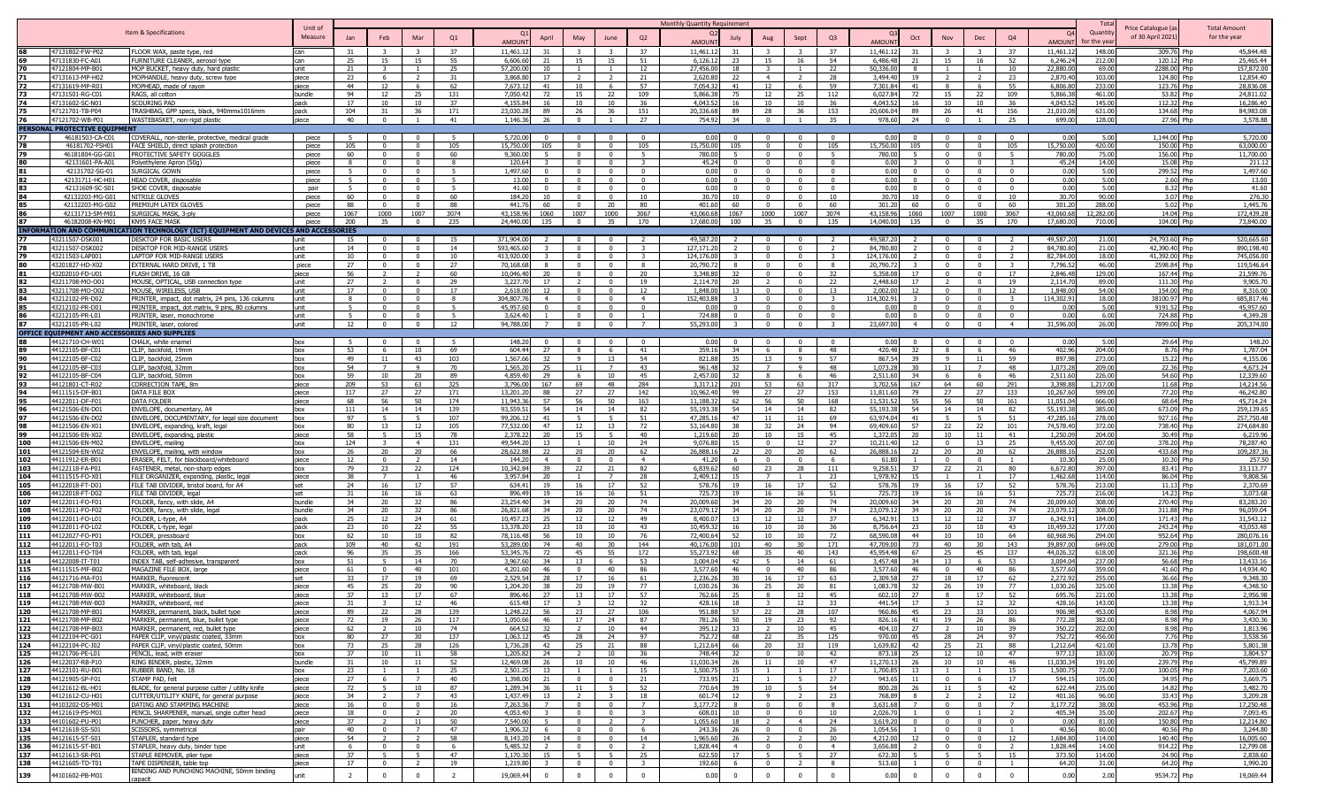|            |                                               |                                                                                      |                    |                |                                |                      |                     |                                             |                                  |                                |                          | Monthly Quantity Requirement         |                      |                                           |                          |                                             |                                           |                        |                      |                     |                  |                                        |                                     |
|------------|-----------------------------------------------|--------------------------------------------------------------------------------------|--------------------|----------------|--------------------------------|----------------------|---------------------|---------------------------------------------|----------------------------------|--------------------------------|--------------------------|--------------------------------------|----------------------|-------------------------------------------|--------------------------|---------------------------------------------|-------------------------------------------|------------------------|----------------------|---------------------|------------------|----------------------------------------|-------------------------------------|
|            |                                               | Item & Specifications                                                                | Unit of<br>Measure | Jan            | Feb                            | Mar                  | Q1                  | April                                       | May                              | June                           | Q2                       | July                                 | Aug                  | Sept                                      | Q <sub>3</sub>           | Oct                                         | Nov                                       | Dec                    | Q <sub>4</sub>       |                     | Quantit          | Price Catalogue (a<br>of 30 April 2021 | <b>Total Amount</b><br>for the year |
|            |                                               |                                                                                      |                    |                |                                |                      |                     | AMOUN                                       |                                  |                                |                          | <b>AMOUN</b>                         |                      |                                           |                          | AMOUN                                       |                                           |                        |                      | AMOUN               | or the ve        |                                        |                                     |
|            | 47131802-FW-P02                               | FLOOR WAX, paste type, red                                                           | can                | 31             |                                |                      | 37                  | 11.461.<br>31                               |                                  |                                | 37                       | 11,461.1                             |                      |                                           | 37                       | 11.461.1                                    |                                           |                        | 37                   | 11,461.1            | 148.00           | 309.76 Php                             | 45.844.48                           |
|            | 47131830-FC-A01                               | FURNITURE CLEANER, aerosol type                                                      | can                | 25             | 15                             | 15                   | 55                  | 6.606.6<br>21                               | 15                               | - 15                           | 51                       | 6.126.12<br>23                       | 15                   | 16                                        | 54                       | 6,486,48<br>21                              | 15                                        | 16                     | 52                   | 6,246.2             | 212.00           | 120.12 Php                             | 25,465.44                           |
|            | 47121804-MP-B01                               | MOP BUCKET, heavy duty, hard plastic                                                 | unit               | 21             | $\mathbf{R}$                   | $\overline{1}$       | 25                  | 57,200.0<br>10                              |                                  | $\overline{1}$                 | 12                       | 27,456.00<br>18                      |                      |                                           | 22                       | 50,336.00                                   | $\overline{1}$                            |                        | 10                   | 22,880.0            | 69.00            | 2288.00 Php                            | 157,872.00                          |
| 71<br>72   | 47131613-MP-H02<br>47131619-MP-R01            | MOPHANDLE, heavy duty, screw type<br>1OPHEAD, made of rayon                          | piece<br>niece     | 23<br>44       | -6<br>12                       | -6                   | 31<br>62            | 3,868.8<br>17<br>7.673.1<br>41              | 10                               | - 6                            | 21<br>57                 | 2.620.80<br>22<br>7.054.32<br>41     | $\overline{4}$<br>12 | - 6                                       | 28<br>59                 | 3,494.40<br>19<br>7.301.84<br>41            | - 8                                       | $\overline{2}$<br>6    | 23<br>55             | 2,870.4<br>6.806.8  | 103.00<br>233.00 | 124.80 Php<br>123.76 Php               | 12,854.40<br>28.836.08              |
| 73         | 47131501-RG-C01                               | RAGS, all cotton                                                                     | bundle             | 94             | 12                             | 25                   | 131                 | 7.050.4<br>72                               | 15                               | 22                             | 109                      | 5.866.38<br>75                       | 12                   | - 25                                      | 112                      | 6.027.84<br>72                              | - 15                                      | 22                     | 109                  | 5.866.3             | 461.00           | 53.82 Php                              | 24.811.02                           |
|            | 47131602-SC-N01                               | SCOURING PAD                                                                         | pack               | 17             | 10                             | 10                   | 37                  | 4,155.8<br>16                               | 10                               | 10                             | 36                       | 4.043.52<br>16                       | 10                   | 10                                        | 36                       | 4,043.52<br>16                              | 10                                        | 10                     | 36                   | 4,043.5             | 145.00           | 112.32 Php                             | 16,286.40                           |
|            | 47121701-TB-P04                               | FRASHBAG, GPP specs, black, 940mmx1016mm                                             | pack               | 104            | 31                             | 36                   | 171                 | 23,030.2<br>89                              | 26                               | -36                            | 151                      | 20,336.68<br>89                      | 28                   | 36                                        | 153                      | 20,606.04<br>89                             | - 26                                      | 41                     | 156                  | 21,010.0            | 631.00           | 134.68 Php                             | 84,983.08                           |
| 76         | 47121702-WB-P01                               | WASTEBASKET, non-rigid plastic                                                       | piece              | 40             | $\mathbf{0}$                   |                      | 41                  | 1,146.3<br>26                               | $\Omega$                         |                                | 27                       | 754.92<br>34                         |                      |                                           | 35                       | 978.60<br>24                                | $\Omega$                                  |                        | 25                   | 699.0               | 128.00           | 27.96 Php                              | 3,578.88                            |
|            | PERSONAL PROTECTIVE EQUIPMENT                 |                                                                                      |                    |                |                                |                      |                     |                                             |                                  |                                |                          |                                      |                      |                                           |                          |                                             |                                           |                        |                      |                     |                  |                                        |                                     |
|            | 46181503-CA-C0:                               | COVERALL, non-sterile, protective, medical grade                                     | piece              | - 5            | $^{\circ}$                     | $^{\circ}$           |                     | 5,720.0                                     |                                  |                                | $\mathbf{0}$             | 0.00                                 |                      |                                           |                          | 0.00                                        |                                           | $\Omega$               |                      | 0.00                | 5.00             | 1,144.00 Php                           | 5,720.00                            |
|            | 46181702-FSH01                                | FACE SHIELD, direct splash protection                                                | piece              | 105            | $\Omega$                       | $\Omega$             | 105                 | 15,750.0<br>105                             | $\Omega$                         | $\Omega$                       | 105                      | 15,750.00<br>105                     |                      | $\Omega$                                  | 105                      | 15,750.00<br>105                            | $\Omega$                                  | $\Omega$               | 105                  | 15,750.00           | 420.00           | 150.00 Php                             | 63,000.00                           |
| 79         | 46181804-GG-G0                                | PROTECTIVE SAFETY GOGGLES                                                            | piece              | 60             | $\Omega$                       | $^{\circ}$           | 60                  | 9,360.0<br>-5                               | $\Omega$                         | $\Omega$                       | - 5                      | 780.00<br>-5                         | $\Omega$             | $\overline{0}$                            | - 5                      | 780.00                                      | $\Omega$                                  | $\Omega$               | $-5$                 | 780.00              | 75.00            | 156.00 Php                             | 11,700.00                           |
|            | 42131601-PA-A01                               | Polvethylene Apron (50g                                                              | piece              | $\mathbf{R}$   | $\Omega$                       | $\Omega$<br>$\Omega$ | $\mathbf{R}$<br>-5. | 120.6                                       |                                  | $\sqrt{ }$                     | $\mathbf{R}$<br>$\Omega$ | 45.24<br>n nr                        |                      | $\overline{0}$                            | $\mathbf{0}$<br>$\Omega$ | 0.00                                        | $\sqrt{ }$                                | $\Omega$<br>$\sqrt{ }$ | $\Omega$             | 45.24               | 14.00            | 15.08 Php                              | 211.12                              |
| 81<br>82   | 42131702-SG-01<br>42131711-HC-H01             | Surgical Gown                                                                        | piece<br>piece     | 5.<br>5        | $\Omega$<br>$\mathbf{0}$       | $\mathbf{0}$         | -5.                 | 1.497.6<br>$\Omega$<br>$\Omega$<br>13.0     | $\Omega$<br>$\Omega$             | - 0<br>$\overline{0}$          | $\overline{0}$           | $\Omega$<br>0.00<br>$\mathbf{0}$     |                      | $\sqrt{ }$<br>$\overline{0}$              | $\overline{0}$           | 0.00<br>0.00                                | $\sqrt{ }$<br>$\overline{0}$              | $\overline{0}$         | $\Omega$             | 0.00<br>0.00        | 5.00<br>5.00     | 299.52 Php<br>2.60 Php                 | 1.497.60<br>13.00                   |
| 83         | 42131609-SC-S01                               | HEAD COVER, disposable<br>SHOE COVER, disposable                                     | nair               | 5              | $\mathbf{0}$                   | $\Omega$             | 5                   | 41.6<br>$\Omega$                            | $\Omega$                         | $\overline{0}$                 | $\mathbf{0}$             | 0.00<br>$\mathbf{0}$                 | $\overline{0}$       | $\Omega$                                  | $\mathbf{0}$             | 0.00                                        | $\overline{0}$                            | $\overline{0}$         | $\overline{0}$       | 0.00                | 5.00             | 8.32 Php                               | 41.60                               |
|            | 42132203-MG-G01                               | <b>NITRILE GLOVES</b>                                                                | piece              | 60             | $\Omega$                       | $\Omega$             | 60                  | 184.2<br>10                                 | $\Omega$                         | $\Omega$                       | 10                       | 30.70<br>10 <sup>10</sup>            |                      | $\Omega$                                  | 10                       | 30.70<br>10                                 | $\Omega$                                  | $\Omega$               | 10                   | 30.70               | 90.00            | 3.07 Php                               | 276.30                              |
| 85         | 42132203-MG-G02                               | PREMIUM LATEX GLOVES                                                                 | piece              | 88             | $\Omega$                       | $\Omega$             | 88                  | 4417<br>60                                  | $\Omega$                         | - 20                           | 80                       | 401.60<br>60                         | - 0                  | $\sqrt{2}$                                | 60                       | 301.20<br>60                                | $\Omega$                                  | $\overline{0}$         | 60                   | 301.20              | 288.00           | 5.02 Php                               | 1.445.76                            |
|            | 42131713-SM-M01                               | SURGICAL MASK, 3-ply                                                                 | piece              | 1067           | 1000                           | 1007                 | 3074                | 43,158.96<br>1060                           | 1007                             | 1000                           | 3067                     | 43,060.68<br>1067                    | 1000                 | 1007                                      | 3074                     | 43,158.96<br>1060                           | 1007                                      | 1000                   | 3067                 | 43,060.68           | 12,282.00        | 14.04 Php                              | 172,439.28                          |
| 87         | 46182008-KN-M01                               | KN95 FACE MASK                                                                       | niece              | 200            | 35                             | $\overline{0}$       | 235                 | 24,440.00<br>135                            | $\overline{0}$                   | 35                             | 170                      | 17,680.00<br>100                     | 35                   | $\overline{0}$                            | 135                      | 14,040,00<br>135                            | $\overline{0}$                            | 35                     | 170                  | 17,680.0            | 710.00           | 104.00 Php                             | 73,840,00                           |
|            |                                               | INFORMATION AND COMMUNICATION TECHNOLOGY (ICT) EQUIPMENT AND DEVICES AND ACCESSORIES |                    |                |                                |                      |                     |                                             |                                  |                                |                          |                                      |                      |                                           |                          |                                             |                                           |                        |                      |                     |                  |                                        |                                     |
|            | 43211507-DSK00                                | DESKTOP FOR BASIC USERS                                                              | unit               | 15             | $\Omega$                       |                      | 15                  | 371,904.0                                   |                                  |                                |                          | 49,587,20                            |                      |                                           |                          | 49,587.20                                   |                                           |                        |                      | 49,587.2            | 21.00            | 24,793.60 Php                          | 520,665.60                          |
|            | 43211507-DSK002                               | DESKTOP FOR MID-RANGE USERS                                                          | unit               | 14             | $\Omega$                       | $\Omega$             | 14                  | 593,465.6                                   | $\Omega$                         | $\Omega$                       | $\overline{\mathbf{3}}$  | 127,171.2                            |                      |                                           |                          | 84,780.80                                   | $\Omega$                                  | $\Omega$               |                      | 84,780.8            | 21.00            | 42,390.40 Php                          | 890,198.40                          |
|            | 43211503-LAP00                                | LAPTOP FOR MID-RANGE USERS                                                           | unit               | 10             | $\Omega$                       | $\mathbf{0}$         | 10                  | 413,920.0                                   | $\Omega$                         | - 0                            | -3                       | 124,176.00<br>$\mathbf{R}$           |                      | $\Omega$                                  |                          | 124,176.00                                  | $\overline{0}$                            | $\Omega$               | $\mathbf{R}$         | 82,784.0            | 18.00            | 41,392.00 Php                          | 745,056.00                          |
|            | 43201827-HD-X02<br>43202010-FD-U              | EXTERNAL HARD DRIVE, 1 TB<br>FLASH DRIVE, 16 GB                                      | piece<br>piece     | 27<br>56       | $\Omega$                       | $\Omega$             | 27<br>60            | 70,168.6<br>-8<br>10,046.4<br>20            | $\Omega$                         | $\Omega$                       | 8<br>20                  | 20,790.7<br>3.348.80<br>32           |                      | $\Omega$<br>$\Omega$                      | - 8<br>32                | 20,790.72<br>5.358.08<br>17                 | $\Omega$<br>$\sqrt{ }$                    | $\Omega$<br>$\Omega$   | 17                   | 7,796.5<br>2.846.4  | 46.00<br>129.00  | 2598.84 Php<br>167.44 Php              | 119,546.64<br>21,599.76             |
| 82         | 43211708-MO-O0                                | MOUSE, OPTICAL, USB connection type                                                  | unit               | 27             |                                | $\Omega$             | 29                  | 3.227.7<br>17                               |                                  | - 0                            | 19                       | 2,114.70<br>20                       |                      | - 0                                       | 22                       | 2,448.60<br>17                              |                                           | $\overline{0}$         | 19                   | 2,114.7             | 89.00            | 111.30 Php                             | 9,905.70                            |
| 83         | 43211708-MO-O02                               | MOUSE, WIRELESS, USB                                                                 | unit               | 17             | $\mathbf{0}$                   | $\mathbf{0}$         | 17                  | 2,618.0<br>12                               | $\Omega$                         | $\overline{0}$                 | 12                       | 1,848.00<br>13                       | $\mathbf{a}$         | $\Omega$                                  | 13                       | 2,002.00<br>12                              | $\overline{\mathbf{0}}$                   | $\overline{0}$         | 12                   | 1,848.0             | 54.00            | 154.00 Php                             | 8,316.00                            |
| 84         | 43212102-PR-D02                               | PRINTER, impact, dot matrix, 24 pins, 136 columns                                    | unit               | 8              | $\overline{0}$                 | $\overline{0}$       | 8                   | 304,807.7<br>$\overline{4}$                 | $\mathbf{0}$                     | $\overline{\mathbf{0}}$        | $\overline{4}$           | 152,403.88<br>$\mathbf{R}$           | $\mathbf{0}$         | $\overline{0}$                            | $\overline{\mathbf{3}}$  | 114,302.91                                  | $\overline{0}$                            | $\overline{0}$         | $\mathbf{R}$         | 114,302.9           | 18.00            | 38100.97 Php                           | 685,817.46                          |
|            | 43212102-PR-D01                               | PRINTER, impact, dot matrix, 9 pins, 80 columns                                      | unit               | -5             | $\Omega$                       | $\Omega$             | -5                  | 45,957.6<br>$\Omega$                        | $\Omega$                         | $\Omega$                       | $\overline{0}$           | 0.00<br>$\mathbf{0}$                 |                      | $\Omega$                                  | $\Omega$                 | 0.00                                        | $\overline{0}$                            | $\mathbf{0}$           | $\Omega$             | 0.00                | 5.00             | 9191.52 Php                            | 45,957.60                           |
|            | 43212105-PR-L01                               | PRINTER, laser, monochrome                                                           | unit               | -5             | $\Omega$                       | $\Omega$             | - 5                 | 3.624.4                                     | $\Omega$                         | $\Omega$                       | $\overline{1}$           | 724.88<br>$\Omega$                   | $\sim$               | $\Omega$                                  | $\Omega$                 | 0.00<br>$^{\circ}$                          | $\Omega$                                  | $\Omega$               | $\Omega$             | 0.00                | 6.00             | 724.88 Php                             | 4,349.28                            |
|            | 43212105-PR-L0                                | PRINTER, laser, colored                                                              | unit               | 12             | $\Omega$                       | $\Omega$             | 12                  | 94,788.0                                    | $\Omega$                         | $\Omega$                       | $\overline{7}$           | 55,293.00                            |                      | $\Omega$                                  | 3                        | 23.697.00                                   | $\Omega$                                  | $\overline{0}$         | $\overline{4}$       | 31,596.00           | 26.00            | 7899.00 Php                            | 205,374.00                          |
|            | OFFICE EQUIPMENT AND ACCESSORIES AND SUPPLIES |                                                                                      |                    |                |                                |                      |                     |                                             |                                  |                                |                          |                                      |                      |                                           |                          |                                             |                                           |                        |                      |                     |                  |                                        |                                     |
|            | 44121710-CH-W0                                | CHALK, white enamel                                                                  | box                | 5              | $\Omega$                       | $\mathbf{0}$         | $\overline{a}$      | 148.20<br>$\overline{0}$                    |                                  |                                | $\overline{0}$           | 0.00<br>$\Omega$                     |                      |                                           | $\overline{0}$           | 0.00                                        | $\Omega$                                  | $\mathbf{0}$           |                      | 0.00                | 5.00             | 29.64 Php                              | 148.20                              |
|            | 44122105-BF-C0                                | CLIP, backfold, 19mm                                                                 | box                | 53             | -6                             | 10                   | 69                  | 604.44<br>27<br>1.567.6                     | $\mathbf{q}$                     | -6                             | 41                       | 359.16<br>34                         |                      | $\mathbf{q}$                              | 48                       | 420.48<br>32                                |                                           |                        | 46                   | 402.96              | 204.00           | 8.76 Php                               | 1,787.04<br>4,155.06                |
|            | 44122105-BF-C02<br>44122105-BF-C03            | CLIP, backfold, 25mm<br>CLIP, backfold, 32mm                                         | box<br>box         | 49<br>54       | 11<br>$\overline{7}$           | 43<br>-9             | 103<br>70           | 32<br>1,565.2<br>25                         | - 11                             | - 13                           | 54<br>43                 | 821.88<br>35<br>961.48<br>32         | 13                   | <b>q</b>                                  | 57<br>48                 | 867.54<br>39<br>1,073.28<br>30              | - 9                                       | -11<br>$\overline{7}$  | 59<br>48             | 897.98<br>1,073.2   | 273.00<br>209.00 | 15.22 Php<br>22.36 Php                 | 4,673.24                            |
| 92         | 44122105-BF-C04                               | CLIP, backfold, 50mm                                                                 | box                | 59             | 10                             | 20                   | 89                  | 4,859.40<br>- 29                            | -6                               | 10                             | 45                       | 2,457.00<br>32                       |                      |                                           | 46                       | 2,511.60<br>34                              | - 6                                       | - 6                    | -46                  | 2,511.6             | 226.00           | 54.60 Php                              | 12,339.60                           |
| 93         | 44121801-CT-R0                                | CORRECTION TAPE, 8m                                                                  | piece              | 209            | 53                             | 63                   | 325                 | 3.796.0<br>167                              | 69                               | 48                             | 284                      | 3.317.12<br>201                      | 53                   | 63                                        | 317                      | 3.702.56<br>167                             | 64                                        | 60                     | 291                  | 3,398.8             | 1.217.00         | 11.68 Php                              | 14,214.56                           |
| 94         | 44111515-DF-B0                                | <b>DATA FILE BOX</b>                                                                 | piece              | 117            | 27                             | 27                   | 171                 | 13.201.<br>88                               | 27                               | 27                             | 142                      | 10.962.40<br>99                      | 27                   | 27                                        | 153                      | 11,811.60<br>79                             | 27                                        | 27                     | 133                  | 10,267.6            | 599.00           | 77.20 Php                              | 46,242.80                           |
| 95         | 44122011-DF-F0                                | DATA FOLDER                                                                          | piece              | 68             | 56                             | 50                   | 174                 | 11,943.3<br>57                              | 56                               | 50                             | 163                      | 62<br>11,188.32                      | 56                   | 50                                        | 168                      | 11,531.52<br>55                             | 56                                        | 50                     | 161                  | 11,051.0            | 666.00           | 68.64 Php                              | 45,714.24                           |
| 96         | 44121506-EN-D01                               | ENVELOPE, documentary, A4                                                            | hox                | 111            | 14                             | 14                   | 139                 | 93,559.5<br>54                              | 14                               | 14                             | 82                       | 55,193.38<br>54                      | 14                   | 14                                        | 82                       | 55,193.38<br>54                             | 14                                        | 14                     | 82                   | 55,193.3            | 385.00           | 673.09 Php                             | 259,139.65                          |
| 97         | 44121506-EN-D02                               | ENVELOPE, DOCUMENTARY, for legal size document                                       | hox                | 97             | -5                             |                      | 107                 | 99,206.1<br>41                              |                                  | - 5                            | 51                       | 47.285.1<br>47                       | 11                   |                                           | 69                       | 63.974.04<br>41                             | - 5                                       | 5                      | 51                   | 47,285.             | 278.00           | 927.16 Php                             | 257,750.48                          |
|            | 44121506-EN-X01                               | ENVELOPE, expanding, kraft, legal                                                    | box                | 80             | 13                             | 12                   | 105                 | 77,532.0<br>47                              | 12                               | - 13                           | 72                       | 53,164.80<br>38                      | 32                   | 24                                        | 94                       | 69,409.60<br>57                             | 22                                        | 22                     | 101                  | 74,578.4            | 372.00           | 738.40 Php                             | 274,684.80                          |
|            | 44121506-EN-X02                               | ENVELOPE, expanding, plastic                                                         | piece              | 58             | -5                             | 15<br>$\overline{4}$ | 78                  | 2,378.2<br>20<br>49,544.2<br>13             | 15                               | -5<br>10                       | 40                       | 1,219.60<br>20<br>15                 | 10                   | 15<br>12                                  | 45                       | 1,372.05<br>20<br>12                        | 10<br>$\Omega$                            | 11                     | 41                   | 1,250.0<br>9.455.0  | 204.00<br>207.00 | 30.49 Php<br>378.20 Php                | 6,219.96<br>78,287,40               |
| 100<br>101 | 44121506-EN-M02<br>44121504-EN-W02            | ENVELOPE, mailing<br>ENVELOPE, mailing, with window                                  | hox<br>box         | 124<br>26      | 20                             | 20 <sup>2</sup>      | 131<br>66           | 28.622.8<br>22                              | 20                               |                                | 24<br>62                 | 9.076.80<br>26.888.16<br>$22 -$      | 20 <sup>2</sup>      |                                           | 27<br>62                 | 10,211,40<br>26.888.16<br>22                |                                           | 13<br>20               | 25<br>62             | 26,888.1            | 252.00           | 433.68 Php                             | 109,287.36                          |
| 102        | 44111912-ER-B0                                | ERASER, FELT, for blackboard/whiteboard                                              | piece              | 12             | $\mathbf{0}$                   | $\overline{2}$       | 14                  | 144.2<br>$\overline{4}$                     |                                  | $\Omega$                       | $\overline{4}$           | 41.20<br>6                           |                      | $\Omega$                                  | -6                       | 61.80                                       | $^{\circ}$                                | $\overline{0}$         |                      | 10.3                | 25.00            | 10.30 Php                              | 257.50                              |
| 103        | 44122118-FA-P01                               | FASTENER, metal, non-sharp edges                                                     | box                | 79             | 23                             | 22                   | 124                 | 10,342.8<br>39                              | 22                               | 21                             | 82                       | 6,839.62<br>60                       | 23                   | 28                                        | 111                      | 9,258.51<br>37                              | 22                                        | 21                     | 80                   | 6,672.8             | 397.00           | 83.41 Php                              | 33,113.77                           |
| 104        | 44111515-FO-X0                                | FILE ORGANIZER, expanding, plastic, lega                                             | piece              | 38             | $\overline{7}$                 |                      | 46                  | 3.957.8<br>20                               |                                  |                                | 28                       | 2,409.12<br>15                       |                      |                                           | 23                       | 1,978.92<br>15                              |                                           |                        | 17                   | 1,462.6             | 114.00           | 86.04 Php                              | 9,808.56                            |
| 105        | 44122018-FT-D01                               | FILE TAB DIVIDER, bristol board, for A4                                              | set                | 24             | 16                             | 17                   | 57                  | 634.4<br>19                                 | 16                               | - 17                           | 52                       | 578.76<br>19                         | 16                   | 17                                        | 52                       | 578.76<br>19                                | - 16                                      | 17                     | 52                   | 578.7               | 213.00           | 11.13 Php                              | 2.370.69                            |
| 106        | 44122018-FT-D02                               | FILE TAB DIVIDER, legal                                                              | set                | -31            | 16                             | 16                   | 63                  | 896.4<br>19                                 | 16                               | 16                             | 51                       | 725.73<br>19                         | 16                   | 16                                        | 51                       | 725.73<br>19                                | -16                                       | 16                     | 51                   | 725.7               | 216.00           | 14.23 Php                              | 3,073.68                            |
| 107        | 44122011-FO-F0                                | FOLDER, fancy, with slide, A4                                                        | bundle             | 34             | 20                             | 32                   | 86                  | 23,254.4<br>34<br>34                        | 20                               | - 20                           | 74                       | 20,009.60<br>34                      | 20                   | 20                                        | 74                       | 20,009.60<br>34                             | - 20                                      | 20                     | 74                   | 20,009.6            | 308.00           | 270.40 Php                             | 83,283.20                           |
| 108<br>109 | 44122011-FO-F0<br>44122011-FO-L0              | FOLDER, fancy, with slide, lega<br>FOLDER, L-type, A4                                | bundle<br>pack     | 34<br>25       | 20<br>12                       | 32<br>24             | 86<br>61            | 26.821.6<br>10,457.2<br>25                  | 20<br>12                         | 20<br>12                       | 74<br>49                 | 23,079.1<br>34<br>8,400.0<br>13      | 20<br>12             | 20                                        | 74<br>37                 | 23.079.1<br>34<br>6,342.9<br>13             | 20<br>12                                  | 20<br>12               | 74<br>37             | 23,079.1<br>6,342.9 | 308.00<br>184.00 | 311.88 Php<br>171.43 Php               | 96,059.04<br>31,543.12              |
| 110        | 44122011-FO-L0                                | FOLDER, L-type, lega                                                                 | pack               | 23             | 10                             | 22                   | 55                  | 13,378.2<br>23                              | 10                               | 10                             | 43                       | 10,459.32<br>16                      | 10                   | 10                                        | 36                       | 8,756.64<br>23                              | 10                                        | 10                     | 43                   | 10,459.3            | 177.00           | 243.24 Php                             | 43,053.48                           |
| 111        | 44122027-FO-P01                               | FOLDER, pressboard                                                                   | box                | 62             | 10                             | 10                   | 82                  | 78,116.4<br>56                              | 10                               | 10                             | 76                       | 72,400.64<br>52                      | 10                   | 10                                        | 72                       | 68,590.08<br>44                             | 10                                        | 10                     | 64                   | 60,968.9            | 294.00           | 952.64 Php                             | 280,076.16                          |
| 112        | 44122011-FO-T0                                | FOLDER, with tab, A4                                                                 | pack               | 109            | 40                             | 42                   | 191                 | 53,289.0<br>74                              | 40                               | 30                             | 144                      | 40,176,00<br>101                     | 40                   |                                           | 171                      | 47,709.00<br>73                             | 40                                        | 30                     | 143                  | 39,897.0            | 649.00           | 279.00 Php                             | 181,071.00                          |
| 113        | 44122011-FO-T04                               | FOLDER, with tab, lega                                                               | pack               | 96             | 35                             | 35                   | 166                 | 53,345.7<br>72                              | 45                               | 55                             | 172                      | 55,273.92<br>68.                     | 35                   | 40                                        | 143                      | 45,954.48<br>67                             | - 25                                      | 45                     | 137                  | 44,026.3            | 618.00           | 321.36 Php                             | 198,600.48                          |
| 114        | 44122008-IT-T0                                | INDEX_TAB, self-adhesive, transparent                                                | box                | 51             | -5                             | 14                   | 70                  | 3.967.6<br>34                               | 13                               | - 6                            | 53                       | 3,004.04<br>42                       |                      | 14                                        | 61                       | 3,457.48<br>34                              | 13                                        | - 6                    | 53                   | 3,004.0             | 237.00           | 56.68 Php                              | 13,433.16                           |
| 115        | 44111515-MF-B0                                | MAGAZINE FILE BOX, large                                                             | piece              | 61             | $\Omega$                       | 40 <sup>°</sup>      | 101                 | 4,201.6<br>46                               |                                  | 40                             | 86                       | 3,577,60<br>46                       |                      | 40                                        | 86                       | 3.577.60<br>46                              | $\Omega$                                  | 40                     | 86                   | 3.577.6             | 359.00           | 41.60 Php                              | 14,934.40                           |
| 116        | 44121716-MA-F0                                | MARKER, fluorescent                                                                  | set                | 33             | 17                             | 19                   | 69                  | 2.529.5<br>28                               | 17                               | 16                             | 61                       | 2,236.26<br>30                       | 16                   | 17                                        | 63                       | 2.309.58<br>27                              | 18                                        | 17                     | 62                   | 2,272.9             | 255.00           | 36.66 Php                              | 9,348.30                            |
| 117<br>118 | 44121708-MW-B01<br>44121708-MW-B02            | MARKER, whiteboard, black<br>MARKER, whiteboard, blue                                | piece<br>piece     | 45<br>37       | 25<br>13                       | 20<br>17             | 90<br>67            | 1,204.2<br>38<br>896.46<br>27               | 20<br>13                         | 19<br>17                       | 77<br>57                 | 1,030.26<br>36<br>762.66<br>25       | 25<br>8              | 20<br>12                                  | 81<br>45                 | 1,083.78<br>32<br>602.10<br>27              | 26<br>8                                   | 19<br>17               | 77<br>52             | 1,030.2<br>695.7    | 325.00<br>221.00 | 13.38 Php<br>13.38 Php                 | 4,348.50<br>2,956.98                |
| 119        | 44121708-MW-B03                               | MARKER, whiteboard, red                                                              | piece              | 31             |                                | 12                   | 46                  | 615.48<br>17                                |                                  | 12                             | 32                       | 428.16<br>18                         |                      | 12                                        | 33                       | 441.54<br>17                                |                                           | 12                     | 32                   | 428.1               | 143.00           | 13.38 Php                              | 1,913.34                            |
| 120        | 44121708-MP-B01                               | MARKER, permanent, black, bullet type                                                | piece              | 89             | 22                             | 28                   | 139                 | 56<br>1,248.22                              | 23                               | 27                             | 106                      | 57  <br>951.88                       | 22                   | 28                                        | 107                      | 45<br>960.86                                | - 23                                      | 33                     | 101                  | 906.98              | 453.00           | 8.98 Php                               | 4,067.94                            |
| 121        | 44121708-MP-B02                               | MARKER, permanent, blue, bullet type                                                 | piece              | 72             | 19                             | 26                   | 117                 | 1,050.66<br>46                              | 17                               | 24                             | 87                       | 50<br>781.26                         | 19                   | 23                                        | 92                       | 826.16<br>41                                | 19                                        | 26                     | 86                   | 772.28              | 382.00           | 8.98 Php                               | 3,430.36                            |
| 122        | 44121708-MP-B03                               | MARKER, permanent, red, bullet type                                                  | piece              | 62             | $\overline{2}$                 | 10                   | 74                  | 664.52<br>32                                | $\overline{2}$                   | 10                             | 44                       | 395.12<br>33                         | $\overline{2}$       | 10                                        | 45                       | 404.10<br>27                                | $\overline{2}$                            | 10                     | 39                   | 350.22              | 202.00           | 8.98 Php                               | 1,813.96                            |
| 123        | 44122104-PC-G01                               | PAPER CLIP, vinyl/plastic coated, 33mm                                               | box                | 80             | 27                             | 30                   | 137                 | 1.063.1<br>45                               | 28                               | 24                             | 97                       | 752.72<br>68                         | 22                   | 35                                        | 125                      | 970.00<br>45                                | 28                                        | 24                     | 97                   | 752.72              | 456.00           | 7.76 Php                               | 3,538.56                            |
| 124        | 44122104-PC-J02                               | PAPER CLIP, vinyl/plastic coated, 50mm                                               | box                | 73             | 25                             | 28                   | 126                 | 1,736.2<br>42                               | 25                               | 21                             | 88                       | 1,212.64                             | 66 20                | 33                                        | 119                      | 1,639.82<br>42                              | 25                                        | 21                     | 88                   | 1,212.64            | 421.00           | 13.78 Php                              | 5,801.38                            |
| 125        | 44121706-PE-L01                               | PENCIL, lead, with eraser                                                            | box                | 37             | 10                             | 11                   | 58                  | 1,205.8<br>24                               | $\overline{2}$                   | 10                             | 36                       | 32<br>748.44                         | $\sim$ 0             | 10                                        | 42                       | 873.18<br>25                                | 12                                        | 10                     | 47                   | 977.13              | 183.00           | 20.79 Php                              | 3,804.57                            |
| 126<br>127 | 44122037-RB-P10                               | RING BINDER, plastic, 32mm                                                           | bundle             | 31             | 10                             | 11                   | 52                  | 12,469.0<br>26                              | 10                               | 10                             | 46                       | 11.030.34<br>26                      | 11                   | 10                                        | 47                       | 11,270.13<br>26                             | 10                                        | 10                     | 46                   | 11,030.34           | 191.00           | 239.79 Php                             | 45,799.89                           |
| 128        | 44122101-RU-B01<br>44121905-SP-F01            | RUBBER BAND, No. 18<br>STAMP PAD, felt                                               | box<br>piece       | 23<br>27       | $\mathbf{1}$<br>6 <sup>6</sup> | $\overline{7}$       | 25<br>40            | 2,501.2<br>13<br>1,398.0<br>21              | $\overline{0}$                   | - 1<br>$\sim$ 0                | 15<br>21                 | 1,500.75<br>15<br>733.95<br>$21$     | $\sim$ 1             | $-5$                                      | 17<br>27                 | 1,700.85<br>13<br>943.65<br>$\frac{11}{11}$ | $\overline{1}$<br>$\overline{\mathbf{0}}$ | -1<br>6                | 15<br>17             | 1,500.75<br>594.15  | 72.00<br>105.00  | 100.05 Php<br>34.95 Php                | 7,203.60<br>3.669.75                |
| 129        | 44121612-BL-H01                               | BLADE, for general purpose cutter / utility knife                                    | piece              | 72             | 5 <sup>1</sup>                 | 10                   | 87                  | 1,289.34<br>-36                             | 11                               | $5^{\circ}$                    | 52                       | 770.64<br>39                         | 10                   | $-5$                                      | 54                       | 800.28<br>26                                | 11                                        | 5                      | 42                   | 622.44              | 235.00           | 14.82 Php                              | 3,482.70                            |
| 130        | 44121612-CU-H01                               | CUTTER/UTILITY KNIFE, for general purpose                                            | piece              | 34             | $\overline{2}$                 | 7                    | 43                  | 1,437,49<br>13                              | $\overline{2}$                   | $\overline{\mathbf{3}}$        | 18                       | 601.74                               | 12 9                 | $\overline{2}$                            | 23                       | 768.89<br>8 <sup>1</sup>                    | $\overline{2}$                            | $\overline{2}$         | 12                   | 401.16              | 96.00            | 33.43 Php                              | 3,209.28                            |
| 131        | 44103202-DS-M01                               | DATING AND STAMPING MACHINE                                                          | piece              | 16             | $\overline{0}$                 | $\Omega$             | 16                  | 7.263.36<br>7                               | $\overline{0}$                   | $\overline{\mathbf{0}}$        | 7                        | 3,177.72<br>$\mathbf{R}$             | $\overline{0}$       | $\overline{0}$                            | 8                        | $3.631.68$ 7 0                              |                                           | $\overline{0}$         | $\overline{7}$       | 3.177.72            | 38.00            | 453.96 Php                             | 17,250.48                           |
| 132        | 44121619-PS-M01                               | PENCIL SHARPENER, manual, single cutter head                                         | piece              | 18             | $\overline{0}$                 | $\overline{2}$       | 20                  | 4,053.40<br>$\mathcal{R}$                   | $\overline{0}$                   | $\overline{0}$                 | $\overline{3}$           | 608.01<br>10                         | $\overline{0}$       | $\overline{\mathbf{0}}$                   | 10                       | 2,026.70                                    | $1 \qquad 0$                              | $\overline{1}$         | $\overline{2}$       | 405.34              | 35.00            | 202.67 Php                             | 7,093.45                            |
| 133        | 44101602-PU-P01                               | PUNCHER, paper, heavy duty                                                           | piece              | 37             | 2                              | 11                   | 50                  | 7,540.00<br>5 <sup>1</sup>                  | $\overline{0}$                   | $\overline{z}$                 | $\overline{7}$           | 1,055.60<br>18                       | $\overline{2}$       | $\overline{4}$                            | 24                       | 3,619.20<br>$\overline{0}$                  | $\overline{0}$                            | $\overline{0}$         | $\mathbf{0}$         | 0.00                | 81.00            | 150.80 Php                             | 12,214.80                           |
| 134        | 44121618-SS-S01                               | SCISSORS, symmetrical                                                                | pair               | 40             | $\overline{0}$                 | 7                    | 47                  | 1.906.3<br>6                                | $\overline{0}$                   | $\overline{0}$                 | 6                        | 243.36<br>26 1                       | $\overline{0}$       | $\overline{0}$                            | 26                       | 1,054.56<br>1                               | $\overline{0}$                            | $\overline{0}$         | $\overline{1}$       | 40.56               | 80.00            | 40.56 Php                              | 3,244,80                            |
| 135        | 44121615-ST-S01                               | STAPLER, standard type                                                               | piece              | 54             | $\overline{2}$                 | 2                    | 58                  | 8,143.2<br>14                               | $\overline{0}$                   | $\overline{0}$                 | 14                       | 1,965.60<br>26                       | $\overline{2}$       | $\overline{2}$                            | 30                       | 4,212.00<br>12                              | $\overline{0}$                            | $\mathbf{0}$           | 12                   | 1,684.80            | 114.00           | 140.40 Php                             | 16,005.60                           |
| 136<br>137 | 44121615-ST-B01<br>44121613-SR-P01            | STAPLER, heavy duty, binder type<br>STAPLE REMOVER, plier type                       | unit<br>piece      | 6<br>37        | $\overline{0}$<br>- 5          | $\overline{0}$<br>-5 | 6<br>47             | 5,485.3<br>$\overline{z}$<br>1,170.30<br>15 | $\overline{0}$<br>5 <sup>5</sup> | $\overline{\mathbf{0}}$<br>- 5 | $\overline{2}$<br>25     | 1,828.44<br>$\sim$ 4<br>622.50<br>17 | $\mathbf{0}$<br>- 5. | $\overline{\mathbf{0}}$<br>5 <sup>5</sup> | $\overline{4}$<br>27     | 3,656.88<br>$\overline{2}$<br>672.30<br>-5  | $\overline{\mathbf{0}}$<br>- 5            | $\mathbf{0}$<br>- 5    | $\overline{2}$<br>15 | 1,828.44<br>373.50  | 14.00<br>114.00  | 914.22 Php<br>24.90 Php                | 12,799.08<br>2,838.60               |
| 138        | 44121605-TD-T01                               | TAPE DISPENSER, table top                                                            | piece              | 17             | $\mathbf{0}$                   | 2                    | 19                  | 1,219.80                                    | $\overline{0}$                   | $\overline{0}$                 | $\mathbf{R}$             | 192.60<br>6                          |                      |                                           | 8                        | 513.60                                      | $\overline{0}$                            | $\overline{0}$         | <sup>1</sup>         | 64.20               | 31.00            | 64.20 Php                              | 1,990.20                            |
|            |                                               | BINDING AND PUNCHING MACHINE, 50mm binding                                           |                    |                |                                |                      |                     |                                             |                                  |                                |                          |                                      |                      |                                           |                          |                                             |                                           |                        |                      |                     |                  |                                        |                                     |
| 139        | 44101602-PB-M01                               | anacit                                                                               | unit               | $\overline{2}$ | $\overline{0}$                 | $\overline{0}$       | $\overline{2}$      | 19,069.44<br>$\overline{0}$                 | $\overline{0}$                   | $\overline{\mathbf{0}}$        | $\overline{\mathbf{0}}$  | 0.00<br>$\overline{0}$               | $\mathbf{0}$         | $\overline{\mathbf{0}}$                   | $\mathbf{0}$             | 0.00<br>$\mathbf{0}$                        | $\overline{\mathbf{0}}$                   | $\mathbf{0}$           | $\mathbf{0}$         | 0.00                | 2.00             | 9534.72 Php                            | 19,069.44                           |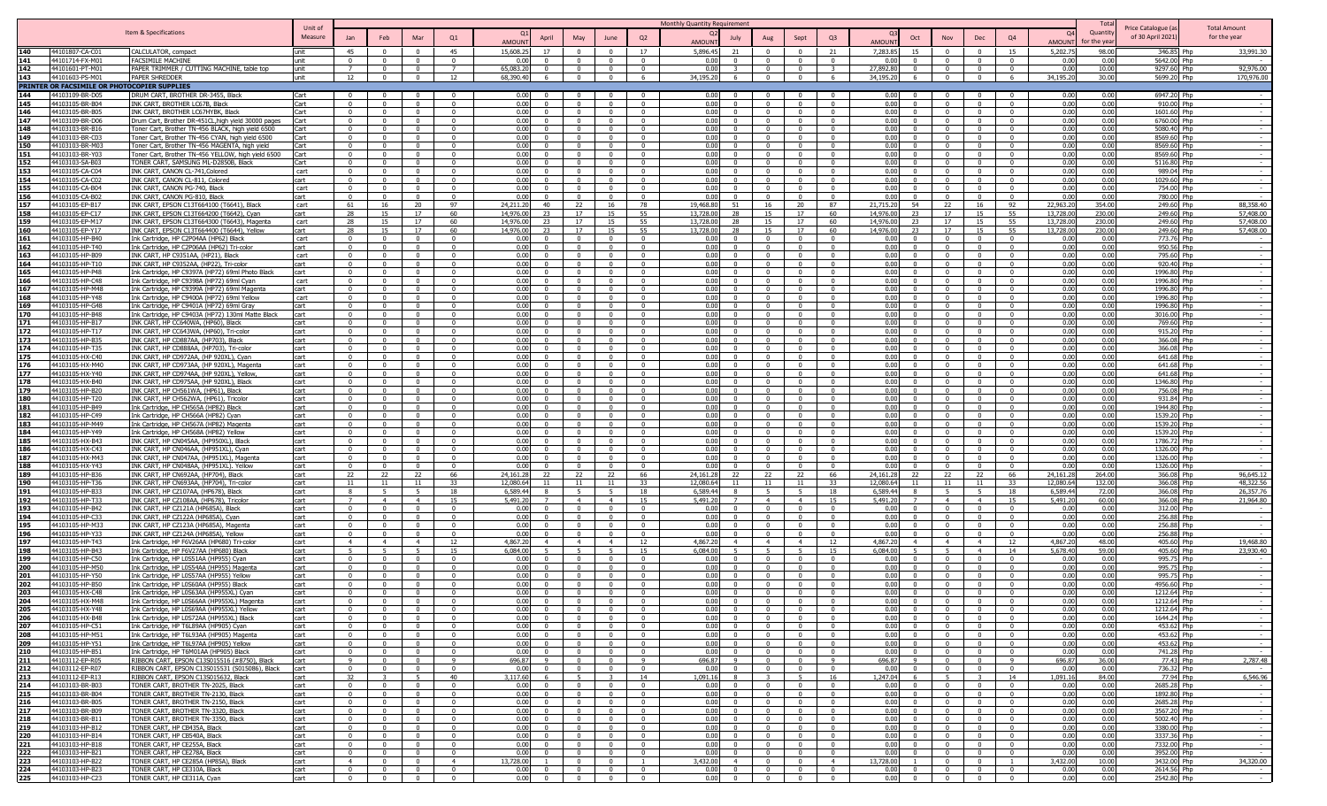|                                                  |                                                                                                    | Unit of       |                                  |                                                    |                                                    |                                  |                      |                                  |                                                                                                                                                                                                                                                                                                                                                                                                                                          |                                         | <b>Monthly Quantity Requirement</b>  |                                                                                                                                                                       |                                  |                                  |                           |                                                                            |                                           |                                  |                      | Total            | Price Catalogue (a         | <b>Total Amount</b>                |
|--------------------------------------------------|----------------------------------------------------------------------------------------------------|---------------|----------------------------------|----------------------------------------------------|----------------------------------------------------|----------------------------------|----------------------|----------------------------------|------------------------------------------------------------------------------------------------------------------------------------------------------------------------------------------------------------------------------------------------------------------------------------------------------------------------------------------------------------------------------------------------------------------------------------------|-----------------------------------------|--------------------------------------|-----------------------------------------------------------------------------------------------------------------------------------------------------------------------|----------------------------------|----------------------------------|---------------------------|----------------------------------------------------------------------------|-------------------------------------------|----------------------------------|----------------------|------------------|----------------------------|------------------------------------|
|                                                  | Item & Specifications                                                                              | Measure       |                                  | Feb                                                | Mar                                                | Q1                               |                      | April                            | May<br>June                                                                                                                                                                                                                                                                                                                                                                                                                              | Q2                                      | July                                 | Aug                                                                                                                                                                   | Sept                             | Q <sub>3</sub>                   |                           | Oct<br>Nov                                                                 | Dec                                       | Q4                               |                      | Quantity         | of 30 April 2021)          | for the year                       |
|                                                  |                                                                                                    |               |                                  |                                                    |                                                    |                                  | <b>AMOUN</b>         |                                  |                                                                                                                                                                                                                                                                                                                                                                                                                                          |                                         | <b>AMOLIN</b>                        |                                                                                                                                                                       |                                  |                                  | <b>MUOLIN</b>             |                                                                            |                                           |                                  | AMOUN                | or the vea       |                            |                                    |
| 140<br>44101807-CA-C0<br>141<br>44101714-FX-M0   | CALCULATOR, compact<br><b>FACSIMILE MACHINE</b>                                                    | unit<br>unit  | 45<br>$\Omega$                   | $\Omega$<br>$\Omega$                               | $\Omega$<br>$\Omega$                               | 45<br>$\Omega$                   | 15,608.2<br>0.0      | 17<br>$\Omega$                   | $\Omega$<br>$\Omega$<br>$\Omega$                                                                                                                                                                                                                                                                                                                                                                                                         | 17<br>$\Omega$                          | 5,896.45<br>21<br>0.00<br>$\Omega$   | $\Omega$                                                                                                                                                              | - 0<br>$\Omega$                  | 21<br>$\Omega$                   | 7,283.85<br>0.00          | 15<br>- 0<br>$\Omega$                                                      | $\Omega$<br>$\Omega$                      | 15<br>$\Omega$                   | 5,202.75<br>0.00     | 98.00<br>0.00    | 346.85 Php<br>5642.00 Php  | 33,991.30                          |
| 142<br>44101601-PT-M0                            | PAPER TRIMMER / CUTTING MACHINE, table top                                                         | unit          |                                  | $\Omega$                                           |                                                    | $\overline{7}$                   | 65.083.2             | $\Omega$                         | $\sqrt{ }$                                                                                                                                                                                                                                                                                                                                                                                                                               | $\overline{0}$                          | n nr                                 |                                                                                                                                                                       | $\Omega$                         |                                  | 27,892.80                 | $\Omega$                                                                   | $\sqrt{ }$                                |                                  | 0.00                 | 10.00            | 9297.60 Php                | 92,976.00                          |
| 143<br>44101603-PS-M01                           | <b>PAPER SHREDDEF</b>                                                                              | unit          | 12                               | $\overline{0}$                                     | $\overline{0}$                                     | 12                               | 68,390.40            | -6                               | $\Omega$                                                                                                                                                                                                                                                                                                                                                                                                                                 | 6                                       | 34,195.20<br>- 6                     |                                                                                                                                                                       | $\Omega$                         |                                  | 34,195.20                 | $\Omega$                                                                   | $\overline{0}$                            | 6                                | 34,195.20            | 30.00            | 5699.20 Php                | 170,976.00                         |
| PRINTER OR FACSIMILE OR PHOTOCOPIER SUPPLIES     |                                                                                                    |               |                                  |                                                    |                                                    |                                  |                      |                                  |                                                                                                                                                                                                                                                                                                                                                                                                                                          |                                         |                                      |                                                                                                                                                                       |                                  |                                  |                           |                                                                            |                                           |                                  |                      |                  |                            |                                    |
| 144<br>44103109-BR-D05<br>145<br>44103105-BR-B04 | DRUM CART, BROTHER DR-3455, Black<br>INK CART, BROTHER LC67B, Black                                | Cart<br>Cart  | $\Omega$                         | $\mathbf{u}$<br>$\Omega$                           | $\Omega$                                           | 0<br>$\Omega$                    | 0.00<br>0.01         | $\overline{0}$<br>$\Omega$       | $\Omega$<br>$\Omega$                                                                                                                                                                                                                                                                                                                                                                                                                     | $\overline{0}$<br>$\Omega$              | 0.00<br>0.00<br>$\Omega$             | $\mathbf{0}$<br>$\Omega$                                                                                                                                              | $\mathbf{0}$<br>$\Omega$         | $\Omega$<br>$\Omega$             | 0.00<br>0.00              | - 0<br>$\Omega$<br>$\Omega$                                                | $\overline{\mathbf{0}}$<br>$\Omega$       | $\Omega$                         | 0.00<br>0.00         | 0.00<br>0.00     | 6947.20 Php<br>910.00 Php  |                                    |
| 146<br>44103105-BR-B0                            | INK CART, BROTHER LC67HYBK, Black                                                                  | Cart          |                                  | $\Omega$                                           |                                                    | $\Omega$                         | 0 <sub>0</sub>       |                                  |                                                                                                                                                                                                                                                                                                                                                                                                                                          | $\Omega$                                | 0.00                                 |                                                                                                                                                                       |                                  | $\Omega$                         | 0.00                      | $\Omega$                                                                   | $\Omega$                                  |                                  | 0.00                 | 0.00             | 1601.60 Php                |                                    |
| 44103109-BR-D06<br>147                           | Drum Cart, Brother DR-451CL, high yield 30000 pages                                                | Cart          |                                  | $\sim$                                             |                                                    | $\Omega$                         | 0.00                 | $\sqrt{2}$                       |                                                                                                                                                                                                                                                                                                                                                                                                                                          | $\sqrt{ }$                              | 0.00                                 |                                                                                                                                                                       |                                  |                                  | 0.00                      |                                                                            | $\Omega$                                  |                                  | 0.00                 | 0.00             | 6760.00 Php                |                                    |
| 44103103-BR-B1<br>148<br>44103103-BR-C03         | Toner Cart, Brother TN-456 BLACK, high yield 6500                                                  | Cart          | $\Omega$<br>$\Omega$             | $\Omega$<br>$\mathbf{0}$                           | $\Omega$<br>$\Omega$                               | $\Omega$<br>$\Omega$             | n nr<br>0.00         | $\Omega$<br>$\Omega$             | $\sqrt{ }$                                                                                                                                                                                                                                                                                                                                                                                                                               | $\sqrt{ }$<br>$\Omega$                  | 0.00<br>$\Omega$<br>0.00             | $\Omega$                                                                                                                                                              | $\sqrt{ }$                       | $\Omega$                         | 0.00<br>0.00              | $\bigcap$<br>$\Omega$                                                      | $\Omega$<br>$\Omega$                      |                                  | 0.00                 | 0.00<br>0.00     | 5080 40 Phn                |                                    |
| 149<br>150<br>44103103-BR-M0                     | Toner Cart, Brother TN-456 CYAN, high yield 6500<br>Toner Cart, Brother TN-456 MAGENTA, high yield | Cart<br>Cart  | $\Omega$                         | $\Omega$                                           | $\Omega$                                           | $\Omega$                         | 0.00                 | $\Omega$                         | $\Omega$                                                                                                                                                                                                                                                                                                                                                                                                                                 | $\Omega$                                | 0.00<br>$\Omega$                     |                                                                                                                                                                       |                                  |                                  | 0.00                      | $\Omega$                                                                   | $\Omega$                                  |                                  | 0.00<br>0.00         | 0.00             | 8569.60 Php<br>8569.60 Php |                                    |
| 151<br>44103103-BR-Y0                            | Toner Cart, Brother TN-456 YELLOW, high yield 6500                                                 | Cart          | $\Omega$                         | $\Omega$                                           | $\Omega$                                           | 0                                | 0.00                 | $\Omega$                         | $\Omega$                                                                                                                                                                                                                                                                                                                                                                                                                                 | $^{\circ}$                              | 0.00<br>$\Omega$                     | $^{\circ}$                                                                                                                                                            | - 0                              |                                  | 0.00                      | $\Omega$                                                                   | $^{\circ}$                                | $\Omega$                         | 0.00                 | 0.00             | 8569.60 Php                |                                    |
| 152<br>44103103-SA-B0                            | TONER CART, SAMSUNG ML-D2850B, Black                                                               | Cart          |                                  | $\Omega$                                           |                                                    | 0                                | 0.01                 | $\Omega$                         |                                                                                                                                                                                                                                                                                                                                                                                                                                          | $^{\circ}$                              | 0.00<br>$\Omega$                     |                                                                                                                                                                       |                                  |                                  | 0.00                      |                                                                            | $\Omega$                                  |                                  | 0.00                 | 0.00             | 5116.80 Php                |                                    |
| 153<br>44103105-CA-C0<br>154<br>44103105-CA-CO   | INK CART, CANON CL-741, Colored<br>INK CART, CANON CL-811, Colored                                 | cart<br>cart  | $\Omega$                         | $\Omega$                                           |                                                    | $\Omega$                         | 0.01<br>0.0          | $\Omega$                         |                                                                                                                                                                                                                                                                                                                                                                                                                                          | $\Omega$                                | 0.00<br>$\Omega$<br>0 <sub>0</sub>   |                                                                                                                                                                       |                                  |                                  | 0.00<br>0.00              |                                                                            | $\Omega$                                  |                                  | 0.00<br>0.00         | 0.00<br>0.00     | 989.04 Php<br>1029.60 Php  |                                    |
| 155<br>44103105-CA-B04                           | INK CART, CANON PG-740, Black                                                                      | cart          |                                  | $\Omega$                                           |                                                    | $\Omega$                         | 0.0                  | $\Omega$                         |                                                                                                                                                                                                                                                                                                                                                                                                                                          | $\Omega$                                | 0.01<br>$\Omega$                     |                                                                                                                                                                       |                                  |                                  | 0.00                      |                                                                            | $\Omega$                                  |                                  | 0.00                 | 0.00             | 754.00 Php                 |                                    |
| 156<br>44103105-CA-B02                           | INK CART, CANON PG-810, Black                                                                      | cart          |                                  | $\Omega$                                           | $\Omega$                                           | $\sqrt{2}$                       | 0.0                  | $\Omega$                         | $\sqrt{ }$                                                                                                                                                                                                                                                                                                                                                                                                                               | $\sqrt{ }$                              | 0.01                                 | $\Omega$                                                                                                                                                              |                                  |                                  | 0.00                      | $\bigcap$                                                                  | $\Omega$                                  |                                  | 0.00                 | 0.00             | 780.00 Php                 |                                    |
| 157<br>44103105-FP-B1                            | INK CART, EPSON C13T664100 (T6641), Black                                                          | cart          | 61                               | 16                                                 | 20                                                 | 97                               | 24,211.2             | 40                               | 22<br>- 16                                                                                                                                                                                                                                                                                                                                                                                                                               | 78                                      | 19,468.80                            | 51<br>16                                                                                                                                                              | 20                               | 87                               | 21,715.20                 | 54<br>22                                                                   | 16                                        | 92                               | 22,963.20            | 354.00           | 249.60 Php                 | 88,358.40                          |
| 158<br>44103105-EP-C1<br>159<br>44103105-EP-M17  | INK CART, EPSON C13T664200 (T6642), Cyan<br>INK CART, EPSON C13T664300 (T6643), Magent             | :art<br>cart  | 28<br>28                         | 15<br>15                                           | 17<br>17                                           | 60<br>60                         | 14.976.0<br>14.976.0 | 23<br>23                         | 17<br>-15<br>17<br>- 15                                                                                                                                                                                                                                                                                                                                                                                                                  | 55<br>55                                | 13,728.0<br>13.728.0                 | 28<br>15<br>28<br>15                                                                                                                                                  | 17<br>17                         | 60<br>60                         | 14,976.0<br>14,976.0      | 17<br>23<br>17                                                             | 15<br>15                                  | 55<br>55                         | 13,728.0<br>13,728.0 | 230.00<br>230.00 | 249.60 Php<br>249.60 Php   | 57,408.00<br>57,408.00             |
| 160<br>44103105-EP-Y1                            | INK CART, EPSON C13T664400 (T6644), Yellow                                                         | cart          | 28                               | 15                                                 | 17                                                 | 60                               | 14,976.0             | つろ                               | 17                                                                                                                                                                                                                                                                                                                                                                                                                                       | 55                                      | 13,728.0                             | 28<br>15                                                                                                                                                              | 17                               | 60                               | 14,976.00                 | 23<br>17                                                                   | -15                                       | 55                               | 13,728.0             | 230.00           | 249.60 Php                 | 57,408.00                          |
| 161<br>44103105-HP-B40                           | Ink Cartridge, HP C2P04AA (HP62) Black                                                             | cart          |                                  | $\Omega$                                           |                                                    | $\Omega$                         | 0.01                 |                                  |                                                                                                                                                                                                                                                                                                                                                                                                                                          | $\Omega$                                | 0.00                                 |                                                                                                                                                                       |                                  |                                  | 0.00                      |                                                                            | $\Omega$                                  |                                  | 0.00                 | 0.00             | 773.76 Php                 |                                    |
| 44103105-HP-T4<br>162                            | Ink Cartridge, HP C2P06AA (HP62) Tri-colo                                                          | cart          | $\Omega$                         | $\Omega$<br>$\Omega$                               | $\Omega$                                           | $\Omega$                         | 0.0                  | $\Omega$                         | $\sqrt{ }$                                                                                                                                                                                                                                                                                                                                                                                                                               | $\sqrt{ }$                              | 0.00<br>$\Omega$                     |                                                                                                                                                                       |                                  |                                  | 0.00<br>0.00              | $\Omega$                                                                   | $\Omega$                                  |                                  | 0.00                 | 0.00             | 950.56 Php                 |                                    |
| 163<br>44103105-HP-B09<br>164<br>44103105-HP-T1  | INK CART, HP C9351AA, (HP21), Black<br>INK CART, HP C9352AA, (HP22), Tri-color                     | cart<br>cart  | $\Omega$                         | $\mathbf{0}$                                       | $\Omega$                                           | $\Omega$                         | 0.01<br>0.00         | $\Omega$                         | $\Omega$                                                                                                                                                                                                                                                                                                                                                                                                                                 | $\Omega$                                | 0.00<br>0.00                         | $\mathbf{0}$<br>$\Omega$                                                                                                                                              | $\Omega$                         |                                  | 0.00                      | $\Omega$                                                                   | $\Omega$                                  | $\Omega$                         | 0.00<br>0.00         | 0.00<br>0.00     | 795.60 Php<br>920.40 Php   |                                    |
| 165<br>44103105-HP-P48                           | Ink Cartridge, HP C9397A (HP72) 69ml Photo Black                                                   | cart          | $\Omega$                         | $\mathbf{0}$                                       | $\Omega$                                           | $\Omega$                         | 0.00                 | $\Omega$                         | $\Omega$                                                                                                                                                                                                                                                                                                                                                                                                                                 | $\Omega$                                | 0.00                                 | $\Omega$                                                                                                                                                              | $\Omega$                         | $\Omega$                         | 0.00                      | $\Omega$                                                                   | $\Omega$                                  | $\Omega$                         | 0.00                 | 0.00             | 1996.80 Php                |                                    |
| 166<br>44103105-HP-C48                           | Ink Cartridge, HP C9398A (HP72) 69ml Cyan                                                          | cart          | $\Omega$                         | $\Omega$                                           | $\Omega$                                           | 0                                | 0.00                 | $\Omega$                         | $\Omega$<br>$\Omega$                                                                                                                                                                                                                                                                                                                                                                                                                     | $\Omega$                                | 0.00<br>$\Omega$                     | $\Omega$                                                                                                                                                              | - 0                              | $\Omega$                         | 0.00                      | $\Omega$                                                                   | $\Omega$                                  | $\Omega$                         | 0.00                 | 0.00             | 1996.80 Php                |                                    |
| 167<br>44103105-HP-M48<br>168<br>44103105-HP-Y48 | Ink Cartridge, HP C9399A (HP72) 69ml Magenta<br>Ink Cartridge, HP C9400A (HP72) 69ml Yellow        | cart<br>cart  | $\Omega$<br>$\Omega$             | $\Omega$<br>$\Omega$                               | $\Omega$                                           | $\mathbf{0}$<br>$\Omega$         | 0.00<br>0.00         | $\Omega$<br>$\Omega$             | $\Omega$                                                                                                                                                                                                                                                                                                                                                                                                                                 | $^{\circ}$<br>$\Omega$                  | 0.00<br>$\Omega$<br>0.00<br>$\Omega$ |                                                                                                                                                                       | $\Omega$<br>$\Omega$             | $\Omega$                         | 0.00<br>0.00              | $\Omega$<br>$\Omega$                                                       | $\overline{\mathbf{0}}$<br>$\Omega$       | $\Omega$                         | 0.00<br>0.00         | 0.00<br>0.00     | 1996.80 Php                |                                    |
| 169<br>44103105-HP-G48                           | Ink Cartridge, HP C9401A (HP72) 69ml Gray                                                          | cart          |                                  |                                                    |                                                    | $\Omega$                         | 0.01                 | $\Omega$                         |                                                                                                                                                                                                                                                                                                                                                                                                                                          | $\Omega$                                | n nr                                 |                                                                                                                                                                       |                                  |                                  | 0.00                      |                                                                            | $\Omega$                                  |                                  | 0.00                 | 0.00             | 1996.80 Php<br>1996.80 Php |                                    |
| 170<br>44103105-HP-B48                           | Ink Cartridge, HP C9403A (HP72) 130ml Matte Black                                                  | cart          | $\Omega$                         | $\Omega$                                           | $\Omega$                                           | $\Omega$                         | 0.01                 | $\Omega$                         | - 0                                                                                                                                                                                                                                                                                                                                                                                                                                      | $\Omega$                                | n nr<br>$\Omega$                     |                                                                                                                                                                       |                                  | $\Omega$                         | 0.00                      | $\sqrt{ }$                                                                 | $\Omega$                                  |                                  | 0.00                 | 0.00             | 3016.00 Php                |                                    |
| 44103105-HP-B1<br>171                            | INK CART, HP CC640WA, (HP60), Black                                                                | cart          | $\Omega$                         | $\Omega$                                           | $\Omega$                                           | $\Omega$                         | 0.01                 | $\Omega$                         | $\Omega$                                                                                                                                                                                                                                                                                                                                                                                                                                 | $\Omega$                                | 0.00<br>$\Omega$                     |                                                                                                                                                                       |                                  |                                  | 0.00                      | $\Omega$                                                                   | $\Omega$                                  |                                  | 0.00                 | 0.00             | 769.60 Php                 |                                    |
| 172<br>44103105-HP-T17<br>173<br>44103105-HP-B3  | INK CART, HP CC643WA, (HP60), Tri-color<br>INK CART, HP CD887AA, (HP703), Black                    | rart<br>cart  | $\Omega$                         | $\Omega$<br>$\Omega$                               | $\Omega$                                           | $\Omega$                         | 0.01<br>0.0          | $\Omega$                         | $\Omega$                                                                                                                                                                                                                                                                                                                                                                                                                                 | $\Omega$                                | 0.00<br>$\Omega$<br>0.00             |                                                                                                                                                                       |                                  |                                  | 0.00<br>0.00              | $\Omega$                                                                   | $\Omega$<br>$\Omega$                      |                                  | 0.00<br>0.00         | 0.00<br>0.00     | 915.20 Php<br>366.08 Php   |                                    |
| 174<br>44103105-HP-T3                            | INK CART, HP CD888AA, (HP703), Tri-color                                                           | cart          | $\Omega$                         | $\Omega$                                           | $\Omega$                                           | 0                                | 0.0                  | $\Omega$                         | $\Omega$                                                                                                                                                                                                                                                                                                                                                                                                                                 | $\Omega$                                | 0.00                                 | $^{\circ}$                                                                                                                                                            | $\Omega$                         |                                  | 0.00                      | $\Omega$                                                                   | $\Omega$                                  |                                  | 0.00                 | 0.00             | 366.08 Php                 |                                    |
| 44103105-HX-C4<br>175                            | INK CART, HP CD972AA, (HP 920XL), Cyan                                                             | cart          |                                  | $\Omega$                                           | $\Omega$                                           | $\Omega$                         | 0.0                  |                                  | - 0                                                                                                                                                                                                                                                                                                                                                                                                                                      | $\Omega$                                | 0.00                                 |                                                                                                                                                                       |                                  |                                  | 0.00                      | $\Omega$                                                                   | $\Omega$                                  |                                  | 0.00                 | 0.00             | 641.68 Php                 |                                    |
| 176<br>44103105-HX-M4<br>177<br>44103105-HX-Y40  | INK CART, HP CD973AA, (HP 920XL), Magenta<br>INK CART, HP CD974AA, (HP 920XL), Yellow              | cart          | $\Omega$                         | $\Omega$<br>$\Omega$                               | $\Omega$                                           | $\Omega$<br>$\Omega$             | 0.00<br>0.00         | $\Omega$                         | - 0                                                                                                                                                                                                                                                                                                                                                                                                                                      | $\Omega$                                | 0.00<br>0.00<br>$\Omega$             |                                                                                                                                                                       | $\Omega$                         | $\Omega$                         | 0.00<br>0.00 <sub>1</sub> | $\Omega$                                                                   | $\Omega$<br>$\overline{0}$                |                                  | 0.00<br>0.00         | 0.00<br>0.00     | 641.68 Php<br>641.68 Php   |                                    |
| 178<br>44103105-HX-B40                           | INK CART, HP CD975AA, (HP 920XL), Black                                                            | cart<br>cart  | $\mathbf{0}$                     | $\overline{0}$                                     | $\Omega$                                           | $\Omega$                         | 0.00                 | $\overline{0}$                   | $\Omega$                                                                                                                                                                                                                                                                                                                                                                                                                                 | $\overline{0}$                          | 0.00                                 | $\overline{0}$<br>$\Omega$                                                                                                                                            | $\Omega$                         | $\Omega$                         | 0.00                      | $\Omega$                                                                   | $\overline{0}$                            | $\Omega$                         | 0.00                 | 0.00             | 1346.80 Php                |                                    |
| 179<br>44103105-HP-B20                           | INK CART, HP CH561WA, (HP61), Black                                                                | cart          | $\Omega$                         | $\overline{0}$                                     | $\Omega$                                           | $\overline{0}$                   | 0.00                 | $\overline{0}$                   | $\Omega$<br>$\Omega$                                                                                                                                                                                                                                                                                                                                                                                                                     | $\Omega$                                | 0.00                                 | $\overline{0}$<br>$\mathbf{0}$                                                                                                                                        | $\Omega$                         | $\Omega$                         | 0.00                      | $\Omega$                                                                   | $\Omega$                                  | $\Omega$                         | 0.00                 | 0.00             | 756.08 Php                 |                                    |
| 180<br>44103105-HP-T20                           | INK CART, HP CH562WA, (HP61), Tricolor                                                             | cart          | $\Omega$                         | $\Omega$                                           | $\Omega$                                           | 0                                | 0.00                 | $\Omega$                         | $\Omega$                                                                                                                                                                                                                                                                                                                                                                                                                                 | $\Omega$                                | 0.00<br>$\Omega$                     | $\Omega$                                                                                                                                                              | $\Omega$                         |                                  | 0.00                      | $\Omega$                                                                   | $\Omega$                                  | $^{\circ}$                       | 0.00                 | 0.00             | 931.84 Php                 |                                    |
| 181<br>44103105-HP-B49<br>182<br>44103105-HP-C49 | Ink Cartridge, HP CH565A (HP82) Black<br>Ink Cartridge, HP CH566A (HP82) Cyan                      | cart<br>cart  | $\Omega$<br>$\Omega$             | $\Omega$<br>$\Omega$                               | $\Omega$<br>$\Omega$                               | $\Omega$<br>$\Omega$             | 0.01<br>0.00         | $\Omega$<br>$\Omega$             | $\Omega$<br>$\Omega$<br>$\Omega$<br>$\Omega$                                                                                                                                                                                                                                                                                                                                                                                             | $\mathbf{0}$<br>$\overline{\mathbf{0}}$ | 0.00<br>$\Omega$<br>0.00<br>$\Omega$ | $^{\circ}$                                                                                                                                                            | - 0<br>- 0                       | $\Omega$<br>$\Omega$             | 0.00<br>0.00              | $\Omega$<br>$\Omega$<br>$\Omega$                                           | $\Omega$<br>$\overline{\mathbf{0}}$       | $\Omega$<br>$\Omega$             | 0.00<br>0.00         | 0.00<br>0.00     | 1944.80 Php<br>1539.20 Php |                                    |
| 44103105-HP-M49<br>183                           | Ink Cartridge, HP CH567A (HP82) Magenta                                                            | cart          | $\Omega$                         | $\Omega$                                           | $\Omega$                                           | $\Omega$                         | 0.01                 | $\Omega$                         | $\Omega$<br>$\Omega$                                                                                                                                                                                                                                                                                                                                                                                                                     | $\Omega$                                | 0.00<br>$\Omega$                     |                                                                                                                                                                       | $\Omega$                         | $\Omega$                         | 0.00                      | $\Omega$                                                                   | $\Omega$                                  | $\Omega$                         | 0.00                 | 0.00             | 1539.20 Php                |                                    |
| 184<br>44103105-HP-Y49                           | Ink Cartridge, HP CH568A (HP82) Yellow                                                             | cart          | $\Omega$                         | $\Omega$                                           |                                                    | $\Omega$                         | 0.01                 | $\Omega$                         |                                                                                                                                                                                                                                                                                                                                                                                                                                          | $\sqrt{ }$                              | n nr<br>$\Omega$                     |                                                                                                                                                                       |                                  |                                  | 0.00                      |                                                                            | $\sqrt{ }$                                |                                  | 0.00                 | 0.00             | 1539.20 Php                |                                    |
| 185<br>44103105-HX-R43                           | INK CART, HP CN045AA, (HP950XL), Black                                                             | cart          | $\Omega$                         | $\Omega$                                           | $\mathbf{0}$                                       | $\Omega$                         | 0.0                  | $\sqrt{ }$                       | - 0                                                                                                                                                                                                                                                                                                                                                                                                                                      | $\sqrt{ }$                              | n nr<br>$\Omega$                     |                                                                                                                                                                       | - 0                              | $\Omega$                         | 0.00                      | $\Omega$                                                                   | $\sqrt{ }$                                | $\Omega$                         | 0.00                 | 0.00             | 1786.72 Php                |                                    |
| 186<br>44103105-HX-C43<br>187<br>44103105-HX-M43 | INK CART, HP CN046AA, (HP951XL), Cyan<br>INK CART, HP CN047AA, (HP951XL), Magenta                  | cart<br>rart. | $\Omega$                         | $\mathbf{0}$<br>$\Omega$                           | $\Omega$<br>$\Omega$                               | $\overline{0}$<br>$\Omega$       | 0.01<br>0.01         | $\overline{0}$                   | $\overline{0}$<br>$\Omega$                                                                                                                                                                                                                                                                                                                                                                                                               | $\Omega$<br>$\Omega$                    | 0.00<br>0.00<br>$\Omega$             | $\mathbf{0}$                                                                                                                                                          | $\sqrt{ }$                       | $\Omega$                         | 0.00<br>0.00              | $\Omega$<br>$\Omega$                                                       | $\overline{0}$<br>$\Omega$                | $\Omega$                         | 0.00<br>0.00         | 0.00<br>0.00     | 1326.00 Php<br>1326.00 Php |                                    |
| 188<br>44103105-HX-Y43                           | INK CART, HP CN048AA, (HP951XL). Yellow                                                            | rart.         |                                  | $\Omega$                                           | $\Omega$                                           | - 0                              | 0 <sup>0</sup>       | . വ                              | $\sqrt{ }$                                                                                                                                                                                                                                                                                                                                                                                                                               | $\Omega$                                | n nr<br>. വ                          |                                                                                                                                                                       |                                  |                                  | 0.00                      | - 0                                                                        | $\Omega$                                  |                                  | 0.00                 | 0.00             | 1326.00 Php                |                                    |
| 44103105-HP-B36<br>189                           | INK CART, HP CN692AA, (HP704), Black                                                               | cart          | 22                               | 22                                                 | 22                                                 | 66                               | 24.161.2             | 22                               | 22<br>22                                                                                                                                                                                                                                                                                                                                                                                                                                 | 66                                      | 24.161.28                            | 22<br>22                                                                                                                                                              | 22                               | 66                               | 24,161.28                 | 22<br>$22^{\circ}$                                                         | 22                                        | 66                               | 24.161.2             | 264.00           | 366.08 Php                 | 96,645.12                          |
| 190<br>44103105-HP-T3                            | INK CART, HP CN693AA, (HP704), Tri-color                                                           | cart          |                                  | 11                                                 | 11                                                 | 33<br>18                         | 12.080.6<br>6.589.4  |                                  | 11<br>11                                                                                                                                                                                                                                                                                                                                                                                                                                 | 33                                      | 12.080.64                            | 11                                                                                                                                                                    | 11                               | -33<br>18                        | 12.080.64<br>6.589.44     | 11                                                                         | 11                                        | 33                               | 12,080.64            | 132.00<br>72.00  | 366.08 Php<br>366.08 Php   | 48,322.56                          |
| 191<br>44103105-HP-B3<br>192<br>44103105-HP-T3   | INK CART, HP CZ107AA, (HP678), Black<br>INK CART, HP CZ108AA, (HP678), Tricolor                    | cart<br>cart  |                                  | $\overline{4}$                                     | $\overline{4}$                                     | 15                               | 5,491.2              |                                  | $\overline{4}$<br>$\overline{4}$                                                                                                                                                                                                                                                                                                                                                                                                         | 18<br>15                                | 6,589.44<br>5,491.2                  | $\overline{4}$                                                                                                                                                        | $\overline{4}$                   | 15                               | 5,491.20                  | $\overline{4}$                                                             | $\overline{4}$                            | 18<br>15                         | 6,589.4<br>5,491.2   | 60.00            | 366.08 Php                 | 26,357.76<br>21,964.80             |
| 193<br>44103105-HP-B42                           | INK CART, HP CZ121A (HP685A), Black                                                                | cart          | $\Omega$                         | $\Omega$                                           | $\Omega$                                           | $\Omega$                         | 0.01                 | $\Omega$                         |                                                                                                                                                                                                                                                                                                                                                                                                                                          | $\Omega$                                | 0.00                                 | $\Omega$                                                                                                                                                              |                                  |                                  | 0.00                      | $\bigcap$                                                                  | $\Omega$                                  |                                  | 0.00                 | 0.00             | 312.00 Php                 |                                    |
| 194<br>44103105-HP-C3                            | INK CART, HP CZ122A (HP685A), Cyan                                                                 | cart          | $\Omega$                         | $\mathbf{0}$                                       | $\Omega$                                           | $\Omega$                         | 0.01                 | $\Omega$                         | $\Omega$                                                                                                                                                                                                                                                                                                                                                                                                                                 | $\overline{0}$                          | 0.00                                 | $\mathbf{0}$<br>$\Omega$                                                                                                                                              | $\Omega$                         | $\Omega$                         | 0.00                      | $\Omega$                                                                   | $\Omega$                                  | $\Omega$                         | 0.00                 | 0.00             | 256.88 Php                 |                                    |
| 195<br>44103105-HP-M3<br>196<br>44103105-HP-Y3   | INK CART, HP CZ123A (HP685A), Magenta<br>INK CART, HP CZ124A (HP685A), Yellow                      | cart<br>cart  | $\Omega$<br>$\Omega$             | $\Omega$<br>$\Omega$                               | - 0                                                | $\Omega$<br>0                    | 0.01<br>0.0          | $\Omega$<br>$\Omega$             | - 0                                                                                                                                                                                                                                                                                                                                                                                                                                      | $\Omega$<br>$^{\circ}$                  | 0.00<br>$\Omega$<br>0.01             | $\Omega$                                                                                                                                                              | $\Omega$                         |                                  | 0.00<br>0.00              | - 0                                                                        | $\Omega$<br>$^{\circ}$                    | $\Omega$                         | 0.00<br>0.00         | 0.00<br>0.00     | 256.88 Php<br>256.88 Php   |                                    |
| 197<br>44103105-HP-T43                           | Ink Cartridge, HP F6V26AA (HP680) Tri-colo                                                         | cart          | $\overline{4}$                   | $\overline{4}$                                     | $\overline{4}$                                     | 12                               | 4,867.2              | $\overline{4}$                   | $\overline{4}$<br>$\overline{4}$                                                                                                                                                                                                                                                                                                                                                                                                         | -12                                     | 4,867.2<br>$\overline{4}$            | $\overline{4}$                                                                                                                                                        | $\overline{4}$                   | - 12                             | 4.867.20                  | $\overline{4}$                                                             | $\overline{4}$                            | 12                               | 4,867.20             | 48.00            | 405.60 Php                 | 19,468.80                          |
| 44103105-HP-B43<br>198                           | Ink Cartridge, HP F6V27AA (HP680) Black                                                            | cart          |                                  | -5.                                                |                                                    | 15                               | 6.084.0              |                                  |                                                                                                                                                                                                                                                                                                                                                                                                                                          | 15                                      | 6,084.0                              |                                                                                                                                                                       |                                  | 15                               | 6,084.00                  |                                                                            | $\overline{4}$                            | 14                               | 5,678.40             | 59.00            | 405.60 Php                 | 23,930.40                          |
| 199<br>44103105-HP-C5<br>44103105-HP-M50         | Ink Cartridge, HP L0S51AA (HP955) Cyan                                                             | cart          |                                  | $\sim$                                             |                                                    | $\Omega$<br>$\sqrt{2}$           |                      |                                  |                                                                                                                                                                                                                                                                                                                                                                                                                                          | $\bigcap$                               | 0 <sub>0</sub>                       |                                                                                                                                                                       |                                  |                                  | 0.00<br>0.00              |                                                                            | $\sqrt{ }$                                |                                  | 0.0                  | 0.00             | 995.75 Php                 |                                    |
| 200<br>201<br>44103105-HP-Y50                    | Ink Cartridge, HP L0S54AA (HP955) Magenta<br>Ink Cartridge, HP L0S57AA (HP955) Yellow              | cart<br>cart  |                                  | $\sim$                                             |                                                    | $\sqrt{ }$                       | n c<br>0.01          |                                  |                                                                                                                                                                                                                                                                                                                                                                                                                                          | $\Omega$                                | 0.00                                 | $\Omega$                                                                                                                                                              |                                  |                                  | 0.00                      |                                                                            | $\Omega$                                  |                                  | 0.00<br>0.00         | 0.00<br>0.00     | 995.75 Php<br>995.75 Php   |                                    |
| 202<br>44103105-HP-B50                           | Ink Cartridge, HP L0S60AA (HP955) Black                                                            | cart          |                                  | $\Omega$                                           |                                                    | $\Omega$                         | 0.01                 |                                  | $\Omega$                                                                                                                                                                                                                                                                                                                                                                                                                                 | $\Omega$                                | 0.00                                 | $\Omega$                                                                                                                                                              |                                  |                                  | 0.00                      |                                                                            | $\Omega$                                  |                                  | 0.00                 | 0.00             | 4956.60 Php                |                                    |
| 203<br>44103105-HX-C48                           | Ink Cartridge, HP L0S63AA (HP955XL) Cyan                                                           | cart          |                                  | $\Omega$                                           |                                                    |                                  | 0.0                  |                                  |                                                                                                                                                                                                                                                                                                                                                                                                                                          | $^{\circ}$                              | 0.00<br>$\Omega$                     |                                                                                                                                                                       |                                  |                                  | 0.00                      |                                                                            |                                           |                                  | 0.00                 | 0.00             | 1212.64 Php                |                                    |
| 204<br>44103105-HX-M48<br>205<br>44103105-HX-Y4  | Ink Cartridge, HP L0S66AA (HP955XL) Magenta<br>Ink Cartridge, HP L0S69AA (HP955XL) Yellow          | cart          | $\Omega$                         | $\Omega$                                           | $\Omega$                                           |                                  | 0.01                 | $\Omega$                         | $\Omega$                                                                                                                                                                                                                                                                                                                                                                                                                                 | $\Omega$                                | 0.00                                 | $\mathbf{0}$                                                                                                                                                          | $\overline{0}$                   |                                  | 0.00<br>0.00              | $\Omega$                                                                   | $\Omega$                                  |                                  | 0.00<br>0.00         | 0.00             | 1212.64 Php<br>1212.64 Phn |                                    |
| 206<br>44103105-HX-B48                           | Ink Cartridge, HP L0S72AA (HP955XL) Black                                                          | cart          | $\mathbf{0}$                     | $\mathbf{0}$                                       | $\Omega$                                           | $\Omega$                         | 0.00                 | $\overline{0}$                   | $\overline{0}$<br>$\overline{\mathbf{0}}$                                                                                                                                                                                                                                                                                                                                                                                                | $\overline{0}$                          | 0.00<br>$\overline{0}$               | $\Omega$                                                                                                                                                              | $\overline{0}$                   | $\overline{0}$                   | 0.00 <sub>1</sub>         | $\Omega$                                                                   | $\overline{0}$                            | $\Omega$                         | 0.00                 | 0.00             | 1644.24 Php                |                                    |
| 207<br>44103105-HP-C51                           | Ink Cartridge, HP T6L89AA (HP905) Cyan                                                             | cart          | $\overline{0}$                   | $\overline{0}$                                     | $\mathbf{a}$                                       | $\Omega$                         | 0.00                 | $\overline{0}$                   | $\overline{0}$<br>$\overline{\mathbf{0}}$                                                                                                                                                                                                                                                                                                                                                                                                | $\overline{0}$                          | 0.00                                 | $\overline{0}$<br>$\overline{0}$                                                                                                                                      | $\overline{0}$                   | $\overline{0}$                   | 0.00                      | $\Omega$<br>$\sim$                                                         | $\overline{0}$                            | $\overline{0}$                   | 0.00                 | 0.00             | 453.62 Php                 | $\sim$                             |
| 208<br>44103105-HP-M51                           | Ink Cartridge, HP T6L93AA (HP905) Magenta                                                          | cart          | $\overline{0}$                   | $\overline{0}$                                     | $\overline{0}$                                     | $\overline{0}$                   | 0.00                 | $\overline{0}$                   | $\overline{\mathbf{0}}$<br>$\overline{\phantom{0}}$                                                                                                                                                                                                                                                                                                                                                                                      | $\overline{0}$                          | 0.00                                 | $\overline{0}$<br>$\overline{0}$                                                                                                                                      | $\overline{0}$                   | $\overline{0}$                   | 0.00                      | $\overline{0}$<br>$\overline{0}$                                           | $\overline{0}$                            | $\overline{0}$                   | 0.00                 | 0.00<br>0.00     | 453.62 Php                 |                                    |
| 209<br>44103105-HP-Y51<br>210<br>44103105-HP-B51 | Ink Cartridge, HP T6L97AA (HP905) Yellow<br>Ink Cartridge, HP T6M01AA (HP905) Black                | cart<br>cart  | $\overline{0}$<br>$\overline{0}$ | $\overline{0}$<br>$\overline{0}$                   | $\overline{0}$<br>$\overline{0}$                   | $\overline{0}$<br>$\overline{0}$ | 0.00<br>0.00         | $\overline{0}$<br>$\overline{0}$ | $\overline{0}$<br>$\overline{0}$<br>$\overline{0}$<br>$\overline{0}$                                                                                                                                                                                                                                                                                                                                                                     | $\overline{0}$<br>$\overline{0}$        | 0.00<br>0.00                         | $\overline{0}$<br>$\overline{0}$<br>$\overline{0}$<br>$\overline{0}$                                                                                                  | $\overline{0}$<br>$\overline{0}$ | $\overline{0}$<br>$\overline{0}$ | 0.00<br>0.00              | $\overline{0}$<br>$\overline{0}$<br>$\overline{0}$<br>$\mathbf{0}$         | $\overline{0}$<br>$\overline{0}$          | $\overline{0}$<br>$\overline{0}$ | 0.00<br>0.00         | 0.00             | 453.62 Php<br>741.28 Php   |                                    |
| 44103112-EP-R05<br>211                           | RIBBON CART, EPSON C13S015516 (#8750), Black                                                       | cart          | 9                                | $\overline{0}$                                     | $\mathbf{0}$                                       | $\overline{9}$                   | 696.87               | 9                                | $\overline{\mathbf{0}}$<br>$\overline{0}$                                                                                                                                                                                                                                                                                                                                                                                                | 9                                       | 696.87                               | 9                                                                                                                                                                     | $0$ 0                            | 9                                | 696.87                    | $\mathbf{q}$<br>$\Omega$                                                   | $\overline{0}$                            | - 9                              | 696.87               | 36.00            | 77.43 Php                  | 2,787.48                           |
| 212<br>44103112-EP-R07                           | RIBBON CART, EPSON C13S015531 (S015086), Black                                                     | cart          | $\overline{0}$                   | $\overline{0}$                                     | $\overline{0}$                                     | $\overline{0}$                   | 0.00                 | $\overline{0}$                   | $\overline{\mathbf{0}}$<br>$\overline{\mathbf{0}}$                                                                                                                                                                                                                                                                                                                                                                                       | $\overline{0}$                          | 0.00                                 | $\overline{0}$                                                                                                                                                        | $0 \quad 0$                      | $\overline{0}$                   | 0.00                      | $\Omega$<br>$\overline{0}$                                                 | $\overline{\mathbf{0}}$                   | $\overline{0}$                   | 0.00                 | 0.00             | 736.32 Php                 |                                    |
| 213<br>44103112-EP-R13                           | RIBBON CART, EPSON C13S015632, Black                                                               | cart          | 32                               | $\overline{\mathbf{3}}$                            | $5^{\circ}$                                        | 40                               | 3,117.60             | 6                                | 5 <sup>5</sup><br>$\overline{\mathbf{3}}$                                                                                                                                                                                                                                                                                                                                                                                                | 14                                      | 1,091.16                             | 8<br>$\overline{\mathbf{3}}$                                                                                                                                          | 5 <sub>5</sub>                   | 16                               | 1,247.04                  | - 6<br>$-5$                                                                | $\overline{\mathbf{3}}$                   | 14                               | 1,091.16             | 84.00            | 77.94 Php                  | 6,546.96                           |
| 214<br>44103103-BR-B03<br>215<br>44103103-BR-B04 | TONER CART, BROTHER TN-2025, Black<br>TONER CART, BROTHER TN-2130, Black                           | cart<br>cart  | $\overline{0}$<br>$\overline{0}$ | $\Omega$<br>$\overline{0}$                         | $\Omega$<br>$\Omega$                               | $\Omega$<br>$\Omega$             | 0.00<br>0.00         | $\Omega$<br>$\overline{0}$       | $\Omega$<br>$\sim$<br>$\sim$<br>$\sim$                                                                                                                                                                                                                                                                                                                                                                                                   | $\mathbf{a}$<br>$\overline{0}$          | 0.00<br>0.00                         | $\overline{0}$<br>$\overline{0}$<br>$\mathbf{0}$                                                                                                                      | $\sqrt{ }$<br>$\sim$ 0           | $\sqrt{ }$<br>$\Omega$           | 0.00<br>0.00              | $\Omega$<br>$\sqrt{ }$                                                     | $\overline{0}$<br>$\overline{0}$          | $\Omega$<br>$\Omega$             | 0.00<br>0.00         | 0.00<br>0.00     | 2685.28 Php<br>1892.80 Php | $\sim$                             |
| 44103103-BR-B05<br>216                           | TONER CART, BROTHER TN-2150, Black                                                                 | cart          | $\overline{0}$                   | $\overline{0}$                                     | $\overline{0}$                                     | $\Omega$                         | 0.00                 | $\overline{0}$                   | $\sim$<br>$\overline{\mathbf{0}}$                                                                                                                                                                                                                                                                                                                                                                                                        | $\overline{0}$                          | 0.00                                 | $\overline{0}$<br>$\overline{0}$                                                                                                                                      | $\overline{\phantom{0}}$         | $\Omega$                         | 0.00                      | $\overline{0}$                                                             | $\overline{0}$                            | $\Omega$                         | 0.00                 | 0.00             | 2685.28 Php                |                                    |
| 217<br>44103103-BR-B09                           | TONER CART, BROTHER TN-3320, Black                                                                 | cart          | $\mathbf{0}$                     | $\overline{0}$                                     | $\mathbf{a}$                                       | $\Omega$                         | 0.00                 | $\mathsf{n}$                     | $\Omega$<br>$\sim$                                                                                                                                                                                                                                                                                                                                                                                                                       | $\overline{0}$                          | 0.00                                 | $\overline{0}$<br>$\Omega$                                                                                                                                            | $\mathbf{0}$                     | $\Omega$                         | 0.00                      | $\sqrt{ }$                                                                 | $\overline{0}$                            | $\Omega$                         | 0.00                 | 0.00             | 3567.20 Php                |                                    |
| 218<br>44103103-BR-B11<br>219<br>44103103-HP-B12 | TONER CART, BROTHER TN-3350, Black<br>TONER CART, HP CB435A, Black                                 | cart<br>cart  | $\overline{0}$<br>$\overline{0}$ | $\overline{0}$<br>$\overline{0}$                   | $\overline{0}$<br>$\overline{0}$                   | $\overline{0}$<br>$\overline{0}$ | 0.00<br>0.00         | $\Omega$<br>$\overline{0}$       | $\overline{\mathbf{0}}$<br>$\Omega$<br>$\overline{\mathbf{0}}$<br>$\overline{\mathbf{0}}$                                                                                                                                                                                                                                                                                                                                                | $\overline{0}$<br>$\overline{0}$        | 0.00<br>0.00                         | $\overline{0}$<br>$\overline{0}$<br>$\overline{\mathbf{0}}$                                                                                                           | $\overline{0}$<br>$0 \quad 0$    | $\Omega$<br>$\overline{0}$       | 0.00<br>0.00              | $\overline{0}$<br>$\overline{\mathbf{0}}$<br>$\Omega$                      | $\overline{0}$<br>$\overline{\mathbf{0}}$ | $\Omega$<br>$\overline{0}$       | 0.00<br>0.00         | 0.00<br>0.00     | 5002.40 Php<br>3380.00 Php | $\overline{\phantom{a}}$<br>$\sim$ |
| 220<br>44103103-HP-B14                           | TONER CART, HP CB540A, Black                                                                       | cart          | $\overline{0}$                   | $\overline{0}$                                     | $\overline{0}$                                     | $\overline{0}$                   | 0.00                 | $\overline{0}$                   | $\begin{array}{ccc} 0 & \end{array}$ 0                                                                                                                                                                                                                                                                                                                                                                                                   | $\overline{\mathbf{0}}$                 | 0.00                                 | $\overline{0}$                                                                                                                                                        | $0 \quad 0$                      | $\overline{0}$                   | 0.00                      | $\overline{0}$<br>$\mathbf{0}$                                             | $\overline{\mathbf{0}}$                   | $\mathbf{0}$                     | 0.00                 | 0.00             | 3337.36 Php                |                                    |
| 44103103-HP-B18<br>221                           | TONER CART, HP CE255A, Black                                                                       | cart          | $\overline{0}$                   | $\overline{0}$                                     | $\overline{0}$                                     | $\overline{0}$                   | 0.00                 | $\overline{0}$                   | $\begin{array}{ccc} & 0 & 0 \\ \end{array}$                                                                                                                                                                                                                                                                                                                                                                                              | $\overline{0}$                          | 0.00                                 | $\overline{0}$<br>$\overline{0}$                                                                                                                                      | $\overline{0}$                   | $\overline{0}$                   | 0.00 <sub>1</sub>         | $\mathbf{0}$<br>$\overline{0}$                                             | $\overline{0}$                            | $\overline{0}$                   | 0.00                 | 0.00             | 7332.00 Php                | $\overline{\phantom{a}}$           |
| 222<br>44103103-HP-B21                           | TONER CART, HP CE278A, Black                                                                       | cart          | $\overline{0}$                   | $\overline{0}$                                     | $\overline{0}$                                     | $\mathbf{0}$                     | 0.00                 | $_0$ T                           | $\begin{array}{ccc} & & & & 0 & \end{array}$                                                                                                                                                                                                                                                                                                                                                                                             | $\overline{0}$                          | 0.00                                 | $\overline{0}$                                                                                                                                                        | $0$ 0                            | $\overline{0}$                   | 0.00                      | $\mathbf{0}$<br>$\overline{0}$                                             | $\overline{\mathbf{0}}$                   | $\overline{0}$                   | 0.00                 | 0.00             | 3952.00 Php                | $\sim$                             |
| 44103103-HP-B22<br>223<br>224<br>44103103-HP-B23 | TONER CART, HP CE285A (HP85A), Black<br>TONER CART, HP CE310A, Black                               | cart<br>cart  | 4<br>$\overline{0}$              | $\overline{\mathbf{0}}$<br>$\overline{\mathbf{0}}$ | $\overline{\mathbf{0}}$<br>$\overline{\mathbf{0}}$ | $\overline{4}$<br>$\overline{0}$ | 13,728.00<br>0.00    |                                  | $1 \quad 0 \quad 0$<br>$0$ 0 0                                                                                                                                                                                                                                                                                                                                                                                                           | $\mathbf{1}$<br>$\overline{\mathbf{0}}$ | 3,432.00<br>0.00                     | 4 0 0<br>$\begin{array}{c c c c c c} \hline \multicolumn{3}{c }{\textbf{0}} & \multicolumn{3}{c }{\textbf{0}} & \multicolumn{3}{c }{\textbf{0}} \\\hline \end{array}$ |                                  | $-4$<br>$\overline{\mathbf{0}}$  | 13,728.00<br>0.00         | $\sim$ 1 $\sim$ 1<br>$\overline{\mathbf{0}}$<br>$\sim$ 0<br>$\overline{0}$ | $\overline{\mathbf{0}}$<br>$\overline{0}$ | $\mathbf{1}$<br>$\overline{0}$   | 3,432.00<br>0.00     | 10.00<br>0.00    | 3432.00 Php<br>2614.56 Php | 34,320.00<br>$\sim$                |
| 225<br>44103103-HP-C23                           | TONER CART, HP CE311A, Cyan                                                                        | cart          |                                  |                                                    | $0 \quad 0 \quad 0$                                | $\overline{\phantom{0}}$         | 0.00                 |                                  | $\begin{array}{c c c c c c} \hline \multicolumn{3}{c }{0} & \multicolumn{3}{c }{0} & \multicolumn{3}{c }{0} & \multicolumn{3}{c }{0} & \multicolumn{3}{c }{0} & \multicolumn{3}{c }{0} & \multicolumn{3}{c }{0} & \multicolumn{3}{c }{0} & \multicolumn{3}{c }{0} & \multicolumn{3}{c }{0} & \multicolumn{3}{c }{0} & \multicolumn{3}{c }{0} & \multicolumn{3}{c }{0} & \multicolumn{3}{c }{0} & \multicolumn{3}{c }{0} & \multicolumn{$ | $\overline{\mathbf{0}}$                 | 0.00                                 |                                                                                                                                                                       |                                  | $0$ 0 0 0 0                      |                           | $0.00 \qquad 0 \qquad \qquad 0 \qquad \qquad 0$                            |                                           | $\overline{\mathbf{0}}$          | 0.00                 | 0.00             | 2542.80 Php                |                                    |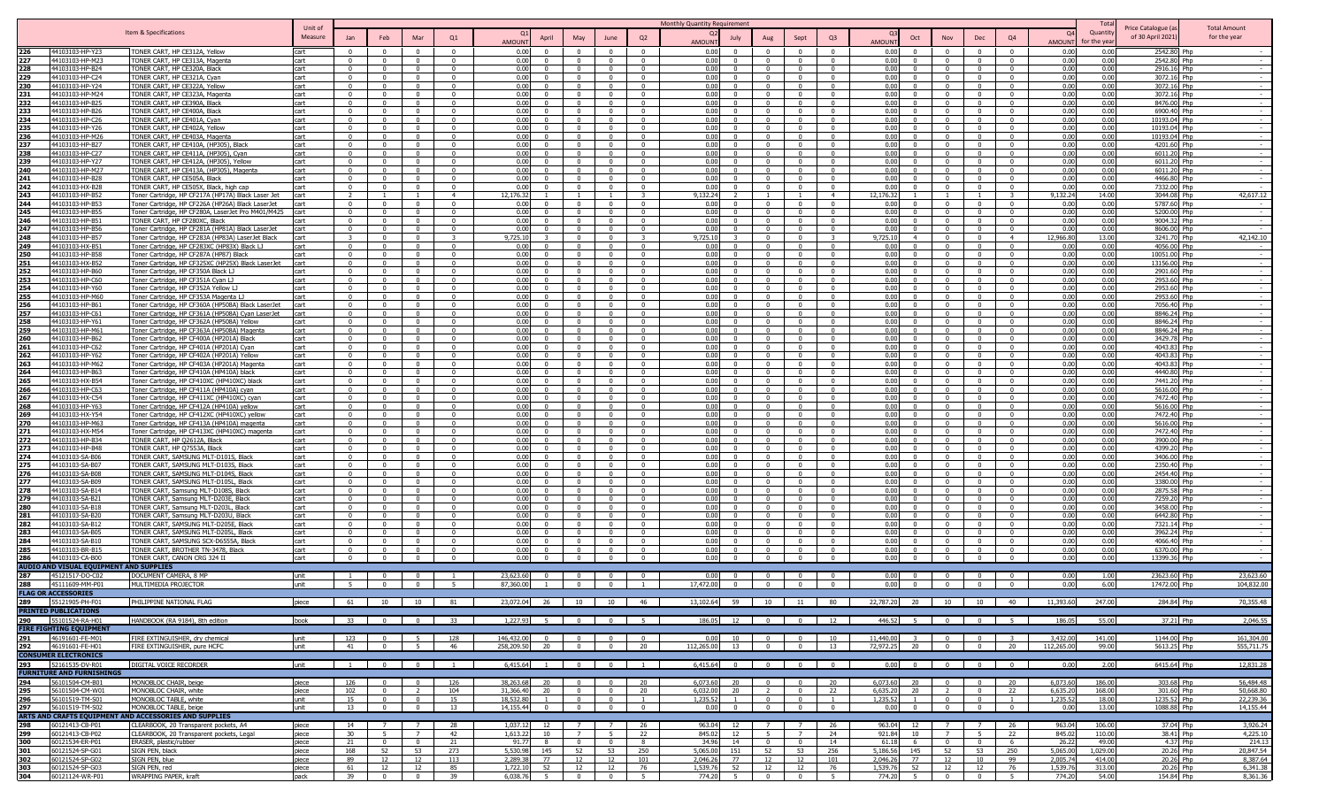|                   |                                                            |                                                                                             |                    |                          |                          |                         |                                     |                                            |                                                   |                      |                                       | <b>Monthly Quantity Requirement</b>        |                         |                                                                       |                         |                                       |                                            |                            |                         |                   | Tota              |                                        |                                     |
|-------------------|------------------------------------------------------------|---------------------------------------------------------------------------------------------|--------------------|--------------------------|--------------------------|-------------------------|-------------------------------------|--------------------------------------------|---------------------------------------------------|----------------------|---------------------------------------|--------------------------------------------|-------------------------|-----------------------------------------------------------------------|-------------------------|---------------------------------------|--------------------------------------------|----------------------------|-------------------------|-------------------|-------------------|----------------------------------------|-------------------------------------|
|                   |                                                            | Item & Specifications                                                                       | Unit of<br>Measure |                          | Feb                      |                         | Q1                                  |                                            |                                                   | June                 | Q2                                    |                                            |                         | Sept                                                                  | Q <sub>3</sub>          | Oct                                   | Nov                                        |                            | Q4                      | 0.                | Quantity          | Price Catalogue (a<br>of 30 April 2021 | <b>Total Amount</b><br>for the year |
|                   |                                                            |                                                                                             |                    |                          |                          |                         |                                     | April<br><b>AMOUN</b>                      | May                                               |                      |                                       | July<br><b>AMOLIN</b>                      | Aug                     |                                                                       |                         | <b>MUION</b>                          |                                            | Dec                        |                         | AMOUN'            | or the ve         |                                        |                                     |
|                   | 44103103-HP-Y23                                            | ONER CART, HP CE312A, Yellow                                                                | cart               | $\Omega$                 | $\Omega$                 | $\Omega$                | $\Omega$                            | 0.01<br>$\Omega$                           |                                                   | $\Omega$             | $\Omega$                              | 0.00<br>$\overline{0}$                     |                         |                                                                       | $\Omega$                | 0.00<br>$\Omega$                      | $\Omega$                                   | $\Omega$                   | - 0                     | 0.00              | 0.00              | 2542.80 Php                            |                                     |
| 227               | 44103103-HP-M23                                            | FONER CART, HP CE313A, Magenta                                                              | cart               | $\Omega$                 | $\Omega$                 | $\Omega$                | $\Omega$                            | 0.01<br>$\Omega$                           | $\Omega$                                          | $\Omega$             | $\Omega$                              | 0.00<br>$\Omega$                           |                         | $\mathbf{0}$                                                          | $\Omega$                | 0.00<br>$\Omega$                      | $\overline{0}$                             | $\Omega$                   | $\Omega$                | 0.00              | 0.00              | 2542.80 Php                            |                                     |
| 228               | 44103103-HP-B24                                            | <b>TONER CART, HP CE320A, Black</b>                                                         | cart               | $\Omega$<br>$\Omega$     | $\Omega$<br>$\Omega$     | $\Omega$<br>$\Omega$    | $\Omega$<br>$\Omega$                | 0.01<br>$\Omega$<br><u>ሰ በ</u><br>$\Omega$ |                                                   | $\sqrt{ }$<br>- 0    | $\sqrt{ }$<br>$\Omega$                | 0.00<br>$\Omega$<br>0.00<br>$\Omega$       |                         | $\sim$<br>$\sim$                                                      | $\Omega$<br>$\Omega$    | 0.001<br>$\Omega$<br>0.00<br>$\Omega$ | $\sqrt{ }$<br>$\sqrt{ }$                   | $\Omega$<br>$\Omega$       | $\Omega$<br>$\Omega$    | 0.00<br>0.00      | 0.00<br>0.00      | 2916.16 Php                            |                                     |
| 229<br>230        | 44103103-HP-C24<br>44103103-HP-Y24                         | FONER CART, HP CE321A, Cyan<br>FONER CART, HP CE322A, Yellow                                | cart<br>cart       | $\Omega$                 | $\mathbf{0}$             | $\mathbf{0}$            | $\overline{0}$                      | 0.0<br>$\Omega$                            | $\Omega$                                          | - 0                  | $\mathbf{0}$                          | 0.00<br>$\Omega$                           |                         | $\Omega$                                                              | $\Omega$                | 0.00<br>$\Omega$                      | $\overline{0}$                             | $\overline{0}$             | $\Omega$                | 0.00              | 0.00              | 3072.16 Php<br>3072.16 Php             |                                     |
| 231               | 44103103-HP-M24                                            | ONER CART, HP CE323A, Magenta                                                               | cart               | $\Omega$                 | $^{\circ}$               | $\Omega$                | $\Omega$                            | 0.0<br>$\Omega$                            |                                                   | $\Omega$             | $\Omega$                              | 0.00<br>$\mathbf{0}$                       | $\Omega$                | $\Omega$                                                              | $\Omega$                | 0.00                                  | $\Omega$                                   | $\overline{0}$             |                         | 0.00              | 0.00              | 3072.16 Php                            |                                     |
| 232               | 44103103-HP-B25                                            | ONER CART, HP CE390A, Black                                                                 | cart               | $\Omega$                 | $\Omega$                 | $^{\circ}$              | $\Omega$                            | 0.01<br>$\Omega$                           |                                                   | $\Omega$             | $\Omega$                              | 0.00<br>$\Omega$                           |                         | $\Omega$                                                              |                         | 0.00                                  | $\Omega$                                   | $\Omega$                   |                         | 0.00              | 0.00              | 8476.00 Php                            |                                     |
| 233               | 44103103-HP-B26                                            | ONER CART, HP CE400A, Black                                                                 | cart               | $^{\circ}$               | $\Omega$                 | $^{\circ}$              | $\Omega$                            | 0.0<br>. വ                                 | $\Omega$                                          | - 0                  | $\Omega$                              | 0.00<br>$^{\circ}$                         | $\Omega$                | - 0                                                                   | $\Omega$                | 0.00<br>$\Omega$                      | $\Omega$                                   | $\Omega$                   | $\Omega$                | 0.00              | 0.00              | 6900.40 Php                            |                                     |
| 234               | 44103103-HP-C26                                            | FONER CART, HP CE401A, Cyan                                                                 | cart               | $\Omega$                 | $\Omega$                 | $\Omega$                | $\Omega$                            | 0.0<br>$\Omega$                            |                                                   | $\Omega$             | $\Omega$                              | 0.00<br>$\Omega$                           |                         | $\Omega$                                                              | $\Omega$                | 0.00                                  | $\Omega$                                   | $\Omega$                   |                         | 0.00              | 0.00              | 10193.04 Php                           |                                     |
| 235               | 44103103-HP-Y26                                            | <b>TONER CART, HP CE402A, Yellow</b>                                                        | cart               |                          | $\Omega$                 | $\Omega$                | $\Omega$                            | 0.00                                       |                                                   | $\Omega$             | $\Omega$                              | 0.00                                       |                         |                                                                       | $\Omega$                | 0.00                                  | $\sqrt{ }$                                 | $\Omega$                   |                         | 0.00              | 0.00              | 10193.04 Php                           |                                     |
|                   | 44103103-HP-M2                                             | <b>FONER CART, HP CE403A, Magenta</b>                                                       | cart               |                          | $\Omega$                 | $\Omega$                | $\sqrt{ }$                          | 0.00                                       |                                                   |                      |                                       | 0.00                                       |                         |                                                                       |                         | $0.00 -$                              |                                            | $\sqrt{ }$                 |                         | 0.00              | 0.00              | 10193.04 Php                           |                                     |
| 237               | 44103103-HP-B27<br>44103103-HP-C27                         | FONER CART, HP CE410A, (HP305), Black                                                       | cart               | $\Omega$<br>$\Omega$     | $\Omega$<br>$\mathbf{0}$ | $\Omega$<br>$\Omega$    | $\sqrt{2}$<br>$\Omega$              | 0.00<br>$\sqrt{2}$<br>$\Omega$             |                                                   | $\Omega$<br>$\Omega$ | $\bigcap$<br>$\Omega$                 | 0.00<br>$\Omega$<br>0.00<br>$\Omega$       |                         | $\sqrt{ }$                                                            | $\Omega$                | 0.00<br>0.00                          | $\Omega$<br>$\Omega$                       | $\sqrt{ }$<br>$\Omega$     |                         | 0.00<br>0.00      | 0.00<br>0.00      | 4201.60 Php                            |                                     |
| 238<br>239        | 44103103-HP-Y27                                            | FONER CART, HP CE411A, (HP305), Cyan<br>FONER CART, HP CE412A, (HP305), Yellow              | cart<br>cart       | $\Omega$                 | $\mathbf{0}$             | $\Omega$                | $\Omega$                            | 0.00<br>0.00<br>$\Omega$                   |                                                   | $\Omega$             | $\Omega$                              | 0.00<br>$\Omega$                           |                         |                                                                       |                         | 0.00                                  | $\Omega$                                   | $\Omega$                   |                         | 0.00              | 0.00              | 6011.20 Php<br>6011.20 Php             |                                     |
| 240               | 44103103-HP-M27                                            | FONER CART, HP CE413A, (HP305), Magenta                                                     | cart               | $\Omega$                 | $\Omega$                 | $^{\circ}$              | $\overline{0}$                      | 0.0<br>$\Omega$                            | $\Omega$                                          | - 0                  | $\mathbf{0}$                          | 0.00<br>$\Omega$                           | $\Omega$                | . വ                                                                   | $\Omega$                | 0.00<br>$\Omega$                      | $\overline{0}$                             | - 0                        | $\Omega$                | 0.00              | 0.00              | 6011.20 Php                            |                                     |
| 241               | 44103103-HP-B28                                            | TONER CART, HP CE505A, Black                                                                | cart               | $\Omega$                 | $\Omega$                 | $\Omega$                | $\overline{0}$                      | 0.0<br>$\overline{0}$                      | $\Omega$                                          | $\Omega$             | $\mathbf{0}$                          | 0.00<br>$\Omega$                           |                         | $\Omega$                                                              | $\Omega$                | 0.00<br>$\Omega$                      | $\Omega$                                   | - 0                        | $\Omega$                | 0.00              | 0.00              | 4466.80 Php                            |                                     |
| 242               | 44103103-HX-B28                                            | FONER CART, HP CE505X, Black, high cap                                                      | cart               | $\Omega$                 | $\Omega$                 | $\Omega$                | $\Omega$                            | 0.0<br>$\Omega$                            | $\Omega$                                          | $\Omega$             | $\Omega$                              | 0.00<br>$\Omega$                           |                         | $\Omega$                                                              | $\Omega$                | 0.00<br>$\Omega$                      | $\overline{0}$                             | $\Omega$                   | $\Omega$                | 0.00              | 0.00              | 7332.00 Php                            |                                     |
| 243               | 44103103-HP-B52                                            | Toner Cartridge, HP CF217A (HP17A) Black Laser Jet                                          | cart               |                          |                          |                         | $\overline{4}$                      | 12.176.3                                   |                                                   |                      | $\mathbf{R}$                          | 9.132.24                                   |                         |                                                                       | $\overline{4}$          | 12.176.32                             |                                            |                            |                         | 9.132.24          | 14.00             | 3044.08 Php                            | 42.617.12                           |
| 244               | 44103103-HP-B53                                            | Toner Cartridge, HP CF226A (HP26A) Black LaserJet                                           | cart               | $\Omega$                 | $\Omega$                 | $\Omega$                | $\Omega$                            | <u>ሰ በ</u><br>$\Omega$                     | $\Omega$                                          | - 0                  | $\Omega$                              | n nr<br>$\Omega$                           |                         | - 0                                                                   | $\Omega$                | 0.00<br>$\Omega$                      | $\sqrt{ }$                                 | $\sqrt{ }$                 | $\Omega$                | 0.00              | 0.00              | 5787.60 Php                            |                                     |
| 245               | 44103103-HP-B55                                            | oner Cartridge, HP CF280A, LaserJet Pro M401/M425                                           | cart               | $\mathbf{0}$             | $\mathbf{0}$             | $\mathbf{0}$            | $\overline{0}$                      | 0.0<br>$\mathbf{0}$                        | $\Omega$                                          | $\overline{0}$       | $\overline{0}$                        | 0.00<br>$\Omega$                           |                         | $\overline{0}$                                                        | $\Omega$                | 0.00<br>$\Omega$                      | $\overline{0}$                             | $\Omega$                   | $\Omega$<br>$\Omega$    | 0.00              | 0.00              | 5200.00 Php                            |                                     |
| 246<br>247        | 44103103-HP-B51<br>44103103-HP-B56                         | ONER CART, HP CF280XC, Black<br>oner Cartridge, HP CF281A (HP81A) Black LaserJet            | cart<br>cart       | $\mathbf{0}$<br>$\Omega$ | $\mathbf{0}$<br>$\Omega$ | $\Omega$<br>$^{\circ}$  | $\Omega$<br>$\Omega$                | 0.01<br>$\Omega$<br>0.0<br>$\Omega$        | $\Omega$                                          | $\Omega$<br>$\Omega$ | $\mathbf{0}$<br>$\Omega$              | 0.00<br>$\mathbf{0}$<br>0.00<br>$^{\circ}$ | $\Omega$                | $\mathbf{0}$<br>$\Omega$                                              | $\Omega$<br>$\Omega$    | 0.00<br>$\Omega$<br>0.00              | $\overline{0}$<br>$\Omega$                 | $\overline{0}$<br>$\Omega$ |                         | 0.00<br>0.00      | 0.00<br>0.00      | 9004.32 Php<br>8606.00 Php             |                                     |
| 248               | 44103103-HP-B57                                            | Foner Cartridge, HP CF283A (HP83A) LaserJet Black                                           | cart               | $\mathcal{R}$            | $\Omega$                 | $\Omega$                | $\mathbf{R}$                        | 9.725.1                                    | $\Omega$                                          | $\sim$               | $\mathbf{R}$                          | 9.725.10                                   | $\mathsf{n}$            | $\Omega$                                                              |                         | 9.725.10<br>$\overline{a}$            | $\overline{0}$                             | $\Omega$                   | $\overline{4}$          | 12,966.80         | 13.00             | 3241.70 Php                            | 42,142.10                           |
| 249               | 44103103-HX-B51                                            | Toner Cartridge, HP CF283XC (HP83X) Black LJ                                                | cart               | $\Omega$                 | $\Omega$                 | $\Omega$                | $\Omega$                            | 0.0                                        | $\Omega$                                          | $\Omega$             | $\Omega$                              | 0.00                                       |                         | $\Omega$                                                              | $\Omega$                | 0.00                                  | $\overline{0}$                             | $\Omega$                   |                         | 0.01              | 0.00              | 4056.00 Php                            |                                     |
| 250               | 44103103-HP-B58                                            | Toner Cartridge, HP CF287A (HP87) Black                                                     | cart               |                          | $\Omega$                 | $\Omega$                | $\Omega$                            | n nr                                       |                                                   | $\Omega$             | $\Omega$                              | 0.00                                       |                         | $\Omega$                                                              | $\Omega$                | 0.00                                  | $\sqrt{ }$                                 | $\Omega$                   | $\Omega$                | 0.00              | 0.00              | 10051.00 Php                           |                                     |
| 251               | 44103103-HX-B52                                            | Toner Cartridge, HP CF325XC (HP25X) Black LaserJet                                          | cart               |                          | $\Omega$                 | $\Omega$                | $\Omega$                            | 0.00<br>$\Omega$                           |                                                   |                      | $\sqrt{ }$                            | 0.00                                       |                         |                                                                       |                         | 0.00                                  | $\sqrt{ }$                                 | $\sqrt{ }$                 |                         | 0.00              | 0.00              | 13156.00 Php                           |                                     |
| 252               | 44103103-HP-B60                                            | Foner Cartridge, HP CF350A Black LJ                                                         | cart               | $\Omega$                 | $\Omega$                 | $\Omega$                | $\Omega$                            | 0.00<br>$\Omega$                           |                                                   | $\Omega$             | $\overline{0}$                        | 0.00<br>$\Omega$                           |                         |                                                                       |                         | 0.00                                  | $\Omega$                                   | $\bigcap$                  |                         | 0.00              | 0.00              | 2901.60 Php                            |                                     |
| 253               | 44103103-HP-C60                                            | oner Cartridge, HP CF351A Cyan LJ                                                           | cart               | $\mathbf{0}$             | $\overline{0}$           | $\overline{0}$          | $\Omega$                            | 0.00<br>$\mathbf{0}$                       | $\Omega$                                          | $\Omega$             | $\mathbf{0}$                          | 0.00<br>$\mathbf{0}$                       | $\Omega$                | $\Omega$                                                              | $\Omega$                | 0.00<br>$\Omega$                      | $\overline{0}$                             | $\mathbf{0}$               |                         | 0.00              | 0.00              | 2953.60 Php                            |                                     |
| 254               | 44103103-HP-Y60                                            | oner Cartridge, HP CF352A Yellow L                                                          | cart               | $\Omega$                 | $\mathbf 0$              | $\mathbf{0}$            | $\mathbf{0}$                        | 0.01<br>$\Omega$<br>0.0                    |                                                   | - 0                  | $^{\circ}$                            | 0.00<br>$\Omega$                           |                         | $\Omega$                                                              | $\mathsf{r}$            | 0.00<br>0.00                          | $\Omega$                                   | $\Omega$                   |                         | 0.00              | 0.00              | 2953.60 Php                            |                                     |
| 255<br>256        | 44103103-HP-M60<br>44103103-HP-B61                         | Foner Cartridge, HP CF353A Magenta LJ<br>Toner Cartridge, HP CF360A (HP508A) Black LaserJet | cart<br>cart       | $\Omega$<br>$\mathsf{r}$ | $\mathbf{0}$<br>$\Omega$ | $\Omega$<br>$^{\circ}$  | $\overline{0}$<br>$\overline{0}$    | $\Omega$<br>0.0<br>$\Omega$                |                                                   | - 0                  | $^{\circ}$<br>$\overline{\mathbf{0}}$ | 0.00<br>$^{\circ}$<br>0.00<br>$\Omega$     |                         | $\Omega$                                                              | $\Omega$                | 0.00                                  | $\overline{0}$<br>$\Omega$                 | $\Omega$<br>$\Omega$       | $\Omega$<br>$\Omega$    | 0.00<br>0.00      | 0.00<br>0.00      | 2953.60 Php<br>7056.40 Php             |                                     |
| 257               | 44103103-HP-C6                                             | Foner Cartridge, HP CF361A (HP508A) Cyan LaserJet                                           | cart               | $\Omega$                 | $\Omega$                 | $\Omega$                | $\Omega$                            | 0.01<br>$\Omega$                           | $\Omega$                                          | $\Omega$             | $\Omega$                              | 0.00<br>$\Omega$                           |                         | $\Omega$                                                              | $\Omega$                | 0.00                                  | $\Omega$                                   | $\Omega$                   |                         | 0.00              | 0.00              | 8846.24 Php                            |                                     |
| 258               | 44103103-HP-Y6                                             | Toner Cartridge, HP CF362A (HP508A) Yellov                                                  | cart               |                          |                          |                         | $\Omega$                            | 0.01<br>$\Omega$                           |                                                   |                      | $\sqrt{ }$                            | 0.00                                       |                         |                                                                       |                         | 0.00                                  |                                            |                            |                         | 0.00              | 0.00              | 8846.24 Php                            |                                     |
| 259               | 44103103-HP-M61                                            | Toner Cartridge, HP CF363A (HP508A) Magenta                                                 | cart               | $\Omega$                 | $\Omega$                 | $\Omega$                | $\Omega$                            | 0.0<br>$\Omega$                            |                                                   | - 0                  | $\Omega$                              | n nr<br>$\Omega$                           |                         | - 0                                                                   | $\Omega$                | 0.00                                  | $\sqrt{ }$                                 | $\Omega$                   | $\Omega$                | 0.00              | 0.00              | 8846.24 Php                            |                                     |
| 260               | 44103103-HP-B62                                            | Foner Cartridge, HP CF400A (HP201A) Black                                                   | cart               | $\Omega$                 | $\mathbf{0}$             | $\Omega$                | $\Omega$                            | $\Omega$<br>0.0                            |                                                   | - 0                  | $\overline{0}$                        | 0.00<br>$\Omega$                           | $\mathsf{n}$            | $\sim$                                                                | $\Omega$                | 0.00<br>$\mathsf{n}$                  | $\Omega$                                   | $\sqrt{ }$                 | $\Omega$                | 0.00              | 0.00              | 3429.78 Php                            |                                     |
| 261               | 44103103-HP-C62                                            | oner Cartridge, HP CF401A (HP201A) Cyan                                                     | cart               | $\Omega$                 | $\mathbf{0}$             | $\Omega$                | $\overline{0}$                      | 0.0<br>$\Omega$                            | $\Omega$                                          | $\Omega$             | $\overline{0}$                        | 0.00<br>$\overline{0}$                     | $\Omega$                | $\overline{0}$                                                        | $\mathbf{0}$            | 0.00<br>$\Omega$                      | $\overline{0}$                             | $\overline{0}$             | $\overline{0}$          | 0.00              | 0.00              | 4043.83 Php                            |                                     |
| 262               | 44103103-HP-Y62                                            | oner Cartridge, HP CF402A (HP201A) Yellow                                                   | cart               | - 0                      | $\Omega$                 | $^{\circ}$              | $\Omega$                            | 0.0                                        |                                                   | - 0                  | $\Omega$                              | 0.00<br>$\Omega$                           |                         |                                                                       |                         | 0.00                                  | $\overline{0}$                             | $\sqrt{2}$                 |                         | 0.00              | 0.00              | 4043.83 Php                            |                                     |
| 263               | 44103103-HP-M62<br>44103103-HP-B63                         | Toner Cartridge, HP CF403A (HP201A) Magenta<br>Toner Cartridge, HP CF410A (HP410A) black    | cart<br>cart       | $\Omega$<br>$\Omega$     | $\Omega$<br>$\Omega$     | $^{\circ}$<br>$\Omega$  | $\Omega$<br>$\Omega$                | <u>ሰ በ</u><br>$\Omega$<br>0.00<br>$\Omega$ | $\Omega$<br>$\Omega$                              | $\sim$<br>$\Omega$   | $\Omega$<br>$\Omega$                  | 0.00<br>$^{\circ}$<br>0.00<br>$\Omega$     |                         | $\Omega$<br>$\Omega$                                                  | $\Omega$<br>$\Omega$    | 0.001<br>0.00                         | $\overline{0}$<br>$\overline{0}$           | $\Omega$<br>$\Omega$       | $\Omega$                | 0.00<br>0.00      | 0.00<br>0.00      | 4043.83 Phn<br>4440.80 Php             |                                     |
| 265               | 44103103-HX-B54                                            | Toner Cartridge, HP CF410XC (HP410XC) black                                                 | cart               | $\Omega$                 | $\Omega$                 | $\Omega$                | $\Omega$                            | 0.00                                       |                                                   | $\Omega$             | $\Omega$                              | 0.00                                       |                         | $\Omega$                                                              | $\Omega$                | 0.001                                 | $\sqrt{ }$                                 | $\Omega$                   | $\Omega$                | 0.00              | 0.00              | 7441.20 Php                            |                                     |
| 266               | 44103103-HP-C63                                            | Toner Cartridge, HP CF411A (HP410A) cyan                                                    | cart               |                          | $\Omega$                 | $\Omega$                | $\Omega$                            | 0.00<br>$\Omega$                           |                                                   |                      | $\Omega$                              | 0.00<br>$\Omega$                           |                         | - 0                                                                   | $\Omega$                | 0.00                                  | $\sqrt{ }$                                 | $\Omega$                   | $\Omega$                | 0.00              | 0.00              | 5616.00 Php                            |                                     |
| 267               | 44103103-HX-C54                                            | Foner Cartridge, HP CF411XC (HP410XC) cyan                                                  | cart               | $\Omega$                 | $\mathbf{0}$             | $\Omega$                | $\Omega$                            | 0.00<br>$\Omega$                           |                                                   |                      | $\Omega$                              | 0.00<br>$\Omega$                           |                         |                                                                       |                         | 0.00                                  | $\Omega$                                   | $\Omega$                   |                         | 0.00              | 0.00              | 7472.40 Php                            |                                     |
| 268               | 44103103-HP-Y63                                            | oner Cartridge, HP CF412A (HP410A) yellow                                                   | cart               | $\Omega$                 | $\mathbf{0}$             | $\Omega$                | $\Omega$                            | 0.00<br>$\Omega$                           | $\Omega$                                          | $\Omega$             | $\Omega$                              | 0.00<br>$^{\circ}$                         |                         | $\Omega$                                                              | $\Omega$                | 0.00                                  | $\Omega$                                   | $\Omega$                   |                         | 0.00              | 0.00              | 5616.00 Php                            |                                     |
| 269               | 44103103-HX-Y54                                            | oner Cartridge, HP CF412XC (HP410XC) yellow                                                 | cart               | $\Omega$                 | $\mathbf{0}$             | $\mathbf{0}$            | $\mathbf{0}$                        | 0.01<br>$\Omega$                           |                                                   |                      | $\Omega$                              | 0.00<br>$\Omega$                           |                         |                                                                       |                         | 0.00                                  | $\Omega$                                   | $\Omega$                   |                         | 0.00              | 0.00              | 7472.40 Php                            |                                     |
| 270               | 44103103-HP-M63                                            | Foner Cartridge, HP CF413A (HP410A) magenta                                                 | cart               | $\Omega$                 | $\Omega$                 | $\Omega$                | $\overline{0}$                      | 0.01<br>$\Omega$                           |                                                   | - 0                  | $^{\circ}$                            | 0.00<br>$\Omega$                           |                         | $\Omega$                                                              | $\Omega$                | 0.00                                  | $\overline{0}$                             | $\Omega$                   | $\Omega$                | 0.00              | 0.00              | 5616.00 Php                            |                                     |
| 271<br>272        | 44103103-HX-M54<br>44103103-HP-B34                         | Toner Cartridge, HP CF413XC (HP410XC) magenta                                               | cart               |                          | $\Omega$<br>$\Omega$     | $\Omega$<br>$\Omega$    | $\overline{\mathbf{0}}$<br>$\Omega$ | 0.0<br>$\Omega$<br>0.01<br>$\Omega$        |                                                   |                      | $^{\circ}$<br>$\Omega$                | 0.00<br>0.00<br>$\Omega$                   |                         |                                                                       | $\Omega$                | 0.00<br>0.00                          |                                            | $\Omega$<br>$\Omega$       |                         | 0.00<br>0.00      | 0.00              | 7472.40 Php                            |                                     |
| 273               | 44103103-HP-B48                                            | FONER CART, HP Q2612A, Black<br>FONER CART, HP Q7553A, Black                                | cart<br>cart       |                          |                          |                         | $\Omega$                            | 0.01                                       |                                                   |                      |                                       | 0 <sub>0</sub>                             |                         |                                                                       |                         | 0.00                                  |                                            |                            |                         | 0.00              | 0.00<br>0.00      | 3900.00 Php<br>4399.20 Phr             |                                     |
| 274               | 44103103-SA-B06                                            | FONER CART, SAMSUNG MLT-D101S, Black                                                        | cart               | $\Omega$                 | $\Omega$                 | $\Omega$                | $\sqrt{ }$                          | 0.0<br>$\Omega$                            |                                                   |                      | $\Omega$                              | 0.00<br>$\Omega$                           |                         |                                                                       | $\Omega$                | 0.00                                  | $\sqrt{ }$                                 | $\Omega$                   |                         | 0.00              | 0.00              | 3406.00 Php                            |                                     |
| 275               | 44103103-SA-B07                                            | ONER CART, SAMSUNG MLT-D103S, Black                                                         | cart               | $\Omega$                 | $\Omega$                 | $\Omega$                | $\Omega$                            | 0.01<br>$\Omega$                           |                                                   |                      | $\Omega$                              | 0.00<br>$\Omega$                           |                         |                                                                       |                         | 0.00                                  | $\sqrt{ }$                                 | $\sqrt{2}$                 |                         | 0.00              | 0.00              | 2350.40 Php                            |                                     |
| 276               | 44103103-SA-B08                                            | ONER CART, SAMSUNG MLT-D104S, Black                                                         | cart               | $\Omega$                 | $\mathbf{0}$             | $\Omega$                | $\Omega$                            | 0.01                                       |                                                   | $\Omega$             | $\Omega$                              | 0.00<br>$\Omega$                           |                         |                                                                       |                         | 0.00                                  | $\sqrt{ }$                                 | $\Omega$                   |                         | 0.00              | 0.00              | 2454.40 Php                            |                                     |
| 277               | 44103103-SA-B09                                            | ONER CART, SAMSUNG MLT-D105L, Black                                                         | cart               | - 0                      | $\Omega$                 | $\Omega$                | $\Omega$                            | 0.0                                        |                                                   | - 0                  | $\Omega$                              | 0.00                                       |                         |                                                                       |                         | 0.00                                  | $\Omega$                                   | - 0                        |                         | 0.00              | 0.00              | 3380.00 Php                            |                                     |
| 278               | 44103103-SA-B14                                            | <u>FONER CART, Samsung MLT-D108S, Black</u>                                                 | cart               | $\Omega$                 | $\mathbf{0}$             | $^{\circ}$              | $\overline{0}$                      | 0.0<br>$\Omega$                            | $\Omega$                                          | $\Omega$             | $\Omega$                              | 0.00<br>$^{\circ}$                         |                         | $\Omega$                                                              | $\mathsf{r}$            | 0.00                                  | $\Omega$                                   | $\Omega$                   | $\Omega$                | 0.00              | 0.00              | 2875.58 Php                            |                                     |
| 279<br>280        | 44103103-SA-B2:<br>44103103-SA-B18                         | FONER CART, Samsung MLT-D203E, Black<br>FONER CART, Samsung MLT-D203L, Black                | cart<br>cart       | $\Omega$<br>$\Omega$     | $\Omega$<br>$\mathbf{0}$ | $\Omega$<br>$\Omega$    | $\Omega$<br>$\overline{0}$          | 0.01<br>$\Omega$<br>0.00<br>$\Omega$       |                                                   | $\Omega$<br>- 0      | $\Omega$<br>$\Omega$                  | 0.00<br>$\Omega$<br>0.00<br>$\Omega$       |                         | $\Omega$<br>$\Omega$                                                  | $\Omega$<br>$\Omega$    | 0.00<br>0.00                          | $\overline{0}$<br>$\Omega$                 | $\Omega$<br>$\Omega$       | $\Omega$                | 0.00<br>0.00      | 0.00<br>0.00      | 7259.20 Php<br>3458.00 Php             |                                     |
| 281               | 44103103-SA-B20                                            | ONER CART, Samsung MLT-D203U, Black                                                         | cart               | $\Omega$                 | $\Omega$                 | $\Omega$                | $\Omega$                            | 0.00<br>$\Omega$                           |                                                   | $\Omega$             | $\Omega$                              | 0.00<br>$\Omega$                           |                         | $\Omega$                                                              | $\Omega$                | 0.00<br>$\Omega$                      | $\Omega$                                   | $\Omega$                   | $\Omega$                | 0.00              | 0.00              | 6442.80 Php                            |                                     |
| 282               | 44103103-SA-B12                                            | FONER CART, SAMSUNG MLT-D205E, Black                                                        | cart               | $\Omega$                 | $\Omega$                 | $\Omega$                | $\Omega$                            | 0.00<br>$\Omega$                           |                                                   |                      | $\Omega$                              | 0.00<br>$\Omega$                           |                         |                                                                       |                         | 0.00                                  | $\Omega$                                   | $\Omega$                   |                         | 0.00              | 0.00              | 7321.14 Php                            |                                     |
| 283               | 44103103-SA-B05                                            | ONER CART, SAMSUNG MLT-D205L, Black                                                         | cart               | $\Omega$                 | $\Omega$                 | $\Omega$                | $\Omega$                            | 0.00<br>$\Omega$                           |                                                   | $\Omega$             | $\Omega$                              | 0.00<br>$\Omega$                           |                         | $\Omega$                                                              | $\Omega$                | 0.00                                  | $\Omega$                                   | $\Omega$                   |                         | 0.00              | 0.00              | 3962.24 Php                            |                                     |
| 284               | 44103103-SA-B1                                             | ONER CART, SAMSUNG SCX-D6555A, Black                                                        | cart               | $\Omega$                 | $\Omega$                 | $\Omega$                | $\mathbf{0}$                        | 0.00<br>$\Omega$                           |                                                   |                      | $\Omega$                              | 0.00<br>$\Omega$                           |                         |                                                                       |                         | 0.00                                  | $\Omega$                                   | $\Omega$                   |                         | 0.00              | 0.00              | 4066.40 Php                            |                                     |
| 285               | 44103103-BR-B15                                            | ONER CART, BROTHER TN-3478, Black                                                           | cart               | $\Omega$                 | $\Omega$                 | $\Omega$                | $\overline{\mathbf{0}}$             | 0.00<br>$\Omega$                           | - 0                                               | - 0                  | $^{\circ}$                            | 0.00<br>$^{\circ}$                         |                         | $\Omega$                                                              | $\Omega$                | 0.00<br>$\Omega$                      | - 0                                        | $\Omega$                   | $\Omega$                | 0.00              | 0.00              | 6370.00 Php                            |                                     |
| 286               | 44103103-CA-B00<br>AUDIO AND VISUAL EQUIPMENT AND SUPPLIES | TONER CART, CANON CRG 324 I                                                                 | cart               | $\Omega$                 | $\Omega$                 | $\Omega$                | $\Omega$                            | 0.00<br>$\Omega$                           | $\Omega$                                          | $\Omega$             | $\Omega$                              | 0.00<br>$\Omega$                           |                         | $\Omega$                                                              | $\Omega$                | 0.00                                  | $\Omega$                                   | $\Omega$                   |                         | 0.00              | 0.00              | 13399.36 Php                           |                                     |
| 287               | 45121517-DO-C0                                             | OCUMENT CAMERA, 8 MF                                                                        |                    |                          |                          |                         |                                     | 23.623.6                                   |                                                   |                      |                                       | 0.00                                       |                         |                                                                       |                         | 0.00                                  |                                            |                            |                         | 0.00              |                   |                                        | 23,623.60                           |
| 288               | 45111609-MM-P01                                            | MULTIMEDIA PROJECTOR                                                                        | unit<br>unit       | $5 -$                    | $\overline{0}$           | $\mathbf{0}$            |                                     | 87,360.00                                  | $\overline{0}$                                    | $\overline{0}$       | <sup>1</sup>                          | 17,472.00<br>$\overline{0}$                | $\overline{0}$          | $\overline{0}$                                                        | $\overline{0}$          | 0.00<br>$\mathbf{0}$                  | $\overline{0}$                             | $\mathbf{0}$               | $\mathbf{0}$            | 0.00              | 1.00<br>6.00      | 23623.60 Php<br>17472.00 Php           | 104.832.00                          |
|                   | <b>FLAG OR ACCESSORIES</b>                                 |                                                                                             |                    |                          |                          |                         |                                     |                                            |                                                   |                      |                                       |                                            |                         |                                                                       |                         |                                       |                                            |                            |                         |                   |                   |                                        |                                     |
| 289               | 55121905-PH-F01                                            | PHILIPPINE NATIONAL FLAG                                                                    | piece              | 61                       | 10                       | 10                      |                                     | 23.072.04<br>26.                           | 10                                                |                      | 46                                    | 13.102.64<br>59 1                          | 10                      | 11                                                                    | 80                      | 22,787,20 20                          | 10                                         | 10                         | 40                      | 11,393.60         | 247.00            | 284.84 Php                             | 70.355.48                           |
|                   | <b>PRINTED PUBLICATIONS</b>                                |                                                                                             |                    |                          |                          |                         |                                     |                                            |                                                   |                      |                                       |                                            |                         |                                                                       |                         |                                       |                                            |                            |                         |                   |                   |                                        |                                     |
|                   | 290 55101524-RA-H01                                        | HANDBOOK (RA 9184), 8th edition                                                             | book               |                          |                          |                         | 33 0 0 33                           | 1,227.93                                   | 5 0 0                                             |                      | $5^{\circ}$                           | 186.05 12 0 0                              |                         |                                                                       | 12                      | 446.52 5 0 0 5                        |                                            |                            |                         | 186.05            | 55.00             | 37.21 Php                              | 2,046.55                            |
|                   | <b>FIRE FIGHTING EQUIPMENT</b>                             |                                                                                             |                    |                          |                          |                         |                                     |                                            |                                                   |                      |                                       |                                            |                         |                                                                       |                         |                                       |                                            |                            |                         |                   |                   |                                        |                                     |
|                   | 291 46191601-FE-M01                                        | FIRE EXTINGUISHER, dry chemical                                                             | unit               | 123                      | $\Omega$                 |                         | 128                                 | 146,432.0<br>$\mathbf{0}$                  | $\overline{0}$                                    | $\sqrt{ }$           | $\overline{0}$                        | 0.00<br>10                                 | $\mathbf{0}$            | $\overline{0}$                                                        | 10                      | 11,440.00                             | $\overline{\mathbf{0}}$                    | $\overline{0}$             |                         | 3,432.00          | 141.00            | 1144.00 Php                            | 161,304.00                          |
| 292               | 46191601-FE-H01                                            | FIRE EXTINGUISHER, pure HCFC                                                                | unit               | 41                       | $\overline{\mathbf{0}}$  | 5 <sup>5</sup>          | 46                                  | 258,209.50<br>20                           | $\begin{array}{ccc} & & & 0 & \hline \end{array}$ |                      | 20                                    | 112,265.00                                 |                         | 13 0 0                                                                | 13                      | 72,972.25 20 0                        |                                            | $\overline{\mathbf{0}}$    | 20                      | 112,265.00        | 99.00             | 5613.25 Php                            | 555,711.75                          |
|                   | <b>CONSUMER ELECTRONICS</b>                                |                                                                                             |                    |                          |                          |                         |                                     |                                            |                                                   |                      |                                       |                                            |                         |                                                                       |                         |                                       |                                            |                            |                         |                   |                   |                                        |                                     |
|                   | 293 52161535-DV-R01<br><b>FURNITURE AND FURNISHINGS</b>    | DIGITAL VOICE RECORDER                                                                      | unit               | $\overline{1}$           | $\overline{\mathbf{0}}$  | $\overline{\mathbf{0}}$ | $\overline{1}$                      | 6,415.64                                   | 1 0 0                                             |                      | 1                                     | 6,415.64 0 0 0                             |                         |                                                                       | $\overline{\mathbf{0}}$ |                                       | $0.00$ 0 0 0                               |                            | $0$ 0                   | 0.00              | 2.00              | 6415.64 Php                            | 12,831.28                           |
| 294               | 56101504-CM-B01                                            | MONOBLOC CHAIR, beige                                                                       | piece              | 126                      | $\overline{0}$           | $\overline{0}$          | 126                                 | 20<br>38,263.68                            | $0 \qquad 0$                                      |                      | 20                                    | 20<br>6,073.60                             | $\overline{\mathbf{0}}$ | $\overline{0}$                                                        | 20                      | 6,073.60                              | 20<br>$\overline{\mathbf{0}}$              | $\overline{0}$             | 20                      | 6,073.60          | 186.00            | 303.68 Php                             | 56,484.48                           |
| 295               | 56101504-CM-W01                                            | MONOBLOC CHAIR, white                                                                       | piece              | 102                      | $\overline{0}$           | $\overline{2}$          | 104                                 | 20<br>31,366.40                            | $\overline{0}$                                    | $\overline{0}$       | 20                                    | 20<br>6,032.00                             | $\overline{2}$          | $\overline{0}$                                                        | 22                      | 6,635.20                              | 20  <br>$\overline{2}$                     | $\overline{0}$             | 22                      | 6,635.20          | 168.00            | 301.60 Php                             | 50,668.80                           |
| 296               | 56101519-TM-S01                                            | MONOBLOC TABLE, white                                                                       | unit               | 15                       | $\overline{0}$           | $\overline{0}$          | 15                                  | 18,532.80<br>$\overline{1}$                | $\overline{0}$                                    | $\overline{0}$       | $\mathbf{1}$                          | 1,235.52<br>1                              | $\overline{\mathbf{0}}$ | $\overline{0}$                                                        | <sup>1</sup>            | 1,235.52                              | $1 \quad$<br>$\overline{\mathbf{0}}$       | $\overline{0}$             | $\overline{1}$          | 1,235.52          | 18.00             | 1235.52 Php                            | 22,239.36                           |
| 297               | 56101519-TM-S02                                            | MONOBLOC TABLE, beige                                                                       | unit               | 13                       | $\overline{0}$           | $\overline{\mathbf{0}}$ | 13                                  | 14,155.44<br>$\overline{\mathbf{0}}$       | $0$ 0                                             |                      | $\overline{0}$                        | 0.00                                       |                         | $\begin{array}{c c c c c c} \hline \circ & \circ & \circ \end{array}$ | $\overline{\mathbf{0}}$ |                                       | $0.00 \t 0 \t 0$                           | $\overline{0}$             | $\overline{\mathbf{0}}$ | 0.00              | 13.00             | 1088.88 Php                            | 14,155.44                           |
|                   |                                                            | ARTS AND CRAFTS EQUIPMENT AND ACCESSORIES AND SUPPLIES                                      |                    |                          |                          |                         |                                     |                                            |                                                   |                      |                                       |                                            |                         |                                                                       |                         |                                       |                                            |                            |                         |                   |                   |                                        |                                     |
| 298<br>299        | 60121413-CB-P01                                            | CLEARBOOK, 20 Transparent pockets, A4                                                       | piece              | 14                       | $\overline{7}$           | $\overline{7}$          | 28                                  | 1.037.1<br>12                              | $\overline{7}$                                    | $\overline{z}$       | 26                                    | 963.04<br>12                               | $\overline{z}$          | $\overline{z}$                                                        | 26                      | 963.04<br>12                          | $\overline{7}$                             | $\overline{7}$             | 26                      | 963.04            | 106.00            | 37.04 Php                              | 3,926.24                            |
|                   | 60121413-CB-P02                                            | CLEARBOOK, 20 Transparent pockets, Legal                                                    | piece              | 30                       | $\overline{5}$           | $\overline{7}$          | 42                                  | 10<br>1,613.2                              | $\overline{7}$                                    | $\mathbf{r}$         | 22                                    | 12<br>845.02                               |                         |                                                                       | 24                      | 10<br>921.84                          | $\overline{7}$                             | $\overline{5}$             | 22                      | 845.02            | 110.00            | 38.41 Php                              | 4,225.10                            |
| 300<br>301<br>302 | 60121534-ER-P01<br>60121524-SP-G01                         | ERASER, plastic/rubber<br>SIGN PEN, black                                                   | piece              | 21<br>168                | $\overline{0}$<br>52     | $\overline{0}$<br>53    | 21<br>273                           | 91.77<br>8<br>5,530.98<br>145              | $\overline{0}$<br>52                              | $\overline{0}$<br>53 | 8                                     | 34.96<br>14 1<br>5.065.00                  | $\overline{0}$          | $\overline{0}$<br>53                                                  | 14                      | 61.18<br>5,186.56                     | $\overline{0}$<br>6 <sup>1</sup><br>145 52 | $\overline{0}$<br>53       | 6                       | 26.22<br>5,065.00 | 49.00<br>1,029.00 | 4.37 Php                               | 214.13<br>20.847.54                 |
|                   | 60121524-SP-G02                                            | SIGN PEN, blue                                                                              | piece<br>piece     | 89                       | 12                       | 12                      | 113                                 | 2,289.38<br>77                             | 12 12                                             |                      | 250<br>101                            | 2,046.26                                   | 151 52                  | 77   12   12                                                          | 256<br>101              | 2,046.26 77 12                        |                                            | 10                         | 250<br>99               | 2,005.74          | 414.00            | 20.26 Php<br>20.26 Php                 | 8,387.64                            |
| 303               | 60121524-SP-G03                                            | SIGN PEN, red                                                                               | piece              | 61                       | 12                       | 12                      | 85                                  | 1,722.10<br>52                             | 12 12                                             |                      | 76                                    | 1,539.76                                   |                         | 52   12   12                                                          | 76                      | 1,539.76 52 12                        |                                            | 12                         | 76                      | 1,539.76          | 313.00            | 20.26 Php                              | 6,341.38                            |
| 304               | 60121124-WR-P01                                            | WRAPPING PAPER, kraft                                                                       | pack               | 39                       | $\overline{\mathbf{0}}$  | $\overline{\mathbf{0}}$ | 39                                  | 6,038.76                                   | 5 0 0                                             |                      | $5^{\circ}$                           | 774.20                                     |                         | 5 0 0                                                                 | 5 <sup>5</sup>          | 774.20 5 0                            |                                            |                            | $0 \quad 5$             | 774.20            | 54.00             | 154.84 Php                             | 8,361.36                            |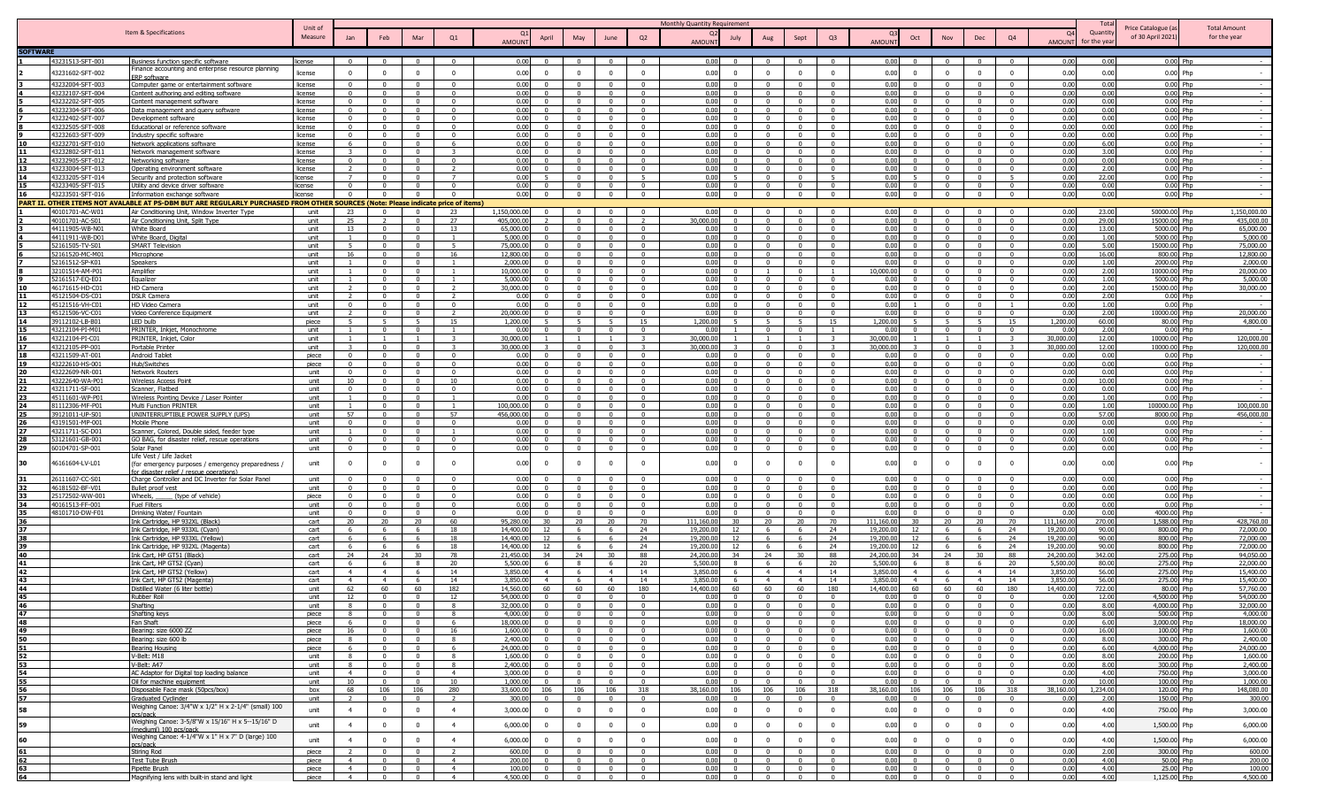|                 |                                      |                                                                                                                                                                    |                    |                                  |                                           |                                  |                                           |                                                        |                                  |                                            |                                            | Monthly Quantity Requirement                                       |                                         |                                                                             |                        |                                                                                        |                                  |                                         |                      |                 |                                        |                                     |
|-----------------|--------------------------------------|--------------------------------------------------------------------------------------------------------------------------------------------------------------------|--------------------|----------------------------------|-------------------------------------------|----------------------------------|-------------------------------------------|--------------------------------------------------------|----------------------------------|--------------------------------------------|--------------------------------------------|--------------------------------------------------------------------|-----------------------------------------|-----------------------------------------------------------------------------|------------------------|----------------------------------------------------------------------------------------|----------------------------------|-----------------------------------------|----------------------|-----------------|----------------------------------------|-------------------------------------|
|                 |                                      | Item & Specifications                                                                                                                                              | Unit of<br>Measure | Jan                              | Feb                                       | Mar                              | Q1                                        | April                                                  | May                              | June                                       | Q2                                         | July                                                               | Aug                                     | Q <sub>3</sub><br>Sept                                                      |                        | Oct<br>Nov                                                                             | Dec                              | Q <sub>4</sub>                          | $\Omega$             | Quantity        | Price Catalogue (a<br>of 30 April 2021 | <b>Total Amount</b><br>for the year |
|                 |                                      |                                                                                                                                                                    |                    |                                  |                                           |                                  |                                           | AMOUNT                                                 |                                  |                                            |                                            | AMOUNT                                                             |                                         |                                                                             | <b>AMOUNT</b>          |                                                                                        |                                  |                                         | AMOUNT               | or the vear     |                                        |                                     |
| <b>SOFTWARE</b> | 43231513-SFT-001                     | usiness function specific software                                                                                                                                 | license            | - 0                              | $\Omega$                                  | $\Omega$                         | $\Omega$                                  | 0.0                                                    |                                  |                                            | $^{\circ}$                                 | 0.00                                                               |                                         |                                                                             | 0.00                   |                                                                                        | - 0                              |                                         | 0.00                 |                 | 0.00 Php                               |                                     |
|                 |                                      | inance accounting and enterprise resource planning                                                                                                                 |                    |                                  |                                           |                                  |                                           |                                                        |                                  |                                            |                                            |                                                                    |                                         |                                                                             |                        |                                                                                        |                                  |                                         |                      |                 |                                        |                                     |
|                 | 43231602-SFT-002                     | <b>RP</b> software                                                                                                                                                 | license            | $\Omega$                         | $\Omega$                                  | $\Omega$                         | $\overline{0}$                            | 0.00<br>$\Omega$                                       |                                  | $\Omega$                                   | $\Omega$                                   | 0.00<br>$\Omega$                                                   |                                         | $\Omega$<br>$\Omega$                                                        | 0.00                   | $\Omega$<br>$\Omega$                                                                   | $\Omega$                         | $\Omega$                                | 0.00                 | 0.00            | $0.00$ Php                             |                                     |
|                 | 43232004-SFT-003                     | Computer game or entertainment software                                                                                                                            | license            | $\Omega$                         | $\Omega$                                  |                                  | $\Omega$                                  | 0.01                                                   |                                  |                                            | $\Omega$                                   | 0.00<br>$\Omega$                                                   |                                         |                                                                             | 0.00                   |                                                                                        | $\Omega$                         |                                         | 0.00                 | 0.00            | $0.00$ Php                             |                                     |
|                 | 43232107-SFT-004<br>43232202-SFT-005 | <u>Content authoring and editing software</u><br>Content management software                                                                                       | license<br>license | $\Omega$<br>$\Omega$             | $^{\circ}$<br>$\overline{0}$              | $\Omega$<br>$\mathbf{0}$         | $\mathbf{0}$<br>$\overline{0}$            | 0.0<br>0.01<br>$\Omega$                                | $\Omega$                         | - 0<br>$\overline{0}$                      | $\Omega$<br>$\overline{\mathbf{0}}$        | 0.00<br>0.00<br>$^{\circ}$                                         |                                         | $\Omega$<br>$\Omega$                                                        | 0.00<br>0.00           | - 0<br>$\overline{0}$                                                                  | $\Omega$<br>$\Omega$             | 0                                       | 0.00<br>0.00         | 0.00<br>0.00    | $0.00$ Php<br>0.00 Php                 |                                     |
|                 | 43232304-SFT-006                     | Data management and guery software                                                                                                                                 | license            | $\Omega$                         | $\Omega$                                  | $\Omega$                         | $\Omega$                                  | 0.00                                                   |                                  | $\Omega$                                   | $\Omega$                                   | 0.00<br>$\Omega$                                                   |                                         | $\Omega$<br>$\Omega$                                                        | 0.00                   | $\Omega$                                                                               | $\Omega$                         |                                         | 0.00                 | 0.00            | 0.00 Php                               |                                     |
|                 | 43232402-SFT-007                     | Development software                                                                                                                                               | license            | $\Omega$                         | $\overline{0}$                            | $\overline{0}$                   | $\overline{0}$                            | 0.00<br>$\Omega$                                       | $\Omega$                         | $\overline{0}$                             | $\overline{0}$                             | 0.00<br>$\Omega$                                                   |                                         | $\overline{0}$<br>$\mathbf{0}$                                              | 0.00                   | $\overline{0}$<br>$\Omega$                                                             | $\overline{0}$                   | $\mathbf{0}$                            | 0.00                 | 0.00            | $0.00$ Php                             |                                     |
|                 | 43232505-SFT-008                     | Educational or reference software                                                                                                                                  | license            | $\mathbf{0}$                     | $\mathbf{0}$                              | $\Omega$                         | $\Omega$                                  | 0.00<br>$\Omega$                                       | $\Omega$                         | $\Omega$                                   | $\Omega$                                   | 0.00<br>$\Omega$                                                   | $\Omega$                                | $\Omega$<br>$\Omega$                                                        | 0.00                   | $\Omega$<br>$\Omega$                                                                   | $\Omega$                         | $\Omega$                                | 0.00                 | 0.00            | $0.00$ Php                             |                                     |
|                 | 43232603-SFT-009<br>43232701-SFT-010 | ndustry specific software                                                                                                                                          | license<br>license | $\mathbf{0}$<br>6                | $\mathbf{0}$<br>$\mathbf{0}$              | $\mathbf{0}$<br>$\mathbf{0}$     | $\overline{0}$<br>-6                      | 0.00<br>$\Omega$<br>0.00<br>$\Omega$                   | $\Omega$<br>$\Omega$             | $\Omega$<br>$\Omega$                       | $\mathbf 0$<br>$\Omega$                    | 0.00<br>$\mathbf{0}$<br>0.00<br>$\mathbf{0}$                       |                                         | $\Omega$<br>$\Omega$<br>$\Omega$<br>$\Omega$                                | 0.00<br>0.00           | $\overline{0}$<br>$\Omega$<br>$\Omega$                                                 | $\overline{0}$<br>$\Omega$       | $\Omega$                                | 0.00<br>0.00         | 0.00<br>6.00    | $0.00$ Php<br>0.00 Php                 |                                     |
|                 | 43232802-SFT-011                     | letwork applications software<br>letwork management software                                                                                                       | license            | 3                                | $\mathbf{0}$                              | $\Omega$                         |                                           | 0.00<br>$\Omega$                                       | $\Omega$                         | $\Omega$                                   | $\Omega$                                   | 0.00<br>$\mathbf{0}$                                               |                                         | $\Omega$<br>$\Omega$                                                        | 0.00                   | $\Omega$<br>$\Omega$                                                                   | $\Omega$                         | $\Omega$                                | 0.00                 | 3.00            | 0.00 Php                               |                                     |
|                 | 43232905-SFT-012                     | Vetworking software                                                                                                                                                | license            | $\Omega$                         | $\Omega$                                  | $^{\circ}$                       | $\overline{\mathbf{0}}$                   | 0.00<br>$\Omega$                                       | $\Omega$                         | - 0                                        | $^{\circ}$                                 | 0.00<br>$\Omega$                                                   | $^{\circ}$                              | $\Omega$<br>$\Omega$                                                        | 0.00                   | $^{\circ}$<br>$\Omega$                                                                 | - 0                              | $\Omega$                                | 0.00                 | 0.00            | 0.00 Php                               | $\sim$                              |
|                 | 43233004-SFT-013                     | Operating environment software                                                                                                                                     | license            | $\mathcal{L}$                    | $\mathbf{0}$                              | $\mathbf{0}$                     | $\overline{\phantom{a}}$                  | 0.00<br>$\Omega$                                       | $\Omega$                         | $\Omega$                                   | $\overline{\mathbf{0}}$                    | 0.00<br>$\Omega$                                                   |                                         | $\mathbf{0}$<br>$\Omega$                                                    | 0.00                   | $\overline{\mathbf{0}}$<br>$\Omega$                                                    | $\overline{0}$                   | $\Omega$                                | 0.00                 | 2.00            | 0.00 Php                               |                                     |
|                 | 43233205-SFT-014                     | Security and protection software                                                                                                                                   | license            |                                  | $\Omega$                                  | $\Omega$                         | $\overline{7}$                            | 0.00<br>5                                              | $\Omega$                         | $\Omega$                                   | - 5                                        | 0.00                                                               |                                         | $\Omega$<br>-5                                                              | 0.00                   | $\Omega$                                                                               | $\Omega$                         | -5                                      | 0.00                 | 22.00           | 0.00 Php                               |                                     |
| 15<br>16        | 43233405-SFT-015<br>43233501-SFT-016 | Utility and device driver software                                                                                                                                 | license<br>license |                                  | $\Omega$<br>$\Omega$                      | $\Omega$<br>$\Omega$             | $\Omega$<br>$\sqrt{2}$                    | 0.00<br>$\Omega$<br>0.00<br>$\overline{0}$             | $\Omega$                         | $\Omega$                                   | $\Omega$<br>$\overline{0}$                 | 0.00<br>$\Omega$<br>0.00<br>$\overline{0}$                         |                                         | $\Omega$<br>$\Omega$<br>$\Omega$<br>$\Omega$                                | 0.00<br>0.00           | $\Omega$<br>$\overline{0}$<br>$\Omega$                                                 | $\Omega$<br>$\overline{0}$       | $\Omega$                                | 0.00<br>0.00         | 0.00<br>0.00    | $0.00$ Php<br>0.00 Php                 |                                     |
|                 |                                      | Information exchange software<br>PART II. OTHER ITEMS NOT AVALABLE AT PS-DBM BUT ARE REGULARLY PURCHASED FROM OTHER SOURCES (Note: Please indicate price of items) |                    |                                  |                                           |                                  |                                           |                                                        |                                  |                                            |                                            |                                                                    |                                         |                                                                             |                        |                                                                                        |                                  |                                         |                      |                 |                                        |                                     |
|                 | 40101701-AC-W0                       | Air Conditioning Unit, Window Inverter Type                                                                                                                        | unit               | 23                               | $\Omega$                                  | $\Omega$                         | 23                                        | 1,150,000.0                                            |                                  |                                            | $\Omega$                                   | 0.00                                                               |                                         |                                                                             | 0.00                   |                                                                                        |                                  |                                         | 0.00                 | 23.00           | 50000.00 Php                           | 1,150,000.00                        |
|                 | 40101701-AC-S01                      | Air Conditioning Unit, Split Type                                                                                                                                  | unit               | 25                               | $\overline{z}$                            | $\Omega$                         | 27                                        | 405,000.0<br>$\overline{\phantom{a}}$                  | $\Omega$                         | $\Omega$                                   | $\overline{2}$                             | 30,000.00<br>$\Omega$                                              |                                         | $\overline{0}$<br>$\mathbf{0}$                                              | 0.00                   | $\overline{0}$                                                                         | $\mathbf{0}$                     | $\Omega$                                | 0.00                 | 29.00           | 15000.00 Php                           | 435,000.00                          |
|                 | 44111905-WB-N01                      | White Board                                                                                                                                                        | unit               | 13                               | $\mathbf{0}$                              | $\mathbf{0}$                     | 13                                        | 65,000.0<br>$\Omega$                                   | $\Omega$                         | $\Omega$                                   | $\overline{0}$                             | 0.00<br>$\Omega$                                                   |                                         | $\overline{0}$<br>$\mathbf{0}$                                              | 0.00                   | $\overline{0}$<br>$\Omega$                                                             | $\mathbf{0}$                     | $\Omega$                                | 0.00                 | 13.00           | 5000.00 Php                            | 65,000.00                           |
|                 | 44111911-WB-D01                      | White Board, Digital                                                                                                                                               | unit               | $\overline{1}$                   | $\Omega$                                  | $\Omega$                         | $\overline{1}$                            | 5,000.0<br>$\Omega$                                    | $\Omega$                         | $\Omega$                                   | $\Omega$                                   | 0.00<br>$\Omega$                                                   | $\Omega$                                | $\sqrt{2}$<br>$\Omega$                                                      | 0.00                   | $\Omega$<br>$\sqrt{ }$                                                                 | $\Omega$                         | $\Omega$                                | 0.00                 | 1.00            | 5000.00 Php                            | 5,000.00                            |
|                 | 52161505-TV-S01<br>52161520-MC-M01   | <b>SMART Television</b><br>Microphone                                                                                                                              | unit<br>unit       | 5<br>16                          | $\mathbf{0}$<br>$\mathbf{0}$              | $\mathbf{0}$<br>$\mathbf{0}$     | 5 <sup>1</sup><br>16                      | 75,000.0<br>$\overline{0}$<br>12,800.0<br>$\mathbf{0}$ | $\mathbf{0}$<br>$\mathbf{0}$     | $\Omega$<br>$\Omega$                       | $\overline{0}$<br>$\Omega$                 | 0.00<br>$\mathbf{0}$<br>0.00<br>$\mathbf{0}$                       | $\Omega$<br>$\Omega$                    | $\Omega$<br>$\Omega$<br>$\Omega$<br>$\Omega$                                | 0.00<br>0.00           | $\overline{0}$<br>$\mathbf{0}$<br>$\Omega$                                             | $\overline{0}$<br>$\overline{0}$ | $\Omega$                                | 0.00<br>0.00         | 5.00<br>16.00   | 15000.00 Php<br>800.00 Php             | 75,000.00<br>12,800.00              |
|                 | 52161512-SP-K01                      | ipeakers                                                                                                                                                           | unit               | $\overline{1}$                   | $\Omega$                                  | $\Omega$                         | $\overline{1}$                            | 2,000.0<br>$\Omega$                                    | $\Omega$                         | $\Omega$                                   | $\Omega$                                   | 0.00<br>$\mathbf{0}$                                               | $\Omega$                                | $\Omega$<br>$\Omega$                                                        | 0.00                   | $\Omega$<br>$\Omega$                                                                   | $\Omega$                         | $^{\circ}$                              | 0.00                 | 1.00            | 2000.00 Php                            | 2,000.00                            |
|                 | 32101514-AM-P01                      | Amplifier                                                                                                                                                          | unit               | $\overline{1}$                   | $\Omega$                                  | $^{\circ}$                       | <sup>1</sup>                              | 10,000.0<br>$\Omega$                                   | $\Omega$                         | - 0                                        | $\overline{\mathbf{0}}$                    | 0.00<br>$^{\circ}$                                                 |                                         | $\Omega$<br>$\overline{1}$                                                  | 10,000.00              | $^{\circ}$<br>$\Omega$                                                                 | - 0                              | $\Omega$                                | 0.00                 | 2.00            | 10000.00 Php                           | 20,000.00                           |
|                 | 52161517-EQ-E01                      | Equalizer                                                                                                                                                          | unit               | $\mathbf{1}$                     | $\mathbf{0}$                              | $\overline{0}$                   | -1                                        | 5,000.0<br>$\mathbf{0}$                                | $\Omega$                         | $\Omega$                                   | $\overline{\mathbf{0}}$                    | 0.00<br>$\Omega$                                                   |                                         | $\overline{\mathbf{0}}$<br>$^{\circ}$                                       | 0.00                   | $\overline{\mathbf{0}}$<br>$\Omega$                                                    | $\mathbf{0}$                     | $\Omega$                                | 0.00                 | 1.00            | 5000.00 Php                            | 5,000.00                            |
|                 | 46171615-HD-C0                       | HD Camera                                                                                                                                                          | unit               |                                  | $\Omega$                                  | $\Omega$                         | $\overline{2}$                            | 30,000.0<br>$\Omega$                                   | $\Omega$                         | $\Omega$                                   | $\Omega$                                   | 0.00<br>$\Omega$                                                   |                                         | $\Omega$<br>$\Omega$                                                        | 0.00                   | $\Omega$                                                                               | $\Omega$                         | $\Omega$                                | 0.00                 | 2.00            | 15000.00 Php                           | 30,000.00                           |
|                 | 45121504-DS-CO<br>45121516-VH-C0     | DSLR Camera<br>HD Video Camera                                                                                                                                     | unit<br>unit       | $\Omega$                         | $\Omega$                                  | $\Omega$<br>$\Omega$             | $\Omega$                                  | n c<br>$\Omega$                                        |                                  | $\sqrt{ }$                                 | $\sqrt{ }$<br>$\bigcap$                    | 0.00<br>0.00<br>$\Omega$                                           |                                         | $\Omega$<br>$\sqrt{ }$                                                      | 0.00<br>0.00           | $\sqrt{ }$                                                                             | $\Omega$<br>$\sqrt{2}$           |                                         | 0.00<br>0.00         | 2.00<br>1.00    | $0.00$ Php<br>$0.00$ Php               |                                     |
|                 | 45121506-VC-C0                       | Video Conference Equipment                                                                                                                                         | unit               |                                  | $\Omega$                                  | $\Omega$                         |                                           | 20,000.0                                               |                                  | $\Omega$                                   | $\Omega$                                   | 0.00<br>$\Omega$                                                   |                                         |                                                                             | 0.00                   | $\Omega$                                                                               | $\Omega$                         |                                         | 0.00                 | 2.00            | 10000.00 Php                           | 20,000.00                           |
|                 | 39112102-LB-B01                      | LED bulb                                                                                                                                                           | niece              | $5^{\circ}$                      |                                           |                                  | 15                                        | 1,200.0                                                |                                  | $\overline{5}$                             | 15                                         | 1,200.00                                                           |                                         | 15                                                                          | 1.200.00               | $\overline{5}$                                                                         | 5 <sup>5</sup>                   | 15                                      | 1,200.00             | 60.00           | 80.00 Php                              | 4,800.00                            |
|                 | 43212104-PI-M0                       | PRINTER, Inkjet, Monochrome                                                                                                                                        | unit               |                                  | $\Omega$                                  | $\Omega$                         |                                           | 0.0                                                    |                                  | - 0                                        | $\Omega$                                   | 0.00                                                               |                                         |                                                                             | 0.00                   | - 0                                                                                    | $\Omega$                         |                                         | 0.0                  | 2.00            | $0.00$ Php                             |                                     |
|                 | 43212104-PI-C01                      | PRINTER, Inkjet, Color                                                                                                                                             | unit               | $\overline{1}$                   | $\overline{1}$                            | $\overline{1}$                   | $\mathbf{3}$                              | 30,000.0                                               | $\overline{1}$                   | $\overline{\phantom{0}}$                   | $\overline{\mathbf{3}}$                    | 30,000.00                                                          |                                         | $\overline{1}$                                                              | 30,000.00              | $\overline{1}$                                                                         |                                  | $\mathbf{3}$                            | 30,000.00            | 12.00           | 10000.00 Php                           | 120,000.00                          |
|                 | 43212105-PP-001<br>43211509-AT-001   | Portable Printer<br><b>Android Tablet</b>                                                                                                                          | unit<br>niece      | $\mathbf{3}$<br>$\Omega$         | $^{\circ}$<br>$\mathbf{0}$                | $^{\circ}$<br>$\Omega$           | $\overline{\mathbf{3}}$<br>$\overline{0}$ | 30,000.0<br>0.00<br>$\Omega$                           | $\Omega$<br>$\Omega$             | $\Omega$<br>$\Omega$                       | $\overline{\mathbf{3}}$<br>$\overline{0}$  | 30,000.00<br>0.00<br>$\Omega$                                      |                                         | $\overline{0}$<br>$\overline{\mathbf{3}}$<br>$\overline{0}$<br>$\mathbf{0}$ | 30,000.00<br>0.00      | $\overline{0}$<br>$\overline{0}$                                                       | $\overline{0}$<br>$\overline{0}$ | $\overline{\mathbf{3}}$<br>$\mathbf{0}$ | 30,000.00<br>0.00    | 12.00<br>0.00   | 10000.00 Php<br>$0.00$ Php             | 120,000.00                          |
| 19              | 43222610-HS-001                      | Hub/Switches                                                                                                                                                       | piece              | $\Omega$                         | $\Omega$                                  | $\Omega$                         | $\Omega$                                  | 0.00<br>$\Omega$                                       | $\Omega$                         | $\Omega$                                   | $\Omega$                                   | 0.00<br>$\Omega$                                                   | $\Omega$                                | $\Omega$<br>$\sqrt{2}$                                                      | 0.00                   | $\Omega$<br>$\sqrt{ }$                                                                 | $\Omega$                         | $\Omega$                                | 0.00                 | 0.00            | $0.00$ Php                             | $\sim$                              |
|                 | 43222609-NR-001                      | <b>Network Routers</b>                                                                                                                                             | unit               | $\mathbf{0}$                     | $\mathbf{0}$                              | $\mathbf{0}$                     | $\overline{0}$                            | 0.00<br>$\overline{0}$                                 | $\mathbf{0}$                     | $\overline{0}$                             | $\overline{0}$                             | 0.00<br>$\mathbf{0}$                                               | $\Omega$                                | $\Omega$<br>$\overline{0}$                                                  | 0.00                   | $\overline{\mathbf{0}}$<br>$\Omega$                                                    | $\overline{0}$                   | $\Omega$                                | 0.00                 | 0.00            | $0.00$ Php                             |                                     |
|                 | 43222640-WA-P01                      | Nireless Access Point                                                                                                                                              | unit               | 10                               | $\mathbf{0}$                              | $\mathbf{0}$                     | 10                                        | 0.00<br>$\overline{0}$                                 | $\mathbf{0}$                     | $\Omega$                                   | $\overline{0}$                             | 0.00<br>$\overline{0}$                                             | $\mathbf{0}$                            | $\Omega$<br>$\Omega$                                                        | 0.00                   | $\Omega$<br>$\Omega$                                                                   | $\mathbf{0}$                     | $\mathbf{0}$                            | 0.00                 | 10.00           | $0.00$ Php                             |                                     |
|                 | 43211711-SF-001<br>45111601-WP-P01   | Scanner, Flatbed                                                                                                                                                   | unit<br>unit       | $\mathbf{0}$<br>$\overline{1}$   | $\Omega$<br>$\Omega$                      | $\Omega$<br>$^{\circ}$           | $\Omega$<br>$\overline{1}$                | 0.00<br>$\mathbf{0}$<br>0.0<br>$\Omega$                | $\Omega$<br>$\Omega$             | $\Omega$<br>$\sqrt{ }$                     | $\Omega$<br>$\Omega$                       | 0.00<br>$\Omega$<br>0.00<br>$\Omega$                               | $^{\circ}$<br>$\Omega$                  | $\Omega$<br>$\Omega$<br>$\Omega$<br>$\Omega$                                | 0.00<br>0.00           | $\Omega$<br>$\Omega$<br>$\Omega$<br>$\sqrt{ }$                                         | $\Omega$<br>- 0                  | $^{\circ}$<br>$\Omega$                  | 0.00<br>0.00         | 0.00<br>1.00    | $0.00$ Php<br>$0.00$ Php               |                                     |
|                 | 81112306-MF-P01                      | Wireless Pointing Device / Laser Pointer<br>Multi Function PRINTER                                                                                                 | unit               | $\mathbf{1}$                     | $\mathbf{0}$                              | $\mathbf{0}$                     | -1                                        | 100,000.0<br>$\overline{0}$                            | $\Omega$                         | $\Omega$                                   | $\overline{\mathbf{0}}$                    | 0.00<br>$\Omega$                                                   | $^{\circ}$                              | $\overline{\mathbf{0}}$<br>$^{\circ}$                                       | 0.00                   | $\overline{\mathbf{0}}$<br>$\Omega$                                                    | $\overline{0}$                   | $\Omega$                                | 0.00                 | 1.00            | 100000.00 Php                          | 100,000.00                          |
|                 | 39121011-UP-S0                       | UNINTERRUPTIBLE POWER SUPPLY (UPS)                                                                                                                                 | unit               | 57                               | $\Omega$                                  | $\Omega$                         | 57                                        | 456.000.0<br>$\Omega$                                  |                                  | $\Omega$                                   | $\Omega$                                   | 0.00<br>$\Omega$                                                   |                                         | $\Omega$<br>$\Omega$                                                        | 0.00                   | $\Omega$                                                                               | $\Omega$                         | $\Omega$                                | 0.00                 | 57.00           | 8000.00 Php                            | 456,000.00                          |
|                 | 43191501-MP-00                       | Mobile Phone                                                                                                                                                       | unit               |                                  | $\Omega$                                  | $\Omega$                         | $\Omega$                                  | 0 <sub>0</sub>                                         |                                  | $\sqrt{ }$                                 | $\Omega$                                   | 0.00                                                               |                                         | $\sqrt{ }$<br>$\Omega$                                                      | 0.00                   | $\sqrt{ }$                                                                             | $\sqrt{ }$                       |                                         | 0.00                 | 0.00            | $0.00$ Php                             |                                     |
|                 | 43211711-SC-D01                      | Scanner, Colored, Double sided, feeder type                                                                                                                        | unit               |                                  | $\Omega$                                  | $\mathsf{n}$                     |                                           | 0 <sub>0</sub><br>$\sqrt{2}$                           |                                  | $\sqrt{ }$                                 | $\sqrt{ }$                                 | 0.00<br>$\Omega$                                                   |                                         | $\Omega$<br>$\Omega$                                                        | 0.00                   | $\Omega$<br>$\sqrt{ }$                                                                 | $\sqrt{2}$                       | $\Omega$                                | 0.00                 | 1.00            | $0.00$ Php                             |                                     |
|                 | 53121601-GB-001<br>60104701-SP-001   | GO BAG, for disaster relief, rescue operations<br>Solar Panel                                                                                                      | unit<br>unit       | $\Omega$<br>$\Omega$             | $\mathbf{0}$<br>$\Omega$                  | $\mathbf{0}$<br>$\Omega$         | $\overline{0}$<br>$\Omega$                | 0.01<br>$\Omega$<br>0.00<br>$\Omega$                   |                                  | $\Omega$<br>$\Omega$                       | $\overline{0}$<br>$\Omega$                 | 0.00<br>$\overline{0}$<br>0.00<br>$\Omega$                         |                                         | $\Omega$<br>$\Omega$<br>$\Omega$                                            | 0.00<br>0.00           | $\sqrt{ }$<br>$\Omega$                                                                 | $\overline{0}$<br>$\Omega$       |                                         | 0.00<br>0.00         | 0.00<br>0.00    | 0.00 Php<br>$0.00$ Php                 |                                     |
|                 |                                      | .ife Vest / Life Jacket                                                                                                                                            |                    |                                  |                                           |                                  |                                           |                                                        |                                  |                                            |                                            |                                                                    |                                         |                                                                             |                        |                                                                                        |                                  |                                         |                      |                 |                                        |                                     |
| 30              | 46161604-LV-L01                      | (for emergency purposes / emergency preparedness /                                                                                                                 | unit               | $\overline{\mathbf{0}}$          | $\Omega$                                  |                                  |                                           | 0.00<br>$\Omega$                                       |                                  | $\Omega$                                   | $\Omega$                                   | 0.00<br>$\Omega$                                                   |                                         | $\mathbf 0$                                                                 | 0.00                   | $\Omega$                                                                               | $\Omega$                         |                                         | 0.00                 | 0.00            | $0.00$ Php                             |                                     |
|                 |                                      | or disaster relief / rescue operations)                                                                                                                            |                    | $\Omega$                         | $\Omega$                                  | $\Omega$                         | $\Omega$                                  |                                                        |                                  | $\sim$                                     | $\Omega$                                   |                                                                    |                                         | $\Omega$                                                                    |                        | $\Omega$                                                                               | $\Omega$                         |                                         |                      |                 |                                        |                                     |
| 31<br>32        | 26111607-CC-S01<br>46181502-BF-V01   | Charge Controller and DC Inverter for Solar Panel<br>Bullet proof vest                                                                                             | unit<br>unit       | $\mathbf{0}$                     | $\mathbf{0}$                              | $\mathbf{0}$                     | $\overline{0}$                            | 0.00<br>0.00<br>$\Omega$                               | $\Omega$                         | $\overline{0}$                             | $\mathbf{0}$                               | 0.00<br>0.00<br>$\mathbf{0}$                                       | $\Omega$                                | $\Omega$<br>$\Omega$                                                        | 0.00<br>0.00           | $\overline{0}$<br>$\Omega$                                                             | $\mathbf{0}$                     | $\mathbf{0}$                            | 0.00<br>0.00         | 0.00<br>0.00    | $0.00$ Php<br>$0.00$ Php               |                                     |
| 33              | 25172502-WW-001                      | Wheels,<br>(type of vehicle)                                                                                                                                       | piece              | $\Omega$                         | $\Omega$                                  | $\Omega$                         | $\overline{0}$                            | 0.00<br>$\Omega$                                       | $^{\circ}$                       | $\Omega$                                   | $\overline{0}$                             | 0.00<br>$^{\circ}$                                                 | $\Omega$                                | $\Omega$<br>$^{\circ}$                                                      | 0.00                   | $\Omega$<br>$\Omega$                                                                   | $\mathbf{0}$                     | $\Omega$                                | 0.00                 | 0.00            | $0.00$ Php                             | $\sim$                              |
|                 | 40161513-FF-001                      | Fuel Filters                                                                                                                                                       | unit               | $\mathbf{0}$                     | $\mathbf{0}$                              | $\overline{0}$                   | $\overline{0}$                            | 0.00<br>$\Omega$                                       | $\Omega$                         | $\overline{\mathbf{0}}$                    | $\overline{0}$                             | 0.00<br>$\mathbf{0}$                                               |                                         | $\overline{\mathbf{0}}$<br>$^{\circ}$                                       | 0.00                   | $\overline{\mathbf{0}}$<br>$\Omega$                                                    | $\overline{0}$                   | $\Omega$                                | 0.00                 | 0.00            | 0.00 Php                               |                                     |
| 35              | 48101710-DW-F01                      | Drinking Water/ Fountain                                                                                                                                           | unit               | $\Omega$                         | $^{\circ}$                                | $^{\circ}$                       | $\Omega$                                  | 0.00<br>$\Omega$                                       | $\Omega$                         | $\Omega$                                   | $\Omega$                                   | 0.00<br>$\Omega$                                                   |                                         | $\Omega$<br>$\Omega$                                                        | 0.00                   | $\Omega$                                                                               | $\Omega$                         | $\Omega$                                | 0.00                 | 0.00            | 4000.00 Php                            |                                     |
| 37              |                                      | ink Cartridge, HP 932XL (Black)                                                                                                                                    | cart               | 20                               | 20                                        | 20                               | 60                                        | 95,280.0<br>30                                         | 20                               | 20                                         | 70                                         | 111.160.00<br>30                                                   | 20                                      | 20<br>70                                                                    | 111.160.00             | 30<br>20                                                                               | 20<br>-6                         | 70                                      | 111.160.00           | 270.00          | 1,588,00 Php                           | 428,760.00                          |
| 38              |                                      | Ink Cartridge, HP 933XL (Cyan)<br>Ink Cartridge, HP 933XL (Yellow)                                                                                                 | cart<br>cart       | 6<br>6                           | 6<br>6                                    | 6<br>6                           | 18<br>18                                  | 14,400.0<br>12<br>12<br>14,400.0                       | -6                               | -6<br>-6                                   | 24<br>24                                   | 19,200.00<br>12<br>12<br>19,200.00                                 | -6                                      | 24<br>- 6<br>24                                                             | 19,200.00<br>19,200.00 | 12<br>- 6<br>12<br>6                                                                   | -6                               | 24<br>24                                | 19,200.0<br>19,200.0 | 90.00<br>90.00  | 800.00 Php<br>800.00 Php               | 72,000.00<br>72,000.00              |
| 39              |                                      | Ink Cartridge, HP 932XL (Magenta)                                                                                                                                  | cart               | 6                                | 6                                         | 6                                | 18                                        | 14,400.0<br>12                                         | -6                               | -6                                         | 24                                         | 19,200.00<br>12                                                    | 6                                       | 24<br>-6                                                                    | 19,200.00              | 12<br>- 6                                                                              | -6                               | 24                                      | 19,200.0             | 90.00           | 800.00 Php                             | 72,000.00                           |
| 40              |                                      | ink Cart, HP GT51 (Black)                                                                                                                                          | cart               | 24                               | 24                                        | 30                               | 78                                        | 21,450.0<br>34                                         | 24                               | 30                                         | 88                                         | 24,200.00<br>34                                                    | 24                                      | 30<br>88                                                                    | 24,200.00              | 34<br>24                                                                               | 30                               | 88                                      | 24,200.0             | 342.00          | 275.00 Php                             | 94,050.00                           |
|                 |                                      | Ink Cart, HP GT52 (Cyan)                                                                                                                                           | cart               | 6                                | -6                                        | -8                               | 20                                        | 5,500.0                                                |                                  | - 6                                        | 20                                         | 5,500.00<br>$\mathbf{R}$                                           | -6                                      | - 6<br>20                                                                   | 5,500.00               | -8                                                                                     | - 6                              | 20                                      | 5,500.0              | 80.00           | 275.00 Php                             | 22,000.00                           |
| 42              |                                      | Ink Cart, HP GT52 (Yellow)                                                                                                                                         | cart               | $\overline{4}$<br>$\overline{4}$ | $\overline{4}$<br>$\overline{4}$          |                                  | 14                                        | 3,850.0<br>$\overline{4}$<br>$\overline{4}$            |                                  | $\overline{4}$<br>$\overline{\mathbf{4}}$  | 14                                         | 3,850.0                                                            | $\overline{4}$                          | 14<br>$\overline{4}$<br>$\overline{4}$                                      | 3,850.0                |                                                                                        | $\overline{4}$<br>$\overline{4}$ | 14                                      | 3,850.0              | 56.00           | 275.00 Php                             | 15,400.00<br>15,400.00              |
| 43              |                                      | Ink Cart, HP GT52 (Magenta)<br>Distilled Water (6 liter bottle)                                                                                                    | cart<br>unit       | 62                               | 60                                        | 60                               | 14<br>182                                 | 3,850.0<br>14.560.<br>60                               | 60                               | 60                                         | 14<br>180                                  | 3,850.00<br>14,400.00<br>60                                        | 60                                      | 14<br>60<br>180                                                             | 3,850.00<br>14,400.00  | 60                                                                                     | 60                               | 14<br>180                               | 3.850.00<br>4.400.0  | 56.00<br>722.00 | 275.00 Php<br>80.00 Php                | 57,760.00                           |
| 45              |                                      | Rubber Roll                                                                                                                                                        | unit               | 12                               | $\mathbf{0}$                              | $\mathbf{0}$                     | 12                                        | 54,000.0<br>$\Omega$                                   |                                  | $\Omega$                                   | $\overline{0}$                             | 0.00<br>$\mathbf{0}$                                               |                                         | $\Omega$<br>$\bigcap$                                                       | 0.00                   | $\Omega$                                                                               | $\overline{0}$                   | $\Omega$                                | 0.00                 | 12.00           | 4,500.00 Php                           | 54,000.00                           |
|                 |                                      | snafting                                                                                                                                                           |                    |                                  |                                           |                                  |                                           | 2.OOO                                                  |                                  |                                            |                                            |                                                                    |                                         |                                                                             |                        |                                                                                        |                                  |                                         |                      |                 | ouu.uul Pr                             | 32.000.00                           |
| 47              |                                      | Shafting keys                                                                                                                                                      | piece              | 8                                | $\overline{0}$                            | $\Omega$                         | 8 <sup>8</sup>                            | 4,000.0<br>$\mathbf{0}$                                | $\overline{0}$                   | $\overline{0}$                             | $\overline{0}$                             | 0.00<br>$\overline{0}$                                             | $\overline{0}$                          | $\overline{0}$<br>$\mathbf{0}$                                              | 0.00                   | $\mathbf{0}$<br>$\overline{0}$                                                         | $\overline{0}$                   | $\mathbf{0}$                            | 0.00                 | 8.00            | 500.00 Php                             | 4.000.00                            |
| 48<br>49        |                                      | Fan Shaft<br>Bearing: size 6000 ZZ                                                                                                                                 | piece<br>piece     | 6<br>16                          | $\overline{0}$<br>$\overline{0}$          | $\overline{0}$<br>$\overline{0}$ | 6<br>16                                   | 18,000.0<br>$\Omega$<br>1,600.0<br>$\overline{0}$      | $\overline{0}$<br>$\overline{0}$ | $\overline{0}$<br>$\overline{\phantom{0}}$ | $\overline{0}$<br>$\overline{0}$           | 0.00<br>$\overline{\mathbf{0}}$<br>0.00<br>$\overline{\mathbf{0}}$ | $\mathbf{0}$<br>$\overline{\mathbf{0}}$ | $\mathbf{0}$<br>$\Omega$<br>$\overline{\mathbf{0}}$<br>$\overline{0}$       | 0.00<br>0.00           | $\overline{0}$<br>$\overline{\mathbf{0}}$<br>$\overline{\mathbf{0}}$<br>$\overline{0}$ | $\overline{0}$<br>$\overline{0}$ | $\overline{0}$<br>$\overline{0}$        | 0.00<br>0.00         | 6.00<br>16.00   | 3,000.00 Php<br>100.00 Php             | 18,000,00<br>1,600.00               |
| 50              |                                      | Bearing: size 600 lb                                                                                                                                               | piece              | 8                                | $\overline{0}$                            | $\overline{0}$                   | 8                                         | 2,400.0<br>$\overline{0}$                              | $\overline{0}$                   | $\overline{\mathbf{0}}$                    | $\overline{0}$                             | 0.00<br>$\overline{0}$                                             | $\Omega$                                | $\overline{\mathbf{0}}$<br>$\overline{0}$                                   | 0.00 0                 | $\overline{\mathbf{0}}$                                                                | $\overline{0}$                   | $\overline{0}$                          | 0.00                 | 8.00            | 300.00 Php                             | 2,400.00                            |
| 51              |                                      | Bearing Housing                                                                                                                                                    | piece              | 6                                | $\overline{0}$                            | $\overline{0}$                   | 6                                         | 24,000.0<br>$\overline{0}$                             | $\overline{0}$                   | $\overline{\mathbf{0}}$                    | $\overline{0}$                             | 0.00<br>$\overline{0}$                                             | $\overline{0}$                          | $\overline{0}$<br>$\overline{0}$                                            | 0.00                   | $\overline{0}$<br>$\overline{0}$                                                       | $\overline{0}$                   | $\overline{0}$                          | 0.00                 | 6.00            | 4,000,00 Php                           | 24,000,00                           |
| 52              |                                      | V-Belt: M18                                                                                                                                                        | unit               | 8                                | $\overline{0}$                            | $\overline{0}$                   | 8                                         | 1,600.0<br>$\overline{0}$                              | $\overline{0}$                   | $\overline{0}$                             | $\overline{0}$                             | 0.00<br>$\overline{0}$                                             | $\overline{0}$                          | $\overline{0}$<br>$\overline{\mathbf{0}}$                                   | 0.00                   | $\overline{0}$<br>$\overline{0}$                                                       | $\overline{0}$                   | $\overline{0}$                          | 0.00                 | 8.00            | 200.00 Php                             | 1,600.00                            |
| 53<br>54        |                                      | V-Belt: A47<br>AC Adaptor for Digital top loading balance                                                                                                          | unit               | 8                                | $\overline{0}$                            | $\overline{0}$                   | 8<br>$\overline{4}$                       | 2,400.0<br>$\overline{0}$                              | $\overline{0}$                   | $\overline{\mathbf{0}}$<br>$\overline{0}$  | $\overline{\phantom{0}}$<br>$\overline{0}$ | 0.00<br>$\overline{0}$                                             | $\overline{0}$                          | $\overline{\mathbf{0}}$<br>$\overline{0}$<br>$\mathbf{0}$                   | 0.00<br>0.00           | $\overline{0}$<br>$\overline{\mathbf{0}}$                                              | $\overline{0}$                   | $\overline{0}$<br>$\mathbf{0}$          | 0.00<br>0.00         | 8.00<br>4.00    | 300.00 Php<br>750.00 Php               | 2,400.00                            |
| 55              |                                      | Oil for machine equipment                                                                                                                                          | unit<br>unit       | 4<br>10                          | $\overline{0}$<br>$\overline{\mathbf{0}}$ | $\overline{0}$<br>$\overline{0}$ | 10                                        | 3,000.0<br>$\overline{0}$<br>1,000.0<br>$\mathbf{0}$   | $\overline{0}$<br>$\overline{0}$ | $\overline{\mathbf{0}}$                    | $\overline{0}$                             | 0.00<br>$\overline{0}$<br>0.00<br>$\overline{0}$                   | $\overline{0}$<br>$\mathbf{0}$          | $\overline{\mathbf{0}}$<br>$\overline{0}$<br>$\Omega$                       | 0.00                   | $\overline{0}$<br>$\overline{\mathbf{0}}$<br>$\mathbf{0}$<br>$\overline{\mathbf{0}}$   | $\overline{0}$<br>$\overline{0}$ | $\Omega$                                | 0.00                 | 10.00           | 100.00 Php                             | 3,000.00<br>1,000.00                |
| 56              |                                      | Disposable Face mask (50pcs/box)                                                                                                                                   | box                | 68                               | 106                                       | 106                              | 280                                       | 33,600.0<br>106                                        | 106                              | 106                                        | 318                                        | 38,160.00<br>106                                                   | 106                                     | 106<br>318                                                                  | 38,160,00 106          | 106                                                                                    | 106                              | 318                                     | 38,160.00            | 1,234.00        | 120.00 Php                             | 148,080.00                          |
| 57              |                                      | <b>Graduated Cyclinder</b>                                                                                                                                         | unit               | $\overline{2}$                   | $\overline{0}$                            | $\overline{0}$                   | $\overline{z}$                            | 300.0<br>$\Omega$                                      | $\Omega$                         | $\overline{\mathbf{0}}$                    | $\Omega$                                   | $\overline{0}$<br>0.00                                             | $\Omega$                                | $\overline{0}$<br>$\Omega$                                                  | 0.00                   | $\overline{\phantom{0}}$<br>$\Omega$                                                   | $\overline{0}$                   | $\Omega$                                | 0.00                 | 2.00            | 150.00 Php                             | 300.00                              |
| 58              |                                      | Weighing Canoe: 3/4"W x 1/2" H x 2-1/4" (small) 100                                                                                                                | unit               | $\overline{4}$                   | $\mathbf{0}$                              | $\mathbf{0}$                     | $\overline{4}$                            | 3,000.00<br>$\overline{\mathbf{0}}$                    | $\mathbf{0}$                     | $\overline{\mathbf{0}}$                    | $\overline{0}$                             | 0.00<br>$\overline{0}$                                             | $^{\circ}$                              | $\overline{\mathbf{0}}$<br>$\overline{0}$                                   | 0.00                   | $\overline{0}$<br>$\mathbf{0}$                                                         | $\mathbf{0}$                     | $\mathbf{0}$                            | 0.00                 | 4.00            | 750.00 Php                             | 3,000.00                            |
|                 |                                      | ocs/nack<br>Weighing Canoe: 3-5/8"W x 15/16" H x 5--15/16" D                                                                                                       |                    |                                  |                                           |                                  |                                           |                                                        |                                  |                                            |                                            |                                                                    |                                         |                                                                             |                        |                                                                                        |                                  |                                         |                      |                 |                                        |                                     |
| 59              |                                      | mediuml) 100 ncs/nack                                                                                                                                              | unit               | 4                                | $\mathbf{0}$                              | $\mathbf{0}$                     | $\overline{4}$                            | 6,000.00<br>$\overline{0}$                             | $\overline{0}$                   | $\overline{\mathbf{0}}$                    | $\overline{0}$                             | 0.00<br>$\overline{0}$                                             | $\mathbf{0}$                            | $\overline{\mathbf{0}}$<br>$\overline{0}$                                   | 0.00                   | $\overline{\mathbf{0}}$<br>$\overline{\mathbf{0}}$                                     | $\overline{0}$                   | $\mathbf{0}$                            | 0.00                 | 4.00            | 1,500.00 Php                           | 6,000.00                            |
| 60              |                                      | Weighing Canoe: 4-1/4"W x 1" H x 7" D (large) 100<br>ocs/pack                                                                                                      | unit               | $\overline{4}$                   | $\mathbf{0}$                              | $\mathbf{0}$                     | $\overline{4}$                            | 6,000.00<br>$\overline{0}$                             | $\Omega$                         | $\overline{\mathbf{0}}$                    | $\overline{0}$                             | 0.00<br>$\overline{0}$                                             | $\Omega$                                | $\Omega$<br>$\Omega$                                                        | 0.00                   | $\overline{\mathbf{0}}$<br>$\Omega$                                                    | $\overline{0}$                   | $\mathbf{0}$                            | 0.00                 | 4.00            | 1,500.00 Php                           | 6,000.00                            |
| 61              |                                      | Stiring Rod                                                                                                                                                        | piece              |                                  | $\mathbf{0}$                              | $\Omega$                         | $\overline{2}$                            | 600.00<br>$\Omega$                                     | $\Omega$                         | $\overline{0}$                             | $\overline{0}$                             | 0.00<br>$\overline{0}$                                             |                                         | $\Omega$<br>$\Omega$                                                        | 0.00                   | $\overline{0}$<br>$\Omega$                                                             | $\overline{0}$                   | $\Omega$                                | 0.00                 | 2.00            | 300.00 Php                             | 600.00                              |
| 62              |                                      | <b>Fest Tube Brush</b>                                                                                                                                             | piece              | $-4$                             | $\overline{0}$                            | $\mathbf{0}$                     | $\overline{4}$                            | 200.00<br>$\overline{0}$                               | $\overline{0}$                   | $\overline{0}$                             | $\overline{0}$                             | 0.00<br>$\overline{0}$                                             | $\overline{0}$                          | $\overline{0}$<br>$\overline{0}$                                            | 0.00                   | $\overline{0}$<br>$\overline{0}$                                                       | $\overline{0}$                   | $\Omega$                                | 0.00                 | 4.00            | 50.00 Php                              | 200.00                              |
| 63              |                                      | Pipette Brush                                                                                                                                                      | piece              | 4                                | $\overline{\mathbf{0}}$                   | $\overline{0}$                   | $\overline{4}$                            | 100.00<br>$\overline{0}$                               | $\overline{0}$                   | $\overline{\mathbf{0}}$                    | $\overline{0}$                             | 0.00<br>$\overline{0}$                                             | $\overline{\mathbf{0}}$                 | $\overline{0}$<br>$\overline{0}$                                            | 0.00                   | $\overline{\mathbf{0}}$<br>$\overline{\mathbf{0}}$                                     | $\overline{0}$                   | $\overline{0}$                          | 0.00                 | 4.00            | 25.00 Php                              | 100.00                              |
| 64              |                                      | Magnifying lens with built-in stand and light                                                                                                                      | piece              | $\overline{4}$                   | $\overline{\mathbf{0}}$                   | $\overline{0}$                   | $\overline{4}$                            | 4,500.00<br>$\overline{0}$                             | $\overline{\mathbf{0}}$          | $\overline{\mathbf{0}}$                    | $\overline{\mathbf{0}}$                    | 0.00<br>$\overline{\mathbf{0}}$                                    | $\overline{\mathbf{0}}$                 | $\overline{\mathbf{0}}$<br>$\overline{0}$                                   | 0.00 0                 | $\overline{\phantom{0}}$                                                               | $\overline{\mathbf{0}}$          | $\overline{\mathbf{0}}$                 | 0.00                 | 4.00            | 1,125.00 Php                           | 4,500.00                            |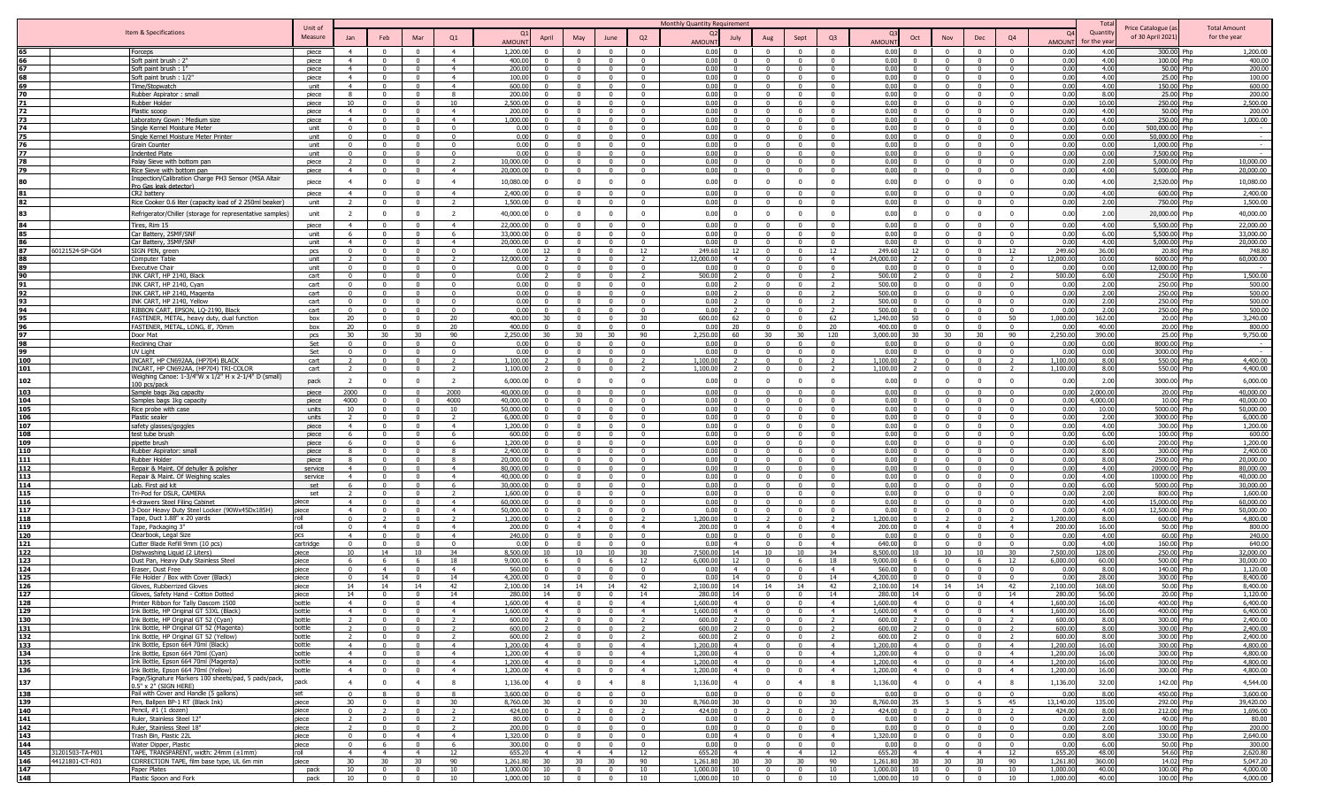|            |                                    |                                                                                     |                    |                                  |                            |                         |                                  |                            |                                |                         |                            |                                  | Monthly Quantity Requirement                            |                         |                                   |                                                     |                      |                                                           |                         |                                  |                    | Tota            |                               |                        |
|------------|------------------------------------|-------------------------------------------------------------------------------------|--------------------|----------------------------------|----------------------------|-------------------------|----------------------------------|----------------------------|--------------------------------|-------------------------|----------------------------|----------------------------------|---------------------------------------------------------|-------------------------|-----------------------------------|-----------------------------------------------------|----------------------|-----------------------------------------------------------|-------------------------|----------------------------------|--------------------|-----------------|-------------------------------|------------------------|
|            |                                    | Item & Specifications                                                               | Unit of            |                                  |                            |                         |                                  |                            |                                |                         |                            |                                  |                                                         |                         |                                   |                                                     |                      |                                                           |                         |                                  | Q <sub>4</sub>     | Quantity        | Price Catalogue (a            | <b>Total Amount</b>    |
|            |                                    |                                                                                     | Measure            | Jan                              | Feb                        | Mar                     | Q1                               | <b>AMOUN</b>               | April                          | May                     | June                       | Q2                               | July<br>AMOUN'                                          | Aug                     | Sept                              | Q3                                                  | AMOUN <sup>®</sup>   | Oct<br>N٥                                                 | Dec                     | Q4                               | <b>AMOUN</b>       | or the yea      | of 30 April 2021              | for the year           |
|            |                                    | Forceps                                                                             | piece              | 4                                | $\Omega$                   | $\Omega$                | $\overline{4}$                   | 1,200.0                    | $\Omega$                       |                         | $\Omega$                   | $\Omega$                         | 0.00<br>$\Omega$                                        | $\Omega$                | $\Omega$                          |                                                     | 0.00                 | $\sqrt{ }$<br>$\Omega$                                    | $\Omega$                | $\Omega$                         | 0.00               | 4.00            | 300.00 Php                    | 1,200.00               |
|            |                                    | Soft paint brush: 2"                                                                | piece              | $\overline{4}$                   | $\Omega$                   | $\Omega$                | $\overline{4}$                   | 400.0                      | $\Omega$                       | $\Omega$                | $\Omega$                   | $\Omega$                         | 0.00<br>$\Omega$                                        | $\Omega$                | $\Omega$                          | $\Omega$                                            | 0.00                 | $\Omega$<br>$\Omega$                                      | $\Omega$                | $\Omega$                         | 0.00               | 4.0             | 100.00 Php                    | 400.00                 |
|            |                                    | Soft paint brush:                                                                   | piece              | $\overline{4}$<br>$\overline{4}$ | $\Omega$<br>$\Omega$       |                         | $\overline{4}$<br>$\overline{4}$ | 200.0                      | $\Omega$                       |                         |                            | $\Omega$                         | n nr<br>$\Omega$<br>n nr<br>$\Omega$                    | $\Omega$                | $\Omega$                          | $\Omega$                                            | 0.00<br>0.00         | $\Omega$                                                  | $\Omega$                | $\Omega$<br>$\Omega$             | 0.0                | 4.00            | 50.00 Php                     | 200.00                 |
| 69.        |                                    | Soft paint brush: 1/2'<br>Time/Stopwatch                                            | piece<br>unit      | $\overline{4}$                   | $\overline{0}$             | $\Omega$<br>$\Omega$    | $\overline{4}$                   | 100.0<br>600.0             | $\Omega$<br>$\Omega$           | $\sqrt{ }$<br>$\Omega$  | $\sim$<br>$\sqrt{ }$       | $\Omega$<br>$\Omega$             | 0.00<br>$\Omega$                                        | $\Omega$<br>$\Omega$    | $\Omega$<br>$\Omega$              | $\Omega$<br>$\Omega$                                | 0.00                 | $\sqrt{ }$<br>$\Omega$<br>$\Omega$<br>$\Omega$            | $\Omega$<br>$\Omega$    | $\Omega$                         | 0.0<br>0.0         | 4.00<br>4.00    | 25.00 Php<br>150.00 Php       | 100.00<br>600.00       |
| 70         |                                    | Rubber Aspirator: small                                                             | piece              | 8                                | $\overline{0}$             | $\overline{0}$          | 8                                | 200.0                      | $\Omega$                       | $\Omega$                | $\overline{0}$             | $\Omega$                         | 0.00<br>$\Omega$                                        | $\mathbf{0}$            | $\Omega$                          | $\Omega$                                            | 0.00                 | $\Omega$<br>$\Omega$                                      | $\Omega$                | $\overline{0}$                   | 0.0                | 8.00            | 25.00                         | 200.00                 |
|            |                                    | tubber Holder                                                                       | piece              | 10 <sup>1</sup>                  | $\Omega$                   | $\Omega$                | 10                               | 2,500.0                    | $\Omega$                       |                         | $\Omega$                   | $\Omega$                         | 0.00<br>$\Omega$                                        | $\Omega$                | $^{\circ}$                        | $\Omega$                                            | 0.00                 | $\Omega$                                                  | $\Omega$                | $\Omega$                         | 0.0                | 10.00           | 250.00                        | 2,500.00               |
| 72.        |                                    | Plastic scoop                                                                       | piece              | $\sim$ 4                         | $\Omega$                   | - 0                     | $\overline{4}$                   | 200.0                      | $\Omega$                       | $\Omega$                | - 0                        | $\Omega$                         | 0.00<br>$\Omega$                                        | $\Omega$                | $\Omega$                          | $\Omega$                                            | 0.00                 | $\Omega$<br>$\Omega$                                      | $\mathbf{0}$            | $\overline{\mathbf{0}}$          | . 0.0              | 4.00            | 50.00 Php                     | 200.00                 |
|            |                                    | Laboratory Gown: Medium size                                                        | piece              | 4                                | $\Omega$                   | $\Omega$                | $\overline{4}$                   | 1.000.0                    | $\Omega$                       | $\Omega$                | $\Omega$                   | $\Omega$                         | 0.00<br>$\Omega$                                        | $\Omega$                | $\Omega$                          | $\Omega$                                            | 0.00                 | $\Omega$                                                  | $\Omega$                | $\overline{0}$                   | 0.00               | 4.00            | 250.00 Php                    | 1,000.00               |
|            |                                    | Single Kernel Moisture Meter                                                        | unit               | $\Omega$                         | $\Omega$                   | $\Omega$                | $\Omega$                         | 0.01                       |                                |                         | $\Omega$                   | $\Omega$                         | 0.00<br>$\Omega$                                        | $\Omega$                | $\Omega$                          | $\Omega$                                            | 0.00                 | $\Omega$                                                  | $\Omega$                | $\Omega$                         | 0.00               | 0.00            | 500,000,00 Php                | $\sim$                 |
|            |                                    | Single Kernel Moisture Meter Printer<br><b>Grain Counter</b>                        | unit               | $\Omega$                         | $\Omega$<br>$\Omega$       | $\Omega$                | $\sqrt{2}$<br>$\sqrt{2}$         | 0.01<br>0.00               | $\Omega$<br>$\Omega$           | $\sqrt{ }$              | $\sqrt{ }$<br>$\Omega$     | $\sqrt{ }$                       | 0.00<br>0.00<br>$\Omega$                                | $\Omega$                | $\Omega$<br>$\Omega$              | $\Omega$                                            | $0.00 -$<br>0.00     | $\sqrt{ }$<br>$\Omega$                                    | $\Omega$                | $\Omega$<br>$\sqrt{2}$           | 0.00<br>0.00       | 0.00<br>0.00    | 50,000,00 Php<br>1,000.00 Php |                        |
| 77         |                                    | Indented Plate                                                                      | unit<br>unit       | $\Omega$                         | $\Omega$                   | $\Omega$                | $\Omega$                         | 0.01                       | $\Omega$                       |                         | $\Omega$                   | $\Omega$                         | 0.00<br>$\Omega$                                        | $\Omega$                | $\Omega$                          |                                                     | 0.00                 | $\sim$<br>$\Omega$                                        | $\Omega$                | $\Omega$                         | 0.0                | 0.00            | 7,500.00 Php                  |                        |
| 78         |                                    | alay Sieve with bottom pan'                                                         | piece              |                                  | $\mathbf{0}$               | $\Omega$                |                                  | 10,000.0                   | $\Omega$                       |                         | $\Omega$                   | $\Omega$                         | 0.00<br>$\Omega$                                        | $\Omega$                | $\Omega$                          |                                                     | 0.00                 | $\Omega$<br>$\Omega$                                      | $\Omega$                | $\Omega$                         | 0.0                | 2.00            | 5,000.00 Php                  | 10,000.00              |
| 79         |                                    | Rice Sieve with bottom pan                                                          | piece              | $\overline{4}$                   | $\Omega$                   | $\Omega$                | $\overline{4}$                   | 20,000.0                   | $\Omega$                       | $\Omega$                | $\Omega$                   | $\Omega$                         | 0.00<br>$\Omega$                                        | $\Omega$                | $\Omega$                          | $\Omega$                                            | 0.00                 | $\Omega$<br>$\Omega$                                      | $\mathbf{0}$            | $\mathbf{0}$                     | 0.00               | 4.00            | 5,000.00                      | 20,000.00<br>Php       |
| 80         |                                    | Inspection/Calibration Charge PH3 Sensor (MSA Altair                                | piece              | $\overline{4}$                   | $^{\circ}$                 | $^{\circ}$              | $\overline{4}$                   | 10,080.00                  | $\mathbf{0}$                   | $\Omega$                | $^{\circ}$                 | $\Omega$                         | 0.00<br>$\Omega$                                        | $\Omega$                | $\Omega$                          | $\mathbf{0}$                                        | 0.00                 | $\Omega$<br>$^{\circ}$                                    | $^{\circ}$              | $\Omega$                         | 0.00               | 4.00            | 2,520.00                      | 10,080.00<br>Php       |
|            |                                    | Pro Gas leak detector                                                               |                    | $\overline{4}$                   | $\Omega$                   | $\Omega$                | $\overline{4}$                   | 2,400.0                    |                                |                         | $\Omega$                   |                                  | 0.00                                                    |                         |                                   |                                                     | 0.00                 | $\Omega$                                                  | $\Omega$                | $\Omega$                         | 0.0                | 4.00            | 600.00                        | 2,400.00               |
| 82.        |                                    | CR2 battery<br>Rice Cooker 0.6 liter (capacity load of 2 250ml beaker)              | piece<br>unit      | $\overline{2}$                   | $\Omega$                   | $\Omega$                | $\overline{2}$                   | 1,500.0                    | $\Omega$                       | $\Omega$                | $\Omega$                   | $\Omega$                         | 0.00<br>$\Omega$                                        | $\Omega$                | $\Omega$                          | $\Omega$                                            | 0.00                 | $\Omega$                                                  | $\Omega$                | $\Omega$                         | 0.00               | 2.00            | 750.00 Php                    | 1,500.00               |
|            |                                    |                                                                                     |                    |                                  |                            |                         |                                  |                            |                                |                         |                            |                                  |                                                         |                         |                                   |                                                     |                      |                                                           |                         |                                  |                    |                 |                               |                        |
| 83         |                                    | Refrigerator/Chiller (storage for representative samples)                           | unit               | 2                                | $\mathbf{0}$               | $\mathbf{0}$            | $\overline{z}$                   | 40,000.00                  | $\mathbf{0}$                   | $\overline{0}$          | $^{\circ}$                 | $\Omega$                         | 0.00<br>$\Omega$                                        |                         | $\overline{0}$                    | $^{\circ}$                                          | 0.00                 | $^{\circ}$                                                | $^{\circ}$              | $\mathbf{0}$                     | 0.00               | 2.00            | 20,000.00 Php                 | 40,000.00              |
|            |                                    | Tires, Rim 15                                                                       | piece              | $\overline{4}$                   | $^{\circ}$                 | $\Omega$                | $\overline{4}$                   | 22,000.0                   | $\Omega$                       | $\Omega$                | $\Omega$                   | $\Omega$                         | 0.00<br>$\Omega$                                        | $\Omega$                | $\Omega$                          | $\Omega$                                            | 0.00                 | $\sqrt{ }$<br>$\Omega$                                    | $\Omega$                | $\Omega$                         | 0.0                | 4.00            | 5,500.00                      | 22,000.00<br>Phn       |
|            |                                    | Car Battery, 2SMF/SNF                                                               | unit               | 6                                | $\Omega$                   | - 0                     | - 6                              | 33,000.0                   | $\Omega$                       | $\Omega$                | $\Omega$                   | $\overline{\mathbf{0}}$          | 0.00<br>$\Omega$                                        | $\Omega$                | $\Omega$                          | $\Omega$                                            | 0.00                 | $\Omega$<br>$\Omega$<br>$\Omega$                          | $\Omega$                | $\overline{\mathbf{0}}$          | 0.00               | 6.00            | 5,500.00                      | 33,000.00              |
|            | 60121524-SP-G04                    | Car Battery, 3SMF/SNF<br>SIGN PEN, green                                            | unit<br><b>DCS</b> | $\overline{4}$<br>$\Omega$       | $\Omega$<br>$\Omega$       | $\Omega$<br>$\Omega$    | $\overline{4}$<br>$\Omega$       | 20,000.0<br>0 <sup>0</sup> | $\Omega$<br>12                 | $\Omega$                | $\Omega$<br>- 0            | $\Omega$<br>12                   | 0.00<br>$\Omega$<br>249.60<br>12                        | $\Omega$<br>$\Omega$    | $\Omega$<br>$\Omega$              | $\Omega$<br>12                                      | 0.00<br>249.60       | $\Omega$<br>12<br>$\Omega$                                | $\Omega$<br>$\Omega$    | $\Omega$<br>12                   | 0.01<br>249.6      | 4.00<br>36.00   | 5,000.00<br>20.80             | 20,000.00<br>748.80    |
|            |                                    | Computer Table                                                                      | unit               | $\overline{2}$                   | $\Omega$                   | $\Omega$                | $\overline{2}$                   | 12,000.0                   |                                | $\Omega$                | $\sim$                     | $\overline{2}$                   | 12.000.00<br>$\overline{4}$                             | $\Omega$                | $\Omega$                          | $\overline{4}$                                      | 24,000,00            | $\Omega$                                                  | $\Omega$                | $\overline{2}$                   | 12,000.0           | 10.00           | 6000.00 Php                   | 60,000.00              |
|            |                                    | xecutive Chair                                                                      | unit               | $\mathbf{0}$                     | $\overline{0}$             | $\overline{0}$          | $\overline{0}$                   | 0.0                        | $\Omega$                       | $\Omega$                | $\overline{0}$             | $\Omega$                         | 0.00<br>$\Omega$                                        | $\Omega$                | $\Omega$                          | $\Omega$                                            | 0.00                 | $\Omega$                                                  | $\Omega$                | $\overline{0}$                   | 0.0                | 0.00            | 12,000.00 Php                 |                        |
|            |                                    | NK CART, HP 2140, Black                                                             | cart               | $\Omega$                         | $\overline{0}$             | $\overline{0}$          | $\mathbf{0}$                     | 0.01                       |                                | $\Omega$                | $\overline{0}$             | $\overline{2}$                   | 500.00<br>$\mathcal{L}$                                 | $\mathbf{0}$            | $\Omega$                          |                                                     | 500.00               | $\Omega$                                                  | $\Omega$                | $\overline{2}$                   | 500.0              | 6.00            | 250.00                        | 1,500.00<br>Phn        |
|            |                                    | K CART, HP 2140, Cyan                                                               | cart               | $\Omega$                         | $\Omega$                   | $\Omega$                | 0                                | 0.01                       |                                |                         | - 0                        | $\mathsf{r}$                     | n nr                                                    | $\Omega$                | $\Omega$                          |                                                     | 500.00               |                                                           |                         | $\Omega$                         | . 0.0              | 2.00            | 250.00 Php                    | 500.00                 |
|            |                                    | NK CART, HP 2140, Magenta                                                           | cart               | $\Omega$                         | $\Omega$                   | $\Omega$                | $\Omega$                         | 0.0                        | $\Omega$                       | $\Omega$                | $\Omega$                   | $\Omega$                         | 0.00                                                    | $\Omega$                | $\Omega$                          |                                                     | 500.00               | $\Omega$                                                  | $\Omega$                | $\Omega$                         | - 0.0              | 2.00            | 250.00 Php                    | 500.00                 |
|            |                                    | INK CART, HP 2140, Yellow                                                           | cart               | $\Omega$                         | $\Omega$                   | $\Omega$                | $\Omega$                         | 0.01                       | $\Omega$                       | $\Omega$                | $\Omega$                   | $\Omega$                         | 0.00                                                    | $\Omega$                | $\Omega$                          |                                                     | 500.00               | $\Omega$                                                  | $\Omega$                | $\Omega$                         | 0.00               | 2.00            | 250.00 Php                    | 500.00                 |
|            |                                    | RIBBON CART, FPSON, LO-2190, Black                                                  | cart               | $\Omega$                         | $\Omega$                   | $\Omega$                | $\Omega$                         | 0 <sub>0</sub>             |                                |                         | $\Omega$                   | $\Omega$                         | 0.00                                                    | $\Omega$                | $\Omega$                          |                                                     | 500.00               | $\Omega$<br>50                                            | $\Omega$                | $\Omega$                         | 0.00               | 2.00            | 250.00 Php                    | 500.00                 |
|            |                                    | FASTENER, METAL, heavy duty, dual function                                          | hox                | 20 <sup>2</sup>                  | $\Omega$<br>$\Omega$       | $\Omega$                | 20                               | 400.0                      | 30<br>$\Omega$                 |                         | $\sqrt{ }$                 | 30<br>$\Omega$                   | 600.00<br>62<br>0.00                                    |                         | $\Omega$                          | 62                                                  | 1.240.00<br>400.00   | $\Omega$                                                  | $\Omega$                | 50<br>$\Omega$                   | 1,000.0<br>. 0.0   | 162.00<br>40.00 | 20.00 Php<br>20.00 Php        | 3,240.00               |
| 97         |                                    | FASTENER, METAL, LONG, 8', 70mm<br>Door Mat                                         | box<br>pcs         | 20<br>30                         | 30                         | 30                      | 20<br>90                         | 400.0<br>2,250.0           | 30                             | 30                      | 30                         | 90                               | 20<br>2,250.00<br>60                                    | 30                      | 30                                | 20<br>120                                           | 3,000.00             | 30 <sup>2</sup><br>30                                     | 30                      | 90                               | 2,250.0            | 390.00          | 25.00 Php                     | 800.00<br>9,750.00     |
|            |                                    | Reclining Chair                                                                     | Set                | $\Omega$                         | $\Omega$                   | $\Omega$                | $\Omega$                         | 0.0                        | $\Omega$                       |                         | $\sqrt{ }$                 |                                  | 0.00<br>$^{\circ}$                                      | $\Omega$                | $\Omega$                          |                                                     | 0.00                 | $\Omega$                                                  | $^{\circ}$              | $\Omega$                         | 0.0                | 0.00            | 8000.00                       |                        |
| 99         |                                    | UV Light                                                                            | Set                | $^{\circ}$                       | $\Omega$                   | $\Omega$                | $\mathbf{0}$                     | 0.0                        | $\Omega$                       | - 0                     | $\Omega$                   | $\mathsf{r}$                     | 0.00<br>$\Omega$                                        | $\Omega$                | $\Omega$                          | $\Omega$                                            | 0.00                 | $\Omega$                                                  | $\Omega$                | 0                                | - 0.0              | 0.00            | 3000.00 Php                   | $\sim$                 |
| 100        |                                    | INCART, HP CN692AA, (HP704) BLACK                                                   | cart               |                                  | $\Omega$                   | $\Omega$                | $\overline{z}$                   | 1,100.0                    |                                |                         |                            |                                  | 1,100.00                                                | $^{\circ}$              | $\Omega$                          |                                                     | 1,100.00             | $\Omega$                                                  | $\Omega$                |                                  | 1,100.0            | 8.00            | 550.00 Php                    | 4,400.00               |
| 101        |                                    | INCART, HP CN692AA, (HP704) TRI-COLOF                                               | cart               |                                  | $\Omega$                   | $\Omega$                | $\overline{2}$                   | 1,100.0                    |                                | $\Omega$                | $\Omega$                   |                                  | 1,100.00                                                | $\Omega$                | $\Omega$                          |                                                     | 1,100.00             | $\Omega$                                                  | $\Omega$                | $\overline{2}$                   | 1,100.0            | 8.00            | 550.00 Php                    | 4,400.00               |
| 102        |                                    | Weighing Canoe: 1-3/4"W x 1/2" H x 2-1/4" D (small)                                 | pack               | $\overline{\phantom{a}}$         | $\Omega$                   | $\Omega$                |                                  | 6,000.0                    | $\Omega$                       |                         | $\Omega$                   | $\Omega$                         | 0.00<br>$\Omega$                                        |                         | $\Omega$                          | $\Omega$                                            | 0.00                 | $\Omega$                                                  | $\Omega$                | $\overline{0}$                   | 0.00               | 2.00            | 3000.00 Php                   | 6,000.00               |
| 103        |                                    | 100 pcs/pack<br>Sample bags 2kg capacity                                            |                    | 2000                             | $\Omega$                   |                         | 2000                             | 40,000.0                   |                                |                         |                            |                                  | 0.00                                                    |                         |                                   |                                                     | 0.00                 |                                                           |                         | $\Omega$                         | 0.0                | 2,000.00        |                               | 40,000.00              |
| 104        |                                    | Samples bags 1kg capacity                                                           | piece<br>piece     | 4000                             | $\Omega$                   |                         | 4000                             | 40,000.0                   |                                |                         |                            |                                  | 0.00                                                    |                         | $\Omega$                          |                                                     | 0.00                 |                                                           |                         | $\Omega$                         | 0.00               | 4,000.00        | 20.00<br>10.00 Php            | 40,000,00              |
| 105        |                                    | Rice probe with case                                                                | units              | 10                               | $\Omega$                   | $\Omega$                | 10                               | 50,000.0                   | $\Omega$                       | $\Omega$                | $\sqrt{ }$                 | $\Omega$                         | 0.00<br>$\Omega$                                        | $\Omega$                | $\Omega$                          | $\Omega$                                            | 0.00                 | $\Omega$                                                  | $\Omega$                | $\Omega$                         | 0.00               | 10.00           | 5000.00 Php                   | 50,000,00              |
| 106        |                                    | Plastic sealer                                                                      | units              | $\overline{2}$                   | $\overline{0}$             | $\overline{0}$          | $\overline{2}$                   | 6,000.0                    | $\Omega$                       | $\Omega$                | $\Omega$                   | $\Omega$                         | 0.00<br>$\overline{0}$                                  | $\Omega$                | $\Omega$                          | $\Omega$                                            | 0.00                 | $\Omega$<br>$\sqrt{ }$                                    | $\Omega$                | $\Omega$                         | 0.0                | 2.00            | 3000.00 Php                   | 6,000.00               |
| 107        |                                    | afety glasses/goggles                                                               | piece              | 4                                | $\Omega$                   | $\Omega$                | $\overline{4}$                   | 1,200.0                    | $\Omega$                       | $\Omega$                | $\Omega$                   | $\Omega$                         | 0.00<br>$\Omega$                                        | $\Omega$                | $\Omega$                          | $\Omega$                                            | 0.00                 | $\Omega$<br>$\Omega$                                      | $\Omega$                | $\overline{0}$                   | 0.00               | 4.00            | 300.00 Php                    | 1,200.00               |
| 108        |                                    | est tube brush                                                                      | piece              | 6                                | $\Omega$                   | $\Omega$                | -6                               | 600.0                      | $\Omega$                       |                         | $\Omega$                   | $\Omega$                         | 0.00<br>$\Omega$                                        | $\Omega$                | $^{\circ}$                        | $\Omega$                                            | 0.00                 | $\Omega$                                                  | $\Omega$                | $\Omega$                         | 0.0                | 6.00            | 100.00                        | 600.00                 |
| 109        |                                    | pipette brush                                                                       | piece              | 6                                | - 0                        | - 0                     | - 6                              | 1,200.0                    | . വ                            | $\Omega$                | $\Omega$                   | $\Omega$                         | 0.00<br>$\Omega$                                        | $\Omega$                | $\Omega$                          | $\Omega$                                            | 0.00                 | $\Omega$<br>$\Omega$                                      | $\mathbf{0}$            | $\overline{\mathbf{0}}$          | 0.0                | 6.00            | 200.00 Php                    | 1,200.00               |
| 110        |                                    | Rubber Aspirator: small                                                             | piece              | 8                                | $\Omega$                   | $\Omega$                | -8                               | 2,400.0                    | $\Omega$                       | $\Omega$                | $\Omega$                   | $^{\circ}$                       | 0.00<br>$\Omega$                                        | $\Omega$                | $\Omega$                          | $\Omega$                                            | 0.00                 | $\Omega$<br>$\Omega$                                      | $^{\circ}$              | $\overline{0}$                   | 0.00               | 8.00            | 300.00 Php                    | 2,400.00               |
| 111<br>112 |                                    | Rubber Holder                                                                       | piece<br>service   | 8<br>$\overline{4}$              | $\Omega$<br>$\Omega$       | $\Omega$<br>$\Omega$    | -8<br>$\overline{4}$             | 20,000.0<br>80,000.0       | $\Omega$<br>$\Omega$           | $\Omega$                | $\Omega$<br>$\Omega$       | $\Omega$<br>$\Omega$             | 0.00<br>$\Omega$<br>0.00<br>$\Omega$                    | $\Omega$<br>$\Omega$    | $\Omega$<br>$\Omega$              | $\Omega$<br>$\Omega$                                | 0.00<br>0.00         | $\Omega$<br>$\Omega$                                      | $\Omega$<br>$\Omega$    | $\overline{0}$<br>$\overline{0}$ | 0.00<br>0.0        | 8.00<br>4.00    | 2500.00 Php<br>20000.00       | 20,000.00<br>80,000,00 |
| 113        |                                    | Repair & Maint. Of dehuller & polisher<br>Repair & Maint. Of Weighing scales        | service            | $\overline{4}$                   | $\Omega$                   | $\Omega$                | $\overline{4}$                   | 40,000.0                   | $\Omega$                       | $\Omega$                | $\Omega$                   | $\Omega$                         | 0.00<br>$\Omega$                                        | $\Omega$                | $\Omega$                          | $\Omega$                                            | 0.00                 | $\Omega$<br>$\sqrt{ }$                                    | $\Omega$                | $\Omega$                         | 0.0                | 4.00            | 10000.00 Php                  | 40,000,00              |
| 114        |                                    | Lab. First aid kit                                                                  | set                |                                  | $\Omega$                   | $\Omega$                | <b>6</b>                         | 30,000.0                   | $\Omega$                       |                         | $\Omega$                   | $\sim$                           | 0.00<br>$\Omega$                                        | $\Omega$                | $\Omega$                          |                                                     | 0.00                 |                                                           | $\Omega$                | $\Omega$                         | 0.0                | 6.00            | 5000.00                       | 30,000.00              |
| 115        |                                    | Tri-Pod for DSLR, CAMERA                                                            | set                |                                  | $\Omega$                   | $\Omega$                |                                  | 1,600.0                    | $\Omega$                       |                         |                            |                                  | 0.00<br>$\Omega$                                        |                         |                                   |                                                     | 0.00                 |                                                           |                         | $\Omega$                         | 0.00               | 2.00            | 800.00                        | 1,600.00               |
| 116        |                                    | 4-drawers Steel Filing Cabinet                                                      | piece              | $\overline{4}$                   | $\overline{0}$             | $\Omega$                | $\overline{4}$                   | 60,000.0                   | $\Omega$                       |                         | n                          | $\Omega$                         | 0.00<br>$\Omega$                                        |                         |                                   |                                                     | 0.00                 | $\Omega$                                                  |                         | $\Omega$                         | 0.0                | 4.00            | 15,000.00 Php                 | 60,000.00              |
| 117        |                                    | 3-Door Heavy Duty Steel Locker (90Wx45Dx185H)                                       | piece              | $\sim$                           | $\Omega$                   | $\Omega$                | $\overline{4}$                   | 50,000.0                   | $\Omega$                       | $\Omega$                | $\Omega$                   | $\Omega$                         | 0.00<br>$\Omega$                                        | $\Omega$                | $\Omega$                          | $\Omega$                                            | 0.00                 | $\Omega$<br>$\sqrt{2}$                                    | $\Omega$                | $\Omega$                         | 0.01               | 4.00            | 12,500.00 Php                 | 50,000.00              |
| 118        |                                    | Tape, Duct 1.88" x 20 yards                                                         | roll               | $\Omega$                         |                            | $\Omega$                | $\overline{2}$                   | 1,200.0                    | $\Omega$                       |                         | $\Omega$                   |                                  | 1,200.00<br>$\Omega$                                    |                         | $\Omega$                          |                                                     | 1,200.00             |                                                           | $\Omega$                | $\overline{\phantom{a}}$         | 1,200.0            | 8.00            | 600.00 Php                    | 4,800.00               |
| 119        |                                    | Tape, Packaging 3'                                                                  | roll               | $\Omega$                         | $\overline{4}$             |                         | $\overline{4}$                   | 200.0                      | $\Omega$                       | $\overline{4}$          |                            | $\overline{4}$                   | 200.00                                                  |                         | $\Omega$                          | $\overline{4}$                                      | 200.00               | $\overline{\mathbf{4}}$                                   |                         | $\overline{4}$                   | 200.0              | 16.00           | 50.00 Php                     | 800.00                 |
| 120        |                                    | Clearbook, Legal Size                                                               | pcs                | $\overline{4}$<br>$\Omega$       | $\Omega$<br>$\Omega$       | $\Omega$<br>$\Omega$    | $\overline{4}$<br>$\Omega$       | 240.0<br>n r               | $\Omega$<br>$\Omega$           |                         | $\sqrt{ }$<br>$\Omega$     | $\Omega$<br>$\Omega$             | 0 <sub>0</sub><br>$\Omega$<br>n nr<br>$\overline{4}$    | $\sqrt{ }$              | $\Omega$<br>$\mathsf{n}$          | $\Omega$                                            | 0.00                 | $\Omega$<br>$\sqrt{ }$                                    | $\Omega$<br>$\Omega$    | $\Omega$<br>$\sqrt{2}$           | 0.0                | 4.00            | 60.00 Php                     | 240.00                 |
| 121<br>122 |                                    | Cutter Blade Refill 9mm (10 pcs)                                                    | cartridge<br>piece | 10 <sup>10</sup>                 | 14                         | 10                      | 34                               | 8,500.0                    | 10                             | 10                      | 10                         | 30                               | 7,500.00<br>14                                          | 10                      | 10                                | $\overline{4}$<br>34                                | 640.00<br>8,500.00   | 10<br>10 <sup>1</sup>                                     | 10                      | 30                               | 0.0<br>7,500.0     | 4.00<br>128.00  | 160.00 Php<br>250.00 Php      | 640.00<br>32,000.00    |
| 123        |                                    | ishwashing Liquid (2 Liters)<br>ust Pan, Heavy Duty Stainless Steel                 | piece              | 6                                | 6                          | -6                      | 18                               | 9,000.0                    |                                |                         | -6                         | 12                               | 6.000.0<br>12                                           | $\Omega$                |                                   |                                                     | 9,000.0              | $\Omega$                                                  | - 6                     | 12                               | 6,000.0            | 60.00           | 500.00                        | 30,000.00              |
| 124        |                                    | raser, Dust Free                                                                    | piece              | $^{\circ}$                       | $\overline{4}$             | $\Omega$                | $\overline{4}$                   | 560.0                      | $\Omega$                       |                         | $\Omega$                   | $\Omega$                         | 0.01<br>$\overline{4}$                                  | $\Omega$                | $\Omega$                          | $\overline{4}$                                      | 560.0                | $\Omega$                                                  | $\mathbf{0}$            | $\overline{\mathbf{0}}$          | - 0.0              | 8.00            | 140.00 Php                    | 1,120.00               |
| 125        |                                    | File Holder / Box with Cover (Black)                                                | piece              | $\Omega$                         | 14                         | $\Omega$                | 14                               | 4,200.0                    | $\Omega$                       |                         | $\Omega$                   | $\Omega$                         | 0.00<br>14                                              | $\Omega$                | $\Omega$                          | 14                                                  | 4,200.00             | $\Omega$                                                  | $\Omega$                | $\overline{0}$                   | 0.0                | 28.00           | 300.00 Php                    | 8,400.00               |
| 126        |                                    | Gloves, Rubberrized Gloves                                                          | piece              | 14                               | 14                         | 14                      | 42                               | 2,100.0                    | 14                             | 14                      | 14                         | 42                               | 2,100.00<br>14                                          | 14                      | 14                                | 42                                                  | 2,100.00             | 14<br>14                                                  | 14                      | 42                               | 2,100.0            | 168.00          | 50.00 Php                     | 8,400.00               |
| 127        |                                    | Gloves, Safety Hand - Cotton Dotted                                                 | piece              | 14                               | $\mathbf{0}$               |                         | 14                               | 280.0                      | 14                             | $\Omega$                |                            | 14                               | 280.00<br>14                                            | $\mathbf{0}$            | $\Omega$                          | 14                                                  | 280.00               | 14<br>$\Omega$                                            |                         | 14                               | 280.0              | 56.00           | 20.00 Php                     | 1,120.00               |
| 128        |                                    | Printer Ribbon for Tally Dascom 1500                                                | bottle             | $\overline{4}$                   | $\Omega$                   | $\sim$                  | $\overline{a}$                   | 1,600.00                   | $\overline{4}$<br>$\mathbf{A}$ | $\sim$ 0                | $\sqrt{ }$                 | $\overline{4}$                   | 1.600.00<br>$\overline{4}$                              | $\overline{0}$          | $\overline{0}$                    | $\overline{4}$                                      | 1.600.00             | $\overline{4}$<br>$\Omega$                                | $\Omega$                | $\overline{a}$                   | 1.600.0            | 16.00           | 400.00 Php                    | 6,400.00               |
| 129<br>130 |                                    | Ink Bottle, HP Original GT 53XL (Black)<br>Ink Bottle, HP Original GT 52 (Cyan)     | bottle<br>bottle   | $\overline{a}$<br>$\overline{2}$ | $\Omega$<br>$\overline{0}$ | $\mathbf{0}$            | $\mathbf{A}$                     | 1,600.0<br>600.00          | $\mathcal{L}$                  | $\Omega$                | $\Omega$<br>$\overline{0}$ | $\overline{4}$<br>$\overline{2}$ | 1,600.00<br>$\overline{4}$<br>600.00<br>$\overline{2}$  | $\overline{0}$          | $\Omega$<br>$\Omega$              | $\overline{\mathbf{4}}$<br>$\overline{\phantom{a}}$ | 1,600.00<br>600.00   | $\overline{a}$<br>$\Omega$                                | $\overline{0}$          | $\overline{4}$<br>$\overline{2}$ | 1,600.00<br>600.00 | 8.00            | 400.00 Php<br>300.00 Php      | 6,400.00<br>2,400.00   |
| 131        |                                    | nk Bottle, HP Original GT 52 (Magenta)                                              | bottle             | $\overline{2}$                   | $\overline{0}$             | $\Omega$                |                                  | 600.0                      |                                | $\Omega$                | $\Omega$                   | $\overline{2}$                   | 600.00                                                  | $\overline{0}$          | $\Omega$                          |                                                     | 600.00               | $\Omega$                                                  | $\overline{0}$          | 2                                | 600.00             | 8.00            | 300.00 Php                    | 2,400.00               |
| 132        |                                    | Ink Bottle, HP Original GT 52 (Yellow)                                              | bottle             | 2                                | $\overline{0}$             | $\Omega$                | 2                                | 600.0                      | $\overline{\phantom{a}}$       | $\overline{0}$          | $\Omega$                   | $\overline{2}$                   | 600.00<br>$\overline{z}$                                | $\overline{0}$          | $\overline{0}$                    | $\overline{2}$                                      | 600.00               | $\overline{2}$<br>$\overline{0}$                          | $\overline{\mathbf{0}}$ | 2                                | 600.00             | 8.00            | 300.00 Php                    | 2,400.00               |
| 133        |                                    | Ink Bottle, Epson 664 70ml (Black)                                                  | bottle             | $\overline{4}$                   | $\Omega$                   | $\Omega$                | $\overline{4}$                   | 1,200.0                    | $\overline{4}$                 | $\Omega$                | $\Omega$                   | $\overline{4}$                   | 1,200.00<br>$\overline{4}$                              | $\overline{0}$          | $\overline{0}$                    | $-4$                                                | 1,200.00             | $\overline{4}$<br>$\Omega$                                | $\Omega$                | $\overline{4}$                   | 1,200.00           | 16.00           | 300.00 Php                    | 4,800.00               |
| 134        |                                    | Ink Bottle, Epson 664 70ml (Cyan)                                                   | bottle             | $-4$                             | $\mathbf{0}$               | $\Omega$                | $\overline{4}$                   | 1,200.0                    | $\overline{4}$                 | $\overline{0}$          | $\Omega$                   | $\overline{4}$                   | 1,200.00<br>$\overline{4}$                              | $\overline{0}$          | $\overline{0}$                    | $\overline{4}$                                      | 1,200.00             | $\overline{4}$<br>$\Omega$                                | $\Omega$                | $\overline{4}$                   | 1,200.0            | 16.00           | 300.00 Php                    | 4,800.00               |
| 135        |                                    | Ink Bottle, Epson 664 70ml (Magenta)                                                | bottle             | $\overline{4}$                   | $\overline{0}$             | $\Omega$                | $\overline{4}$                   | 1,200.0                    | $\overline{4}$                 | $\Omega$                | $\sqrt{ }$                 | $\overline{4}$                   | 1,200.00<br>$\overline{4}$                              | $\overline{0}$          | $\overline{0}$                    | $-4$                                                | 1,200.00             | $\overline{4}$<br>$\Omega$                                | $\overline{0}$          | $\overline{4}$                   | 1,200.0            | 16.00           | 300.00 Php                    | 4,800.00               |
| 136        |                                    | Ink Bottle, Epson 664 70ml (Yellow)                                                 | bottle             | $-4$                             | $\overline{0}$             | $\overline{0}$          | $\overline{4}$                   | 1,200.0                    | $\overline{4}$                 | $\overline{0}$          | $\overline{0}$             | $\overline{4}$                   | 1,200.00<br>$\overline{4}$                              | $\overline{0}$          | $\overline{0}$                    | $-4$                                                | 1,200.00             | $\mathbf 0$<br>$\overline{4}$                             | $\overline{0}$          | $\overline{4}$                   | 1,200.0            | 16.00           | 300.00 Php                    | 4,800.00               |
| 137        |                                    | Page/Signature Markers 100 sheets/pad, 5 pads/pack,                                 | pack               | 4                                | $\overline{0}$             | $\overline{4}$          | 8                                | 1,136.0                    | $\overline{4}$                 | $^{\circ}$              | $\overline{4}$             | 8                                | 1,136.00<br>$\overline{4}$                              | $\overline{\mathbf{0}}$ | $\overline{4}$                    | 8                                                   | 1,136.00             | $\overline{4}$<br>$\mathbf{0}$                            | $\overline{4}$          | 8                                | 1,136.0            | 32.00           | 142.00 Php                    | 4,544.00               |
| 138        |                                    | ).5" x 2" (SIGN HFRF)<br>Pail with Cover and Handle (5 gallons)                     | set                | $\mathbf{0}$                     | $\mathbf{R}$               | $\Omega$                | $\mathbf{R}$                     | 3,600.0                    | $\Omega$                       |                         | $\sim$                     | $\sqrt{ }$                       | 0.00<br>$\Omega$                                        | $\Omega$                | $\Omega$                          | $\sqrt{ }$                                          | 0.00                 | $\Omega$                                                  | $\Omega$                | $\Omega$                         | . 0.0              | 8.00            | 450.00 Php                    | 3,600.00               |
| 139        |                                    | Pen, Ballpen BP-1 RT (Black Ink)                                                    | piece              | 30 <sup>°</sup>                  | $\overline{0}$             | $\overline{0}$          | 30                               | 8,760.0                    | 30 <sup>2</sup>                |                         | $\Omega$                   | 30                               | 8,760.00<br>30 <sup>2</sup>                             | $\Omega$                | $\overline{0}$                    | 30 <sup>2</sup>                                     | 8,760.00             | 35                                                        | -5                      | 45                               | 13,140.0           | 135.00          | 292.00 Php                    | 39,420.00              |
| 140        |                                    | Pencil, #1 (1 dozen)                                                                | piece              | $\overline{0}$                   | $\overline{2}$             | $\Omega$                | $\overline{2}$                   | 424.00                     | $\Omega$                       |                         | $\Omega$                   | $\overline{2}$                   | 424.00<br>$\overline{0}$                                | $\overline{2}$          | $\Omega$                          |                                                     | 424.00               |                                                           | $\overline{0}$          | $\overline{2}$                   | 424.00             | 8.00            | 212.00 Php                    | 1,696.00               |
| 141        |                                    | Ruler, Stainless Steel 12"                                                          | piece              | 2                                | $\overline{0}$             | $\overline{0}$          |                                  | 80.0                       |                                |                         | $\Omega$                   | $\Omega$                         | 0.00<br>$\mathbf{0}$                                    | $\overline{0}$          | $\Omega$                          | $\Omega$                                            | 0.00                 | $\Omega$                                                  | $\overline{\mathbf{0}}$ | $\overline{0}$                   | 0.0                | 2.00            | 40.00 Php                     | 80.00                  |
| 142        |                                    | Ruler, Stainless Steel 18"                                                          | piece              | 2                                | $\overline{0}$             | $\overline{0}$          | 2                                | 200.00                     | $\overline{0}$                 | $\overline{0}$          | $\overline{\mathbf{0}}$    | $\overline{0}$                   | 0.00<br>$\overline{0}$                                  | $\overline{0}$          | $\overline{0}$                    | $\overline{0}$                                      | 0.00                 | $\Omega$<br>$\overline{0}$                                | $\overline{0}$          | $\overline{0}$                   | 0.00               | 2.00            | 100.00 Php                    | 200.00                 |
| 143        |                                    | Frash Bin, Plastic 22L                                                              | piece              | $\overline{0}$                   | $\overline{0}$             | $-4$                    | $\overline{4}$                   | 1,320.0                    | $\Omega$                       | $\overline{0}$          | $\overline{0}$             | $\overline{0}$                   | 0.00<br>$\overline{4}$                                  | $\overline{0}$          | $\overline{0}$                    | $\overline{4}$                                      | 1,320.00             | $\overline{0}$<br>$\Omega$                                | $\overline{0}$          | $\overline{0}$                   | 0.00               | 8.00            | 330.00 Php                    | 2,640.00               |
| 144        |                                    | Nater Dipper, Plastic                                                               | piece              | $\overline{0}$                   | 6                          | $\overline{0}$          | 6                                | 300.0                      | $\overline{0}$                 | $\overline{0}$          | $\overline{0}$             | $\overline{0}$                   | 0.00<br>$\mathbf{0}$                                    | $\overline{0}$          | $\overline{0}$                    | $\overline{0}$                                      | 0.00                 | $\sim$<br>$\overline{0}$                                  | $\overline{0}$          | $\overline{0}$                   | 0.00               | 6.00            | 50.00 Php                     | 300.00                 |
| 145        | 31201503-TA-M01<br>44121801-CT-R01 | TAPE, TRANSPARENT, width: 24mm (±1mm)<br>CORRECTION TAPE, film base type, UL 6m min | roll<br>piece      | $\sim$ 4<br>30                   | $\overline{4}$<br>30       | $\overline{4}$<br>30    | 12<br>90                         | 655.20<br>1,261.80         | $\overline{4}$<br>30           | $\sim$ 4<br>30          | $\overline{4}$<br>30       | 12<br>90                         | 655.20<br>$\overline{4}$<br>1,261.80<br>30 <sub>o</sub> | $\overline{4}$<br>30    | $\overline{4}$<br>30 <sup>2</sup> | 12<br>90                                            | 655.20               | $\overline{4}$<br>$\overline{4}$<br>30<br>30 <sub>2</sub> | $-4$<br>30              | 12<br>90                         | 655.2<br>1,261.80  | 48.00<br>360.00 | 54.60 Php<br>14.02 Php        | 2,620.80<br>5,047.20   |
| 146<br>147 |                                    | Paper Plates                                                                        | pack               | 10                               | $\overline{\mathbf{0}}$    | $\overline{\mathbf{0}}$ | 10                               | 1,000.00                   | 10 1                           | $\overline{\mathbf{0}}$ | $\overline{0}$             | 10                               | 10  <br>1,000.00                                        | $\overline{\mathbf{0}}$ | $\overline{\mathbf{0}}$           | 10                                                  | 1,261.80<br>1,000.00 | 10  <br>$\overline{0}$                                    | $\overline{0}$          | 10                               | 1,000.0            | 40.00           | 100.00 Php                    | 4,000.00               |
| 148        |                                    | Plastic Spoon and Fork                                                              | pack               |                                  | 10 0 0                     |                         | 10                               | 1,000.00                   |                                | 10 0 0                  |                            | 10                               | 1,000.00                                                | 10 0 0 10               |                                   |                                                     | 1,000.00             | 10 0                                                      |                         | $0$ 10                           | 1,000.00           | 40.00           | 100.00 Php                    | 4,000.00               |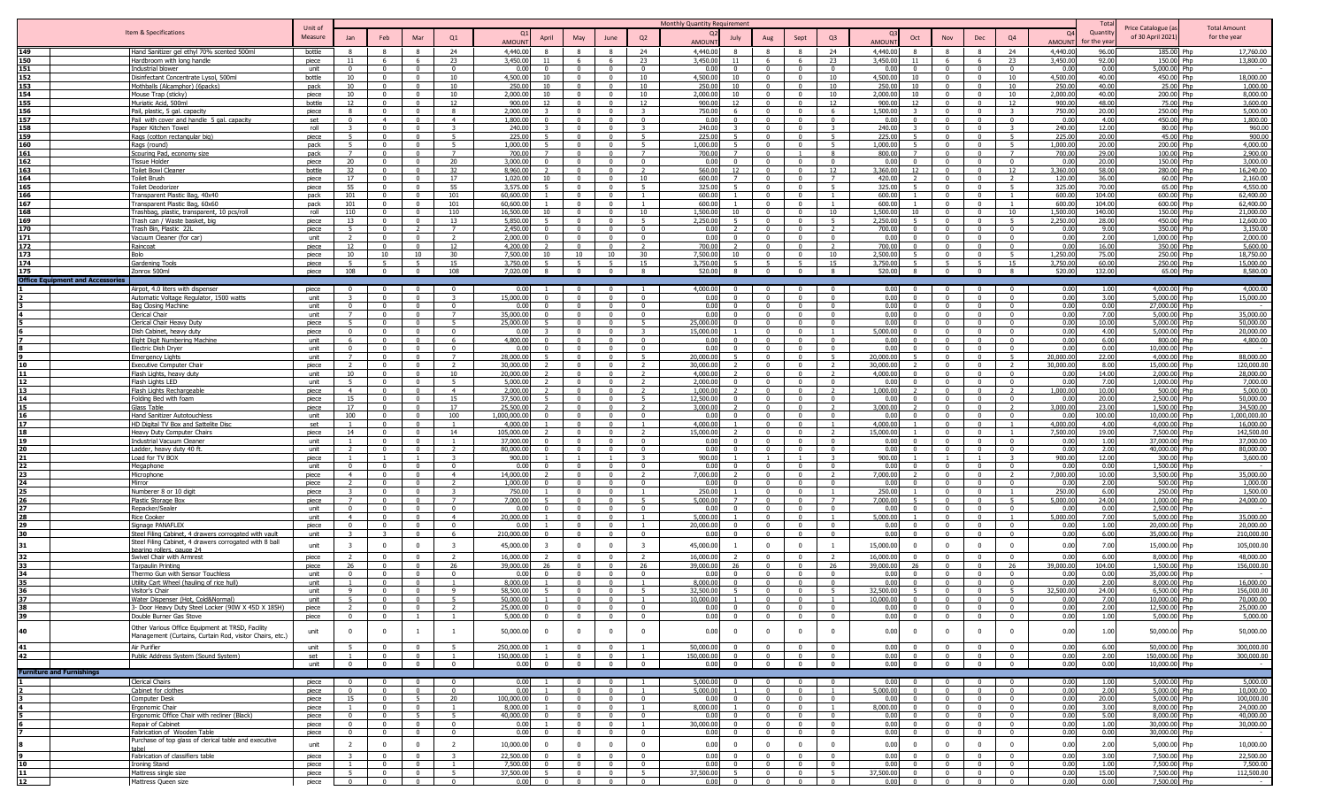|                                         |                                                                         |                |                                |                                      |                                            |                            |                                         |                                            |                                  |                                  | Monthly Quantity Requirement                    |                                  |                                  |                                  |                                           |                                  |                                  |                              |                      | Tot              |                                |                         |
|-----------------------------------------|-------------------------------------------------------------------------|----------------|--------------------------------|--------------------------------------|--------------------------------------------|----------------------------|-----------------------------------------|--------------------------------------------|----------------------------------|----------------------------------|-------------------------------------------------|----------------------------------|----------------------------------|----------------------------------|-------------------------------------------|----------------------------------|----------------------------------|------------------------------|----------------------|------------------|--------------------------------|-------------------------|
|                                         | Item & Specifications                                                   | Unit of        |                                |                                      |                                            |                            |                                         |                                            |                                  |                                  |                                                 |                                  |                                  |                                  |                                           |                                  |                                  |                              | - റ                  | Quantit          | Price Catalogue (a             | <b>Total Amount</b>     |
|                                         |                                                                         | Measure        | Jan                            | Feb                                  | Mar                                        | Q1                         | April<br><b>AMOUN</b>                   | May                                        | June                             | Q2                               | July<br>AMOUN                                   | Aug                              | Sept                             | Q <sub>3</sub>                   | Oct<br>AMOUN                              | Nov                              | Dec                              | Q <sub>4</sub>               | AMOUN                | r the vea        | of 30 April 2021               | for the year            |
| 149                                     | Hand Sanitizer gel ethyl 70% scented 500ml                              | bottle         |                                |                                      |                                            | 24                         | 4,440.00                                |                                            | -8                               | 24                               | 4,440.00                                        |                                  |                                  | 24                               | 4,440.00                                  |                                  |                                  | 24                           | 4,440.0              | 96.00            | 185.00 Php                     | 17,760.00               |
| 150                                     | Hardbroom with long handle                                              | piece          | -11                            | - 6                                  | 6                                          | 23                         | 3,450,00<br>11                          | - 6                                        | - 6                              | - 23                             | 3,450.00<br>- 11                                | - 6                              | - 6                              | 23                               | 3,450.0<br>11                             | - 6                              | - 6                              | 23                           | 3,450.00             | 92.00            | 150.00 Php                     | 13,800.00               |
| 151<br>152                              | Industrial blower                                                       | unit           | $\overline{0}$<br>10           | $\overline{0}$<br>$\overline{0}$     | $\overline{0}$<br>$\overline{0}$           | $\Omega$<br>10             | 0.00<br>$\Omega$<br>4,500.00<br>10      | $\overline{0}$<br>$\overline{0}$           | $\overline{0}$<br>$\overline{0}$ | $\Omega$<br>10                   | 0.00<br>$\Omega$<br>4,500.00<br>10              | $\Omega$<br>$\mathbf{0}$         | $\Omega$<br>$\Omega$             | $\Omega$<br>10                   | 0.00<br>$\Omega$<br>4,500.00<br>10        | $\mathbf{0}$<br>$\overline{0}$   | $\overline{0}$<br>$\overline{0}$ | $\Omega$<br>10               | 0.00<br>4,500.00     | 0.00<br>40.00    | 5,000.00 Php<br>450.00 Php     | 18,000.00               |
| 153                                     | Disinfectant Concentrate Lysol, 500ml<br>Mothballs (Alcamphor) (6packs) | bottle<br>pack | 10                             | $\Omega$                             | $\Omega$                                   | 10                         | 250.00<br>10                            | $\Omega$                                   | $\Omega$                         | 10                               | 250.00<br>10                                    | $\Omega$                         |                                  | 10                               | 250.0<br>10 <sup>1</sup>                  | $\mathbf{0}$                     | $\Omega$                         | 10                           | 250.0                | 40.00            | 25.00 Php                      | 1,000.00                |
| 154                                     | Mouse Trap (sticky)                                                     | piece          | 10                             | $\Omega$                             | $\overline{\mathbf{0}}$                    | 10                         | 2.000.00<br>10                          | $\Omega$                                   | $\mathbf{0}$                     | 10                               | 2.000.00<br>$10^{-1}$                           | $^{\circ}$                       | $\Omega$                         | 10                               | 2.000.00<br>10                            | $\overline{0}$                   | $\Omega$                         | 10                           | 2,000.00             | 40.00            | 200.00 Php                     | 8,000.00                |
| 155                                     | Muriatic Acid, 500ml                                                    | bottle         | 12                             | $\overline{\mathbf{0}}$              | $\mathbf 0$                                | 12                         | 900.00<br>12                            | $\Omega$                                   | $\overline{0}$                   | 12                               | 900.00<br>12                                    | $\Omega$                         | $\Omega$                         | 12                               | 900.00<br>12                              | $\mathbf{0}$                     | $\overline{\mathbf{0}}$          | 12                           | 900.00               | 48.00            | 75.00 Php                      | 3,600.00                |
| 156                                     | Pail, plastic, 5 gal. capacity                                          | piece          | -8                             | $\Omega$                             | $\Omega$                                   | -8                         | 2,000.00                                | $\Omega$                                   | $\overline{0}$                   | $\mathcal{R}$                    | 750.00                                          | $\Omega$                         | $\Omega$                         | - 6                              | 1,500.00                                  | $\Omega$                         | $\Omega$                         | $\mathbf{3}$                 | 750.00               | 20.00            | 250.00 Php                     | 5,000.00                |
| 157                                     | Pail with cover and handle 5 gal. capacity                              | set            | $\Omega$                       | $\overline{4}$                       | $\Omega$                                   | $\overline{4}$             | 1.800.00                                | $\sqrt{ }$                                 | $\Omega$                         |                                  | 0.00                                            |                                  |                                  | $\sqrt{2}$                       | 0.00                                      | $\Omega$                         |                                  | $\Omega$                     | 0.00                 | 4.00             | 450.00 Phn                     | 1,800.00                |
| 158                                     | Paper Kitchen Towel                                                     | roll           | $\mathbf{r}$<br>$\overline{5}$ | $\Omega$<br>$\Omega$                 | $\Omega$<br>$\mathbf{0}$                   |                            | 240.00<br>225.00                        | $\sqrt{ }$<br>$\Omega$                     | $\overline{0}$<br>$\overline{0}$ |                                  | 240.00<br>225.00                                | $\Omega$<br>$\Omega$             | $\Omega$                         | $\overline{\phantom{a}}$         | 240.00<br>225.00<br>$\mathbf{r}$          | $\Omega$<br>$\Omega$             | $\bigcap$<br>$\Omega$            | $\overline{z}$               | 240.00<br>225.00     | 12.00<br>20.00   | 80.00 Php<br>45.00 Php         | 960.00                  |
| 159<br>160                              | Rags (cotton rectangular big)<br>Rags (round)                           | piece<br>pack  | 5 <sup>1</sup>                 | $\Omega$                             | $\Omega$                                   |                            | 1.000.00                                | $\Omega$                                   | $\Omega$                         | $\overline{a}$                   | 1.000.00                                        | $\Omega$                         |                                  | 5                                | .000.00                                   | $\Omega$                         | $\Omega$                         | $\mathbf{E}$                 | 1.000.00             | 20.00            | 200.00 Php                     | 900.00<br>4.000.00      |
| 161                                     | Scouring Pad, economy size                                              | pack           | $\overline{7}$                 | $\Omega$                             | $\overline{0}$                             |                            | 700.00                                  | $\Omega$                                   | $\Omega$                         |                                  | 700.00                                          | $\Omega$                         |                                  | -8                               | 800.00                                    | $\Omega$                         |                                  |                              | 700.00               | 29.00            | 100.00 Php                     | 2,900.00                |
| 162                                     | <b>Tissue Holder</b>                                                    | piece          | 20                             | $\Omega$                             | $\Omega$                                   | 20                         | 3,000.00                                | $\Omega$                                   | $\mathbf{0}$                     |                                  | 0.00                                            | $\Omega$                         |                                  | - 0                              | 0.00<br>$\Omega$                          | $\Omega$                         | - 0                              | $\Omega$                     | 0.00                 | 20.00            | 150.00 Php                     | 3,000.00                |
| 163                                     | <b>Toilet Bowl Cleaner</b>                                              | bottle         | 32                             | $\Omega$                             | $\Omega$                                   | 32                         | 8,960.00                                | $\Omega$                                   | $\Omega$                         |                                  | 560.00<br>12                                    | $\Omega$                         | $\Omega$                         | 12                               | 3,360.00<br>12                            | $\Omega$                         | $\Omega$                         | 12                           | 3,360.00             | 58.00            | 280.00 Php                     | 16,240.00               |
| 164                                     | <b>Toilet Brush</b>                                                     | piece          | 17                             |                                      |                                            | 17                         | 1.020.00<br>10                          |                                            | $\Omega$                         | 10                               | 600.00                                          |                                  |                                  |                                  | 420.0                                     |                                  |                                  |                              | 120.00               | 36.00            | 60.00 Php                      | 2,160.00                |
| 165                                     | Toilet Deodorize                                                        | piece          | 55<br>101                      | $\Omega$<br>$\Omega$                 | $\Omega$<br>$\overline{0}$                 | 55<br>101                  | 3,575.00<br>60,600.0                    | n<br>$\sqrt{ }$                            | $\Omega$<br>$\Omega$             | $\overline{\phantom{0}}$         | 325.00<br>600.00                                | $\Omega$<br>$\Omega$             |                                  |                                  | 325.0<br>600.0                            | $\Omega$<br>$\Omega$             | $\Omega$<br>$\sqrt{ }$           | 5                            | 325.0                | 70.00            | 65.00 Php<br>600.00 Php        | 4,550.00<br>62,400.00   |
| 166<br>167                              | Transparent Plastic Bag, 40x40<br>Transparent Plastic Bag, 60x60        | pack<br>pack   | 101                            | $\overline{0}$                       | $\mathbf{0}$                               | 101                        | 60,600.00                               | $\overline{0}$                             | $\overline{0}$                   |                                  | 600.00                                          | $\Omega$                         | $\Omega$                         |                                  | 600.0                                     | $\mathbf{0}$                     | $\overline{0}$                   |                              | 600.0<br>600.0       | 104.00<br>104.00 | 600.00 Php                     | 62,400.00               |
| 168                                     | Trashbag, plastic, transparent, 10 pcs/roll                             | roll           | 110                            | $\Omega$                             | $\mathbf{0}$                               | 110                        | 16,500.0                                | $\Omega$                                   | $^{\circ}$                       | 10                               | 1,500.00<br>10.                                 |                                  |                                  | 10                               | ,500.0                                    | $^{\circ}$                       | $\Omega$                         | 10                           | 1,500.0              | 140.00           | 150.00 Php                     | 21,000.00               |
| 169                                     | Trash can / Waste basket, big                                           | piece          | 13                             | $\Omega$                             | $\mathbf{0}$                               | 13                         | 5,850.00                                | $\Omega$                                   | $\overline{0}$                   | - 5                              | 2,250.00                                        |                                  |                                  | - 5                              | 2,250.0                                   | $\mathbf{0}$                     | $\Omega$                         | 5                            | 2,250.0              | 28.00            | 450.00 Php                     | 12,600.00               |
| 170                                     | Trash Bin, Plastic 22L                                                  | piece          | -5                             | $\Omega$                             |                                            | $\overline{7}$             | 2,450.00                                | $\Omega$                                   | $\overline{\mathbf{0}}$          | $\Omega$                         | 0.00                                            |                                  |                                  |                                  | 700.0<br>$\Omega$                         | $\Omega$                         | $\Omega$                         | $\Omega$                     | 0.00                 | 9.00             | 350.00 Php                     | 3,150.00                |
| 171                                     | Vacuum Cleaner (for car)                                                | unit           |                                |                                      |                                            |                            | 2.000.00                                |                                            | $\Omega$                         |                                  | 0.00                                            |                                  |                                  | $\Omega$                         | 0 <sub>0</sub>                            |                                  | $\Omega$                         | $\Omega$                     | 0.00                 | 2.00             | 1,000.00 Php                   | 2,000.00                |
| 172                                     | Raincoat                                                                | piece          | 12                             |                                      |                                            | 12                         | 4,200,00                                |                                            | $\Omega$                         |                                  | 700.00                                          |                                  |                                  |                                  | 700.00                                    |                                  |                                  |                              | 0.00                 | 16.00            | 350.00 Php                     | 5,600.00                |
| 173                                     | Bolo                                                                    | piece          | 10 <sup>1</sup>                | 10<br>$\mathbf{r}$                   | 10<br>$\mathbf{r}$                         | 30                         | 7.500.00<br>10                          | 10<br>$\mathbf{r}$                         | 10<br>$\mathbf{r}$               | 30                               | 7,500.00<br>10 <sup>1</sup>                     | $\Omega$                         |                                  | 10                               | 2,500.00                                  | $\Omega$<br>$\overline{5}$       | $\sqrt{ }$<br>$\overline{a}$     | $\overline{5}$               | 1,250.00             | 75.00            | 250.00 Php                     | 18,750.00               |
| 174<br>175                              | Gardening Tool<br>Zonrox 500ml                                          | piece<br>piece | $\overline{5}$<br>108          | $\overline{0}$                       | $\overline{0}$                             | 15<br>108                  | 3,750.00<br>7.020.00<br>$\mathbf{R}$    | $\overline{0}$                             | $\overline{0}$                   | 15<br>8                          | 3,750.00<br>520.00<br>8                         | $\overline{0}$                   | $\overline{0}$                   | 15<br>8                          | 3,750.00<br>520.00<br>8                   | $\overline{0}$                   | $\overline{0}$                   | 15<br>8                      | 3,750.0<br>520.00    | 60.00<br>132.00  | 250.00 Php<br>65.00 Php        | 15,000.00<br>8,580.00   |
| <b>Office Equipment and Accessories</b> |                                                                         |                |                                |                                      |                                            |                            |                                         |                                            |                                  |                                  |                                                 |                                  |                                  |                                  |                                           |                                  |                                  |                              |                      |                  |                                |                         |
|                                         | Airpot, 4.0 liters with dispenser                                       | piece          |                                |                                      | $\Omega$                                   | $\Omega$                   | 0.00                                    |                                            | $\Omega$                         |                                  | 4.000.00                                        | $\Omega$                         |                                  | $\Omega$                         | 0.00                                      | $\Omega$                         |                                  | $\Omega$                     | 0.00                 | 1.00             | 4.000.00 Php                   | 4,000.00                |
|                                         | Automatic Voltage Regulator, 1500 watts                                 | unit           |                                | $\Omega$                             | $\Omega$                                   | $\mathbf{R}$               | 15,000.00                               | $\Omega$                                   | $\Omega$                         | $\Omega$                         | 0.00                                            | $\Omega$                         | $\Omega$                         | $\Omega$                         | 0.00<br>$\Omega$                          | $\Omega$                         | - 0                              | $\Omega$                     | 0.00                 | 3.00             | 5.000.00 Php                   | 15,000.00               |
|                                         | <b>Bag Closing Machine</b>                                              | unit           | $\Omega$                       | $\Omega$                             | $\mathbf{0}$                               | $\Omega$                   | 0.00                                    | $\Omega$                                   | $\overline{0}$                   | $\Omega$                         | 0.00                                            | $\Omega$                         | $\Omega$                         | $\Omega$                         | 0.00<br>$\Omega$                          | $\Omega$                         | $\sqrt{ }$                       | $\Omega$                     | 0.00                 | 0.00             | 27,000.00 Php                  |                         |
|                                         | Clerical Chair                                                          | unit           |                                | $\Omega$                             | $\Omega$                                   | $\overline{z}$             | 35,000.00                               | $\Omega$                                   | $\Omega$                         | $\Omega$                         | 0.00                                            | $\Omega$                         |                                  | $\Omega$                         | 0.00<br>$\Omega$                          | $\Omega$                         | $\Omega$                         |                              | 0.00                 | 7.00             | 5,000.00 Php                   | 35,000.00               |
|                                         | Clerical Chair Heavy Duty                                               | piece          |                                | $\Omega$                             | $\Omega$                                   |                            | 25,000.00                               | $\Omega$                                   | $\Omega$                         |                                  | 5.000.00                                        |                                  |                                  | $\Omega$                         | 0.00<br>$\Omega$                          | $^{\circ}$                       | $\Omega$                         |                              | 0.00                 | 10.00            | 5,000.00 Php                   | 50,000.00               |
|                                         | Dish Cabinet, heavy duty                                                | piece          | $\Omega$                       | $\overline{\phantom{0}}$             | $\mathbf 0$                                | $\Omega$                   | 0.00                                    | $\Omega$                                   | $\mathbf{0}$                     | $\mathcal{R}$                    | 15,000.00                                       | $\Omega$                         | $\Omega$                         |                                  | 5,000.00<br>$\Omega$                      | $\overline{0}$                   | $\mathbf{0}$                     | $^{\circ}$                   | 0.00                 | 4.00             | 5,000.00 Php                   | 20,000.00               |
|                                         | Eight Digit Numbering Machine                                           | unit           |                                | $\Omega$                             | $\Omega$                                   |                            | 4,800.00                                | $\Omega$                                   | $\Omega$                         |                                  | 0.00                                            |                                  |                                  | $\Omega$                         | 0.00                                      | $\Omega$                         | $\Omega$                         |                              | 0.00                 | 6.00             | 800.00 Php                     | 4,800.00                |
|                                         | Electric Dish Dryer                                                     | unit           |                                |                                      | $\Omega$                                   | $\Omega$                   | 0.00                                    | $\Omega$                                   | $\Omega$<br>$\Omega$             |                                  | 0.00                                            | $\Omega$                         |                                  | $\Omega$                         | 0.00                                      | $\Omega$                         | $\Omega$                         | $\Omega$                     | 0.00                 | 0.00             | 10.000.00 Php                  |                         |
|                                         | <b>Emergency Lights</b><br><b>Executive Computer Chair</b>              | unit<br>piece  |                                | $\Omega$                             | $\overline{0}$                             |                            | 28,000.00<br>30,000,00                  | $\Omega$                                   | $\Omega$                         | $\overline{2}$                   | 20,000.00<br>30.000.00                          | $\Omega$                         |                                  |                                  | 20,000.0<br>30,000.00                     | $\Omega$                         | $\sqrt{ }$                       | $\overline{2}$               | 20,000.0<br>30,000.0 | 22.00<br>8.00    | 4,000.00 Php<br>15,000.00 Php  | 88,000,00<br>120,000.00 |
|                                         | Flash Lights, heavy duty                                                | unit           | 10                             | $\Omega$                             | $\mathbf{0}$                               | 10                         | 20,000.00                               | $\Omega$                                   | $\overline{0}$                   | $\overline{2}$                   | 4.000.00                                        | $\Omega$                         | $\Omega$                         |                                  | 4,000.00<br>$\Omega$                      | $\Omega$                         | $\Omega$                         | $\Omega$                     | 0.00                 | 14.00            | 2,000.00 Php                   | 28,000.00               |
|                                         | Flash Lights LED                                                        | unit           | 5                              | $\Omega$                             | $\overline{0}$                             | -5                         | 5.000.00                                | $\Omega$                                   | $\overline{0}$                   | $\overline{2}$                   | 2.000.00<br>$\Omega$                            | $\Omega$                         |                                  | $\Omega$                         | 0.00<br>$\Omega$                          | $\mathbf{0}$                     | $\Omega$                         | $^{\circ}$                   | 0.00                 | 7.00             | 1,000.00 Php                   | 7,000.00                |
|                                         | Flash Lights Rechargeable                                               | piece          | $\sim$ 4                       | $\Omega$                             | $\overline{0}$                             | $\overline{4}$             | 2.000.00                                | $\Omega$                                   | $\mathbf{0}$                     | $\overline{z}$                   | 1.000.00                                        | $^{\circ}$                       | $\Omega$                         | $\overline{z}$                   | 1,000.00<br>$\mathcal{L}$                 | $\overline{0}$                   | $\sqrt{ }$                       | $\overline{z}$               | 1,000.00             | 10.00            | 500.00 Php                     | 5,000.00                |
|                                         | Folding Bed with foam                                                   | piece          | 15                             | $\overline{\mathbf{0}}$              | $\overline{\mathbf{0}}$                    | 15                         | 37,500.00                               | $\Omega$                                   | $\overline{\mathbf{0}}$          | 5                                | 12,500.00                                       | $\Omega$                         | $\Omega$                         | $\Omega$                         | 0.00<br>$\Omega$                          | $^{\circ}$                       | $\Omega$                         | $\mathbf{0}$                 | 0.00                 | 20.00            | 2,500.00 Php                   | 50,000.00               |
|                                         | Glass Table                                                             | piece          | 17                             | $\Omega$                             | $\Omega$                                   | 17                         | 25,500.00                               | $\Omega$                                   | $\Omega$                         | $\overline{2}$                   | 3,000.00                                        | $\Omega$                         | $\Omega$                         | $\overline{2}$                   | 3,000.00                                  | $\Omega$                         | $\Omega$                         | $\overline{z}$               | 3,000.00             | 23.00            | 1,500.00 Php                   | 34,500.00               |
|                                         | Hand Sanitizer Autotouchless                                            | unit           | 100                            | $\Omega$                             | $\overline{0}$                             | 100                        | 1.000.000.00                            | $\Omega$                                   | $\overline{0}$                   | $\Omega$                         | 0.00                                            | $\Omega$                         | $\Omega$                         | $\sqrt{ }$                       | 0 <sub>0</sub><br>$\Omega$                | $\overline{0}$                   | $\Omega$                         | $\Omega$                     | 0.00                 | 100.00           | 10,000,00 Php                  | 1.000.000.00            |
| 17                                      | HD Digital TV Box and Sattelite Disc                                    | set            |                                | $\sqrt{ }$                           | $\overline{0}$                             | $\overline{1}$             | 4.000.00                                | $\sqrt{ }$                                 | $\Omega$                         | $\overline{1}$                   | 4.000.00                                        | $\Omega$                         | $\Omega$                         |                                  | 4.000.0                                   | $\Omega$                         | $\Omega$                         | $\overline{1}$               | 4.000.00             | 4.00             | 4.000.00 Php                   | 16,000.00               |
| 18<br>19                                | Heavy Duty Computer Chairs                                              | piece          | 14                             | $\Omega$<br>$\Omega$                 | $\overline{0}$<br>$\overline{0}$           | 14<br>$\overline{1}$       | 105,000.00<br>37,000.00                 | $\overline{0}$<br>$\Omega$                 | $\overline{0}$<br>$\overline{0}$ | $\overline{2}$<br>$^{\circ}$     | 15,000.00<br>0.00<br>$\Omega$                   | $\Omega$<br>$\Omega$             | $\Omega$<br>$\Omega$             | $\overline{2}$<br>$\mathbf{0}$   | 15,000.0<br>0.00<br>$\Omega$              | $\overline{0}$<br>$\Omega$       | $\Omega$<br>$\overline{0}$       |                              | 7,500.00<br>0.00     | 19.00<br>1.00    | 7,500.00 Php<br>37,000.00 Php  | 142,500.00<br>37,000.00 |
| 20                                      | <b>Industrial Vacuum Cleaner</b><br>Ladder, heavy duty 40 ft.           | unit<br>unit   |                                | $\Omega$                             | $\overline{0}$                             | $\mathcal{L}$              | 80,000.00                               | $\Omega$                                   | $\Omega$                         | $\Omega$                         | 0.00                                            | $\Omega$                         |                                  | $\Omega$                         | 0.00<br>$\Omega$                          | $\overline{0}$                   | $\Omega$                         | $^{\circ}$                   | 0.00                 | 2.00             | 40,000,00 Php                  | 80,000,00               |
|                                         | Load for TV BOX                                                         | piece          |                                |                                      |                                            | $\mathcal{R}$              | 900.00                                  |                                            | $\overline{1}$                   |                                  | 900.00                                          |                                  |                                  | $\mathcal{R}$                    | 900.00                                    |                                  |                                  |                              | 900.00               | 12.00            | 300.00 Php                     | 3,600.00                |
| 22                                      | Megaphone                                                               | unit           | $\Omega$                       | $\Omega$                             | $\Omega$                                   | $\Omega$                   | 0.00                                    | $\Omega$                                   | $\overline{0}$                   |                                  | 0.00                                            | $\Omega$                         |                                  | $\Omega$                         | 0.00<br>$\Omega$                          | $\Omega$                         | $\Omega$                         | $\Omega$                     | 0.00                 | 0.00             | 1,500.00 Php                   |                         |
| 23                                      | Microphone                                                              | niece          | $\overline{4}$                 | $\Omega$                             | $\Omega$                                   | $\overline{4}$             | 14,000.00                               | $\Omega$                                   | $\Omega$                         |                                  | 7.000.00                                        | $\Omega$                         | $\Omega$                         |                                  | 7.000.00                                  | $\Omega$                         | $\Omega$                         |                              | 7.000.00             | 10.00            | 3.500.00 Php                   | 35,000.00               |
|                                         | Mirror                                                                  | niece          |                                |                                      | $\Omega$                                   |                            | 1.000.00                                | $\sqrt{ }$                                 | $\Omega$                         |                                  | 0.00                                            | $\sqrt{ }$                       |                                  | $\sqrt{2}$                       | 0.00                                      | $\Omega$                         |                                  |                              | 0.00                 | 2.00             | 500.00 Php                     | 1.000.00                |
| 25                                      | Numberer 8 or 10 digit                                                  | piece          |                                | $\Omega$                             | $\Omega$                                   |                            | 750.00                                  | $\Omega$                                   | $\Omega$                         |                                  | 250.00                                          | $\Omega$                         |                                  |                                  | 250.00                                    | $\Omega$                         | $\sqrt{ }$                       |                              | 250.00               | 6.00             | 250.00 Php                     | 1,500.00                |
| 26                                      | Plastic Storage Box                                                     | piece          | $\overline{7}$                 | $\overline{0}$                       | $\mathbf{0}$                               | $\overline{7}$             | 7,000.00                                | $\Omega$                                   | $\mathbf{0}$                     | 5 <sup>5</sup>                   | 5,000.00<br>$\overline{z}$                      | $\mathbf{0}$                     | $\Omega$                         | $\overline{7}$                   | 7,000.00                                  | $\mathbf{0}$                     | $\Omega$                         | 5                            | 5,000.0              | 24.00            | 1,000.00 Php                   | 24,000.00               |
| 27<br>28                                | Repacker/Sealer                                                         | unit           | $\overline{4}$                 | $\Omega$<br>$\overline{\phantom{0}}$ | $\overline{0}$<br>$\mathbf{0}$             | $\Omega$<br>$\overline{4}$ | 0.00<br>20,000.00                       | $\Omega$                                   | $^{\circ}$<br>$\mathbf{0}$       |                                  | 0.00<br>5,000.00                                | $\Omega$                         |                                  | $\Omega$                         | 0.00<br>$\Omega$<br>5,000.00              | $^{\circ}$<br>$^{\circ}$         | - 0                              |                              | 0.0<br>5,000.00      | 0.00<br>7.00     | 2,500.00 Php<br>5,000.00 Php   | 35,000.00               |
| 29                                      | Rice Cooker<br>Signage PANAFLEX                                         | unit<br>piece  | $\Omega$                       | $\Omega$                             | $\mathbf{0}$                               | $\Omega$                   | 0.00                                    | $\Omega$                                   | $\mathbf{0}$                     |                                  | 20,000.00                                       | $\Omega$                         | $\Omega$                         | - 0                              | 0.00<br>$\Omega$                          | $\Omega$                         | - 0                              | $\Omega$                     | 0.00                 | 1.00             | 20,000.00 Php                  | 20,000.00               |
| 30                                      | Steel Filing Cabinet, 4 drawers corrogated with vault                   | unit           |                                |                                      | $\Omega$                                   | - 6                        | 210,000.00                              | $\Omega$                                   | $\Omega$                         | $\Omega$                         | 0.00                                            | $\Omega$                         | $\Omega$                         | $\Omega$                         | 0.00<br>$\Omega$                          | $\Omega$                         | $\Omega$                         | $\Omega$                     | 0.00                 | 6.00             | 35,000.00 Php                  | 210,000.00              |
| 31                                      | Steel Filing Cabinet, 4 drawers corrogated with 8 ball                  | unit           | $\overline{\mathbf{3}}$        | $\overline{0}$                       | $\overline{0}$                             | 3                          | 45,000.00<br>-3                         | $\mathbf{0}$                               | $\overline{0}$                   | $\overline{\mathbf{3}}$          | 45,000.00                                       | $\Omega$                         | $\Omega$                         |                                  | 15,000.0<br>$^{\circ}$                    | $^{\circ}$                       | $\Omega$                         | $\Omega$                     | 0.00                 | 7.00             | 15,000.00 Php                  | 105,000.00              |
|                                         | bearing rollers, gauge 24                                               |                |                                |                                      |                                            |                            |                                         |                                            |                                  |                                  |                                                 |                                  |                                  |                                  |                                           |                                  |                                  |                              |                      |                  |                                |                         |
|                                         | Swivel Chair with Armrest                                               | piece<br>niece | 26                             |                                      | $\Omega$<br>$\Omega$                       | 26                         | 16,000.0<br>39,000.00                   |                                            | $\Omega$<br>$\Omega$             | 26                               | 16,000.00<br>39,000.00                          | $\Omega$                         |                                  | 26                               | 16,000.0<br>39,000.0                      |                                  | $\Omega$                         | 26                           | 0.00<br>39,000.00    | 6.00<br>104.00   | 8,000.00 Php<br>1.500.00 Php   | 48,000.00<br>156,000.00 |
| 33<br>34                                | <b>Tarpaulin Printing</b><br>Thermo Gun with Sensor Touchless           | unit           | $\Omega$                       | $\Omega$                             | $\Omega$                                   | $\Omega$                   | 0.OC                                    | $\Omega$                                   | $\Omega$                         | $\Omega$                         | 0.00                                            | $\Omega$                         | $\Omega$                         | $\sqrt{ }$                       | 0.00<br>$\Omega$                          | $\Omega$                         | $\Omega$                         | $\Omega$                     | 0.00                 | 0.00             | 35,000.00 Php                  |                         |
| 35                                      | Utility Cart Wheel (hauling of rice hull)                               | unit           |                                | $\Omega$                             | $\mathbf{0}$                               | $\overline{1}$             | 8,000.00                                | $\Omega$                                   | $\overline{0}$                   |                                  | 8,000.00                                        | $\overline{0}$                   | $\Omega$                         | $\Omega$                         | 0.00<br>$\Omega$                          | $\Omega$                         | $\Omega$                         | $\Omega$                     | 0.00                 | 2.00             | 8,000.00 Php                   | 16,000.00               |
| 36                                      | Visitor's Chair                                                         | unit           | 9                              | $\Omega$                             | $\Omega$                                   | Q                          | 58,500.00                               | $\Omega$                                   | $\Omega$                         |                                  | 32,500.00                                       | $\Omega$                         | $\Omega$                         |                                  | 32,500.00                                 | $\Omega$                         | $\mathbf{0}$                     |                              | 2,500.00             | 24.00            | 6,500.00 Php                   | 156,000.00              |
| 37                                      | Water Dispenser (Hot, Cold&Normal)                                      | unit           | 5                              | $\overline{0}$                       | $\overline{0}$                             |                            | 50,000,00                               | $\mathbf{0}$                               | $\mathbf 0$                      |                                  | 10.000.00                                       | $\mathbf{0}$                     | $\Omega$                         |                                  | 10,000.00<br>$\Omega$                     | $\mathbf{0}$                     | $\Omega$                         |                              | 0.00                 | 7.00             | 10,000.00 Php                  | 70,000,00               |
|                                         | 3- Door Heavy Duty Steel Locker (90W X 45D X 185H)                      | piece          | <sup>2</sup>                   | - 0                                  | - 0                                        |                            | 25,000,00                               | $\begin{array}{ccc} 0 & 1 & 0 \end{array}$ | $\Omega$                         | - 0                              | 0.00<br>$\overline{0}$                          | $\mathbf{0}$                     | $^{\circ}$                       | - 0                              | 0.00                                      | $0 \quad 1 \quad 0$              | - 0                              |                              | 0.00                 | 2.00             | 12.500.00 Php                  | 25,000.00               |
| $\frac{50}{39}$                         | Double Burner Gas Stove                                                 | piece          | $\overline{0}$                 | $\overline{\mathbf{0}}$              | $\overline{1}$                             | $\mathbf{1}$               | 5,000.00 0                              | $\overline{\phantom{0}}$                   | $\overline{0}$                   | $\overline{\mathbf{0}}$          | 0.00<br>$\overline{\mathbf{0}}$                 | $\overline{0}$                   | $\overline{\mathbf{0}}$          | $\overline{\mathbf{0}}$          | 0.00<br>$\overline{0}$                    | $\overline{\mathbf{0}}$          | $\overline{\mathbf{0}}$          | $\overline{0}$               | 0.00                 | 1.00             | 5,000.00 Php                   | 5,000.00                |
|                                         | Other Various Office Equipment at TRSD, Facility                        |                |                                |                                      |                                            |                            |                                         |                                            |                                  | $\Omega$                         |                                                 |                                  |                                  |                                  |                                           |                                  | $\Omega$                         |                              |                      |                  |                                |                         |
| 40                                      | Management (Curtains, Curtain Rod, visitor Chairs, etc.)                | unit           | $\Omega$                       | $\overline{\mathbf{0}}$              |                                            | $\overline{1}$             | 50,000.00                               | $\mathbf{0}$                               | $\overline{\mathbf{0}}$          |                                  | 0.00<br>$\overline{\mathbf{0}}$                 | $^{\circ}$                       |                                  | $\Omega$                         | 0.00<br>$^{\circ}$                        | $^{\circ}$                       |                                  | $\Omega$                     | 0.00                 | 1.00             | 50,000.00 Php                  | 50,000.00               |
|                                         |                                                                         | unit           | - 5                            | $\Omega$                             | $\mathbf{0}$                               | 5 <sup>1</sup>             | 250,000.00                              | $\overline{\mathbf{0}}$                    | $\overline{\mathbf{0}}$          | $\mathbf{1}$                     | 50,000.00<br>$\Omega$                           | $\Omega$                         | - 0                              | $\overline{0}$                   | 0.00<br>$\mathbf 0$                       | $\overline{\mathbf{0}}$          | $\overline{0}$                   | $\mathbf{0}$                 | 0.00                 | 6.00             | 50,000.00 Php                  | 300,000.00              |
|                                         | Air Purifier                                                            |                |                                |                                      |                                            |                            | 150,000.00                              | $\overline{\mathbf{0}}$                    | $\overline{0}$                   | $\mathbf{1}$                     | 150,000.00<br>$\Omega$                          | $\overline{0}$                   | $\overline{\mathbf{0}}$          | $\overline{0}$                   | 0.00<br>$\mathbf 0$                       | $\overline{\mathbf{0}}$          | $\overline{\mathbf{0}}$          | $\overline{0}$               | 0.00                 | 2.00             | 150,000.00 Php                 | 300,000.00              |
| 41<br>42                                | Public Address System (Sound System)                                    | set            |                                | $\overline{0}$                       | $\overline{0}$                             | $\overline{1}$             |                                         |                                            |                                  |                                  |                                                 |                                  | $\overline{\mathbf{0}}$          |                                  |                                           |                                  |                                  |                              |                      |                  |                                |                         |
|                                         |                                                                         | unit           | $\overline{0}$                 | $\overline{0}$                       | $\overline{0}$                             | $\overline{0}$             | 0.00<br>$\overline{0}$                  | $\overline{0}$                             | $\overline{0}$                   | $\overline{0}$                   | 0.00<br>$\overline{0}$                          | $\overline{0}$                   |                                  | $\overline{0}$                   | 0.00<br>$\overline{0}$                    | $\overline{0}$                   | $\overline{0}$                   | $\overline{0}$               | 0.00                 | 0.00             | 10,000.00 Php                  | $\sim$                  |
| <b>Furniture and Furnishings</b>        |                                                                         |                |                                |                                      |                                            |                            |                                         |                                            |                                  |                                  |                                                 |                                  |                                  |                                  |                                           |                                  |                                  |                              |                      |                  |                                |                         |
|                                         | Clerical Chairs                                                         | piece          |                                |                                      | $\overline{0}$                             |                            | 0.00                                    | $\Omega$                                   | $\mathbf{0}$                     |                                  | 5,000.00                                        |                                  |                                  |                                  | 0.00<br>$\Omega$                          |                                  |                                  |                              | 0.00                 | 1.00             | 5,000.00 Php                   | 5,000.00                |
|                                         | Cabinet for clothes                                                     | piece          | $\overline{0}$                 | $\overline{0}$                       | $\overline{0}$                             | $\mathbf{0}$               | 0.00                                    | $\overline{0}$                             | $\overline{0}$                   | - 1                              | 5,000.00                                        | $\Omega$                         |                                  |                                  | 5,000.00<br>$\Omega$                      | $\overline{0}$                   | $\overline{0}$                   | $\Omega$                     | 0.00                 | 2.00             | 5,000.00 Php                   | 10,000.00               |
|                                         | Computer Desk                                                           | piece          | 15                             | $\overline{\mathbf{0}}$              | 5                                          | 20                         | 100,000.00<br>$\Omega$                  | $\overline{\mathbf{0}}$                    | $\overline{0}$                   | $\overline{\mathbf{0}}$          | 0.00<br>$^{\circ}$                              | $\overline{0}$                   | $\Omega$                         | $\mathbf{0}$                     | 0.00<br>$\mathbf{0}$                      | $\overline{\mathbf{0}}$          | $\overline{0}$                   | $\overline{0}$               | 0.00                 | 20.00            | 5,000.00 Php                   | 100,000.00              |
|                                         | Ergonomic Chair                                                         | piece          |                                | $\Omega$                             | $\overline{0}$                             | $\overline{1}$             | 8,000.00                                | $\Omega$                                   | $\overline{0}$                   | $\overline{1}$                   | 8,000.00                                        | $\overline{0}$                   | $\Omega$                         |                                  | 8,000.00<br>$\Omega$                      | $\Omega$                         | $\overline{0}$                   | $\Omega$                     | 0.00                 | 3.00             | 8,000.00 Php                   | 24,000.00               |
|                                         | Ergonomic Office Chair with recliner (Black)                            | piece          | $\mathbf{0}$<br>$\overline{0}$ | $\overline{0}$<br>$\overline{0}$     | 5                                          | $-5$<br>$^{\circ}$         | 40,000,00<br>$\Omega$<br>$\overline{1}$ | $\overline{0}$<br>$\sqrt{ }$               | $\overline{0}$<br>$\overline{0}$ | $\overline{0}$<br>$\overline{1}$ | 0.00<br>$\mathbf{0}$<br>$\mathbf{0}$            | $\overline{0}$<br>$\overline{0}$ | $\overline{0}$<br>$\overline{0}$ | $\overline{0}$<br>$\overline{0}$ | 0.00<br>$\mathbf{0}$<br>0.00<br>$\Omega$  | $\overline{0}$<br>$\overline{0}$ | $\overline{0}$<br>$\sim$         | $\overline{0}$<br>$^{\circ}$ | 0.00                 | 5.00             | 8,000.00 Php                   | 40,000.00               |
|                                         | Repair of Cabinet<br>Fabrication of Wooden Table                        | piece<br>piece | $\overline{0}$                 | $\overline{\mathbf{0}}$              | $\overline{0}$<br>$\overline{\phantom{0}}$ | $\mathbf{0}$               | 0.00<br>0.00                            | $\overline{\mathbf{0}}$                    | $\overline{0}$                   | $\overline{0}$                   | 30,000.00<br>0.00<br>$\overline{0}$             | $\overline{\mathbf{0}}$          | $\overline{0}$                   | $\overline{0}$                   | 0.00<br>$\overline{0}$                    | $\overline{0}$                   | $\overline{0}$                   | $\overline{0}$               | 0.00<br>0.00         | 1.00<br>0.00     | 30,000.00 Php<br>30,000.00 Php | 30,000.00               |
|                                         | Purchase of top glass of clerical table and executive                   |                |                                |                                      |                                            |                            |                                         |                                            |                                  |                                  |                                                 |                                  |                                  |                                  |                                           |                                  |                                  |                              |                      |                  |                                |                         |
|                                         |                                                                         | unit           | $\overline{2}$                 | $\overline{\mathbf{0}}$              | $\overline{\mathbf{0}}$                    | 2                          | 10,000.00<br>$^{\circ}$                 | $\overline{\mathbf{0}}$                    | $\overline{\mathbf{0}}$          | $\overline{0}$                   | 0.00<br>$\mathbf{0}$                            | $\mathbf{0}$                     | $\overline{0}$                   | $\mathbf{0}$                     | 0.00<br>$\mathbf{0}$                      | $\overline{0}$                   | $\overline{0}$                   | $\mathbf{0}$                 | 0.00                 | 2.00             | 5,000.00 Php                   | 10,000.00               |
|                                         | Fabrication of classifiers table                                        | piece          | $\mathbf{R}$                   | $\overline{0}$                       | $\overline{0}$                             | $\mathbf{R}$               | 22,500.00                               | $\sqrt{ }$                                 | $\overline{0}$                   | $\overline{0}$                   | 0.00                                            | $\Omega$                         | $\sqrt{ }$                       | $\sqrt{ }$                       | 0.00<br>$\Omega$                          | $\overline{0}$                   | $\sqrt{2}$                       | $\Omega$                     | 0.00                 | 3.00             | 7,500.00 Php                   | 22,500.00               |
|                                         | Ironing Stand<br>Mattress single size                                   | piece<br>piece | $\overline{5}$                 | $\overline{0}$<br>$\overline{0}$     | $\overline{0}$<br>$\overline{0}$           |                            | 7,500.00<br>37,500.00                   | $\overline{0}$<br>$\overline{0}$           | $\overline{0}$<br>$\overline{0}$ | $\overline{0}$<br>$\overline{5}$ | 0.00<br>$\Omega$<br>37,500.00<br>$\overline{a}$ | $\overline{0}$<br>$\mathbf{0}$   | $\Omega$<br>$\Omega$             | $\overline{0}$<br>5 <sup>5</sup> | 0.00<br>$\Omega$<br>37,500.00<br>$\Omega$ | $\overline{0}$<br>$\overline{0}$ | $\Omega$<br>$\overline{0}$       | $\Omega$                     | 0.00<br>0.00         | 1.00<br>15.00    | 7,500.00 Php<br>7,500.00 Php   | 7,500.00<br>112,500.00  |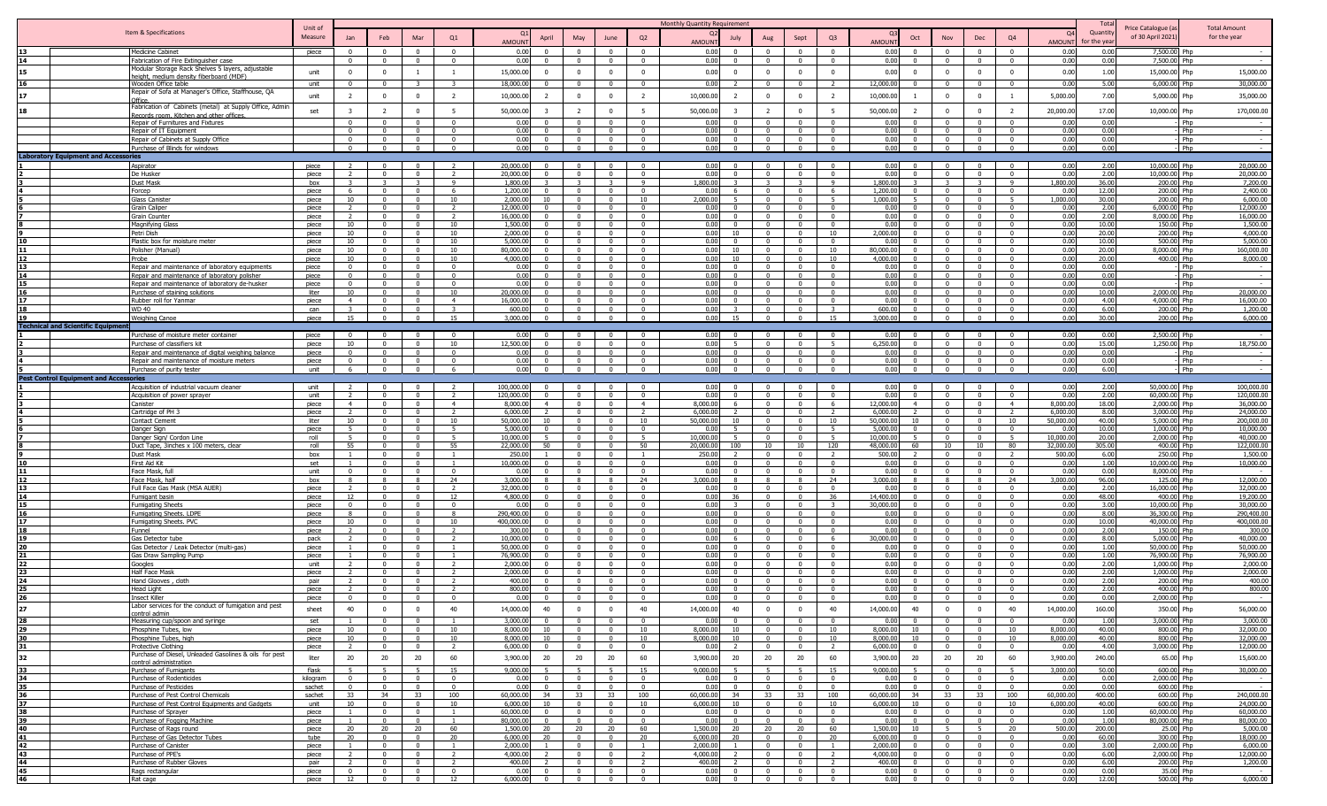|          |                                                                                            |                    |                            |                                        |                                                    |                                  |                          |                      |                                  |                                                     |                                            | Monthly Quantity Requirement |                      |                                  |                                           |                                     |                                              |                                                    |                                           |                            |                        | Total           |                                        |                                     |
|----------|--------------------------------------------------------------------------------------------|--------------------|----------------------------|----------------------------------------|----------------------------------------------------|----------------------------------|--------------------------|----------------------|----------------------------------|-----------------------------------------------------|--------------------------------------------|------------------------------|----------------------|----------------------------------|-------------------------------------------|-------------------------------------|----------------------------------------------|----------------------------------------------------|-------------------------------------------|----------------------------|------------------------|-----------------|----------------------------------------|-------------------------------------|
|          | Item & Specifications                                                                      | Unit of<br>Measure |                            | Feb                                    | Mar                                                | Q1                               |                          |                      |                                  | June                                                | Q2                                         | $\Omega$                     |                      |                                  | Sept                                      | Q <sub>3</sub>                      | Oct                                          | Nov                                                | Dec                                       | Q4                         | $\Omega$               | Quantity        | Price Catalogue (a<br>of 30 April 2021 | <b>Total Amount</b><br>for the year |
|          |                                                                                            |                    |                            |                                        |                                                    |                                  | AMOUNT                   | April                | May                              |                                                     |                                            | <b>AMOUNT</b>                | July                 | Aug                              |                                           |                                     | <b>AMOUN</b>                                 |                                                    |                                           |                            | <b>AMOUN</b>           | or the yea      |                                        |                                     |
|          | <b>Medicine Cabinet</b>                                                                    | piece              | $\Omega$                   | $^{\circ}$                             | $\Omega$                                           | $\Omega$                         | 0.00                     |                      | $\Omega$                         | $\Omega$                                            | $\Omega$                                   | 0.00                         |                      | $\Omega$                         |                                           | $\Omega$                            | 0.00<br>$\Omega$                             | $\Omega$                                           | $\Omega$                                  | $\Omega$                   | 0.00                   | 0.00            | 7,500.00 Php                           |                                     |
|          | Fabrication of Fire Extinguisher case<br>Modular Storage Rack Shelves 5 layers, adjustable |                    | $\Omega$                   | $\overline{0}$                         | $\Omega$                                           | $\Omega$                         | 0.00                     | $\Omega$             | $\Omega$                         | $\Omega$                                            | $\Omega$                                   | 0.00                         | $\Omega$             | $\Omega$                         | $\Omega$                                  | $\overline{0}$                      | 0.00<br>$\Omega$                             | $\Omega$                                           | $\Omega$                                  | $\Omega$                   | 0.00                   | 0.00            | 7,500.00 Php                           | $\sim$                              |
| 15       | height, medium density fiberboard (MDF)                                                    | unit               | $\Omega$                   | $^{\circ}$                             | $\overline{1}$                                     | $\overline{1}$                   | 15,000.00                | $\Omega$             | $\mathbf 0$                      | $\Omega$                                            | $\Omega$                                   | 0.00                         | $\Omega$             | $\Omega$                         | $\Omega$                                  | $\mathbf{0}$                        | 0.00<br>$^{\circ}$                           | $^{\circ}$                                         | $\Omega$                                  | $\bf{0}$                   | 0.00                   | 1.00            | 15,000.00 Php                          | 15,000.00                           |
|          | Wooden Office table                                                                        | unit               |                            | $\Omega$                               |                                                    |                                  | 18,000.00                |                      | $\Omega$                         | $\Omega$                                            | $\Omega$                                   | 0.00                         |                      |                                  |                                           |                                     | 12,000.00<br>$\Omega$                        | $\Omega$                                           | $\Omega$                                  | $\Omega$                   | 0.00                   | 5.00            | 6,000.00                               | 30,000.00                           |
| 17       | Repair of Sofa at Manager's Office, Staffhouse, QA<br>Office                               | unit               | 2                          | $^{\circ}$                             | $^{\circ}$                                         | 2                                | 10,000.00                |                      | $\mathbf 0$                      | $\mathbf 0$                                         | $\overline{2}$                             | 10,000.00                    |                      | $\mathbf{0}$                     | $\Omega$                                  | 2                                   | 10,000.0                                     | $^{\circ}$                                         | $\overline{0}$                            | $\overline{1}$             | 5,000.00               | 7.00            | 5,000.00 Php                           | 35,000.00                           |
| 18       | Fabrication of Cabinets (metal) at Supply Office, Admir                                    |                    | -3                         |                                        |                                                    | -5                               |                          |                      |                                  | $\Omega$                                            |                                            |                              | $\mathbf{R}$         | $\mathcal{L}$                    | $\Omega$                                  | - 5                                 |                                              |                                                    | $\overline{0}$                            | $\overline{2}$             |                        |                 |                                        |                                     |
|          | <u>Records room. Kitchen and other offices</u>                                             | set                |                            | -2                                     | $\Omega$                                           |                                  | 50,000.00                |                      | 2                                |                                                     | 5                                          | 50,000.00                    |                      |                                  |                                           |                                     | 50,000.00<br><sup>2</sup>                    | $^{\circ}$                                         |                                           |                            | 20,000.00              | 17.00           | 10,000.00 Php                          | 170,000.00                          |
|          | Repair of Furnitures and Fixtures                                                          |                    | $\Omega$                   | $\Omega$<br>$\Omega$                   | $\Omega$<br>$\Omega$                               | . വ<br>$\Omega$                  | 0.00<br>0.00             | $\Omega$             | $\Omega$<br>$\Omega$             | $\Omega$<br>$\Omega$                                | $\Omega$<br>$\Omega$                       | 0.00<br>0.00                 | $\Omega$<br>$\Omega$ | $^{\circ}$<br>$\Omega$           | $\Omega$                                  | $\Omega$<br>$\overline{\mathbf{0}}$ | 0.00<br>$\Omega$<br>0.00<br>$\Omega$         | $\Omega$<br>$\overline{0}$                         | $\Omega$<br>$\Omega$                      | $^{\circ}$<br>$\Omega$     | 0.00<br>0.00           | 0.00<br>0.00    |                                        | Phn<br>l Php<br>$\sim$              |
|          | Repair of IT Equipment<br>Repair of Cabinets at Supply Office                              |                    |                            | $\Omega$                               | $\Omega$                                           | $\Omega$                         | 0.00                     |                      | $\Omega$                         |                                                     | $\Omega$                                   | 0.00                         | $\Omega$             | $\Omega$                         |                                           | $\overline{0}$                      | 0.00<br>$\Omega$                             | $\Omega$                                           | $\Omega$                                  | $\Omega$                   | 0.00                   | 0.00            |                                        | Php                                 |
|          | Purchase of Blinds for windows                                                             |                    | $\Omega$                   | $\overline{0}$                         | $\mathbf{0}$                                       | $\overline{0}$                   | 0.00                     |                      | $\overline{0}$                   | $\Omega$                                            | $\overline{0}$                             | 0.00                         | $\Omega$             | $\mathbf{0}$                     | $\Omega$                                  | $\overline{0}$                      | 0.00<br>$\Omega$                             | $\Omega$                                           | $\overline{0}$                            | $\overline{0}$             | 0.00                   | 0.00            |                                        | $-$ Php                             |
|          | <b>Laboratory Equipment and Accessories</b>                                                |                    |                            |                                        |                                                    |                                  |                          |                      |                                  |                                                     |                                            |                              |                      |                                  |                                           |                                     |                                              |                                                    |                                           |                            |                        |                 |                                        |                                     |
|          | Aspirator                                                                                  | piece              |                            |                                        |                                                    |                                  | 20,000.00                |                      | $\Omega$                         |                                                     |                                            | 0.00                         |                      |                                  |                                           | $\Omega$                            | 0.00                                         |                                                    |                                           |                            | 0.00                   | 2.00            | 0,000.00 Php                           | 20,000.00                           |
|          | De Husker                                                                                  | piece              |                            | $\Omega$                               | $\Omega$                                           | $\mathcal{L}$                    | 20,000.00                |                      | $\mathbf{0}$                     | $\Omega$                                            | $\overline{\mathbf{0}}$                    | 0.00                         |                      | $\Omega$                         |                                           | $\mathbf{0}$                        | 0.00<br>$\Omega$                             | $\mathbf{0}$                                       | $\Omega$                                  | $\mathbf{0}$               | 0.00                   | 2.00            | 10,000.00 Php                          | 20,000.00                           |
|          | Dust Mask<br>Forcep                                                                        | box<br>piece       | 6                          | $\Omega$                               | $\mathcal{R}$<br>$\Omega$                          | -9<br>- 6                        | 1,800.00<br>1,200.00     |                      | -3<br>$\Omega$                   | -3<br>$\Omega$                                      | -9<br>$\Omega$                             | 1,800.00<br>0.00             |                      | $\Omega$                         | $\Omega$                                  | 9<br>6                              | 1,800.00<br>1,200.00<br>$\Omega$             | $\overline{\mathbf{3}}$<br>$\Omega$                | $\overline{\mathbf{3}}$<br>$\Omega$       | -9<br>$\Omega$             | 1,800.00<br>0.00       | 36.00<br>12.00  | 200.00 Php<br>200.00 Php               | 7,200.00<br>2,400.00                |
|          | Glass Caniste                                                                              | piece              | 10                         | $\Omega$                               | $\Omega$                                           | 10                               | 2.000.00                 |                      | $\Omega$                         | $\Omega$                                            | 10                                         | 2.000.00                     |                      | $\Omega$                         |                                           | - 5                                 | 1.000.00                                     | $\Omega$                                           | $\Omega$                                  | 5 <sup>5</sup>             | 1.000.00               | 30.00           | 200.00 Php                             | 6,000.00                            |
|          | Grain Caliper                                                                              | piece              |                            | $\Omega$                               | $\mathbf{0}$                                       | $\overline{2}$                   | 12,000.00                |                      | $\Omega$                         | $\Omega$                                            | $\sqrt{ }$                                 | 0.00                         | $\Omega$             | $\Omega$                         | $\Omega$                                  | $\overline{0}$                      | 0.00<br>$\Omega$                             | $\mathbf{0}$                                       | $\Omega$                                  | $\Omega$                   | 0.00                   | 2.00            | 6,000.00 Php                           | 12,000.00                           |
|          | Grain Counter                                                                              | piece              | $\overline{2}$             | $\mathbf{0}$                           | $\mathbf{0}$                                       | $\overline{2}$                   | 16,000.00                | $\Omega$             | $\Omega$                         | $\Omega$                                            | $\Omega$                                   | 0.00                         | $^{\circ}$           | $\Omega$                         | $\Omega$                                  | $\overline{0}$                      | 0.00<br>$\Omega$                             | $\overline{0}$                                     | $\Omega$                                  | $\Omega$                   | 0.00                   | 2.00            | 8,000.00 Php                           | 16,000.00                           |
|          | <b>Magnifying Glass</b>                                                                    | piece              | 10                         | $\mathbf{0}$<br>$\mathbf{0}$           | $\mathbf{0}$                                       | 10<br>10                         | 1,500.00<br>2.000.00     | $\Omega$             | $\mathbf{0}$<br>$\Omega$         | $\Omega$<br>$\Omega$                                | $\overline{0}$<br>$\Omega$                 | 0.00                         | $\overline{0}$       | $\overline{0}$<br>$\Omega$       | $\mathbf{0}$                              | $\overline{0}$                      | 0.00<br>$\mathbf{0}$<br>2,000.00<br>$\Omega$ | $\overline{0}$                                     | $\overline{0}$<br>$\Omega$                | $\mathbf{0}$               | 0.00                   | 10.00           | 150.00 Php                             | 1,500.00<br>4,000.00                |
|          | Petri Dish<br>Plastic box for moisture meter                                               | piece<br>piece     | 10<br>10                   | $\Omega$                               | $\mathbf 0$<br>$\Omega$                            | 10                               | 5,000.00                 |                      | $\Omega$                         | $\Omega$                                            | $\Omega$                                   | 0.00<br>0.00                 | 10<br>$\Omega$       | $\Omega$                         | $\Omega$                                  | 10<br>$\Omega$                      | 0.00<br>$\Omega$                             | $\mathbf{0}$<br>$\Omega$                           | $\Omega$                                  | $^{\circ}$<br>$^{\circ}$   | 0.00<br>0.00           | 20.00<br>10.00  | 200.00 Php<br>500.00 Php               | 5,000.00                            |
|          | Polisher (Manual)                                                                          | piece              | 10                         | $\Omega$                               | $\Omega$                                           | 10                               | 80,000.00                |                      | $\Omega$                         | $\Omega$                                            | $\Omega$                                   | 0.00                         | 10 <sup>1</sup>      | $\Omega$                         |                                           | 10                                  | 80,000.00<br>$\Omega$                        | $\Omega$                                           | $\Omega$                                  | $\Omega$                   | 0.00                   | 20.00           | 8,000.00 Php                           | 160,000.00                          |
|          | Probe                                                                                      | piece              | 10                         | $\Omega$                               | $\Omega$                                           | 10                               | 4,000.00                 |                      | $\Omega$                         | $\Omega$                                            | $\Omega$                                   | 0.00                         | 10 <sup>1</sup>      | $\Omega$                         |                                           | 10                                  | 4,000.00<br>$\Omega$                         | $\Omega$                                           | $\Omega$                                  | $\Omega$                   | 0.00                   | 20.00           | 400.00 Php                             | 8.000.00                            |
|          | Repair and maintenance of laboratory equipments                                            | piece              |                            |                                        | $\Omega$                                           |                                  | 0.00                     |                      |                                  |                                                     | $\sqrt{ }$                                 | 0.00                         |                      | $\Omega$                         |                                           | $\sqrt{ }$                          | 0.00                                         |                                                    | $\sqrt{ }$                                | $\sqrt{2}$                 | 0.00                   | 0.00            |                                        | Php                                 |
|          | Repair and maintenance of laboratory polisher                                              | piece              | $\Omega$                   | $\Omega$<br>$\Omega$                   | $\Omega$<br>$\Omega$                               | $\Omega$                         | 0.00<br>0.00             |                      | $\Omega$<br>$\Omega$             | $\Omega$<br>$\Omega$                                | $\sqrt{ }$<br>$\Omega$                     | 0.00<br>0.00                 | $\Omega$             | $\Omega$<br>$\Omega$             |                                           | $\overline{0}$<br>$\overline{0}$    | 0.00<br>0.00<br>$\Omega$                     | $\Omega$<br>$\Omega$                               | $\sqrt{ }$<br>$\mathbf{0}$                | $\Omega$                   | 0.00<br>0.00           | 0.00<br>0.00    |                                        | Php<br>Php                          |
|          | Repair and maintenance of laboratory de-husker<br>Purchase of staining solutions           | piece<br>liter     | 10                         | $\Omega$                               | $\Omega$                                           | 10                               | 20,000.0                 |                      | $\Omega$                         | $\Omega$                                            | $\Omega$                                   | 0.00                         |                      | $\Omega$                         |                                           | $\Omega$                            | 0.00<br>$\Omega$                             | $^{\circ}$                                         | $\Omega$                                  |                            | 0.00                   | 10.00           | 2,000.00 Php                           | 20,000.00                           |
|          | Rubber roll for Yanmar                                                                     | piece              | $\overline{4}$             | $\Omega$                               | $\mathbf{0}$                                       | $\overline{4}$                   | 16,000.0                 |                      | $\mathbf{0}$                     | $\Omega$                                            | $^{\circ}$                                 | 0.00                         | $^{\circ}$           | $\Omega$                         |                                           | $\overline{0}$                      | 0.00<br>$\Omega$                             | $\mathbf{0}$                                       | $\Omega$                                  | $\Omega$                   | 0.00                   | 4.00            | 4,000.00 Php                           | 16,000.00                           |
|          | <b>WD 40</b>                                                                               | can                |                            | $\Omega$                               | $^{\circ}$                                         |                                  | 600.00                   |                      | $\mathbf 0$                      | $\Omega$                                            | $\overline{0}$                             | 0.00                         |                      | $\mathbf{0}$                     |                                           |                                     | 600.00<br>$\Omega$                           | $^{\circ}$                                         | $\Omega$                                  | $\mathbf{0}$               | 0.00                   | 6.00            | 200.00 Php                             | 1,200.00                            |
|          | <b>Weighing Canoe</b>                                                                      | piece              | 15                         | $\mathbf{0}$                           | $\overline{0}$                                     | 15                               | 3.000.00                 |                      | $\overline{0}$                   | $\Omega$                                            | $\Omega$                                   | 0.00                         | 15                   | $\mathbf{0}$                     | $\Omega$                                  | 15                                  | 3,000,00<br>$\Omega$                         | $\overline{0}$                                     | $\Omega$                                  | $\overline{0}$             | 0.00                   | 30.00           | 200.00 Php                             | 6.000.00                            |
|          | <b>Technical and Scientific Equipn</b>                                                     |                    |                            |                                        |                                                    |                                  |                          |                      |                                  |                                                     |                                            |                              |                      |                                  |                                           |                                     |                                              |                                                    |                                           |                            |                        |                 |                                        |                                     |
|          | Purchase of moisture meter container                                                       | piece              |                            |                                        |                                                    | 10                               | 0.00<br>2,500.00         |                      |                                  |                                                     |                                            | 0.00<br>0.00                 |                      |                                  |                                           |                                     | 0.00<br>6,250.00                             |                                                    |                                           |                            | 0.00<br>0.00           | 0.01<br>15.00   | 2,500.00 Php<br>1,250.00 Php           | 18,750.00                           |
|          | Purchase of classifiers kit<br>Repair and maintenance of digital weighing balance          | piece<br>piece     |                            | $\Omega$                               | $\Omega$                                           | $\Omega$                         | 0.00                     |                      | $\Omega$                         |                                                     | $\Omega$                                   | 0.00                         |                      | $\Omega$                         |                                           | $\Omega$                            | 0.00<br>$\Omega$                             | $\Omega$                                           | $\Omega$                                  | $\Omega$                   | 0.00                   | 0.00            |                                        | Php                                 |
|          | Repair and maintenance of moisture meters                                                  | piece              |                            | $\Omega$                               | $\Omega$                                           | $\Omega$                         | 0.00                     |                      | $\Omega$                         |                                                     | $\Omega$                                   | 0.00                         |                      | $\Omega$                         |                                           | $\Omega$                            | 0.00<br>$\Omega$                             |                                                    |                                           | $\Omega$                   | 0.00                   | 0.00            |                                        | Php                                 |
|          | Purchase of purity tester                                                                  | unit               | 6                          | $\overline{\mathbf{0}}$                | $\overline{0}$                                     | 6                                | 0.00                     | $\overline{0}$       | $\overline{0}$                   | $\overline{\mathbf{0}}$                             | $\overline{0}$                             | 0.00                         | $\overline{0}$       | $\overline{0}$                   | $\overline{0}$                            | $\overline{0}$                      | 0.00<br>$\mathbf{0}$                         | $\overline{0}$                                     | $\overline{0}$                            | $\overline{0}$             | 0.00                   | 6.00            |                                        | - Php<br>$\sim$                     |
|          | <b>Pest Control Equipment and Accessories</b>                                              |                    |                            |                                        |                                                    |                                  |                          |                      |                                  |                                                     |                                            |                              |                      |                                  |                                           |                                     |                                              |                                                    |                                           |                            |                        |                 |                                        |                                     |
|          | Acquisition of industrial vacuum cleaner                                                   | unit<br>unit       | $\overline{\phantom{a}}$   | $\Omega$<br>$\Omega$                   | $\Omega$<br>$\Omega$                               | <sup>2</sup>                     | 100.000.00<br>120,000.00 | $\Omega$             | $\Omega$<br>$\Omega$             | $\Omega$<br>$\Omega$                                | $\Omega$<br>$\mathbf{0}$                   | 0.00<br>0.00                 | $^{\circ}$           | $\Omega$<br>$\Omega$             | $\Omega$                                  | $\overline{0}$<br>$\overline{0}$    | 0.00<br>$\Omega$<br>0.00<br>$\Omega$         | $\Omega$<br>$\mathbf{0}$                           | $\Omega$<br>$\mathbf{0}$                  | $\Omega$<br>$\Omega$       | 0.00<br>0.00           | 2.00<br>2.00    | 50,000.00 Php<br>60,000.00 Php         | 100,000.00<br>120,000.00            |
|          | Acquisition of power sprayer<br>Canister                                                   | piece              | $\overline{4}$             | $\mathbf 0$                            | $\mathbf{0}$                                       | $\overline{4}$                   | 8,000.00                 | $\overline{4}$       | $\mathbf{0}$                     | $\overline{\mathbf{0}}$                             | $\overline{4}$                             | 8,000.00                     | 6.                   | $\Omega$                         | $\Omega$                                  | 6                                   | 12,000.00<br>$\overline{4}$                  | $\mathbf{0}$                                       | $\overline{0}$                            | $\overline{4}$             | 8,000.00               | 18.00           | 2,000.00 Php                           | 36,000.00                           |
|          | Cartridge of PH :                                                                          | piece              |                            | $\Omega$                               | $\Omega$                                           | $\overline{z}$                   | 6,000.00                 |                      | $\Omega$                         | $\Omega$                                            | $\overline{z}$                             | 6,000.00                     |                      | $\Omega$                         | $\Omega$                                  | $\overline{2}$                      | 6,000.00                                     | $\Omega$                                           | $\Omega$                                  | $\overline{\phantom{a}}$   | 6,000.00               | 8.00            | 3,000.00 Php                           | 24,000.00                           |
|          | Contact Cement                                                                             | liter              | 10                         | $\Omega$                               | $\Omega$                                           | 10                               | 50,000.00                | 10                   | $\overline{0}$                   | $\Omega$                                            | 10                                         | 50,000.00                    | $10 -$               | $\Omega$                         |                                           | 10                                  | 50,000.00<br>10                              | $\Omega$                                           | $\Omega$                                  | 10                         | 50,000.00              | 40.00           | 5,000.00 Php                           | 200.000.00                          |
|          | Danger Sigr                                                                                | piece              | $\overline{a}$             | $\Omega$                               | $\mathbf{0}$                                       | $\overline{5}$                   | 5,000.00                 |                      | $\Omega$                         | $\Omega$                                            | $\Omega$                                   | 0.00                         |                      | $\Omega$                         | $\Omega$                                  |                                     | 5,000.00<br>$\Omega$                         | $\overline{0}$                                     | $\Omega$                                  | $\Omega$                   | 0.00                   | 10.00           | 1,000.00 Php                           | 10,000,00                           |
|          | Danger Sign/ Cordon Line<br>Duct Tape, 3inches x 100 meters, clear                         | roll<br>roll       | 55                         | $\Omega$<br>$\Omega$                   | $\mathbf{0}$<br>$\Omega$                           | 55                               | 10,000.00<br>22.000.00   | 50                   | $\Omega$<br>$\Omega$             | $\Omega$                                            | 50                                         | 10,000.00<br>20.000.00       | 100                  | $\mathbf{0}$<br>10 <sup>1</sup>  | $\Omega$<br>$10-1$                        | 120                                 | 10,000.00<br>48,000.00<br>60                 | $\mathbf{0}$<br>10 <sup>1</sup>                    | $\Omega$<br>10                            | 80                         | 10,000.00<br>32,000.00 | 20.00<br>305.00 | 2,000.00<br>400.00 Php                 | 40,000.00<br>l Phr<br>122,000.00    |
|          | <b>Dust Mask</b>                                                                           | box                |                            | $\Omega$                               | $\Omega$                                           |                                  | 250.00                   |                      | $\Omega$                         |                                                     |                                            | 250.00                       |                      | $^{\circ}$                       |                                           |                                     | 500.00                                       | $\Omega$                                           |                                           |                            | 500.00                 | 6.00            | 250.00 Php                             | 1,500.00                            |
|          | First Aid Kit                                                                              | set                |                            | $\Omega$                               | $\Omega$                                           |                                  | 10,000.00                |                      | $\Omega$                         | - 0                                                 | $\Omega$                                   | 0.00                         |                      | $\Omega$                         |                                           | $\overline{0}$                      | 0.00<br>$\Omega$                             | $\Omega$                                           | $\Omega$                                  | $\Omega$                   | 0.00                   | 1.00            | 10,000.00 Php                          | 10,000.00                           |
|          | Face Mask, fr                                                                              | unit               |                            | $\Omega$                               | $\Omega$                                           | $\Omega$                         | 0.01                     |                      | $\Omega$                         |                                                     | $\Omega$                                   | 0.00                         |                      | $\Omega$                         |                                           | $\Omega$                            | 0.00<br>$\Omega$                             | $\Omega$                                           | $\Omega$                                  | $\Omega$                   | 0.00                   | 0.00            | 8,000.00 Php                           |                                     |
|          | Face Mask, halt                                                                            | box                |                            | $\Omega$                               | $\Omega$                                           | 24<br>$\overline{\phantom{a}}$   | 3,000.0<br>32,000.00     |                      | $\mathbf{R}$<br>$\Omega$         | $\Omega$                                            | 24<br>$\Omega$                             | 3,000,00                     | $\Omega$             | $\mathbf{R}$<br>$\Omega$         | $\Omega$                                  | 24<br>$\sqrt{ }$                    | 3,000.00<br>$\Omega$                         | $\Omega$                                           | $\mathbf{R}$<br>$\sim$                    | 24<br>$\Omega$             | 3,000.00<br>0.00       | 96.00           | 125.00 Php                             | 12.000.00                           |
| 14       | Full Face Gas Mask (MSA AUER)<br>Fumigant basin                                            | piece<br>piece     | 12                         | $\mathbf{0}$                           | $\mathbf{0}$                                       | 12                               | 4,800.00                 |                      | $\Omega$                         | $\overline{0}$                                      | $\Omega$                                   | 0.00<br>0.00                 | 36                   | $\overline{0}$                   | $\Omega$                                  | 36                                  | 0.00<br>14,400.00<br>$\Omega$                | $\overline{0}$                                     | $\Omega$                                  | $\Omega$                   | 0.00                   | 2.00<br>48.00   | 16,000.00 Php<br>400.00 Php            | 32,000.00<br>19,200.00              |
|          | <b>Fumigating Sheets</b>                                                                   | piece              | $\Omega$                   | $\mathbf{0}$                           | $\mathbf{0}$                                       | $\overline{0}$                   | 0.00                     | $\Omega$             | $\overline{0}$                   | $\overline{0}$                                      | $\overline{0}$                             | 0.00                         | $\mathbf{r}$         | $\overline{0}$                   | $\overline{0}$                            | $\mathcal{R}$                       | 30,000.00<br>$\Omega$                        | $\mathbf{0}$                                       | $\overline{0}$                            | $\Omega$                   | 0.00                   | 3.00            | 10,000.00 Php                          | 30,000.00                           |
|          | umigating Sheets. LDPE-                                                                    | piece              |                            | $\Omega$                               | $\mathbf{0}$                                       | -8                               | 290,400.00               |                      | $\Omega$                         | $^{\circ}$                                          | $\Omega$                                   | 0.00                         | $\Omega$             | $\Omega$                         |                                           | $\Omega$                            | 0.00<br>$^{\circ}$                           | $\mathbf{0}$                                       | $\Omega$                                  | $^{\circ}$                 | 0.00                   | 8.00            | 6,300.00 Php                           | 290,400.00                          |
|          | Fumigating Sheets. PVC                                                                     | piece              | 10                         | $\Omega$                               | $\Omega$                                           | 10                               | 400,000.00               |                      | $\Omega$                         | - 0                                                 | $\overline{\mathbf{0}}$                    | 0.00                         | $\Omega$             | $\Omega$                         | $\Omega$                                  | $\overline{0}$                      | 0.00<br>$\Omega$                             | $\overline{0}$                                     | $\Omega$                                  | $^{\circ}$                 | 0.00                   | 10.00           | 40,000.00 Php                          | 400,000.00                          |
|          | Funnel                                                                                     | piece              | $\mathcal{L}$              | $\Omega$<br>$\Omega$                   | $\mathbf 0$<br>$\Omega$                            | $\overline{z}$<br>$\overline{2}$ | 300.00<br>10,000.00      | $\Omega$<br>$\Omega$ | $\mathbf{0}$<br>$\Omega$         | $\Omega$<br>$\Omega$                                | $\Omega$<br>$\Omega$                       | 0.00<br>0.00                 | $\Omega$<br>-6       | $\Omega$<br>$^{\circ}$           | $\Omega$<br>$\Omega$                      | $\mathbf{0}$<br>6                   | 0.00<br>$\Omega$<br>30,000.00<br>$\Omega$    | $\mathbf{0}$<br>$\Omega$                           | $\Omega$<br>$\overline{0}$                | $\mathbf{0}$<br>$\Omega$   | 0.00<br>0.00           | 2.00<br>8.00    | 150.00 Php<br>5,000.00 Php             | 300.00<br>40,000.00                 |
|          | Gas Detector tube<br>Gas Detector / Leak Detector (multi-gas)                              | pack<br>piece      |                            | $\Omega$                               | $\Omega$                                           |                                  | 50,000.00                |                      | $\Omega$                         | $\Omega$                                            | $\Omega$                                   | 0.00                         |                      | $\Omega$                         |                                           | $\overline{0}$                      | 0.00<br>$\Omega$                             | $\Omega$                                           | $\Omega$                                  | $\Omega$                   | 0.00                   | 1.00            | 50,000,00 Php                          | 50,000.00                           |
|          | Gas Draw Sampling Pump                                                                     | piece              |                            | $\Omega$                               | $\Omega$                                           |                                  | 76,900.00                |                      | $\Omega$                         | $\Omega$                                            | $\sqrt{ }$                                 | 0.00                         | $\Omega$             | $\Omega$                         | $\Omega$                                  | $\Omega$                            | 0.00<br>$\sqrt{ }$                           | $\Omega$                                           | $\bigcap$                                 | $\sqrt{2}$                 | 0.00                   | 1.00            | 76,900.00 Php                          | 76,900.00                           |
|          | Googles                                                                                    | unit               |                            | $\Omega$                               | $\Omega$                                           |                                  | 2,000.00                 |                      | $\Omega$                         | $\Omega$                                            | $\Omega$                                   | 0.00                         | $\Omega$             | $\Omega$                         |                                           | $\Omega$                            | 0.00<br>$\Omega$                             | $\Omega$                                           | $\bigcap$                                 | $\Omega$                   | 0.00                   | 2.00            | 1,000.00 Php                           | 2,000.00                            |
|          | Half Face Mask                                                                             | niece              |                            | $\Omega$                               | $\Omega$                                           |                                  | 2,000.00                 |                      | $\Omega$                         | $\Omega$                                            | $\Omega$                                   | 0.00                         | $\Omega$             | $\Omega$                         | $\Omega$                                  | $\Omega$                            | 0.00<br>$\Omega$                             | $\Omega$                                           | $\Omega$                                  |                            | 0.00                   | 2.00            | 1,000.00 Php                           | 2,000.00                            |
|          | Hand Glooves, cloth<br><b>Head Light</b>                                                   | pair<br>piece      |                            | $\Omega$<br>$\Omega$                   | $\Omega$<br>$\Omega$                               |                                  | 400.00<br>800.00         |                      | $\Omega$<br>$\Omega$             |                                                     | - 0<br>$\Omega$                            | 0.00<br>0.00                 |                      | $^{\circ}$<br>$^{\circ}$         |                                           | $\Omega$<br>$\Omega$                | 0.00<br>$^{\circ}$<br>0.00<br>$\Omega$       | $\Omega$                                           | $\sqrt{2}$                                | $^{\circ}$                 | 0.00<br>0.00           | 2.00<br>2.00    | 200.00 Php<br>400.00 Php               | 400.00<br>800.00                    |
|          | <b>Insect Killer</b>                                                                       | piece              |                            | $\Omega$                               |                                                    |                                  | 0.00                     |                      | $\Omega$                         |                                                     |                                            | 0.00                         |                      | $\Omega$                         |                                           | $\Omega$                            | 0.00<br>$\Omega$                             |                                                    |                                           |                            | 0.00                   | 0.00            | 2,000.00 Php                           |                                     |
|          | Labor serv<br>ces for the conduct of fumigation and pest                                   |                    |                            | $\mathbf{0}$                           | $^{\circ}$                                         |                                  |                          |                      |                                  |                                                     |                                            |                              |                      |                                  | $^{\circ}$                                | 40                                  |                                              |                                                    |                                           |                            |                        |                 |                                        |                                     |
| 27<br>28 | control admin                                                                              | sheet              | 40                         |                                        |                                                    | 40                               | 14,000.00                | 40<br>$\Omega$       | $\mathbf 0$                      | 0                                                   | 40                                         | 14,000.00                    | 40                   | $\mathbf 0$                      | $\Omega$                                  |                                     | 14,000.00<br>40                              | 0                                                  |                                           | 40                         | 14,000.00              | 160.00          | 350.00 Php                             | 56,000.00<br>3,000.00               |
| 29       | Measuring cup/spoon and syringe<br>Phosphine Tubes, low                                    | set<br>piece       | 10                         | $\Omega$<br>$\Omega$                   | $\mathbf{0}$<br>$\mathbf{0}$                       | $\overline{1}$<br>10             | 3,000.00<br>8,000.00     | 10                   | $\mathbf{0}$<br>$\overline{0}$   | $\Omega$<br>$\Omega$                                | $\Omega$<br>10                             | 0.00<br>8,000.00             | $\Omega$<br>10       | $\overline{0}$<br>$\overline{0}$ | $\Omega$                                  | $\overline{\mathbf{0}}$<br>10       | 0.00<br>$\Omega$<br>8,000.00<br>10           | $\mathbf{0}$<br>$\Omega$                           | $\Omega$<br>$\Omega$                      | $\Omega$<br>10             | 0.00<br>8,000.00       | 1.00<br>40.00   | 3,000.00 Php<br>800.00 Php             | 32,000.00                           |
| 30       | Phosphine Tubes, high                                                                      | piece              | 10                         |                                        | $\Omega$                                           | 10                               | 8,000.00                 |                      | $\Omega$                         |                                                     | 10                                         | 8,000.00                     | 10                   | $\mathbf{0}$                     |                                           | 10                                  | 8,000.00<br>10                               |                                                    | $\Omega$                                  | 10                         | 8,000.00               | 40.00           | 800.00 Php                             | 32,000.00                           |
|          | Protective Clothing                                                                        | piece              | $\overline{2}$             | $\mathbf{0}$                           | $\mathbf{0}$                                       | $\overline{2}$                   | 6,000.00                 | $\sqrt{ }$           | $\overline{0}$                   | $\overline{0}$                                      | $\overline{0}$                             | 0.00                         | $\overline{2}$       | $\overline{0}$                   | $\Omega$                                  | $\overline{2}$                      | 6,000.00<br>$\Omega$                         | $\overline{0}$                                     | $\overline{0}$                            | $\overline{0}$             | 0.00                   | 4.00            | 3,000.00 Php                           | 12,000.00                           |
| 32       | Purchase of Diesel, Unleaded Gasolines & oils for pest                                     | liter              | 20                         | 20                                     | 20                                                 | 60                               | 3,900.00                 | 20                   | 20                               | 20                                                  | 60                                         | 3,900.00                     | 20                   | 20                               | 20                                        | 60                                  | 3,900.00<br>20                               | 20                                                 | 20                                        | 60                         | 3,900.00               | 240.00          | 65.00 Php                              | 15,600.00                           |
| 33       | ontrol administration<br>Purchase of Fumigants                                             | flask              | 5                          | 5 <sup>5</sup>                         | 5 <sup>5</sup>                                     | 15                               | 9.000.00                 |                      | 5 <sup>5</sup>                   | 5 <sup>5</sup>                                      | 15                                         | 9.000.00                     | 5 <sup>1</sup>       | 5 <sup>7</sup>                   | 5 <sub>5</sub>                            | 15                                  | 9,000.00<br>5 <sup>5</sup>                   | $\overline{0}$                                     | $\overline{0}$                            | $5^{\circ}$                | 3,000.00               | 50.00           | 600.00 Php                             | 30,000.00                           |
| 34       | Purchase of Rodenticides                                                                   | kilogram           | $\mathbf{0}$               | $\overline{0}$                         | $\overline{0}$                                     | $\overline{0}$                   | 0.00                     | $\overline{0}$       | $\overline{0}$                   | $\overline{\mathbf{0}}$                             | $\overline{0}$                             | 0.00                         | $\overline{0}$       | $\overline{0}$                   | $\overline{\mathbf{0}}$                   | $\overline{\mathbf{0}}$             | 0.00<br>$\overline{0}$                       | $\overline{\phantom{0}}$                           | $\overline{0}$                            | $\overline{0}$             | 0.00                   | 0.00            | 2,000.00 Php                           | $\sim$                              |
| 35       | Purchase of Pesticides                                                                     | sachet             | $\overline{0}$             | $\overline{0}$                         | $\overline{0}$                                     | $\overline{0}$                   | 0.00                     | $\overline{0}$       | $\overline{0}$                   | $\overline{\mathbf{0}}$                             | $\overline{0}$                             | 0.00                         | $\overline{0}$       | $\overline{0}$                   | $\overline{\phantom{0}}$                  | $\overline{\mathbf{0}}$             | 0.00<br>$\mathbf{0}$                         | $\overline{\mathbf{0}}$                            | $\overline{0}$                            | $\overline{0}$             | 0.00                   | 0.00            | 600.00 Php                             |                                     |
| 36       | Purchase of Pest Control Chemicals                                                         | sachet             | 33                         | 34                                     | 33                                                 | 100                              | 60,000.00                | 34                   | 33                               | 33                                                  | 100                                        | 60,000.00                    | 34                   | 33                               | 33                                        | 100                                 | 60,000.00<br>34                              | 33                                                 | 33                                        | 100                        | 60,000.00              | 400.00          | $600.00$ Php                           | 240,000.00                          |
| 37<br>38 | Purchase of Pest Control Equipments and Gadgets<br>Purchase of Sprayer                     | unit<br>piece      | 10<br>$\overline{1}$       | $\overline{0}$<br>$\overline{0}$       | $\overline{\mathbf{0}}$<br>$\overline{\mathbf{0}}$ | 10<br>$\mathbf{1}$               | 6,000.00<br>60,000.00    | 10<br>$\Omega$       | $\overline{0}$<br>$\overline{0}$ | $\overline{\phantom{0}}$<br>$\overline{\mathbf{0}}$ | 10<br>$\overline{\mathbf{0}}$              | 6,000.00<br>0.00             | 10<br>$\overline{0}$ | $\overline{0}$                   | $\overline{\phantom{0}}$<br>$0 \qquad 0$  | 10<br>$\overline{\mathbf{0}}$       | 6,000.00<br>10<br>0.00<br>$\overline{0}$     | $\overline{\mathbf{0}}$<br>$\overline{\mathbf{0}}$ | $\overline{\mathbf{0}}$<br>$\overline{0}$ | 10<br>$\overline{0}$       | 6,000.00<br>0.00       | 40.00<br>1.00   | $600.00$ Php<br>60,000.00 Php          | 24,000.00<br>60,000.00              |
| 39       | Purchase of Fogging Machine                                                                | piece              | $\overline{1}$             | $\overline{0}$                         | $\overline{0}$                                     | $\overline{1}$                   | 80,000.00                | $\Omega$             | $\overline{0}$                   | $\overline{\mathbf{0}}$                             | $\overline{0}$                             | 0.00                         | $\overline{0}$       |                                  | $0 \qquad 0$                              | $\overline{0}$                      | 0.00<br>$\mathbf{0}$                         | $\overline{0}$                                     | $\overline{0}$                            | $\overline{0}$             | 0.00                   | 1.00            | 80,000.00 Php                          | 80,000.00                           |
| 40       | Purchase of Rags round                                                                     | piece              | 20                         | 20                                     | 20                                                 | 60                               | 1,500.00                 | 20 <sup>1</sup>      | 20                               | 20                                                  | 60                                         | 1,500.00                     | 20 <sup>1</sup>      | 20                               | 20                                        | 60                                  | 1,500.00<br>10 <sup>1</sup>                  | $\overline{5}$                                     | $\overline{5}$                            | 20                         | 500.00                 | 200.00          | 25.00 Php                              | 5,000.00                            |
| 41       | Purchase of Gas Detector Tubes                                                             | tube               | 20                         | $\overline{0}$                         | $\frac{1}{\sqrt{2}}$                               | 20                               | 6,000.00                 | 20 <sup>1</sup>      | $\overline{0}$                   | $\overline{0}$                                      | 20                                         | 6,000.00                     | 20                   | $\overline{0}$                   | $\sim$ 0                                  | 20                                  | 6,000.00<br>$\mathbf{0}$                     | $\overline{0}$                                     | $\overline{0}$                            | $\overline{0}$             | 0.00                   | 60.00           | 300.00 Php                             | 18,000.00                           |
| 42       | Purchase of Canister                                                                       | piece              |                            | $\overline{0}$                         | $\overline{0}$                                     | $\overline{1}$                   | 2,000.00                 |                      | $\overline{0}$                   | $\overline{\phantom{0}}$                            | $\overline{1}$                             | 2,000.00                     | 1                    | $\overline{0}$                   | $\overline{0}$                            | $\sim$ 1                            | $\mathbf{0}$<br>2,000.00                     | $\overline{0}$                                     | $\overline{0}$                            | $\overline{0}$             | 0.00                   | 3.00            | 2,000.00 Php                           | 6,000.00                            |
| 43<br>44 | Purchase of PPE's<br>Purchase of Rubber Gloves                                             | piece              | $\mathcal{L}$              | $\overline{0}$                         | $\overline{0}$                                     | $\mathcal{L}$<br>$\overline{z}$  | 4.000.00<br>400.00       | $\overline{2}$       | $\overline{0}$                   | $\overline{0}$<br>$\overline{0}$                    | $\overline{\phantom{0}}$<br>$\overline{2}$ | 4.000.00<br>400.00           |                      | $\overline{0}$<br>$\overline{0}$ | $\overline{0}$<br>$\overline{\mathbf{0}}$ | $\overline{2}$<br>$\overline{2}$    | 4.000.00<br>$\mathbf{0}$<br>400.00           | $\overline{0}$                                     | $\Omega$<br>$\overline{0}$                | $\Omega$                   | 0.00<br>0.00           | 6.00<br>6.00    | 2,000.00 Php<br>200.00 Php             | 12,000.00<br>1,200.00               |
| 45       | Rags rectangular                                                                           | pair<br>piece      | $\overline{2}$<br>$\Omega$ | $\overline{\mathbf{0}}$<br>$\mathbf 0$ | $\overline{\mathbf{0}}$<br>$\overline{0}$          | $\Omega$                         | 0.00                     | $^{\circ}$           | $\overline{0}$<br>$\mathbf{0}$   | $\Omega$                                            | $\overline{0}$                             | 0.00                         | 2<br>$\Omega$        | $\overline{0}$                   | $\Omega$                                  | $\overline{0}$                      | $\mathbf{0}$<br>0.00<br>$\mathbf 0$          | $\overline{\mathbf{0}}$<br>$\mathbf{0}$            | $\Omega$                                  | $^{\circ}$<br>$\mathbf{0}$ | 0.00                   | 0.00            | 35.00 Php                              | $\sim$                              |
| 46       | Rat cage                                                                                   | piece              | 12                         | $\overline{\mathbf{0}}$                | $\overline{\mathbf{0}}$                            | 12                               | 6,000.00                 |                      | $0 \qquad 0$                     | $\overline{0}$                                      | $\overline{0}$                             | 0.00                         | $\overline{0}$       |                                  | $0$ 0                                     | $\overline{0}$                      | 0.00<br>$\overline{0}$                       | $\overline{0}$                                     | $\overline{0}$                            | $\mathbf{0}$               | 0.00                   | 12.00           | 500.00 Php                             | 6,000.00                            |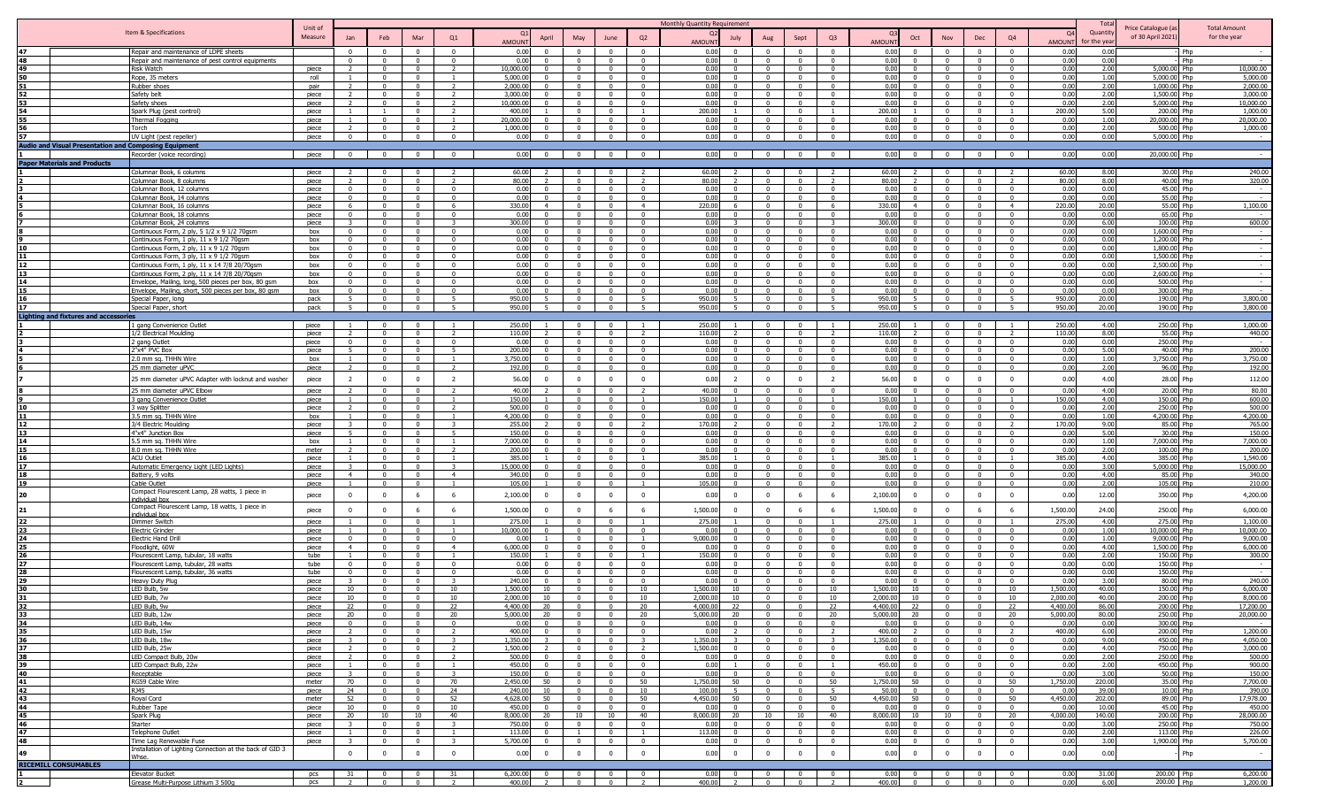|                         |                                                                                              |                    |                                  |                            |                                  |                                  |                       |                            |                                  |                                  |                                  | Monthly Quantity Requirement |                                  |                                                |                                  |                                |                                  |                                           |                                  |                                                     | Tota         |                                         |                                     |
|-------------------------|----------------------------------------------------------------------------------------------|--------------------|----------------------------------|----------------------------|----------------------------------|----------------------------------|-----------------------|----------------------------|----------------------------------|----------------------------------|----------------------------------|------------------------------|----------------------------------|------------------------------------------------|----------------------------------|--------------------------------|----------------------------------|-------------------------------------------|----------------------------------|-----------------------------------------------------|--------------|-----------------------------------------|-------------------------------------|
|                         | Item & Specifications                                                                        | Unit of<br>Measure |                                  |                            | Mar                              | Q1                               |                       |                            |                                  |                                  | Q2                               |                              |                                  |                                                |                                  | Q <sub>3</sub>                 | Oct                              |                                           |                                  | <b>O</b><br>Q4                                      | Quantity     | Price Catalogue (a<br>of 30 April 2021) | <b>Total Amount</b><br>for the year |
|                         |                                                                                              |                    | Jan                              | Feb                        |                                  |                                  | <b>AMOUN</b>          | April                      | May                              | June                             |                                  | <b>AMOUNT</b>                | July                             |                                                | Sept                             |                                | <b>AMOUNT</b>                    | Nov                                       | Dec                              | AMOUN                                               | for the vea  |                                         |                                     |
| 47                      | Repair and maintenance of LDPE sheets                                                        |                    | $\Omega$                         | $\Omega$                   | $\Omega$                         | $\Omega$                         | 0.00                  |                            | $\Omega$                         |                                  | $\Omega$                         | 0.00                         |                                  |                                                |                                  | $\Omega$                       | 0.00                             |                                           | $\Omega$                         | 0.00                                                | 0.00         | Php                                     |                                     |
| 48                      | Repair and maintenance of pest control equipments                                            |                    |                                  | $\Omega$                   | $\Omega$                         | $\Omega$<br>$\overline{2}$       | 0.00                  |                            | $\Omega$                         |                                  | $\overline{0}$                   | 0.00                         |                                  |                                                |                                  | $\Omega$                       | 0.00                             | $\Omega$                                  | $\overline{0}$                   | 0.00                                                | 0.00         | Php                                     |                                     |
| 49<br>50                | <b>Risk Watch</b><br>Rope, 35 meters                                                         | piece<br>roll      |                                  | $\Omega$<br>$\Omega$       | $\Omega$<br>$\Omega$             |                                  | 10,000.00<br>5,000.00 |                            | $\Omega$<br>$\Omega$             | $\Omega$<br>$\Omega$             | $\Omega$<br>$\Omega$             | 0.00<br>0.00                 | $\Omega$<br>$\Omega$             | $\Omega$                                       | $\Omega$<br>$\Omega$             | $\Omega$<br>$\Omega$           | 0.00<br>0.00                     | $\Omega$<br>$\Omega$                      | $\Omega$<br>$\overline{0}$       | 0.00<br>n.<br>0.00                                  | 2.00<br>1.00 | 5,000.00 Php<br>5,000.00 Php            | 10,000.00<br>5,000.00               |
| 51                      | Rubber shoes                                                                                 | pair               |                                  | $\Omega$                   | $\mathbf{0}$                     | $\mathcal{D}$                    | 2,000.00              |                            | $\Omega$                         | $\Omega$                         | $\overline{0}$                   | 0.00                         | $\Omega$                         |                                                | $\Omega$                         | $\Omega$                       | 0.00                             | $\Omega$                                  | $\overline{0}$                   | 0.00                                                | 2.00         | 1,000.00 Php                            | 2,000.00                            |
|                         | Safety belt                                                                                  | piece              |                                  | $\Omega$                   | $\Omega$                         |                                  | 3.000.0               |                            | $\Omega$                         | $^{\circ}$                       | $\Omega$                         | 0.00                         |                                  |                                                |                                  | $\Omega$                       | 0.00                             | $\Omega$                                  | $\Omega$                         | 0.00<br>$\Omega$                                    | 2.00         | 1,500.00 Php                            | 3,000.00                            |
|                         | Safety shoes                                                                                 | piece              |                                  | $\Omega$                   | $\overline{0}$                   | $\overline{\phantom{a}}$         | 10,000.0              |                            | $\Omega$                         | $\mathbf{0}$                     | $\overline{\mathbf{0}}$          | 0.00                         | $\Omega$                         | $\Omega$                                       | $\Omega$                         | $\Omega$                       | 0.00                             | $\Omega$                                  | $\overline{0}$                   | 0.00<br>$\overline{\mathbf{0}}$                     | 2.00         | 5,000.00 Php                            | 10,000.00                           |
|                         | Spark Plug (pest control)                                                                    | piece              |                                  |                            | $\mathbf 0$                      | $\overline{\phantom{a}}$         | 400.00                |                            | $\Omega$                         | $\mathbf{0}$                     | $\overline{1}$                   | 200.00                       |                                  |                                                | $\Omega$                         |                                | 200.00                           | $\Omega$                                  | $\overline{0}$                   | 200.00                                              | 5.00         | 200.00 Php                              | 1,000.00                            |
|                         | <b>Thermal Fogging</b>                                                                       | piece              |                                  |                            | $\Omega$                         |                                  | 20,000.00             |                            |                                  |                                  | $\Omega$                         | 0.00                         |                                  |                                                |                                  | $\Omega$                       | 0.00                             |                                           | $\Omega$                         | 0.00                                                | 1.00         | 20,000,00 Php                           | 20,000,00                           |
|                         | Torch                                                                                        | piece              |                                  |                            |                                  |                                  | 1,000.00              |                            |                                  |                                  | $\Omega$                         | 0.00                         |                                  |                                                |                                  | $\Omega$                       | 0.00                             |                                           | $\Omega$                         | 0.00                                                | 2.00         | 500.00 Php                              | 1,000.00                            |
|                         | UV Light (pest repeller)                                                                     | piece              | $\Omega$                         | $\Omega$                   | $\mathbf{0}$                     | $\Omega$                         | 0.00                  |                            | $\bf{0}$                         | $\Omega$                         | $\overline{0}$                   | 0.00                         | $\Omega$                         | $\mathbf{0}$                                   | $\overline{0}$                   | $\mathbf{0}$                   | 0.00                             | $\overline{0}$                            | $\overline{0}$                   | 0.00<br>$\overline{0}$                              | 0.00         | 5,000.00 Php                            |                                     |
|                         | <b>Audio and Visual Presentation and Composing Equipment</b>                                 |                    |                                  |                            |                                  |                                  |                       |                            |                                  |                                  |                                  |                              |                                  |                                                |                                  |                                |                                  |                                           |                                  |                                                     |              |                                         |                                     |
|                         | Recorder (voice recording)                                                                   | piece              | $\overline{0}$                   | $\overline{\mathbf{0}}$    | $\overline{0}$                   | $\Omega$                         | 0.00                  | $\sim$                     | $\overline{\mathbf{0}}$          | $\overline{\mathbf{0}}$          | $\overline{\mathbf{0}}$          | 0.00                         |                                  | $\begin{array}{ccc} 0 & \vert & 0 \end{array}$ | $\overline{\mathbf{0}}$          | $\overline{0}$                 | 0.00 0                           | $\overline{\mathbf{0}}$                   | $\overline{\mathbf{0}}$          | 0.00<br>$\overline{0}$                              | 0.00         | 20,000.00 Php                           |                                     |
|                         | <b>Paper Materials and Products</b>                                                          |                    |                                  |                            |                                  |                                  |                       |                            |                                  |                                  |                                  |                              |                                  |                                                |                                  |                                |                                  |                                           |                                  |                                                     |              |                                         |                                     |
|                         | Columnar Book, 6 columns                                                                     | piece              |                                  | $^{\circ}$<br>$\Omega$     | $\mathbf{0}$<br>$\Omega$         |                                  | 60.00<br>80.00        |                            | $\Omega$<br>$\Omega$             | $\mathbf 0$<br>$\Omega$          | $\overline{2}$                   | 60.00<br>80.00               | $\overline{z}$<br>$\mathcal{L}$  | $\Omega$<br>$\Omega$                           | $\Omega$<br>$\Omega$             | $\overline{z}$                 | 60.00<br>80.00                   | $\overline{\mathbf{0}}$<br>$\Omega$       | $\overline{0}$<br>$\Omega$       | 60.00<br>80.00                                      | 8.00<br>8.00 | 30.00 Php<br>40.00 Php                  | 240.00<br>320.00                    |
|                         | Columnar Book, 8 columns<br>Columnar Book, 12 columns                                        | piece<br>piece     | $\Omega$                         | $\Omega$                   | $\mathbf{0}$                     | $\Omega$                         | 0.00                  |                            | $\Omega$                         | $^{\circ}$                       | $\overline{0}$                   | 0.00                         | $\Omega$                         | $\Omega$                                       | $\Omega$                         | $\Omega$                       | 0.00                             | $\Omega$                                  | $\Omega$                         | 0.00<br>$\Omega$                                    | 0.00         | 45.00 Php                               | $\overline{\phantom{a}}$            |
|                         | Columnar Book, 14 columns                                                                    | piece              | $\Omega$                         | $\Omega$                   | $\overline{0}$                   | $\mathbf{0}$                     | 0.00                  | - 0                        | $\Omega$                         | $\overline{\mathbf{0}}$          | $\overline{0}$                   | 0.00                         | $\Omega$                         | $\Omega$                                       | $\Omega$                         | $\mathbf{0}$                   | 0.00<br>$\Omega$                 | $\Omega$                                  | $\overline{0}$                   | 0.00<br>$\overline{0}$                              | 0.00         | 55.00 Php                               | $\overline{\phantom{a}}$            |
|                         | Columnar Book, 16 columns                                                                    | piece              | 6                                | $\Omega$                   | $\mathbf{0}$                     | -6                               | 330.00                | $\overline{4}$             | $\Omega$                         | $\Omega$                         | $\overline{4}$                   | 220.00                       | 6                                |                                                | $\overline{0}$                   | - 6                            | 330.00                           | $\overline{0}$                            | $\overline{0}$                   | $\overline{4}$<br>220.00                            | 20.00        | 55.00 Php                               | 1,100.00                            |
|                         | Columnar Book, 18 columns                                                                    | piece              |                                  |                            | $\Omega$                         | $\Omega$                         | 0.00                  |                            |                                  | $\Omega$                         | $\Omega$                         | 0.00                         |                                  |                                                | $\Omega$                         | $\Omega$                       | 0.00                             | $\Omega$                                  | $\Omega$                         | 0.00                                                | 0.00         | 65.00 Php                               |                                     |
|                         | Columnar Book, 24 columns                                                                    | piece              |                                  |                            | $\Omega$                         |                                  | 300.00                |                            |                                  |                                  | $\Omega$                         | 0.00                         |                                  |                                                | $\Omega$                         |                                | 300.00                           | $\Omega$                                  | $\Omega$                         | 0.00                                                | 6.00         | 100.00 Php                              | 600.00                              |
|                         | Continuous Form, 2 ply, 5 1/2 x 9 1/2 70qsm                                                  | box                | $\Omega$                         | $\Omega$                   | $\mathbf{0}$                     | $\Omega$                         | 0.00                  |                            | $\Omega$                         | $\Omega$                         | $\Omega$                         | 0.00                         | $\Omega$                         |                                                | $\Omega$                         | $\Omega$                       | 0.00                             | $\Omega$                                  | $\overline{0}$                   | 0.00<br>$\Omega$                                    | 0.00         | 1,600.00 Php                            |                                     |
|                         | Continuous Form, 1 ply, 11 x 9 1/2 70qsm                                                     | box                | $\Omega$                         | $\Omega$                   | $\Omega$                         |                                  | 0.00                  |                            | $\Omega$                         | $\Omega$                         | $\overline{0}$                   | 0.00                         | $\Omega$                         |                                                | $\Omega$                         | $\Omega$                       | 0.00                             | $\Omega$                                  | $\Omega$                         | 0.00                                                | 0.00         | 1,200.00 Php                            |                                     |
| 10                      | Continuous Form, 2 ply, 11 x 9 1/2 70gsm                                                     | box                | $\Omega$                         | $\Omega$                   | $\mathbf{0}$                     |                                  | 0.00                  |                            | $\Omega$                         | $\Omega$                         | $\overline{0}$                   | 0.00                         | $\Omega$                         |                                                | $\Omega$                         | $\Omega$                       | 0.00                             | $\Omega$                                  | $\Omega$                         | 0.00                                                | 0.00         | 1,800.00 Php                            |                                     |
| 11                      | Continuous Form, 3 ply, 11 x 9 1/2 70gsm                                                     | box                | $\Omega$                         | $\overline{0}$             | $\overline{0}$                   | $\Omega$                         | 0.00                  | - 0<br>- 0                 | $\Omega$                         | $\Omega$                         | $\overline{0}$                   | 0.00                         | - 0<br>$\Omega$                  | $\Omega$                                       | $\Omega$                         | $\mathbf{0}$                   | 0.00<br>$\Omega$                 | $\sqrt{ }$                                | $\overline{0}$                   | 0.00<br>$\Omega$                                    | 0.00         | 1,500.00 Php                            | $\sim$                              |
| 12<br>13                | Continuous Form, 1 ply, 11 x 14 7/8 20/70gsm<br>Continuous Form, 2 plv, 11 x 14 7/8 20/70asm | box<br>box         | $\Omega$<br>$\Omega$             | $\mathbf 0$<br>$\Omega$    | $\mathbf 0$<br>$\Omega$          | $\Omega$<br>$\Omega$             | 0.00<br>0.00          | $\Omega$                   | $\Omega$<br>$\Omega$             | $^{\circ}$<br>$\Omega$           | $\overline{0}$<br>$\Omega$       | 0.00<br>0.00                 | $\Omega$                         | $\Omega$<br>$\Omega$                           | $\mathbf{0}$<br>$\Omega$         | $\mathbf{0}$<br>$\Omega$       | 0.00<br>0.00                     | $\Omega$<br>$\overline{0}$                | $\overline{0}$<br>$\Omega$       | 0.00<br>$\overline{\mathbf{0}}$<br>0.00<br>$\Omega$ | 0.00<br>0.00 | 2,500.00 Php<br>2,600.00 Php            | $\sim$                              |
| 14                      | Envelope, Mailing, long, 500 pieces per box, 80 gsm                                          | hox                |                                  | $\Omega$                   | $\Omega$                         | $\Omega$                         | 0.00                  |                            | $\Omega$                         | $\Omega$                         | $\overline{0}$                   | 0.00                         |                                  |                                                | $\overline{0}$                   | $\mathbf{0}$                   | 0.00                             | $\sqrt{ }$                                | $\overline{0}$                   | 0.00<br>$\Omega$                                    | 0.00         | 500.00 Php                              | $\overline{\phantom{a}}$            |
|                         | Envelope, Mailing, short, 500 pieces per box, 80 gsm                                         | box                | $\Omega$                         | $\Omega$                   | $\Omega$                         | $\Omega$                         | 0.00                  | $\sim$                     | $\Omega$                         | $\Omega$                         | $\overline{0}$                   | 0.00                         | $\Omega$                         | $\Omega$                                       | $\Omega$                         | $\Omega$                       | 0.00<br>$\Omega$                 | $\sqrt{ }$                                | $\overline{0}$                   | 0.00<br>$\sim$                                      | 0.00         | 300.00 Php                              | $\sim$                              |
| 16                      | Special Paper, long                                                                          | pack               | 5 <sup>5</sup>                   | $^{\circ}$                 | $\mathbf{0}$                     | $\overline{5}$                   | 950.00                | $\overline{5}$             | $\Omega$                         | $\overline{0}$                   | 5 <sup>5</sup>                   | 950.00                       | -5                               | $\overline{0}$                                 | $\overline{0}$                   | 5 <sup>1</sup>                 | 950.00                           | $\overline{0}$                            | $\overline{0}$                   | 5 <sup>5</sup><br>950.00                            | 20.00        | 190.00 Php                              | 3,800.00                            |
| 17                      | Special Paper, short                                                                         | pack               | 5                                | $\overline{0}$             | $\overline{0}$                   | 5                                | 950.00                | 5 <sup>5</sup>             | $\overline{0}$                   | $\overline{0}$                   | 5                                | 950.00                       | $5 -$                            | $\overline{0}$                                 | $\overline{0}$                   | 5                              | 950.00<br>5 <sup>1</sup>         | $\overline{0}$                            | $\overline{0}$                   | 5<br>950.00                                         | 20.00        | 190.00 Php                              | 3,800.00                            |
|                         | <b>Lighting and fixtures and accessories</b>                                                 |                    |                                  |                            |                                  |                                  |                       |                            |                                  |                                  |                                  |                              |                                  |                                                |                                  |                                |                                  |                                           |                                  |                                                     |              |                                         |                                     |
|                         | 1 gang Convenience Outlet                                                                    | piece              |                                  |                            | $\Omega$                         |                                  | 250.00                |                            | $\Omega$                         |                                  |                                  | 250.00                       |                                  |                                                |                                  |                                | 250.00                           | $\Omega$                                  | $\Omega$                         | 250.00                                              | 4.00         | 250.00 Php                              | 1.000.00                            |
|                         | 1/2 Electrical Moulding                                                                      | niece              |                                  |                            | $\Omega$                         |                                  | 110.00                |                            | $\sqrt{ }$                       |                                  |                                  | 110.00                       |                                  |                                                | $\sqrt{ }$                       |                                | 110.00                           | $\sqrt{ }$                                | $\overline{0}$                   | 110.00                                              | 8.00         | 55.00 Php                               | 440.00                              |
|                         | 2 gang Outlet                                                                                | piece              | $\Omega$                         | $\Omega$                   | $\Omega$                         | $\Omega$                         | 0.00                  | $\sim$                     | $\Omega$                         | $\Omega$                         | $\Omega$                         | 0.00                         | $\Omega$                         | $\Omega$                                       | $\Omega$                         | $\mathsf{n}$                   | 0.00                             | $\Omega$                                  | $\Omega$                         | 0.00<br>$\sqrt{2}$                                  | 0.00         | 250.00 Php                              | $\sim$                              |
|                         | 2"x4" PVC Box                                                                                | piece              | 5                                | $\Omega$                   | $\mathbf{0}$                     |                                  | 200.00                | O.                         | $\Omega$                         | $\Omega$                         | $\Omega$                         | 0.00                         | $\Omega$                         |                                                | $\Omega$                         | $\Omega$                       | 0.00                             | $\Omega$                                  | $\overline{0}$                   | 0.00                                                | 5.00         | 40.00 Php                               | 200.00                              |
|                         | 2.0 mm sq. THHN Wire                                                                         | box                |                                  | $\mathbf{0}$               | $\mathbf{0}$                     |                                  | 3,750.00              |                            | $\Omega$                         | $^{\circ}$                       | $\Omega$                         | 0.00                         | $\Omega$                         | $\Omega$                                       |                                  | $\Omega$                       | 0.00                             | $\Omega$                                  | $\overline{0}$                   | 0.00<br>$\Omega$                                    | 1.00         | ,750.00 Php                             | 3,750.00                            |
|                         | 25 mm diameter uPVC                                                                          | piece              | $\mathcal{L}$                    | $\mathbf{0}$               | $\mathbf{0}$                     | $\overline{z}$                   | 192.00                |                            | $\Omega$                         | $\overline{\mathbf{0}}$          | $\overline{\mathbf{0}}$          | 0.00                         | $\Omega$                         | $\Omega$                                       | $\Omega$                         | $^{\circ}$                     | 0.00                             | $\Omega$                                  | $\overline{0}$                   | 0.00<br>$\overline{\mathbf{0}}$                     | 2.00         | 96.00 Php                               | 192.00                              |
|                         | 25 mm diameter uPVC Adapter with locknut and washer                                          | piece              | -2                               | $^{\circ}$                 | $\mathbf{0}$                     | $\overline{2}$                   | 56.00                 | - 0                        | $\mathbf{0}$                     | $\mathbf{0}$                     | $\overline{0}$                   | 0.00                         | $\overline{2}$                   | $\Omega$                                       | $\overline{0}$                   | $\overline{2}$                 | 56.00<br>- 0                     | $^{\circ}$                                | $\overline{0}$                   | 0.00<br>$\Omega$                                    | 4.00         | 28.00 Php                               | 112.00                              |
|                         | 25 mm diameter uPVC Elbow                                                                    | piece              |                                  |                            |                                  |                                  | 40.00                 |                            |                                  |                                  |                                  | 40.00                        |                                  |                                                |                                  |                                | 0.00                             |                                           | $\Omega$                         | 0.0                                                 | 4.00         | 20.00 Php                               | 80.00                               |
|                         | 3 gang Convenience Outlet                                                                    | piece              |                                  | $\Omega$                   | $\Omega$                         |                                  | 150.00                |                            | $\Omega$                         | $\Omega$                         |                                  | 150.00                       |                                  | $\Omega$                                       | $\Omega$                         |                                | 150.00                           | $\overline{0}$                            | $\overline{\mathbf{0}}$          | 150.00                                              | 4.00         | 150.00 Php                              | 600.00                              |
|                         | 3 way Splitter                                                                               | piece              |                                  | $\Omega$                   | $\Omega$                         |                                  | 500.00                |                            | $\Omega$                         |                                  | $\Omega$                         | 0.00                         |                                  |                                                | $\overline{0}$                   | $\Omega$                       | 0.00                             | $\Omega$                                  | $\overline{0}$                   | 0.00                                                | 2.00         | 250.00 Php                              | 500.00                              |
|                         | 3.5 mm sq. THHN Wire                                                                         | box                |                                  |                            | $\Omega$                         |                                  | 4,200,00              |                            | $\Omega$                         |                                  | $\Omega$                         | 0.00                         |                                  |                                                | $\Omega$                         | $\Omega$                       | 0.00                             | $\Omega$                                  | $\Omega$                         | 0.00                                                | 1.00         | 4.200.00 Php                            | 4,200,00                            |
|                         | 3/4 Electric Moulding                                                                        | piece              |                                  |                            |                                  | $\overline{5}$                   | 255.00                |                            |                                  |                                  |                                  | 170.00                       |                                  | $\Omega$                                       |                                  | $\Omega$                       | 170.00                           |                                           | $\Omega$                         | 170.00                                              | 9.00         | 85.00 Php                               | 765.00                              |
| 13<br>14                | 4"x4" Junction Box<br>5.5 mm sq. THHN Wire                                                   | piece<br>box       |                                  | $\Omega$<br>$\Omega$       | $\mathbf{0}$<br>$\mathbf{0}$     | $\overline{1}$                   | 150.00<br>7,000.00    | $\Omega$                   | $\overline{0}$<br>$\overline{0}$ | $\overline{0}$<br>$\Omega$       | $\overline{0}$<br>$\overline{0}$ | 0.00<br>0.00                 | $\Omega$<br>$\overline{0}$       | $\mathbf{0}$                                   | $\overline{0}$<br>$\Omega$       | $\mathbf{0}$                   | 0.00<br>0.00                     | $\overline{\mathbf{0}}$<br>$\overline{0}$ | $\overline{0}$<br>$\overline{0}$ | 0.00<br>$\Omega$<br>$\mathbf{0}$<br>0.00            | 5.00<br>1.00 | 30.00 Php<br>7,000.00 Php               | 150.00<br>7,000.00                  |
| 15                      | 8.0 mm sq. THHN Wire                                                                         | meter              |                                  | $\Omega$                   | $\mathbf{0}$                     |                                  | 200.00                |                            | $\Omega$                         | $\mathbf{0}$                     | $\Omega$                         | 0.00                         | $\Omega$                         | $\Omega$                                       | $\Omega$                         | $\Omega$                       | 0.00                             | $\Omega$                                  | $\Omega$                         | 0.00<br>$\Omega$                                    | 2.00         | 100.00 Php                              | 200.00                              |
| 16                      | <b>ACU Outlet</b>                                                                            | piece              |                                  | $\Omega$                   | $\Omega$                         | $\overline{1}$                   | 385.00                |                            | $\Omega$                         | $\overline{0}$                   | <sup>1</sup>                     | 385.00                       |                                  | $\Omega$                                       | $\Omega$                         | $\overline{1}$                 | 385.00                           | $\Omega$                                  | $\overline{0}$                   | 385.00<br>$\overline{1}$                            | 4.00         | 385.00 Php                              | 1,540.00                            |
| 17                      | Automatic Emergency Light (LED Lights)                                                       | piece              | 3                                | $\mathbf 0$                | $\mathbf{0}$                     | -3                               | 15,000.00             | $\Omega$                   | $\mathbf 0$                      | $^{\circ}$                       | $\overline{0}$                   | 0.00                         | $\Omega$                         | $\Omega$                                       | $\Omega$                         | $\mathbf{0}$                   | 0.00                             | $\Omega$                                  | $\overline{\mathbf{0}}$          | $\overline{\mathbf{0}}$<br>0.00                     | 3.00         | 5,000.00 Php                            | 15,000.00                           |
| 18                      | Battery, 9 volts                                                                             | piece              | $\overline{4}$                   | $\Omega$                   | $\mathbf{0}$                     | $\overline{4}$                   | 340.00                | $\Omega$                   | $\Omega$                         | $\overline{0}$                   | $\overline{0}$                   | 0.00                         | $^{\circ}$                       | $\Omega$                                       | $\overline{0}$                   | $\overline{0}$                 | 0.00                             | $\Omega$                                  | $\overline{0}$                   | 0.00<br>$\Omega$                                    | 4.00         | 85.00 Php                               | 340.00                              |
| 19                      | Cable Outlet                                                                                 | niece              |                                  | $\mathbf{0}$               | $\mathbf{0}$                     |                                  | 105.00                |                            | $\overline{0}$                   | $\overline{0}$                   |                                  | 105.00                       | $\Omega$                         | $\Omega$                                       | $\overline{0}$                   | $\overline{0}$                 | 0.00<br>$\sim$                   | $\overline{\mathbf{0}}$                   | $\overline{0}$                   | 0.00<br>$\Omega$                                    | 2.00         | 105.00 Php                              | 210.00                              |
| 20                      | Compact Flourescent Lamp, 28 watts, 1 piece in                                               | piece              | $\overline{0}$                   | $\mathbf 0$                | 6                                | 6                                | 2,100.00              | $\Omega$                   | $\mathbf{0}$                     | $\mathbf 0$                      | $\mathbf{0}$                     | 0.00                         | $\overline{0}$                   | $\mathbf{0}$                                   | 6                                | 6                              | 2,100.00<br>$\Omega$             | $\overline{0}$                            | $\overline{0}$                   | 0.00<br>$\overline{0}$                              | 12.00        | 350.00 Php                              | 4,200.00                            |
|                         | individual hoy<br>Compact Flourescent Lamp, 18 watts, 1 piece in                             |                    |                                  |                            |                                  |                                  |                       |                            |                                  |                                  |                                  |                              |                                  |                                                |                                  |                                |                                  |                                           |                                  |                                                     |              |                                         |                                     |
| 21                      | individual box                                                                               | piece              | $\Omega$                         | $^{\circ}$                 | 6                                | - 6                              | 1,500.00              |                            | $\overline{0}$                   | 6                                | 6                                | 1,500.00                     |                                  | $\Omega$                                       | 6                                | 6                              | 1,500.00                         | $\mathbf{0}$                              | 6                                | 1,500.00<br>-6                                      | 24.00        | 250.00 Php                              | 6,000.00                            |
| 22                      | Dimmer Switch                                                                                | piece              |                                  |                            | $\Omega$                         | $\overline{1}$                   | 275.00                |                            | $\Omega$                         | $\mathbf{0}$                     |                                  | 275.00                       |                                  |                                                | $\Omega$                         |                                | 275.00                           | $\Omega$                                  | $\overline{0}$                   | 275.00<br>$\overline{1}$                            | 4.00         | 275.00 Php                              | 1,100.00                            |
| 23                      | <b>Electric Grinder</b>                                                                      | piece              |                                  | $\Omega$                   | $\Omega$                         | $\overline{1}$                   | 10,000.00             |                            | $\Omega$                         | $\Omega$                         | $\Omega$                         | 0.00                         |                                  |                                                | $\Omega$                         | $\Omega$                       | 0.00                             | $\Omega$                                  | $\overline{0}$                   | 0.00<br>$\Omega$                                    | 1.00         | 10,000.00 Php                           | 10,000.00                           |
| 24                      | <b>Electric Hand Drill</b>                                                                   | piece              |                                  |                            | $\Omega$                         | $\Omega$                         | 0.00                  |                            | $\Omega$                         | $\Omega$                         |                                  | 9.000.00                     |                                  |                                                | $\Omega$                         | $\Omega$                       | 0.00                             | $\Omega$                                  | $\Omega$                         | 0.00                                                | 1.00         | 9,000,00 Php                            | 9,000,00                            |
| 25                      | Floodlight, 60W                                                                              | piece              | $\overline{4}$                   | $\Omega$                   | $\mathbf{0}$                     | $\overline{4}$                   | 6,000.00              |                            | $\Omega$                         | $\Omega$                         | $\overline{0}$                   | 0.00                         |                                  |                                                | $\Omega$                         | $\Omega$                       | 0.00                             | $\Omega$                                  | $\overline{0}$                   | 0.00<br>$\Omega$                                    | 4.00         | 1,500.00 Php                            | 6,000.00                            |
|                         | Flourescent Lamp, tubular, 18 watts                                                          | tube               |                                  |                            | $\Omega$                         |                                  | 150.00                |                            |                                  |                                  |                                  | 150.00                       |                                  |                                                |                                  | $\sim$                         | 0.00                             |                                           | $\Omega$                         | 0.00                                                | 2.00         | 150.00 Php                              | 300.00                              |
|                         | Flourescent Lamp, tubular, 28 watts                                                          | tube               | $\Omega$                         | $\Omega$<br>$\Omega$       | $\Omega$<br>$\mathbf{0}$         |                                  | 0.00<br>0.00          |                            |                                  | $\Omega$                         | $\Omega$<br>$\Omega$             | 0.00<br>0.00                 |                                  |                                                |                                  | $\Omega$                       | 0.00<br>0.00                     | $\Omega$                                  | $\Omega$<br>$^{\circ}$           | 0.00<br>0.00                                        | 0.00<br>0.00 | 150.00 Php<br>150.00 Php                |                                     |
|                         | Flourescent Lamp, tubular, 36 watts<br>Heavy Duty Plug                                       | tube<br>piece      |                                  | $\Omega$                   | $\Omega$                         |                                  | 240.00                |                            | $\Omega$                         | $\Omega$                         | $\Omega$                         | 0.00                         |                                  |                                                | $\Omega$                         | $\Omega$                       | 0.00                             | $\Omega$                                  | $\overline{0}$                   | 0.00<br>$\Omega$                                    | 3.00         | 80.00 Php                               | 240.00                              |
|                         | LED Bulb, 5w                                                                                 | piece              | 10                               |                            | $\Omega$                         | 10                               | 1,500.00              | 10                         |                                  |                                  | 10                               | 1,500.00                     | 10                               |                                                | $\Omega$                         | 10                             | 1,500.00<br>10                   |                                           | $\Omega$                         | 1,500.00<br>10                                      | 40.00        | 150.00 Php                              | 6,000.00                            |
|                         | LED Bulb, 7w                                                                                 | piece              | 10                               | $\overline{0}$             | $\mathbf{0}$                     | 10                               | 2.000.00              | 10                         | $\overline{0}$                   | $\overline{0}$                   | 10                               | 2.000.00                     | 10                               | $\overline{0}$                                 | $\overline{0}$                   | 10                             | 2.000.00<br>10                   | $\overline{0}$                            | $\overline{0}$                   | 2,000.00<br>10                                      | 40.00        | 200.00 Php                              | 8,000.00                            |
|                         | <b>I FD Bulb</b>                                                                             |                    |                                  |                            |                                  | つつ                               | 4.400 <sub>0</sub>    |                            |                                  |                                  | 20                               | 4.000.00                     | つつ                               |                                                |                                  |                                | 4,400.0                          |                                           |                                  | 44000                                               |              | 200.0C                                  | 17 200 00                           |
| 33                      | LED Bulb, 12w                                                                                | piece              | 20                               | $\mathbf{0}$               | $\overline{0}$                   | 20                               | 5,000.00              | 20                         | $\overline{0}$                   | $\overline{0}$                   | 20                               | 5,000.00                     | 20                               | $\Omega$                                       | $\overline{0}$                   | 20                             | 5,000.00<br>20                   | $\overline{0}$                            | $\overline{0}$                   | 20<br>5,000.00                                      | 80.00        | 250.00 Php                              | 20,000.00                           |
| 34                      | LED Bulb, 14w                                                                                | piece              | $\overline{0}$                   | $\mathbf{0}$               | $\mathbf{0}$                     | $\overline{0}$                   | 0.00                  | $\mathbf{0}$               | $\overline{0}$                   | $\overline{0}$                   | $\overline{0}$                   | 0.00                         | $\overline{0}$                   | $\mathbf{0}$                                   | $\overline{0}$                   | $\mathbf{0}$                   | 0.00<br>$\Omega$                 | $\overline{0}$                            | $\overline{0}$                   | $\overline{0}$<br>0.00                              | 0.00         | 300.00 Php                              |                                     |
| 35                      | LED Bulb, 15w                                                                                | piece              | $\overline{z}$                   | $\mathbf{0}$               | $\mathbf{0}$                     | $\overline{z}$                   | 400.00                | $\Omega$                   | $\mathbf{0}$                     | $\overline{0}$                   | $\overline{0}$                   | 0.00                         | $\overline{2}$                   | $\overline{0}$                                 | $\overline{0}$                   | 2                              | 400.00                           | $\overline{0}$                            | $\overline{0}$                   | 400.00<br>$\overline{2}$                            | 6.00         | 200.00 Php                              | 1,200.00                            |
| 36                      | LED Bulb, 18w                                                                                | piece              | -3                               | $\overline{0}$             | $\overline{0}$                   | $\overline{\mathbf{3}}$          | 1,350.00              | $\mathcal{R}$              | $\overline{0}$                   | $\overline{\mathbf{0}}$          | $\overline{\mathbf{3}}$          | 1,350.00                     | $\overline{3}$                   | $\overline{\mathbf{0}}$                        | $\mathbf{0}$                     | $\overline{\mathbf{3}}$        | 1,350.00<br>$\mathsf{n}$         | $\overline{0}$                            | $\overline{0}$                   | 0.00<br>$\overline{0}$                              | 9.00         | 450.00 Php                              | 4.050.00                            |
| 37                      | LED Bulb, 25w                                                                                | piece              | $\overline{2}$<br>$\overline{2}$ | $\overline{0}$<br>$\Omega$ | $\overline{0}$                   | $\overline{2}$<br>$\overline{2}$ | 1,500.00              | $\overline{2}$<br>$\Omega$ | $\overline{0}$<br>$\overline{0}$ | $\overline{0}$                   | $\overline{2}$                   | 1,500.00                     | $\overline{0}$<br>$\overline{0}$ | $\overline{\mathbf{0}}$<br>$\overline{0}$      | $\overline{\mathbf{0}}$          | $\overline{0}$                 | 0.00<br>$\mathbf{a}$<br>$\Omega$ | $\overline{\mathbf{0}}$<br>$\overline{0}$ | $\overline{0}$                   | 0.00<br>$\overline{\mathbf{0}}$                     | 4.00         | 750.00 Php                              | 3,000.00                            |
| 38<br>39                | LED Compact Bulb, 20w<br>LED Compact Bulb, 22w                                               | piece<br>piece     |                                  | $\mathbf{0}$               | $\overline{0}$<br>$\overline{0}$ | $\overline{1}$                   | 500.00<br>450.00      | $\Omega$                   | $\overline{0}$                   | $\overline{0}$<br>$\overline{0}$ | $\overline{0}$<br>$\overline{0}$ | 0.00<br>0.00                 |                                  | $\overline{0}$                                 | $\overline{0}$<br>$\overline{0}$ | $\overline{0}$<br>$\mathbf{1}$ | 0.00<br>450.00<br>$\sim$         | $\overline{0}$                            | $\overline{0}$<br>$\overline{0}$ | $\overline{0}$<br>0.00<br>0.00<br>$\overline{0}$    | 2.00<br>2.00 | 250.00 Php<br>450.00 Php                | 500.00<br>900.00                    |
| 40                      | Receptable                                                                                   | piece              | $\mathbf{R}$                     | $\Omega$                   | $\mathbf{0}$                     | $\overline{z}$                   | 150.00                | $\sqrt{2}$                 | $\Omega$                         | $\Omega$                         | $\overline{0}$                   | 0.00                         | $\Omega$                         | $\Omega$                                       | $\Omega$                         | $\Omega$                       | 0.00<br>$\sim$                   | $\overline{0}$                            | $\overline{0}$                   | $\Omega$<br>0.00                                    | 3.00         | 50.00 Php                               | 150.00                              |
| 41                      | RG59 Cable Wire                                                                              | meter              | 70                               | $\mathbf{0}$               | $\overline{0}$                   | 70                               | 2,450.00              | 50                         | $\overline{0}$                   | $\overline{0}$                   | 50                               | 1,750.00                     | 50                               | $\Omega$                                       | $\Omega$                         | 50                             | 1,750.00<br>50                   | $\overline{0}$                            | $\overline{0}$                   | 50<br>1,750.00                                      | 220.00       | 35.00 Php                               | 7,700.00                            |
| 42                      | <b>RJ45</b>                                                                                  | piece              | 24                               | $\Omega$                   | $\mathbf{0}$                     | 24                               | 240.00                | 10                         | $\overline{0}$                   | $\Omega$                         | 10                               | 100.00                       | $5 -$                            | $\Omega$                                       | $\Omega$                         | 5 <sup>1</sup>                 | 50.00                            | $\Omega$<br>$\overline{0}$                | $\overline{0}$                   | $\overline{0}$<br>0.00                              | 39.00        | 10.00 Php                               | 390.00                              |
| 43                      | Royal Cord                                                                                   | meter              | 52                               | $\overline{0}$             | $\overline{0}$                   | 52                               | 4,628.00              | 50                         | $\overline{0}$                   | $\overline{0}$                   | 50                               | 4,450.00                     | 50                               | $\mathbf{0}$                                   | $\overline{0}$                   | 50                             | 4,450.00                         | 50<br>$\overline{0}$                      | $\overline{0}$                   | 50<br>4,450.00                                      | 202.00       | 89.00 Php                               | 17,978.00                           |
| 44                      | Rubber Tape                                                                                  | piece              | 10                               | $\Omega$                   | $\overline{\mathbf{0}}$          | 10                               | 450.00                | $\mathsf{n}$               | $\Omega$                         | $\mathbf{0}$                     | $\overline{0}$                   | 0.00                         | $\Omega$                         | $\Omega$                                       | $\Omega$                         | $\Omega$                       | 0.00<br>$\mathsf{n}$             | $\Omega$                                  | $\overline{0}$                   | $\Omega$<br>0.0                                     | 10.00        | 45.00 Php                               | 450.00                              |
| 45                      | Spark Plug                                                                                   | piece              | 20                               | 10                         | 10                               | 40                               | 8,000.00              | 20                         | 10                               | 10                               | 40                               | 8,000.00                     | 20                               | 10                                             | 10                               | 40                             | 8,000.00<br>10                   | 10                                        | $\overline{0}$                   | 20<br>4,000.00                                      | 140.00       | 200.00 Php                              | 28,000.00                           |
| 46                      | Starter                                                                                      | piece              |                                  | $\Omega$                   | $\Omega$                         |                                  | 750.00                |                            | $\Omega$                         | $\overline{0}$                   | $\overline{0}$                   | 0.00                         | $\Omega$                         | $\Omega$                                       | $\overline{0}$                   | $\overline{0}$                 | 0.00                             | $\Omega$                                  | $\overline{0}$                   | $\overline{0}$<br>0.00                              | 3.00         | 250.00 Php                              | 750.00                              |
| 47                      | Telephone Outlet                                                                             | piece              | $\overline{\mathbf{3}}$          | $\mathbf{0}$               | $\overline{0}$                   | $\overline{1}$<br>$\mathcal{R}$  | 113.00                | $\Omega$                   | $\overline{1}$                   | $\overline{0}$                   | $\overline{1}$                   | 113.00                       | $\overline{0}$                   | $\overline{0}$                                 | $\overline{\mathbf{0}}$          | $\overline{0}$                 | 0.00<br>$\Omega$                 | $\sqrt{ }$                                | $\overline{0}$                   | 0.00<br>$\overline{0}$                              | 2.00         | 113.00 Php                              | 226.00                              |
| 48                      | Time Lag Renewable Fuse<br>Installation of Lighting Connection at the back of GID 3          | piece              |                                  | $\mathbf{0}$               | $\mathbf{0}$                     |                                  | 5,700.00              | $\Omega$                   | $\Omega$                         | $\overline{\mathbf{0}}$          | $\overline{0}$                   | 0.00                         | $\overline{0}$                   | $\overline{0}$                                 | $\overline{\mathbf{0}}$          | $\overline{0}$                 | 0.00<br>$\Omega$                 | $\overline{\mathbf{0}}$                   | $\overline{0}$                   | 0.00<br>$\overline{0}$                              | 3.00         | 1,900.00 Php                            | 5,700.00                            |
| 49                      | Whse                                                                                         |                    | $\mathbf 0$                      | $\mathbf{0}$               | $^{\circ}$                       | $\Omega$                         | 0.00                  | $\Omega$                   | $\mathbf{0}$                     | $\mathbf{0}$                     | $\mathbf{0}$                     | 0.00                         | $\Omega$                         | $\mathbf{0}$                                   | $\overline{0}$                   | $\mathbf{0}$                   | 0.00                             | $\overline{0}$                            | $\overline{0}$                   | 0.00<br>$\overline{0}$                              | 0.00         | Php                                     | $\sim$                              |
|                         | <b>RICEMILL CONSUMABLES</b>                                                                  |                    |                                  |                            |                                  |                                  |                       |                            |                                  |                                  |                                  |                              |                                  |                                                |                                  |                                |                                  |                                           |                                  |                                                     |              |                                         |                                     |
|                         | Elevator Bucket                                                                              | pcs                | - 31                             | $\overline{\mathbf{0}}$    | $\overline{\mathbf{0}}$          | - 31                             | 6,200.00              | $\overline{\mathbf{0}}$    | $\overline{\mathbf{0}}$          | $\overline{\mathbf{0}}$          | $\overline{\mathbf{0}}$          | 0.00                         | $\overline{\mathbf{0}}$          | $\mathbf{0}$                                   | $\mathbf{0}$                     | $\Omega$                       | 0.00<br>$\mathbf{0}$             | $\overline{\mathbf{0}}$                   | $\overline{\mathbf{0}}$          | 0.00                                                | 31.00        | 200.00 Php                              | 6,200.00                            |
| $\overline{\mathbf{2}}$ | Grease Multi-Purpose Lithium 3 500g                                                          | pcs                | $\overline{2}$                   | $\overline{\mathbf{0}}$    | $\overline{\mathbf{0}}$          | $\overline{2}$                   | 400.00                | $\overline{2}$             | $\overline{\mathbf{0}}$          | $\overline{0}$                   | $\overline{2}$                   | 400.00                       | $\overline{2}$                   | $\overline{\mathbf{0}}$                        | $\overline{\mathbf{0}}$          | $\overline{2}$                 | 400.00 0                         | $\overline{\mathbf{0}}$                   | $\overline{0}$                   | 0.00<br>$\overline{0}$                              | 6.00         | 200.00 Php                              | 1,200.00                            |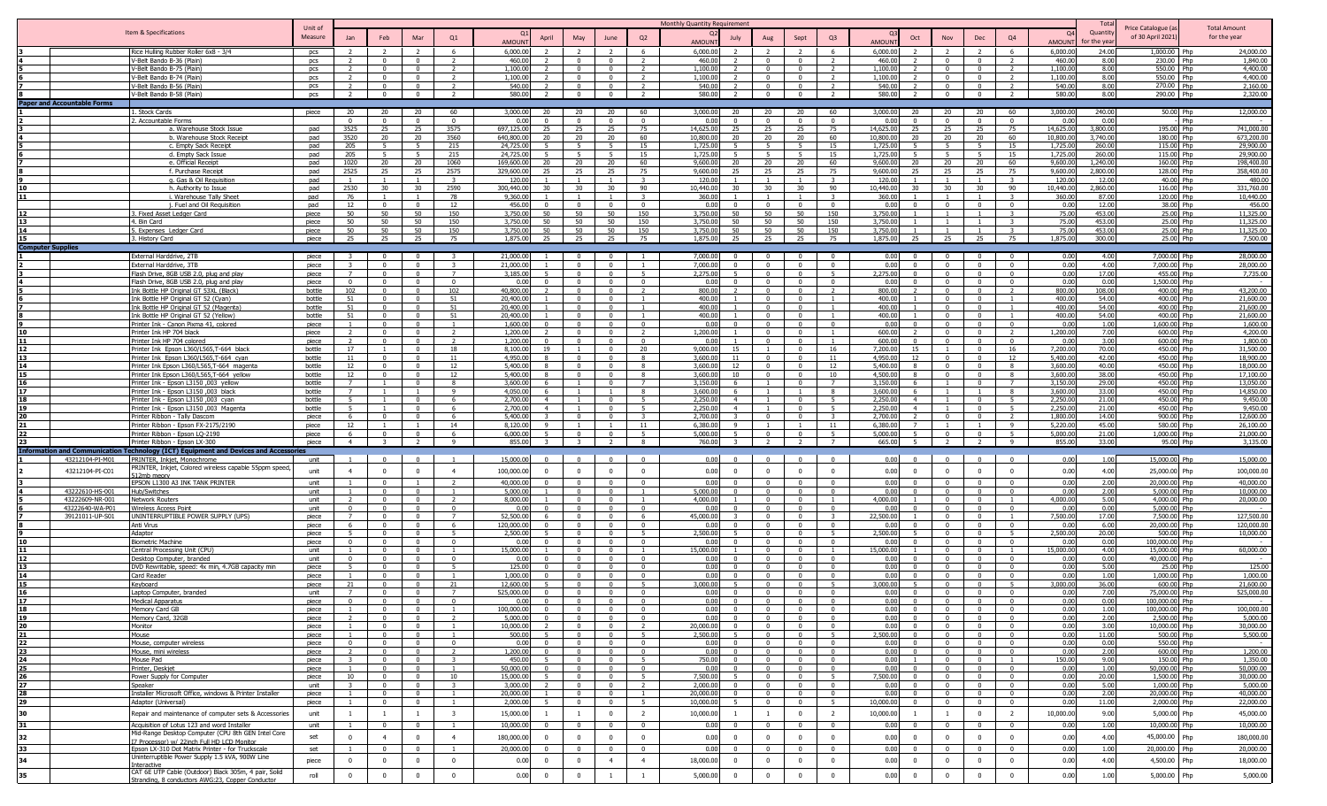|          |                                                                                                       |                    |                |                                |                                |                         |                        |                    |                                         |                                           |                                           | Monthly Quantity Requirement |                                  |                                           |                              |                                |                                           |                                           |                                  |                                                | Tota                 |                                         |                                     |
|----------|-------------------------------------------------------------------------------------------------------|--------------------|----------------|--------------------------------|--------------------------------|-------------------------|------------------------|--------------------|-----------------------------------------|-------------------------------------------|-------------------------------------------|------------------------------|----------------------------------|-------------------------------------------|------------------------------|--------------------------------|-------------------------------------------|-------------------------------------------|----------------------------------|------------------------------------------------|----------------------|-----------------------------------------|-------------------------------------|
|          | Item & Specifications                                                                                 | Unit of<br>Measure |                |                                |                                |                         |                        |                    |                                         |                                           |                                           |                              |                                  |                                           |                              |                                |                                           |                                           |                                  | $\Omega$                                       | Quantit              | Price Catalogue (a<br>of 30 April 2021) | <b>Total Amount</b><br>for the year |
|          |                                                                                                       |                    | Jan            | Feb                            | Mar                            | Q1                      | AMOUN                  | April              | May                                     | June                                      | Q2                                        | <b>AMOUNT</b>                | July                             | Aug                                       | Sept                         | Q <sub>3</sub>                 | Oct<br><b>AMOUN</b>                       | Nov                                       | Dec                              | Q <sub>4</sub><br>AMOUN                        | r the vea            |                                         |                                     |
|          | Rice Hulling Rubber Roller 6x8 - 3/4                                                                  | pcs                |                |                                |                                |                         | 6,000.0                |                    |                                         |                                           |                                           | 6,000.00                     |                                  |                                           |                              | -6                             | 6,000.00                                  |                                           |                                  | 6.000.0                                        | 24.00                | 1,000.00 Php                            | 24,000,00                           |
|          | V-Belt Bando B-36 (Plain)                                                                             | <b>DCS</b>         |                | $\Omega$                       | $\Omega$                       |                         | 460.00                 |                    | $^{\circ}$                              | $\Omega$                                  | $\overline{2}$                            | 460.00                       |                                  | $\Omega$                                  | $\sqrt{ }$                   | $\overline{2}$                 | 460.00                                    | $\sim$                                    | $\overline{0}$                   | 460.00<br>$\overline{\phantom{a}}$             | 8.00                 | 230.00 Php                              | 1,840.00                            |
|          | V-Belt Bando B-75 (Plain)                                                                             | pcs                | $\overline{2}$ | $\overline{0}$                 | $\mathbf{0}$                   | $\overline{2}$          | 1,100.00               |                    | $\overline{0}$                          | $\overline{0}$                            | $\overline{2}$                            | 1,100.00                     | $\overline{2}$                   | $\Omega$                                  | $\overline{0}$               | $\overline{2}$                 | 1,100.00                                  | $\overline{0}$                            | $\overline{0}$                   | $\overline{2}$<br>1,100.00                     | 8.00                 | 550.00 Php                              | 4,400.00                            |
|          | V-Belt Bando B-74 (Plain)                                                                             | pcs                | $\overline{2}$ | $\Omega$                       | $\mathbf{0}$                   | $\overline{2}$          | 1,100.00               |                    | $\Omega$                                | $\Omega$                                  | 2                                         | 1,100.00                     | $\overline{2}$                   | $\mathbf{0}$                              | $\Omega$                     | $\overline{2}$                 | 1,100.00                                  | $\overline{0}$                            | $\mathbf{0}$                     | $\overline{2}$<br>1,100.00                     | 8.00                 | 550.00 Php                              | 4,400.00                            |
|          | V-Belt Bando B-56 (Plain)<br>V-Belt Bando B-58 (Plain)                                                | pcs<br>pcs         | $\overline{z}$ | $\Omega$<br>$\Omega$           | $\mathbf{0}$<br>$\Omega$       | $\overline{z}$          | 540.00<br>580.00       |                    | $\Omega$<br>$\Omega$                    | $\overline{0}$<br>$\Omega$                | 2<br>$\overline{2}$                       | 540.00<br>580.00             | $\overline{2}$                   | $\Omega$<br>$\Omega$                      | $\Omega$<br>$\Omega$         | $\overline{2}$                 | 540.00<br>580.00                          | $\Omega$<br>$\Omega$                      | $\Omega$<br>$\overline{0}$       | 540.00<br>580.00<br>$\overline{z}$             | 8.00<br>8.00         | 270.00 Php<br>290.00 Php                | 2.160.00<br>2,320.00                |
|          | <b>Paper and Accountable Forms</b>                                                                    |                    |                |                                |                                |                         |                        |                    |                                         |                                           |                                           |                              |                                  |                                           |                              |                                |                                           |                                           |                                  |                                                |                      |                                         |                                     |
|          | 1. Stock Cards                                                                                        | piece              | 20             | $20 -$                         | 20                             | 60                      | 3,000.00               | $20 -$             | 20                                      | 20                                        | 60                                        | 3.000.00                     | $20^{\circ}$                     | $20 -$                                    | 20                           | 60                             | 3.000.00<br>20                            | 20                                        | 20                               | 60<br>3,000.00                                 | 240.00               | $50,00$ Php                             | 12,000.00                           |
|          | 2. Accountable Forms                                                                                  |                    | $\Omega$       | $\Omega$                       | $\Omega$                       | $\Omega$                | 0.00                   | $\Omega$           | $\Omega$                                | $\Omega$                                  | $\overline{0}$                            | 0.00                         | $\Omega$                         |                                           | $\Omega$                     | $\Omega$                       | 0.00                                      | $\Omega$                                  | $\Omega$                         | 0.00                                           | 0.00                 | Phr                                     |                                     |
|          | a. Warehouse Stock Issue                                                                              | pad                | 3525           | 25                             | 25                             | 3575                    | 697.125.00             | 25                 | 25                                      | 25                                        | 75                                        | 14,625.00                    | 25                               | 25                                        | 25                           | 75                             | 14,625,00<br>25                           | 25                                        | 25                               | 75<br>14,625.00                                | 3,800.00             | 195.00 Php                              | 741,000.00                          |
|          | b. Warehouse Stock Receipt                                                                            | pad                | 3520           | 20                             | 20                             | 3560                    | 640,800,00             | $20^{\circ}$       | 20                                      | 20                                        | 60                                        | 10.800.00                    | 20                               | 20                                        | 20                           | 60                             | 10,800.00<br>20                           | 20                                        | 20                               | 10.800.0<br>60                                 | 3,740.00             | 180.00 Php                              | 673,200.00                          |
|          | c. Empty Sack Receipt                                                                                 | pad                | 205            | -5                             | -5                             | 215                     | 24,725.0               |                    | -5                                      | - 5                                       | 15                                        | 1,725.00                     | 5.                               | - 5                                       |                              | 15                             | 1,725.00                                  | - 5                                       | -5                               | 15<br>1,725.0                                  | 260.00               | 115.00 Php                              | 29,900.00                           |
|          | d. Empty Sack Issue                                                                                   | pad                | 205            | -5                             | -5                             | 215                     | 24,725.00              |                    |                                         | -5                                        | 15                                        | 1,725.00                     |                                  |                                           | -5                           | 15                             | 1,725.00                                  | - 5                                       | -5                               | 15<br>1,725.00                                 | 260.00               | 115.00 Php                              | 29,900.00                           |
|          | e. Official Receipt<br>f. Purchase Receipt                                                            | pad<br>pad         | 1020<br>2525   | 20<br>25                       | 20<br>25                       | 1060<br>2575            | 169.600.0<br>329,600.0 | 20<br>25           | 20<br>25                                | 20<br>25                                  | 60<br>75                                  | 9.600.00<br>9.600.00         | 20<br>25                         | 20<br>25                                  | 20<br>25                     | 60<br>75                       | 9,600.00<br>20<br>9,600.00<br>25          | 20<br>25                                  | 20<br>25                         | 60<br>9,600.00<br>9,600.0<br>75                | 1,240.00<br>2,800.00 | 160.00 Php<br>128.00 Php                | 198,400.00<br>358,400.00            |
|          | g. Gas & Oil Requisition                                                                              | pad                |                |                                | $\mathbf{1}$                   | $\mathbf{r}$            | 120.0                  |                    |                                         |                                           | $\mathbf{z}$                              | 120.00                       |                                  |                                           |                              |                                | 120.00                                    |                                           | $\overline{1}$                   | 120.0                                          | 12.00                | 40.00 Php                               | 480.00                              |
|          | h. Authority to Issue                                                                                 | pad                | 2530           | 30                             | 30                             | 2590                    | 300,440.00             | 30                 | 30                                      | 30                                        | 90                                        | 10,440.00                    | 30                               | 30                                        | 30                           | 90                             | 10,440.00<br>30                           | 30                                        | 30                               | 90<br>10,440.00                                | 2,860.00             | 116.00 Php                              | 331,760.00                          |
| 11       | i. Warehouse Tally Sheet                                                                              | pad                | 76             |                                |                                | 78                      | 9,360.0                |                    |                                         |                                           | $\overline{\mathbf{3}}$                   | 360.00                       |                                  |                                           |                              |                                | 360.00                                    |                                           |                                  | 360.00                                         | 87.00                | 120.00 Php                              | 10,440.00                           |
|          | j. Fuel and Oil Requisition                                                                           | pad                | 12             | $^{\circ}$                     | $\mathbf{0}$                   | 12                      | 456.00                 |                    | $\Omega$                                | $\mathbf{0}$                              | $\overline{\mathbf{0}}$                   | 0.00                         | $^{\circ}$                       | $\Omega$                                  | $\Omega$                     | $\Omega$                       | 0.00                                      | $\Omega$                                  | $\overline{0}$                   | 0.00<br>$\Omega$                               | 12.00                | 38.00 Php                               | 456.00                              |
|          | 3. Fixed Asset Ledger Card                                                                            | piece              | 50             | 50                             | 50                             | 150                     | 3,750.00               | 50                 | 50                                      | 50                                        | 150                                       | 3,750.00                     | 50                               | 50                                        | 50                           | 150                            | 3,750.00                                  |                                           | $\overline{1}$                   | 75.00                                          | 453.00               | 25.00 Php                               | 11,325.00                           |
|          | 4. Bin Card                                                                                           | piece              | 50<br>50       | 50<br>50                       | 50<br>50                       | 150<br>150              | 3.750.00<br>3,750.00   | 50<br>50           | 50<br>50                                | 50<br>50                                  | 150<br>150                                | 3.750.00<br>3,750.00         | 50<br>50                         | 50<br>50                                  | 50<br>50                     | 150<br>150                     | 3.750.00<br>3,750.00                      |                                           |                                  | 75.00<br>75.00                                 | 453.00<br>453.00     | 25.00 Php                               | 11,325,00                           |
| 15       | 5. Expenses Ledger Card<br>3. History Card                                                            | piece<br>piece     | 25             | 25                             | 25                             | 75                      | 1,875.00               | 25                 | 25                                      | 25                                        | 75                                        | 1,875.00                     | 25                               | 25                                        | 25                           | 75                             | 1,875.00<br>25                            | 25                                        | 25                               | 1,875.00<br>75                                 | 300.00               | 25.00 Php<br>25.00 Php                  | 11,325.00<br>7,500.00               |
|          | <b>Computer Supplies</b>                                                                              |                    |                |                                |                                |                         |                        |                    |                                         |                                           |                                           |                              |                                  |                                           |                              |                                |                                           |                                           |                                  |                                                |                      |                                         |                                     |
|          | External Harddrive, 2TB                                                                               | piece              |                | $\Omega$                       | $\Omega$                       |                         | 21,000.00              |                    | $\Omega$                                | $\Omega$                                  |                                           | 7,000.00                     |                                  |                                           |                              | $\Omega$                       | 0.00                                      | $\Omega$                                  | $\overline{\mathbf{0}}$          | 0.00                                           | 4.00                 | 7,000.00 Php                            | 28,000.00                           |
|          | External Harddrive, 3TB                                                                               | piece              |                | $\Omega$                       | $\Omega$                       |                         | 21,000.00              |                    |                                         | $\Omega$                                  |                                           | 7,000.00                     | $\Omega$                         |                                           | $\Omega$                     | $\Omega$                       | 0.00                                      | $\Omega$                                  | $\Omega$                         | 0.00                                           | 4.00                 | 7,000.00 Php                            | 28,000.00                           |
|          | Flash Drive, 8GB USB 2.0, plug and play                                                               | piece              |                | $\Omega$                       | $\Omega$                       | $\overline{7}$          | 3.185.00               |                    | $\Omega$                                | $\Omega$                                  |                                           | 2.275.00                     |                                  |                                           | $\Omega$                     | -5                             | 2.275.00                                  |                                           | $\overline{0}$                   | 0.00                                           | 17.00                | 455.00 Php                              | 7.735.00                            |
|          | Flash Drive, 8GB USB 2.0, plug and play                                                               | piece              | $\Omega$       | $\Omega$                       | $\Omega$                       | $\Omega$                | 0.00                   |                    | $\Omega$                                | $\Omega$                                  | $\Omega$                                  | 0.00                         |                                  |                                           | $\Omega$                     | $\Omega$                       | 0.00                                      | $\Omega$                                  | $\overline{0}$                   | 0.00<br>$\Omega$                               | 0.00                 | 1.500.00 Php                            |                                     |
|          | Ink Bottle HP Original GT 53XL (Black)<br>Ink Bottle HP Original GT 52 (Cyan)                         | bottle<br>bottle   | 102<br>51      | $\Omega$<br>$\Omega$           | $\Omega$<br>$\Omega$           | 102<br>51               | 40,800.0<br>20,400.0   |                    | $\Omega$<br>$\Omega$                    | $\Omega$<br>$\Omega$                      | $\overline{2}$                            | 800.00<br>400.00             |                                  |                                           | $\Omega$<br>$\Omega$         |                                | 800.00<br>400.00                          | $\Omega$<br>$\Omega$                      | $\overline{0}$<br>$\mathbf{0}$   | 800.00<br>400.00                               | 108.00<br>54.00      | 400.00 Php<br>400.00 Php                | 43,200.00<br>21,600.00              |
|          | Ink Bottle HP Original GT 52 (Magenta)                                                                | bottle             | 51             | $\Omega$                       | $\mathbf{0}$                   | 51                      | 20,400.0               |                    | $\Omega$                                | $^{\circ}$                                |                                           | 400.00                       |                                  |                                           |                              |                                | 400.00                                    | $\Omega$                                  | $\mathbf{0}$                     | 400.00                                         | 54.00                | 400.00 Php                              | 21,600.00                           |
|          | Ink Bottle HP Original GT 52 (Yellow)                                                                 | bottle             | 51             | $\Omega$                       | $\overline{0}$                 | 51                      | 20,400.00              |                    | $\Omega$                                | $\mathbf{0}$                              | $\overline{1}$                            | 400.00                       |                                  | $\Omega$                                  | $\Omega$                     |                                | 400.00                                    | $\Omega$                                  | $\overline{0}$                   | 400.00<br>$\overline{1}$                       | 54.00                | 400.00 Php                              | 21,600.00                           |
|          | Printer Ink - Canon Pixma 41, colored                                                                 | piece              |                |                                | $\Omega$                       |                         | 1,600.00               |                    | $\Omega$                                | $\Omega$                                  | $\Omega$                                  | 0.00                         |                                  |                                           |                              | $\Omega$                       | 0.00                                      | $\Omega$                                  | $\overline{0}$                   | 0.00                                           | 1.00                 | 1,600.00 Php                            | 1,600.00                            |
|          | Printer Tnk HP 704 black                                                                              | piece              |                |                                | $\Omega$                       |                         | 1,200,00               |                    |                                         |                                           | $\overline{2}$                            | 1,200.00                     |                                  |                                           |                              |                                | 600.00                                    | $\Omega$                                  | $\Omega$                         | 1,200.00                                       | 7.00                 | 600.00 Php                              | 4,200,00                            |
|          | Printer Ink HP 704 colored                                                                            | piece              |                |                                |                                |                         | 1,200.00               |                    |                                         |                                           | $\Omega$                                  | 0.00                         |                                  |                                           |                              |                                | 600.00                                    |                                           | $\Omega$                         | 0.00                                           | 3.00                 | 600.00 Php                              | 1,800.00                            |
|          | Printer Ink Epson L360/L565,T-664 black                                                               | bottle             | 17<br>11       | $\Omega$                       | $\Omega$<br>$\Omega$           | 18<br>11                | 8,100.00               | 19<br>$\mathbf{R}$ | $\Omega$                                | $\Omega$<br>$\Omega$                      | 20<br>8                                   | 9,000.00<br>3,600.00         | 15<br>11                         |                                           | $\Omega$<br>$\Omega$         | 16<br>11                       | 7,200.00<br>15<br>12                      | $\Omega$                                  | $\overline{0}$<br>$\overline{0}$ | 16<br>7,200.0<br>12                            | 70.00<br>42.00       | 450.00 Php<br>450.00 Php                | 31,500.00                           |
| 14       | Printer Ink Epson L360/L565,T-664 cyan<br>Printer Ink Epson L360/L565.T-664 magenta                   | bottle<br>bottle   | 12             | $\Omega$                       | $\mathbf{0}$                   | 12                      | 4,950.00<br>5,400.00   |                    | $\Omega$                                | $\Omega$                                  | -8                                        | 3,600,00                     | 12                               | $^{\circ}$                                | $\Omega$                     | 12                             | 4,950.00<br>5,400.00                      | $\Omega$                                  | $\overline{0}$                   | 5,400.0<br>3.600.0<br>- 8                      | 40.00                | 450.00 Php                              | 18,900.00<br>18,000,00              |
| 15       | Printer Ink Epson L360/L565,T-664 yellow                                                              | bottle             | 12             | $\Omega$                       | $\Omega$                       | 12                      | 5,400,00               | -8                 | $\Omega$                                | $\Omega$                                  | - 8                                       | 3.600.00                     | 10                               | $\Omega$                                  | $\Omega$                     | 10                             | 4,500.00<br>-8                            | $\sqrt{ }$                                | $\overline{0}$                   | 3,600.00<br>8                                  | 38.00                | 450.00 Php                              | 17,100.00                           |
| 16       | Printer Ink - Epson L3150 ,003 yellow                                                                 | bottle             | $\overline{7}$ | $\overline{1}$                 | $\mathbf 0$                    | 8                       | 3,600.00               | -6                 | $\overline{1}$                          | $^{\circ}$                                | 7                                         | 3,150.00                     | 6                                |                                           | $\overline{0}$               | $\overline{7}$                 | 3,150.00                                  |                                           | $\overline{0}$                   | $\overline{7}$<br>3,150.00                     | 29.00                | 450.00 Php                              | 13,050.00                           |
| 17       | Printer Ink - Epson L3150,003 black                                                                   | bottle             | $\overline{7}$ |                                | $\overline{1}$                 | -9                      | 4,050,00               | -6                 |                                         |                                           | 8                                         | 3,600.00                     | 6                                |                                           |                              | - 8                            | 3,600.00                                  |                                           | $\overline{1}$                   | 3,600.00<br>8                                  | 33.00                | 450.00 Php                              | 14,850.00                           |
| 18       | Printer Ink - Epson L3150 ,003 cyan                                                                   | bottle             |                |                                | $\Omega$                       | -6                      | 2,700.00               | $\overline{4}$     |                                         | $\overline{0}$                            | 5 <sup>5</sup>                            | 2.250.00                     | $\overline{4}$                   |                                           | $\Omega$                     | 5 <sup>5</sup>                 | 2,250,00<br>$\overline{4}$                |                                           | $\overline{0}$                   | 2,250.00<br>- 5 -                              | 21.00                | 450.00 Php                              | 9,450.00                            |
| 19<br>20 | Printer Ink - Epson L3150 ,003 Magenta<br>Printer Ribbon - Tally Dascom                               | bottle<br>piece    | -5<br>6        | $\overline{1}$<br>$^{\circ}$   | $\Omega$<br>$\mathbf{0}$       | -6<br>-6                | 2,700.00<br>5,400.00   | $\overline{a}$     | $\blacksquare$<br>$\overline{0}$        | $\Omega$<br>$\overline{0}$                | 5 <sup>5</sup><br>$\overline{\mathbf{3}}$ | 2.250.00<br>2,700.00         | $\overline{4}$<br>$\mathbf{R}$   | $\Omega$                                  | $\sqrt{ }$<br>$\overline{0}$ | $\overline{5}$<br>$\mathbf{z}$ | 2,250.00<br>$\overline{a}$<br>2,700.00    | $\overline{1}$<br>$\overline{0}$          | $\mathbf{a}$<br>$\overline{0}$   | 2,250.00<br>$-5$<br>$\overline{2}$<br>1,800.00 | 21.00<br>14.00       | 450.00 Php<br>900.00 Php                | 9,450.00<br>12,600.00               |
|          | Printer Ribbon - Epson FX-2175/2190                                                                   | piece              | 12             |                                | $\mathbf{1}$                   | 14                      | 8,120.00               | $\mathbf{q}$       |                                         | $\overline{1}$                            | 11                                        | 6.380.00                     | 9                                |                                           |                              | 11                             | 6,380.00                                  |                                           | $\overline{1}$                   | -9<br>5,220.00                                 | 45.00                | 580.00 Php                              | 26,100.00                           |
|          | Printer Ribbon - Epson LQ-2190                                                                        | piece              | - 6            | $\Omega$                       | $\overline{0}$                 | -6                      | 6.000.00               |                    | $\Omega$                                | $\overline{0}$                            | 5                                         | 5,000.00                     | $5 -$                            | $\Omega$                                  | $\Omega$                     |                                | 5.000.00                                  | $\Omega$                                  | $\overline{0}$                   | 5.000.00<br>- 5                                | 21.00                | 1,000.00 Php                            | 21,000,00                           |
|          | Printer Ribbon - Epson LX-300                                                                         | piece              | $\overline{4}$ | $\mathbf{R}$                   | $\overline{2}$                 | <b>q</b>                | 855.00                 |                    | -3                                      | $\overline{z}$                            | 8                                         | 760.00                       | $\mathcal{R}$                    | $\overline{z}$                            | $\overline{\phantom{a}}$     | $\overline{7}$                 | 665.00                                    | $\overline{\phantom{a}}$                  | $\overline{z}$                   | 855.00<br>$\overline{9}$                       | 33.00                | 95.00 Php                               | 3,135.00                            |
|          | <b>Information and Communication</b><br><b>Technology (ICT) Equipment and Devices and Accessories</b> |                    |                |                                |                                |                         |                        |                    |                                         |                                           |                                           |                              |                                  |                                           |                              |                                |                                           |                                           |                                  |                                                |                      |                                         |                                     |
|          | PRINTER, Inkjet, Monochrome<br>43212104-PI-M01                                                        | unit               |                |                                |                                |                         | 15,000.00              |                    | $\sqrt{ }$                              |                                           | $\Omega$                                  | 0.00                         |                                  |                                           |                              |                                | 0.00                                      | $\sqrt{ }$                                | $\Omega$                         | 0.00                                           | 1.00                 | 15,000.00 Php                           | 15,000.00                           |
|          | PRINTER, Inkjet, Colored wireless capable 55ppm speed<br>43212104-PI-C01<br>512mh menn                | unit               | $\overline{4}$ | $\mathbf{0}$                   | $^{\circ}$                     | $\overline{4}$          | 100,000.00             | $\Omega$           | $\mathbf{0}$                            | $\mathbf 0$                               | $\mathbf{0}$                              | 0.00                         | $\Omega$                         | $\mathbf{0}$                              | $\overline{0}$               | $\overline{0}$                 | 0.00<br>$\Omega$                          | $\overline{0}$                            | $\overline{0}$                   | 0.00<br>$\overline{0}$                         | 4.00                 | 25,000.00 Php                           | 100,000.00                          |
|          | EPSON L1300 A3 INK TANK PRINTER                                                                       | unit               |                | $\Omega$                       |                                |                         | 40,000,00              |                    | $\overline{0}$                          | $\Omega$                                  | $\overline{0}$                            | 0.00                         |                                  |                                           | $\Omega$                     | $\overline{0}$                 | 0.00                                      | $\Omega$                                  | $\overline{0}$                   | 0.00<br>$\Omega$                               | 2.00                 | 20,000,00 Php                           | 40,000.00                           |
|          | 43222610-HS-001<br>Hub/Switches                                                                       | unit               |                | $\Omega$                       | $\Omega$                       | $\overline{1}$          | 5.000.00               |                    | $\Omega$                                | $\Omega$                                  | $\overline{1}$                            | 5.000.00                     | $\Omega$                         | $\Omega$                                  | $\Omega$                     | $\mathbf{0}$                   | 0.00                                      | $\sqrt{ }$                                | $\overline{0}$                   | 0.00<br>$\sim$                                 | 2.00                 | 5,000,00 Php                            | 10,000,00                           |
|          | 43222609-NR-001<br><b>Network Routers</b>                                                             | unit               | $\overline{2}$ | $\Omega$                       | $\overline{0}$<br>$\Omega$     | $\overline{2}$          | 8,000.00               | $\Omega$           | $\overline{0}$                          | $\Omega$                                  | $\overline{1}$                            | 4,000.00                     |                                  | $\Omega$                                  | $\Omega$                     | $\overline{1}$                 | 4,000.00                                  | $\Omega$                                  | $\overline{0}$                   | 4,000.00                                       | 5.00                 | 4,000.00 Php                            | 20,000.00                           |
|          | 43222640-WA-P01<br>Wireless Access Point                                                              | unit               | $\Omega$       | $\Omega$                       |                                | $\Omega$                | 0.00<br>52,500.00      |                    | $\Omega$                                | $\Omega$                                  | $\overline{0}$                            | 0.00                         | $\mathbf{0}$                     | $\mathbf{0}$                              | $\Omega$                     | $\mathbf{0}$                   | 0.00<br>22,500.00                         | $\Omega$                                  | $\mathbf{0}$                     | 0.00<br>$\Omega$                               | 0.00                 | 5,000.00 Php                            |                                     |
|          | 39121011-UP-S01<br>UNINTERRUPTIBLE POWER SUPPLY (UPS)<br>Anti Virus                                   | piece<br>piece     | -6             | $\Omega$<br>$\Omega$           | $\Omega$<br>$\Omega$           | - 6                     | 120,000.00             | $\Omega$           | $\Omega$<br>$\Omega$                    | $\Omega$<br>$\Omega$                      | - 6<br>$\mathbf{0}$                       | 45,000.00<br>0.00            | $\Omega$                         | $\Omega$                                  | $\Omega$                     | $\Omega$                       | 0.00                                      | $\Omega$<br>$\Omega$                      | $\Omega$<br>$\Omega$             | 7,500.00<br>0.00<br>$\Omega$                   | 17.00<br>6.00        | 7,500.00 Php<br>20,000.00 Php           | 127,500.00<br>120,000.00            |
|          | Adaptor                                                                                               | piece              | 5              | $\Omega$                       | $\Omega$                       | -5                      | 2,500.00               |                    | $\Omega$                                | $\Omega$                                  | 5                                         | 2,500.00                     |                                  |                                           | $\Omega$                     | - 5                            | 2.500.00                                  | $\Omega$                                  | $\overline{0}$                   | 2,500.00<br>- 5 -                              | 20.00                | 500.00 Php                              | 10,000.00                           |
|          | <b>Biometric Machine</b>                                                                              | niece              |                |                                | $\Omega$                       | $\Omega$                | n nr                   |                    |                                         |                                           | $\sqrt{ }$                                | 0.00                         |                                  |                                           | $\Omega$                     | $\Omega$                       | 0.00                                      | $\Omega$                                  | $\Omega$                         | 0.00                                           | 0.00                 | 100.000.00 Php                          |                                     |
|          | Central Processing Unit (CPU)                                                                         | unit               |                |                                | $\Omega$                       |                         | 15,000.00              |                    | $\Omega$                                | $\Omega$                                  |                                           | 15,000.00                    |                                  |                                           |                              |                                | 15,000.00                                 | - 0                                       | $\overline{0}$                   | 15,000.00                                      | 4.00                 | 15,000.00 Php                           | 60,000.00                           |
|          | Desktop Computer, branded                                                                             | unit               |                | $\Omega$                       | $\mathbf{0}$                   | $\Omega$                | 0.00                   |                    | $\mathsf{n}$                            | $\Omega$                                  | $\overline{0}$                            | 0.00                         |                                  |                                           | $\Omega$                     | $\Omega$                       | 0.00                                      | $\sqrt{ }$                                | $\overline{0}$                   | $\sqrt{ }$<br>0.00                             | 0.00                 | 40,000.00 Php                           |                                     |
|          | DVD Rewritable, speed: 4x min, 4.7GB capacity min                                                     | piece              | 5              | $\Omega$<br>$\Omega$           | $\mathbf{0}$                   | $\overline{5}$          | 125.00<br>1.000.0      |                    | $\Omega$                                | $\overline{0}$                            | $\overline{0}$                            | 0.00<br>0.00                 | $\Omega$                         | $\Omega$                                  | $\Omega$                     | $\mathbf{0}$                   | 0.00<br>0.00                              | $\overline{0}$<br>$\Omega$                | $\mathbf{0}$                     | $\overline{0}$<br>0.00<br>$\Omega$             | 5.00                 | 25.00 Php                               | 125.00                              |
| 15       | Card Reader<br>Keyboard                                                                               | piece<br>piece     | - 21           | $^{\circ}$                     | $\mathbf{0}$<br>$\mathbf{0}$   | - 21                    | 12,600.0               |                    | $\Omega$                                | $\mathbf{0}$<br>$\overline{\mathbf{0}}$   | $\mathbf{0}$<br>5                         | 3,000.00                     |                                  | $\Omega$                                  | $\Omega$                     | -5                             | 3,000.00                                  | $\Omega$                                  | $\overline{0}$<br>$\overline{0}$ | 0.00<br>3,000.00<br>- 5                        | 1.00<br>36.00        | 1,000.00 Php<br>600.00 Php              | 1,000.00<br>21,600.00               |
| 16       | Laptop Computer, branded                                                                              | unit               | 7              | $\Omega$                       | $^{\circ}$                     | $\overline{7}$          | 525,000.00             |                    | $\Omega$                                | $^{\circ}$                                | $\overline{0}$                            | 0.00                         | $\Omega$                         |                                           | $\Omega$                     | $\Omega$                       | 0.00                                      | $\Omega$                                  | $\overline{0}$                   | 0.00                                           | 7.00                 | 75,000.00 Php                           | 525,000.00                          |
| 17       | <b>Medical Apparatus</b>                                                                              | piece              | $\Omega$       | $\Omega$                       | $\Omega$                       |                         | 0.00                   | $\Omega$           | $\Omega$                                | $\Omega$                                  | $\Omega$                                  | 0.00                         | $\Omega$                         | $\Omega$                                  | $\Omega$                     | $\Omega$                       | 0.00                                      | $\Omega$                                  | $\Omega$                         | 0.00                                           | 0.00                 | 100,000.00 Php                          |                                     |
|          | Memory Card GB                                                                                        | piece              |                |                                |                                |                         | 100.000.00             |                    |                                         |                                           |                                           |                              |                                  |                                           |                              |                                |                                           |                                           |                                  | 0.00                                           |                      | 100,000.00 Php                          | 100.000.00                          |
| 19       | Memory Card, 32GB                                                                                     | piece              |                | $\Omega$                       | $\overline{0}$                 |                         | 5,000.00               | $\Omega$           | $\Omega$                                | $\overline{0}$                            | $\overline{0}$                            | 0.00                         | $\sqrt{ }$                       | $\sim$                                    | $\Omega$                     | $\Omega$                       | 0.00<br>$\mathbf{0}$                      | $\sqrt{ }$                                | $\overline{0}$                   | 0.00<br>$\sim$                                 | 2.00                 | 2,500.00 Php                            | 5,000.00                            |
| 20<br>21 | Monitor                                                                                               | piece              |                | $\overline{0}$                 | $\mathbf{0}$                   |                         | 10,000.00              | $\mathbf{E}$       | $\overline{0}$                          | $\overline{\mathbf{0}}$                   | $\overline{2}$                            | 20,000.00                    | $\overline{0}$<br>5 <sup>1</sup> | $\overline{0}$                            | $\overline{0}$<br>$\sim$     | $\Omega$<br>5 <sup>1</sup>     | 0.00<br>$\overline{0}$<br>$\overline{0}$  | $\overline{0}$                            | $\overline{0}$                   | 0.00<br>$\overline{0}$<br>$\Omega$             | 3.00                 | 10,000.00 Php                           | 30,000.00                           |
| 22       | Mouse                                                                                                 | piece              | $\Omega$       | $\mathbf{0}$<br>$\overline{0}$ | $\overline{0}$<br>$\mathbf{0}$ | $\Omega$                | 500.00<br>0.00         | $\Omega$           | $\overline{0}$                          | $\overline{0}$<br>$\overline{0}$          | 5<br>$\overline{0}$                       | 2.500.00<br>0.00             | $\overline{0}$                   | $\overline{0}$                            | $\overline{0}$               | $\Omega$                       | 2,500.00<br>0.00<br>$\overline{0}$        | $\overline{0}$<br>$\overline{0}$          | $\overline{0}$<br>$\overline{0}$ | 0.00<br>0.00                                   | 11.00<br>0.00        | 500.00 Php<br>550.00 Php                | 5,500.00                            |
| 23       | Mouse, computer wireless<br>Mouse, mini wireless                                                      | piece<br>piece     |                | $\overline{0}$                 | $\overline{0}$                 | $\overline{2}$          | 1,200.00               | $\Omega$           | $\mathbf{0}$<br>$\overline{\mathbf{0}}$ | $\overline{0}$                            | $\overline{0}$                            | 0.00                         | $\sim$ 0                         | $\overline{0}$<br>$\overline{\mathbf{0}}$ | $\overline{\mathbf{0}}$      | $\Omega$                       | 0.00<br>$\mathbf{0}$                      | $\overline{0}$                            | $\overline{0}$                   | $\overline{0}$<br>0.00<br>$\overline{0}$       | 2.00                 | 600.00 Php                              | 1,200.00                            |
| 24       | Mouse Pad                                                                                             | piece              |                | $\Omega$                       | $\overline{0}$                 | $\mathbf{R}$            | 450.00                 | $\overline{5}$     | $\Omega$                                | $\Omega$                                  | 5 <sup>5</sup>                            | 750.00                       | $\mathbf{0}$                     | $\sim$ 0                                  | $\sim$ 0                     | $\Omega$                       | 0.00<br>$\overline{1}$                    | $\overline{0}$                            | $\overline{0}$                   | 150.00<br>$\overline{1}$                       | 9.00                 | 150.00 Php                              | 1,350.00                            |
| 25       | Printer, Deskjet                                                                                      | piece              |                | $\overline{0}$                 | $\overline{0}$                 | <sup>1</sup>            | 50,000,00              | $\Omega$           | $\overline{0}$                          | $\overline{0}$                            | $\overline{0}$                            | 0.00                         | $\mathbf{0}$                     | $\overline{0}$                            | $\overline{\mathbf{0}}$      | $\overline{0}$                 | 0.00<br>$\overline{0}$                    | $\overline{0}$                            | $\overline{0}$                   | $\overline{0}$<br>0.00                         | 1.00                 | 50,000,00 Php                           | 50,000,00                           |
| 26       | Power Supply for Computer                                                                             | piece              | 10             | $\mathbf{0}$                   | $\mathbf{0}$                   | 10                      | 15,000.00              |                    | $\Omega$                                | $\Omega$                                  | 5 <sup>5</sup>                            | 7,500.00                     | 5 <sup>5</sup>                   | $\overline{0}$                            | $\overline{0}$               | 5 <sup>5</sup>                 | 7,500.00<br>$\Omega$                      | $\sqrt{ }$                                | $\overline{0}$                   | 0.00<br>$\Omega$                               | 20.00                | 1,500.00 Php                            | 30,000,00                           |
| 27       | Speaker                                                                                               | unit               |                | $\Omega$                       | $\mathbf{0}$                   | $\mathbf{R}$            | 3,000.00               |                    | $\overline{0}$                          | $\overline{0}$                            | $\overline{2}$                            | 2,000.00                     | $\overline{0}$                   | $\overline{0}$                            | $\overline{0}$               | $\mathbf{0}$                   | 0.00                                      | $\overline{0}$                            | $\overline{0}$                   | 0.00<br>$\Omega$                               | 5.00                 | 1,000.00 Php                            | 5,000.00                            |
| 28<br>29 | Installer Microsoft Office, windows & Printer Installer<br>Adaptor (Universal)                        | piece<br>piece     | $\overline{1}$ | $\mathbf{0}$<br>$\mathbf{0}$   | $\overline{0}$<br>$\mathbf{0}$ | <sup>1</sup>            | 20,000.00<br>2,000.00  |                    | $\overline{0}$<br>$\mathbf{0}$          | $\overline{0}$<br>$\overline{\mathbf{0}}$ | $\mathbf{1}$<br>5                         | 20,000.00<br>10,000.00       | $\overline{0}$<br>5              | $\overline{0}$<br>$\mathbf{0}$            | $\overline{0}$<br>$\Omega$   | $\mathbf{0}$                   | 0.00<br>$\Omega$<br>10,000.00<br>$\Omega$ | $\overline{0}$<br>$\overline{\mathbf{0}}$ | $\overline{0}$<br>$\overline{0}$ | $\overline{0}$<br>0.00<br>0.00<br>$\mathbf{0}$ | 2.00<br>11.00        | 20,000.00 Php<br>2,000.00 Php           | 40,000.00<br>22,000.00              |
|          |                                                                                                       |                    |                |                                |                                | -1                      |                        |                    |                                         |                                           |                                           |                              |                                  |                                           |                              |                                |                                           |                                           |                                  |                                                |                      |                                         |                                     |
| 30       | Repair and maintenance of computer sets & Accessories                                                 | unit               | $\overline{1}$ | 1                              | <sup>1</sup>                   | $\overline{\mathbf{3}}$ | 15,000.00              |                    | -1                                      | $\mathbf{0}$                              | $\overline{2}$                            | 10,000.00                    |                                  | $\overline{1}$                            | $\mathbf{0}$                 | $\overline{2}$                 | 10,000.00<br>$\overline{1}$               | 1                                         | $\overline{0}$                   | $\overline{2}$<br>10,000.00                    | 9.00                 | 5,000.00 Php                            | 45,000.00                           |
| 31       | Acquisition of Lotus 123 and word Installer                                                           | unit               |                | $\Omega$                       | $\Omega$                       |                         | 10,000.00              |                    |                                         |                                           | $\overline{0}$                            | 0.00                         | $\Omega$                         |                                           | $\Omega$                     | $\Omega$                       | 0.00                                      | $\Omega$                                  | $\Omega$                         | 0.00                                           | 1.00                 | 10,000.00 Php                           | 10,000.00                           |
| 32       | Mid-Range Desktop Computer (CPU 8th GEN Intel Core<br>I7 Processor) w/ 22inch Full HD LCD Monitor     | set                | $\mathbf 0$    | $\overline{4}$                 | $\mathbf{0}$                   | $\overline{4}$          | 180,000.00             | $\mathbf{0}$       | $\mathbf{0}$                            | $\mathbf{0}$                              | $\overline{0}$                            | 0.00                         | $\overline{0}$                   | $\mathbf{0}$                              | $\mathbf{0}$                 | $\mathbf 0$                    | 0.00<br>$\mathbf{0}$                      | $\overline{0}$                            | $\overline{0}$                   | $\mathbf{0}$<br>0.00                           | 4.00                 | 45,000.00<br>Php                        | 180,000.00                          |
| 33       | Epson LX-310 Dot Matrix Printer - for Truckscale                                                      | set                |                | $\mathbf{0}$                   | $\mathbf{0}$                   |                         | 20,000.00              |                    | $\Omega$                                | $\mathbf{0}$                              | $\overline{0}$                            | 0.00                         | $\mathbf{0}$                     | $\Omega$                                  | $\Omega$                     | $\Omega$                       | 0.00                                      | $\Omega$                                  | $\overline{0}$                   | 0.00<br>$\Omega$                               | 1.00                 | 20,000.00 Php                           | 20,000.00                           |
| 34       | Uninterruptible Power Supply 1.5 kVA, 900W Line                                                       | piece              | $\mathbf{0}$   | $\mathbf{0}$                   | $\mathbf{0}$                   | $\bf{0}$                | 0.00                   | $\Omega$           | $\mathbf{0}$                            | $\overline{4}$                            | $\overline{4}$                            | 18,000.00                    | $\overline{0}$                   | $\mathbf{0}$                              | $\mathbf{0}$                 | $\mathbf{0}$                   | 0.00<br>$\Omega$                          | $\overline{0}$                            | $\overline{0}$                   | 0.00<br>$\overline{0}$                         | 4.00                 | 4,500.00<br>Php                         | 18,000.00                           |
|          | <b>Interactive</b><br>CAT 6E UTP Cable (Outdoor) Black 305m, 4 pair, Solid                            |                    |                |                                |                                |                         |                        |                    |                                         |                                           |                                           |                              |                                  |                                           |                              |                                |                                           |                                           |                                  |                                                |                      |                                         |                                     |
| 35       | Stranding, 8 conductors AWG:23, Copper Conductor                                                      | roll               | $\overline{0}$ | $\overline{0}$                 | $\mathbf 0$                    | $\Omega$                | 0.00                   | $\Omega$           | $\bf{0}$                                | 1                                         | <sup>1</sup>                              | 5,000.00                     | $\mathbf 0$                      | $\mathbf{0}$                              | $\overline{0}$               | $\overline{0}$                 | 0.00<br>$\mathbf{0}$                      | $\overline{\mathbf{0}}$                   | $\overline{0}$                   | $\overline{0}$<br>0.00                         | 1.00                 | 5,000.00<br>Php                         | 5,000.00                            |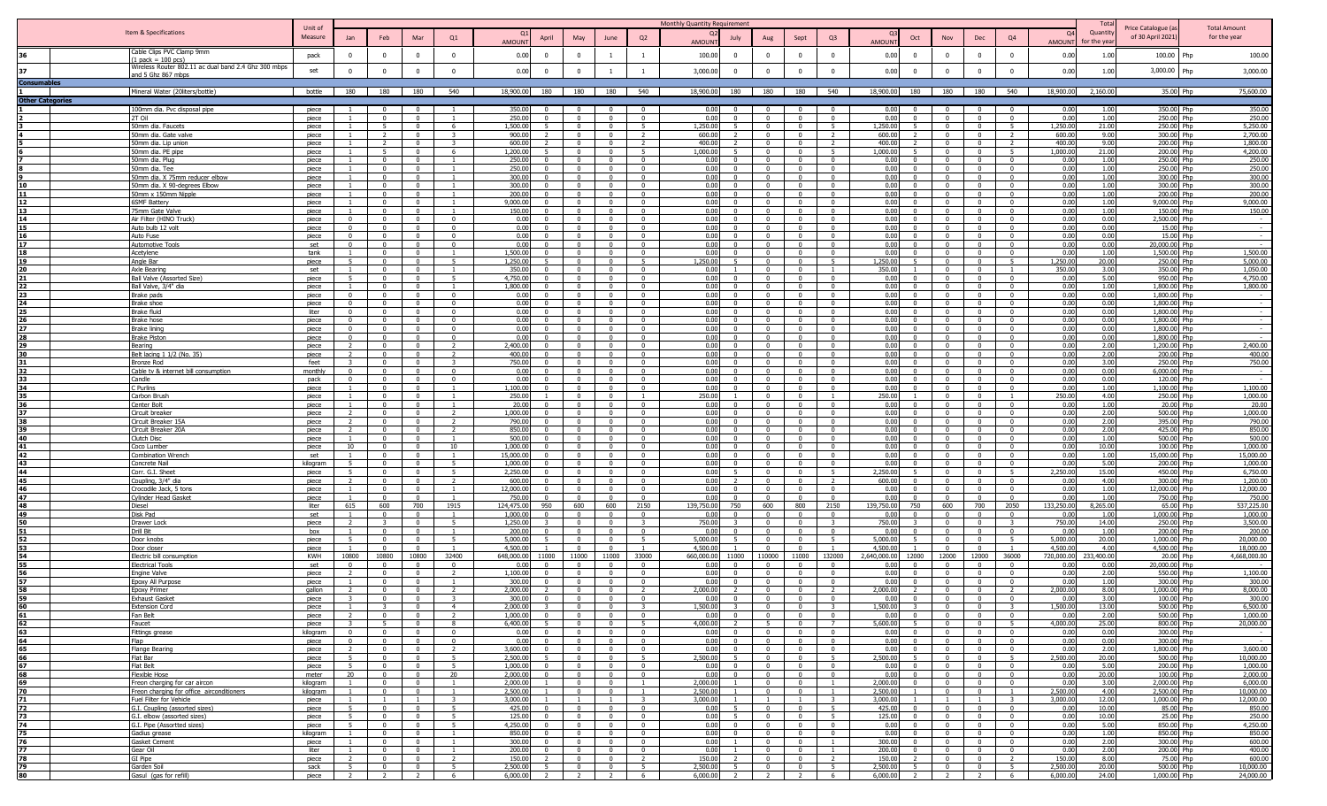|                         |                                                                            |                     |                                 |                                           |                                                     |                                  |                        |                            |                                           |                                                    |                                           | Monthly Quantity Requirement |                                  |                                            |                                           |                              |                          |                                                             |                                                    |                |                                                       | Total              |                                         |                                     |
|-------------------------|----------------------------------------------------------------------------|---------------------|---------------------------------|-------------------------------------------|-----------------------------------------------------|----------------------------------|------------------------|----------------------------|-------------------------------------------|----------------------------------------------------|-------------------------------------------|------------------------------|----------------------------------|--------------------------------------------|-------------------------------------------|------------------------------|--------------------------|-------------------------------------------------------------|----------------------------------------------------|----------------|-------------------------------------------------------|--------------------|-----------------------------------------|-------------------------------------|
|                         | Item & Specifications                                                      | Unit of<br>Measure  | Jan                             | Feb                                       | Mar                                                 | Q1                               |                        | April                      | May                                       | June                                               | Q2                                        |                              | July                             | Aug                                        | Sept                                      | Q <sub>3</sub>               |                          | Oct<br><b>Nov</b>                                           | Dec                                                |                | <b>O</b><br>Q4                                        | Quantit            | Price Catalogue (a<br>of 30 April 2021) | <b>Total Amount</b><br>for the year |
|                         |                                                                            |                     |                                 |                                           |                                                     |                                  | <b>AMOUN</b>           |                            |                                           |                                                    |                                           | <b>AMOUN</b>                 |                                  |                                            |                                           |                              | <b>AMOUN</b>             |                                                             |                                                    |                | <b>AMOUN</b>                                          | or the yea         |                                         |                                     |
| 36.                     | Cable Clips PVC Clamp 9mm<br>$pack = 100$ $pcs)$                           | pack                | $\Omega$                        | $\overline{0}$                            | $\overline{0}$                                      | $\overline{0}$                   | 0.00                   | $\overline{0}$             | $\Omega$                                  | 1                                                  | $\mathbf{1}$                              | 100.00                       | $\Omega$                         | $\Omega$                                   | $\overline{\mathbf{0}}$                   | $\Omega$                     | 0.00                     | $\overline{0}$<br>$\Omega$                                  | $\overline{0}$                                     |                | 0.00<br>$\Omega$                                      | 1.00               | 100.00                                  | 100.00<br>Php                       |
| 37                      | Wireless Router 802.11 ac dual band 2.4 Ghz 300 mbps                       | set                 |                                 | $\Omega$                                  | $\Omega$                                            | $\Omega$                         | 0.00                   | $\Omega$                   |                                           |                                                    | <sup>1</sup>                              | 3,000.00                     | $\Omega$                         |                                            | $\Omega$                                  | $\Omega$                     | 0.00                     | $\Omega$                                                    | $\Omega$                                           |                | $\Omega$<br>0.00                                      | 1.00               | 3,000.00                                | 3,000.00                            |
|                         | nd 5 Ghz 867 mbps                                                          |                     |                                 |                                           |                                                     |                                  |                        |                            |                                           |                                                    |                                           |                              |                                  |                                            |                                           |                              |                          |                                                             |                                                    |                |                                                       |                    |                                         |                                     |
| Consumable:             | Mineral Water (20liters/bottle)                                            | bottle              |                                 | 180 180 180                               |                                                     | 540                              | 18,900.00              | 180                        | 180                                       | 180                                                | 540                                       | 18,900.00                    |                                  | 180 180                                    | 180                                       | 540                          | 18,900.00 180            |                                                             | 180  <br>180                                       |                | 540<br>18,900.00                                      | 2.160.00           | 35.00 Php                               | 75,600.00                           |
| <b>Other Categories</b> |                                                                            |                     |                                 |                                           |                                                     |                                  |                        |                            |                                           |                                                    |                                           |                              |                                  |                                            |                                           |                              |                          |                                                             |                                                    |                |                                                       |                    |                                         |                                     |
|                         | 100mm dia. Pvc disposal pipe                                               | piece               |                                 | $\mathbf{0}$                              | 0                                                   |                                  | 350.00                 | $^{\circ}$                 |                                           | $^{\circ}$                                         | $\overline{0}$                            | 0.00                         | $\Omega$                         |                                            |                                           | $\Omega$                     | 0.00                     | - 0                                                         | $\mathbf{0}$                                       |                | 0.00                                                  | 1.00               | 350.00 Php                              | 350.00                              |
|                         | 2T Oil<br>Omm dia. Faucets                                                 | piece<br>piece      |                                 | $\Omega$<br>-5                            | $\Omega$<br>$\Omega$                                | - 6                              | 250.00<br>1,500.00     | $\Omega$                   |                                           | $\Omega$<br>$\mathbf{0}$                           | $^{\circ}$<br>5                           | 0.00<br>1,250.00             | $\Omega$                         |                                            | $\Omega$<br>$\Omega$                      | $\Omega$                     | 0.00<br>1,250.00         | $\Omega$<br>$\Omega$                                        | $\Omega$<br>$\mathbf{0}$                           |                | 0.00<br>1,250.00                                      | 1.00<br>21.00      | 250.00 Php<br>250.00 Php                | 250.00<br>5,250.00                  |
|                         | 50mm dia. Gate valve                                                       | piece               |                                 | 2                                         | $\Omega$                                            | $\mathbf{3}$                     | 900.00                 |                            | - 0                                       | $\overline{\mathbf{0}}$                            | <sup>2</sup>                              | 600.00                       | $\overline{2}$                   | $^{\circ}$                                 | $\Omega$                                  | $\mathcal{L}$                | 600.00                   | $\Omega$                                                    | $\overline{0}$                                     |                | 600.00<br>$\overline{z}$                              | 9.00               | 300.00 Php                              | 2,700.00                            |
|                         | 50mm dia. Lip union                                                        | piece               |                                 |                                           | $\Omega$                                            |                                  | 600.00                 |                            |                                           | $\Omega$                                           | $\overline{2}$                            | 400.00                       |                                  |                                            | $\Omega$                                  |                              | 400.00                   | $\Omega$                                                    | $\overline{0}$                                     |                | 400.00                                                | 9.00               | 200.00 Php                              | 1,800.00                            |
|                         | 50mm dia. PF pipe<br>50mm dia. Plug                                        | niece               |                                 | 5 <sup>2</sup><br>$\Omega$                | $\Omega$                                            | -6                               | 1,200,00<br>250.00     |                            |                                           | $\Omega$                                           | 5 <sup>5</sup><br>$\overline{0}$          | 1.000.00<br>0.00             |                                  |                                            | $\Omega$                                  | $\overline{5}$               | 1.000.00<br>0.00         | $\Omega$                                                    | $\Omega$<br>$\Omega$                               |                | 1.000.00<br>0.00                                      | 21.00<br>1.00      | 200.00 Php<br>250.00 Php                | 4,200,00<br>250.00                  |
|                         | 50mm dia. Tee                                                              | piece<br>piece      |                                 | $\Omega$                                  | $\Omega$                                            |                                  | 250.00                 | $\Omega$                   |                                           | $\Omega$                                           | $\overline{0}$                            | 0.00                         | $\Omega$                         |                                            | $\Omega$                                  | $\Omega$                     | 0.00                     | $\Omega$                                                    | $\overline{0}$                                     |                | 0.00                                                  | 1.00               | 250.00 Php                              | 250.00                              |
|                         | 50mm dia. X 75mm reducer elbow                                             | piece               |                                 | $\mathbf{0}$                              | $\overline{0}$                                      |                                  | 300.00                 | $\Omega$                   |                                           | $\Omega$                                           | $\overline{0}$                            | 0.00                         | $\mathbf{0}$                     |                                            | $\Omega$                                  | $\Omega$                     | 0.00                     | $\Omega$                                                    | $\overline{0}$                                     |                | 0.00<br>$\mathbf{0}$                                  | 1.00               | 300.00 Php                              | 300.00                              |
|                         | 0mm dia. X 90-degrees Elbow<br>50mm x 150mm Nipple                         | piece               |                                 | $\overline{0}$<br>$\Omega$                | $\overline{0}$<br>$\Omega$                          |                                  | 300.00<br>200.00       | $\Omega$<br>$\mathsf{n}$   | $\Omega$<br>$\Omega$                      | $\Omega$<br>$\Omega$                               | $\Omega$<br>$\overline{0}$                | 0.00<br>0.00                 | $\overline{0}$<br>$\Omega$       | $^{\circ}$<br>$\Omega$                     | $\Omega$<br>$\Omega$                      | $\Omega$<br>$\Omega$         | 0.00<br>0.00             | $\Omega$<br>- 0<br>$\sqrt{ }$                               | $\overline{0}$<br>$\overline{\mathbf{0}}$          |                | 0.00<br>$\Omega$<br>0.00<br>$\Omega$                  | 1.00<br>1.00       | 300.00 Php<br>200.00 Php                | 300.00<br>200.00                    |
|                         | 6SMF Battery                                                               | piece<br>piece      |                                 | $\mathbf{0}$                              | $\Omega$                                            |                                  | 9,000.00               | $\Omega$                   | $\Omega$                                  | $^{\circ}$                                         | $\overline{\mathbf{0}}$                   | 0.00                         | $\Omega$                         | $\Omega$                                   | $\overline{\mathbf{0}}$                   | $\Omega$                     | 0.00                     | $\Omega$                                                    | $\overline{\mathbf{0}}$                            |                | $\overline{\mathbf{0}}$<br>0.00                       | 1.00               | 9,000.00 Php                            | 9,000.00                            |
|                         | 75mm Gate Valve                                                            | piece               |                                 | $\Omega$                                  | $\overline{0}$                                      |                                  | 150.00                 | $\Omega$                   |                                           | $\Omega$                                           | $\Omega$                                  | 0.00                         | $\Omega$                         | $\Omega$                                   | $\Omega$                                  | $\Omega$                     | 0.00                     | $\Omega$                                                    | $\Omega$                                           |                | 0.00<br>$\Omega$                                      | 1.00               | 150.00 Php                              | 150.00                              |
|                         | Air Filter (HINO Truck)<br>Auto bulb 12 volt                               | piece               | $\Omega$<br>$\Omega$            | $\mathbf{0}$<br>$\Omega$                  | $\sqrt{ }$<br>$\sqrt{ }$                            | $\Omega$<br>$\Omega$             | 0.00<br>0.00           | $\Omega$<br>$\Omega$       | $\sim$<br>$\sim$                          | $\overline{0}$<br>$\sqrt{2}$                       | $\overline{0}$<br>$\Omega$                | 0.00<br>0.00                 | $\Omega$<br>$\Omega$             | $\Omega$                                   | $\overline{0}$<br>$\sqrt{ }$              | $\Omega$<br>$\Omega$         | 0.00<br>0.00             | $\sim$<br>$\Omega$<br>$\sim$<br>$\sqrt{ }$                  | $\overline{0}$<br>$\sqrt{ }$                       |                | 0.00<br>$\Omega$<br>0.00<br>$\Omega$                  | 0.00<br>0.00       | 2.500.00 Php<br>15.00 Php               | $\overline{\phantom{a}}$<br>$\sim$  |
| 16                      | Auto Fuse                                                                  | piece<br>piece      | $\Omega$                        | $\mathbf{0}$                              | $\overline{\mathbf{0}}$                             | $\Omega$                         | 0.00                   | $\overline{0}$             | $\Omega$                                  | $\overline{0}$                                     | $\overline{0}$                            | 0.00                         | $\mathbf{0}$                     | $\Omega$                                   | $\overline{0}$                            | $\Omega$                     | 0.00                     | $\overline{0}$                                              | $\overline{0}$                                     |                | 0.00<br>$\Omega$                                      | 0.00               | 15.00 Php                               |                                     |
| 17                      | Automotive Tools                                                           | set                 | $\Omega$                        | $\mathbf{0}$                              | $\overline{0}$                                      | $\overline{0}$                   | 0.00                   | $\mathbf{0}$               |                                           | $\overline{0}$                                     | $\overline{0}$                            | 0.00                         | $\mathbf{0}$                     | $\mathbf{0}$                               | $\overline{0}$                            | $\Omega$                     | 0.00                     | $\overline{0}$                                              | $\overline{0}$                                     |                | $\mathbf{0}$<br>0.00                                  | 0.00               | 20,000.00 Php                           |                                     |
| 18                      | Acetylene                                                                  | tank                |                                 | $\mathbf{0}$                              | $\overline{0}$                                      | 5                                | 1,500.00               | $\Omega$<br>5              | - 0                                       | $\overline{0}$                                     | $\Omega$                                  | 0.00                         | $^{\circ}$<br>5                  | $\Omega$<br>$\Omega$                       | $\Omega$                                  | $\Omega$                     | 0.00<br>1.250.00         | $\Omega$                                                    | $\Omega$                                           |                | 0.00<br>$\Omega$                                      | 1.00               | 1.500.00 Php                            | 1,500.00<br>5,000.00                |
| 19                      | Angle Bar<br>Axle Bearing                                                  | piece<br>set        | -5                              | $\Omega$<br>$\mathbf{0}$                  | $\Omega$<br>$\Omega$                                |                                  | 1,250.00<br>350.00     | $\Omega$                   | $\Omega$                                  | $\overline{0}$<br>$\Omega$                         | -5<br>$\overline{0}$                      | 1,250.00<br>0.00             |                                  |                                            | $\overline{0}$<br>$\Omega$                | -5                           | 350.00                   | $\Omega$<br>$\Omega$                                        | $\overline{\mathbf{0}}$<br>$\overline{0}$          |                | 1,250.00<br>$-5$<br>350.00                            | 20.00<br>3.00      | 250.00 Php<br>350.00 Php                | 1,050.00                            |
|                         | <b>Ball Valve (Assorted Size)</b>                                          | piece               | 5                               | $\Omega$                                  | $\Omega$                                            | -5                               | 4.750.00               | $\Omega$                   |                                           | $\Omega$                                           | $\Omega$                                  | 0.00                         | $\Omega$                         |                                            | $\Omega$                                  | $\Omega$                     | 0.00                     | $\Omega$                                                    | $\overline{0}$                                     |                | 0.00                                                  | 5.00               | 950.00 Php                              | 4.750.00                            |
|                         | Ball Valve, 3/4" dia                                                       | niece               | $\Omega$                        | $\Omega$<br>$\Omega$                      | $\sim$<br>$\Omega$                                  | $\sqrt{2}$                       | 1.800.00               | $\Omega$<br>$\Omega$       |                                           | $\Omega$<br>$\Omega$                               | $\overline{0}$<br>$\overline{0}$          | 0.00<br>0.00                 | $\Omega$<br>$\Omega$             |                                            | $\sqrt{ }$<br>$\Omega$                    | $\Omega$<br>$\Omega$         | 0.00<br>0.00             | $\bigcap$<br>$\Omega$                                       | $\overline{0}$<br>$\overline{0}$                   |                | 0.00                                                  | 1.00<br>0.00       | 1.800.00 Php<br>1,800.00 Php            | 1,800.00<br>$\sim$                  |
| 24                      | Brake pads<br>Brake shoe                                                   | piece<br>piece      | $\mathbf{0}$                    | $\overline{0}$                            | $\overline{0}$                                      | $\overline{0}$                   | 0.00<br>0.00           | $\Omega$                   |                                           | $\Omega$                                           | $\overline{0}$                            | 0.00                         | $\overline{0}$                   | $\Omega$                                   | $\Omega$                                  | $\Omega$                     | 0.00                     | $\Omega$                                                    | $\mathbf{0}$                                       |                | 0.00<br>$\mathbf{0}$<br>0.00                          | 0.00               | 1,800.00 Php                            |                                     |
| 25                      | Brake fluid                                                                | liter               | $\Omega$                        | $\mathbf{0}$                              | $\Omega$                                            | $\Omega$                         | 0.00                   | $\Omega$                   |                                           | $\Omega$                                           | $\mathbf{0}$                              | 0.00                         | $\Omega$                         |                                            |                                           |                              | 0.00                     | $\Omega$                                                    | $^{\circ}$                                         |                | 0.00                                                  | 0.00               | 1,800.00 Php                            | $\overline{\phantom{a}}$            |
| 27                      | Brake hose                                                                 | piece               | $^{\circ}$                      | $\overline{0}$                            | $\Omega$                                            | $\Omega$                         | 0.00                   | $\Omega$<br>$\Omega$       |                                           | $^{\circ}$                                         | $\overline{0}$                            | 0.00                         | $\Omega$<br>$\Omega$             |                                            | $\Omega$                                  | $\mathsf{r}$<br>$\mathsf{r}$ | 0.00                     | - 0<br>- 0                                                  | $\overline{\mathbf{0}}$                            |                | 0.00<br>$\Omega$                                      | 0.00               | 1,800.00 Php                            | $\sim$                              |
|                         | <b>Brake lining</b><br><b>Brake Pistor</b>                                 | piece<br>piece      | $\Omega$<br>$\Omega$            | $\Omega$<br>$\Omega$                      | $\Omega$<br>$\Omega$                                | $\Omega$<br>$\Omega$             | 0.00<br>0.00           | $\Omega$                   |                                           | $\Omega$<br>$\Omega$                               | $\overline{0}$<br>$\overline{\mathbf{0}}$ | 0.00<br>0.00                 | $\Omega$                         |                                            | - 0<br>$\Omega$                           | $\Omega$                     | 0.00<br>0.00             | $\Omega$                                                    | $\overline{\mathbf{0}}$<br>$\Omega$                |                | 0.00<br>$\Omega$<br>0.00<br>$\Omega$                  | 0.00<br>0.00       | 1,800.00 Php<br>1,800.00 Php            | $\sim$<br>$\sim$                    |
|                         | Bearing                                                                    | piece               |                                 | $\Omega$                                  |                                                     |                                  | 2,400.00               |                            |                                           |                                                    | $\overline{0}$                            | 0.00                         |                                  |                                            | $\sqrt{ }$                                |                              | 0.00                     |                                                             | $\overline{0}$                                     |                | 0.00                                                  | 2.00               | 1.200.00 Php                            | 2,400.00                            |
|                         | Belt lacing 1 1/2 (No. 35)                                                 | piece               | $\mathbf{z}$                    | $\Omega$<br>$\Omega$                      | $\Omega$<br>$\Omega$                                | $\overline{2}$<br>$\mathbf{R}$   | 400.00<br>750.00       | $\Omega$<br>$\Omega$       | $\sqrt{ }$                                | $\Omega$<br>$\Omega$                               | $\Omega$<br>$\overline{0}$                | 0.00<br>0.00                 | $\Omega$<br>$\Omega$             | $\sqrt{2}$                                 | $\sim$<br>$\sqrt{ }$                      | $\Omega$<br>$\Omega$         | 0.00<br>0.00             | $\Omega$<br>$\sqrt{ }$                                      | $\Omega$<br>$\overline{0}$                         |                | 0.00<br>$\sqrt{2}$                                    | 2.00<br>3.00       | 200.00 Php<br>250.00 Php                | 400.00                              |
|                         | Bronze Rod<br>Cable tv & internet bill consumption                         | feet<br>monthly     |                                 | $\Omega$                                  | $\Omega$                                            | $\Omega$                         | 0.00                   | $\Omega$                   |                                           | $\Omega$                                           | $\overline{0}$                            | 0.00                         | $\Omega$                         | $\sim$                                     | $\Omega$                                  | $\Omega$                     | 0.00                     | $\sqrt{ }$                                                  | $\overline{0}$                                     |                | 0.00<br>0.00<br>$\Omega$                              | 0.00               | 6,000.00 Php                            | 750.00                              |
|                         | <u>Candle</u>                                                              | pack                |                                 | $\Omega$                                  | $\Omega$                                            | $\Omega$                         | 0.00                   |                            |                                           | $\Omega$                                           | $\overline{\mathbf{0}}$                   | 0.00                         | $\Omega$                         |                                            |                                           |                              | 0.00                     | $\Omega$                                                    | $\overline{\mathbf{0}}$                            |                | 0.00                                                  | 0.00               | 120.00 Php                              |                                     |
|                         | C Purlins<br>Carbon Brusl                                                  | piece<br>piece      |                                 | $\Omega$<br>$\Omega$                      | $\Omega$<br>$\Omega$                                |                                  | 1,100.00<br>250.00     | $\Omega$                   |                                           | $\overline{\mathbf{0}}$<br>$\Omega$                | $\overline{0}$<br>$\overline{1}$          | 0.00<br>250.00               | $\Omega$                         |                                            | $\overline{0}$<br>$\Omega$                | $\Omega$                     | 0.00<br>250.00           | $\overline{0}$<br>$\Omega$                                  | $\overline{\mathbf{0}}$<br>$\overline{0}$          |                | $\Omega$<br>0.00<br>250.00                            | 1.00<br>4.00       | 1,100.00 Php<br>250.00 Php              | 1,100.00<br>1,000.00                |
|                         | Center Bolt                                                                | niece               |                                 | $\Omega$                                  | $\Omega$                                            |                                  | 20.00                  |                            |                                           | $\Omega$                                           | $\overline{0}$                            | 0.00                         | $\Omega$                         |                                            | $\Omega$                                  | $\Omega$                     | 0.00                     | $\Omega$                                                    | $\overline{0}$                                     |                | 0.00                                                  | 1.00               | 20.00 Php                               | 20.00                               |
| 37                      | Circuit breaker                                                            | piece               | $\overline{2}$<br>$\mathcal{L}$ | $\Omega$                                  | $\Omega$                                            | $\overline{2}$<br>$\overline{2}$ | 1.000.00               | $\Omega$                   | $\Omega$                                  | $\Omega$                                           | $\overline{0}$                            | 0.00                         | $\Omega$                         |                                            | $\overline{0}$                            | $\Omega$                     | 0.00                     | $\Omega$                                                    | $\overline{0}$                                     |                | 0.00<br>$\Omega$                                      | 2.00               | 500.00 Php                              | 1,000.00                            |
|                         | Circuit Breaker 15A<br>Circuit Breaker 20A                                 | piece<br>piece      | $\overline{2}$                  | $\mathbf{0}$<br>$\mathbf{0}$              | $\overline{0}$<br>$\Omega$                          | $\overline{2}$                   | 790.00<br>850.00       | $\Omega$<br>$\Omega$       |                                           | $\mathbf{0}$<br>$\Omega$                           | $\overline{0}$<br>$^{\circ}$              | 0.00<br>0.00                 | $\mathbf{0}$<br>$\mathbf{0}$     |                                            | $\Omega$<br>$\Omega$                      | $\Omega$<br>$\Omega$         | 0.00<br>0.00             | $\Omega$<br>$\Omega$                                        | $\overline{0}$<br>$^{\circ}$                       |                | 0.00<br>$\Omega$<br>0.00<br>$\Omega$                  | 2.00<br>2.00       | 395.00 Php<br>425.00 Php                | 790.00<br>850.00                    |
|                         | Clutch Disc                                                                | piece               |                                 | $\mathbf{0}$                              | $\Omega$                                            |                                  | 500.00                 | $\Omega$                   |                                           | $\Omega$                                           | $\Omega$                                  | 0.00                         | $\Omega$                         |                                            | $\Omega$                                  | $\Omega$                     | 0.00                     | $\Omega$                                                    | $\Omega$                                           |                | 0.00<br>$\Omega$                                      | 1.00               | 500.00 Php                              | 500.00                              |
| 41<br>42                | Coco Lumber<br><b>Combination Wrench</b>                                   | piece<br>set        | 10                              | $\Omega$<br>$\mathbf{0}$                  | $\Omega$<br>$\overline{\phantom{0}}$                | 10<br>$\overline{1}$             | 1,000.00<br>15,000.00  | $\Omega$<br>$\Omega$       | - 0                                       | $\mathbf{0}$<br>$\mathbf{0}$                       | $\overline{\mathbf{0}}$<br>$\overline{0}$ | 0.00<br>0.00                 | $^{\circ}$<br>$\Omega$           | $^{\circ}$                                 | $\Omega$<br>$\overline{0}$                | $\Omega$<br>$\Omega$         | 0.00<br>0.00             | $\Omega$<br>$\Omega$                                        | $\overline{\mathbf{0}}$<br>$\overline{\mathbf{0}}$ |                | 0.00<br>$\overline{\mathbf{0}}$<br>0.00<br>$^{\circ}$ | 10.00<br>1.00      | 100.00 Php<br>15,000.00 Php             | 1,000.00<br>15,000.00               |
| 43                      | Concrete Nail                                                              | kilogram            | -5                              | $\Omega$                                  | $\Omega$                                            | - 5                              | 1,000.00               | $\Omega$                   |                                           | $\Omega$                                           | $\Omega$                                  | 0.00                         | $\Omega$                         |                                            | $\Omega$                                  | $\Omega$                     | 0.00                     | $\Omega$                                                    | $\Omega$                                           |                | 0.00<br>$\Omega$                                      | 5.00               | 200.00 Php                              | 1,000.00                            |
|                         | Corr. G.I. Sheet                                                           | piece               |                                 | $\Omega$                                  | $\Omega$                                            | 5 <sup>5</sup>                   | 2,250.0                |                            |                                           | $\Omega$                                           | $\overline{0}$                            | 0.00                         |                                  |                                            | $\Omega$                                  |                              | 2.250.00                 |                                                             | $\overline{0}$                                     |                | 2,250.00                                              | 15.00              | 450.00 Php                              | 6.750.00                            |
| 45                      | Coupling, 3/4" dia<br>Crocodile Jack, 5 tons                               | piece<br>piece      |                                 | $\Omega$<br>$\Omega$                      | $\Omega$<br>$\Omega$                                | $\overline{2}$                   | 600.00<br>12,000.00    | $\Omega$                   | $\Omega$                                  | $\Omega$<br>$\Omega$                               | $\Omega$<br>$\Omega$                      | 0.00<br>0.00                 | $\Omega$                         |                                            | $\Omega$                                  | $\overline{\phantom{a}}$     | 600.00<br>0.00           | $\Omega$<br>$\bigcap$                                       | $\overline{0}$<br>$\Omega$                         |                | 0.00<br>$\Omega$<br>0.00                              | 4.00<br>1.00       | 300.00 Php<br>12,000.00 Php             | 1,200.00<br>12,000.00               |
|                         | <b>Cylinder Head Gasket</b>                                                | piece               |                                 | $\Omega$                                  | $\Omega$                                            |                                  | 750.00                 |                            |                                           | $\Omega$                                           | $\Omega$                                  | 0.00                         | $\Omega$                         |                                            | $\Omega$                                  | $\Omega$                     | 0.00                     | $\Omega$                                                    | $\Omega$                                           |                | 0.00                                                  | 1.00               | 750.00 Php                              | 750.00                              |
|                         | Diesel                                                                     | liter               | 615                             | 600                                       | 700                                                 | 1915                             | 124,475.00             | 950                        | 600                                       | 600                                                | 2150                                      | 39,750.00                    | 750                              | 600                                        | 800                                       | 2150                         | 139,750.00               | 600<br>750                                                  | 700                                                |                | 133,250.00<br>2050                                    | 8,265.00           | 65.00 Php                               | 537,225.00                          |
|                         | Disk Pad<br>Drawer Lock                                                    | set<br>piece        |                                 | $\Omega$                                  | $\Omega$<br>$\Omega$                                | - 5                              | 1,000.00<br>1,250.00   | $\Omega$                   |                                           | $\overline{\mathbf{0}}$<br>$\Omega$                | $\overline{0}$<br>$\mathbf{R}$            | 0.00<br>750.00               | $\Omega$                         |                                            | $\overline{0}$<br>$\Omega$                | $\Omega$                     | 0.00<br>750.00           | $\overline{0}$<br>$\Omega$                                  | $\overline{\mathbf{0}}$<br>$\overline{0}$          |                | 0.00<br>$\Omega$<br>750.00                            | 1.00<br>14.00      | 1,000.00 Php<br>250.00 Php              | 1,000.00<br>3,500.00                |
|                         | Drill Bit                                                                  | box                 |                                 | $\mathbf{0}$                              | $\overline{0}$                                      | $\overline{1}$                   | 200,00                 | $\Omega$                   |                                           | $\Omega$                                           | $\overline{0}$                            | 0.00                         | $\Omega$                         |                                            | $\overline{0}$                            | $\Omega$                     | 0.00                     | $\Omega$                                                    | $\overline{0}$                                     |                | $\Omega$<br>0.00                                      | 1.00               | 200.00 Php                              | 200.00                              |
|                         | Door knobs                                                                 | piece               | -5                              | $\Omega$                                  | $\sqrt{ }$                                          | 5 <sup>1</sup>                   | 5.000.00               | 5                          | $\sim$                                    | $\Omega$                                           | 5 <sup>5</sup>                            | 5.000.00                     | 5                                | $\Omega$                                   | $\Omega$                                  | 5 <sup>2</sup>               | 5.000.00                 | $\Omega$                                                    | $\overline{0}$                                     |                | 5,000.00<br>5 <sup>5</sup>                            | 20.00              | 1,000.00 Php                            | 20,000.00                           |
|                         | Door closer<br>lectric bill consumption                                    | piece<br><b>KWH</b> | $\overline{1}$<br>10800         | $\mathbf{0}$<br>10800                     | $\overline{\mathbf{0}}$<br>10800                    | $\overline{1}$<br>32400          | 4,500.00<br>648,000.00 | 11000                      | $\sim$<br>11000                           | $\overline{0}$<br>11000                            | $\overline{1}$<br>33000                   | 4,500.00<br>660,000.00       | 11000                            | $\overline{0}$<br>110000                   | $\overline{0}$<br>11000                   | $\overline{1}$<br>132000     | 4,500.00<br>2,640,000.00 | $\overline{0}$<br>12000<br>12000                            | $\overline{0}$<br>12000                            |                | $\overline{1}$<br>4,500.00<br>36000<br>720,000.00     | 4.00<br>233,400.00 | 4,500.00 Php<br>20.00 Php               | 18,000.00<br>4,668,000.00           |
|                         | lectrical Tools                                                            | set                 | $^{\circ}$                      | $\Omega$                                  | $\Omega$                                            | $\Omega$                         | 0.00                   | $\Omega$                   |                                           | $\Omega$                                           | $\Omega$                                  | 0.00                         | $\Omega$                         | $^{\circ}$                                 | $\Omega$                                  |                              | 0.00                     | $\Omega$                                                    | $\Omega$                                           |                | 0.00<br>$\Omega$                                      | 0.00               | 20.000.00 Php                           |                                     |
|                         | Ingine Valve                                                               | piece               | $\overline{z}$                  | $\Omega$                                  | $\sqrt{ }$                                          | $\overline{z}$                   | 1,100.00               | $\mathbf{0}$               | $\Omega$                                  | $\Omega$                                           | $\overline{0}$                            | 0.00                         | $\Omega$                         | $\Omega$                                   | $\Omega$                                  | $\Omega$                     | 0.00                     | - 0<br>$\Omega$                                             | $\overline{\mathbf{0}}$                            |                | 0.00<br>$\Omega$                                      | 2.00               | 550.00 Php                              | 1,100.00                            |
|                         | Epoxy All Purpose<br><b>Epoxy Primer</b>                                   | piece<br>gallon     |                                 | $\Omega$<br>$\Omega$                      | $\Omega$<br>$\Omega$                                | $\overline{z}$                   | 300.00<br>2,000.00     | $\Omega$                   |                                           | $^{\circ}$<br>$\Omega$                             | $\overline{\mathbf{0}}$<br>$\overline{2}$ | 0.00<br>2,000.00             | $\overline{0}$                   | $\Omega$<br>$\Omega$                       | $\overline{\mathbf{0}}$<br>$\Omega$       | $\Omega$<br>$\overline{z}$   | 0.00<br>2,000.00         | - 0<br>$\Omega$                                             | $\overline{\mathbf{0}}$<br>$\Omega$                |                | 0.00<br>$\Omega$<br>2,000.00<br>$\overline{2}$        | 1.00<br>8.00       | 300.00 Php<br>1,000.00 Php              | 300.00<br>8,000.00                  |
|                         | <b>Exhaust Gasket</b>                                                      | piece               |                                 | $\mathbf{0}$                              | $\overline{0}$                                      |                                  | 300.00                 | $\Omega$                   | $\sqrt{ }$                                | $\Omega$                                           | $\overline{0}$                            | 0.00                         | $\mathbf{0}$                     | $\overline{0}$                             | $\overline{0}$                            | $\overline{0}$               | 0.00                     | $\Omega$                                                    | $\overline{0}$                                     |                | 0.00<br>$\Omega$                                      | 3.00               | 100.00 Php                              | 300.00                              |
|                         |                                                                            |                     |                                 |                                           |                                                     |                                  | n nnn c                |                            |                                           |                                                    |                                           | 15000                        |                                  |                                            |                                           |                              | 15000                    |                                                             |                                                    |                | 500.0                                                 |                    | 500.00                                  | 6,500,00                            |
| 62                      | Fan Belt<br>Faucet                                                         | piece<br>piece      |                                 | $\Omega$<br>5                             | $\overline{0}$<br>$\Omega$                          | 8 <sup>8</sup>                   | 1,000.00<br>6,400.00   | $\Omega$<br>$\overline{5}$ |                                           | $\overline{0}$<br>$\overline{0}$                   | $\overline{0}$<br>5 <sup>5</sup>          | 0.00<br>4.000.00             | $\Omega$<br>$\mathcal{L}$        | 5 <sup>1</sup>                             | $\overline{0}$<br>$\overline{0}$          | $\sim$<br>$\overline{7}$     | 0.00<br>5.600.00         | $\overline{0}$<br>$\overline{0}$                            | $\overline{0}$<br>$\overline{0}$                   |                | 0.00<br>$\Omega$<br>5 <sup>1</sup><br>4.000.00        | 2.00<br>25.00      | 500.00 Php<br>800.00 Php                | 1,000.00<br>20,000.00               |
| 63                      | Fittings grease                                                            | kilogram            | $\overline{0}$                  | $\overline{0}$                            | $\overline{0}$                                      | $\overline{0}$                   | 0.00                   | $\Omega$                   | $\sim$                                    | $\overline{\mathbf{0}}$                            | $\overline{0}$                            | 0.00                         | $\overline{0}$                   | $\overline{0}$                             | $\Omega$                                  | $\Omega$                     | 0.00                     | $\overline{0}$                                              | $\overline{0}$                                     |                | $\overline{0}$<br>0.00                                | 0.00               | 300.00 Php                              | $\sim$                              |
| 64                      | Flap                                                                       | piece               | $\mathbf{0}$                    | $\overline{0}$                            | $\overline{\mathbf{0}}$                             | $\Omega$                         | 0.00                   | $\Omega$                   | $\overline{\phantom{0}}$                  | $\overline{\mathbf{0}}$                            | $\overline{0}$                            | 0.00                         | $\overline{0}$                   | $\Omega$                                   | $\overline{0}$                            | $\Omega$                     | 0.00                     | $\overline{0}$                                              | $\overline{0}$                                     |                | $\overline{0}$<br>0.00                                | 0.00               | 300.00 Php                              | $\sim$                              |
| 65                      | Flange Bearing                                                             | piece               | $\overline{2}$<br>-5            | $\overline{0}$                            | $\Omega$                                            | $\overline{2}$<br>$-5$           | 3,600.00               | $\Omega$<br>5 <sup>2</sup> | $\mathbf{0}$                              | $\overline{\mathbf{0}}$                            | $\overline{\mathbf{0}}$                   | 0.00                         | $\Omega$                         | $\Omega$                                   | $\overline{\mathbf{0}}$                   | $\overline{0}$               | 0.00                     | $\Omega$<br>$\Omega$                                        | $\overline{\mathbf{0}}$                            |                | 0.00<br>$\mathbf{0}$                                  | 2.00               | 1,800.00 Php                            | 3,600.00                            |
| 66<br>67                | Flat Bar<br>Flat Belt                                                      | piece<br>piece      | 5                               | $\mathbf{0}$<br>$\overline{0}$            | $\overline{0}$<br>$\overline{0}$                    | 5 <sup>1</sup>                   | 2,500.00<br>1,000.00   | $\overline{0}$             | $\overline{0}$<br>$\sim$                  | $\overline{0}$<br>$\overline{\mathbf{0}}$          | 5<br>$\overline{0}$                       | 2,500.00<br>0.00             | 5 <sup>2</sup><br>$\overline{0}$ | $\sim$ 0                                   | $\overline{0}$<br>$\overline{0}$          | 5<br>$\Omega$                | 2,500.00<br>0.00         | $\sqrt{ }$                                                  | $\overline{0}$<br>$\overline{0}$                   |                | 2,500.00<br>5 <sup>5</sup><br>0.00<br>$\overline{0}$  | 20.00<br>5.00      | 500.00 Php<br>200.00 Php                | 10,000.00<br>1,000.00               |
| 68                      | Flexible Hose                                                              | meter               | 20                              | $\overline{0}$                            | $\overline{\mathbf{0}}$                             | 20                               | 2,000.00               | $\mathbf{0}$               | $\sim$                                    | $\overline{0}$                                     | $\overline{\mathbf{0}}$                   | 0.00                         | $\overline{0}$                   | $\sim$ 0                                   | $\sim$                                    | $\Omega$                     | 0.00                     | $\overline{0}$                                              | $\overline{0}$                                     |                | 0.00<br>$\mathbf{a}$                                  | 20.00              | 100.00 Php                              | 2,000.00                            |
| 69<br>70                | Freon charging for car aircon<br>Freon charging for office airconditioners | kilogram            | 1                               | $\overline{0}$<br>$\overline{0}$          | $\overline{\phantom{0}}$<br>$\overline{\mathbf{0}}$ | $\overline{1}$                   | 2,000.00<br>2,500.00   | $\sim$                     | $\overline{0}$                            | $\overline{\mathbf{0}}$<br>$\overline{\mathbf{0}}$ | $\mathbf{1}$                              | 2,000.00<br>2,500.00         | 1                                | $\overline{\mathbf{0}}$<br>$\overline{0}$  | $\overline{\mathbf{0}}$<br>$\overline{0}$ | $\overline{1}$               | 2,000.00<br>2,500.00     | $\overline{0}$<br>$\mathsf{n}$<br>$\Omega$                  | $\overline{0}$                                     |                | $\overline{0}$<br>0.00<br>2,500.00                    | 3.00<br>4.00       | 2,000.00 Php<br>2,500.00 Php            | 6,000.00<br>10,000.00               |
| 71                      | Fuel Filter for Vehicle                                                    | kilogram<br>piece   |                                 | $\mathbf{1}$                              | $\overline{1}$                                      | $\overline{\mathbf{3}}$          | 3,000.00               |                            | $\overline{\mathbf{0}}$<br>$\overline{1}$ | $\mathbf{1}$                                       | $\mathbf{1}$<br>$\overline{\mathbf{3}}$   | 3,000.00                     |                                  | $\sim$ 1                                   | $\overline{1}$                            | -3                           | 3,000.00                 | - 1                                                         | $\overline{0}$<br><sup>1</sup>                     |                | <sup>1</sup><br>3,000.00<br>$\overline{\mathbf{3}}$   | 12.00              | 1,000.00 Php                            | 12,000.00                           |
| 72                      | G.I. Coupling (assorted sizes)                                             | piece               | 5                               | $\overline{0}$                            | $\overline{\mathbf{0}}$                             | 5                                | 425.00                 | $\Omega$                   | $\sim$ 0                                  | $\overline{\mathbf{0}}$                            | $\overline{0}$                            | 0.00                         | 5                                | $\overline{0}$                             | $\overline{\mathbf{0}}$                   | 5                            | 425.00                   | $\Omega$                                                    | $\overline{\mathbf{0}}$                            |                | 0.00<br>$\overline{0}$                                | 10.00              | 85.00 Php                               | 850.00                              |
| 73<br>74                | G.I. elbow (assorted sizes)                                                | piece               | - 5                             | $\overline{0}$<br>$\Omega$                | $\overline{\phantom{0}}$<br>$\sim$                  | 5 <sup>5</sup><br>$\overline{5}$ | 125.00                 | $\Omega$<br>$\Omega$       | $\mathbf{0}$<br>$\sim$                    | $\overline{0}$<br>$\sqrt{ }$                       | $\overline{\mathbf{0}}$<br>$\overline{0}$ | 0.00                         | $5 -$<br>$\Omega$                | $\sim$ 0                                   | $\overline{\mathbf{0}}$<br>$\sim$         | 5<br>$\Omega$                | 125.00                   | $\Omega$<br>$\Omega$                                        | $\overline{0}$<br>$\sqrt{ }$                       |                | 0.00<br>$\mathbf{0}$<br>$\Omega$                      | 10.00              | 25.00 Php                               | 250.00                              |
| 75                      | G.I. Pipe (Assortted sizes)<br>Gadius grease                               | piece<br>kilogram   |                                 | $\overline{0}$                            | $\overline{0}$                                      | $\overline{1}$                   | 4,250.00<br>850.00     | $\Omega$                   | $\sim$                                    | $\overline{0}$                                     | $\overline{0}$                            | 0.00<br>0.00                 | $\Omega$                         | $\sim$ 0                                   | $\overline{0}$                            | $\sqrt{ }$                   | 0.00<br>0.00             | $\sqrt{ }$                                                  | $\overline{0}$                                     |                | 0.00<br>0.00<br>$\mathbf{a}$                          | 5.00<br>1.00       | 850.00 Php<br>850.00 Php                | 4,250.00<br>850.00                  |
| 76                      | Gasket Cement                                                              | piece               |                                 | $\overline{0}$                            | $\overline{0}$                                      | $\overline{1}$                   | 300.00                 | $\mathbf{0}$               | $\sim$                                    | $\overline{0}$                                     | $\overline{0}$                            | 0.00                         | 1                                | $\overline{0}$                             | $\overline{0}$                            | $\blacksquare$               | 300.00                   | $\overline{0}$                                              | $\overline{0}$                                     |                | 0.00<br>$\Omega$                                      | 2.00               | 300.00 Php                              | 600.00                              |
| 77<br>78                | Gear Oil                                                                   | liter               |                                 | $\overline{0}$                            | $\overline{0}$                                      |                                  | 200.00                 | $\mathsf{n}$               | $\sim$                                    | $\overline{0}$                                     | $\overline{0}$                            | 0.00                         |                                  | $\overline{0}$                             | $\overline{0}$                            |                              | 200.00                   | $\overline{0}$                                              | $\overline{0}$                                     |                | $\Omega$<br>0.00                                      | 2.00               | 200.00 Php                              | 400.00                              |
| 79                      | GI Pipe<br>Garden Soil                                                     | piece<br>sack       | $\overline{2}$<br>5             | $\overline{0}$<br>$\overline{\mathbf{0}}$ | $\overline{0}$<br>$\overline{\mathbf{0}}$           | $\overline{2}$<br>5              | 150.00<br>2,500.00     | 2<br>5                     | $\overline{0}$<br>$\overline{\mathbf{0}}$ | $\overline{\mathbf{0}}$<br>$\overline{\mathbf{0}}$ | $\overline{2}$<br>5                       | 150.00<br>2,500.00           | $2^{\circ}$<br>5                 | $\overline{0}$<br>$\overline{\phantom{0}}$ | $\overline{0}$<br>$\overline{0}$          | $\overline{2}$<br>5          | 150.00<br>2,500.00       | $\overline{0}$<br>$\overline{2}$<br>$\overline{\mathbf{0}}$ | $\overline{0}$<br>$\overline{0}$                   |                | 150.00<br>$\overline{2}$<br>2,500.00<br>5             | 8.00<br>20.00      | 75.00 Php<br>500.00 Php                 | 600.00<br>10,000.00                 |
| 80                      | Gasul (gas for refill)                                                     | piece               | $\overline{2}$                  | $\overline{2}$                            | $\overline{2}$                                      | 6 <sup>6</sup>                   | 6,000.00               |                            | $2 \mid 2$                                | $\overline{2}$                                     | $6\overline{6}$                           | 6,000.00                     |                                  | $2 \t 2$                                   | $\overline{2}$                            | $6\overline{6}$              | $6,000.00$ 2             |                                                             | $\overline{2}$                                     | $\overline{2}$ | 6,000.00<br>6 <sup>6</sup>                            | 24.00              | 1,000.00 Php                            | 24,000.00                           |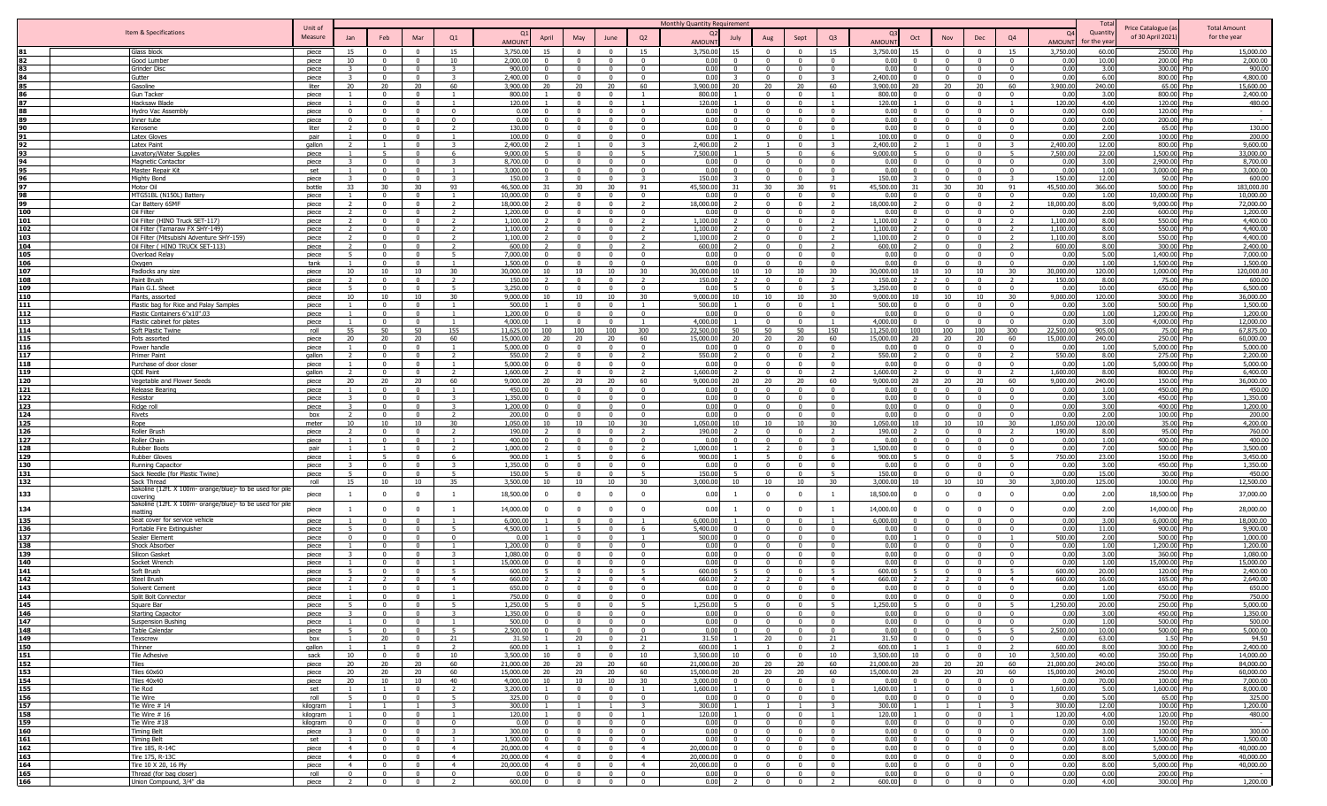|            |                                                                        |                      |                                |                            |                                |                                  |                                                            |                                  |                                |                                           | Monthly Quantity Requirement                         |                                |                            |                                         |                       |                      |                            |                                           |                                           |                       | Tot:             |                                         |                                     |
|------------|------------------------------------------------------------------------|----------------------|--------------------------------|----------------------------|--------------------------------|----------------------------------|------------------------------------------------------------|----------------------------------|--------------------------------|-------------------------------------------|------------------------------------------------------|--------------------------------|----------------------------|-----------------------------------------|-----------------------|----------------------|----------------------------|-------------------------------------------|-------------------------------------------|-----------------------|------------------|-----------------------------------------|-------------------------------------|
|            | Item & Specifications                                                  | Unit of<br>Measure   | Jan                            | Feb                        | Mar                            | Q1                               | April                                                      | May                              | June                           | Q2                                        | July                                                 |                                | Sept                       | Q <sub>3</sub>                          |                       | Oct                  | Nov                        | Dec                                       | Q <sub>4</sub>                            | $\Omega$              | Quantity         | Price Catalogue (a<br>of 30 April 2021) | <b>Total Amount</b><br>for the year |
|            |                                                                        |                      |                                |                            |                                |                                  | <b>AMOUN</b>                                               |                                  |                                |                                           | <b>AMOUNT</b>                                        | Aug                            |                            |                                         | AMOUN <sup>-</sup>    |                      |                            |                                           |                                           | AMOUN                 | or the year      |                                         |                                     |
|            | Glass block                                                            | piece                | 15                             | $\Omega$                   | $\Omega$                       | 15                               | 3,750.00<br>15                                             |                                  | $\Omega$                       | 15                                        | 3,750.00<br>15                                       |                                | $\Omega$                   | 15                                      | 3,750.00              | 15                   | $\Omega$                   |                                           | 15                                        | 3,750.00              | 60.00            | 250.00 Php                              | 15,000.00                           |
| 83         | Good Lumber<br>Grinder Disc                                            | piece                | 10<br>$\overline{3}$           | $\Omega$<br>$\mathbf{0}$   | $\Omega$<br>$\mathbf{0}$       | 10<br>$\overline{\mathbf{3}}$    | 2,000.0<br>900.00<br>$\Omega$                              | $\Omega$                         | $\Omega$<br>$\Omega$           | $\mathbf{0}$                              | 0.00<br>$\Omega$<br>0.00<br>$\mathbf{0}$             | $\mathbf{0}$                   | $\sqrt{ }$<br>$\Omega$     | $\Omega$                                | 0.00<br>0.00          |                      | $\Omega$<br>$\mathbf{0}$   | $\Omega$<br>$\overline{0}$                | $\Omega$<br>$\mathbf{0}$                  | 0.0<br>0.00           | 10.00<br>3.00    | 200.00 Php<br>300.00 Php                | 2,000.00<br>900.00                  |
|            | Gutter                                                                 | piece<br>piece       |                                |                            | $\Omega$                       |                                  | 2,400.0                                                    |                                  | $\Omega$                       | $^{\circ}$                                | 0.00                                                 | $\Omega$                       |                            |                                         | 2,400.00              |                      | $\Omega$                   | $^{\circ}$                                | $\Omega$                                  | 0.0                   | 6.00             | 800.00 Php                              | 4,800.00                            |
| 85         | Gasoline                                                               | liter                | 20                             | 20                         | 20                             | 60                               | 3,900.00<br>20                                             | 20                               | 20                             | 60                                        | 3,900.00<br>20                                       | 20                             | 20                         | 60                                      | 3,900.00              | 20                   | 20                         | 20                                        | 60                                        | 3,900.00              | 240.00           | 65.00 Php                               | 15,600.00                           |
|            | Gun Tacker                                                             | piece                |                                | $\Omega$                   | $\Omega$                       |                                  | 800.00                                                     | $\sqrt{ }$                       | $\Omega$                       |                                           | 800.00                                               | $\Omega$                       | $\Omega$                   |                                         | 800.00                |                      | $\Omega$                   | $\Omega$                                  | $\Omega$                                  | 0.00                  | 3.00             | 800.00 Php                              | 2,400.00                            |
| 87         | Hacksaw Blad                                                           | piece                |                                | $\Omega$                   | $\Omega$                       |                                  | 120.00                                                     | $\Omega$                         | $\Omega$                       |                                           | 120.00                                               | $\Omega$                       | $\Omega$                   |                                         | 120.00                |                      | $\Omega$                   | $\Omega$                                  |                                           | 120.00                | 4.00             | 120.00 Php                              | 480.00                              |
|            | lydro Vac Assembly                                                     | piece                | $\Omega$<br>$\Omega$           | $\Omega$                   | $\Omega$<br>$\Omega$           | $\Omega$<br>$\Omega$             | 0.00<br>0.00                                               |                                  | $\Omega$<br>$\Omega$           | $\Omega$<br>$\sqrt{ }$                    | 0.00<br>0.00<br>$\Omega$                             | $\Omega$                       | $\Omega$<br>$\Omega$       |                                         | 0.00<br>0.00          |                      | $\Omega$<br>$\Omega$       | $\sqrt{ }$                                | $\Omega$                                  | 0.0<br>0.00           | 0.00<br>0.00     | 120.00 Php<br>200.00 Php                | $\sim$                              |
| 90         | <u>inner tube</u><br><b>Cerosene</b>                                   | piece<br>liter       | $\overline{2}$                 |                            | $\mathbf{0}$                   |                                  | 130.00                                                     | $\sim$                           | $\Omega$                       | $\Omega$                                  | 0.00<br>$\Omega$                                     | $\Omega$                       | $\Omega$                   |                                         | 0.00                  |                      | $\Omega$                   | $\bigcap$                                 | $\Omega$                                  | 0.00                  | 2.00             | 65.00 Php                               | 130.00                              |
| 91         | <b>Latex Glove</b>                                                     | pair                 |                                | $\Omega$                   | $\Omega$                       |                                  | 100.00                                                     | $\Omega$                         | $\Omega$                       | $\Omega$                                  | 0.00                                                 | $\Omega$                       | $\Omega$                   |                                         | 100.00                |                      | $\Omega$                   | $\Omega$                                  | $\Omega$                                  | 0.00                  | 2.00             | 100.00 Php                              | 200.00                              |
| 92         | Latex Paint                                                            | gallon               |                                |                            | $\Omega$                       |                                  | 2,400.00                                                   |                                  | $\Omega$                       | $\overline{\mathbf{3}}$                   | 2,400.00                                             |                                | $\Omega$                   |                                         | 2,400.00              |                      |                            |                                           |                                           | 2,400.0               | 12.00            | 800.00 Php                              | 9,600.00                            |
| 93         | <b>Lavatory/Water Supplies</b>                                         | piece                |                                |                            | $\Omega$                       | -6                               | 9,000,00                                                   | $\Omega$                         | $\Omega$                       | - 5                                       | 7,500.00                                             | -5.                            | $\Omega$                   | -6                                      | 9,000.00              |                      | $\Omega$                   | $\Omega$                                  | -5                                        | 7,500.0               | 22.00            | 1,500.00 Php                            | 33,000.00                           |
| 94<br>95   | <b>Magnetic Contactor</b><br>Master Repair Kit                         | piece<br>set         |                                |                            | $\Omega$<br>$\Omega$           | 3                                | 8,700.00<br>3.000.0                                        | $\Omega$                         | $\Omega$<br>$\Omega$           | $\Omega$<br>$\Omega$                      | 0.00<br>U<br>0.00                                    | $\Omega$                       | $\Omega$<br>$\Omega$       | $\Omega$                                | 0.00<br>0.00          |                      | $\Omega$<br>$\Omega$       | $\Omega$<br>$\Omega$                      | $\Omega$<br>$\Omega$                      | 0.00<br>0.00          | 3.00<br>1.00     | 2,900.00 Php<br>3,000.00 Php            | 8,700.00<br>3,000.00                |
| 96         | Mighty Bond                                                            | piece                | $\mathbf{z}$                   | $\Omega$                   | $\Omega$                       | $\mathbf{R}$                     | 150.00                                                     | $\Omega$                         | $\Omega$                       | $\mathbf{z}$                              | 150.00                                               | $\Omega$                       | $\Omega$                   |                                         | 150.00                |                      | $\Omega$                   | $\Omega$                                  |                                           | 150.00                | 12.00            | 50.00 Php                               | 600.00                              |
| 97         | Motor Oil                                                              | bottle               | 33                             | 30                         | 30                             | 93                               | 46,500.0                                                   | 30                               | 30                             | 91                                        | 45,500.00<br>31                                      | 30                             | 30                         | 91                                      | 45,500.00             |                      | 30                         | 30                                        | 91                                        | 45,500.0              | 366.00           | 500.00 Php                              | 183,000.00                          |
| 98         | MTG51BL (N150L) Battery                                                | piece                | $\mathbf{1}$                   | $\Omega$                   | $\mathbf{0}$                   | $\overline{1}$                   | 10,000.0                                                   | $\overline{0}$                   | $\mathbf{0}$                   | $\Omega$                                  | 0.00<br>$\Omega$                                     | $\mathbf{0}$                   | $\mathbf{0}$               | $\Omega$                                | 0.00                  |                      | $\mathbf{0}$               | $\Omega$                                  | $\mathbf{0}$                              | 0.0                   | 1.00             | 10,000.00 Php                           | 10,000.00                           |
| 99         | Car Battery 6SMF                                                       | piece                | 2                              | $\Omega$                   | $\Omega$                       |                                  | 18,000.0                                                   |                                  | $\Omega$                       |                                           | 18,000.00                                            | $\Omega$                       |                            |                                         | 18,000.00             |                      | $\Omega$                   | $^{\circ}$                                |                                           | 18,000.0              | 8.00             | 9,000.00 Php                            | 72,000.00                           |
| 100<br>101 | Oil Filter<br>Oil Filter (HINO Truck SET-117                           | piece<br>piece       | 2<br>$\overline{z}$            | $\Omega$<br>$\Omega$       | $\Omega$<br>$\Omega$           | 2<br>$\mathcal{L}$               | 1,200.0<br>1,100.0                                         | $\sqrt{ }$<br>$\sqrt{ }$         | $^{\circ}$<br>$^{\circ}$       | $^{\circ}$<br>$\overline{\phantom{a}}$    | 0.00<br>$\Omega$<br>1,100.00                         | $\Omega$<br>$\Omega$           | $\Omega$<br>$\Omega$       | $\Omega$                                | 0.00<br>1,100.00      |                      | $^{\circ}$<br>$\mathbf{0}$ | $\overline{\mathbf{0}}$<br>$\Omega$       | $\Omega$<br>$\overline{\phantom{a}}$      | 0.00<br>1,100.0       | 2.00<br>8.00     | 600.00 Php<br>550.00 Php                | 1,200.00<br>4,400.00                |
| 102        | Oil Filter (Tamaraw FX SHY-149)                                        | piece                | $\overline{2}$                 | $\Omega$                   | $\Omega$                       | $\overline{2}$                   | 1,100.00                                                   | $\Omega$                         | $\Omega$                       | $\overline{2}$                            | 1,100.00                                             | $\Omega$                       | $\Omega$                   |                                         | 1,100.00              |                      | $\Omega$                   | $\Omega$                                  | $\overline{2}$                            | 1,100.0               | 8.00             | 550.00 Php                              | 4,400.00                            |
| 103        | Oil Filter (Mitsubishi Adventure SHY-159)                              | piece                |                                |                            |                                |                                  | 1,100.00                                                   |                                  |                                |                                           | 1,100.00                                             |                                |                            |                                         | 1.100.00              |                      |                            |                                           |                                           | 1,100.0               | 8.00             | 550.00 Php                              | 4,400.00                            |
| 104        | Oil Filter ( HINO TRUCK SET-113)                                       | piece                | $\overline{2}$                 | $\Omega$                   | $\Omega$                       |                                  | 600.00                                                     |                                  | $\Omega$                       | $\overline{2}$                            | 600.00                                               | $\Omega$                       | $\Omega$                   |                                         | 600.00                |                      | $\Omega$                   | $\Omega$                                  |                                           | 600.0                 | 8.00             | 300.00 Php                              | 2,400.00                            |
| 105        | Overload Relay                                                         | piece                | $\overline{\phantom{a}}$       | $\Omega$                   | $\Omega$<br>$\Omega$           |                                  | 7,000.00<br>$\Omega$                                       | $\Omega$                         | $\Omega$<br>$\Omega$           | $\Omega$<br>$\Omega$                      | 0.00<br>$\Omega$<br>0.00<br>$\Omega$                 | $\Omega$<br>$\Omega$           | $\Omega$                   |                                         | 0.00                  |                      | $\Omega$                   | $\sim$<br>$\Omega$                        | $\Omega$                                  | 0.00                  | 5.00             | 1,400.00 Php                            | 7,000.00                            |
| 106<br>107 | Oxygen<br>Padlocks any size                                            | tank<br>piece        | 10                             | 10                         | 10                             | 30                               | 1,500.00<br>30,000.00<br>10                                | 10                               | 10                             | 30                                        | 30,000.00<br>10                                      | 10                             | 10                         | 30                                      | 0.00<br>30,000.00     | 10                   | $\mathbf{0}$<br>10         | 10                                        | 30                                        | 0.00<br>30,000.00     | 1.00<br>120.00   | 1,500.00 Php<br>1.000.00 Php            | 1,500.00<br>120,000.00              |
| 108        | Paint Brush                                                            | piece                | 2                              | $\mathbf{0}$               | $\mathbf{0}$                   | $\overline{2}$                   | 150.00<br>$\overline{\phantom{a}}$                         | $\Omega$                         | $\mathbf{0}$                   | $\overline{2}$                            | 150.00<br>$\mathcal{L}$                              | $\overline{0}$                 | $\mathbf{0}$               | $\overline{2}$                          | 150.00                |                      | $\mathbf{0}$               | $^{\circ}$                                | $\overline{z}$                            | 150.00                | 8.00             | 75.00 Php                               | 600.00                              |
| 109        | Plain G.I. Sheet                                                       | piece                | .5                             | $\Omega$                   | $\Omega$                       | -5                               | 3,250.00<br>$\Omega$                                       | $\Omega$                         | $\Omega$                       | $\Omega$                                  | 0.00                                                 | $\Omega$                       | $\Omega$                   | -5                                      | 3,250.00              |                      | $\Omega$                   | $\Omega$                                  | $\Omega$                                  | 0.00                  | 10.00            | 650.00 Php                              | 6,500.00                            |
| 110        | Plants, assorted                                                       | piece                | 10                             | 10                         | 10                             | 30                               | 9,000.0<br>10                                              | 10                               | 10                             | 30                                        | 9,000,00<br>10                                       | 10                             | 10                         | 30                                      | 9.000.0               | 10                   | 10                         | 10                                        | 30                                        | 9,000.00              | 120.00           | 300.00 Php                              | 36,000.00                           |
| 111<br>112 | Plastic bag for Rice and Palay Samples<br>Plastic Containers 6"x10".03 | piece                | $\mathbf{1}$<br>$\mathbf{1}$   | $\Omega$<br>$\Omega$       | $\Omega$<br>$\mathbf{0}$       | $\overline{1}$<br>$\overline{1}$ | 500.00<br>1,200.00                                         | $\Omega$<br>$\sqrt{ }$           | $\Omega$<br>$\Omega$           | $\overline{1}$<br>$\Omega$                | 500.00<br>0.00<br>$\Omega$                           | $\Omega$<br>$\overline{0}$     | $\Omega$<br>$\Omega$       | $\Omega$                                | 500.00<br>0.00        |                      | $\Omega$<br>$\Omega$       | $\Omega$<br>$\Omega$                      | $\Omega$<br>$\Omega$                      | 0.00<br>0.00          | 3.00<br>1.00     | 500.00 Php<br>1,200.00 Php              | 1,500.00<br>1,200.00                |
| 113        | Plastic cabinet for plates                                             | piece<br>piece       |                                | $\Omega$                   | $\mathbf{0}$                   | $\overline{1}$                   | 4,000.0                                                    | $\Omega$                         | $\Omega$                       |                                           | 4,000.00                                             | $\mathbf{0}$                   | $\Omega$                   |                                         | 4,000.00              |                      | $\Omega$                   | $\Omega$                                  | $\mathbf{0}$                              | 0.00                  | 3.00             | 4,000.00 Php                            | 12,000.00                           |
| 114        | oft Plastic Twine                                                      | roll                 | 55                             | 50                         | 50                             | 155                              | 11,625.0<br>100                                            | 100                              | 100                            | 300                                       | 22,500.00<br>50                                      | 50                             | 50                         | 150                                     | 11,250.00             | 100                  | 100                        | 100                                       | 300                                       | 22,500.0              | 905.00           | 75.00 Php                               | 67,875.00                           |
| 115        | Pots assorted                                                          | piece                | 20                             | 20                         | 20                             | 60                               | 15,000.00<br>20                                            | 20                               | 20                             | 60                                        | 15,000.00<br>20                                      | 20                             | 20                         | 60                                      | 15,000.00             | 20                   | 20                         | 20                                        | 60                                        | 15,000.00             | 240.00           | 250.00 Php                              | 60,000.00                           |
| 116        | ower handle                                                            | piece                | $\mathbf{1}$                   | $\mathbf{0}$               | $\mathbf{0}$                   | -1                               | 5,000.00                                                   | $\Omega$                         | $\mathbf{0}$                   | $\overline{0}$                            | 0.00<br>$\Omega$                                     | $\mathbf 0$                    | $\Omega$                   | $\Omega$                                | 0.00                  |                      | $\mathbf{0}$               | $\overline{0}$                            | $\mathbf{0}$                              | 0.00                  | 1.00             | 5,000.00 Php                            | 5,000.00                            |
| 117<br>118 | Primer Paint<br>Purchase of door closer                                | gallon<br>piece      | $\overline{2}$                 | $\Omega$                   | $\Omega$<br>$\Omega$           | $\mathcal{L}$                    | 550.00<br>5,000.00                                         |                                  | $\Omega$                       | $\overline{\phantom{a}}$                  | 550.00<br>0.00                                       | $\Omega$                       |                            |                                         | 550.00<br>0.00        |                      | $\Omega$                   | $\Omega$                                  |                                           | 550.00<br>0.0         | 8.00<br>1.00     | 275.00 Php<br>5,000.00 Php              | 2,200.00<br>5,000.00                |
| 119        | <b>QDE Paint</b>                                                       | qallon               | $\mathcal{L}$                  | $\Omega$                   | $\Omega$                       | $\overline{2}$                   | 1,600.00                                                   |                                  | $\Omega$                       | $\overline{2}$                            | 1,600.00                                             | $\Omega$                       | $\Omega$                   |                                         | 1.600.00              |                      | $\Omega$                   | $\Omega$                                  |                                           | 1,600.0               | 8.00             | 800.00 Php                              | 6,400.00                            |
| 120        | <b>Jegetable and Flower Seeds</b>                                      | piece                | 20                             | 20 <sup>°</sup>            | 20                             | 60                               | 9,000.00<br>วก                                             | 20                               | 20                             | 60                                        | 9,000.00<br>20                                       | 20                             | 20                         | 60                                      | 9,000.00              |                      | 20                         | 20 <sup>°</sup>                           | 60                                        | 9,000.0               | 240.00           | 150.00 Php                              | 36,000.00                           |
| 121        | Release Bearing                                                        | piece                | $\overline{1}$                 | $\mathbf{0}$               | $\mathbf{0}$                   |                                  | 450.00<br>$\Omega$                                         | $\Omega$                         | $\mathbf{0}$                   | $\Omega$                                  | 0.00<br>$\mathbf{0}$                                 | $\overline{0}$                 | $\mathbf{0}$               | $\Omega$                                | 0.00                  | $\Omega$             | $\mathbf{0}$               | $\Omega$                                  | $\mathbf{0}$                              | 0.00                  | 1.00             | 450.00 Php                              | 450.00                              |
| 122        | Resistor                                                               | piece                | 3 F                            | $\Omega$                   | $\Omega$                       | -3                               | 1.350.00<br>$\Omega$<br>$\Omega$                           | $\Omega$                         | $\Omega$                       | $\Omega$                                  | 0.00<br>$\Omega$                                     | $\Omega$                       | $\Omega$                   | $\Omega$                                | 0.00                  | $\Omega$             | $\Omega$                   | $\Omega$                                  | $\mathbf{0}$                              | 0.00                  | 3.00             | 450.00 Php                              | 1,350.00                            |
| 123<br>124 | Ridge roll<br>Rivets                                                   | piece<br>box         | $\mathbf{3}$<br>$\overline{z}$ | $\Omega$<br>$\Omega$       | $\mathbf{0}$<br>$\Omega$       | 3<br>$\overline{z}$              | 1,200.00<br>200.00<br>$\Omega$                             | $\Omega$<br>$\Omega$             | $\mathbf{0}$<br>$\Omega$       | $\overline{0}$<br>$\Omega$                | 0.00<br>$\Omega$<br>0.00<br>$\Omega$                 | $\mathbf 0$<br>$\Omega$        | $\mathbf{0}$<br>$\Omega$   | $\Omega$<br>$\Omega$                    | 0.00<br>0.00          | $\Omega$<br>$\Omega$ | $\mathbf{0}$<br>$\Omega$   | $\overline{0}$<br>$\Omega$                | $\overline{\mathbf{0}}$<br>$\Omega$       | 0.00<br>0.00          | 3.00<br>2.00     | 400.00 Php<br>100.00 Php                | 1,200.00<br>200.00                  |
| 125        | Rope                                                                   | meter                | 10                             | 10                         | 10                             | 30                               | 1.050.00<br>10                                             | 10                               | 10                             | 30                                        | 1.050.00<br>10                                       | 10                             | 10                         | 30                                      | 1.050.00              | 10                   | 10                         | 10                                        | 30                                        | 1.050.00              | 120.00           | 35.00 Php                               | 4,200.00                            |
| 126        | Roller Brush                                                           | piece                | $\overline{2}$                 | $\Omega$                   | $\Omega$                       | $\overline{2}$                   | 190.00                                                     | $\sqrt{ }$                       | $\Omega$                       | $\overline{2}$                            | 190.00<br>$\overline{2}$                             | $\Omega$                       | $\Omega$                   | $\overline{2}$                          | 190.00                |                      | $\Omega$                   | $\Omega$                                  | $\overline{2}$                            | 190.00                | 8.00             | 95.00 Php                               | 760.00                              |
| 127        | Roller Chain                                                           | piece                | 1                              | $\Omega$                   | $\mathbf{0}$                   | $\overline{1}$                   | 400.00                                                     | $\Omega$                         | $\Omega$                       | $\Omega$                                  | 0.00<br>$\Omega$                                     | $\overline{0}$                 | $\Omega$                   | $\Omega$                                | 0.00                  |                      | $\mathbf{0}$               | $\Omega$                                  | $\Omega$                                  | 0.00                  | 1.00             | 400.00 Php                              | 400.00                              |
| 128<br>129 | <b>Rubber Boots</b><br><b>Rubber Gloves</b>                            | pair<br>piece        | $\mathbf{1}$                   |                            | $\mathbf{0}$<br>$\Omega$       | $\overline{2}$<br>6              | 1,000.00<br>900.00                                         | $\Omega$                         | $\Omega$<br>$\Omega$           | $\overline{2}$<br>6                       | 1,000.00<br>900.00                                   | $\overline{2}$                 | $\Omega$<br>$\Omega$       | 6                                       | 1,500.00<br>900.00    |                      | $\Omega$<br>$\Omega$       | $\Omega$<br>$\Omega$                      | $^{\circ}$                                | 0.00<br>750.00        | 7.00<br>23.00    | 500.00 Php<br>150.00 Php                | 3,500.00<br>3,450.00                |
| 130        | Running Capacitor                                                      | piece                | $\overline{3}$                 | $\Omega$                   | $\Omega$                       | 3                                | 1.350.00                                                   | $\sqrt{ }$                       | $\mathbf{0}$                   | $\Omega$                                  | 0.00<br>$\Omega$                                     | $\Omega$                       | $\Omega$                   | $\Omega$                                | 0.00                  |                      | $\mathbf{0}$               | $\Omega$                                  | $\Omega$                                  | 0.00                  | 3.00             | 450.00 Php                              | 1,350.00                            |
| 131        | Sack Needle (for Plastic Twine)                                        | piece                | 5                              | $\Omega$                   | $\Omega$                       | -5                               | 150.00                                                     | $\Omega$                         | $\mathbf{0}$                   | - 5                                       | 150.00                                               | $\Omega$                       | $\Omega$                   | -5                                      | 150.00                |                      | $\mathbf{0}$               | $\overline{0}$                            | $\Omega$                                  | 0.00                  | 15.00            | 30.00 Php                               | 450.00                              |
| 132        | Sack Thread                                                            | roll                 | 15                             | 10                         | 10                             | 35                               | 3,500.00<br>10                                             | 10                               | 10                             | 30                                        | 3,000.00<br>10 <sup>1</sup>                          | 10                             | 10                         | 30                                      | 3.000.00              | 10                   | 10                         | 10                                        | $30^{\circ}$                              | 3,000.0               | 125.00           | 100.00 Php                              | 12,500.00                           |
| 133        | iakoline (12ft. X 100m- orange/blue)- to be used for pile<br>overing   | piece                | 1                              | $\mathbf{0}$               | $\mathbf{0}$                   | <sup>1</sup>                     | 18,500.00<br>$\Omega$                                      | $\Omega$                         | $\Omega$                       | $\overline{0}$                            | 0.00<br>$\overline{1}$                               | $\Omega$                       | $\overline{0}$             | $\overline{1}$                          | 18,500.00             | $\Omega$             | $\mathbf{0}$               | $\overline{0}$                            | $\Omega$                                  | 0.00                  | 2.00             | 18,500.00 Php                           | 37,000.00                           |
| 134        | akoline (12ft. X 100m- orange/blue)- to be used for pil                |                      |                                |                            |                                |                                  | $\Omega$                                                   | $\Omega$                         | $\mathbf{0}$                   |                                           | 0.00                                                 |                                | $\overline{0}$             |                                         | 14,000.0              | $\Omega$             |                            | $\overline{0}$                            | $\Omega$                                  | 0.00                  | 2.00             |                                         |                                     |
|            | atting                                                                 | piece                | $\overline{1}$                 | $^{\circ}$                 | $^{\circ}$                     | -1                               | 14,000.0                                                   |                                  |                                | $^{\circ}$                                |                                                      | $\mathbf{0}$                   |                            |                                         |                       |                      | $\overline{0}$             |                                           |                                           |                       |                  | 14,000.00 Php                           | 28,000.00                           |
| 135<br>136 | Seat cover for service vehicle<br>Portable Fire Extinguisher           | piece<br>piece       | -5                             | $\mathsf{n}$<br>$\Omega$   | $\Omega$<br>$\Omega$           | $\overline{1}$<br>-5             | 6,000.00<br>4,500.00                                       | $\sqrt{ }$<br>- 5                | $\Omega$<br>$\mathbf{0}$       | -6                                        | 6,000.00<br>5,400.00                                 | $\Omega$                       | $\Omega$<br>$\Omega$       |                                         | 6,000.00<br>0.00      |                      | $\Omega$<br>$\mathbf{0}$   | $\Omega$<br>$\Omega$                      | $\Omega$<br>$\Omega$                      | 0.00<br>0.00          | 3.00<br>11.00    | 6,000.00 Php<br>900.00 Php              | 18,000.00<br>9,900.00               |
| 137        | Sealer Element                                                         | piece                | $\overline{0}$                 | $\Omega$                   | $\Omega$                       | $\Omega$                         | 0.00                                                       | $\sqrt{ }$                       | $\Omega$                       |                                           | 500.00                                               | $\Omega$                       | $\Omega$                   | $\Omega$                                | 0.00                  |                      | $\Omega$                   | $\Omega$                                  |                                           | 500.00                | 2.00             | 500.00 Php                              | 1.000.00                            |
| 138        | Shock Absorber                                                         | piece                |                                | $\Omega$                   | $\Omega$                       |                                  | 1,200.00                                                   |                                  | $\Omega$                       | $\Omega$                                  | 0.00                                                 |                                | $\Omega$                   |                                         | 0.00                  |                      | $\Omega$                   | $\Omega$                                  | $\Omega$                                  | 0.00                  | 1.00             | 1.200.00 Php                            | 1,200.00                            |
| 139        | Silicon Gasket                                                         | piece                | $\mathbf{z}$                   | $\Omega$                   | $\mathbf{0}$                   | $\mathbf{R}$                     | 1,080.00                                                   | $\Omega$                         | $\Omega$                       | $\Omega$                                  | 0.00<br>$\Omega$                                     | $\overline{0}$                 | $\Omega$                   | $\Omega$                                | 0.00                  |                      | $\mathbf{0}$               | $\Omega$                                  | $\Omega$                                  | 0.00                  | 3.00             | 360.00 Php                              | 1,080.00                            |
| 140<br>141 | Socket Wrench<br>Soft Brush                                            | piece                |                                | $\mathbf{0}$<br>$\Omega$   | $\mathbf{0}$<br>$\Omega$       | $\overline{1}$                   | 15,000.00<br>$\Omega$                                      | $\Omega$<br>$\Omega$             | $\Omega$<br>$\Omega$           | $\Omega$                                  | 0.00<br>$\Omega$<br>600.00                           | $\mathbf{0}$<br>$\Omega$       | $\mathbf{0}$<br>$\Omega$   | $\Omega$                                | 0.00<br>600.00        |                      | $\mathbf{0}$<br>$\Omega$   | $\Omega$<br>$\Omega$                      | $\mathbf{0}$                              | 0.00                  | 1.00<br>20.00    | 15,000.00 Php                           | 15,000.00<br>2,400.00               |
| 142        | Steel Brush                                                            | piece<br>piece       | 5<br>$\overline{2}$            | $\mathcal{L}$              | $\Omega$                       | 5<br>$\overline{4}$              | 600.00<br>660.00                                           |                                  | $\Omega$                       | -5<br>$\overline{4}$                      | 660.00                                               | $\overline{z}$                 | $\Omega$                   | $\overline{4}$                          | 660.00                |                      | $\mathcal{L}$              | $\Omega$                                  | $\overline{4}$                            | 600.00<br>660.00      | 16.00            | 120.00 Php<br>165.00 Php                | 2,640.00                            |
| 143        | Solvent Cement                                                         | piece                |                                |                            | $\Omega$                       | $\mathbf{1}$                     | 650.00                                                     | $\Omega$                         | $\Omega$                       | $\Omega$                                  | 0.00<br>$\Omega$                                     | $\Omega$                       | $\Omega$                   | $\Omega$                                | 0.00                  |                      | $\Omega$                   |                                           | $\Omega$                                  | 0.00                  | 1.00             | 650.00 Php                              | 650.00                              |
| 144        | Split Bolt Connector                                                   | piece                |                                |                            | $\Omega$                       |                                  | 750.00<br>$\Omega$                                         | $\Omega$                         | $\Omega$                       | $\Omega$                                  | 0.00<br>$\Omega$                                     | $\Omega$                       | $\Omega$                   | $\Omega$                                | 0.00                  |                      | $\Omega$                   | $\Omega$                                  | $^{\circ}$                                | 0.00                  | 1.00             | 750.00 Php                              | 750.00                              |
| 145        | <b>Square Bar</b>                                                      | niece                |                                |                            |                                |                                  | 1 250 00                                                   |                                  | $\Omega$                       | $\Omega$                                  | 250.0                                                |                                | $\Omega$                   | $\Omega$                                | 250.00                |                      | $\Omega$                   | $\Omega$                                  |                                           |                       |                  | 250.00 Phn                              | 5,000,00                            |
| 146<br>147 | <b>Starting Capacitor</b><br>Suspension Bushing                        | piece<br>piece       |                                | $\Omega$<br>$\Omega$       | $\overline{0}$<br>$\mathbf{0}$ | $\overline{1}$                   | 1,350.00<br>500.00                                         | $\sqrt{ }$<br>$\mathsf{n}$       | $\mathbf{0}$                   | $\Omega$                                  | 0.00<br>$\Omega$<br>0.00<br>$\mathbf{0}$             | $\Omega$                       | $\Omega$                   | $\Omega$                                | 0.00<br>0.00          |                      | $\mathbf{0}$               | $\Omega$                                  | $\Omega$<br>$\Omega$                      | 0.00<br>0.00          | 3.00<br>1.00     | 450.00 Php<br>500.00 Php                | 1,350.00<br>500.00                  |
| 148        | Table Calendar                                                         | piece                | 5                              | $\overline{0}$             | $\overline{0}$                 | 5                                | 2,500.00<br>$\Omega$                                       | $\overline{0}$                   | $\overline{0}$                 | $\overline{0}$                            | 0.00<br>$\overline{0}$                               | $\overline{0}$                 | $\overline{0}$             | $\overline{0}$                          | 0.00                  | $\Omega$             | $\mathbf{0}$               | 5 <sup>5</sup>                            | 5 <sup>5</sup>                            | 2,500.00              | 10.00            | 500.00 Php                              | 5,000.00                            |
| 149        | Texscrew                                                               | box                  | 1                              | 20                         | $\mathbf{0}$                   | 21                               | 31.50                                                      | 20                               | $\mathbf{0}$                   | 21                                        | 31.50                                                | 20                             | $\Omega$                   | 21                                      | 31.50                 |                      | $\mathbf{0}$               | $\overline{\mathbf{0}}$                   | $\Omega$                                  | 0.00                  | 63.00            | 1.50 Php                                | 94.50                               |
| 150        | Thinner                                                                | gallon               | 1                              | $\sim$ 1                   | $\mathbf{0}$                   | $\overline{2}$                   | 600.00                                                     | $\blacksquare$                   | $\overline{0}$                 | $\overline{2}$                            | 600.00<br>$\overline{1}$                             | $\overline{1}$                 | $\overline{0}$             | $\overline{2}$                          | 600.00                |                      | $\overline{1}$             | $\overline{\mathbf{0}}$                   | $\overline{2}$                            | 600.00                | 8.00             | 300.00 Php                              | 2,400.00                            |
| 151        | <b>Tile Adhesive</b>                                                   | sack                 | 10                             | $\Omega$                   | $\Omega$                       | 10                               | 3,500.00<br>10 <sup>1</sup><br>21,000.00                   | $\Omega$                         | $\overline{0}$                 | 10<br>60                                  | 3,500.00<br>10<br>21,000.00                          | $\Omega$                       | $\Omega$                   | 10<br>60                                | 3,500.00<br>21,000.00 | 10 <sup>1</sup>      | $\overline{0}$             | $\Omega$                                  | 10                                        | 3,500.00<br>21,000.00 | 40.00            | 350.00 Php                              | 14,000.00<br>84,000.00              |
| 152<br>153 | Tiles<br>Tiles 60x60                                                   | piece<br>piece       | 20<br>20                       | 20<br>20                   | 20<br>20                       | 60<br>60                         | 20<br>15,000.00<br>20                                      | 20<br>20                         | 20<br>20                       | 60                                        | 20<br>15,000.00<br>20                                | 20<br>20                       | 20<br>20                   | 60                                      | 15,000.00             | 20<br>20             | 20<br>20                   | 20<br>20                                  | 60<br>60                                  | 15,000.00             | 240.00<br>240.00 | 350.00 Php<br>250.00 Php                | 60,000.00                           |
| 154        | Tiles 40x40                                                            | piece                | 20                             | 10                         | 10                             | 40                               | 4,000.00<br>10                                             | 10                               | 10                             | 30                                        | 3,000.00<br>$\overline{0}$                           | $\overline{0}$                 | $\overline{0}$             | $\overline{0}$                          | 0.00                  | $\Omega$             | $\mathbf{0}$               | $\overline{0}$                            | $\overline{0}$                            | 0.00                  | 70.00            | 100.00 Php                              | 7,000.00                            |
| 155        | Tie Rod                                                                | set                  | 1                              | $\mathbf{1}$               | $\overline{0}$                 | <sup>2</sup>                     | 3,200.00<br>$\overline{1}$                                 | $\overline{0}$                   | $\mathbf{0}$                   | $\overline{1}$                            | 1,600.00<br>1                                        | $\overline{0}$                 | $\overline{0}$             | $\overline{1}$                          | 1,600.00              |                      | $\overline{0}$             | $\overline{0}$                            | <sup>1</sup>                              | 1,600.00              | 5.00             | 1,600.00 Php                            | 8,000.00                            |
| 156<br>157 | Tie Wire                                                               | roll                 | $5^{\circ}$                    | $\overline{0}$             | $\overline{0}$                 | 5                                | 325.00<br>$\mathbf{0}$                                     | $\overline{0}$                   | $\mathbf{0}$                   | $\overline{0}$                            | 0.00<br>$\overline{0}$                               | $\overline{0}$                 | $\overline{0}$             | $\mathbf{0}$                            | 0.00                  | $\Omega$             | $\overline{0}$             | $\overline{0}$                            | $\overline{0}$                            | 0.00                  | 5.00             | 65.00 Php                               | 325.00                              |
| 158        | Tie Wire # 14<br>Tie Wire # 16                                         | kilogram<br>kilogram | 1<br>1                         | $\sim$ 1<br>$\overline{0}$ | $\mathbf{1}$<br>$\overline{0}$ | $\overline{\mathbf{3}}$<br>1     | 300.00<br>$\overline{1}$<br>120.00                         | $\overline{1}$<br>$\overline{0}$ | <sup>1</sup><br>$\overline{0}$ | $\overline{\mathbf{3}}$<br>$\overline{1}$ | 300.00<br>$\overline{1}$<br>120.00<br>$\overline{1}$ | $\mathbf{1}$<br>$\overline{0}$ | $\sim$ 1<br>$\overline{0}$ | $\overline{\mathbf{3}}$<br>$\mathbf{1}$ | 300.00<br>120.00      |                      | -1<br>$\overline{0}$       | $\overline{1}$<br>$\overline{\mathbf{0}}$ | $\overline{\mathbf{3}}$<br>$\overline{1}$ | 300.00<br>120.00      | 12.00<br>4.00    | 100.00 Php<br>120.00 Php                | 1,200.00<br>480.00                  |
| 159        | Tie Wire #18                                                           | kilogram             | $\overline{0}$                 | $\Omega$                   | $\Omega$                       | $\Omega$                         | 0.00<br>$\Omega$                                           | $\Omega$                         | $\Omega$                       | $\Omega$                                  | 0.00<br>$\Omega$                                     | $\overline{0}$                 | $\overline{0}$             | $\Omega$                                | 0.00                  |                      | $\Omega$                   | $\Omega$                                  | $\Omega$                                  | 0.00                  | 0.00             | 150.00 Php                              | $\sim$                              |
| 160        | <b>Timing Belt</b>                                                     | piece                | $\overline{3}$                 | $\mathbf{0}$               | $\mathbf{0}$                   |                                  | 300.00                                                     | $\sqrt{ }$                       | $\Omega$                       | $\overline{0}$                            | 0.00<br>$\mathbf{0}$                                 | $\overline{0}$                 | $\mathbf{0}$               | $\Omega$                                | 0.00                  |                      | $\Omega$                   | $\Omega$                                  | $\Omega$                                  | 0.00                  | 3.00             | 100.00 Php                              | 300.00                              |
| 161        | <b>Timing Belt</b>                                                     | set                  | 1                              | $\Omega$                   | $\mathbf{0}$                   | $\overline{1}$                   | 1,500.00<br>$\Omega$                                       | $\sqrt{ }$                       | $\Omega$                       | $\mathbf{0}$                              | 0.00<br>$\mathbf{0}$                                 | $\overline{0}$                 | $\overline{0}$             | $\mathbf{0}$                            | 0.00                  |                      | $\Omega$                   | $\Omega$                                  | $\sqrt{2}$                                | 0.00                  | 1.00             | 1,500.00 Php                            | 1,500.00                            |
| 162        | Tire 185, R-14C<br>Tire 175, R-13C                                     | piece<br>piece       | $\overline{4}$<br>4            | $\Omega$<br>$\Omega$       | $\mathbf{0}$<br>$\mathbf{0}$   | $\overline{4}$<br>$\overline{4}$ | 20,000.00<br>$\overline{4}$<br>20,000.00<br>$\overline{4}$ | $\Omega$<br>$\Omega$             | $\Omega$<br>$\Omega$           | $\overline{4}$<br>$\overline{4}$          | 20,000.00<br>$\Omega$<br>20,000.00<br>$\mathbf{0}$   | $\sim$<br>$\Omega$             | $\Omega$<br>$\Omega$       | $\Omega$                                | 0.00<br>0.00          |                      | $\Omega$<br>$\mathbf{0}$   | $\Omega$<br>$\overline{0}$                | $\Omega$<br>$^{\circ}$                    | 0.00                  | 8.00<br>8.00     | 5,000.00 Php<br>5,000.00 Php            | 40,000.00<br>40,000.00              |
| 163<br>164 | Tire 10 X 20, 16 Ply                                                   | piece                | 4                              | $\Omega$                   | $\mathbf{0}$                   | $\overline{4}$                   | 20,000.00<br>$\overline{4}$                                | $\Omega$                         | $^{\circ}$                     | $\overline{4}$                            | 20,000.00<br>$\mathbf 0$                             | $\mathbf{0}$                   | $\Omega$                   |                                         | 0.00                  |                      | $\mathbf{0}$               | $\overline{\mathbf{0}}$                   | $\Omega$                                  | 0.00<br>0.00          | 8.00             | 5,000.00 Php                            | 40,000.00                           |
| 165        | Thread (for bag closer)                                                | roll                 | $\overline{0}$                 | $\overline{0}$             | $\overline{0}$                 | $\overline{0}$                   | 0.00<br>$\Omega$                                           | $\Omega$                         | $\mathbf{0}$                   | $\Omega$                                  | 0.00<br>$\Omega$                                     | $\overline{0}$                 | $\overline{0}$             | $\Omega$                                | 0.00                  |                      | $\mathbf{0}$               | $\Omega$                                  | $\Omega$                                  | 0.00                  | 0.00             | 200.00 Php                              | $\sim$                              |
| 166        | Union Compound, 3/4" dia                                               | piece                | $\overline{2}$                 | $\mathbf{0}$               | $\overline{0}$                 | $\overline{2}$                   | 600.00<br>$\mathbf{0}$                                     | $\overline{\mathbf{0}}$          | $\overline{0}$                 | $\overline{0}$                            | 0.00<br>$\overline{2}$                               | $\overline{0}$                 | $\overline{0}$             | $\overline{2}$                          | 600.00                | $\Omega$             | $\overline{0}$             | $\overline{\mathbf{0}}$                   | $\mathbf{0}$                              | 0.00                  | 4.00             | 300.00 Php                              | 1,200.00                            |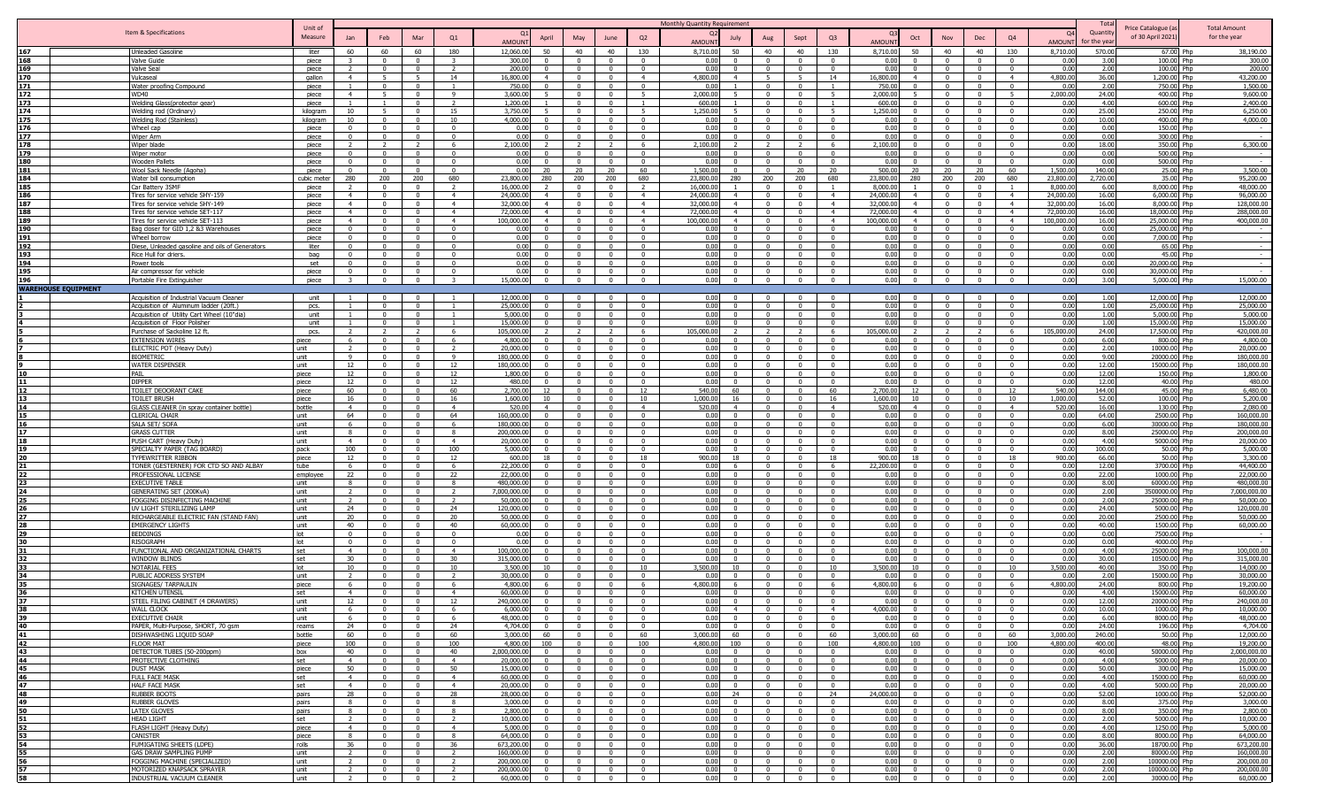|            |                                                                             |                |                          |                                  |                                           |                          |                         |                      |                                         |                                           |                                                    | Monthly Quantity Requirement |                                  |                                        |                                                     |                                  |                                      |                                     |                                                    |                                                         | Tota                  |                               |                         |
|------------|-----------------------------------------------------------------------------|----------------|--------------------------|----------------------------------|-------------------------------------------|--------------------------|-------------------------|----------------------|-----------------------------------------|-------------------------------------------|----------------------------------------------------|------------------------------|----------------------------------|----------------------------------------|-----------------------------------------------------|----------------------------------|--------------------------------------|-------------------------------------|----------------------------------------------------|---------------------------------------------------------|-----------------------|-------------------------------|-------------------------|
|            | Item & Specifications                                                       | Unit of        |                          |                                  |                                           |                          |                         |                      |                                         |                                           |                                                    |                              |                                  |                                        |                                                     |                                  |                                      |                                     |                                                    | <b>O</b>                                                | Quantit               | Price Catalogue (a            | <b>Total Amount</b>     |
|            |                                                                             | Measure        |                          | Feb                              | Mar                                       | Q <sub>1</sub>           | <b>AMOUN</b>            | April                | May                                     | June                                      | Q2                                                 | AMOUN                        | July                             |                                        | Sept                                                | Q <sub>3</sub>                   | Oct<br><b>AMOUN</b>                  | Nov                                 | Dec                                                | Q4<br>AMOUN                                             | or the vea            | of 30 April 2021)             | for the year            |
| 167        | <b>Unleaded Gasoline</b>                                                    | liter          | 60                       | 60                               | 60                                        | 180                      | 12,060.00               | 50                   | 40                                      | 40                                        | 130                                                | 8,710.00                     | 50                               | 40                                     | 40                                                  | 130                              | 8,710.00<br>50                       | 40                                  | 40                                                 | 130<br>8,710.00                                         | 570.00                | 67.00 Php                     | 38,190.00               |
| 168        | Valve Guide                                                                 | piece          |                          |                                  | $\Omega$                                  |                          | 300.0                   |                      |                                         |                                           | $\Omega$                                           | 0.00                         |                                  |                                        |                                                     | $\Omega$                         | 0.00                                 |                                     | $\Omega$                                           | 0.00                                                    | 3.00                  | 100.00 Php                    | 300.00                  |
| 169        | Valve Seal                                                                  | piece          |                          | $\Omega$                         | $\Omega$                                  | $\overline{\phantom{a}}$ | 200.00                  |                      | $\Omega$                                | $\Omega$                                  | $\Omega$                                           | 0.00                         |                                  |                                        | $\Omega$                                            | $\Omega$                         | 0.00                                 | $\Omega$                            | $\Omega$                                           | 0.00<br>$\Omega$                                        | 2.00                  | 100.00 Php                    | 200.00                  |
| 170        | Vulcaseal                                                                   | qallon         | $\overline{4}$           |                                  | $\overline{5}$<br>$\Omega$                | 14                       | 16,800.0                | $\mathbf{A}$         | $\Omega$<br>$\Omega$                    | $\Omega$                                  | $\overline{4}$                                     | 4,800.00                     | $\overline{4}$                   |                                        |                                                     | 14                               | 16,800.00<br>$\mathbf{A}$            | $\Omega$                            | $\Omega$                                           | 4,800.00<br>$\overline{a}$                              | 36.00                 | 1,200.00 Php                  | 43,200.00               |
| 171<br>172 | Water proofing Compound<br><b>WD40</b>                                      | piece<br>piece | $\overline{4}$           | $\Omega$                         | $\Omega$                                  |                          | 750.00<br>3.600.0       |                      | $\Omega$                                | $\Omega$<br>$^{\circ}$                    | $\Omega$                                           | 0.00<br>2,000.00             |                                  |                                        | $\Omega$                                            |                                  | 750.00<br>2,000.0                    | $\Omega$<br>$\Omega$                | $\mathbf{0}$<br>$\Omega$                           | 0.00<br>2,000.00                                        | 2.00<br>24.00         | 750.00 Php<br>400.00 Php      | 1,500.00<br>9,600.00    |
| 173        | Welding Glass(protector gear)                                               | piece          |                          |                                  | $\mathbf{0}$                              | $\overline{2}$           | 1,200.0                 |                      | $\Omega$                                | $\overline{\mathbf{0}}$                   | $\overline{1}$                                     | 600.00                       |                                  | $\Omega$                               | $\Omega$                                            |                                  | 600.00                               | $\Omega$                            | $\overline{0}$                                     | 0.00<br>$\Omega$                                        | 4.00                  | 600.00 Php                    | 2,400.00                |
| 174        | Welding rod (Ordinary)                                                      | kilogram       | 10                       |                                  | $\mathbf{0}$                              | 15                       | 3,750.0                 |                      | $\Omega$                                | $^{\circ}$                                | 5                                                  | 1,250.00                     |                                  |                                        | $\Omega$                                            |                                  | 1,250.00                             | $\Omega$                            | $\overline{0}$                                     | 0.00<br>$\Omega$                                        | 25.00                 | 250.00 Php                    | 6,250.00                |
| 175        | Welding Rod (Stainless)                                                     | kilogram       | 10 <sup>1</sup>          |                                  | $\Omega$                                  | 10                       | 4.000.00                |                      |                                         |                                           | $\Omega$                                           | 0.00                         |                                  |                                        |                                                     | $\Omega$                         | 0.00                                 |                                     | $\Omega$                                           | 0.00                                                    | 10.00                 | 400.00 Php                    | 4.000.00                |
| 176        | Wheel cap                                                                   | piece          |                          |                                  |                                           |                          | 0.00                    |                      |                                         |                                           |                                                    | 0.00                         |                                  |                                        |                                                     |                                  | 0.00                                 |                                     | $\Omega$                                           | 0.00                                                    | 0.00                  | 150.00 Php                    |                         |
| 177        | Wiper Arm                                                                   | piece          |                          |                                  | $\Omega$                                  |                          | 0.00                    |                      | $\Omega$                                | $\Omega$                                  | $\sqrt{2}$                                         | 0.00                         |                                  |                                        | $\Omega$                                            | $\Omega$                         | 0.00                                 | $\Omega$                            | $\Omega$                                           | 0.00                                                    | 0.00                  | 300.00 Php                    |                         |
| 178        | Wiper blade                                                                 | piece          |                          |                                  | $\mathcal{D}$                             |                          | 2,100.00                |                      |                                         |                                           | 6                                                  | 2,100.00                     |                                  |                                        |                                                     |                                  | 2,100.00                             |                                     | $\Omega$                                           | 0.00                                                    | 18.00                 | 350.00 Php                    | 6,300.00                |
| 179        | Wiper motor                                                                 | piece          | $\Omega$                 | $\Omega$                         | $\Omega$                                  |                          | 0.00                    |                      |                                         | $\Omega$                                  | $\Omega$                                           | 0.00                         | $\Omega$                         |                                        | $\Omega$                                            | $\Omega$                         | 0.00                                 | $\Omega$                            | $\Omega$                                           | 0.00                                                    | 0.00                  | 500.00 Php                    |                         |
| 180<br>181 | <b>Wooden Pallets</b><br>Wool Sack Needle (Agoha)                           | piece<br>piece | $\Omega$<br>$\Omega$     | $\overline{0}$<br>$\Omega$       | $\overline{0}$<br>$\mathbf 0$             | $\Omega$<br>$\mathbf{0}$ | 0.00<br>0.00            | $\Omega$<br>20       | $\Omega$<br>20                          | $\Omega$<br>20                            | $\Omega$<br>60                                     | 0.00<br>1,500.00             | $\Omega$<br>$\Omega$             | $^{\circ}$<br>$\Omega$                 | $\Omega$<br>20                                      | $\Omega$<br>20                   | 0.00<br>$\Omega$<br>500.00<br>20     | $\Omega$<br>20                      | $\overline{0}$<br>20                               | 0.00<br>$\Omega$<br>1,500.00<br>60                      | 0.00<br>140.00        | 500.00 Php<br>25.00 Php       | 3,500.00                |
| 184        | Water bill consumption                                                      | cubic meter    | 280                      | 200                              | 200                                       | 680                      | 23,800.00               | 280                  | 200                                     | 200                                       | 680                                                | 23,800.00                    | 280                              | 200                                    | 200                                                 | 680                              | 23,800.00<br>280                     | 200                                 | 200                                                | 23,800.00<br>680                                        | 2,720.00              | 35.00 Php                     | 95,200.00               |
| 185        | Car Battery 3SMF                                                            | niece          |                          | $\Omega$                         | $^{\circ}$                                | $\overline{2}$           | 16,000.0                |                      | $\Omega$                                | $\overline{0}$                            | $\overline{2}$                                     | 16,000.00                    |                                  | $\Omega$                               | $\Omega$                                            |                                  | 8,000,00                             | $\sqrt{ }$                          | $\overline{0}$                                     | 8,000.0<br>$\overline{1}$                               | 6.00                  | 8,000,00 Php                  | 48,000.00               |
| 186        | Tires for service vehicle SHY-159                                           | piece          | $\overline{4}$           | $\Omega$                         | $\Omega$                                  | $\overline{4}$           | 24,000.00               | $\Delta$             | $\Omega$                                | $\Omega$                                  | $\overline{4}$                                     | 24,000.00                    | $\overline{4}$                   | $\Omega$                               | $\sqrt{ }$                                          | $\overline{4}$                   | 24,000,00<br>$\overline{4}$          | $\sqrt{ }$                          | $\Omega$                                           | 24,000.0<br>$\overline{4}$                              | 16.00                 | 6.000.00 Php                  | 96,000,00               |
| 187        | Tires for service vehicle SHY-149                                           | piece          | $\overline{4}$           | $\Omega$                         | $\Omega$                                  | $\overline{4}$           | 32,000.00               | $\overline{4}$       | $\overline{0}$                          | $\Omega$                                  | $\overline{4}$                                     | 32,000.00                    | $\overline{4}$                   | $\Omega$                               | $\Omega$                                            | $\overline{4}$                   | 32,000.00<br>$\overline{4}$          | $\overline{0}$                      | $\overline{0}$                                     | $\overline{4}$<br>32,000.00                             | 16.00                 | 8,000.00 Php                  | 128,000.00              |
| 188        | Tires for service vehicle SET-117                                           | piece          | $\overline{4}$           | $\Omega$                         | $\Omega$                                  | $\overline{4}$           | 72,000.00               | $\overline{4}$       | $\Omega$                                | $\Omega$                                  | $\overline{4}$                                     | 72,000.00                    | $\overline{4}$                   | $\mathbf{0}$                           | $\Omega$                                            | $\overline{4}$                   | 72,000.00<br>$\overline{4}$          | $\Omega$                            | $\overline{0}$                                     | $\overline{4}$<br>72,000.0                              | 16.00                 | 18,000.00 Php                 | 288,000.00              |
| 189        | Tires for service vehicle SFT-113                                           | piece          | $\overline{4}$           | $\Omega$                         | $\Omega$                                  | $\overline{4}$           | 100.000.00              | $\overline{4}$       | $\Omega$                                | $\Omega$                                  | $\overline{4}$                                     | 100.000.00                   | $\overline{4}$                   | $\Omega$                               | $\Omega$                                            | $\overline{4}$                   | 100.000.00<br>$\overline{4}$         | $\Omega$                            | $\Omega$                                           | 100.000.0<br>$\overline{4}$                             | 16.00                 | 25,000.00 Php                 | 400.000.00              |
| 190        | Bag closer for GID 1,2 &3 Warehouses                                        | piece          | $\Omega$<br>$\Omega$     | $\Omega$<br>$\Omega$             | $\Omega$<br>$\Omega$                      | $\Omega$<br>$\Omega$     | 0.00                    | $\Omega$             | $\Omega$<br>$\Omega$                    | $\overline{0}$                            | $\overline{\mathbf{0}}$                            | 0.00                         | $\Omega$<br>$\Omega$             | $\Omega$                               | $\Omega$<br>$\Omega$                                | $\Omega$<br>$\Omega$             | 0.00<br>$\Omega$                     | $\Omega$<br>$\Omega$                | $\overline{0}$                                     | 0.00<br>$\Omega$                                        | 0.00                  | 25.000.00 Php                 | $\sim$                  |
| 191<br>192 | Wheel borrow<br>Diese, Unleaded gasoline and oils of Generators             | niece<br>liter |                          |                                  | $\Omega$                                  |                          | 0.00<br>0.00            |                      |                                         | $\Omega$<br>$\Omega$                      | $\overline{0}$<br>$\Omega$                         | 0.00<br>0.00                 |                                  |                                        | $\Omega$                                            | $\Omega$                         | 0.00<br>0.00                         | $\Omega$                            | $\overline{0}$<br>$\Omega$                         | 0.00<br>0.00                                            | 0.00<br>0.00          | 7,000.00 Php<br>65.00 Php     |                         |
| 193        | Rice Hull for driers                                                        | bag            |                          |                                  | $\Omega$                                  |                          | 0.00                    |                      |                                         |                                           | $\Omega$                                           | 0.00                         |                                  |                                        |                                                     | $\Omega$                         | $0.00 -$                             |                                     | $\Omega$                                           | 0.00                                                    | 0.00                  | 45.00 Php                     |                         |
| 194        | Power tools                                                                 | set            | $\Omega$                 | $\Omega$                         | $\Omega$                                  |                          | 0.00                    |                      | $\Omega$                                | $\Omega$                                  | $\Omega$                                           | 0.00                         | $\Omega$                         |                                        | $\Omega$                                            | $\Omega$                         | 0.00                                 | $\Omega$                            | $\Omega$                                           | 0.00                                                    | 0.00                  | 20,000.00 Php                 |                         |
| 195        | Air compressor for vehicle                                                  | piece          | $\Omega$                 | $\Omega$                         | $\Omega$                                  |                          | 0.00                    |                      |                                         | $\Omega$                                  | $\Omega$                                           | 0.00                         | $\Omega$                         |                                        | $\Omega$                                            | $\Omega$                         | 0.00                                 | $\Omega$                            | $\Omega$                                           | 0.00                                                    | 0.00                  | 30,000.00 Php                 |                         |
| 196        | Portable Fire Extinguisher                                                  | piece          | 3                        | $\overline{0}$                   | $\overline{0}$                            |                          | 15,000.00               |                      | $\Omega$                                | $\Omega$                                  | $\Omega$                                           | 0.00                         | $\Omega$                         | $\Omega$                               | $\Omega$                                            | $\Omega$                         | 0.00                                 | $\Omega$                            | $\overline{0}$                                     | 0.00<br>$\Omega$                                        | 3.00                  | 5,000.00 Php                  | 15,000.00               |
|            | <b>WAREHOUSE EQUIPMENT</b>                                                  |                |                          |                                  |                                           |                          |                         |                      |                                         |                                           |                                                    |                              |                                  |                                        |                                                     |                                  |                                      |                                     |                                                    |                                                         |                       |                               |                         |
|            | Acquisition of Industrial Vacuum Cleaner                                    | unit           |                          |                                  |                                           |                          | 12.000.00               |                      |                                         |                                           | $\sqrt{ }$                                         | 0.00                         |                                  |                                        |                                                     | $\Omega$                         | 0.00                                 |                                     | $\mathsf{n}$                                       | 0.00                                                    | 1.00                  | 12,000.00 Php                 | 12,000.00               |
|            | Acquisition of Aluminum ladder (20ft.)                                      | pcs.           |                          | $\Omega$                         | $\Omega$                                  |                          | 25,000.0                |                      | $\Omega$                                | $\Omega$                                  | $\sqrt{ }$                                         | 0.00                         | $\Omega$                         | $\Omega$                               | $\Omega$                                            | $\Omega$                         | 0.00                                 | $\Omega$                            | $\Omega$                                           | 0.00<br>$\Omega$                                        | 1.00                  | 25,000.00 Php                 | 25,000.00               |
|            | Acquisition of Utility Cart Wheel (10"dia)<br>Acquisition of Floor Polisher | unit<br>unit   |                          | $\mathbf{0}$<br>$\Omega$         | $\mathbf{0}$<br>$\mathbf{0}$              | $\overline{1}$           | 5,000.00<br>15,000.00   | $\Omega$<br>$\Omega$ | $\Omega$<br>$\overline{0}$              | $\mathbf{0}$<br>$\overline{0}$            | $\overline{0}$<br>$\overline{0}$                   | 0.00<br>0.00                 | $\Omega$<br>$\Omega$             | $\Omega$<br>$\overline{0}$             | $\Omega$<br>$\Omega$                                | $\Omega$<br>$\mathbf{0}$         | 0.00<br>0.00                         | $\Omega$<br>$\overline{0}$          | $\overline{0}$<br>$\mathbf{0}$                     | 0.00<br>$\Omega$<br>$\overline{0}$<br>0.00              | 1.00<br>1.00          | 5,000.00 Php<br>15,000.00 Php | 5,000.00<br>15,000.00   |
|            | Purchase of Sackoline 12 ft.                                                | pcs.           |                          |                                  |                                           | - 6                      | 105,000.0               |                      |                                         |                                           | - 6                                                | 05.000.00                    |                                  |                                        |                                                     | 6                                | 05.000.00                            |                                     |                                                    | 105,000.00<br>- 6                                       | 24.00                 | 17,500.00 Php                 | 420.000.00              |
|            | <b>EXTENSION WIRES</b>                                                      | piece          |                          | $\Omega$                         | $\Omega$                                  | - 6                      | 4,800.00                |                      | $\Omega$                                | $\Omega$                                  | $\overline{\mathbf{0}}$                            | 0.00                         | $\Omega$                         | $\Omega$                               | $\Omega$                                            | $\Omega$                         | 0.00                                 | $\Omega$                            | $\overline{0}$                                     | $\Omega$<br>0.00                                        | 6.00                  | 800.00 Php                    | 4,800.00                |
|            | ELECTRIC POT (Heavy Duty)                                                   | unit           |                          | $\Omega$                         | $\Omega$                                  | $\overline{2}$           | 20,000.00               |                      | $\Omega$                                | $\Omega$                                  | $\overline{0}$                                     | 0.00                         | $\Omega$                         |                                        | $\Omega$                                            | $\Omega$                         | 0.00                                 | $\Omega$                            | $\overline{0}$                                     | 0.00<br>$\Omega$                                        | 2.00                  | 10000.00 Php                  | 20,000.00               |
|            | <b>BIOMETRIC</b>                                                            | unit           | Q                        | $\Omega$                         | $\Omega$                                  | $\mathbf{q}$             | 180.000.00              |                      | $\Omega$                                | $\Omega$                                  | $\Omega$                                           | 0.00                         | $\Omega$                         |                                        | $\Omega$                                            | $\Omega$                         | 0.00                                 | $\Omega$                            | $\Omega$                                           | 0.00                                                    | 9.00                  | 20000.00 Php                  | 180.000.00              |
|            | <b>WATER DISPENSER</b>                                                      | unit           | 12                       | $\Omega$                         | $\Omega$                                  | 12                       | 180.000.00              |                      | $\Omega$                                | $\Omega$                                  | $\sqrt{ }$                                         | 0.00                         |                                  |                                        | $\Omega$                                            | $\Omega$                         | 0.00                                 | $\sqrt{ }$                          | $\Omega$                                           | 0.00                                                    | 12.00                 | 15000.00 Php                  | 180.000.00              |
| 10         | PAIL                                                                        | piece          | 12                       | $\Omega$                         | $\mathbf{0}$                              | 12                       | 1,800.00                |                      | $\Omega$                                | $\Omega$                                  | $\overline{0}$                                     | 0.00                         | $\Omega$                         |                                        | $\Omega$                                            | $\Omega$                         | 0.00                                 | $\Omega$                            | $\overline{0}$                                     | 0.00<br>$\Omega$                                        | 12.00                 | 150.00 Php                    | 1,800.00                |
| 11<br>12   | <b>DIPPER</b>                                                               | piece          | 12                       | $\Omega$                         | $\overline{0}$                            | 12                       | 480.00                  | $\Omega$             | $\Omega$                                | $\Omega$                                  | $\Omega$                                           | 0.00                         | $\Omega$                         |                                        | $\Omega$                                            | $\Omega$                         | 0.00                                 | $\Omega$                            | $\mathbf{0}$                                       | 0.00<br>$\Omega$                                        | 12.00                 | 40.00 Php                     | 480.00                  |
| 13         | TOILET DEOORANT CAKE<br><b>TOILET BRUSH</b>                                 | piece<br>piece | 60<br>16                 | $\Omega$<br>$\Omega$             | $\mathbf{0}$<br>$\mathbf{0}$              | 60<br>16                 | 2,700.00<br>1,600.00    | 12<br>10             | $\Omega$<br>$\Omega$                    | $\Omega$<br>$^{\circ}$                    | 12<br>10                                           | 540.00<br>1,000.00           | 60<br>16                         | $\Omega$                               | $\Omega$                                            | 60<br>16                         | 2,700.00<br>12<br>1,600.00<br>10     | $\Omega$<br>$\Omega$                | $^{\circ}$<br>$\overline{\mathbf{0}}$              | 12<br>540.00<br>1,000.00<br>10                          | 144.00<br>52.00       | 45.00 Php<br>100.00 Php       | 6,480.00<br>5,200.00    |
| 14         | GLASS CLEANER (in spray container bottle)                                   | bottle         | $\overline{4}$           | $\Omega$                         | $^{\circ}$                                | $\overline{4}$           | 520.00                  | $\overline{4}$       | $\Omega$                                | $\Omega$                                  | $-4$                                               | 520.00                       | $\overline{4}$                   |                                        | $\Omega$                                            | $\overline{4}$                   | 520.00<br>$\mathbf{A}$               | $\Omega$                            | $\overline{\mathbf{0}}$                            | 520.00<br>$\overline{4}$                                | 16.00                 | 130.00 Php                    | 2,080.00                |
| 15         | <b>CLERICAL CHAIR</b>                                                       | unit           | 64                       | $\Omega$                         | $\Omega$                                  | 64                       | 160,000.0               |                      | $\Omega$                                | $\Omega$                                  | $\Omega$                                           | 0.00                         |                                  |                                        | $\Omega$                                            | $\Omega$                         | 0.00                                 | $\Omega$                            | $\overline{0}$                                     | 0.00                                                    | 64.00                 | 2500.00 Php                   | 160,000.00              |
| 16         | SALA SET/ SOFA                                                              | unit           |                          |                                  |                                           |                          | 180,000.0               |                      |                                         |                                           | $\Omega$                                           | 0.00                         |                                  |                                        |                                                     |                                  | 0.00                                 |                                     | $\Omega$                                           | 0.00                                                    | 6.00                  | 30000.00 Php                  | 180,000.00              |
| 17         | <b>GRASS CUTTER</b>                                                         | unit           | $\mathbf{R}$             | $\Omega$                         | $\Omega$                                  | $\mathbf{R}$             | 200.000.0               |                      | $\Omega$                                | $\Omega$                                  | $\Omega$                                           | 0.00                         |                                  |                                        | $\Omega$                                            | $\Omega$                         | 0.00                                 | $\Omega$                            | $\Omega$                                           | 0.00                                                    | 8.00                  | 25000.00 Php                  | 200,000.00              |
| 18         | PUSH CART (Heavy Duty)                                                      | unit           | $\overline{4}$           | $\Omega$                         | $\Omega$                                  | $\overline{4}$           | 20,000.0                |                      | $\Omega$                                | $\Omega$                                  | $\Omega$                                           | 0.00                         |                                  |                                        |                                                     | $\Omega$                         | 0.00                                 | $\Omega$                            | $\Omega$                                           | 0.00                                                    | 4.00                  | 5000.00 Php                   | 20,000.00               |
| 19         | SPECIALTY PAPER (TAG BOARD)                                                 | pack           | 100                      | $\Omega$                         | $\overline{0}$                            | 100                      | 5,000.0                 |                      | $\Omega$                                | $\Omega$                                  | $\overline{0}$                                     | 0.00                         | $\Omega$                         |                                        | $\Omega$                                            | $\Omega$                         | 0.00                                 | $\overline{0}$                      | $\overline{0}$                                     | 0.00<br>$\Omega$                                        | 100.00                | 50.00 Php                     | 5,000.00                |
|            | <b>TYPEWRITTER RIBBON</b><br>TONER (GESTERNER) FOR CTD SO AND ALBAY         | piece<br>tube  | 12                       | $\Omega$                         | $\Omega$                                  | 12<br>- 6                | 600.0<br>22,200.00      |                      | $\Omega$                                | $\Omega$                                  | 18<br>$\overline{\mathbf{0}}$                      | 900.00<br>0.00               | 6.                               |                                        |                                                     |                                  | 900.00<br>22,200.00                  | $\overline{0}$                      | $^{\circ}$<br>$\overline{\mathbf{0}}$              | 900.00<br>18<br>0.00<br>$\Omega$                        | 66.00<br>12.00        | 50.00 Php<br>3700.00 Php      | 3,300.00<br>44,400.00   |
|            | PROFESSIONAL LICENSE                                                        | employe        | 22                       |                                  | $\Omega$                                  | 22                       | 22,000.0                |                      |                                         |                                           | $\Omega$                                           | 0.00                         |                                  |                                        |                                                     | $\Omega$                         | 0.00                                 | $\Omega$                            | $\Omega$                                           | 0.00                                                    | 22.00                 | 1000.00 Php                   | 22,000.00               |
|            | <b>EXECUTIVE TABLE</b>                                                      | unit           |                          |                                  | $\Omega$                                  |                          | 480.000.00              |                      |                                         |                                           | $\Omega$                                           | 0.00                         |                                  |                                        |                                                     | $\Omega$                         | 0.00                                 |                                     | $\Omega$                                           | 0.00                                                    | 8.00                  | 60000.00 Php                  | 480.000.00              |
|            | <b>GENERATING SET (200KvA)</b>                                              | unit           | $\overline{\phantom{a}}$ | $\Omega$                         | $\Omega$                                  | $\overline{2}$           | 7.000.000.00            |                      | $\Omega$                                | $\Omega$                                  | $\overline{0}$                                     | 0.00                         | $\Omega$                         | $\Omega$                               | $\Omega$                                            | $\Omega$                         | 0.00                                 | $\Omega$                            | $\overline{0}$                                     | 0.00<br>$\Omega$                                        | 2.00                  | 3500000.00 Php                | 7.000.000.00            |
|            | FOGGING DISINFECTING MACHINE                                                | unit           | $\overline{2}$           | $\Omega$                         | $\mathbf{0}$                              | $\overline{2}$           | 50,000.00               | $\Omega$             | $\overline{0}$                          | $\Omega$                                  | $\overline{0}$                                     | 0.00                         | $\Omega$                         |                                        | $\Omega$                                            | $\Omega$                         | 0.00                                 | $\Omega$                            | $\overline{0}$                                     | 0.00<br>$\mathbf{0}$                                    | 2.00                  | 25000.00 Php                  | 50,000.00               |
|            | UV LIGHT STERILIZING LAMP                                                   | unit           | 24                       | $\Omega$                         | $\Omega$                                  | 24                       | 120,000.00              | $\Omega$             | $\Omega$                                | $\Omega$                                  | $\overline{0}$                                     | 0.00                         | $\mathbf{0}$                     | $\Omega$                               | $\Omega$                                            | $\Omega$                         | 0.00                                 | $\Omega$                            | $\mathbf{0}$                                       | $\mathbf{0}$<br>0.00                                    | 24.00                 | 5000.00 Php                   | 120,000.00              |
|            | RECHARGEABLE ELECTRIC FAN (STAND FAN)                                       | unit           | 20                       | $\Omega$                         | $\mathbf{0}$                              | 20                       | 50,000.00               | $\Omega$             | $\Omega$                                | $\Omega$                                  | $\Omega$                                           | 0.00                         | $\Omega$                         | $^{\circ}$                             | $\Omega$                                            | $\Omega$                         | 0.00                                 | $\Omega$                            | $\Omega$                                           | 0.00<br>$\Omega$                                        | 20.00                 | 2500.00 Php                   | 50,000.00               |
|            | <b>EMERGENCY LIGHTS</b><br><b>BEDDINGS</b>                                  | unit<br>lot    | 40<br>$^{\circ}$         | $\Omega$<br>$^{\circ}$           | $\Omega$<br>$\mathbf 0$                   | 40<br>$\overline{0}$     | 60,000,00<br>0.00       | $\Omega$<br>$\Omega$ | $\Omega$<br>$\Omega$                    | $\Omega$<br>$\mathbf{0}$                  | $\overline{\mathbf{0}}$<br>$\overline{\mathbf{0}}$ | 0.00<br>0.00                 | - 0<br>$\Omega$                  | $\Omega$<br>$\Omega$                   | $\Omega$<br>$\mathbf{0}$                            | $\Omega$<br>$^{\circ}$           | 0.00<br>$\Omega$<br>0.00             | $\Omega$<br>$\Omega$                | $\overline{\mathbf{0}}$<br>$\overline{\mathbf{0}}$ | 0.00<br>$\Omega$<br>$\overline{\mathbf{0}}$             | 40.00<br>0.00<br>0.00 | 1500.00 Php<br>7500.00 Php    | 60,000.00               |
|            | <b>RISOGRAPH</b>                                                            | lot            | $\Omega$                 | $\Omega$                         | $\Omega$                                  | $\Omega$                 | 0.00                    | $\Omega$             | $\Omega$                                | $\Omega$                                  | $\Omega$                                           | 0.00                         | $\Omega$                         |                                        | $\Omega$                                            | $\Omega$                         | 0.00                                 | $\Omega$                            | $\overline{0}$                                     | $\Omega$                                                | 0.00<br>0.00          | 4000.00 Php                   |                         |
|            | FUNCTIONAL AND ORGANIZATIONAL CHARTS                                        | set            | $\overline{4}$           | $\Omega$                         | $\Omega$                                  | $\overline{4}$           | 100.000.0               |                      | $\Omega$                                | $\Omega$                                  | $\sqrt{ }$                                         | 0.00                         |                                  |                                        | $\Omega$                                            | $\Omega$                         | 0.00                                 | $\Omega$                            | $\overline{0}$                                     | 0.00<br>$\Omega$                                        | 4.00                  | 25000.00 Php                  | 100,000,00              |
|            | <b>WINDOW BLINDS</b>                                                        | set            | 30                       | $\Omega$                         | $\Omega$                                  | 30                       | 315,000.0               | $\Omega$             | $\Omega$                                | $\Omega$                                  | $\Omega$                                           | 0.00                         | $\Omega$                         | $\Omega$                               | $\Omega$                                            | $\Omega$                         | $0.00 -$<br>$\Omega$                 | $\sqrt{ }$                          | $\Omega$                                           | 0.00<br>$\Omega$                                        | 30.00                 | 10500.00 Php                  | 315,000.00              |
|            | <b>NOTARIAL FEES</b>                                                        | lot            | 10 <sup>1</sup>          | $\Omega$                         | $\Omega$                                  | 10                       | 3,500.0                 |                      |                                         | $\Omega$                                  | 10                                                 | 3,500.00                     | 10 <sup>1</sup>                  |                                        |                                                     | 10 <sup>1</sup>                  | 3,500.00<br>10                       | $\Omega$                            | $\overline{0}$                                     | 10 <sup>1</sup><br>3,500.00                             | 40.00                 | 350.00 Php                    | 14,000.00               |
|            | PUBLIC ADDRESS SYSTEM                                                       | unit           |                          |                                  | $\Omega$                                  |                          | 30,000.0                |                      |                                         |                                           | $\Omega$                                           | 0.00                         |                                  |                                        |                                                     |                                  | 0.00                                 | $\Omega$                            | $\Omega$                                           | 0.00                                                    | 2.00                  | 15000.00 Php                  | 30,000,00               |
|            | SIGNAGES/ TARPAULIN                                                         | piece          |                          |                                  | $\Omega$                                  |                          | 4,800.0                 |                      |                                         | $\Omega$                                  | -6                                                 | 4,800.00                     |                                  |                                        |                                                     |                                  | 4,800.00                             | $\Omega$                            | $\overline{\mathbf{0}}$                            | 4,800.00                                                | 24.00                 | 800.00 Php                    | 19,200.00               |
|            | <b>KITCHEN UTENSIL</b><br>STEEL FILING CABINET (4 DRAWERS)                  | set<br>unit    | $\overline{4}$<br>12     | $\Omega$                         | $\Omega$<br>$\Omega$                      | $\overline{4}$<br>12     | 60,000.00<br>240,000.00 | $\Omega$<br>$\Omega$ | $\Omega$<br>$\Omega$                    | $\Omega$                                  | $\overline{0}$<br>$\Omega$                         | 0.00<br>0.00                 | $\Omega$<br>$\Omega$             | $\Omega$                               | $\Omega$<br>$\Omega$                                | $\Omega$                         | 0.00<br>0.00                         | $\Omega$<br>$\Omega$                | $\overline{\mathbf{0}}$<br>$\overline{0}$          | 0.0<br>$\Omega$<br>0.00                                 | 4.00<br>12.00         | 15000.00 Php<br>20000.00 Php  | 60,000.00<br>240,000.00 |
|            | <b>WALL CLOCK</b>                                                           | unit           |                          |                                  |                                           |                          | 6.000.00                |                      |                                         |                                           |                                                    |                              |                                  |                                        |                                                     |                                  | 4.000.00                             |                                     |                                                    | 0.00                                                    |                       | 1000.00 Php                   | 10,000,00               |
| 39         | <b>EXECUTIVE CHAIR</b>                                                      | unit           | -6                       | $\mathbf{0}$                     | $\overline{0}$                            | - 6                      | 48,000.00               | $\Omega$             | $\overline{0}$                          | $\overline{0}$                            | $\overline{0}$                                     | 0.00                         | $\sqrt{ }$                       | $\sim$ 0                               | $\overline{0}$                                      | $\Omega$                         | 0.00<br>$\mathbf{0}$                 | $\overline{0}$                      | $\overline{0}$                                     | 0.00<br>$\sim$                                          | 6.00                  | 8000.00 Php                   | 48,000.00               |
| 40         | PAPER, Multi-Purpose, SHORT, 70 gsm                                         | reams          | 24                       | $\overline{0}$                   | $\mathbf{0}$                              | 24                       | 4,704.00                | $\mathsf{n}$         | $\overline{0}$                          | $\overline{\mathbf{0}}$                   | $\overline{\mathbf{0}}$                            | 0.00                         | $\overline{0}$                   | $\overline{0}$                         | $\overline{0}$                                      | $\overline{0}$                   | 0.00<br>$\overline{0}$               | $\overline{\mathbf{0}}$             | $\overline{\mathbf{0}}$                            | 0.00<br>$\overline{\mathbf{0}}$                         | 24.00                 | 196.00 Php                    | 4,704.00                |
| 41         | DISHWASHING LIQUID SOAP                                                     | bottle         | 60                       | $\overline{0}$                   | $\overline{\mathbf{0}}$                   | 60                       | 3,000.00                | 60                   | $\overline{0}$                          | $\overline{\mathbf{0}}$                   | 60                                                 | 3,000.00                     |                                  | $60$ 0                                 | $\overline{\phantom{0}}$                            | 60                               | 60  <br>3,000.00                     | $\overline{\mathbf{0}}$             | $\overline{0}$                                     | 60<br>3,000.00                                          | 240.00                | 50.00 Php                     | 12,000.00               |
| 42         | <b>FLOOR MAT</b>                                                            | piece          | 100                      | $\overline{0}$                   | $\overline{\mathbf{0}}$                   | 100                      | 4,800.00                | 100                  | $\overline{0}$                          | $\overline{\mathbf{0}}$                   | 100                                                | 4,800.00                     | 100                              | $\overline{\phantom{0}}$               | $\overline{0}$                                      | 100                              | 4,800.00<br>100                      | $\overline{0}$                      | $\overline{0}$                                     | 4,800.00<br>100                                         | 400.00                | 48.00 Php                     | 19,200.00               |
| 43         | DETECTOR TUBES (50-200ppm)                                                  | box            | 40                       | $\overline{0}$                   | $\overline{\mathbf{0}}$                   | 40                       | 2,000,000.00            | $\overline{0}$       | $\overline{0}$                          | $\overline{\mathbf{0}}$                   | $\overline{\mathbf{0}}$                            | 0.00                         |                                  | $0 \qquad 0$                           | $\overline{\phantom{0}}$                            | $\overline{0}$                   | 0.00<br>$\mathbf{0}$                 | $\mathbf{0}$                        | $\overline{\mathbf{0}}$                            | 0.00<br>$\overline{\mathbf{0}}$                         | 40.00                 | 50000.00 Php                  | 2,000,000.00            |
| 44<br>45   | PROTECTIVE CLOTHING<br><b>DUST MASK</b>                                     | set<br>piece   | $\overline{4}$<br>50     | $\overline{0}$<br>$\overline{0}$ | $\overline{0}$<br>$\overline{\mathbf{0}}$ | $\overline{4}$<br>50     | 20,000.00<br>15,000.00  | $\Omega$<br>$\Omega$ | $\overline{\mathbf{0}}$<br>$\mathbf{0}$ | $\overline{\mathbf{0}}$<br>$\overline{0}$ | $\overline{\mathbf{0}}$<br>$\overline{\mathbf{0}}$ | 0.00<br>0.00                 |                                  | $0 \quad 0$<br>$0 \qquad 0$            | $\overline{\mathbf{0}}$<br>$\overline{\phantom{0}}$ | $\overline{0}$<br>$\overline{0}$ | 0.00 0<br>0.00 0                     | $\overline{\mathbf{0}}$<br>$\sim$ 0 | $\overline{0}$<br>$\overline{0}$                   | $\overline{\mathbf{0}}$<br>0.00<br>0.00<br>$\mathbf{0}$ | 4.00<br>50.00         | 5000.00 Php<br>300.00 Php     | 20,000.00<br>15,000.00  |
| 46         | <b>FULL FACE MASK</b>                                                       | set            | $\overline{4}$           | $\overline{0}$                   | $\overline{0}$                            | $\overline{4}$           | 60,000,00               | $\Omega$             | $\overline{0}$                          | $\overline{0}$                            | $\overline{0}$                                     | 0.00                         | $\overline{0}$                   | $\sim$ 0                               | $\overline{\phantom{0}}$                            | $\overline{0}$                   | 0.00 0                               | $\overline{\mathbf{0}}$             | $\overline{0}$                                     | $\overline{0}$<br>0.00                                  | 4.00                  | 15000.00 Php                  | 60,000.00               |
| 47         | <b>HALF FACE MASK</b>                                                       | set            | $\overline{4}$           | $\Omega$                         | $\overline{0}$                            | $\overline{4}$           | 20,000.00               | $\sqrt{2}$           | $\Omega$                                | $\mathbf{0}$                              | $\overline{0}$                                     | 0.00                         | $\overline{0}$                   | $\overline{0}$                         | $\sim$ 0                                            | $\sim$                           | 0.00<br>$\sim$ 0                     | $\overline{0}$                      | $\overline{0}$                                     | 0.00<br>$\Omega$                                        | 4.00                  | 5000.00 Php                   | 20,000.00               |
| 48         | <b>RUBBER BOOTS</b>                                                         | pairs          | 28                       | $\mathbf{0}$                     | $\overline{0}$                            | 28                       | 28,000.00               | $\Omega$             | $\overline{0}$                          | $\overline{0}$                            | $\overline{0}$                                     | 0.00                         |                                  | $24$ 0                                 | $\overline{\phantom{0}}$                            | 24                               | 24,000.00<br>$\overline{0}$          | $\overline{\mathbf{0}}$             | $\overline{0}$                                     | $\overline{0}$<br>0.00                                  | 52.00                 | 1000.00 Php                   | 52,000.00               |
| 49         | RUBBER GLOVES                                                               | pairs          | 8                        | $\mathbf{0}$                     | $\overline{0}$                            | 8                        | 3.000.00                | $\mathbf{0}$         | $\overline{0}$                          | $\overline{0}$                            | $\overline{0}$                                     | 0.00                         | $\overline{0}$                   | $\overline{0}$                         | $\overline{\mathbf{0}}$                             | $\overline{0}$                   | 0.00<br>$\Omega$                     | $\overline{0}$                      | $\overline{0}$                                     | $\overline{0}$<br>0.00                                  | 8.00                  | 375.00 Php                    | 3,000.00                |
| 50         | <b>LATEX GLOVES</b>                                                         | pairs          | $\mathbf{R}$             | $\overline{0}$                   | $\mathbf{0}$                              | -8                       | 2,800.00                | $\Omega$             | $\mathbf{0}$                            | $\overline{\mathbf{0}}$                   | $\overline{0}$                                     | 0.00                         | $\overline{0}$                   | $\overline{0}$                         | $\overline{0}$                                      | $\mathbf{0}$                     | 0.00<br>$\Omega$                     | $\overline{0}$                      | $\overline{0}$                                     | 0.00<br>$\overline{0}$                                  | 8.00                  | 350.00 Php                    | 2,800.00                |
| 51         | <b>HEAD LIGHT</b>                                                           | set            | $\overline{2}$           | $\overline{0}$                   | $\overline{0}$                            | $\overline{2}$           | 10,000.00               | $\mathsf{n}$         | $\overline{\mathbf{0}}$                 | $\overline{\mathbf{0}}$                   | $\overline{\mathbf{0}}$                            | 0.00                         |                                  | $0 \qquad 0$                           | $\overline{\mathbf{0}}$                             | $\overline{0}$                   | 0.00<br>$\mathbf{0}$                 | $\overline{0}$                      | $\overline{\mathbf{0}}$                            | 0.00<br>$\overline{0}$                                  | 2.00                  | 5000.00 Php                   | 10,000.00               |
| 52         | FLASH LIGHT (Heavy Duty)                                                    | piece          | $\overline{4}$<br>8      | $\Omega$<br>$\Omega$             | $\mathbf{0}$<br>$\mathbf{0}$              | $\overline{4}$<br>8      | 5,000.00<br>64,000.00   | $\Omega$             | $\overline{0}$<br>$\overline{0}$        | $\overline{0}$<br>$\overline{0}$          | $\overline{0}$<br>$\overline{0}$                   | 0.00<br>0.00                 | $\overline{0}$<br>$\overline{0}$ | $\Omega$<br>$\Omega$                   | $\overline{0}$<br>$\overline{0}$                    | $\overline{0}$<br>$\Omega$       | 0.00<br>$\Omega$<br>0.00<br>$\Omega$ | $\overline{0}$<br>$\Omega$          | $\overline{\mathbf{0}}$<br>$\overline{0}$          | 0.00<br>$\Omega$<br>0.00<br>$\overline{0}$              | 4.00<br>8.00          | 1250.00 Php<br>8000.00 Php    | 5,000.00<br>64,000,00   |
| 53<br>54   | CANISTER<br><b>FUMIGATING SHEETS (LDPE)</b>                                 | piece<br>rolls | 36                       | $\mathbf{0}$                     | $\overline{0}$                            | 36                       | 673,200.00              | $\Omega$             | $\mathbf{0}$                            | $\overline{0}$                            | $\overline{0}$                                     | 0.00                         | $\overline{0}$                   | $\mathbf{0}$                           | $\overline{0}$                                      | $\mathbf{0}$                     | 0.00<br>$\mathbf{0}$                 | $\overline{0}$                      | $\overline{0}$                                     | 0.00<br>$\overline{0}$                                  | 36.00                 | 18700.00 Php                  | 673,200.00              |
| 55         | <b>GAS DRAW SAMPLING PUMP</b>                                               | unit           | $\overline{2}$           | $\mathbf{0}$                     | $\overline{0}$                            | $\overline{2}$           | 160,000.00              | $\Omega$             | $\mathbf{0}$                            | $\mathbf{0}$                              | $\overline{0}$                                     | 0.00                         | $\overline{0}$                   | $\overline{0}$                         | $\overline{0}$                                      | $\mathbf{0}$                     | 0.00<br>$\mathbf{0}$                 | $\overline{0}$                      | $\overline{0}$                                     | 0.00<br>$\overline{0}$                                  | 2.00                  | 80000.00 Php                  | 160,000.00              |
| 56         | FOGGING MACHINE (SPECIALIZED)                                               | unit           | 2                        | $\mathbf{0}$                     | $\overline{0}$                            | $\overline{2}$           | 200,000.00              | $\Omega$             | $\mathbf{0}$                            | $\mathbf{0}$                              | $\overline{0}$                                     | 0.00                         | $\overline{0}$                   | $\overline{0}$                         | $\overline{\mathbf{0}}$                             | $\mathbf{0}$                     | 0.00<br>$\overline{0}$               | $\overline{0}$                      | $\overline{0}$                                     | $\overline{0}$                                          | 2.00<br>0.00          | 100000.00 Php                 | 200,000.00              |
| 57         | MOTORIZED KNAPSACK SPRAYER                                                  | unit           | 2                        | $\mathbf{0}$                     | $\overline{0}$                            |                          | 200,000.00              | $\Omega$             | $\overline{0}$                          | $\overline{0}$                            | $\mathbf{0}$                                       | 0.00                         | $\overline{0}$                   | $\overline{0}$                         | $\overline{0}$                                      | $\Omega$                         | 0.00<br>$\overline{0}$               | $\overline{0}$                      | $\overline{0}$                                     | 0.00<br>$\overline{0}$                                  | 2.00                  | 100000.00 Php                 | 200,000.00              |
| 58         | INDUSTRUAL VACUUM CLEANER                                                   | unit           | $\overline{2}$           | $\overline{\mathbf{0}}$          | $\overline{\mathbf{0}}$                   | $\overline{2}$           | 60,000.00               |                      | $0 \qquad \qquad 0$                     | $\overline{\mathbf{0}}$                   | $\overline{\mathbf{0}}$                            | 0.00                         |                                  | $\begin{array}{ccc} 0 & 0 \end{array}$ | $\overline{\phantom{0}}$                            | $\overline{0}$                   | $0.00$ 0 0 0                         |                                     | $\overline{0}$                                     | $\overline{\mathbf{0}}$                                 | 0.00<br>2.00          | 30000.00 Php                  | 60,000.00               |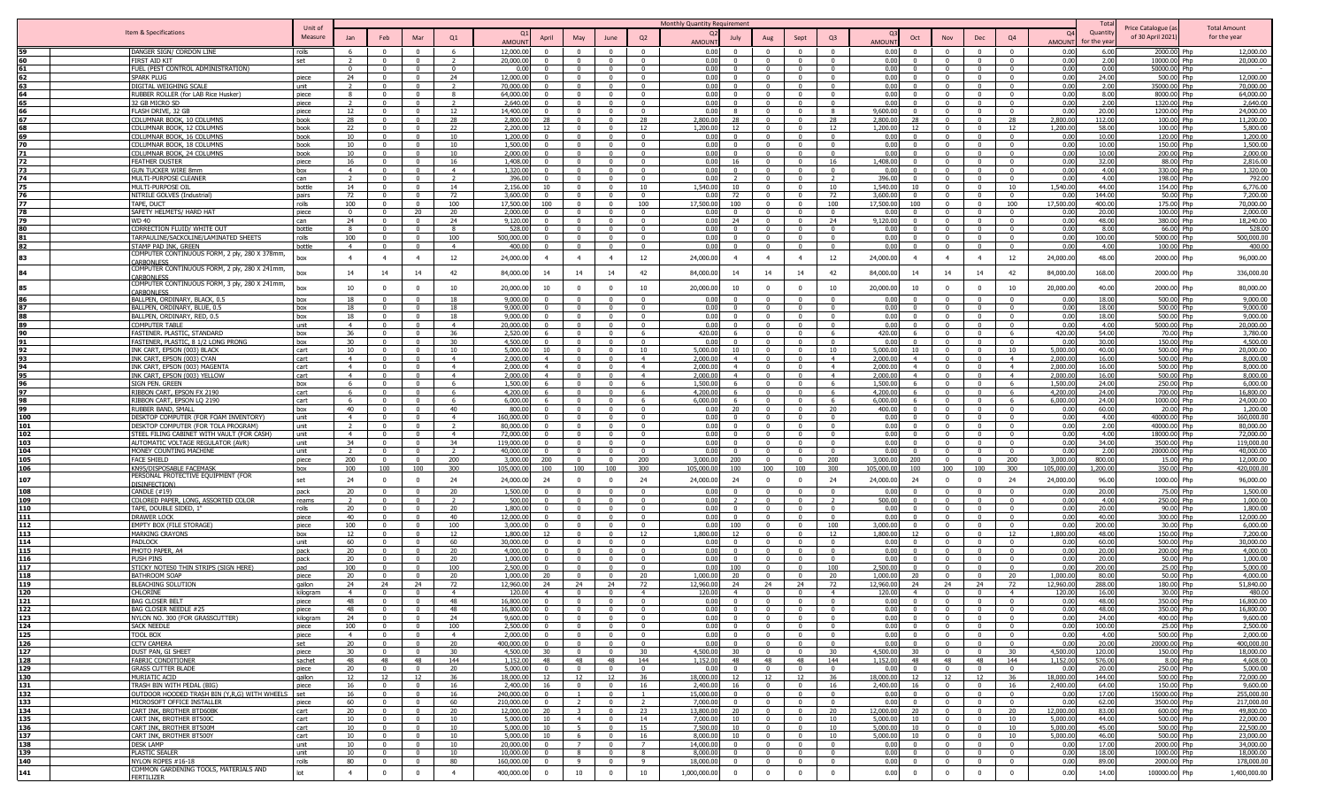|            |                                                                             | Unit of        |                                  |                                |                                |                                  |                          |                                   |                                           |                                  |                                  | Monthly Quantity Requirement |                                   |                                  |                                           |                                  |                        |                                                                       |                                                    |                                         |                          | Tota            | Price Catalogue (a           | <b>Total Amount</b>      |
|------------|-----------------------------------------------------------------------------|----------------|----------------------------------|--------------------------------|--------------------------------|----------------------------------|--------------------------|-----------------------------------|-------------------------------------------|----------------------------------|----------------------------------|------------------------------|-----------------------------------|----------------------------------|-------------------------------------------|----------------------------------|------------------------|-----------------------------------------------------------------------|----------------------------------------------------|-----------------------------------------|--------------------------|-----------------|------------------------------|--------------------------|
|            | Item & Specifications                                                       | Measure        | Jan                              | Feb                            | Mai                            | Q1                               |                          | April                             | May                                       | June                             | Q2                               | $\Omega$                     | July                              | Aug                              | Sept                                      | Q <sub>3</sub>                   |                        | Oct<br>Nov                                                            | Dec                                                | Q4                                      |                          | Quantit         | of 30 April 2021)            | for the year             |
|            |                                                                             |                |                                  |                                |                                |                                  | <b>AMOUN</b>             |                                   |                                           |                                  |                                  | <b>AMOUNT</b>                |                                   |                                  |                                           |                                  | AMOUN                  |                                                                       |                                                    |                                         | <b>AMOUN</b>             | for the yea     |                              |                          |
|            | DANGER SIGN/ CORDON LINE                                                    | rolls          | - 6                              | $\Omega$                       |                                | 6<br>$\overline{z}$              | 12,000.00                | $\Omega$<br>$\Omega$              | $\Omega$                                  |                                  | $\Omega$                         | 0.00                         | $\Omega$                          | $\Omega$                         |                                           | $\Omega$                         | 0.00                   | $\Omega$<br>$\Omega$                                                  | $\Omega$<br>$\Omega$                               | $\Omega$                                | 0.00                     | 6.00            | 2000.00                      | 12,000.00<br>Phn         |
|            | FIRST AID KIT<br>FUEL (PEST CONTROL ADMINISTRATION)                         | set            | $\overline{z}$<br>$\Omega$       | $\Omega$                       | $\Omega$                       | $\Omega$                         | 20,000.00<br>0.00        | $\Omega$                          | $\mathbf{0}$<br>$\Omega$                  |                                  | $^{\circ}$<br>$\Omega$           | 0.00<br>0.00                 | $\Omega$<br>$\Omega$              | $\overline{0}$<br>$\Omega$       |                                           | $\mathbf{0}$<br>$\Omega$         | 0.00<br>0.00           | $\Omega$<br>$\Omega$                                                  | $\Omega$                                           | $\overline{\mathbf{0}}$<br>$\Omega$     | 0.00<br>0.00             | 2.00<br>0.00    | 10000.00 Php<br>50000.00 Php | 20,000.00                |
|            | SPARK PLUG                                                                  | piece          | 24                               |                                |                                | 24                               | 12,000.0                 |                                   | $\Omega$                                  |                                  |                                  | 0.00                         |                                   | $\mathbf{0}$                     |                                           | $\Omega$                         | 0.00                   |                                                                       |                                                    |                                         | 0.00                     | 24.00           | 500.00                       | 12,000.00                |
| 63         | DIGITAL WEIGHING SCALE                                                      | unit           | $\overline{2}$                   | $\Omega$                       | $\Omega$                       |                                  | 70,000.0                 |                                   | $\Omega$                                  |                                  | $\Omega$                         | 0.00                         |                                   | $\mathbf{0}$                     |                                           | $\Omega$                         | 0.00                   | $\Omega$                                                              | - 0                                                | $\Omega$                                | 0.00                     | 2.00            | 35000.00 Php                 | 70,000.00                |
| 64         | RUBBER ROLLER (for LAB Rice Husker)                                         | piece          | $\mathbf{R}$                     |                                | $\sim$                         | $\mathbf{R}$                     | 64,000.0                 |                                   | $\Omega$                                  |                                  |                                  | 0.00                         |                                   | $\mathbf{0}$                     |                                           | $\Omega$                         | 0.00                   | $\Omega$                                                              | $\Omega$                                           | $\Omega$                                | 0.00                     | 8.00            | 8000.00 Php                  | 64,000.00                |
| 65         | 32 GB MICRO SD<br>LASH DRIVE, 32 GB                                         | piece<br>piece | 12                               | $\Omega$                       | $\Omega$                       | $\overline{\phantom{a}}$<br>12   | 2,640.0<br>14,400.0      |                                   | $\Omega$<br>$\Omega$                      |                                  | $\Omega$<br>$\Omega$             | 0.00<br>0.00                 | $\Omega$                          | $\overline{0}$<br>$\mathbf{0}$   |                                           | $\overline{0}$<br>$\mathbf{R}$   | 0.00<br>9,600.0        | $\Omega$                                                              | $\Omega$<br>$\Omega$                               | $\Omega$                                | 0.00<br>0.00             | 2.00<br>20.00   | 1320.00 Php<br>1200.00       | 2,640.00<br>24,000.00    |
|            | COLUMNAR BOOK, 10 COLUMNS                                                   | book           | 28                               |                                |                                | 28                               | 2,800.00                 |                                   | $\Omega$                                  |                                  | - 28                             | 2,800.00                     | วฉ                                | $\overline{0}$                   |                                           | 28                               | 2,800.0                |                                                                       | $\Omega$                                           | 28                                      | 2,800.00                 | 112.00          | 100.00 Php                   | 11,200.00                |
|            | COLUMNAR BOOK, 12 COLUMNS                                                   | book           | 22                               |                                |                                | 22                               | 2,200.0                  | 12                                | $\Omega$                                  |                                  | 12                               | 1,200.00                     | 12                                | $\Omega$                         |                                           | 12 <sup>1</sup>                  | 1,200.0                |                                                                       | $\Omega$                                           | 12                                      | 1,200.00                 | 58.00           | 100.00 Php                   | 5,800.00                 |
|            | COLUMNAR BOOK, 16 COLUMNS                                                   | book           | 10                               |                                |                                | 10                               | 1,200.00                 |                                   | $\Omega$                                  |                                  | $\Omega$                         | 0.00                         |                                   | $\Omega$                         |                                           | $\Omega$                         | 0.00                   |                                                                       | $\Omega$                                           | $\Omega$                                | 0.00                     | 10.00           | 120.00 Php                   | 1,200.00                 |
|            | COLUMNAR BOOK, 18 COLUMNS                                                   | book           | 10                               |                                |                                | 10                               | 1,500.00                 |                                   |                                           |                                  |                                  | 0.00                         |                                   | $\Omega$<br>$\overline{0}$       |                                           | $\Omega$                         | 0.00                   |                                                                       |                                                    | $\sim$                                  | 0.00                     | 10.00           | 150.00 Php                   | 1,500.00                 |
| 71<br>72   | COLUMNAR BOOK, 24 COLUMNS<br>FEATHER DUSTER                                 | book<br>piece  | 10<br>16                         | $\mathbf{0}$                   | $\Omega$                       | 10<br>16                         | 2,000.00<br>1,408.00     | $\Omega$                          | $\Omega$<br>$\mathbf{0}$                  |                                  | $\sqrt{ }$<br>$\Omega$           | 0.00<br>0.00                 | 16                                | $\mathbf{0}$                     | $\Omega$                                  | $\Omega$<br>16                   | 0.00<br>1,408.00       | $\Omega$<br>$\Omega$<br>$\Omega$                                      | $\sqrt{ }$<br>$\Omega$                             | $\Omega$                                | 0.00<br>0.00             | 10.00<br>32.00  | 200.00 Php<br>88.00 Php      | 2,000.00<br>2,816.00     |
| 73         | GUN TUCKER WIRE 8mm                                                         | hox            | 4                                | $\Omega$                       | $\Omega$                       | $\overline{4}$                   | 1,320.00                 | $^{\circ}$                        | $\Omega$                                  |                                  | $\Omega$                         | 0.00                         | $\Omega$                          | $\overline{0}$                   | $^{\circ}$                                | $\Omega$                         | 0.00                   | $\Omega$<br>$\Omega$                                                  | $\Omega$                                           | $\Omega$                                | 0.00                     | 4.00            | 330.00 Php                   | 1,320.00                 |
| 74         | MULTI-PURPOSE CLEANER                                                       | can            | $\overline{z}$                   | $^{\circ}$                     | - 0                            | $\overline{z}$                   | 396.00                   | $^{\circ}$                        | $\Omega$                                  | $^{\circ}$                       | - 0                              | 0.00                         | $\mathcal{L}$                     | $\overline{0}$                   | $\Omega$                                  | $\overline{z}$                   | 396.0                  | $\Omega$<br>$\Omega$                                                  | $\Omega$                                           | $\Omega$                                | 0.00                     | 4.00            | 198.00 Php                   | 792.00                   |
|            | MULTI-PURPOSE OI                                                            | bottle         | 14                               | $\Omega$                       | $\Omega$                       | 14                               | 2,156.00                 | 10 <sup>1</sup>                   | $\overline{0}$                            |                                  | 10                               | 1,540.00                     | 10 <sup>2</sup>                   | $\overline{0}$                   |                                           | 10                               | 1,540.0                | 10<br>$\Omega$                                                        | $\Omega$                                           | 10                                      | 1,540.00                 | 44.00           | 154.00 Php                   | 6,776.00                 |
|            | NITRILE GOLVES (Industrial)                                                 | pairs          | 72                               |                                | $\Omega$                       | 72                               | 3,600.00                 | $\Omega$                          | $\Omega$<br>$\Omega$                      |                                  | $\Omega$                         | 0.00<br>17.500.00            | 72<br>100                         | $\Omega$<br>$\Omega$             |                                           | 72                               | 3,600.0                | $\Omega$<br>$\Omega$                                                  | $\Omega$<br>$\Omega$                               | $\mathbf{0}$                            | 0.00<br>17,500.00        | 144.00          | 50.00 Php                    | 7,200.00                 |
| 78         | TAPE, DUCT<br>SAFETY HELMETS/ HARD HAT                                      | rolls<br>niece | 100<br>$\Omega$                  | $\Omega$                       | 20                             | 100<br>20                        | 17,500.00<br>2,000.00    | 100<br>$\Omega$                   | $\Omega$                                  | $\sqrt{ }$                       | 100<br>$\sqrt{ }$                | 0.00                         | $\Omega$                          | $\Omega$                         | $\Omega$                                  | 100<br>$\Omega$                  | 17,500.0<br><u>ሰ በ</u> | 100<br>$\Omega$<br>$\Omega$                                           | $\Omega$                                           | 100<br>$\sqrt{2}$                       | 0.00                     | 400.00<br>20.00 | 175.00 Php<br>100.00 Php     | 70,000.00<br>2,000.00    |
| 79         | <b>WD 40</b>                                                                | can            | 24                               | $\Omega$                       | $\Omega$                       | 24                               | 9,120.00                 | $\Omega$                          | $\overline{0}$                            | $\sqrt{ }$                       | $\Omega$                         | 0.00                         | 24                                | $\overline{0}$                   | $\Omega$                                  | 24                               | 9,120.0                | $\Omega$<br>$\Omega$                                                  | $\Omega$                                           | $\overline{0}$                          | 0.00                     | 48.00           | 380.00 Php                   | 18,240.00                |
| 80         | CORRECTION FLUID/ WHITE OUT                                                 | bottle         | 8                                | $\mathbf{0}$                   | $\Omega$                       | 8                                | 528.00                   | $\Omega$                          | $\mathbf{0}$                              |                                  | $\Omega$                         | 0.00                         | $\Omega$                          | $\overline{0}$                   | $\mathbf{0}$                              | $\overline{0}$                   | 0.00                   | $\Omega$<br>$\Omega$                                                  | $\Omega$                                           | $\Omega$                                | 0.00                     | 8.00            | 66.00 Php                    | 528.00                   |
|            | FARPAULINE/SACKOLINE/LAMINATED SHEETS                                       | rolls          | 100                              |                                |                                | 100                              | 500.000.00               |                                   | $\Omega$                                  |                                  | $\Omega$                         | 0.00                         |                                   | $\Omega$                         |                                           | $\Omega$                         | 0.00                   | $\Omega$                                                              | $\Omega$                                           | $\Omega$                                | 0.00                     | 100.00          | 5000.00 Php                  | 500,000.00               |
| 82         | STAMP PAD INK, GREEN<br>COMPUTER CONTINUOUS FORM, 2 ply, 280 X 378mm,       | bottle         | $\overline{4}$                   | $\Omega$                       | $\Omega$                       | $\overline{4}$                   | 400.00                   | $\overline{0}$                    | $\Omega$                                  | $\Omega$                         | $\Omega$                         | 0.00                         | $\Omega$                          | $\mathbf{0}$                     | $\Omega$                                  | $\Omega$                         | 0.00                   | $\Omega$<br>$\Omega$                                                  | $\Omega$                                           | $\Omega$                                | 0.00                     | 4.00            | 100.00 Php                   | 400.00                   |
| 83         | CARBONLESS                                                                  | box            | $\overline{4}$                   | $\overline{4}$                 | $\overline{4}$                 | 12                               | 24,000.00                | $\overline{4}$                    | $\overline{4}$                            | $\overline{\mathbf{4}}$          | 12                               | 24,000.00                    | $\overline{4}$                    | $\overline{4}$                   | $\overline{4}$                            | 12                               | 24,000.0               | $\overline{4}$                                                        | $\overline{4}$                                     | 12                                      | 24,000.00                | 48.00           | 2000.00 Php                  | 96,000.00                |
| 84         | COMPUTER CONTINUOUS FORM, 2 ply, 280 X 241mm,                               | box            | 14                               | 14                             | 14                             | 42                               | 84,000.00                | 14                                | 14                                        | 14                               | 42                               | 84,000.00                    | 14                                | 14                               | 14                                        | 42                               | 84,000.0               | 14<br>14                                                              | 14                                                 | 42                                      | 84,000.0                 | 168.00          | 2000.00 Php                  | 336,000.00               |
|            | <b>ARBONLESS</b><br>COMPUTER CONTINUOUS FORM, 3 ply, 280 X 241mm,           |                |                                  |                                |                                |                                  |                          |                                   |                                           |                                  |                                  |                              |                                   |                                  |                                           |                                  |                        |                                                                       |                                                    |                                         |                          |                 |                              |                          |
| 85         | <b>CARBONI FSS</b>                                                          | box            | 10                               |                                |                                | 10                               | 20,000.0                 | 10                                | $\Omega$                                  |                                  | 10                               | 20,000.00                    | 10                                | $\mathbf{0}$                     |                                           | 10                               | 20,000.0               | 10                                                                    | $\mathbf{0}$                                       | 10                                      | 20,000.0                 | 40.00           | 2000.00 Php                  | 80,000.00                |
|            | BALLPEN, ORDINARY, BLACK, 0.5                                               | box            | 18                               | $\Omega$                       | $\sim$                         | 18                               | 9,000.0                  |                                   | $\Omega$                                  | $\sqrt{ }$                       | $\Omega$                         | 0.00                         | $\Omega$                          | $\mathbf{0}$                     |                                           | $\Omega$                         | 0.0                    | $\Omega$<br>$\Omega$                                                  | $\overline{0}$                                     | $\Omega$                                | 0.00                     | 18.00           | 500.00 Php                   | 9,000.00                 |
| 87         | BALLPEN, ORDINARY, BLUE, 0.5                                                | box            | 18                               | $\overline{0}$                 | $\Omega$                       | 18                               | 9,000.0                  | $\Omega$                          | $\overline{0}$                            | $\Omega$                         | $\Omega$                         | 0.00                         | $\Omega$                          | $\overline{0}$                   | $\Omega$                                  | $\mathbf{0}$                     | 0.00                   | $\Omega$<br>$\Omega$                                                  | $\overline{0}$                                     | $\mathbf{0}$                            | 0.00                     | 18.00           | 500.00 Php                   | 9,000.00                 |
| 89         | BALLPEN, ORDINARY, RED, 0.5<br>COMPUTER TABLE                               | hox<br>unit    | 18<br>$\sim$ 4                   | $\Omega$<br>$^{\circ}$         | $\mathbf{0}$                   | 18<br>$\overline{4}$             | 9,000.0<br>20,000,00     | $^{\circ}$                        | $\Omega$<br>$\Omega$                      | - 0                              | $\Omega$<br>$\Omega$             | 0.00<br>0.00                 | $\Omega$<br>$^{\circ}$            | $\overline{0}$<br>$\overline{0}$ | - 0                                       | $\Omega$<br>$^{\circ}$           | 0.00<br>0.0            | $\Omega$<br>$\Omega$<br>$\Omega$                                      | $\Omega$<br>$\Omega$                               | $\Omega$<br>$\mathbf{0}$                | 0.00<br>0.00             | 18.00<br>4.00   | 500.00 Php<br>5000.00 Php    | 9,000.00<br>20,000.00    |
| 90         | FASTENER. PLASTIC, STANDARD                                                 | box            | 36                               | $\Omega$                       | $\Omega$                       | 36                               | 2,520.00                 | -6                                | $\mathbf{0}$                              |                                  | -6                               | 420.00                       | -6                                | $\mathbf{0}$                     |                                           | 6                                | 420.00                 | -6                                                                    | $\Omega$                                           | 6                                       | 420.00                   | 54.00           | 70.00 Php                    | 3,780.00                 |
| 91         | FASTENER, PLASTIC, 8 1/2 LONG PRONG                                         | box            | 30                               | $\Omega$                       | $\Omega$                       | 30                               | 4,500.00                 | $\Omega$                          | $\Omega$                                  |                                  | $\Omega$                         | 0.00                         | $\Omega$                          | $\Omega$                         | $\Omega$                                  | $\Omega$                         | 0.00                   | $\Omega$<br>$\Omega$                                                  | $\Omega$                                           | $\Omega$                                | 0.00                     | 30.00           | 150.00 Php                   | 4,500.00                 |
|            | INK CART, EPSON (003) BLACK                                                 | cart           | 10                               | $\Omega$                       | $\Omega$                       | 10                               | 5,000.00                 |                                   | $\Omega$                                  |                                  | 10                               | 5.000.00                     |                                   | $\overline{0}$                   |                                           | 10                               | 5,000.0                | 10                                                                    | $\Omega$                                           | 10                                      | 5,000.00                 | 40.00           | 500.00 Php                   | 20,000.00                |
| 93         | INK CART, EPSON (003) CYAN                                                  | cart           | $\overline{4}$<br>$\overline{4}$ | $\Omega$                       | $\Omega$                       | $\overline{4}$                   | 2.000.00                 | $\overline{4}$                    | $\overline{0}$                            | $\Omega$                         | $\overline{4}$                   | 2,000.00                     | $\overline{4}$                    | $\overline{0}$<br>$\overline{0}$ | $\Omega$                                  | $\overline{4}$                   | 2,000.0                | $\overline{4}$<br>$\overline{a}$                                      | $\Omega$                                           | $\overline{4}$                          | 2,000.00                 | 16.00           | 500.00 Php                   | 8,000.00                 |
| 94<br>95   | INK CART, EPSON (003) MAGENTA<br>INK CART, EPSON (003) YELLOW               | cart<br>cart   | $\overline{4}$                   | $\mathsf{n}$                   | $\sim$                         | $\overline{4}$<br>$\overline{a}$ | 2.000.00<br>2,000.00     | $\overline{4}$<br>$\overline{4}$  | $\Omega$<br>$\Omega$                      |                                  | $\overline{4}$<br>$\overline{a}$ | 2,000.00<br>2.000.00         | $\overline{4}$<br>$\overline{a}$  | $\Omega$                         | $\Omega$                                  | $\overline{4}$<br>$\overline{4}$ | 2,000.0<br>2.000.0     | $\overline{a}$                                                        | $\Omega$<br>$\Omega$                               | $\overline{4}$<br>$\overline{4}$        | 2,000.0<br>2,000.00      | 16.00<br>16.00  | 500.00 Php<br>500.00 Php     | 8,000.00<br>8,000.00     |
|            | SIGN PEN. GREEN                                                             | box            | - 6                              |                                |                                | -6                               | 1,500.00                 | -6                                | $\Omega$                                  |                                  | -6                               | 1,500.00                     | -6                                | $\overline{0}$                   |                                           | -6                               | 1.500.0                | 6.                                                                    | - 0                                                | - 6                                     | 1,500.0                  | 24.00           | 250.00 Php                   | 6,000.00                 |
| 97         | RIBBON CART, EPSON FX 2190                                                  | cart           | - 6                              | $\mathsf{n}$                   | $\mathsf{n}$                   | -6                               | 4,200,00                 | -6                                | $\Omega$                                  |                                  | - 6                              | 4,200,00                     | 6                                 | $\Omega$                         |                                           | -6                               | $4,200$ $0$            | -6<br>$\Omega$                                                        | $\Omega$                                           | - 6                                     | 4,200.00                 | 24.00           | 700.00 Php                   | 16,800.00                |
|            | RIBBON CART, EPSON LQ 2190                                                  | cart           |                                  |                                |                                | -6                               | 6,000.00                 |                                   | $\Omega$                                  |                                  | -6                               | 6.000.00                     |                                   | $\mathbf{0}$                     |                                           | -6                               | 6,000.0                | 6                                                                     | $\Omega$                                           | - 6                                     | 6,000.00                 | 24.00           | 1000.00 Php                  | 24,000.00                |
| 99         | RUBBER BAND, SMALI                                                          | hox            | 40                               |                                |                                | 40                               | 800.00                   |                                   | $\Omega$                                  |                                  | $\Omega$                         | 0.00                         | 20                                | $\mathbf{0}$                     |                                           | 20                               | 400.0                  | $\Omega$                                                              | $\Omega$                                           | $\Omega$                                | 0.00                     | 60.00           | 20.00 Php                    | 1,200.00                 |
| 100<br>101 | DESKTOP COMPUTER (FOR FOAM INVENTORY)<br>DESKTOP COMPUTER (FOR TOLA PROGRAM | unit<br>unit   | $\overline{4}$                   | $\Omega$                       | $\Omega$                       | $\overline{4}$<br>$\mathcal{D}$  | 160,000.0<br>80,000.0    |                                   | $\Omega$<br>$\Omega$                      |                                  | $\Omega$                         | 0.00<br>0.00                 |                                   | $\mathbf{0}$<br>$\mathbf{0}$     |                                           | $\Omega$<br>$\Omega$             | 0.00<br>0.00           | $\Omega$<br>$\Omega$                                                  | - 0<br>$\sqrt{ }$                                  | $\Omega$<br>$\Omega$                    | 0.00<br>0.00             | 4.00<br>2.00    | 40000.00 Php<br>40000.00 Php | 160,000.00<br>80,000.00  |
| 102        | STEEL FILING CABINET WITH VAULT (FOR CASH)                                  | unit           | $\overline{4}$                   | $\Omega$                       | $\Omega$                       | $\overline{4}$                   | 72,000.0                 |                                   | $\Omega$                                  |                                  | $\Omega$                         | 0.00                         | $\Omega$                          | $\overline{0}$                   | $\Omega$                                  | $\mathbf{0}$                     | 0.00                   | $\Omega$<br>$\Omega$                                                  | $\Omega$                                           | $\Omega$                                | 0.00                     | 4.00            | 18000.00 Php                 | 72,000.00                |
| 103        | AUTOMATIC VOLTAGE REGULATOR (AVR)                                           | unit           | 34                               |                                |                                | 34                               | 119,000.0                |                                   | $\Omega$                                  |                                  | $\Omega$                         | 0.00                         |                                   | $\overline{0}$                   |                                           | $\Omega$                         | 0.00                   |                                                                       | $\Omega$                                           | $\Omega$                                | 0.00                     | 34.00           | 3500.00                      | 119,000.00               |
| 104        | MONEY COUNTING MACHINE                                                      | unit           | $\overline{z}$                   | $\Omega$                       | $\Omega$                       | -2                               | 40,000.00                |                                   | $\mathbf{0}$                              |                                  | $\Omega$                         | 0.00                         | $\Omega$                          | $\mathbf{0}$                     |                                           | $^{\circ}$                       | 0.00                   | $\Omega$<br>$\Omega$                                                  | $\Omega$                                           | $\Omega$                                | 0.00                     | 2.00            | 20000.00 Php                 | 40,000.00                |
| 105        | <b>FACE SHIELD</b>                                                          | piece          | 200                              | $\Omega$                       | $\Omega$                       | 200                              | 3,000.0                  | 200                               | $\mathbf{0}$                              |                                  | 200                              | 3,000.00                     | 200<br>100                        | $\overline{0}$                   |                                           | 200                              | 3,000.0                | 200                                                                   | $\Omega$                                           | 200                                     | 3,000.00                 | 800.00          | 15.00 Php                    | 12,000.00                |
| 106        | KN95/DISPOSABLE FACEMASK<br>PERSONAL PROTECTIVE EQUIPMENT (FOR              | box            | 100                              | 100                            | 100                            | 300                              | 105,000.00               | 100                               | 100                                       | 100                              | 300                              | 105,000.00                   |                                   | 100                              | 100                                       | 300                              | 105,000.0              | 100<br>100                                                            | 100                                                | 300                                     | 105,000.0                | 1,200.00        | 350.00 Php                   | 420,000.00               |
| 107        | <b>JISINFFCTION</b>                                                         | set            | 24                               |                                |                                | 24                               | 24,000.0                 | 24                                | $\Omega$                                  |                                  | 24                               | 24,000.00                    | 24                                | $^{\circ}$                       |                                           | 24                               | 24,000.0               | - 24                                                                  | $\mathbf{0}$                                       | 24                                      | 24,000.0                 | 96.00           | 1000.00 Php                  | 96,000.00                |
| 108        | <b>CANDLE (#19)</b>                                                         | pack           | 20                               | $\Omega$                       | $\Omega$                       | 20                               | 1,500.00                 | $\Omega$                          | $\overline{0}$                            |                                  | $\Omega$                         | 0.00                         |                                   | $\mathbf{0}$                     |                                           | $\mathbf{0}$                     | 0.00                   | $\Omega$<br>$\Omega$                                                  | $\Omega$                                           | $\overline{0}$                          | 0.00                     | 20.00           | 75.00 Php                    | 1,500.00                 |
| 109<br>110 | COLORED PAPER, LONG, ASSORTED COLOR<br>TAPE, DOUBLE SIDED, 1"               | reams<br>rolls | $\overline{2}$<br>20             | $\Omega$                       | $\Omega$                       | 20                               | 500.00<br>1.800.00       | $\Omega$                          | $\overline{0}$<br>$\Omega$                | $\Omega$                         | $\Omega$<br>$\Omega$             | 0.00<br>0.00                 | $\Omega$                          | $\mathbf{0}$<br>$\overline{0}$   | $\Omega$                                  | $\overline{2}$<br>$\Omega$       | 500.0<br>0.00          | $\Omega$<br>$\Omega$<br>$\Omega$                                      | $\Omega$<br>$\Omega$                               | $\overline{0}$<br>$\sqrt{2}$            | 0.00<br>0.00             | 4.00<br>20.00   | 250.00 Php<br>90.00 Php      | 1,000.00<br>1,800.00     |
| 111        | DRAWER LOCK                                                                 | piece          | 40                               | $\Omega$                       | $\Omega$                       | 40                               | 12,000.00                | $\Omega$                          | $\mathbf{0}$                              |                                  | $\Omega$                         | 0.00                         | $\Omega$                          | $\mathbf{0}$                     | $\Omega$                                  | $\overline{0}$                   | 0.00                   | $\Omega$<br>$\Omega$                                                  | $\Omega$                                           | $\overline{0}$                          | 0.00                     | 40.00           | 300.00 Php                   | 12,000.00                |
| 112        | EMPTY BOX (FILE STORAGE)                                                    | piece          | 100                              | $\Omega$                       | $\Omega$                       | 100                              | 3,000.00                 | $\Omega$                          | $\mathbf{0}$                              |                                  | $\Omega$                         | 0.00                         | 100                               | $\overline{0}$                   | $\mathbf{0}$                              | 100                              | 3,000.0                | $\Omega$<br>$\Omega$                                                  | $\Omega$                                           | $\Omega$                                | 0.00                     | 200.00          | 30.00 Php                    | 6,000.00                 |
| 113        | <b>MARKING CRAYONS</b>                                                      | hox            | 12                               | $\Omega$                       |                                | 12                               | 1,800.00                 | 12                                | $\Omega$                                  |                                  | 12                               | 1.800.00                     | 12                                | $\overline{0}$                   | $\Omega$                                  | 12                               | 1,800.0                | 12                                                                    | $\Omega$                                           | 12                                      | 1,800.00                 | 48.00           | 150.00 Php                   | 7,200.00                 |
| 114        | PADLOCK                                                                     | unit           | 60                               | $^{\circ}$                     | - 0                            | 60                               | 30,000,00                | $^{\circ}$                        | $\Omega$                                  | $^{\circ}$                       | - 0                              | 0.00                         | $^{\circ}$                        | $\overline{0}$                   | $\Omega$                                  | $\Omega$                         | 0.00                   | $\Omega$<br>$\Omega$                                                  | $\Omega$                                           | $\Omega$                                | 0.00                     | 60.00           | 500.00 Php                   | 30,000,00                |
| 115<br>116 | PHOTO PAPER, A4<br><b>PUSH PINS</b>                                         | pack<br>pack   | 20<br>20                         | $\Omega$<br>$\Omega$           | $\Omega$                       | 20<br>20                         | 4,000.00<br>1,000.00     | $\Omega$<br>$\Omega$              | $\mathbf{0}$<br>$\Omega$                  |                                  | $\Omega$<br>$\Omega$             | 0.00<br>0.00                 | $\Omega$<br>$\Omega$              | $\overline{0}$<br>$\Omega$       |                                           | $\mathbf{0}$<br>$\Omega$         | 0.00<br>0.00           | $\mathbf{0}$<br>$\Omega$<br>$\Omega$<br>$\Omega$                      | $\Omega$<br>$\Omega$                               | $\overline{\mathbf{0}}$<br>$\mathbf{0}$ | 0.00<br>0.00             | 20.00<br>20.00  | 200.00 Php<br>50.00 Php      | 4,000.00<br>1,000.00     |
| 117        | STICKY NOTES0 THIN STRIPS (SIGN HERE)                                       | nad            | 100                              |                                |                                | 100                              | 2,500.0                  |                                   | $\Omega$                                  |                                  |                                  | 0.00                         |                                   | $\Omega$                         |                                           | 100                              | 2.500.0                |                                                                       |                                                    | $\sqrt{ }$                              | 0.00                     | 200.00          | 25.00 Php                    | 5,000.00                 |
| 118        | <b>BATHROOM SOAP</b>                                                        | piece          | 20                               | $\Omega$                       | $\sim$                         | 20                               | 1.000.00                 | $20^{\circ}$                      | $\Omega$                                  |                                  | 20                               | 1.000.00                     | ንበ                                | $\Omega$                         |                                           | 20                               | 1.000.0                | 20                                                                    | $\sqrt{ }$                                         | $20^{\circ}$                            | 1.000.00                 | 80.00           | 50.00 Php                    | 4,000.00                 |
| 119        | BLEACHING SOLUTION                                                          | qallon         | 24                               | 24                             | 24                             | 72                               | 12,960.0                 | 24                                | 24                                        | 24                               | 72                               | 12,960.00                    | 24                                | 24                               | 24                                        | 72                               | 12,960.0               | 24<br>24                                                              | 24                                                 | 72                                      | 12,960.0                 | 288.00          | 180.00 Php                   | 51,840.00                |
| 120        | CHLORINE                                                                    | kiloaram       | $\overline{4}$                   |                                |                                | $\overline{4}$                   | 120.00                   | $\overline{a}$                    | $\Omega$                                  |                                  | $\overline{a}$                   | 120.00                       | $\overline{4}$                    | $\Omega$                         | $\Omega$                                  | $\overline{4}$<br>$\Omega$       | 120.0<br>0.00          | $\overline{a}$                                                        | $\Omega$                                           | $\overline{4}$                          | 120.00<br>0 <sub>0</sub> | 16.00<br>48.00  | 30.00 Php                    | 480.00                   |
| 121<br>122 | <b>BAG CLOSER BELT</b><br>BAG CLOSER NEEDLE #25                             | piece<br>piece | 48                               |                                |                                | 48<br>48                         | 16,800.00<br>16.800.00   | $\mathbf{0}$                      | $\mathbf{0}$                              |                                  | $\Omega$                         | 0.00<br>0.00                 | $\Omega$                          | $\overline{0}$                   |                                           |                                  |                        | $\Omega$                                                              | $\Omega$                                           | $\Omega$                                |                          | 48.00           | 350.00 Php<br>350.00 Pho     | 16,800.00<br>16,800.00   |
| 123        | NYLON NO. 300 (FOR GRASSCUTTER)                                             | kilogram       | 24                               | $\Omega$                       | $\mathsf{n}$                   | 24                               | 9,600.00                 | $\Omega$                          | $\overline{0}$                            | $\Omega$                         | $\Omega$                         | 0.00                         | $\Omega$                          | $\overline{0}$                   | $\Omega$                                  | $\overline{0}$                   | 0.00                   | $\overline{0}$<br>$\Omega$                                            | $\Omega$                                           | $\Omega$                                | 0.00                     | 24.00           | 400.00 Php                   | 9,600.00                 |
| 124        | <b>SACK NEEDLE</b>                                                          | piece          | 100                              | $^{\circ}$                     | $\overline{0}$                 | 100                              | 2,500.00                 |                                   | $\overline{0}$                            | $\overline{0}$                   | $\overline{0}$                   | 0.00                         |                                   | $\overline{0}$                   | $\Omega$                                  | $\overline{0}$                   | 0.00                   | $\Omega$<br>$\Omega$                                                  | $\Omega$                                           | $\overline{0}$                          | 0.00                     | 100.00          | 25.00 Php                    | 2,500.00                 |
| 125        | <b>TOOL BOX</b>                                                             | piece          | 4 <sup>1</sup>                   | $\sim$                         | $\overline{0}$                 | $\overline{4}$                   | 2,000.00                 | $\Omega$                          | $\overline{0}$                            | $\overline{\mathbf{0}}$          | $\overline{\mathbf{0}}$          | 0.00                         | $\sqrt{ }$                        | $\overline{0}$                   | $\overline{0}$                            | $\overline{0}$                   | 0.00                   | $\overline{0}$<br>$\Omega$                                            | $\overline{0}$                                     | $\overline{0}$                          | 0.00                     | 4.00            | 500.00 Php                   | 2,000.00                 |
| 126<br>127 | <b>CCTV CAMERA</b><br>DUST PAN, GI SHEET                                    | set<br>piece   | 20<br>30 <sup>2</sup>            | $\mathbf{0}$<br>$\overline{0}$ | $\mathbf{0}$<br>$\overline{0}$ | 20<br>30                         | 400,000.00<br>4,500.00   | $\overline{0}$<br>30 <sup>2</sup> | $\overline{\mathbf{0}}$<br>$\overline{0}$ | $\overline{0}$<br>$\overline{0}$ | $\overline{0}$<br>30             | 0.00<br>4,500.00             | $\overline{0}$<br>30 <sup>2</sup> |                                  | $0$ 0<br>$0 \qquad \qquad 0$              | $\overline{0}$<br>30             | 0.00<br>4,500.00       | $\overline{0}$<br>$\overline{0}$<br>30 <sup>2</sup><br>$\overline{0}$ | $\overline{\mathbf{0}}$<br>$\overline{\mathbf{0}}$ | $\overline{0}$<br>30                    | 0.00<br>4,500.00         | 20.00<br>120.00 | 20000.00 Php<br>150.00 Php   | 400,000.00<br>18,000.00  |
| 128        | <b>FABRIC CONDITIONER</b>                                                   | sachet         | 48                               | 48                             | 48                             | 144                              | 1,152.00                 | 48                                | 48                                        | 48                               | 144                              | 1,152.00                     | 48                                | 48                               | 48                                        | 144                              | 1,152.00               | 48<br>48                                                              | 48                                                 | 144                                     | 1,152.00                 | 576.00          | 8.00 Php                     | 4,608.00                 |
| 129        | <b>GRASS CUTTER BLADE</b>                                                   | piece          | 20                               | $\Omega$                       | $\overline{0}$                 | 20                               | 5,000.00                 | $\overline{0}$                    | $\overline{0}$                            | $\sim$ 0                         | $\overline{\mathbf{0}}$          | 0.00                         | $\Omega$                          | $\overline{0}$                   | $\overline{\mathbf{0}}$                   | $\overline{\mathbf{0}}$          | 0.00                   | $\overline{0}$<br>$\overline{0}$                                      | $\Omega$                                           | $\overline{0}$                          | 0.00                     | 20.00           | 250.00 Php                   | 5,000.00                 |
| 130        | MURIATIC ACID                                                               | qallon         | 12                               | 12                             | 12                             | 36                               | 18,000.00                | 12                                | 12                                        | 12                               | 36                               | 18,000.00                    | 12                                |                                  | 12   12                                   | 36                               | 18,000.0               | 12<br>12                                                              | 12                                                 | 36                                      | 18,000.00                | 144.00          | 500.00 Php                   | 72,000.00                |
| 131        | TRASH BIN WITH PEDAL (BIG)                                                  | piece          | 16                               | $\mathbf{0}$                   | $\overline{0}$                 | 16                               | 2,400.00                 | 16                                | $\overline{0}$                            | $\sim$                           | 16                               | 2,400.00                     | 16                                | $\overline{0}$                   | $\sim$ 0                                  | 16                               | 2,400.00               | 16<br>$\mathbf{0}$                                                    | $\sqrt{ }$                                         | 16                                      | 2,400.00                 | 64.00           | 150.00 Php                   | 9,600.00                 |
| 132<br>133 | OUTDOOR HOODED TRASH BIN (Y.R.G) WITH WHEELS<br>MICROSOFT OFFICE INSTALLER  | S<br>piece     | 16<br>60                         | $^{\circ}$<br>$\mathbf{0}$     | $\sim$ 0<br>$\overline{0}$     | 16<br>60                         | 240,000,00<br>210,000,00 | $\Omega$<br>$\Omega$              | $\overline{1}$<br>$\overline{2}$          | $\sim$<br>$\sim$                 | $\overline{1}$<br>$\overline{z}$ | 15,000.00<br>7.000.00        | $\Omega$                          | $\overline{0}$                   | $\sim$<br>$0$ 0                           | $\mathbf{0}$<br>$\overline{0}$   | 0.00<br>0.00           | $\Omega$<br>$\sqrt{ }$<br>$\Omega$<br>$\sim$                          | $\sqrt{ }$<br>$\sqrt{ }$                           | $\sqrt{2}$<br>$\Omega$                  | 0.00<br>0.00             | 17.00<br>62.00  | 15000.00 Php<br>3500.00 Php  | 255,000.00<br>217,000.00 |
| 134        | CART INK, BROTHER BTD60BK                                                   | cart           | 20                               | $\mathbf{0}$                   | $\overline{0}$                 | 20                               | 12,000.00                | 20                                | $\mathbf{R}$                              | $\sim$                           | 23                               | 13,800.00                    | 20                                |                                  | $0$ 0                                     | $\frac{1}{20}$                   | 12,000.00              | 20<br>$\overline{0}$                                                  | $\overline{0}$                                     | 20                                      | 12,000.00                | 83.00           | 600.00 Php                   | 49,800.00                |
| 135        | CART INK, BROTHER BT500C                                                    | cart           | 10                               | $\mathbf{0}$                   | $\overline{0}$                 | 10                               | 5.000.00                 | 10                                | $\overline{4}$                            | $\sim$ 0                         | 14                               | 7.000.00                     | 10                                |                                  | $0 \qquad 0$                              | 10                               | 5,000.00               | 10<br>$\overline{0}$                                                  | $\overline{0}$                                     | 10                                      | 5,000.00                 | 44.00           | 500.00 Php                   | 22,000.00                |
| 136        | CART INK, BROTHER BT500M                                                    | cart           | 10                               | $\overline{0}$                 | $\overline{0}$                 | 10                               | 5,000.00                 | 10                                | 5                                         | $\overline{0}$                   | 15                               | 7,500.00                     | 10                                | $\overline{0}$                   | $\overline{\mathbf{0}}$                   | 10                               | 5,000.0                | 10<br>$\overline{0}$                                                  | $\overline{0}$                                     | 10                                      | 5,000.00                 | 45.00           | 500.00 Php                   | 22,500.00                |
| 137<br>138 | CART INK, BROTHER BT500Y<br><b>DESK LAMP</b>                                | cart<br>unit   | 10<br>10                         | $\overline{0}$<br>$\Omega$     | $\overline{0}$<br>$\Omega$     | 10<br>10                         | 5,000.00<br>20,000.00    | 10<br>$\overline{0}$              | 6<br>7                                    | $\overline{0}$<br>$\Omega$       | 16<br>$\overline{7}$             | 8,000.00<br>14,000.00        | 10<br>$^{\circ}$                  | $\overline{0}$<br>$\overline{0}$ | $\overline{\mathbf{0}}$<br>$\overline{0}$ | 10<br>$\overline{0}$             | 5,000.00<br>0.00       | 10<br>$\overline{0}$<br>$\Omega$<br>$\Omega$                          | $\overline{\mathbf{0}}$<br>$\overline{0}$          | 10<br>$\overline{0}$                    | 5,000.00<br>0.00         | 46.00<br>17.00  | 500.00 Php<br>2000.00 Php    | 23,000.00<br>34,000.00   |
| 139        | PLASTIC SEALER                                                              | unit           | 10                               | $\mathbf{0}$                   | $\overline{0}$                 | 10                               | 10,000.00                | $\Omega$                          | 8                                         | $\overline{0}$                   | 8                                | 8,000,00                     | $\Omega$                          | $\overline{0}$                   | $\overline{0}$                            | $\overline{0}$                   | 0.00                   | $\overline{0}$<br>$\overline{0}$                                      | $\Omega$                                           | $\overline{0}$                          | 0.00                     | 18.00           | 1000.00 Php                  | 18,000,00                |
| 140        | NYLON ROPES #16-18                                                          | rolls          | 80                               | $\overline{0}$                 | $\overline{0}$                 | 80                               | 160,000,00               | $\overline{0}$                    | 9                                         | $\overline{0}$                   | $\overline{q}$                   | 18,000.00                    | $\mathbf{0}$                      | $\overline{0}$                   | $\mathbf{0}$                              | $\mathbf{0}$                     | 0.00                   | $\overline{0}$<br>$\overline{0}$                                      | $\overline{0}$                                     | $\overline{0}$                          | 0.00                     | 89.00           | 2000.00 Php                  | 178,000.00               |
| 141        | COMMON GARDENING TOOLS, MATERIALS AND                                       | lot            | $\overline{4}$                   | $\mathbf{0}$                   | $\mathbf{0}$                   | $\overline{4}$                   | 400,000.00               | $\overline{\mathbf{0}}$           | 10                                        | $\overline{0}$                   | 10                               | 1,000,000.00                 | $\mathbf{0}$                      | $\mathbf{0}$                     | $\mathbf{0}$                              | $\overline{0}$                   | 0.00                   | $\bf{0}$<br>$\mathbf{0}$                                              | $\mathbf 0$                                        | $\overline{\mathbf{0}}$                 | 0.00                     | 14.00           | 100000.00 Php                | 1,400,000.00             |
|            | FFRTII IZFR                                                                 |                |                                  |                                |                                |                                  |                          |                                   |                                           |                                  |                                  |                              |                                   |                                  |                                           |                                  |                        |                                                                       |                                                    |                                         |                          |                 |                              |                          |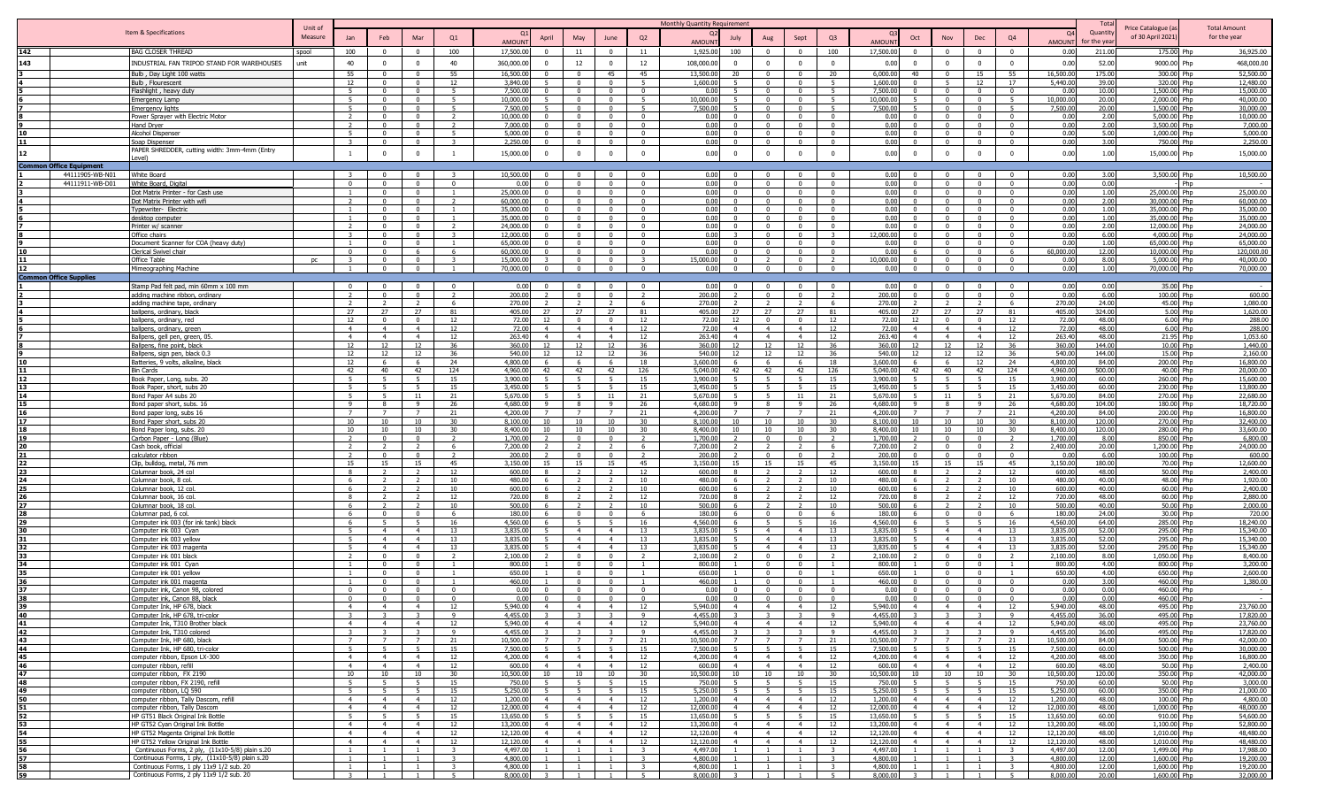|                          |                               |                                                                                                    | Unit of       |                                  |                                  |                                  |                                          |                                                         |                                  |                                  |                                                    | Monthly Quantity Requirement                            |                                  |                                  |                         |                        |                                  |                                  |                                            |                               |                        | Total           |                                         | <b>Total Amount</b>     |
|--------------------------|-------------------------------|----------------------------------------------------------------------------------------------------|---------------|----------------------------------|----------------------------------|----------------------------------|------------------------------------------|---------------------------------------------------------|----------------------------------|----------------------------------|----------------------------------------------------|---------------------------------------------------------|----------------------------------|----------------------------------|-------------------------|------------------------|----------------------------------|----------------------------------|--------------------------------------------|-------------------------------|------------------------|-----------------|-----------------------------------------|-------------------------|
|                          |                               | Item & Specifications                                                                              | Measure       | Jan                              | Feb                              | Mar                              | Q1                                       | April                                                   | May                              | June                             | Q2                                                 | July                                                    | Aug                              | Sept                             | Q <sub>3</sub>          |                        | Oct                              | Nov                              | Dec                                        | Q4                            | <b>O</b>               | Quantity        | Price Catalogue (a<br>of 30 April 2021) | for the year            |
|                          |                               |                                                                                                    |               |                                  |                                  |                                  |                                          | <b>AMOUN</b><br>$\Omega$                                |                                  |                                  |                                                    | <b>AMOUN</b>                                            |                                  | $\Omega$                         |                         | AMOUN                  |                                  |                                  |                                            |                               | AMOUN                  | or the ve       |                                         |                         |
| 143                      |                               | <b>BAG CLOSER THREAD</b><br>INDUSTRIAL FAN TRIPOD STAND FOR WAREHOUSES                             | spool<br>unit | 100<br>40                        | $\Omega$<br>$^{\circ}$           | $\mathbf{0}$<br>$^{\circ}$       | 100<br>40                                | 17,500.0<br>360,000.00<br>$\Omega$                      | 11<br>12                         | $\Omega$<br>$\Omega$             | 11<br>12                                           | 1,925.00<br>100<br>108,000.00<br>$\Omega$               | $\Omega$                         | $\Omega$                         | 100<br>$\Omega$         | 17,500.00<br>0.00      | $\Omega$                         | $\Omega$<br>$\Omega$             | $\Omega$<br>$\overline{0}$                 | $\Omega$<br>$\overline{0}$    | 0.00<br>0.00           | 211.00<br>52.00 | 175.00 Php<br>9000.00 Php               | 36,925.00<br>468,000.00 |
|                          |                               | Bulb, Day Light 100 watts                                                                          |               | 55                               | $\Omega$                         | $\Omega$                         | 55                                       | 16,500.0                                                |                                  | 45                               | 45                                                 | 13,500.0<br>20                                          |                                  |                                  | 20                      | 6,000.00               | 40                               | $\Omega$                         | 15                                         | 55                            | 16,500.0               | 175.00          | 300.00 Php                              | 52,500.00               |
|                          |                               | Bulb, Flourescent                                                                                  |               | 12                               | $^{\circ}$                       | $^{\circ}$                       | 12                                       | 3,840.0                                                 |                                  | $\Omega$                         |                                                    | 1,600.00<br>5                                           | $\Omega$                         | $\Omega$                         |                         | 1,600.00               |                                  |                                  | 12                                         | 17                            | 5,440.0                | 39.00           | 320.00 Php                              | 12,480.00               |
|                          |                               | Flashlight, heavy duty                                                                             |               | - 5                              | $^{\circ}$                       | $^{\circ}$                       | - 5                                      | 7,500.0<br>$\Omega$                                     | $\Omega$                         | $\Omega$                         | $^{\circ}$                                         | 0.01<br>-5                                              | $\Omega$                         | $\Omega$                         | 5                       | 7,500.0                |                                  | $\Omega$                         | $\overline{\mathbf{0}}$                    | $\Omega$                      | 0.0                    | 10.00           | 1.500.00 Php                            | 15,000.00               |
|                          |                               | <b>Emergency Lamp</b>                                                                              |               | -5                               | $\mathbf{0}$                     | $\mathbf{0}$                     | - 5                                      | 10,000.0<br>5.                                          | $\Omega$                         | $\Omega$                         | - 5                                                | 10,000.0<br>-5                                          | $\Omega$                         | 0                                | - 5                     | 10,000.0               |                                  | $\Omega$                         | $\Omega$                                   | - 5                           | 10,000.00              | 20.00           | 2,000.00 Php                            | 40,000.00               |
|                          |                               | Emergency lights                                                                                   |               | 5                                | $\Omega$<br>$\Omega$             | $\Omega$<br>$\Omega$             | -5                                       | 7,500.0<br>-5<br>10,000.<br>$\Omega$                    | $\Omega$                         | $\Omega$<br>$\sqrt{ }$           | - 5<br>$\overline{0}$                              | 7,500.0<br>5 <sup>2</sup><br>0 <sub>0</sub><br>$\Omega$ | $\Omega$                         | $\Omega$<br>$\Omega$             | - 5                     | 7,500.00<br>0.00       |                                  | $\Omega$<br>$\Omega$             | $\Omega$<br>$\Omega$                       | - 5<br>$\sqrt{ }$             | 7,500.00<br>0.00       | 20.00<br>2.00   | 1,500.00 Php<br>5,000.00 Php            | 30,000.00<br>10,000,00  |
|                          |                               | Power Sprayer with Electric Motor<br>Hand Dryer                                                    |               |                                  | $\Omega$                         | $\Omega$                         | $\overline{2}$                           | 7,000.0<br>$\Omega$                                     | $\overline{a}$                   | $\Omega$                         | $\Omega$                                           | 0 <sub>0</sub><br>$\Omega$                              | $\Omega$                         | $\Omega$                         | $\Omega$                | 0.00                   |                                  | $\Omega$                         | $\Omega$                                   | $\Omega$                      | 0.00                   | 2.00            | 3,500.00 Php                            | 7.000.00                |
|                          |                               | Alcohol Dispense                                                                                   |               | 5 <sup>5</sup>                   | $\mathbf{0}$                     | $\mathbf{0}$                     | $\overline{5}$                           | 5,000.0<br>$\Omega$                                     | $\sim$                           | $\sqrt{ }$                       | $\Omega$                                           | 0.00<br>$\overline{0}$                                  | $\Omega$                         | $\mathsf{n}$                     | $\Omega$                | 0.00                   |                                  | $\Omega$                         | $\overline{0}$                             | $\Omega$                      | 0.00                   | 5.00            | 1,000.00 Php                            | 5,000.00                |
|                          |                               | Soap Dispenser                                                                                     |               | $\mathbf{z}$                     | $\mathbf{0}$                     | $\overline{0}$                   | $\mathbf{R}$                             | 2,250.0<br>$^{\circ}$                                   | $\Omega$                         | $\overline{0}$                   | $\overline{0}$                                     | 0.00<br>$\overline{0}$                                  | $\mathbf{0}$                     | $\overline{0}$                   | $\mathbf{0}$            | 0.00                   |                                  | $\overline{0}$                   | $\overline{0}$                             | $\overline{0}$                | 0.00                   | 3.00            | 750.00 Php                              | 2,250.00                |
| 12                       |                               | PAPER SHREDDER, cutting width: 3mm-4mm (Entry                                                      |               |                                  | $\mathbf{0}$                     | $\mathbf{0}$                     | $\mathbf{1}$                             | 15,000.0<br>$\Omega$                                    | $\Omega$                         | $\mathbf{0}$                     | $^{\circ}$                                         | 0.00<br>$\Omega$                                        |                                  | $\Omega$                         | $\Omega$                | 0.00                   |                                  | $\Omega$                         | $\overline{0}$                             | $\Omega$                      | 0.00                   | 1.00            | 15,000.00 Php                           | 15,000.00               |
| <b>Common Office Equ</b> |                               |                                                                                                    |               |                                  |                                  |                                  |                                          |                                                         |                                  |                                  |                                                    |                                                         |                                  |                                  |                         |                        |                                  |                                  |                                            |                               |                        |                 |                                         |                         |
|                          | 44111905-WB-N01               | White Board                                                                                        |               | -3                               | $\mathbf{0}$                     | $\mathbf{0}$                     | $\mathbf{R}$                             | 10,500.00<br>$\Omega$                                   | $\overline{0}$                   | $\overline{\mathbf{0}}$          | $\overline{\mathbf{0}}$                            | 0.00<br>$\mathbf{0}$                                    | $\Omega$                         | $\overline{0}$                   | $\Omega$                | 0.00                   |                                  | $\overline{0}$                   | $\overline{\mathbf{0}}$                    | $\Omega$                      | 0.00                   | 3.00            | 3,500.00 Php                            | 10,500.00               |
|                          | 44111911-WB-D01               | White Board, Digital                                                                               |               | $\Omega$                         | $\mathbf{0}$                     | $\mathbf{0}$                     | $\overline{0}$                           | 0.00                                                    | $\Omega$                         | $\Omega$                         | $\Omega$                                           | 0.00<br>$\Omega$                                        |                                  | $\Omega$                         | $\Omega$                | 0.00                   |                                  | $\Omega$                         | $\Omega$                                   | $\Omega$                      | 0.00                   | 0.00            | Php                                     |                         |
|                          |                               | Dot Matrix Printer - for Cash use<br>Dot Matrix Printer with wif                                   |               | $\overline{\phantom{a}}$         | $\mathbf{0}$<br>$\mathbf{0}$     | $\mathbf{0}$<br>$\mathbf{0}$     | $\mathbf{1}$<br>$\overline{\phantom{a}}$ | 25,000.0<br>$\Omega$<br>60,000.0<br>$\Omega$            | $\Omega$<br>$\mathbf{0}$         | $\Omega$<br>$\Omega$             | $\Omega$<br>$\Omega$                               | 0.00<br>$\mathbf{0}$<br>0.00<br>$\mathbf{0}$            | $\Omega$<br>$\mathbf{0}$         | $\Omega$<br>$\Omega$             | $\Omega$<br>$\Omega$    | 0.00<br>0.00           |                                  | $\Omega$<br>$\Omega$             | $\Omega$<br>$\Omega$                       | $\Omega$<br>$\mathbf{0}$      | 0.00<br>0.00           | 1.00<br>2.00    | 25,000.00 Php<br>30,000.00 Php          | 25,000.00<br>60,000.00  |
|                          |                               | Typewriter- Electric                                                                               |               |                                  | $\mathbf{0}$                     | $\Omega$                         |                                          | 35,000.0<br>$\Omega$                                    | $\Omega$                         | $\Omega$                         | $\Omega$                                           | 0.00<br>$\Omega$                                        | $\Omega$                         | $\Omega$                         | $\Omega$                | 0.00                   |                                  | $\Omega$                         | $\Omega$                                   | $\Omega$                      | 0.00                   | 1.00            | 35.000.00 Php                           | 35,000.00               |
|                          |                               | desktop computer                                                                                   |               |                                  | $\mathbf{0}$                     | $\mathbf{0}$                     |                                          | 35,000.0<br>$\Omega$                                    | $\Omega$                         | $\Omega$                         | $\Omega$                                           | 0.00<br>$\Omega$                                        | $\Omega$                         | $\Omega$                         | $\Omega$                | 0.00                   |                                  | $\Omega$                         | $\Omega$                                   | $\Omega$                      | 0.00                   | 1.00            | 35,000.00 Php                           | 35,000.00               |
|                          |                               | Printer w/ scanner                                                                                 |               |                                  | $\Omega$                         | $\Omega$                         |                                          | 24,000.0                                                | $\Omega$                         | $\Omega$                         |                                                    | 0.00<br>$\Omega$                                        |                                  | $\Omega$                         |                         | 0.00                   |                                  | $\Omega$                         | $\Omega$                                   |                               | 0.00                   | 2.00            | 12,000.00 Php                           | 24,000.00               |
|                          |                               | Office chairs<br>Document Scanner for COA (heavy duty)                                             |               |                                  | $\Omega$                         | $\Omega$<br>$\Omega$             | $\mathbf{R}$                             | 12,000.0<br>65,000.                                     |                                  |                                  |                                                    | 0.00<br>0.00                                            |                                  | $\Omega$                         |                         | 12,000.00<br>0.00      |                                  | $\Omega$                         | $\Omega$                                   |                               | 0.00<br>0.0            | 6.00<br>1.00    | 4,000.00 Php<br>65,000,00 Php           | 24,000,00<br>65,000.00  |
|                          |                               | Clerical Swivel chair                                                                              |               |                                  | $\Omega$                         | 6                                |                                          | 60,000.0                                                |                                  | $\Omega$                         | $\Omega$                                           | 0.00<br>$\Omega$                                        |                                  | $\sqrt{ }$                       |                         | 0.00                   |                                  | $\bigcap$                        | $\bigcap$                                  |                               | 60.000.0               | 12.00           | 10,000.00 Php                           | 120,000.00              |
|                          |                               | Office Table                                                                                       | <b>DC</b>     |                                  | $\mathbf{0}$                     | $\mathbf{0}$                     |                                          | 15,000.0                                                | $\Omega$                         | $\Omega$                         | $\mathbf{R}$                                       | $\overline{0}$<br>15,000.00                             |                                  | $\Omega$                         |                         | 10,000.00              |                                  | $\Omega$                         | $\Omega$                                   | $\mathbf{0}$                  | 0.00                   | 8.00            | 5,000.00 Php                            | 40,000.00               |
|                          |                               | Mimeographing Machine                                                                              |               |                                  | $\Omega$                         | $\Omega$                         |                                          | 70,000.00<br>$\Omega$                                   | $\overline{a}$                   | $\sim$                           | $\overline{0}$                                     | 0.00<br>$\overline{0}$                                  |                                  | $\Omega$                         |                         | 0.00                   |                                  | $\Omega$                         | $\sqrt{ }$                                 |                               | 0.00                   | 1.00            | 70,000,00 Php                           | 70,000,00               |
|                          | <b>Common Office Supplies</b> |                                                                                                    |               | $\Omega$                         | $\Omega$                         | $\Omega$                         | $\overline{0}$                           | 0.00<br>$\Omega$                                        | $\Omega$                         | $\Omega$                         | $\overline{0}$                                     | 0.00<br>$\Omega$                                        | $\Omega$                         | $\overline{0}$                   | $\overline{0}$          | 0.00                   |                                  | $\Omega$                         | $\Omega$                                   | $\overline{0}$                | 0.00                   | 0.00            | 35.00 Php                               |                         |
|                          |                               | Stamp Pad felt pad, min 60mm x 100 mm<br>adding machine ribbon, ordinary                           |               | $\overline{\phantom{a}}$         | $\Omega$                         | $\Omega$                         | $\overline{2}$                           | 200.00<br>$\overline{\phantom{a}}$                      | $\Omega$                         | $\Omega$                         | $\overline{2}$                                     | 200.00<br>$\overline{\phantom{a}}$                      | $\Omega$                         | $\Omega$                         | $\overline{2}$          | 200.00                 |                                  | $\Omega$                         | $\Omega$                                   | $\Omega$                      | 0.00                   | 6.00            | 100.00 Php                              | 600.00                  |
|                          |                               | adding machine tape, ordinary                                                                      |               | $\overline{2}$                   | $\overline{2}$                   | $\overline{2}$                   | 6                                        | 270.00<br>$\overline{2}$                                |                                  | $\overline{2}$                   | -6                                                 | 270.00<br>$\overline{2}$                                | $\overline{2}$                   | $\overline{2}$                   | 6                       | 270.00                 |                                  | $\overline{2}$                   | $\overline{2}$                             | 6                             | 270.00                 | 24.00           | 45.00 Php                               | 1,080.00                |
|                          |                               | ballpens, ordinary, black                                                                          |               | 27                               | 27                               | 27                               | 81                                       | 27<br>405.00                                            | 27                               | 27                               | 81                                                 | 27<br>405.00                                            | 27                               | 27                               | 81                      | 405.00                 | 27                               | 27                               | 27                                         | 81                            | 405.00                 | 324.00          | 5.00 Php                                | 1,620.00                |
|                          |                               | ballpens, ordinary, red                                                                            |               | 12<br>$\overline{4}$             | $\Omega$<br>$\overline{4}$       | $\Omega$<br>$\overline{4}$       | 12                                       | 72.0<br>12<br>$\overline{4}$                            | $\overline{4}$                   | $\Omega$<br>$\overline{4}$       | 12                                                 | 72.00<br>12<br>$\overline{4}$                           | $\Omega$<br>$\overline{4}$       | $\Omega$<br>$\overline{4}$       | 12<br>12                | 72.00<br>72.00         | 12<br>$\overline{a}$             | $\Omega$<br>$\overline{4}$       | $\Omega$<br>$\overline{4}$                 | 12                            | 72.00                  | 48.00           | 6.00 Php                                | 288.00                  |
|                          |                               | ballpens, ordinary, green<br>Ballpens, gell pen, green, 0!                                         |               | $\overline{4}$                   | $\overline{4}$                   | $\overline{4}$                   | 12<br>12                                 | 72.0<br>263.40<br>$\overline{4}$                        | $\overline{4}$                   | $\overline{4}$                   | 12<br>12                                           | 72.00<br>263.40<br>$\overline{4}$                       | $\overline{4}$                   | $\overline{4}$                   | 12                      | 263.40                 | $\overline{4}$                   | $\overline{4}$                   | $\overline{4}$                             | 12<br>12                      | 72.00<br>263.40        | 48.00<br>48.00  | 6.00 Php<br>21.95 Php                   | 288.00<br>1,053.60      |
|                          |                               | Ballpens, fine point, black                                                                        |               | 12                               | 12                               | 12                               | 36                                       | 360.00<br>12                                            | 12                               | 12                               | 36                                                 | 360.00<br>12                                            | 12                               | 12                               | 36                      | 360.00                 | 12                               | 12                               | 12                                         | 36                            | 360.00                 | 144.00          | 10.00 Php                               | 1,440.00                |
|                          |                               | Ballpens, sign pen, black 0.                                                                       |               | 12                               | 12                               | 12                               | 36                                       | 540.0<br>12                                             | 12                               | 12                               | 36                                                 | 540.00                                                  | 12                               | 12                               | 36                      | 540.00                 |                                  | 12                               | 12                                         | 36                            | 540.00                 | 144.00          | 15.00 Php                               | 2.160.00                |
|                          |                               | Batteries, 9 volts, alkaline, black                                                                |               | 12                               | -6                               | -6                               | 24                                       | 4,800.0                                                 |                                  | -6<br>42                         | 18                                                 | 3,600.0                                                 |                                  | -6                               | 18                      | 3,600.0                | 42                               | -6                               | 12                                         | 24                            | 4,800.0                | 84.00           | 200.00 Php                              | 16,800.00               |
|                          |                               | Bin Cards<br>Book Paper, Long, subs. 20                                                            |               | 42                               | 40<br>-5                         | 42                               | 124<br>15                                | 4,960.0<br>42<br>3,900.0                                | 42                               |                                  | 126<br>15                                          | 5,040.0<br>42<br>3.900.0                                | 42                               | 42                               | 126<br>15               | 5,040.00<br>3,900.0    |                                  | 40                               | 42<br>-5                                   | 124<br>15                     | 4,960.0<br>3,900.0     | 500.00<br>60.00 | 40.00 Php<br>260.00 Php                 | 20,000.00<br>15,600.00  |
|                          |                               | Book Paper, short, subs 20                                                                         |               | -5                               | -5                               | -5                               | 15                                       | 3,450.0                                                 | - 5                              | - 5                              | 15                                                 | 3,450.0<br>5.                                           | -5                               | -5                               | 15                      | 3,450.0                |                                  | -5                               | - 5                                        | 15                            | 3,450.0                | 60.00           | 230.00 Php                              | 13,800.00               |
|                          |                               | Bond Paper A4 subs 20                                                                              |               | -5                               | -5                               | 11                               | 21                                       | 5,670.0                                                 | - 5                              | - 11                             | 21                                                 | 5,670.0<br>5.                                           | -5                               | 11                               | 21                      | 5,670.0                |                                  | 11                               | 5                                          | 21                            | 5,670.0                | 84.00           | 270.00 Php                              | 22,680.00               |
|                          |                               | Bond paper short, subs. 16                                                                         |               | $\mathbf{q}$                     | 8<br>$\overline{7}$              | -9<br>$\overline{7}$             | 26<br>21                                 | 4,680.0<br>-9<br>4,200.0                                | - 8<br>$\overline{7}$            | $\overline{9}$                   | 26<br>21                                           | 4,680.0<br>-9<br>4,200.0                                | 8<br>$\overline{7}$              | $\overline{9}$                   | 26<br>21                | 4,680.00<br>4,200.00   | $\alpha$                         | -8<br>$\overline{7}$             | 9<br>$\overline{7}$                        | -26<br>21                     | 4,680.0<br>4,200.0     | 104.00<br>84.00 | 180.00 Php<br>200.00 Php                | 18,720.00<br>16,800.00  |
|                          |                               | Bond paper long, subs 16<br>Bond Paper short, subs 20                                              |               | 10                               | 10                               | 10                               | 30                                       | 8,100.0<br>10                                           | 10                               | 10                               | 30                                                 | 8,100.0<br>10                                           | 10                               | 10                               | $30^{\circ}$            | 8.100.00               | 10                               | 10                               | 10                                         | 30                            | 8,100.0                | 120.00          | 270.00 Php                              | 32,400.00               |
|                          |                               | Bond Paper long, subs. 20                                                                          |               | 10 <sup>1</sup>                  | 10                               | 10                               | 30                                       | 8,400.0<br>10                                           | 10                               | 10                               | 30                                                 | 8,400.0<br>10                                           | 10                               | 10                               | 30 <sup>2</sup>         | 8,400.00               | 10                               | 10                               | 10                                         | 30                            | 8,400.0                | 120.00          | 280.00 Php                              | 33,600.00               |
|                          |                               | Carbon Paper - Long (Blue)                                                                         |               | $\mathcal{L}$                    | $\mathbf{0}$                     | $\mathbf{0}$                     |                                          | 1,700.0                                                 | $\Omega$                         | $\Omega$                         | $\mathcal{L}$                                      | 1,700.00<br>$\mathcal{L}$                               | $\Omega$                         | $\Omega$                         |                         | 1,700.00               |                                  | $\Omega$                         | $\overline{0}$                             |                               | 1,700.0                | 8.00            | 850.00 Php                              | 6,800.00                |
|                          |                               | Cash book, official                                                                                |               |                                  |                                  |                                  | -6                                       | 7,200.0                                                 | $\Omega$                         | $\Omega$                         | - 6                                                | 7,200.00                                                | $\Omega$                         | $\Omega$                         |                         | 7,200.00               |                                  | $\Omega$                         | $\Omega$<br>$\Omega$                       |                               | 2,400.00               | 20.00           | 1,200.00 Php                            | 24,000.00               |
|                          |                               | calculator ribbon<br>Clip, bulldog, metal, 76 mm                                                   |               | 15                               | $\Omega$<br>15                   | $\Omega$<br>15                   | $\overline{\phantom{a}}$<br>45           | 200.0<br>3,150.0<br>15                                  | 15                               | 15                               | $\overline{z}$<br>45                               | 200.00<br>3,150.00<br>15                                | 15                               | 15                               | $\overline{2}$<br>45    | 200.00<br>3.150.00     | 15                               | $\Omega$<br>15                   | 15                                         | $\Omega$<br>45                | 0.00<br>3,150.00       | 6.00<br>180.00  | 100.00 Php<br>70.00 Php                 | 600.00<br>12,600.00     |
| 23                       |                               | Columnar book, 24 col                                                                              |               | $\mathbf{R}$                     |                                  | $\overline{2}$                   | 12                                       | 600.0<br>$\mathbf{R}$                                   | $\overline{2}$                   |                                  | 12                                                 | 600.00<br>$\mathbf{R}$                                  | $\overline{2}$                   |                                  | 12                      | 600.00                 |                                  | $\overline{2}$                   | $\overline{\phantom{a}}$                   | 12                            | 600.00                 | 48.00           | 50.00 Php                               | 2,400.00                |
| 24                       |                               | Columnar book, 8 col.                                                                              |               | -6                               |                                  | $\overline{2}$                   | 10                                       | 480.0                                                   |                                  |                                  | 10                                                 | 480.0<br>6                                              |                                  |                                  | 10                      | 480.00                 |                                  |                                  | $\overline{2}$                             | 10                            | 480.00                 | 40.00           | 48.00 Php                               | 1,920.00                |
|                          |                               | Columnar book, 12 col                                                                              |               | -6<br>$\mathbf{R}$               | $\mathcal{L}$<br>$\overline{2}$  | $\mathcal{L}$<br>$\overline{2}$  | 10<br>12                                 | 600.0<br>720.0                                          |                                  |                                  | 10<br>12                                           | 600.0<br>6<br>720.00<br>8                               | $\mathcal{D}$                    |                                  | 10<br>12                | 600.00<br>720.00       |                                  | $\overline{2}$                   | $\overline{\phantom{a}}$<br>$\overline{2}$ | 10<br>12                      | 600.00<br>720.00       | 40.00<br>48.00  | 60.00 Php<br>60.00 Php                  | 2,400.00<br>2,880.00    |
|                          |                               | Columnar book, 16 col<br>Columnar book, 18 col                                                     |               | 6                                |                                  |                                  | 10                                       | 500.0                                                   |                                  |                                  | 10                                                 | 500.00<br>6                                             |                                  |                                  | 10                      | 500.0                  |                                  |                                  | 2                                          | 10                            | 500.0                  | 40.00           | 50.00 Php                               | 2,000.00                |
|                          |                               | Columnar pad, 6 col.                                                                               |               | -6                               | $\mathbf{0}$                     | $\Omega$                         | - 6                                      | 180.0                                                   | $\Omega$                         | $\Omega$                         | - 6                                                | 180.00<br>-6                                            | $\Omega$                         | $\Omega$                         | 6                       | 180.00                 |                                  | $\Omega$                         | $\overline{\mathbf{0}}$                    | - 6                           | 180.00                 | 24.00           | 30.00 Php                               | 720.00                  |
|                          |                               | Computer ink 003 (for ink tank) black                                                              |               | -6                               | -5                               | -5                               | 16                                       | 4,560.0                                                 | -5                               | -5                               | 16                                                 | 4,560.0<br>6                                            |                                  | -5                               | 16                      | 4,560.0                |                                  | -5                               | - 5                                        | 16                            | 4,560.00               | 64.00           | 285.00 Php                              | 18,240.00               |
|                          |                               | Computer ink 003 Cyan                                                                              |               |                                  | $\overline{4}$                   | $\overline{4}$                   | 13                                       | 3,835.0                                                 | $\overline{4}$<br>$\overline{4}$ | $\overline{4}$<br>$\overline{a}$ | 13                                                 | 3,835.0                                                 | $\overline{4}$                   | $\overline{4}$<br>$\overline{a}$ | 13                      | 3,835.00<br>3,835,00   |                                  | $\overline{4}$<br>$\overline{4}$ | $\overline{4}$<br>$\overline{4}$           | 13                            | 3,835.00               | 52.00           | 295.00 Php                              | 15,340.00<br>15,340.00  |
|                          |                               | Computer ink 003 yellow<br>Computer ink 003 magenta                                                |               |                                  | $\overline{4}$<br>$\overline{4}$ | $\overline{4}$<br>$\overline{4}$ | 13<br>13                                 | 3.835.0<br>3.835.0                                      |                                  | $\overline{a}$                   | 13<br>13                                           | 3,835.0<br>3,835.0                                      | $\overline{a}$                   | $\overline{a}$                   | 13<br>13                | 3,835,00               |                                  | $\overline{4}$                   | $\overline{4}$                             | 13<br>13                      | 3,835.0<br>3,835.0     | 52.00<br>52.00  | 295.00 Php<br>295.00 Php                | 15,340.00               |
|                          |                               | Computer ink 001 black                                                                             |               |                                  | $\Omega$                         | $\Omega$                         |                                          | 2,100.0                                                 |                                  | $\Omega$                         |                                                    | 2,100.0                                                 |                                  |                                  |                         | 2,100.00               |                                  | $\Omega$                         | $\Omega$                                   |                               | 2,100.0                | 8.00            | 1,050.00 Php                            | 8,400.00                |
|                          |                               | Computer ink 001 Cyan                                                                              |               |                                  | $\Omega$                         | $\Omega$                         |                                          | 800.0                                                   |                                  | $\Omega$                         |                                                    | 800.00                                                  |                                  |                                  |                         | 800.00                 |                                  | $\Omega$                         | $\Omega$                                   |                               | 800.00                 | 4.00            | 800.00 Php                              | 3,200.00                |
|                          |                               | <u>Computer ink 001 yellow</u>                                                                     |               |                                  | $^{\circ}$<br>$\Omega$           | $\Omega$<br>$\Omega$             |                                          | 650.0<br>460.0                                          |                                  | $\Omega$                         |                                                    | 650.00<br>460.00                                        |                                  | $\Omega$                         |                         | 650.00<br>460.00       |                                  | $\Omega$<br>$\Omega$             | $\cap$                                     |                               | 650.00                 | 4.00            | 650.00 Php<br>460.00 Php                | 2,600.00<br>1,380.00    |
|                          |                               | Computer ink 001 magenta<br>Computer ink, Canon 98, colored                                        |               | $\Omega$                         | $\Omega$                         | $\Omega$                         | $\Omega$                                 | 0.00<br>$\Omega$                                        | $\Omega$                         | $\Omega$                         | $\Omega$                                           | 0.00<br>$\Omega$                                        | $\Omega$                         | $\Omega$                         | $\Omega$                | 0.00                   |                                  | $\Omega$                         | $\Omega$                                   | $\Omega$                      | 0.00<br>0.00           | 3.00<br>0.00    | 460.00 Php                              |                         |
|                          |                               | Computer ink, Canon 88, black                                                                      |               | $\Omega$                         | $\Omega$                         | $^{\circ}$                       | $\overline{0}$                           | 0.00<br>$\Omega$                                        | $\Omega$                         | $\Omega$                         | $\overline{0}$                                     | 0.00<br>$\Omega$                                        | $\mathbf{0}$                     | $\overline{0}$                   | $\Omega$                | 0.00                   |                                  | $\Omega$                         | $\overline{0}$                             | $\Omega$                      | 0.00                   | 0.00            | 460.00 Php                              |                         |
|                          |                               |                                                                                                    |               |                                  |                                  |                                  |                                          | 5.940c                                                  |                                  |                                  |                                                    | : 940f                                                  |                                  |                                  |                         | aan ni                 |                                  |                                  |                                            |                               | QADf                   | 18 N            | 495.00                                  | 23,760.00               |
| 40<br>41                 |                               | Computer Ink, HP 678, tri-color<br>Computer Ink, T310 Brother black                                |               | $\mathcal{R}$<br>$\overline{4}$  | $\overline{4}$                   | $\overline{4}$                   | $\overline{9}$<br>12                     | 4,455.0<br>5,940.0<br>$\overline{4}$                    | $\overline{4}$                   | $\mathbf{R}$<br>$\overline{4}$   | $\overline{9}$<br>12                               | 4.455.0<br>5,940.00<br>$\overline{4}$                   | $\overline{4}$                   | $\mathbf{R}$<br>$\overline{4}$   | $\overline{9}$<br>12    | 4,455.00<br>5,940.00   |                                  | $\mathbf{z}$<br>$\overline{4}$   | $\overline{4}$                             | $\mathbf{q}$<br>12            | 4,455.00<br>5,940.00   | 36.00<br>48.00  | 495.00 Php<br>495.00 Php                | 17,820.00<br>23,760.00  |
| 42                       |                               | Computer Ink, T310 colored                                                                         |               | 3                                | $\overline{3}$                   | $\mathbf{3}$                     | 9                                        | 4,455.0                                                 |                                  | 3                                | 9                                                  | 4,455.00<br>$\mathbf{3}$                                | $\overline{\mathbf{3}}$          | $\overline{\mathbf{3}}$          | 9                       | 4,455.00               |                                  | 3                                | $\overline{\mathbf{3}}$                    | 9                             | 4,455.00               | 36.00           | 495.00 Php                              | 17,820,00               |
| 43                       |                               | Computer Ink, HP 680, black                                                                        |               | $\overline{7}$                   | $\overline{7}$                   | 7                                | 21                                       | 10,500.0<br>$\overline{7}$                              | $\overline{7}$                   | $\overline{7}$                   | 21                                                 | 10,500.00<br>7                                          | 7                                | $\overline{7}$                   | 21                      | 10,500.00              | $\overline{7}$                   | $\overline{7}$                   | $\overline{7}$                             | 21                            | 10,500.00              | 84.00           | 500.00 Php                              | 42,000.00               |
| 44                       |                               | Computer Ink, HP 680, tri-color                                                                    |               | 5                                | 5                                | 5                                | 15                                       | 7,500.0<br>-5                                           | 5                                | $5^{\circ}$                      | 15                                                 | 7,500.00<br>5                                           | 5                                | 5 <sup>5</sup>                   | 15                      | 7,500.00               |                                  | 5                                | $5^{\circ}$                                | 15                            | 7,500.00               | 60.00           | 500.00 Php                              | 30,000.00               |
| 45                       |                               | computer ribbon, Epson LX-300                                                                      |               | $\overline{4}$<br>$\overline{4}$ | $\overline{4}$<br>$\overline{4}$ | $\overline{4}$<br>$\overline{4}$ | 12<br>12                                 | 4,200.00<br>$\overline{4}$<br>600.00<br>$\overline{4}$  | $\overline{4}$<br>$\overline{4}$ | $\overline{4}$<br>$\overline{4}$ | 12<br>12                                           | 4,200.00<br>$\overline{4}$<br>600.00<br>$\overline{4}$  | $\overline{4}$<br>$\overline{4}$ | $\overline{4}$<br>$\overline{4}$ | 12<br>12                | 4,200.00<br>600.00     | $\overline{4}$<br>$\overline{4}$ | $\overline{4}$<br>$\overline{4}$ | $-4$<br>$\overline{4}$                     | 12<br>12                      | 4,200.00<br>600.00     | 48.00<br>48.00  | 350.00 Php<br>50.00 Php                 | 16,800.00<br>2,400.00   |
| 46<br>47                 |                               | computer ribbon, refill<br>computer ribbon, FX 2190                                                |               | 10                               | 10                               | 10                               | 30                                       | 10,500.00<br>10                                         | 10                               | 10                               | 30                                                 | 10,500.00<br>10                                         | 10                               | 10                               | 30 <sup>2</sup>         | 10.500.00              | 10 <sup>1</sup>                  | 10 <sup>1</sup>                  | 10                                         | 30 <sup>2</sup>               | 10,500.00              | 120.00          | 350.00 Php                              | 42,000.00               |
| 48                       |                               | computer ribbon, FX 2190, refill                                                                   |               | $\overline{5}$                   | 5 <sup>5</sup>                   | $5^{\circ}$                      | 15                                       | 750.00<br>5 <sup>1</sup>                                | 5 <sup>1</sup>                   | -5                               | 15                                                 | 5 <sup>7</sup><br>750.00                                | 5 <sup>7</sup>                   | 5 <sup>1</sup>                   | 15                      | 750.00                 |                                  | 5                                | 5 <sup>5</sup>                             | 15                            | 750.00                 | 60.00           | 50.00 Php                               | 3,000.00                |
| 49                       |                               | computer ribbon, LQ 590                                                                            |               | 5 <sup>5</sup>                   | $5 -$                            | $5 -$                            | 15                                       | 5,250.00<br>5 <sup>1</sup>                              | $5 -$                            | 5 <sup>1</sup>                   | 15                                                 | 5,250.00<br>$5 -$                                       | $5 -$                            | $5 -$                            | 15                      | 5,250,00               |                                  | 5 <sup>1</sup>                   | 5                                          | 15                            | 5,250.00               | 60.00           | 350.00 Php                              | 21,000.00               |
| 50                       |                               | computer ribbon, Tally Dascom, refill                                                              |               | $\overline{4}$                   | $\overline{4}$                   | $\overline{4}$                   | 12                                       | 1,200.0<br>$\overline{4}$<br>12,000.0<br>$\overline{4}$ | $\overline{4}$                   | $\overline{4}$                   | 12                                                 | 1,200.00<br>$\overline{4}$<br>$\overline{4}$            | $\overline{4}$                   | $\overline{4}$                   | 12                      | 1,200.00               | $\overline{4}$<br>$\overline{4}$ | $\overline{4}$                   | $-4$                                       | 12                            | 1,200.00               | 48.00           | 100.00 Php<br>1,000.00 Php              | 4.800.00<br>48,000.00   |
| 52                       |                               | computer ribbon, Tally Dascom<br>HP GT51 Black Original Ink Bottle                                 |               | $\overline{4}$<br>5              | $\overline{4}$<br>5              | $\overline{4}$<br>5              | 12<br>15                                 | 13,650.0<br>-5                                          | $\overline{4}$<br>5              | $\overline{4}$<br>- 5            | 12<br>15                                           | 12,000.00<br>13,650.0<br>- 5                            | $\overline{4}$<br>5              | $\overline{4}$<br>$5^{\circ}$    | 12<br>15                | 12,000.00<br>13,650.00 | $\overline{5}$                   | $\overline{4}$<br>- 5            | $\overline{4}$<br>$-5$                     | 12<br>15                      | 12,000.00<br>13,650.00 | 48.00<br>60.00  | 910.00 Php                              | 54,600.00               |
| 53                       |                               | HP GT52 Cyan Original Ink Bottle                                                                   |               | $\overline{4}$                   | $\overline{4}$                   | $\overline{4}$                   | 12                                       | 13,200.0<br>$\overline{4}$                              | $\overline{4}$                   | $\overline{4}$                   | 12                                                 | 13,200.0<br>$\overline{4}$                              | $\overline{4}$                   | $\overline{4}$                   | 12                      | 13,200,00              | $\overline{4}$                   | $\overline{4}$                   | $\overline{4}$                             | 12                            | 13,200.0               | 48.00           | $1.100.00$ Php                          | 52,800.00               |
| 54                       |                               | HP GT52 Magenta Original Ink Bottle                                                                |               | $\overline{4}$                   | $\overline{4}$                   | $\overline{4}$                   | 12                                       | 12,120.0<br>$\overline{4}$                              | $\overline{4}$                   | $\overline{4}$                   | 12                                                 | 12,120.0<br>$\overline{4}$                              | $\overline{4}$                   | $\overline{4}$                   | 12                      | 12,120.00              | $\overline{4}$                   | $\overline{4}$                   | $\overline{4}$                             | 12                            | 12,120.0               | 48.00           | 1,010.00 Php                            | 48,480.00               |
| 55                       |                               | HP GT52 Yellow Original Ink Bottle                                                                 |               | $\overline{4}$                   | $\overline{4}$                   | $\overline{4}$                   | 12                                       | 12,120.0<br>$\overline{4}$                              | $\overline{4}$<br>$\blacksquare$ | $\overline{4}$                   | 12                                                 | $\overline{4}$<br>12,120.0                              | $\overline{4}$<br>$\overline{1}$ | $\overline{4}$<br>$\overline{1}$ | 12                      | 12,120.00              | $\overline{a}$                   | $-4$<br>$\overline{1}$           | $-4$                                       | 12<br>$\overline{\mathbf{3}}$ | 12,120.00              | 48.00           | 1,010.00 Php                            | 48,480.00               |
| 56<br>57                 |                               | Continuous Forms, 2 ply, (11x10-5/8) plain s.20<br>Continuous Forms, 1 ply, (11x10-5/8) plain s.20 |               |                                  | $\mathbf{1}$<br>$\mathbf{1}$     | 1                                | $\overline{\mathbf{3}}$<br>$\mathbf{3}$  | 4,497.0<br>4,800.0                                      |                                  |                                  | $\overline{\mathbf{3}}$<br>$\overline{\mathbf{3}}$ | 4,497.0<br>$\mathbf{1}$<br>4,800.0<br>$\mathbf{1}$      |                                  |                                  | $\overline{\mathbf{3}}$ | 4,497.00<br>4,800.00   |                                  |                                  | $\overline{1}$<br><sup>1</sup>             | $\mathbf{3}$                  | 4,497.00<br>4,800.0    | 12.00<br>12.00  | 1,499.00 Php<br>1,600.00 Php            | 17,988.00<br>19,200.00  |
| 58                       |                               | Continuous Forms, 1 ply 11x9 1/2 sub. 20                                                           |               | $\overline{1}$                   | $\mathbf{1}$                     | $\mathbf{1}$                     | $\mathbf{3}$                             | 4,800.0                                                 | $\overline{1}$                   |                                  | $\overline{\mathbf{3}}$                            | 4,800.0<br>1                                            | $\mathbf{1}$                     | $\mathbf{1}$                     | $\overline{\mathbf{3}}$ | 4,800.00               |                                  | <sup>1</sup>                     | $\overline{1}$                             | $\mathbf{3}$                  | 4,800.00               | 12.00           | 1,600.00 Php                            | 19,200.00               |
| 59                       |                               | Continuous Forms, 2 ply 11x9 1/2 sub. 20                                                           |               | $\overline{\mathbf{3}}$          | $\mathbf{1}$                     | $\sim$ 1                         | 5 <sub>1</sub>                           | 8,000.00<br>$\overline{3}$                              | $\sim$ 1                         | $\overline{1}$                   | 5 <sub>1</sub>                                     | 8,000.00<br>$\overline{3}$                              |                                  | 1 1 5                            |                         | 8,000.00               |                                  | $\sim$ 1                         | $\overline{1}$                             | $\overline{5}$                | 8,000.00               | 20.00           | 1,600.00 Php                            | 32,000.00               |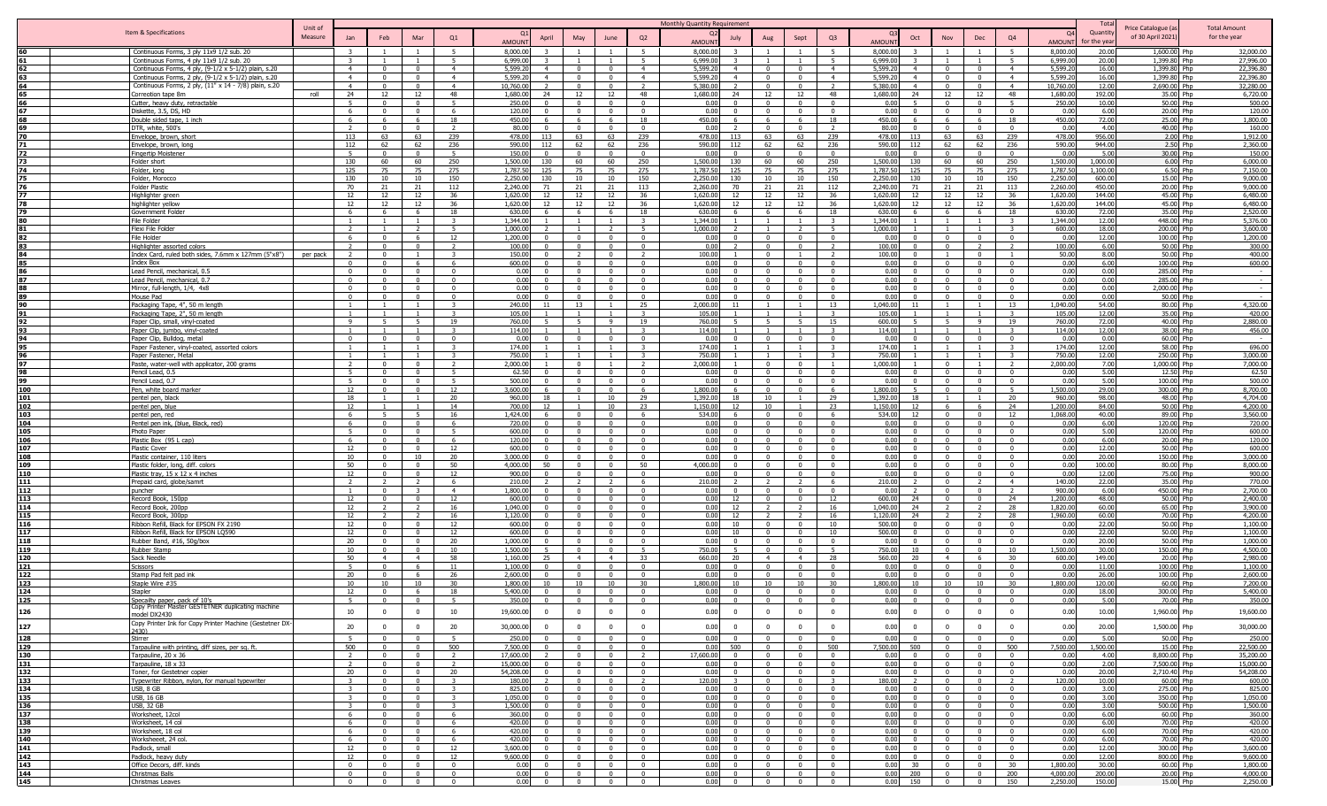|                   |                                                                                                  |                    |                            |                            |                            |                         |                      |                            |                                  |                                  |                                  | Monthly Quantity Requirement |                            |                                  |                                                     |                                           |                                                    |                                  |                                                     |                                           |                     | Tot              |                                         |                                     |
|-------------------|--------------------------------------------------------------------------------------------------|--------------------|----------------------------|----------------------------|----------------------------|-------------------------|----------------------|----------------------------|----------------------------------|----------------------------------|----------------------------------|------------------------------|----------------------------|----------------------------------|-----------------------------------------------------|-------------------------------------------|----------------------------------------------------|----------------------------------|-----------------------------------------------------|-------------------------------------------|---------------------|------------------|-----------------------------------------|-------------------------------------|
|                   | Item & Specifications                                                                            | Unit of<br>Measure | Jan                        | Feb                        | Mar                        | Q1                      |                      | April                      | May                              | June                             | Q2                               |                              | July                       | Aug                              | Sept                                                | Q <sub>3</sub>                            | Oct                                                | Nov                              | Dec                                                 | Q <sub>4</sub>                            | $\Omega$            | Quantity         | Price Catalogue (a<br>of 30 April 2021) | <b>Total Amount</b><br>for the year |
|                   |                                                                                                  |                    |                            |                            |                            |                         | <b>AMOUN</b>         |                            |                                  |                                  |                                  | <b>AMOUNT</b>                |                            |                                  |                                                     |                                           | AMOUN                                              |                                  |                                                     |                                           | <b>AMOUN</b>        | for the year     |                                         |                                     |
|                   | Continuous Forms, 3 ply 11x9 1/2 sub. 20                                                         |                    |                            |                            |                            | $\overline{5}$<br>5     | 8,000,00             |                            |                                  |                                  |                                  | 8,000.00                     |                            |                                  |                                                     | -5                                        | 8,000.0                                            |                                  |                                                     | $\overline{5}$<br>$\overline{5}$          | 8,000.00            | 20.00            | 1,600.00 Php                            | 32,000.00                           |
| 62                | Continuous Forms, 4 ply 11x9 1/2 sub. 20<br>Continuous Forms, 4 ply, (9-1/2 x 5-1/2) plain, s.20 |                    | $\overline{4}$             | $\Omega$                   | $\Omega$                   | $\overline{4}$          | 6,999.00<br>5,599.2  | $\overline{a}$             | $\Omega$                         | $\Omega$                         | $\overline{4}$                   | 6,999.00<br>5,599.20         | $\overline{4}$             | $\overline{0}$                   | $\Omega$                                            | $\overline{4}$                            | 6,999.0<br>5,599.2<br>$\overline{4}$               |                                  | $\overline{0}$                                      | $\overline{4}$                            | 6,999.00<br>5,599.2 | 20.00<br>16.00   | 1,399.80<br>1,399.80 Php                | 27,996.00<br>22,396.80              |
| 63                | Continuous Forms, 2 ply, (9-1/2 x 5-1/2) plain, s.20                                             |                    | $\overline{4}$             |                            |                            | $\overline{4}$          | 5,599.2              |                            | $\Omega$                         | $\Omega$                         | $\overline{4}$                   | 5,599.20                     | $\overline{4}$             | $\Omega$                         |                                                     | $\overline{4}$                            | 5,599.2                                            |                                  | $^{\circ}$                                          | $\overline{4}$                            | 5,599.2             | 16.00            | 1,399.80                                | 22,396.80                           |
| 64                | Continuous Forms, 2 ply, (11" x 14 - 7/8) plain, s.20                                            |                    | $\overline{4}$             | $^{\circ}$                 | $\Omega$                   | $\overline{4}$          | 10,760.00            |                            | $\Omega$                         | $\Omega$                         | <sup>2</sup>                     | 5,380.00                     |                            | $\mathbf{0}$                     | $\Omega$                                            | $\overline{z}$                            | 5,380.0<br>$\overline{4}$                          |                                  | $\overline{\mathbf{0}}$                             | $\overline{4}$                            | 10,760.00           | 12.00            | 2,690.00 Php                            | 32,280.00                           |
|                   | Correotion tape 8m                                                                               | roll               | 24                         | 12                         | 12                         | 48                      | 1,680.00             | 24                         | 12                               | 12                               | 48                               | 1,680.00                     | 24                         | 12                               | 12                                                  | 48                                        | 1,680.00<br>24                                     | 12                               | 12                                                  | 48                                        | 1,680.00            | 192.00           | 35.00 Php                               | 6,720.00                            |
|                   | Cutter, heavy duty, retractable                                                                  |                    | - 5                        | $\Omega$                   |                            | - 5                     | 250.00               |                            | $\Omega$                         | $\Omega$                         | $\Omega$                         | 0.00                         | $\Omega$                   | $\Omega$                         | $\Omega$                                            | $\Omega$                                  | 0.00                                               |                                  | $\Omega$                                            | - 5                                       | 250.00              | 10.00            | 50.00 Php                               | 500.00                              |
| 67                | Diskette, 3.5, DS, HD                                                                            |                    | 6                          |                            |                            | -6                      | 120.00               |                            |                                  |                                  |                                  | 0.00                         |                            | $\Omega$                         |                                                     |                                           | 0.00                                               |                                  |                                                     | $\Omega$                                  | 0.00                | 6.00             | 20.00 Php                               | 120.00                              |
|                   | Double sided tape, 1 inch                                                                        |                    |                            |                            |                            | 18<br>$\mathbf{r}$      | 450.00<br>80.00      |                            | $\sim$                           |                                  | 18<br>$\Omega$                   | 450.00<br>0.00               |                            | 6<br>$\sim$                      |                                                     | 18                                        | 450.00<br>$\Omega$                                 |                                  | $\Omega$                                            | 18<br>$\Omega$                            | 450.00<br>0.00      | 72.00<br>4.00    | 25.00 Php<br>40.00 Php                  | 1,800.00<br>160.00                  |
| 70                | DTR, white, 500's<br><u>Envelope, brown, short</u>                                               |                    | 113                        | 63                         | 63                         | 239                     | 478.00               | 113                        | 63                               | 63                               | 239                              | 478.00                       | 113                        | 63                               | 63                                                  | 239                                       | 80.00<br>478.00<br>113                             | 63                               | 63                                                  | 239                                       | 478.00              | 956.00           | 2.00 Php                                | 1,912.00                            |
| 71                | <u>Envelope, brown, long</u>                                                                     |                    | 112                        | 62                         | 62                         | 236                     | 590.00               | 112                        | 62                               | 62                               | 236                              | 590.00                       | 112                        | 62                               | 62                                                  | 236                                       | 590.00<br>112                                      | 62                               | 62                                                  | 236                                       | 590.00              | 944.00           | 2.50 Php                                | 2,360.00                            |
| 72                | <b>Fingertip Moistener</b>                                                                       |                    | - 5                        |                            |                            | 5                       | 150.00               | $\Omega$                   | $\Omega$                         | $\Omega$                         | $\overline{\mathbf{0}}$          | 0.00                         | $\Omega$                   | $\Omega$                         | $\Omega$                                            | $\overline{0}$                            | 0.0<br>$\Omega$                                    |                                  | $\Omega$                                            | $\overline{0}$                            | 0.00                | 5.00             | 30.00 Php                               | 150.00                              |
| 73                | Folder short                                                                                     |                    | 130                        | 60                         | 60                         | 250                     | 1,500.00             | 130                        | 60                               | 60                               | 250                              | 1,500.00                     | 130                        | 60                               | 60                                                  | 250                                       | 1,500.00<br>130                                    | 60                               | - 60                                                | 250                                       | 1,500.00            | 1,000.00         | 6.00 Php                                | 6,000.00                            |
| 74                | Folder, Iona                                                                                     |                    | 125                        | 75                         | 75                         | 275                     | 1.787.50             | 125                        | 75                               | 75                               | 275                              | 1,787.50                     | 125                        | 75                               | 75                                                  | 275                                       | 1.787.5<br>125                                     | 75                               | 75                                                  | 275                                       | 1,787.50            | 1,100.00         | 6.50 Php                                | 7.150.00                            |
| 75                | Folder, Morocco                                                                                  |                    | 130                        | 10                         | 10                         | 150                     | 2,250.00             | 130                        | 10                               | 10                               | 150                              | 2,250.00                     | 130                        | 10                               | 10                                                  | 150                                       | 2,250.0<br>130                                     | 10                               | 10                                                  | 150                                       | 2,250.00            | 600.00           | 15.00 Php                               | 9.000.00                            |
| 76<br>77          | Folder Plastic<br>Highlighter green                                                              |                    | 70<br>12                   | 21<br>12                   | 21<br>12                   | 112<br>36               | 2,240.00<br>1,620.0  | 71<br>12                   | 21<br>12                         | 21<br>12                         | 113<br>36                        | 2,260.00<br>1,620.00         | 70<br>12                   | 21<br>12                         | 21<br>12                                            | 112<br>36                                 | 2,240.0<br>71<br>1,620.0<br>12                     | 21<br>12                         | 21<br>12                                            | 113<br>36                                 | 2,260.00<br>1,620.0 | 450.00<br>144.00 | 20.00 Php<br>45.00 Php                  | 9,000.00<br>6,480.00                |
| 78                | highlighter yellow                                                                               |                    | 12                         | 12                         | 12                         | 36                      | 1.620.0              | 12                         | 12                               | 12                               | 36                               | 1,620,00                     | 12                         | 12                               | 12                                                  | 36                                        | 1.620.0<br>12                                      | 12                               | 12                                                  | 36                                        | 1,620.0             | 144.00           | 45.00 Php                               | 6,480.00                            |
| 79                | Government Folder                                                                                |                    | -6                         | - 6                        | - 6                        | 18                      | 630.00               | -6                         | - 6                              | - 6                              | 18                               | 630.00                       | 6.                         | 6                                | - 6                                                 | 18                                        | 630.00<br>- 6                                      | - 6                              | - 6                                                 | 18                                        | 630.00              | 72.00            | 35.00 Php                               | 2,520.00                            |
|                   | File Folder                                                                                      |                    | $\overline{1}$             | $\overline{1}$             | $\overline{1}$             | -3                      | 1,344.00             |                            | $\overline{1}$                   | $\overline{1}$                   | 3                                | 1,344.00                     |                            | $\overline{1}$                   |                                                     | $\overline{\mathbf{3}}$                   | 1,344.00                                           | $\overline{1}$                   | $\overline{1}$                                      | $\overline{\mathbf{3}}$                   | 1,344.00            | 12.00            | 448.00 Php                              | 5,376.00                            |
| 81                | Flexi File Folder                                                                                |                    | $\overline{2}$             |                            | $\overline{2}$             | -5                      | 1,000.00             |                            |                                  |                                  | -5                               | 1,000.00                     |                            |                                  |                                                     | -5                                        | 1,000.00                                           |                                  |                                                     | $\overline{\mathbf{3}}$                   | 600.00              | 18.00            | 200.00 Php                              | 3,600.00                            |
|                   | File Holder                                                                                      |                    | -6                         |                            |                            | 12                      | 1,200.00             |                            | $\Omega$                         |                                  |                                  | 0.00                         |                            | $\Omega$                         |                                                     | $\sqrt{ }$                                | 0.00                                               |                                  | $\sqrt{ }$                                          | $\Omega$                                  | 0.00                | 12.00            | 100.00 Php                              | 1,200.00                            |
| 83                | Highlighter assorted colors                                                                      |                    | $\mathcal{D}$              | $\sqrt{2}$                 | $\mathsf{n}$               | $\mathcal{D}$           | 100.00               |                            | $\sqrt{ }$                       | $\Omega$                         | $\Omega$                         | 0.00                         |                            | $\overline{0}$                   | $\Omega$                                            |                                           | 100.00<br>$\Omega$                                 |                                  |                                                     | $\overline{\phantom{a}}$                  | 100.00              | 6.00             | 50.00 Php                               | 300.00                              |
| 84                | Index Card, ruled both sides, 7.6mm x 127mm (5"x8")                                              | per pack           | $\Omega$                   |                            |                            | $\mathbf{\cdot}$        | 150.00               |                            | $\Omega$                         |                                  | $\Omega$                         | 100.00                       | $\Omega$                   | $\mathbf{0}$<br>$\Omega$         |                                                     | $\Omega$                                  | 100.00<br>$\Omega$<br>$\Omega$                     |                                  | $\Omega$<br>$\Omega$                                | $\Omega$                                  | 50.00               | 8.00             | 50.00 Ph                                | 400.00                              |
| 85<br>86          | Index Box<br>Lead Pencil, mechanical, 0.5                                                        |                    | $\Omega$                   | $^{\circ}$                 | $\Omega$                   | $\Omega$                | 600.00<br>0.00       |                            | $\Omega$                         | $\Omega$                         | $\Omega$                         | 0.00                         | $\Omega$                   | $\overline{0}$                   |                                                     | $\Omega$                                  | 0.00<br>0.00<br>$\Omega$                           | $\Omega$                         | $\Omega$                                            |                                           | 0.00<br>0.00        | 6.00<br>0.00     | 100.00 Php<br>285.00 Php                | 600.00                              |
| 87                | Lead Pencil, mechanical, 0.7                                                                     |                    | $\Omega$                   | $^{\circ}$                 | $\Omega$                   | $\Omega$                | 0.00                 | $\Omega$                   | $\Omega$                         | $\Omega$                         | - 0                              | 0.00<br>0.00                 | <sup>n</sup>               | $\mathbf{0}$                     | $\Omega$                                            | $\Omega$                                  | 0.00<br>$\Omega$                                   | - 0                              | $\Omega$                                            | $\overline{\mathbf{0}}$<br>$\overline{0}$ | 0.00                | 0.00             | 285.00 Php                              | $\sim$<br>$\sim$ 100 $\pm$          |
| 88                | Mirror, full-length, 1/4, 4x8                                                                    |                    | $\Omega$                   | $\Omega$                   |                            | $\Omega$                | 0.00                 | $\Omega$                   | $\Omega$                         | $\Omega$                         | $\Omega$                         | 0.00                         | $\Omega$                   | $\Omega$                         | $\Omega$                                            | $\Omega$                                  | 0.00<br>$\Omega$                                   | $\Omega$                         | $\Omega$                                            | $\Omega$                                  | 0.00                | 0.00             | 2,000.00 Php                            | $\sim$                              |
| 89                | Mouse Pad                                                                                        |                    | $\Omega$                   |                            |                            | $\Omega$                | 0.00                 |                            | $\Omega$                         |                                  | $\Omega$                         | 0.00                         |                            | $\Omega$                         |                                                     | $\Omega$                                  | 0.00<br>$\Omega$                                   |                                  | $\Omega$                                            | $\overline{0}$                            | 0.00                | 0.00             | 50.00 Php                               |                                     |
| 90                | Packaging Tape, 4", 50 m length                                                                  |                    |                            |                            | $\overline{1}$             | $\mathbf{R}$            | 240.00               | 11                         | 13                               |                                  | 25                               | 2.000.00                     |                            |                                  |                                                     | 13                                        | 1,040.00<br>11                                     |                                  | $\overline{\phantom{0}}$                            | 13                                        | 1,040.00            | 54.00            | 80.00 Php                               | 4,320,00                            |
| 91                | Packaging Tape, 2", 50 m length                                                                  |                    | $\overline{1}$             |                            | $\overline{1}$             | $\mathbf{R}$            | 105.00               |                            |                                  | $\overline{1}$                   | $\mathbf{R}$                     | 105.00                       |                            |                                  |                                                     | $\mathbf{R}$                              | 105.00                                             | $\blacksquare$                   | $\overline{1}$                                      | $\mathbf{z}$                              | 105.00              | 12.00            | 35.00 Php                               | 420.00                              |
| 92                | Paper Clip, small, vinyl-coated                                                                  |                    | 9                          | -5                         | $\overline{5}$             | 19                      | 760.00               |                            | 5 <sup>1</sup>                   | Q                                | 19                               | 760.00                       | 5                          | 5                                | 5.                                                  | 15                                        | 600.00<br>5.                                       | $\overline{5}$                   | 9                                                   | 19                                        | 760.00              | 72.00            | 40.00 Php                               | 2,880.00                            |
| 93                | Paper Clip, jumbo, vinyl-coated                                                                  |                    |                            |                            |                            |                         | 114.00               |                            |                                  |                                  |                                  | 114.00                       |                            |                                  |                                                     |                                           | 114.00                                             |                                  |                                                     | -3                                        | 114.00              | 12.00            | 38.00 Php                               | 456.00                              |
| 94<br>95          | Paper Clip, Bulldog, metal                                                                       |                    | $\Omega$<br>$\overline{1}$ | $^{\circ}$                 | $\Omega$<br>$\blacksquare$ | $\Omega$<br>3           | 0.00<br>174.00       | n.                         | $\Omega$                         | $\mathbf{0}$                     | $\Omega$                         | 0.00<br>174.00               | $^{\circ}$                 | $\mathbf{0}$                     | $\Omega$                                            | $\Omega$<br>$\mathbf{R}$                  | 0.0<br>$\Omega$<br>174.00                          | $\Omega$                         | $\overline{\mathbf{0}}$<br>$\overline{\phantom{0}}$ | $\overline{\mathbf{0}}$<br>$\mathbf{3}$   | 0.00<br>174.00      | 0.00<br>12.00    | 60.00 Php<br>58.00 Php                  | $\sim$<br>696.00                    |
|                   | Paper Fastener, vinyl-coated, assorted colors<br>Paper Fastener, Metal                           |                    |                            |                            |                            | $\mathbf{R}$            | 750.00               |                            |                                  |                                  |                                  | 750.00                       |                            |                                  |                                                     | $\mathbf{z}$                              | 750.00                                             |                                  |                                                     | $\mathbf{R}$                              | 750.00              | 12.00            | 250.00 Php                              | 3,000.00                            |
| 97                | Paste, water-well with applicator, 200 grams                                                     |                    |                            |                            |                            |                         | 2.000.00             |                            | $\sqrt{ }$                       |                                  |                                  | 2.000.00                     |                            | $\Omega$                         |                                                     |                                           | 1.000.00                                           |                                  |                                                     |                                           | 2,000.00            | 7.00             | 1.000.00 Php                            | 7.000.00                            |
| 98                | Pencil Lead, 0.5                                                                                 |                    | 5 <sup>5</sup>             | $\sim$                     | $\sim$                     | $\overline{5}$          | 62.50                |                            | $\Omega$                         | $\Omega$                         | $\Omega$                         | 0.00                         | $\Omega$                   | $\Omega$                         | $\Omega$                                            | $\sqrt{ }$                                | 0.00<br>$\sim$                                     | $\sqrt{2}$                       | $\Omega$                                            | $\overline{0}$                            | 0.00                | 5.00             | 12.50 Php                               | 62.50                               |
| 99                | Pencil Lead, 0.7                                                                                 |                    | 5 <sup>1</sup>             | $\Omega$                   |                            | $\mathbf{E}$            | 500.00               |                            | $\Omega$                         | $\Omega$                         | $\Omega$                         | 0.00                         | $\Omega$                   | $\overline{0}$                   | $\sim$                                              | $\Omega$                                  | 0.00<br>$\Omega$                                   |                                  | $\Omega$                                            | $\overline{0}$                            | 0.00                | 5.00             | 100.00 P                                | 500.00                              |
| 100               | Pen, white board marker                                                                          |                    | 12                         | $\mathbf{0}$               | $\Omega$                   | 12                      | 3,600.00             | 6                          | $\Omega$                         | $\Omega$                         | 6                                | 1,800.00                     | 6                          | $\overline{0}$                   | $\mathbf{0}$                                        | -6                                        | 1.800.00                                           | $\Omega$                         | $\Omega$                                            | -5                                        | 1,500.00            | 29.00            | 300.00 Php                              | 8,700.00                            |
| 101               | pentel pen, black                                                                                |                    | 18                         | -1-                        | - 1                        | 20                      | 960.00               | 18                         |                                  | 10                               | 29                               | 1,392.00                     | 18                         | 10                               |                                                     | 29                                        | 1,392.00<br>18                                     |                                  | $\overline{\phantom{0}}$                            | 20                                        | 960.00              | 98.00            | 48.00 Php                               | 4,704.00                            |
| 102               | pentel pen, blue                                                                                 |                    | 12                         |                            |                            | 14                      | 700.00               | 12                         |                                  | 10                               | 23                               | 1,150.00                     | 12                         | 10                               |                                                     | 23                                        | 1,150.00<br>12                                     |                                  | - 6                                                 | 24                                        | 1,200.00            | 84.00            | 50.00 Php                               | 4,200.00                            |
| 103               | pentel pen, red                                                                                  |                    | - 6<br>-6                  | -5                         |                            | 16<br>-6                | 1,424.00             | 6                          | $\Omega$                         | $\Omega$                         | - 6                              | 534.00<br>0.00               |                            | $\Omega$<br>$\Omega$             |                                                     | - 6<br>$\Omega$                           | 534.00<br>12<br>0.00                               |                                  | $\Omega$                                            | 12<br>$\Omega$                            | 1,068.00<br>0.00    | 40.00<br>6.00    | 89.00 Php<br>120.00                     | 3,560.00<br>720.00                  |
| 104<br>105        | Pentel pen ink, (blue, Black, red)<br>Photo Paper                                                |                    | $\overline{a}$             | $\Omega$                   | $\Omega$                   | 5 <sup>5</sup>          | 720.00<br>600.00     |                            | $\Omega$                         | $\Omega$                         | $\Omega$                         | 0.00                         |                            | $\overline{0}$                   |                                                     | $\Omega$                                  | 0.00<br>$\Omega$                                   |                                  | $\Omega$                                            | $\Omega$                                  | 0.00                | 5.00             | 120.00 Php                              | 600.00                              |
| 106               | Plastic Box (95 L cap)                                                                           |                    | 6                          |                            |                            | 6                       | 120.00               |                            | $\Omega$                         | $\Omega$                         | $\Omega$                         | 0.00                         | $\Omega$                   | $\mathbf{0}$                     |                                                     | $\sqrt{ }$                                | 0.00<br>$\Omega$                                   |                                  | $\Omega$                                            | $\Omega$                                  | 0.00                | 6.00             | 20.00 Php                               | 120.00                              |
| 107               | Plastic Cover                                                                                    |                    | 12                         | $\Omega$                   |                            | 12                      | 600.00               |                            | $\Omega$                         | $\Omega$                         | $\Omega$                         | 0.00                         | $\Omega$                   | $\overline{0}$                   | $\mathsf{n}$                                        | $\Omega$                                  | 0.00<br>$\Omega$                                   |                                  | $\Omega$                                            | $\mathbf{0}$                              | 0.00                | 12.00            | 50.00 Php                               | 600.00                              |
| 108               | lastic container, 110 liters                                                                     |                    | 10                         |                            | 10                         | 20                      | 3,000.0              |                            | $\Omega$                         | $\Omega$                         | $\Omega$                         | 0.00                         |                            | $\Omega$                         |                                                     |                                           | 0.00                                               |                                  | $^{\circ}$                                          | $\mathbf{0}$                              | 0.00                | 20.00            | 150.00                                  | 3,000.00                            |
| 109               | Plastic folder, long, diff. colors                                                               |                    | 50                         |                            | $\Omega$                   | 50                      | 4,000.00             | 50                         | $\Omega$                         | $\Omega$                         | 50                               | 4,000.00                     |                            | $\Omega$                         |                                                     | $\Omega$                                  | 0.00<br>$\Omega$                                   |                                  | $\Omega$                                            | $\overline{\mathbf{0}}$                   | 0.00                | 100.00           | 80.00 Php                               | 8,000.00                            |
| 110               | Plastic tray, 15 x 12 x 4 inches                                                                 |                    | 12                         |                            |                            | 12                      | 900.00               |                            | $\Omega$                         |                                  | $\Omega$                         | 0.00                         |                            | $\Omega$                         |                                                     | $\Omega$                                  | 0.00                                               |                                  | - 0                                                 | $\Omega$                                  | 0.00                | 12.00            | 75.00 Php                               | 900.00                              |
| 111               | Prepaid card, globe/samrt                                                                        |                    | $\overline{2}$             |                            |                            | 6<br>$\overline{4}$     | 210.00               |                            |                                  |                                  |                                  | 210.00                       |                            |                                  |                                                     | 6                                         | 210.00                                             |                                  |                                                     | $\overline{4}$                            | 140.00              | 22.00            | 35.00 Php                               | 770.00                              |
| 112<br>113        | puncher                                                                                          |                    | 12                         |                            |                            | 12                      | 1,800.00<br>600.00   |                            | $\sqrt{ }$                       | $\Omega$                         | $\Omega$                         | 0.00<br>0.00                 | 12                         | $\Omega$                         |                                                     | 12                                        | 0.00<br>600.00<br>24                               |                                  | $\Omega$                                            | 24                                        | 900.00<br>1,200.00  | 6.00<br>48.00    | 450.00 Php<br>50.00 Php                 | 2,700.00<br>2,400.00                |
| 114               | Record Book, 150pp<br>Record Book, 200pp                                                         |                    | 12                         |                            | $\mathcal{D}$              | 16                      | 1,040.00             | $\Omega$                   | $\overline{0}$                   | $\Omega$                         | $\Omega$                         | 0.00                         | 12                         | $\overline{2}$                   |                                                     | 16                                        | 24<br>1,040.00                                     | $\mathcal{D}$                    | $\mathcal{D}$                                       | 28                                        | 1,820.00            | 60.00            | 65.00 Php                               | 3,900.00                            |
| 115               | Record Book, 300pp                                                                               |                    | 12                         |                            |                            | 16                      | 1.120.00             | $\Omega$                   | $\Omega$                         | $\Omega$                         | $\Omega$                         | 0.00                         | 12                         | 2                                |                                                     | 16                                        | 1.120.00<br>24                                     |                                  |                                                     | 28                                        | 1,960.00            | 60.00            | 70.00 Php                               | 4,200.00                            |
| 116               | Ribbon Refill, Black for EPSON FX 2190                                                           |                    | 12                         | $^{\circ}$                 | $\Omega$                   | 12                      | 600.00               | $^{\circ}$                 | $\Omega$                         | $\Omega$                         | $\Omega$                         | 0.00                         | 10                         | $\Omega$                         | $\Omega$                                            | 10                                        | 500.00<br>$\Omega$                                 | $\mathsf{n}$                     | $\Omega$                                            | $\overline{\mathbf{0}}$                   | 0.00                | 22.00            | 50.00 Php                               | 1,100.00                            |
| 117               | Ribbon Refill, Black for EPSON LQ590                                                             |                    | 12                         | $^{\circ}$                 | $\Omega$                   | 12                      | 600.00               | $\Omega$                   | $\mathbf{0}$                     | $\Omega$                         | $^{\circ}$                       | 0.00                         | 10                         | $\overline{0}$                   | $^{\circ}$                                          | 10                                        | 500.00<br>$\Omega$                                 | - 0                              | $\overline{\mathbf{0}}$                             | $\overline{0}$                            | 0.00                | 22.00            | 50.00 Php                               | 1,100.00                            |
| 118               | Rubber Band, #16, 50g/box                                                                        |                    | 20                         |                            |                            | 20                      | 1,000.00             | $\Omega$                   | $\Omega$                         | $\Omega$                         | $\Omega$                         | 0.00                         | $\Omega$                   | $\Omega$                         | $\Omega$                                            | $\Omega$                                  | 0.00<br>$\Omega$                                   |                                  | $\Omega$                                            | $\Omega$                                  | 0.00                | 20.00            | 50.00 Php                               | 1,000.00                            |
| 119               | <b>Rubber Stamp</b>                                                                              |                    | 10                         | $\Omega$                   | $\sqrt{ }$                 | 10                      | 1,500.00             |                            | $\Omega$                         | $\Omega$                         |                                  | 750.00                       |                            | $\overline{0}$                   | $\Omega$                                            | 5 <sup>5</sup>                            | 750.00<br>10                                       | $\Omega$                         | $\overline{0}$                                      | 10                                        | 1.500.00            | 30.00            | 150.00 Php                              | 4,500.00                            |
| 120<br>121        | Sack Needle<br>Scissors                                                                          |                    | 50<br>$\overline{5}$       | $\overline{4}$<br>$\Omega$ | $\overline{4}$<br>- 6      | 58<br>11                | 1.160.00<br>1,100.00 | 25<br>$\Omega$             | $\overline{4}$<br>$\overline{0}$ | $\overline{4}$<br>$\overline{0}$ | 33<br>$\Omega$                   | 660.00<br>0.00               | 20<br>$\Omega$             | $\overline{4}$<br>$\overline{0}$ | $\overline{4}$<br>$\Omega$                          | 28<br>$\overline{0}$                      | 560.00<br>20<br>0.00<br>$\overline{0}$             | $\overline{4}$<br>$\sqrt{2}$     | - 6<br>$\Omega$                                     | 30<br>$\overline{0}$                      | 600.00<br>0.00      | 149.00<br>11.00  | 20.00 Php<br>100.00 Php                 | 2,980.00<br>1,100.00                |
| 122               | Stamp Pad felt pad ink                                                                           |                    | 20                         |                            |                            | 26                      | 2,600.0              |                            | $\Omega$                         | $\Omega$                         | $\Omega$                         | 0.00                         | $\Omega$                   | $\overline{0}$                   | $\Omega$                                            | $\Omega$                                  | 0.00<br>$\Omega$                                   |                                  | $\Omega$                                            | $\Omega$                                  | 0.00                | 26.00            | 100.00 Php                              | 2,600.00                            |
| 123               | Staple Wire #35                                                                                  |                    | 10                         | 10                         | 10                         | 30                      | 1.800.0              |                            | 10                               | 10                               | 30                               | 1,800.00                     | 10 <sup>1</sup>            | 10                               | 10                                                  | 30                                        | 1,800.00<br>10                                     | 10                               | 10                                                  | 30                                        | 1,800.00            | 120.00           | 60.00 Php                               | 7,200.00                            |
| 124               | Stapler                                                                                          |                    | 12                         | $\Omega$                   |                            | 18                      | 5,400.00             | <sup>n</sup>               | $\Omega$                         | $\Omega$                         | $\Omega$                         | 0.00                         | $\Omega$                   | $\overline{0}$                   | $\Omega$                                            | $\Omega$                                  | 0.00<br>$\Omega$                                   | $\Omega$                         | $\Omega$                                            | $\bf{0}$                                  | 0.00                | 18.00            | 300.00 Php                              | 5,400.00                            |
| 125               | Specailty paper, pack of 10's                                                                    |                    | - 5                        |                            |                            | -5                      | 350.00               | $\Omega$                   | $\overline{0}$                   | $\Omega$                         |                                  | 0.00                         | $\Omega$                   | $\overline{0}$                   |                                                     | $\Omega$                                  | 0.00<br>$\Omega$                                   |                                  | $\Omega$                                            | $\Omega$                                  | 0.00                | 5.00             | 70.00 Php                               | 350.00                              |
| 126               | opy Printer Master GESTETNER duplicating machine                                                 |                    | 10                         | $\Omega$                   | $\Omega$                   | 10                      | 19,600.00            | $\Omega$                   | $\mathbf{0}$                     | $\mathbf{0}$                     | $\mathbf{0}$                     | 0.00                         | $\overline{0}$             | $\overline{0}$                   | $\mathbf 0$                                         | $\overline{0}$                            | 0.00<br>$\overline{0}$                             | $\overline{0}$                   | $\overline{0}$                                      | $\overline{\mathbf{0}}$                   | 0.00                | 10.00            | 1,960.00 Php                            | 19,600.00                           |
|                   | model DX2430<br>Copy Printer Ink for Copy Printer Machine (Gestetner DX-                         |                    |                            |                            |                            |                         |                      |                            |                                  |                                  |                                  |                              |                            |                                  |                                                     |                                           |                                                    |                                  |                                                     |                                           |                     |                  |                                         |                                     |
| 127               | 2430)                                                                                            |                    | 20                         | $\overline{0}$             | $\Omega$                   | 20                      | 30,000.00            | $\Omega$                   | $\overline{0}$                   | $\mathbf{0}$                     | $\overline{0}$                   | 0.00                         | $\overline{0}$             | $\overline{0}$                   | $\mathbf{0}$                                        | $\overline{0}$                            | 0.00<br>$\overline{0}$                             | $\overline{0}$                   | $\overline{0}$                                      | $\overline{0}$                            | 0.00                | 20.00            | 1,500.00 Php                            | 30,000.00                           |
| 128               | Stirrer                                                                                          |                    |                            |                            |                            |                         | 250.00               |                            | - 0                              |                                  |                                  | 0.00                         |                            | $\mathbf{0}$                     |                                                     |                                           | 0.00                                               |                                  |                                                     | $\Omega$                                  | 0.00                | 5.00             | 50.00 Php                               | 250.00                              |
| 129               | Tarpauline with printing, diff sizes, per sq. ft.                                                |                    | 500                        | $\Omega$                   | $\Omega$                   | 500                     | 7,500.00             |                            | $\overline{0}$                   | $\overline{0}$                   | $\overline{0}$                   | 0.00                         | 500                        | $\overline{0}$                   | $\Omega$                                            | 500                                       | 7,500.00<br>500                                    | $\overline{0}$                   | $\overline{0}$                                      | 500                                       | 7,500.00            | 1,500.00         | 15.00 Php                               | 22,500.00                           |
| 130               | Tarpauline, 20 x 36                                                                              |                    | $\overline{2}$             | $\Omega$                   | $\Omega$                   | $\overline{2}$          | 17,600.00            |                            | $\overline{0}$                   | $\Omega$                         | $\overline{2}$                   | 17,600.00                    | $\Omega$                   | $\overline{0}$                   |                                                     | $\Omega$                                  | 0.00<br>$\Omega$                                   | $\Omega$                         | $\Omega$                                            | $\overline{\mathbf{0}}$                   | 0.00                | 4.00             | 8,800.00 Php                            | 35,200.00                           |
| 131               | Tarpauline, 18 x 33                                                                              |                    | $\overline{2}$             | $\mathbf{0}$               | $\sim$                     | $\overline{2}$          | 15,000.00            |                            | $\sqrt{2}$                       | $\Omega$                         | $\overline{0}$                   | 0.00                         |                            | $\overline{0}$                   | $\Omega$                                            | $\overline{0}$                            | 0.00<br>$\Omega$                                   |                                  | $\overline{0}$                                      | $\overline{0}$                            | 0.00                | 2.00             | 7,500.00 Php                            | 15,000.00                           |
| 132<br>133        | Toner, for Gestetner copier                                                                      |                    | 20<br>$\mathcal{L}$        | $\Omega$<br>$\overline{0}$ | $\sim$<br>$\overline{0}$   | 20<br>$\mathbf{z}$      | 54,208.00<br>180.00  | $\Omega$<br>$\overline{2}$ | $\overline{0}$<br>$\overline{0}$ | $\overline{0}$<br>$\overline{0}$ | $\overline{0}$<br>$\overline{2}$ | 0.00<br>120.00               | $\Omega$<br>$\overline{3}$ | $\overline{0}$<br>$\overline{0}$ | $\overline{0}$<br>$\overline{0}$                    | $\overline{0}$<br>$\overline{\mathbf{3}}$ | 0.00<br>$\overline{0}$<br>180.00<br>$\overline{2}$ | $\overline{0}$<br>$\overline{0}$ | $\overline{0}$<br>$\overline{\mathbf{0}}$           | $\overline{0}$<br>$\overline{2}$          | 0.00<br>120.00      | 20.00<br>10.00   | 2,710.40 Php<br>60.00 Php               | 54,208.00<br>600.00                 |
| 134               | Typewriter Ribbon, nylon, for manual typewriter<br>USB, 8 GB                                     |                    | $\overline{\mathbf{3}}$    | $\overline{0}$             | $\overline{0}$             | $\mathbf{R}$            | 825.00               | $\mathbf{0}$               | $\overline{0}$                   | $\mathbf{0}$                     | $\overline{0}$                   | 0.00                         | $\mathbf{0}$               | $\overline{0}$                   | $\overline{0}$                                      | $\overline{0}$                            | 0.00<br>$\overline{0}$                             | $\overline{0}$                   | $\overline{0}$                                      | $\overline{0}$                            | 0.00                | 3.00             | 275.00 Php                              | 825.00                              |
|                   | USB, 16 GB                                                                                       |                    | $\overline{\mathbf{3}}$    | $\overline{0}$             | $\mathbf{0}$               | $\mathbf{3}$            | 1,050.00             | $\overline{0}$             | $\overline{0}$                   | $\mathbf{0}$                     | $\overline{0}$                   | 0.00                         | $\overline{0}$             | $\overline{0}$                   | $\overline{0}$                                      | $\overline{0}$                            | 0.00<br>$\overline{0}$                             | $\overline{0}$                   | $\overline{0}$                                      | $\overline{0}$                            | 0.00                | 3.00             | 350.00 Php                              | 1,050.00                            |
| 135<br>136<br>137 | <b>USB, 32 GB</b>                                                                                |                    | $\overline{3}$             | $\Omega$                   | $\mathbf{0}$               | $\overline{\mathbf{3}}$ | 1,500.00             | $\overline{0}$             | $\overline{0}$                   | $\Omega$                         | $\overline{0}$                   | 0.00                         | $\mathbf{0}$               | $\overline{0}$                   | $\overline{0}$                                      | $\overline{0}$                            | 0.00<br>$\overline{0}$                             | $\overline{0}$                   | $\overline{0}$                                      | $\overline{\mathbf{0}}$                   | 0.00                | 3.00             | 500.00 Php                              | 1,500.00                            |
|                   | Worksheet, 12col                                                                                 |                    | 6                          | $\overline{0}$             | $\overline{\mathbf{0}}$    | 6                       | 360.00               | $\overline{0}$             | $\overline{0}$                   | $\overline{0}$                   | $\overline{0}$                   | 0.00                         | $\overline{\mathbf{0}}$    | $\overline{\mathbf{0}}$          | $\overline{0}$                                      | $\overline{\mathbf{0}}$                   | 0.00<br>$\overline{0}$                             | $\overline{0}$                   | $\overline{\mathbf{0}}$                             | $\overline{\mathbf{0}}$                   | 0.00                | 6.00             | 60.00 Php                               | 360.00                              |
| 138               | Worksheet, 14 col                                                                                |                    | - 6                        | $\Omega$                   | $\Omega$                   | - 6                     | 420.00               | $\mathbf{0}$               | $\overline{0}$                   | $\Omega$                         | $\Omega$                         | 0.00                         | $\Omega$                   | $\overline{0}$                   | $\overline{0}$                                      | $\overline{0}$                            | 0.00<br>$\overline{0}$                             | $\Omega$                         | $\Omega$                                            | $\Omega$                                  | 0.00                | 6.00             | 70.00 Php                               | 420.00                              |
| 139               | Worksheet, 18 col                                                                                |                    | 6                          | $\overline{0}$             | $\Omega$                   | 6                       | 420.00               | $\Omega$                   | $\overline{0}$                   | $\overline{0}$                   | $\overline{0}$                   | 0.00                         | $\mathbf{0}$               | $\overline{0}$                   | $\mathbf{0}$                                        | $\overline{0}$                            | 0.00<br>$\overline{0}$                             | $\overline{0}$                   | $\Omega$                                            | $\overline{0}$                            | 0.00                | 6.00             | 70.00 Php                               | 420.00                              |
| 140               | Worksheeet, 24 col.                                                                              |                    | 6<br>12                    | $\overline{0}$<br>$\Omega$ | $\sim$<br>$\mathbf{a}$     | - 6<br>12               | 420.00               | $\Omega$                   | $\overline{0}$<br>$\Omega$       | $\Omega$<br>$\Omega$             | $\overline{0}$<br>$\Omega$       | 0.00<br>0.00                 | $\Omega$<br>$\Omega$       | $\overline{0}$<br>$\overline{0}$ | $\overline{0}$<br>$\Omega$                          | $\overline{0}$<br>$\overline{0}$          | 0.00<br>$\overline{0}$<br>$\Omega$                 | $\sqrt{ }$                       | $\sqrt{ }$<br>$\overline{0}$                        | $\overline{0}$<br>$\overline{0}$          | 0.00                | 6.00<br>12.00    | 70.00 Php                               | 420.00                              |
| 141<br>142        | Padlock, small<br>Padlock, heavy duty                                                            |                    | 12                         |                            | $\Omega$                   | 12                      | 3,600.00<br>9,600.00 |                            | $\Omega$                         | $\Omega$                         | $\Omega$                         | 0.00                         | $\Omega$                   | $\overline{0}$                   | $\Omega$                                            | $\Omega$                                  | 0.00<br>0.00<br>$\Omega$                           |                                  | $\sqrt{ }$                                          | $\overline{0}$                            | 0.00<br>0.00        | 12.00            | 300.00 Php<br>800.00 Php                | 3,600.00<br>9,600.00                |
| 143               | Office Decors, diff. kinds                                                                       |                    | $\mathbf{0}$               | $\Omega$                   | $\Omega$                   | $\Omega$                | 0.00                 |                            | $\sqrt{ }$                       | $\Omega$                         | $\overline{0}$                   | 0.00                         | $\mathbf{0}$               | $\overline{0}$                   | $\mathbf{0}$                                        | $\Omega$                                  | 0.00<br>30                                         | $\Omega$                         | $\overline{0}$                                      | 30                                        | 1,800.00            | 30.00            | 60.00 Php                               | 1,800.00                            |
| 144               | Christmas Balls                                                                                  |                    | $\overline{0}$             | $\Omega$                   | $\overline{0}$             | $\Omega$                | 0.00                 | $\Omega$                   | $\overline{0}$                   | $\overline{0}$                   | $\overline{0}$                   | 0.00                         | $\Omega$                   | $\overline{0}$                   | $\overline{0}$                                      | $\overline{\mathbf{0}}$                   | 0.00<br>200                                        | $\overline{0}$                   | $\overline{\mathbf{0}}$                             | 200                                       | 4,000.00            | 200.00           | 20.00 Php                               | 4,000.00                            |
| 145               | Christmas Leaves                                                                                 |                    | $\overline{0}$             | $\overline{0}$ 1           | $\overline{0}$             | $\mathbf{0}$            | 0.00                 | $\overline{0}$             |                                  | $0 \qquad 0$                     | $\overline{\mathbf{0}}$          | 0.00                         | $\overline{0}$             | $\overline{\phantom{0}}$         | $\overline{\phantom{0}}$ 0 $\overline{\phantom{0}}$ | $\overline{0}$                            | 0.00                                               | 150 0 0                          |                                                     | 150                                       | 2,250.00            | 150.00           | 15.00 Php                               | 2,250.00                            |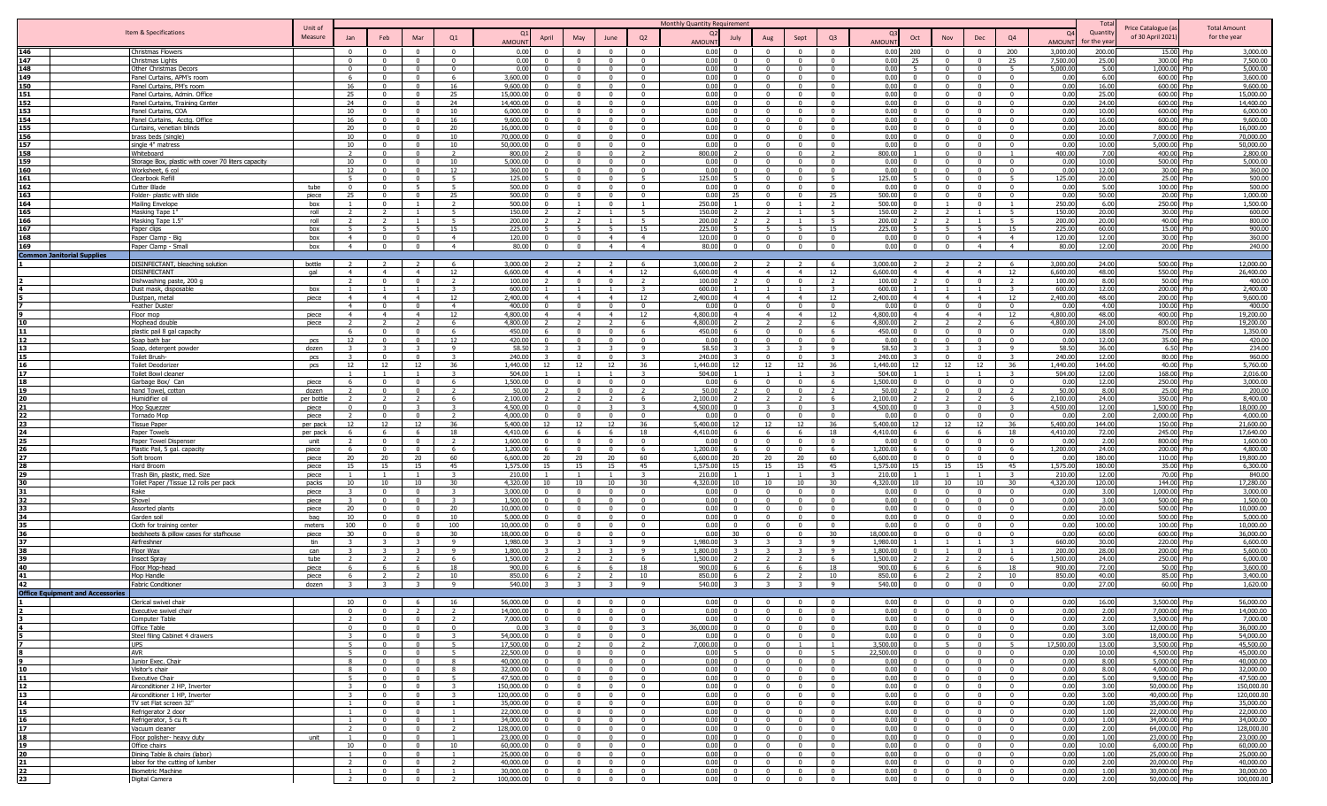|            |                                        |                                                    |                      |                         |                          |                          |                      |                                       |                                           |                                           |                                  | Monthly Quantity Requirement   |                         |                            |                            |                                |                                                      |                                  |                          |                      | Total          |                              |                        |
|------------|----------------------------------------|----------------------------------------------------|----------------------|-------------------------|--------------------------|--------------------------|----------------------|---------------------------------------|-------------------------------------------|-------------------------------------------|----------------------------------|--------------------------------|-------------------------|----------------------------|----------------------------|--------------------------------|------------------------------------------------------|----------------------------------|--------------------------|----------------------|----------------|------------------------------|------------------------|
|            |                                        | Item & Specifications                              | Unit of              |                         |                          |                          |                      |                                       |                                           |                                           |                                  |                                |                         |                            |                            |                                |                                                      |                                  |                          | $\Omega$             | Quantity       | Price Catalogue (a           | <b>Total Amount</b>    |
|            |                                        |                                                    | Measure              | Jan                     | Feb                      | Mar                      | Q1                   | April<br><b>AMOUNT</b>                | May                                       | June                                      | Q2                               | July<br><b>AMOUNT</b>          | Aug                     | Sept                       | Q <sub>3</sub>             | Oct<br><b>AMOUNT</b>           | Nov                                                  | Dec                              | Q4                       | AMOUN <sup>1</sup>   | or the ve      | of 30 April 2021             | for the year           |
| 146        |                                        | Christmas Flowers                                  |                      | $\Omega$                | $\Omega$                 | $\Omega$                 | $\Omega$             | 0.00                                  | $\Omega$                                  | $\overline{\mathbf{0}}$                   | - 0                              | 0.00                           | $\Omega$                |                            | $\Omega$                   | 0.00<br>200                    | $\Omega$                                             | $\Omega$                         | 200                      | 3,000.00             | 200.0          | 15.00 Php                    | 3,000.00               |
| 147        |                                        | Christmas Lights                                   |                      | $\Omega$                | $\overline{0}$           | $\Omega$                 | $\Omega$             | 0.00<br>$\Omega$                      | $\Omega$                                  | $\Omega$                                  | $\Omega$                         | 0.00<br>$\Omega$               | $\Omega$                | $\Omega$                   | $\Omega$                   | 0.00<br>25                     | $\Omega$                                             | $\Omega$                         | 25                       | 7,500.00             | 25.0           | 300.00 Php                   | 7,500.00               |
| 148        |                                        | Other Christmas Decors                             |                      | $\Omega$                |                          | $\Omega$                 | $\Omega$             | 0.00                                  | $\sqrt{ }$                                | $\overline{0}$                            | $\Omega$                         | 0.00                           | $\overline{0}$          | $\Omega$                   | $\Omega$                   | 0.00<br>5 <sup>5</sup>         | $\Omega$                                             | $\Omega$                         | $-5$                     | 5,000.00             | 50             | 1.000.00                     | 5.000.00               |
| 149        |                                        | Panel Curtains, APM's room                         |                      | - 6                     | $\Omega$                 | $\overline{0}$           | -6                   | 3,600,00                              | $\sqrt{ }$                                | $\Omega$                                  | $\Omega$                         | 0.00<br>$\Omega$               | $\sim$                  | $\Omega$                   | $\mathsf{n}$               | 0.00<br>$\Omega$               | $\sqrt{ }$                                           | $\Omega$                         | $\Omega$                 | 0.00                 | 6.01           | 600.00<br><b>Phn</b>         | 3,600.00               |
| 150        |                                        | Panel Curtains, PM's room                          |                      | 16                      | $\Omega$                 | $\mathbf{0}$             | 16                   | 9,600.00                              | $\overline{0}$                            | $\overline{0}$                            | $\overline{0}$                   | 0.00<br>$\Omega$               | $\sim$                  | $\Omega$                   | $\Omega$                   | 0.00<br>$\overline{0}$         | $\overline{0}$                                       | $\overline{0}$                   | $\Omega$                 | 0.00                 | 16.00          | 600.00<br>Php                | 9,600.00               |
| 151        |                                        | Panel Curtains, Admin. Office                      |                      | 25                      | $\mathbf{0}$             | $\mathbf{0}$             | 25                   | 15,000.00                             | $\overline{0}$                            | $\overline{0}$                            | $\mathbf{0}$                     | 0.00<br>$\mathbf{0}$           | $\overline{0}$          | $\Omega$                   | $\mathbf{0}$               | 0.00<br>$\overline{0}$         | $\overline{0}$                                       | $\overline{0}$                   | $\Omega$                 | 0.00                 | 25.00          | 600.00 Php                   | 15,000.00              |
| 152        |                                        | Panel Curtains, Training Center                    |                      | 24                      | $\Omega$                 | $\mathbf{0}$             | 24                   | 14,400.00                             | $\Omega$                                  | $\overline{\mathbf{0}}$                   | $\Omega$                         | 0.00                           | $\Omega$                | $\Omega$                   | $\Omega$                   | 0.00<br>$\Omega$               | $\overline{0}$                                       | $\Omega$                         | $^{\circ}$               | 0.00                 | 24.00          | 600.00<br><b>Php</b>         | 14,400.00              |
| 153        |                                        | Panel Curtains, COA                                |                      | 10                      | $\Omega$                 | $\overline{0}$           | 10                   | 6,000.00<br>$\Omega$                  | - 0                                       | $\overline{\mathbf{0}}$                   | $\Omega$                         | 0.00<br>$^{\circ}$             | - 0                     | $\Omega$                   | $\Omega$                   | 0.00<br>$^{\circ}$             | $\overline{0}$                                       | $\overline{\mathbf{0}}$          | $\Omega$                 | 0.00                 | 10.00          | 600.00 Php                   | 6.000.00               |
| 154        |                                        | Panel Curtains, Acctq. Office                      |                      | 16                      | $\Omega$                 | $\Omega$                 | 16                   | 9,600.00                              | $\Omega$                                  | $\overline{0}$                            | $\Omega$                         | 0.00                           | $\Omega$                | $\Omega$                   | $\Omega$                   | 0.00<br>$\Omega$               | $\Omega$                                             | $\overline{0}$                   | $\Omega$                 | 0.00                 | 16.00          | 600.00 Php                   | 9,600.00               |
| 155        |                                        | Curtains, venetian blinds                          |                      | 20                      | $\Omega$                 | $\Omega$                 | 20                   | 16,000.00                             | $\Omega$                                  | $\Omega$                                  | $\Omega$                         | 0.00                           | $\Omega$                | $\Omega$                   | $\Omega$                   | 0.00<br>$\Omega$               | $\Omega$                                             | $\Omega$                         | $\Omega$                 | 0.00                 | 20.00          | 800.00 Php                   | 16,000.00              |
| 156        |                                        | brass beds (single)                                |                      | 10 <sup>1</sup>         | $\Omega$                 | $\Omega$                 | 10 <sup>1</sup>      | 70,000.00                             | $\sqrt{ }$                                | $\Omega$                                  |                                  | 0.00                           | $\Omega$                | $\Omega$                   | $\sqrt{2}$                 | 0.00<br>$\Omega$               | $\Omega$                                             |                                  | $\Omega$                 | 0.00                 | 10.00          | 7.000.00                     | 70,000.00              |
| 157        |                                        | single 4" matress                                  |                      | 10 <sup>1</sup>         | $\Omega$                 | $\Omega$                 | 10 <sup>1</sup>      | 50.000.00                             | $\Omega$                                  | $\Omega$                                  | $\sqrt{2}$                       | 0.00                           | $\Omega$                | $\Omega$                   | $\sqrt{2}$                 | 0.00<br>$\Omega$               | $\Omega$                                             | $\Omega$                         | $\Omega$                 | 0.00                 | 10.00          | 5,000.00<br><b>Dhr</b>       | 50,000.00              |
| 158        |                                        | Whiteboard                                         |                      |                         | $\Omega$                 | $\Omega$                 |                      | 800.00                                | $\Omega$                                  | $\overline{0}$                            |                                  | 800.00                         | $\Omega$                | $\Omega$                   |                            | 800.00                         | $\Omega$                                             | $\Omega$                         |                          | 400.00               | 7.00           | 400.00                       | 2,800.00               |
| 159        |                                        | Storage Box, plastic with cover 70 liters capacity |                      | 10                      | $\Omega$                 | $\Omega$                 | 10                   | 5,000.00                              | $\Omega$                                  | $\Omega$                                  | $\Omega$                         | 0.00<br>$\Omega$               | $\Omega$                | $\Omega$                   | $\Omega$                   | 0.00<br>$\Omega$               | $\Omega$                                             | $\Omega$                         | $\Omega$                 | 0.00                 | 10.00          | 500.00 Php                   | 5,000.00               |
| 160        |                                        | Worksheet, 6 col                                   |                      | 12                      | $\Omega$                 | $\Omega$                 | 12                   | 360.00                                | - 0                                       | $\overline{\mathbf{0}}$                   | $\Omega$                         | 0.00<br>$^{\circ}$             | $\Omega$                | $\Omega$                   | $\Omega$                   | 0.00<br>$\Omega$               | $\Omega$                                             | $\Omega$                         | $\mathbf{0}$             | 0.00                 | 12.00          | 30.00 Php                    | 360.00                 |
| 161        |                                        | Clearbook Refill                                   |                      | -5                      | $\Omega$                 | $\Omega$                 | -5                   | 125.00                                | - 0                                       | $\mathbf{0}$                              | - 5                              | 125.00                         | $\Omega$                | $\Omega$                   | - 5                        | 125.00<br>-5                   | $\Omega$                                             | $\Omega$                         | - 5                      | 125.00               | 20.00          | 25.00 Php                    | 500.00                 |
| 162        |                                        | <b>Cutter Blade</b>                                | tube                 | $\Omega$                | $\Omega$                 | -5                       | 5.                   | 500.00                                | $\Omega$                                  | $\Omega$<br>$\Omega$                      | $\Omega$                         | 0.00<br>25                     | $\Omega$                | $\Omega$                   | $\Omega$                   | 0.00<br>$\Omega$               | $\Omega$                                             | $\Omega$                         | $\Omega$<br>$\Omega$     | 0.00<br>0.00         | 5.00           | 100.00 Php                   | 500.00<br>1.000.00     |
| 163        |                                        | Folder- plastic with slide                         | piece                | 25                      | $\Omega$                 |                          | 25<br>$\overline{2}$ | 500.00<br>500.00                      |                                           | $\Omega$                                  |                                  | 0.00                           | $\Omega$                |                            | 25                         | 500.00<br>500.00<br>$\Omega$   |                                                      | $\Omega$                         |                          |                      | 50.00<br>6.01  | 20.00                        |                        |
| 164        |                                        | Mailing Envelope                                   | box                  |                         |                          |                          | 5.                   | 150.00                                |                                           |                                           |                                  | 250.00<br>150.00               |                         |                            |                            | 150.00                         | $\mathcal{D}$                                        |                                  |                          | 250.00<br>150.00     | 20.00          | 250.00<br>Phn<br>30.00 Php   | 1,500.00<br>600.00     |
| 165<br>166 |                                        | Masking Tape 1<br>Masking Tape 1.5'                | roll<br>roll         | $\mathcal{D}$           | $\overline{2}$           | $\overline{1}$           | 5.                   | 200.00                                | $\overline{\phantom{a}}$                  | $\overline{1}$                            | 5                                | 200.00                         |                         |                            | $5^{\circ}$                | 200.00                         | 2                                                    | $\overline{1}$                   | $\overline{5}$           | 200.00               | 20.00          | 40.00 Php                    | 800.00                 |
| 167        |                                        | Paper clips                                        | box                  |                         |                          |                          | 15                   | 225.00                                |                                           | 5                                         | 15                               | 225.00                         |                         |                            | 15                         | 225.00                         | 5                                                    |                                  | 15                       | 225.00               | 60.0           | 15.00 Php                    | 900.00                 |
| 168        |                                        | Paper Clamp - Big                                  | box                  | $\overline{4}$          | $\Omega$                 | $\Omega$                 | $\overline{4}$       | 120.00                                | $\overline{0}$                            | $\overline{4}$                            | $\overline{4}$                   | 120.00                         | $\Omega$                | $\sqrt{ }$                 | $\Omega$                   | 0.00<br>$\Omega$               | $\overline{0}$                                       | $\overline{4}$                   | $\overline{4}$           | 120.00               | 12.0           | 30.00 Php                    | 360.00                 |
| 169        |                                        | Paper Clamp - Small                                | box                  | $\overline{4}$          | $\Omega$                 | $\Omega$                 | $\overline{4}$       | 80.00                                 | $\overline{0}$                            | $\overline{4}$                            | $\overline{4}$                   | 80.00                          | $\overline{0}$          | $\Omega$                   | $\overline{0}$             | 0.00<br>$\Omega$               | $\Omega$                                             | $\overline{4}$                   | $\overline{4}$           | 80.00                | 12.00          | 20.00 Php                    | 240.00                 |
|            | <b>Common Janitorial Supplies</b>      |                                                    |                      |                         |                          |                          |                      |                                       |                                           |                                           |                                  |                                |                         |                            |                            |                                |                                                      |                                  |                          |                      |                |                              |                        |
|            |                                        | DISINFECTANT, bleaching solution                   | bottle               |                         |                          |                          |                      | 3,000.00                              |                                           |                                           |                                  | 3,000.00                       |                         |                            |                            | 3,000.00                       |                                                      |                                  |                          | 3,000.00             | 24.00          | 500.00 Php                   | 12,000.00              |
|            |                                        | <b>DISINFECTANT</b>                                | gal                  | $\overline{4}$          | $\overline{4}$           | $\overline{4}$           | 12                   | 6,600.00<br>$\overline{4}$            | $\overline{4}$                            | $\overline{4}$                            | 12                               | 6,600.00<br>$\overline{4}$     | $\overline{4}$          | $\overline{4}$             | 12                         | 6,600.00                       | $\overline{4}$<br>$\overline{4}$                     | $\overline{4}$                   | 12                       | 6,600.00             | 48.00          | 550.00 Php                   | 26,400.00              |
|            |                                        | Dishwashing paste, 200 g                           |                      | $\overline{z}$          | $\Omega$                 | $\Omega$                 | 2                    | 100.00                                | $\Omega$                                  | $\overline{0}$                            | $\overline{z}$                   | 100.00<br>$\overline{2}$       | $^{\circ}$              | $\Omega$                   | $\overline{z}$             | 100.00<br>$\mathcal{L}$        | $\Omega$                                             | $\mathbf{0}$                     | $\overline{z}$           | 100.00               | 8.00           | 50.00 Php                    | 400.00                 |
|            |                                        | Dust mask, disposable                              | box                  |                         | -1                       | $\overline{1}$           | -3-                  | 600.00                                |                                           | $\overline{1}$                            | $\mathcal{R}$                    | 600.00                         | $\overline{1}$          |                            | -3                         | 600.00                         | $\overline{1}$                                       | $\overline{1}$                   | -3                       | 600.00               | 12.00          | 200.00 Php                   | 2,400.00               |
|            |                                        | Dustpan, metal                                     | piece                | $\overline{4}$          | $\overline{4}$           | $\overline{4}$           | 12                   | 2,400.00                              | $\overline{4}$                            | $\overline{4}$                            | 12                               | 2,400.00<br>$\overline{a}$     | $\overline{4}$          | $\overline{4}$             | 12                         | 2,400.00<br>$\overline{4}$     | $\overline{4}$                                       | $\overline{4}$                   | 12                       | 2,400.00             | 48.00          | 200.00 Php                   | 9,600.00               |
|            |                                        | <b>Feather Duster</b>                              |                      | $\overline{4}$          | $\Omega$                 | $\Omega$                 | $\overline{4}$       | 400.00                                | $\Omega$                                  | $\Omega$                                  | $\Omega$                         | 0.00                           | $\Omega$                | $\Omega$                   | $\Omega$                   | 0.00                           | $\Omega$                                             | $\Omega$                         | $\Omega$                 | 0.00                 | 4.00           | 100.00                       | 400.00                 |
|            |                                        | Floor mop                                          | piece                | $\overline{4}$          | $\overline{4}$           | $\overline{4}$           | 12                   | 4,800.00                              | $\overline{4}$                            | $\overline{4}$                            | 12                               | 4,800,00                       | $\overline{4}$          | $\overline{4}$             | 12                         | 4,800.00<br>$\overline{4}$     | $\overline{4}$                                       | $\overline{4}$                   | 12                       | 4,800.00             | 48.00          | 400.00<br>Phn                | 19,200.00              |
|            |                                        | Mophead double                                     | piece                |                         |                          | $\overline{2}$           | -6                   | 4,800.00                              |                                           | $\overline{2}$                            |                                  | 4,800.00                       |                         |                            | -6                         | 4,800.00                       | $\overline{2}$                                       |                                  | <b>6</b>                 | 4,800.00             | 24.00          | 800.00<br>Php                | 19,200.00              |
|            |                                        | plastic pail 8 gal capacity                        |                      | 6                       | $\Omega$                 | $\Omega$                 |                      | 450.00                                | $\Omega$                                  | $\overline{0}$                            | -6                               | 450.00                         | $\Omega$                | $\Omega$                   | -6                         | 450.00<br>$\Omega$             | $\Omega$                                             | $\mathbf{0}$                     | $\Omega$                 | 0.00                 | 18.00          | 75.00<br>Php                 | 1,350.00               |
|            |                                        | Soap bath bar                                      | pcs                  |                         |                          | $\Omega$                 | 12                   | 420.00                                | - 0                                       | $\Omega$                                  |                                  | 0.00                           |                         |                            |                            | 0.00                           | - 0                                                  |                                  |                          | 0.00                 | 12.00          | 35.00<br>l Phn               | 420.00                 |
|            |                                        | Soap, detergent powder                             | dozen                |                         |                          | $\mathbf{R}$             | -9                   | 58.50                                 | -3                                        | -3                                        | -9                               | 58.50                          |                         |                            | $\mathbf{q}$               | 58.50                          | $\overline{\mathbf{3}}$                              | $\mathbf{R}$                     | -9                       | 58.50                | 36.0           | 6.50 Php                     | 234.00                 |
|            |                                        | Toilet Brush-                                      | pcs                  |                         | $\Omega$                 | $\Omega$                 |                      | 240.00                                | $\Omega$                                  | $\overline{0}$                            |                                  | 240.00                         | $\Omega$                | $\Omega$                   |                            | 240.00                         | $\Omega$                                             | $\Omega$                         |                          | 240.00               | 12.0           | 80.00 Php                    | 960.00                 |
|            |                                        | Toilet Deodorizer                                  | <b>DCS</b>           | 12                      | 12                       | 12                       | 36                   | 1,440.00<br>12                        | 12                                        | 12                                        | 36                               | 1,440.00<br>12                 | 12                      | 12                         | 36                         | 1,440.00                       | 12<br>12                                             | 12                               | 36                       | 1.440.00             | 144.00         | 40.00 Php                    | 5.760.00               |
|            |                                        | <b>Toilet Bowl cleaner</b>                         |                      |                         |                          |                          | $\mathcal{R}$        | 504.00                                |                                           | $\overline{1}$                            |                                  | 504.00                         |                         |                            | $\mathcal{R}$              | 504.00                         |                                                      |                                  | $\mathbf{R}$             | 504.00               | 12.00          | 168.00 Php                   | 2,016.00               |
|            |                                        | Garbage Box/ Can                                   | piece                | -6                      | $\mathbf{0}$             | $\overline{0}$           | -6                   | 1,500.00                              | $\overline{0}$                            | $\overline{0}$                            | $\overline{0}$                   | 0.00<br>6                      | $\overline{0}$          | $\Omega$                   | 6                          | 1,500.00<br>$\overline{0}$     | $\overline{0}$                                       | $\overline{0}$                   | $\Omega$                 | 0.00                 | 12.0           | 250.00 Php                   | 3,000.00               |
| 19         |                                        | hand Towel, cotton                                 | dozen                | $\overline{2}$          | $\overline{0}$           | $\overline{0}$           | $\overline{2}$       | 50.00                                 | $\overline{0}$                            | $\overline{0}$                            | $\overline{2}$                   | 50.00<br>$\overline{2}$        | $\overline{0}$          | $\mathbf{0}$               | $\overline{2}$             | 50.00<br>$\overline{2}$        | $\overline{0}$                                       | $^{\circ}$                       | $\mathcal{D}$            | 50.00                | 8.00           | 25.00 Php                    | 200.00                 |
| 20         |                                        | Humidifier oil                                     | per bottle           |                         | 2                        | <sup>2</sup>             | - 6                  | 2,100.00                              |                                           | 2                                         | - 6                              | 2.100.00                       |                         |                            | - 6                        | 2,100.00                       | 2                                                    |                                  | -6                       | 2,100.00             | 24.00          | 350.00 Php                   | 8,400.00               |
| 21         |                                        | Mop Squezzer                                       | piece                | $\mathbf{0}$            | $\Omega$                 | -3                       | -3-                  | 4,500.00<br>$\Omega$                  | - 0                                       | -3                                        | $\mathcal{R}$                    | 4,500.00<br>$\Omega$           | -3                      | $\Omega$                   | $\mathcal{R}$              | 4,500.00<br>$^{\circ}$         | -3                                                   | $\Omega$                         | $\mathcal{R}$            | 4,500.00             | 12.00          | 1.500.00 Php                 | 18,000.00              |
| 22         |                                        | Tornado Mop                                        | piece                | $\mathcal{L}$           | $\Omega$                 | $\overline{0}$           | $\overline{z}$       | 4,000.00                              | $\Omega$                                  | $\overline{\mathbf{0}}$                   | $\overline{0}$                   | 0.00                           | $\Omega$                | $\Omega$                   | $\Omega$                   | 0.00<br>$\Omega$               | $\overline{0}$                                       | $\overline{0}$                   | $\mathbf{0}$             | 0.00                 | 2.01           | 2,000.00 Php                 | 4,000.00               |
| 23<br>24   |                                        | <b>Tissue Paper</b>                                | per pack<br>per pack | 12<br>6                 | 12<br>- 6                | 12<br>- 6                | 36<br>18             | 5,400.00<br>12<br>4,410.00            | 12<br>- 6                                 | 12<br>6                                   | 36<br>18                         | 5,400.00<br>12<br>4,410.00     | 12<br>- 6               | 12<br>- 6                  | -36<br>18                  | 5,400.00<br>4,410.00<br>-6     | 12<br>12 <sup>12</sup><br>6                          | 12<br>- 6                        | 36<br>18                 | 5,400.00<br>4,410.00 | 144.00<br>72.0 | 150.00 Php<br>245.00<br>Phn  | 21,600.00<br>17,640.00 |
| 25         |                                        | Paper Towels                                       |                      | $\overline{2}$          | $\Omega$                 | $\Omega$                 | $\overline{2}$       | 1,600.00                              | $\sim$                                    | $\Omega$                                  | $\Omega$                         | 0.00<br>$\Omega$               | $\sim$                  | $\Omega$                   | $\mathsf{n}$               | 0.00<br>$\Omega$               | $\Omega$                                             | $\Omega$                         | $\Omega$                 | 0.00                 | 2.00           | 800.00<br><b>Php</b>         | 1,600.00               |
| 26         |                                        | Paper Towel Dispenser                              | unit<br>piece        | 6                       | $\Omega$                 | $\mathbf{0}$             | -6                   | 1,200.00                              | $\overline{0}$                            | $\overline{0}$                            | -6                               | 1,200.00<br>6.                 | $\overline{0}$          | $\Omega$                   | - 6                        | 1,200.00<br>-6                 | $\overline{0}$                                       | $\overline{0}$                   | -6                       | 1,200.00             | 24.00          | 200.00<br>Php                | 4,800.00               |
|            |                                        | Plastic Pail, 5 gal. capacity<br>Soft broom        | piece                | 20                      | 20                       | 20                       | 60                   | 6,600.00<br>20                        | 20                                        | 20                                        | 60                               | 6.600.00<br>20                 | 20 <sup>2</sup>         | 20                         | 60                         | 6,600.00                       | $\Omega$                                             | $\Omega$                         |                          | 0.00                 | 180.00         | 110.00 Php                   | 19,800.00              |
|            |                                        | Hard Broom                                         | piece                | 15                      | 15                       | 15                       | 45                   | 1,575.00<br>15                        | 15                                        | 15                                        | 45                               | 1,575.00<br>15                 | 15                      | 15                         | 45                         | 1,575.00                       | 15<br>15                                             | 15                               | 45                       | 1,575.00             | 180.00         | 35.00 Php                    | 6,300.00               |
|            |                                        | Trash Bin, plastic, med. Size                      | piece                |                         |                          | $\overline{1}$           | $\mathbf{R}$         | 210.00                                |                                           | $\overline{1}$                            |                                  | 210.00                         |                         |                            | $\mathcal{R}$              | 210.00                         | $\overline{1}$                                       | $\overline{1}$                   | $\mathcal{R}$            | 210.00               | 12.0           | 70.00 Php                    | 840.00                 |
|            |                                        | Toilet Paper /Tissue 12 rolls per pack             | packs                | 10                      | 10                       | 10                       | 30                   | 4,320,00<br>10                        | 10                                        | 10                                        | 30                               | 4,320,00<br>$10^{-1}$          | 10                      | 10                         | 30                         | 4,320,00<br>10                 | 10                                                   | 10                               | 30                       | 4,320.00             | 120.0          | 144.00 Php                   | 17,280.00              |
| 31         |                                        | Rake                                               | piece                |                         | $\Omega$                 | $\Omega$                 |                      | 3,000.00                              | $\Omega$                                  | $\Omega$                                  | $\Omega$                         | 0.00                           | $\Omega$                | $\Omega$                   | $\Omega$                   | 0.00<br>$\Omega$               | $\Omega$                                             | $\Omega$                         | $\Omega$                 | 0.00                 | 3.00           | 1.000.00                     | 3,000.00               |
| 32         |                                        | Shovel                                             | piece                | $\mathbf{3}$            | $\Omega$                 | $\Omega$                 | $\mathbf{R}$         | 1,500.00                              | $\Omega$                                  | $\overline{0}$                            | $\Omega$                         | 0.00                           | $\Omega$                | $\Omega$                   | $\Omega$                   | 0.00<br>$\Omega$               | $\Omega$                                             | $\Omega$                         | $\Omega$                 | 0.00                 | 3.00           | 500.00                       | 1,500.00               |
| 33         |                                        | Assorted plants                                    | piece                | 20                      | $\Omega$                 | $\Omega$                 | 20                   | 10,000.00                             | $\Omega$                                  | $\overline{0}$                            | $\sqrt{ }$                       | 0.00                           | $\Omega$                | $\Omega$                   | $\Omega$                   | 0.00<br>$\Omega$               | $\Omega$                                             | $\Omega$                         | $\Omega$                 | 0.00                 | 20.00          | 500.00                       | 10,000.00              |
| 34         |                                        | Garden soil                                        | bag                  | 10                      | $\mathbf{0}$             | $\overline{0}$           | 10                   | 5,000.00                              | $\Omega$                                  | $\mathbf{0}$                              | $^{\circ}$                       | 0.00<br>$\Omega$               | $\Omega$                | $\Omega$                   | $\Omega$                   | 0.00                           | $\mathbf{0}$<br>$\mathbf{0}$                         | $^{\circ}$                       | $\Omega$                 | 0.00                 | 10.00          | 500.00                       | 5,000.00               |
| 35         |                                        | Cloth for training center                          | meters               | 100                     | $\mathbf{0}$             | $\mathbf{0}$             | 100                  | 10,000.0                              | $\Omega$                                  | $^{\circ}$                                |                                  | 0.00                           |                         |                            |                            | 0.00                           | $\overline{0}$<br>$\Omega$                           |                                  | $\Omega$                 | 0.00                 | 100.0          | 100.00                       | 10,000.00              |
|            |                                        | bedsheets & pillow cases for stafhouse             | piece                | 30                      | $\Omega$                 | $\Omega$                 | 30                   | 18,000.00                             | $\Omega$                                  | $\mathbf{0}$                              | $\Omega$                         | 0.00<br>30                     | $\Omega$                | $\Omega$                   | 30                         | 18,000.00<br>$^{\circ}$        | $\mathbf{0}$                                         | $\Omega$                         | $\mathbf{0}$             | 0.00                 | 60.00          | 600.00 Php                   | 36,000.00              |
| 37         |                                        | Airfreshner                                        | tin                  |                         |                          |                          | $\mathbf{q}$         | 1,980.00                              |                                           |                                           | -9                               | 1,980.00                       |                         |                            | $\mathbf{q}$               | 1,980.00                       |                                                      |                                  | $\mathbf{R}$             | 660.00               | 30.00          | 220.00 Php                   | 6,600.00               |
|            |                                        | Floor Wax                                          | can                  |                         |                          |                          | $\mathbf{q}$         | 1,800.00                              |                                           | $\mathbf{R}$                              | -9                               | 1,800.00                       |                         |                            | $\mathbf{q}$               | 1,800.00<br>$\Omega$           |                                                      | $\Omega$                         | $\overline{1}$           | 200.00               | 28.00          | 200.00 Php                   | 5,600.00               |
|            |                                        | <b>Insect Spra</b>                                 | tube                 |                         |                          |                          |                      | 1,500.0                               |                                           |                                           |                                  | 1,500.00                       |                         |                            |                            | 1,500.00                       |                                                      |                                  | - 6                      | 1,500.00             | 24.0           | 250.00                       | 6,000.00               |
|            |                                        | Floor Mop-hea                                      | piece                |                         |                          |                          | 18                   | 900.00                                | -6                                        | 6                                         | 18                               | 900.00                         |                         |                            | 18                         | 900.00                         | -6                                                   |                                  | 18                       | 900.00               | 72.0           | 50.00                        | 3,600.00               |
|            |                                        | Mop Handle                                         | piece                |                         |                          |                          | 10                   | 850.00                                |                                           |                                           | 10 <sup>10</sup>                 | 850.00                         |                         |                            | 10 <sup>1</sup>            | 850.00                         | $\overline{\phantom{a}}$                             |                                  | 10 <sup>1</sup>          | 850.00               | 40.00          | 85.00                        | 3,400.00               |
|            |                                        | <b>Fabric Conditioner</b>                          | dozen                | $\overline{\mathbf{3}}$ | $\overline{\mathbf{3}}$  | $\overline{\mathbf{3}}$  | 9                    | 540.00                                | $\overline{\mathbf{3}}$                   | $\overline{\mathbf{3}}$                   | 9                                | 540.00                         | $\overline{\mathbf{3}}$ |                            | 9                          | 540.00                         | $\overline{0}$<br>$\overline{0}$                     | $\overline{0}$                   | $\overline{0}$           | 0.00                 | 27.00          | 60.00 Php                    | 1,620.00               |
|            | <b>Office Equipment and Accessorie</b> |                                                    |                      |                         |                          |                          |                      |                                       |                                           |                                           |                                  |                                |                         |                            |                            |                                |                                                      |                                  |                          |                      |                |                              |                        |
|            |                                        | Clerical swivel chair                              |                      | 10<br>$\overline{0}$    | $\Omega$                 |                          |                      | 56,000.00                             | $\Omega$<br>$\Omega$                      | $\Omega$                                  |                                  | 0.00                           | $\Omega$                |                            |                            | 0.00<br>$\Omega$               | $\Omega$                                             |                                  |                          | 0.00                 | 16.00<br>2.00  | 3,500.00 Php                 | 56,000,00              |
|            |                                        | Executive swivel chair                             |                      | $\overline{2}$          | $\Omega$<br>$\mathbf{0}$ | $\overline{0}$           | $\overline{2}$       | 14,000.00<br>7,000.00<br>$\mathbf{0}$ | $\overline{\mathbf{0}}$                   | $\overline{0}$                            | $\mathsf{n}$<br>$\overline{0}$   | 0.00<br>0.00<br>$\overline{0}$ | $\overline{0}$          | $\Omega$<br>$\overline{0}$ | $\Omega$<br>$\overline{0}$ | 0.00<br>0.00<br>$\overline{0}$ | $\overline{\phantom{0}}$                             | $\sqrt{ }$<br>$\overline{0}$     | $\Omega$<br>$\mathbf{0}$ | 0.00<br>0.00         | 2.00           | 7,000.00 Php<br>3,500.00 Php | 14,000.00<br>7,000.00  |
|            |                                        | Computer Table<br>Office Table                     |                      | $\mathbf{0}$            | $\mathbf{0}$             | $\mathbf{0}$             | $\mathbf{0}$         | 0.00                                  | $\overline{0}$                            | $\mathbf{0}$                              | $\overline{\mathbf{3}}$          | 36,000.00<br>$\overline{0}$    | $\overline{0}$          | $\mathbf{0}$               | $\overline{0}$             | 0.00                           | $\overline{0}$<br>$\mathbf{0}$                       | $\overline{0}$                   | $\overline{0}$           | 0.00                 | 3.00           | 12,000.00 Php                | 36,000.00              |
|            |                                        | Steel filing Cabinet 4 drawers                     |                      | 3                       | $\mathbf{0}$             | $\overline{0}$           | 3                    | 54,000.00<br>$\mathbf{0}$             | $\overline{0}$                            | $\overline{0}$                            | $\overline{0}$                   | 0.00<br>$\overline{0}$         | $\overline{0}$          | $\mathbf{0}$               | $\overline{0}$             | 0.00                           | $\mathbf{0}$<br>$\overline{0}$                       | $\overline{0}$                   | $^{\circ}$               | 0.00                 | 3.00           | 18,000.00 Php                | 54,000.00              |
|            |                                        |                                                    |                      |                         | $\overline{0}$           | $\overline{0}$           |                      | 17,500.00<br>$^{\circ}$               | $\overline{z}$                            |                                           |                                  | 7,000.00<br>$\overline{0}$     | $\overline{0}$          | $\overline{1}$             | $\overline{1}$             | 3,500.00                       | $\Omega$                                             |                                  |                          | 17,500.00            | 13.00          | 3,500.00 Php                 | 45,500.00              |
|            |                                        | UPS<br><b>AVR</b>                                  |                      | 5<br>-5                 | $\overline{0}$           | $\overline{0}$           | 5<br>5               | 22,500.00<br>$^{\circ}$               | $\overline{\mathbf{0}}$                   | $\overline{\mathbf{0}}$<br>$\overline{0}$ | $\overline{2}$<br>$\overline{0}$ | 0.00<br>-5.                    | $\overline{0}$          | $\overline{\mathbf{0}}$    | 5                          | 22,500.00                      | 5 <sup>5</sup><br>$\overline{0}$<br>$\overline{0}$   | $\overline{0}$<br>$\overline{0}$ | 5<br>$\overline{0}$      | 0.00                 | 10.00          | 4,500.00 Php                 | 45,000.00              |
|            |                                        | Junior Exec. Chair                                 |                      | -8                      | $\overline{0}$           | $\overline{\mathbf{0}}$  | -8                   | 40,000.00                             | $\Omega$                                  | $\overline{0}$                            | $\overline{0}$                   | 0.00<br>$\Omega$               | $\overline{0}$          | $\overline{0}$             | $\Omega$                   | 0.00<br>$\Omega$               | $\Omega$                                             | $\Omega$                         | $\Omega$                 | 0.00                 | 8.00           | 5,000.00 Php                 | 40,000.00              |
|            |                                        | Visitor's chair                                    |                      |                         |                          | $\Omega$                 | $\mathbf{R}$         | 32,000.00                             | $\Omega$                                  | $\Omega$                                  |                                  | 0.00                           | $\Omega$                |                            | $\sqrt{ }$                 | 0.00                           | $\Omega$                                             | $\Omega$                         | $\Omega$                 | 0.00                 | 8.00           | 4,000.00<br>Php              | 32,000.00              |
|            |                                        | <b>Executive Chair</b>                             |                      | $\overline{5}$          | $\Omega$                 | $\overline{0}$           | $\overline{5}$       | 47,500.00                             | $\sqrt{ }$                                | $\overline{0}$                            | $\Omega$                         | 0.00<br>$\Omega$               | $\overline{0}$          | $\sim$                     | $\sqrt{2}$                 | 0.00<br>$\Omega$               | $\overline{0}$                                       | $\Omega$                         | $\Omega$                 | 0.00                 | 5.00           | 9,500.00<br>Php              | 47,500.00              |
| 12         |                                        | Airconditioner 2 HP, Inverter                      |                      | $\overline{z}$          | $\Omega$                 | $\mathbf{0}$             |                      | 150,000.00                            | $\overline{0}$                            | $\overline{0}$                            | $\Omega$                         | 0.00<br>$\Omega$               | $\overline{0}$          | $\Omega$                   | $\Omega$                   | 0.00<br>$\overline{0}$         | $\overline{0}$                                       | $\Omega$                         | $\Omega$                 | 0.00                 | 3.00           | 50,000.00<br>Php             | 150,000.00             |
|            |                                        | Airconditioner 1 HP, Inverter                      |                      | $\mathbf{R}$            | $\mathbf{0}$             | $\overline{0}$           | $\mathbf{R}$         | 120,000.00                            | $\overline{0}$                            | $\overline{0}$                            | $\Omega$                         | 0.00<br>$\Omega$               | $\Omega$                | $\Omega$                   | $\Omega$                   | 0.00<br>$\Omega$               | $\overline{0}$                                       | $\Omega$                         | $\Omega$                 | 0.00                 | 3.00           | 40,000.00<br>Php             | 120,000.00             |
| 14         |                                        | TV set Flat screen 32"                             |                      |                         | $\Omega$                 | $\overline{0}$           | $\overline{1}$       | 35,000.00                             | $\overline{0}$                            | $\overline{0}$                            | $\mathbf{0}$                     | 0.00                           | $\Omega$                |                            | $\Omega$                   | 0.00<br>$\Omega$               | $\overline{\mathbf{0}}$                              | $\overline{0}$                   | $\mathbf{0}$             | 0.00                 | 1.00           | 35,000.00<br>Php             | 35,000.00              |
| 15         |                                        | Refrigerator 2 door                                |                      |                         | $\overline{0}$           | $\overline{0}$           | $\overline{1}$       | 22,000.00<br>$\Omega$                 | $\overline{0}$                            | $\overline{\mathbf{0}}$                   | $\overline{0}$                   | 0.00<br>$\overline{0}$         | $\overline{0}$          | $\overline{0}$             | $\Omega$                   | 0.00                           | $\mathbf{0}$<br>$\overline{\mathbf{0}}$              | $\overline{0}$                   | $\overline{0}$           | 0.00                 | 1.00           | 22,000.00 Php                | 22,000.00              |
| 16         |                                        | Refrigerator, 5 cu ft                              |                      | $\mathbf{1}$            | $\overline{0}$           | $\overline{\mathbf{0}}$  | $\overline{1}$       | 34,000.00                             | $\overline{0}$<br>$\overline{0}$          | $\overline{0}$                            | $\overline{0}$                   | 0.00<br>$\overline{0}$         | $\overline{0}$          | $\overline{0}$             | $\overline{0}$             | 0.00                           | $\overline{0}$<br>$\overline{\mathbf{0}}$            | $\overline{\mathbf{0}}$          | $\overline{0}$           | 0.00                 | 1.00           | 34,000.00 Php                | 34,000.00              |
| 17         |                                        | Vacuum cleaner                                     |                      | $\overline{2}$          | $\overline{0}$           | $\overline{0}$           | 2                    | 128,000.00                            | $\overline{0}$<br>$\overline{0}$          | $\overline{0}$                            | $\overline{0}$                   | 0.00<br>$\overline{0}$         | $\overline{0}$          | $\overline{0}$             | $\overline{0}$             | 0.00                           | $\overline{0}$<br>$\overline{\mathbf{0}}$            | $\overline{0}$                   | $\overline{0}$           | 0.00                 | 2.00           | 64.000.00 Php                | 128,000,00             |
| 18         |                                        | Floor polisher- heavy duty                         | unit                 | $\overline{1}$          | $\overline{0}$           | $\overline{0}$           | $\overline{1}$       | 23,000.00                             | $\overline{0}$<br>$\overline{0}$          | $\overline{0}$                            | $\overline{0}$                   | 0.00<br>$\overline{0}$         | $\overline{0}$          | $\overline{0}$             | $\overline{0}$             | 0.00                           | $\overline{0}$<br>$\overline{\mathbf{0}}$            | $\overline{0}$                   | $\overline{0}$           | 0.00                 | 1.00           | 23,000.00 Php                | 23,000.00              |
| 19         |                                        | Office chairs                                      |                      | 10                      | $\overline{\phantom{0}}$ | $\overline{\phantom{0}}$ | 10                   | 60,000.00                             | $\overline{\mathbf{0}}$<br>$\overline{0}$ | $\overline{\phantom{0}}$                  | $\overline{\phantom{0}}$         | 0.00<br>$\overline{0}$         | $\overline{0}$          | $\overline{0}$             | $\overline{\mathbf{0}}$    | 0.00                           | $\overline{\phantom{0}}$<br>$\overline{\phantom{0}}$ | $\overline{0}$                   | $\overline{0}$           | 0.00                 | 10.00          | 6,000.00 Php                 | 60,000.00              |
| 20         |                                        | Dining Table & chairs (labor)                      |                      | 1                       | $\overline{0}$           | $\overline{\mathbf{0}}$  | <sup>1</sup>         | 25,000.00                             | $\overline{0}$<br>$\overline{0}$          | $\overline{0}$                            | $\overline{0}$                   | $\overline{0}$<br>0.00         | $\overline{\mathbf{0}}$ | $\overline{0}$             | $\overline{0}$             | 0.00                           | $\overline{0}$<br>$\overline{\mathbf{0}}$            | $\overline{0}$                   | $\overline{0}$           | 0.00                 | 1.00           | 25,000.00 Php                | 25,000.00              |
| 21         |                                        | labor for the cutting of lumber                    |                      | $\overline{2}$          | $\overline{0}$           | $\overline{0}$           | $\overline{2}$       | 40,000.00                             | $\overline{0}$<br>$\Omega$                | $\overline{0}$                            | $\overline{0}$                   | 0.00<br>$\overline{0}$         | $\overline{0}$          | $\overline{0}$             | $\overline{0}$             | 0.00                           | $\overline{0}$<br>$\overline{\mathbf{0}}$            | $\overline{0}$                   | $^{\circ}$               | 0.00                 | 2.00           | 20,000.00 Php                | 40,000,00              |
| 22         |                                        | <b>Biometric Machine</b>                           |                      | $\overline{1}$          | $\overline{0}$           | $\overline{\mathbf{0}}$  | $\overline{1}$       | 30,000.00                             | $\Omega$<br>$\Omega$                      | $\overline{0}$                            | $\overline{\mathbf{0}}$          | 0.00<br>$\overline{0}$         | $\overline{0}$          | $\overline{0}$             | $\overline{0}$             | 0.00                           | $\overline{0}$<br>$\mathbf{0}$                       | $\overline{0}$                   | $\Omega$                 | 0.00                 | 1.00           | 30,000.00 Php                | 30,000.00              |
| 23         |                                        | Digital Camera                                     |                      |                         | 2 0 0                    |                          | $\overline{2}$       | $100,000.00$ 0 0 0                    |                                           | $\overline{\mathbf{0}}$                   | $\overline{\mathbf{0}}$          | $0.00$ 0 0 0                   |                         | $\overline{\mathbf{0}}$    | $\overline{\mathbf{0}}$    |                                | $0.00$ 0 0 0 0 0                                     |                                  | $\overline{\mathbf{0}}$  | 0.00                 | 2.00           | 50,000.00 Php                | 100,000.00             |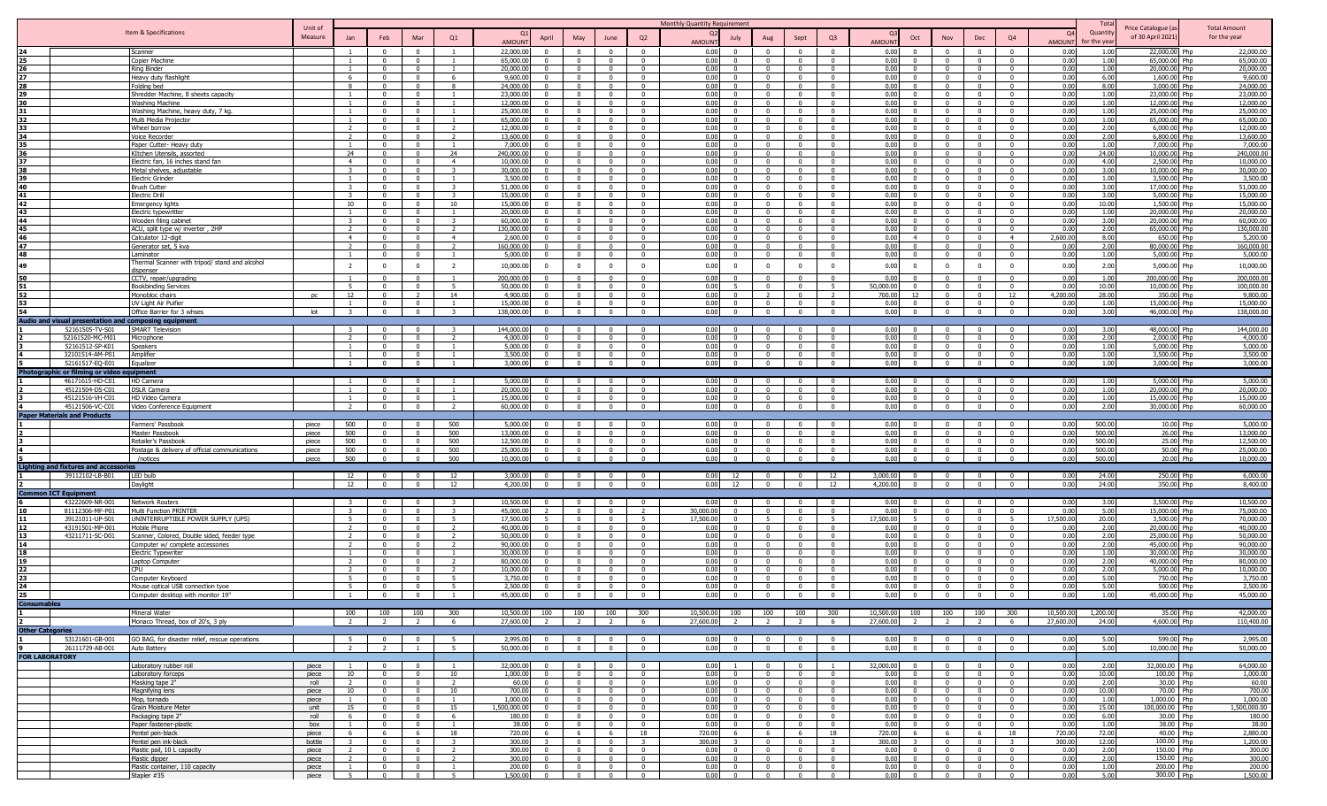|                         |                                                       |                                                             | Unit of     |                                |                                  |                                  |                         |                       |                                  |                                                                       |                                                    |                                                    | Monthly Quantity Requirement                     |                          |                                                 |                                  |                        |                                                                |                                                    |                            |              | Total          |                                         | <b>Total Amount</b>     |
|-------------------------|-------------------------------------------------------|-------------------------------------------------------------|-------------|--------------------------------|----------------------------------|----------------------------------|-------------------------|-----------------------|----------------------------------|-----------------------------------------------------------------------|----------------------------------------------------|----------------------------------------------------|--------------------------------------------------|--------------------------|-------------------------------------------------|----------------------------------|------------------------|----------------------------------------------------------------|----------------------------------------------------|----------------------------|--------------|----------------|-----------------------------------------|-------------------------|
|                         |                                                       | Item & Specifications                                       | Measure     | Jan                            | Feb                              | Mar                              | Q1                      |                       | April                            | May                                                                   | June                                               | Q2                                                 | July                                             | Aug                      | Sept                                            | Q <sub>3</sub>                   |                        | Oct<br>Nov                                                     | Dec                                                | Q4                         | $\Omega$     | Quantity       | Price Catalogue (a<br>of 30 April 2021) | for the year            |
|                         |                                                       |                                                             |             |                                |                                  |                                  |                         | AMOUN                 |                                  |                                                                       |                                                    |                                                    | AMOUN'                                           |                          |                                                 |                                  | <b>MOUN</b>            |                                                                |                                                    |                            | AMOUN        | for the yea    |                                         |                         |
|                         |                                                       | Scanner                                                     |             | $\overline{1}$                 | $\Omega$                         | $\Omega$                         |                         | 22,000.0              | $\Omega$                         |                                                                       | $\Omega$                                           | $\Omega$                                           | 0.00<br>$\Omega$                                 |                          | $\Omega$                                        | $\Omega$                         | 0.00                   | $\Omega$                                                       | $\Omega$                                           | $\Omega$                   | 0.00         | 1.00           | 22,000.00 Php                           | 22,000.00               |
|                         |                                                       | Copier Machine<br><b>Ring Binder</b>                        |             | $\overline{1}$                 | $\overline{0}$<br>$\Omega$       | $\mathbf{0}$<br>$\Omega$         | $\overline{1}$          | 65,000.0<br>20,000.0  | $\mathbf{0}$<br>$\Omega$         | $\Omega$                                                              | $\Omega$<br>$\Omega$                               | $\overline{\mathbf{0}}$<br>$\Omega$                | 0.00<br>$\mathbf{0}$<br>0.00<br>$\Omega$         | $\Omega$                 | $\Omega$<br>$\Omega$                            | $\Omega$<br>$\Omega$             | 0.00<br>0.00           | $^{\circ}$<br>$\Omega$                                         | $\overline{\mathbf{0}}$<br>$\Omega$                | $\mathbf{0}$<br>$\Omega$   | 0.00<br>0.00 | 1.00<br>1.00   | 65,000.00 Php<br>20,000.00 Php          | 65,000.00<br>20,000.00  |
|                         |                                                       | Heavy duty flashlight                                       |             |                                | $\Omega$                         |                                  | 6                       | 9,600.0               | $\Omega$                         |                                                                       | $\Omega$                                           | $\Omega$                                           | 0.00<br>$\Omega$                                 |                          |                                                 |                                  | 0.00                   |                                                                | $\Omega$                                           |                            | 0.00         | 6.00           | 1.600.00 Php                            | 9,600.00                |
| 28                      |                                                       | Folding bed                                                 |             | $\mathbf{R}$                   | $\Omega$                         | $\Omega$                         | $\mathbf{R}$            | 24,000.0              | $\Omega$                         |                                                                       | $\Omega$                                           | $\Omega$                                           | 0.00<br>$\mathbf{0}$                             |                          | $\Omega$                                        | $\Omega$                         | 0.00                   | $\Omega$                                                       | $\Omega$                                           | $\Omega$                   | 0.00         | 8.00           | 3,000.00 Php                            | 24,000.00               |
| 29                      |                                                       | Shredder Machine, 8 sheets capacity                         |             |                                | $\mathbf{0}$                     | $\Omega$                         |                         | 23,000.0              | $\Omega$                         |                                                                       | $\Omega$                                           | $\mathbf{0}$                                       | 0.00<br>$\mathbf{0}$                             |                          | - 0                                             | $\Omega$                         | 0.00                   | $\Omega$                                                       | $\overline{0}$                                     |                            | 0.00         | 1.00           | 23,000.00 Php                           | 23,000.00               |
| 30                      |                                                       | <b>Washing Machine</b>                                      |             |                                | $\mathbf{0}$                     | $\Omega$                         |                         | 12,000.0              | $\Omega$                         | $\Omega$                                                              | $\overline{0}$                                     | $\mathbf{0}$                                       | 0.00<br>$\mathbf{0}$                             | $\Omega$                 | $\Omega$                                        | $\Omega$                         | 0.00                   | $\Omega$                                                       | $\Omega$                                           | $\Omega$                   | 0.00         | 1.00           | 12,000.00 Php                           | 12,000.00               |
|                         |                                                       | Washing Machine, heavy duty, 7 kg                           |             |                                | $\mathbf{0}$<br>$\Omega$         | $\Omega$<br>$\Omega$             |                         | 25,000.0<br>65,000.0  | $\Omega$<br>$\Omega$             |                                                                       | $\Omega$<br>$\Omega$                               | $^{\circ}$<br>$\Omega$                             | 0.00<br>$\Omega$<br>$\Omega$                     |                          | $\Omega$                                        | $\Omega$                         | 0.00<br>0.00           | $\Omega$<br>$\Omega$                                           | $^{\circ}$                                         | $\Omega$                   | 0.00         | 1.00<br>1.00   | 25.000.00 Php<br>65,000.00 Php          | 25,000.00<br>65,000.00  |
|                         |                                                       | Multi Media Projector<br>Wheel borrow                       |             |                                | $\Omega$                         | $\Omega$                         | $\overline{2}$          | 12,000.0              | $\Omega$                         |                                                                       | $\Omega$                                           | $\Omega$                                           | 0.00<br>0.00<br>$\Omega$                         |                          | - 0                                             |                                  | 0.00                   | $\Omega$                                                       | $\overline{\mathbf{0}}$<br>$\Omega$                | $\Omega$                   | 0.00<br>0.00 | 2.00           | 6,000.00 Php                            | 12,000.00               |
|                         |                                                       | Voice Recorder                                              |             |                                | $\Omega$                         | $\Omega$                         | $\overline{2}$          | 13,600.0              | $\Omega$                         |                                                                       | $\Omega$                                           | $\Omega$                                           | 0.00                                             |                          | $\Omega$                                        | $\Omega$                         | 0.00 <sub>1</sub>      | $\Omega$                                                       | $\Omega$                                           |                            | 0.00         | 2.00           | 6.800.00 Php                            | 13,600.00               |
|                         |                                                       | Paper Cutter- Heavy duty                                    |             |                                | $\Omega$                         |                                  |                         | 7,000.0               |                                  |                                                                       |                                                    |                                                    | 0.00                                             |                          |                                                 |                                  | 0.00                   |                                                                | $\Omega$                                           |                            | 0.00         | 1.00           | 7,000.00 Php                            | 7,000.00                |
|                         |                                                       | KItchen Utensils, assorted                                  |             | 24                             | $\mathbf{0}$                     | $\Omega$                         | 24                      | 240,000.0             | $\Omega$                         |                                                                       | $\Omega$                                           | $\Omega$                                           | 0.00<br>$\mathbf{0}$                             |                          | $\Omega$                                        | $\Omega$                         | 0.00                   | $\Omega$                                                       | $\Omega$                                           |                            | 0.00         | 24.00          | 10,000.00 Php                           | 240,000.00              |
|                         |                                                       | Electric fan, 16 inches stand fan                           |             | 4                              | $\mathbf{0}$                     | $\Omega$                         | $\overline{4}$          | 10,000.0              | $\mathbf{0}$                     | $\mathbf{0}$                                                          | $\overline{0}$                                     | $\overline{0}$                                     | 0.00<br>$\mathbf{0}$                             | $\mathbf{0}$             | $\Omega$                                        | $\Omega$                         | 0.00                   | $\Omega$                                                       | $\Omega$                                           | $\mathbf{0}$               | 0.00         | 4.00           | 2,500.00 Php                            | 10,000.00               |
|                         |                                                       | Metal shelves, adjustable                                   |             |                                | $\overline{0}$                   | $\Omega$                         | -3                      | 30,000.0              | $\overline{0}$                   | $\Omega$                                                              | $\Omega$                                           | $\overline{0}$                                     | 0.00<br>$\overline{0}$                           | $\mathbf{0}$             | $\Omega$                                        | $\Omega$                         | 0.00                   | $\Omega$                                                       | $\Omega$                                           | $\Omega$                   | 0.00         | 3.00           | $0.000.00$ Php                          | 30,000,00               |
| 40                      |                                                       | Electric Grinder<br><b>Brush Cutter</b>                     |             | $\overline{1}$<br>$\mathbf{z}$ | $\Omega$<br>$\Omega$             | $\Omega$<br>$\Omega$             | $\mathbf{1}$<br>3       | 3,500.0<br>51,000.0   | $\Omega$<br>$\overline{0}$       | $\Omega$<br>$\Omega$                                                  | $\sqrt{ }$<br>$\Omega$                             | $\overline{\mathbf{0}}$<br>$\overline{\mathbf{0}}$ | 0.00<br>$\Omega$<br>0.00<br>$\Omega$             | $\Omega$<br>$\Omega$     | $\mathsf{n}$<br>$\Omega$                        | $^{\circ}$<br>$\Omega$           | 0.00<br>0.00           | $^{\circ}$<br>$\Omega$<br>$\Omega$                             | $\Omega$<br>$\overline{\mathbf{0}}$                | $\Omega$<br>$\mathbf{0}$   | 0.00<br>0.00 | 1.00<br>3.00   | 3.500.00 Php<br>17,000.00 Php           | 3,500.00<br>51,000.00   |
|                         |                                                       | <b>Electric Drill</b>                                       |             |                                | $\Omega$                         | $\Omega$                         | 3                       | 15,000.0              | $\Omega$                         | $\Omega$                                                              | $\Omega$                                           | $\Omega$                                           | 0.00<br>$\Omega$                                 | $\Omega$                 | $\Omega$                                        | $\Omega$                         | 0.00                   | $\Omega$                                                       | $\overline{0}$                                     | $\Omega$                   | 0.00         | 3.00           | 5,000.00 Php                            | 15,000.00               |
| 42                      |                                                       | <b>Emergency lights</b>                                     |             | 10                             | $\Omega$                         | $\Omega$                         | 10                      | 15,000.0              | $\Omega$                         | $\Omega$                                                              | $\sqrt{ }$                                         | $\overline{0}$                                     | 0.00<br>$\Omega$                                 | $\Omega$                 | $\Omega$                                        | $\Omega$                         | 0.00 <sub>1</sub>      | $\Omega$                                                       | $\overline{0}$                                     | $\Omega$                   | 0.00         | 10.00          | 1.500.00 Php                            | 15,000.00               |
| 43                      |                                                       | Electric typewritter                                        |             | $\overline{1}$                 | $\Omega$                         | $\Omega$                         |                         | 20,000.0              | $\Omega$                         | $\Omega$                                                              | $\sqrt{ }$                                         | $\Omega$                                           | 0.00<br>$\Omega$                                 | $\Omega$                 | $\sqrt{ }$                                      | $\Omega$                         | 0.00 <sub>1</sub>      | $\Omega$                                                       | $\Omega$                                           | $\Omega$                   | 0.00         | 1.00           | 20.000.00 Php                           | 20,000,00               |
| 44                      |                                                       | Wooden filing cabinet                                       |             | $\mathbf{R}$                   | $\mathbf{0}$                     | $\overline{0}$                   | $\mathbf{R}$            | 60,000.0              | $\Omega$                         | $\Omega$                                                              | $\overline{0}$                                     | $\overline{0}$                                     | 0.00<br>$\mathbf{0}$                             | $\Omega$                 | $\overline{0}$                                  | $\Omega$                         | 0.00                   | $\overline{0}$                                                 | $\overline{0}$                                     | $\Omega$                   | 0.00         | 3.00           | 20,000.00 Php                           | 60,000.00               |
| 45                      |                                                       | ACU, split type w/ inverter, 2HP                            |             |                                | $\mathbf{0}$                     | $\Omega$                         | <sup>2</sup>            | 130,000.0             | $\Omega$                         | $\mathbf{0}$                                                          | $\overline{0}$                                     | $\overline{0}$                                     | 0.00<br>$\mathbf{0}$                             | $\mathbf{0}$             | $\overline{0}$                                  | $\Omega$                         | 0.00                   | $\Omega$                                                       | $\overline{0}$                                     | $\mathbf{0}$               | 0.00         | 2.00           | 65,000.00 Php                           | 130,000.00              |
|                         |                                                       | Calculator 12-digit                                         |             | $\overline{a}$                 | $\Omega$                         | $\Omega$                         | $\overline{4}$          | 2,600.0               | $\Omega$                         |                                                                       | $\sim$                                             | $\Omega$                                           | 0.00<br>$\Omega$                                 |                          | $\sqrt{ }$                                      |                                  | 0.00<br>$\Delta$       | $\Omega$                                                       | $\Omega$                                           | $\overline{4}$             | 2,600.00     | 8.00           | 650.00 Php                              | 5,200.00                |
| 47<br>48                |                                                       | Generator set, 5 kva                                        |             |                                | $\Omega$<br>$\mathbf{0}$         | $\Omega$<br>$\overline{0}$       | $\overline{2}$          | 160,000.0<br>5,000.0  | $\Omega$<br>$\overline{0}$       | $\Omega$<br>$\Omega$                                                  | $\Omega$<br>$\overline{0}$                         | $\Omega$<br>$\overline{0}$                         | 0.00<br>$\Omega$<br>0.00<br>$\mathbf{0}$         | $\Omega$                 | $\Omega$<br>$\overline{0}$                      | $\Omega$<br>$\Omega$             | 0.00<br>0.00           | $\Omega$<br>$\overline{0}$                                     | $\overline{\mathbf{0}}$<br>$\overline{0}$          | $\Omega$<br>$\Omega$       | 0.00<br>0.00 | 2.00<br>1.00   | 80,000.00 Php<br>5,000.00 Php           | 160,000.00<br>5,000.00  |
|                         |                                                       | Laminator<br>Thermal Scanner with tripod/ stand and alcohol |             |                                |                                  |                                  |                         |                       |                                  |                                                                       |                                                    |                                                    |                                                  |                          |                                                 |                                  |                        |                                                                |                                                    |                            |              |                |                                         |                         |
| 49                      |                                                       | dispenser                                                   |             | $\overline{2}$                 | $\mathbf{0}$                     | $\mathbf{0}$                     | <sup>2</sup>            | 10,000.0              | $\Omega$                         |                                                                       | $\mathbf{0}$                                       | $^{\circ}$                                         | 0.00<br>$\Omega$                                 |                          | $\Omega$                                        | $\Omega$                         | 0.00                   | $\Omega$                                                       | $\overline{0}$                                     | $\Omega$                   | 0.00         | 2.00           | 5,000.00 Php                            | 10,000.00               |
| 50                      |                                                       | CCTV, repair/upgrading                                      |             |                                | $^{\circ}$                       |                                  |                         | 200,000.0             | $\Omega$                         |                                                                       | $\Omega$                                           | $^{\circ}$                                         | 0.00<br>n.                                       |                          | $\Omega$                                        |                                  | 0.00                   | $\Omega$                                                       | $\overline{\mathbf{0}}$                            |                            | 0.00         | 1.00           | 200,000.00 Php                          | 200,000.00              |
|                         |                                                       | <b>Bookbinding Services</b>                                 |             | -5                             | $\Omega$                         | $\Omega$                         | -5                      | 50,000.0              | $\Omega$                         | $\Omega$                                                              | $\Omega$                                           | $\Omega$                                           | 0.00                                             |                          | $\Omega$                                        | - 5                              | 50,000.00              | $\Omega$                                                       | $\Omega$                                           | $\Omega$                   | 0.00         | 10.00          | 10,000.00 Php                           | 100,000.00              |
|                         |                                                       | Monobloc chairs                                             |             | 12                             | $\Omega$<br>$\Omega$             | $\Omega$                         | 14                      | 4,900.0               |                                  | $\Omega$                                                              | $\Omega$                                           | $\Omega$                                           | 0.00                                             | $\Omega$                 | $\Omega$                                        | $\Omega$                         | 700.00<br>12           | $\Omega$                                                       | $\Omega$                                           | 12<br>$\Omega$             | 4,200.00     | 28.00          | 350.00 Php                              | 9,800.00                |
| 53.                     |                                                       | UV Light Air Puifier<br>Office Barrier for 3 whses          | lot         | $\mathbf{R}$                   | $\mathbf{0}$                     | $\overline{0}$                   | $\overline{z}$          | 15,000.0<br>138,000.0 | $\mathbf{0}$<br>$\overline{0}$   | $\overline{0}$                                                        | $\overline{0}$                                     | $\overline{0}$<br>$\mathbf{0}$                     | 0.00<br>$\overline{0}$<br>0.00<br>$\overline{0}$ | $\mathbf{0}$             | $\Omega$                                        | $\Omega$                         | 0.00<br>0.00           | $\mathbf{0}$                                                   | $\overline{0}$<br>$\overline{0}$                   | $\mathbf{0}$               | 0.00<br>0.00 | 1.00<br>3.00   | 15,000.00 Php<br>46,000.00 Php          | 15,000.00<br>138,000.00 |
|                         | Audio and visual presentation and composing equipment |                                                             |             |                                |                                  |                                  |                         |                       |                                  |                                                                       |                                                    |                                                    |                                                  |                          |                                                 |                                  |                        |                                                                |                                                    |                            |              |                |                                         |                         |
|                         | 52161505-TV-S01                                       | <b>SMART Television</b>                                     |             |                                |                                  |                                  |                         | 144,000.0             | $\Omega$                         |                                                                       |                                                    | $\Omega$                                           | 0.00                                             |                          |                                                 |                                  | 0.00                   |                                                                | $\Omega$                                           |                            | 0.00         | 3.00           | 48,000.00 Php                           | 144,000.00              |
|                         | 52161520-MC-M01                                       | Microphone                                                  |             |                                | $\Omega$                         |                                  |                         | 4,000.0               |                                  |                                                                       |                                                    | $\Omega$                                           | 0.00                                             |                          |                                                 |                                  | 0.00                   |                                                                | $\Omega$                                           |                            | 0.00         | 2.00           | 2.000.00 Php                            | 4.000.00                |
|                         | 52161512-SP-K01                                       | Speakers                                                    |             |                                | $\Omega$                         | $\Omega$                         |                         | 5,000.0               | $\Omega$                         | $\Omega$                                                              | $\Omega$                                           | $\overline{0}$                                     | 0.00<br>$\Omega$                                 | $\Omega$                 | $\sqrt{ }$                                      | $\Omega$                         | 0.00                   | $\Omega$                                                       | $\overline{0}$                                     | $\Omega$                   | 0.00         | 1.00           | 5,000.00 Php                            | 5.000.00                |
|                         | 32101514-AM-P01                                       | Amplifier                                                   |             |                                | $\mathbf{0}$                     | $\Omega$                         |                         | 3,500.0               | $\Omega$                         | $\Omega$                                                              | $\Omega$                                           | $\overline{0}$                                     | 0.00<br>$\overline{0}$                           | $\mathbf{0}$             | $\Omega$                                        | $\Omega$                         | 0.00                   | $\Omega$                                                       | $\overline{0}$                                     | $\Omega$                   | 0.00         | 1.00           | 3,500.00 Php                            | 3,500.00                |
|                         | 52161517-EO-E01                                       | Equalizer                                                   |             |                                | $\mathbf{0}$                     | $\overline{0}$                   |                         | 3.000.0               | $\Omega$                         | $\Omega$                                                              | $\overline{0}$                                     | $\overline{0}$                                     | 0.00<br>$\mathbf{0}$                             | $\Omega$                 | $\Omega$                                        |                                  | 0.00                   | $\Omega$                                                       | $\overline{0}$                                     | $\Omega$                   | 0.00         | 1.00           | 3.000.00 Php                            | 3,000.00                |
|                         | Photographic or filming or video                      | :auipment                                                   |             |                                |                                  |                                  |                         |                       |                                  |                                                                       |                                                    |                                                    |                                                  |                          |                                                 |                                  |                        |                                                                |                                                    |                            |              |                |                                         |                         |
|                         | 46171615-HD-C01                                       | HD Camera                                                   |             |                                |                                  |                                  |                         | 5,000.0               |                                  |                                                                       |                                                    | $\Omega$                                           | 0.00                                             |                          |                                                 |                                  | 0.00                   |                                                                | $\Omega$                                           |                            | 0.00         | 1.00           | 5,000.00 Php                            | 5,000.00                |
|                         | 45121504-DS-C01                                       | <b>DSLR Camera</b>                                          |             |                                | $\Omega$<br>$\mathbf{0}$         | $\Omega$                         |                         | 20,000.0<br>15,000.0  | $\mathbf{0}$                     | $\mathbf{0}$                                                          | $\Omega$                                           | $\overline{0}$<br>$\overline{0}$                   | 0.00<br>$\Omega$<br>0.00<br>$\overline{0}$       | $\Omega$                 | $\Omega$                                        | $\Omega$                         | 0.00<br>0.00           | $\Omega$                                                       | $\Omega$<br>$\overline{0}$                         | $\mathbf{0}$               | 0.00<br>0.00 | 1.00<br>1.00   | 20,000,00 Php<br>15,000.00 Php          | 20,000.00<br>15,000.00  |
|                         | 45121516-VH-C01<br>45121506-VC-C01                    | HD Video Camera<br>Video Conference Equipment               |             |                                | $\mathbf{0}$                     | $\Omega$                         | $\mathcal{D}$           | 60,000.0              | $\overline{0}$                   | $\mathbf{0}$                                                          | $\Omega$                                           | $\overline{0}$                                     | 0.00<br>$\overline{0}$                           | $\Omega$                 | $\Omega$                                        | $\Omega$                         | 0.00                   | $\overline{0}$                                                 | $\overline{0}$                                     | $\mathbf{0}$               | 0.00         | 2.00           | 30,000.00 Php                           | 60,000.00               |
|                         | <b>Paper Materials and Products</b>                   |                                                             |             |                                |                                  |                                  |                         |                       |                                  |                                                                       |                                                    |                                                    |                                                  |                          |                                                 |                                  |                        |                                                                |                                                    |                            |              |                |                                         |                         |
|                         |                                                       | Farmers' Passbook                                           | piece       | 500                            |                                  |                                  | 500                     | 5,000.0               |                                  |                                                                       |                                                    | $\Omega$                                           | 0.00                                             |                          |                                                 |                                  | 0.00                   |                                                                | $\Omega$                                           |                            | 0.00         | 500.00         | 10.00 Php                               | 5,000.00                |
|                         |                                                       | Master Passbook                                             | niece       | 500                            | $\Omega$                         | $\Omega$                         | 500                     | 13,000.0              | $\Omega$                         |                                                                       | $\Omega$                                           | $\overline{0}$                                     | 0.00<br>$\Omega$                                 |                          | $\Omega$                                        | $\Omega$                         | 0.00                   | $\Omega$                                                       | $\Omega$                                           | $\Omega$                   | 0.00         | 500.00         | 26.00 Php                               | 13,000.00               |
|                         |                                                       | Retailer's Passbook                                         | niece       | 500                            | $\Omega$                         | $\Omega$                         | 500                     | 12,500.0              | $\Omega$                         | $\Omega$                                                              | $\sim$                                             | $\overline{0}$                                     | 0.00<br>$\overline{0}$                           | $\Omega$                 | $\sqrt{ }$                                      | $\overline{0}$                   | 0.00                   | $\Omega$<br>$\Omega$                                           | $\overline{0}$                                     | $\Omega$                   | 0.00         | 500.00         | 25.00 Php                               | 12,500.00               |
|                         |                                                       | Postage & delivery of official communications               | piece       | 500                            | $\mathbf{0}$                     | $\overline{0}$                   | 500                     | 25,000.0              | $\mathbf{0}$                     | $\Omega$                                                              | $\overline{0}$                                     | $\overline{0}$                                     | 0.00<br>$\overline{0}$                           | $\mathbf{0}$             | $\overline{0}$                                  | $\mathbf{0}$                     | 0.00                   | $\overline{0}$                                                 | $\overline{0}$                                     | $\mathbf{0}$               | 0.00         | 500.00         | 50.00 Php                               | 25,000.00               |
|                         |                                                       | /notices                                                    | piece       | 500                            | $\overline{0}$                   | $\overline{0}$                   | 500                     | 10,000.00             | $\overline{0}$                   | $\overline{0}$                                                        | $\overline{0}$                                     | $\overline{0}$                                     | 0.00<br>$\overline{0}$                           | $\overline{0}$           | $\overline{0}$                                  | $\mathbf{0}$                     | 0.00<br>$\Omega$       | $\overline{0}$                                                 | $\overline{0}$                                     | $\mathbf{0}$               | 0.00         | 500.00         | 20.00 Php                               | 10,000.00               |
|                         | <b>Lighting and fixtures and accessories</b>          |                                                             |             |                                |                                  |                                  |                         |                       |                                  |                                                                       |                                                    |                                                    |                                                  |                          |                                                 |                                  |                        |                                                                |                                                    |                            |              |                |                                         |                         |
|                         | 39112102-LB-B01                                       | <b>LED bulb</b><br>Daylight                                 |             | 12 <sup>2</sup><br>12          | $\Omega$<br>$\Omega$             | $\Omega$<br>$\Omega$             | 12<br>12                | 3,000.0<br>4,200.0    | $\Omega$<br>$\Omega$             | $\Omega$                                                              | $\Omega$<br>- 0                                    | $\overline{0}$<br>$\overline{0}$                   | 0.00<br>12<br>0.00<br>12                         | $^{\circ}$               | $\Omega$<br>$\Omega$                            | 12<br>12                         | 3,000.00<br>4,200,00   | $\Omega$<br>$\Omega$                                           | $\Omega$<br>$\overline{0}$                         | $\Omega$                   | 0.00<br>0.00 | 24.00<br>24.00 | 250.00 Php<br>350.00 Php                | 6,000.00<br>8,400.00    |
|                         | on ICT Equipment                                      |                                                             |             |                                |                                  |                                  |                         |                       |                                  |                                                                       |                                                    |                                                    |                                                  |                          |                                                 |                                  |                        |                                                                |                                                    |                            |              |                |                                         |                         |
|                         | 43222609-NR-001                                       | <b>Network Routers</b>                                      |             |                                | $\Omega$                         | - 0                              |                         | 10,500.0              | $\Omega$                         |                                                                       | $\Omega$                                           | $\mathbf{0}$                                       | 0.00<br>$\Omega$                                 |                          |                                                 |                                  | 0.00                   | $\Omega$                                                       | $\overline{\mathbf{0}}$                            |                            | 0.00         | 3.00           | 3,500.00 Php                            | 10,500.00               |
|                         | 81112306-MF-P01                                       | Multi Function PRINTER                                      |             | $\mathbf{R}$                   | $\Omega$                         | $\Omega$                         |                         | 45,000.0              |                                  | $\mathsf{n}$                                                          | $\Omega$                                           | $\overline{2}$                                     | 30,000.00<br>$\Omega$                            | $\mathsf{n}$             | $\Omega$                                        | $\Omega$                         | 0.00                   | $\Omega$                                                       | $\Omega$                                           | $\Omega$                   | 0.00         | 5.00           | 15,000.00 Php                           | 75,000.00               |
|                         | 39121011-UP-S01                                       | UNINTERRUPTIBLE POWER SUPPLY (UPS)                          |             |                                | $\Omega$                         | $\Omega$                         | -5                      | 17,500.0              | 5                                |                                                                       | $\Omega$                                           | - 5                                                | 17,500.0<br>$\Omega$                             |                          | $\Omega$                                        | -5                               | 17,500.00              | $\Omega$                                                       | $\Omega$                                           |                            | 17,500.00    | 20.00          | 3,500.00 Php                            | 70,000.00               |
|                         | 43191501-MP-001                                       | Mobile Phone                                                |             |                                | $\Omega$                         |                                  |                         | 40,000.0              | $\Omega$                         |                                                                       | - 0                                                | $\overline{0}$                                     | 0 <sub>0</sub>                                   |                          |                                                 | $\Omega$                         | 0.00                   |                                                                | $\overline{0}$                                     |                            | 0.00         | 2.00           | 20,000,00 Php                           | 40,000.00               |
| 13.                     | 43211711-SC-D01                                       | Scanner, Colored, Double sided, feeder type                 |             |                                | $\Omega$                         | $\Omega$                         |                         | 50,000.0              | $\Omega$                         |                                                                       | - 0                                                | $\overline{0}$                                     | 0.00<br>$\mathbf{0}$                             |                          | $\sqrt{ }$                                      | $\Omega$                         | 0.00                   | $\Omega$                                                       | $\overline{0}$                                     | $\Omega$                   | 0.00         | 2.00           | 25,000.00 Php                           | 50,000.00               |
| 14                      |                                                       | Computer w/ complete accessories                            |             |                                | $\overline{0}$<br>$\overline{0}$ | $\overline{0}$<br>$\overline{0}$ | $\mathcal{D}$           | 90,000.0<br>30,000.0  | $\Omega$<br>$\overline{0}$       | $\sqrt{ }$<br>$\Omega$                                                | $\overline{0}$<br>$\overline{0}$                   | $\overline{0}$<br>$\mathbf{0}$                     | 0.00<br>$\mathbf{0}$<br>0.00<br>$\overline{0}$   | $\sim$<br>$\Omega$       | $\sqrt{ }$<br>$\overline{0}$                    | $\Omega$<br>$\mathbf{0}$         | 0.00<br>0.00           | $\sqrt{ }$<br>$\overline{0}$                                   | $\overline{0}$<br>$\mathbf{0}$                     | $\sqrt{ }$<br>$\mathbf{0}$ | 0.00<br>0.00 | 2.00<br>1.00   | 45,000.00 Php<br>30,000.00 Php          | 90,000.00<br>30,000.00  |
|                         |                                                       | Electric Typewriter<br>Laptop Computer                      |             |                                | $\mathbf{0}$                     | $\Omega$                         |                         | 80,000.0              | $\Omega$                         |                                                                       | $\Omega$                                           | $^{\circ}$                                         | 0.00<br>$\Omega$                                 |                          | $\Omega$                                        |                                  | 0.00                   | $\Omega$                                                       | $\overline{\mathbf{0}}$                            |                            | 0.00         | 2.00           | 40,000.00 Php                           | 80,000.00               |
|                         |                                                       | CPU                                                         |             |                                | $\Omega$                         | $\Omega$                         | $\overline{z}$          | 10,000.0              | $\Omega$                         | $\Omega$                                                              | $\Omega$                                           | $\overline{0}$                                     | 0.00<br>$\Omega$                                 | $^{\circ}$               | - 0                                             | $\Omega$                         | 0.00                   | $\Omega$                                                       | $\overline{\mathbf{0}}$                            | $\Omega$                   | 0.00         | 2.00           | 5,000.00 Php                            | 10,000.00               |
|                         |                                                       | Computer Keyboard                                           |             | -5                             | $\Omega$                         | $\Omega$                         | -5                      | 3,750.0               | $\Omega$                         |                                                                       | $\Omega$                                           | $\overline{0}$                                     | 0.00<br>$\Omega$                                 | $^{\circ}$               | $\Omega$                                        | $\Omega$                         | 0.00                   | $\Omega$                                                       | $\overline{\mathbf{0}}$                            | $^{\circ}$                 | 0.00         | 5.00           | 750.00 Php                              | 3,750.00                |
|                         |                                                       | Mouse optical USB connection tyoe                           |             | -5                             | $\Omega$                         | $\Omega$                         | - 5                     | 2,500.0               | $\Omega$                         | $\Omega$                                                              | $\Omega$                                           | $\overline{0}$                                     | 0.00<br>$\Omega$                                 | $\Omega$                 | $\Omega$                                        | $\Omega$                         | 0.00                   | $\Omega$                                                       | $\overline{\mathbf{0}}$                            | $\Omega$                   | 0.00         | 5.00           | 500.00 Php                              | 2,500.00                |
| 25                      |                                                       | Computer desktop with monitor 19'                           |             |                                | $\Omega$                         | $\Omega$                         |                         | 45,000.0              | $\overline{0}$                   | $\Omega$                                                              | $\Omega$                                           | $\overline{0}$                                     | 0.00<br>$\overline{0}$                           | $\Omega$                 | $\sqrt{ }$                                      | $\Omega$                         | 0.00                   | $\Omega$                                                       | $\overline{0}$                                     | $\Omega$                   | 0.00         | 1.00           | 45,000,00 Php                           | 45,000,00               |
|                         |                                                       |                                                             |             |                                |                                  |                                  |                         |                       |                                  |                                                                       |                                                    |                                                    |                                                  |                          |                                                 |                                  |                        |                                                                |                                                    |                            |              |                |                                         |                         |
|                         |                                                       | Mineral Water                                               |             | 100                            | 100                              | 100                              | 300                     | 10,500.00             | 100                              |                                                                       | 100 100                                            | 300                                                | 10,500.00<br>100                                 |                          | 100 100                                         | 300                              | 10,500.00              | 100<br>100                                                     | 100                                                | 300                        | 10,500.00    | 1,200.00       | 35.00 Php                               | 42,000.00               |
|                         |                                                       | Monaco Thread, box of 20's, 3 ply                           |             | $\overline{2}$                 | $\overline{2}$                   | $\overline{2}$                   | 6                       | 27,600.00             | $\overline{2}$                   | $\overline{2}$                                                        | $\overline{2}$                                     | 6 <sup>6</sup>                                     | 27,600.00<br>2                                   | $\overline{2}$           | $\overline{\phantom{a}}$ 2                      | 6 <sup>6</sup>                   | 27,600.00              | $\overline{2}$<br>$\overline{2}$                               | $\overline{2}$                                     | 6                          | 27,600.00    | 24.00          | 4,600.00 Php                            | 110,400.00              |
| <b>Other Categories</b> | 53121601-GB-001                                       | GO BAG, for disaster relief, rescue operations              |             | 5                              | $\overline{0}$                   | $\overline{\mathbf{0}}$          |                         |                       | $\overline{0}$                   | $\overline{0}$                                                        | $\overline{0}$                                     | $\overline{0}$                                     | 0.00<br>$\overline{0}$                           | $\overline{0}$           | $\overline{0}$                                  | $\Omega$                         |                        |                                                                | $\overline{0}$                                     | $\overline{0}$             |              |                | 599.00 Php                              | 2,995.00                |
|                         | 26111729-AB-001                                       | Auto Battery                                                |             | $\overline{2}$                 | $\overline{2}$                   | $\mathbf{1}$                     | 5 <sup>5</sup>          | 2,995.0<br>50,000.00  | $\overline{0}$                   | $0$ 0                                                                 |                                                    | $\overline{0}$                                     | 0.00<br>$\overline{\mathbf{0}}$                  |                          | $\begin{array}{ccc} 0 & 0 \\ 0 & 0 \end{array}$ | $\overline{0}$                   | 0.00<br>0.00 0         | $\overline{0}$<br>$\sim$ 0 $\sim$ 1                            | $\overline{\phantom{0}}$                           | $\overline{0}$             | 0.00<br>0.00 | 5.00<br>5.00   | 10,000.00 Php                           | 50,000.00               |
| <b>FOR LABORATORY</b>   |                                                       |                                                             |             |                                |                                  |                                  |                         |                       |                                  |                                                                       |                                                    |                                                    |                                                  |                          |                                                 |                                  |                        |                                                                |                                                    |                            |              |                |                                         |                         |
|                         |                                                       | Laboratory rubber roll                                      | piece       |                                | $\Omega$                         |                                  |                         | 32,000.0              | $\Omega$                         |                                                                       | $\Omega$                                           | $\overline{0}$                                     | 0.00                                             |                          |                                                 |                                  | 32,000.00              |                                                                | $\Omega$                                           |                            | 0.00         | 2.00           | 32,000.00 Php                           | 64.000.00               |
|                         |                                                       | Laboratory forceps                                          | piece       | 10                             | $\Omega$                         | $\Omega$                         | 10                      | 1,000.0               | $\Omega$                         | $\mathbf{a}$                                                          | $\overline{0}$                                     | $\overline{0}$                                     | 0.00<br>$\Omega$                                 |                          | $\Omega$                                        | $\Omega$                         | 0.00                   | $\Omega$                                                       | $\overline{0}$                                     | $\overline{0}$             | 0.00         | 10.00          | $100.00$ Php                            | 1,000.00                |
|                         |                                                       | Masking tape 2"                                             | roll        | $\overline{2}$                 | $\overline{\mathbf{0}}$          | $\overline{0}$                   | $\overline{2}$          | 60.00                 | $\overline{0}$                   | $\overline{0}$                                                        | $\overline{0}$                                     | $\overline{0}$                                     | 0.00<br>$\overline{0}$                           | $\overline{0}$           | $\overline{\mathbf{0}}$                         | $\Omega$                         | 0.00                   | $\overline{0}$                                                 | $\overline{0}$                                     | $\overline{0}$             | 0.00         | 2.00           | 30.00 Php                               | 60.00                   |
|                         |                                                       | Magnifying lens                                             | piece       | 10                             | $\overline{0}$                   | $\overline{0}$                   | 10                      | 700.00                | $\overline{0}$                   | $\overline{0}$                                                        | $\overline{0}$                                     | $\overline{0}$                                     | 0.00<br>$\overline{0}$                           | $\overline{0}$           | $\overline{\mathbf{0}}$                         | $\sim$                           | 0.00                   | $\overline{0}$<br>$\sim$                                       | $\overline{0}$                                     | $\Omega$                   | 0.00         | 10.00          | 70.00 Php                               | 700.00                  |
|                         |                                                       | Mop, tornado                                                | piece       | $\mathbf{1}$                   | $\overline{0}$                   | $\overline{0}$                   | $\overline{1}$          | 1,000.00              | $\overline{0}$                   | $\overline{0}$                                                        | $\overline{0}$                                     | $\overline{0}$                                     | 0.00<br>$\overline{0}$                           |                          | $0 \quad 0$                                     | $\overline{0}$                   | 0.00                   | $\sim$<br>$\overline{0}$                                       | $\overline{0}$                                     | $\overline{0}$             | 0.00         | 1.00           | 1,000.00 Php                            | 1,000.00                |
|                         |                                                       | Grain Moisture Meter                                        | unit        | 15                             | $\overline{0}$                   | $\overline{0}$                   | 15                      | 1,500,000.00          | $\overline{0}$                   | $\overline{0}$                                                        | $\overline{0}$                                     | $\overline{0}$                                     | 0.00<br>$\overline{0}$                           | $\overline{\mathbf{0}}$  | $\overline{0}$                                  | $\overline{0}$                   | 0.00                   | $\overline{0}$<br>$\overline{0}$                               | $\overline{0}$                                     | $\overline{0}$             | 0.00         | 15.00          | 100.000.00 Php<br>30.00 Php             | 1,500,000.00<br>180.00  |
|                         |                                                       | Packaging tape 2"<br>Paper fastener-plastic                 | roll<br>box | 6<br>$\overline{1}$            | $\overline{0}$<br>$\overline{0}$ | $\overline{0}$<br>$\overline{0}$ | 6<br>$\overline{1}$     | 180.00<br>38.00       | $\overline{0}$<br>$\overline{0}$ | $\overline{0}$<br>$\overline{0}$                                      | $\overline{\mathbf{0}}$<br>$\overline{\mathbf{0}}$ | $\overline{0}$<br>$\overline{0}$                   | 0.00<br>$\overline{0}$<br>0.00<br>$\overline{0}$ | $\overline{0}$           | $0$ 0<br>$\overline{0}$                         | $\overline{0}$<br>$\overline{0}$ | 0.00<br>0.00           | $\overline{0}$<br>$\Omega$<br>$\overline{0}$<br>$\overline{0}$ | $\overline{\mathbf{0}}$<br>$\overline{\mathbf{0}}$ | $\overline{0}$<br>$\Omega$ | 0.00<br>0.00 | 6.00<br>1.00   | 38.00 Php                               | 38.00                   |
|                         |                                                       | Pentel pen-black                                            | piece       | 6                              | 6                                | 6                                | 18                      | 720.00                | 6                                | 6 <sup>6</sup>                                                        | $6^{\circ}$                                        | 18                                                 | 720.00<br>6                                      | 6                        | 6 <sup>6</sup>                                  | 18                               | 720.00                 | 6<br>6                                                         | 6                                                  | 18                         | 720.00       | 72.00          | 40.00 Php                               | 2.880.00                |
|                         |                                                       | Pentel pen ink-black                                        | bottle      | $\overline{3}$                 | $\Omega$                         | $\overline{0}$                   | $\overline{\mathbf{3}}$ | 300.00                | $\mathbf{R}$                     | $\overline{0}$                                                        | $\sim$                                             | $\overline{\mathbf{3}}$                            | 300.00<br>$\overline{3}$                         | $\overline{0}$           | $\overline{\phantom{0}}$                        | $\overline{3}$                   | 300.00<br>$\mathbf{R}$ | $\Omega$                                                       | $\overline{0}$                                     | $\overline{\mathbf{3}}$    | 300.00       | 12.00          | 100.00 Php                              | 1,200.00                |
|                         |                                                       | Plastic pail, 10 L capacity                                 | piece       | $\overline{2}$                 | $\overline{\phantom{0}}$         | $\overline{\mathbf{0}}$          | $\overline{2}$          | 300.00                | $\overline{0}$                   | $\overline{0}$                                                        | $\overline{0}$                                     | $\overline{\phantom{0}}$                           | $\overline{0}$<br>0.00                           | $\overline{\phantom{0}}$ | $\overline{\phantom{0}}$                        | $\overline{0}$                   | 0.00                   | $\overline{\phantom{0}}$<br>$\overline{0}$                     | $\overline{0}$                                     | $\overline{0}$             | 0.00         | 2.00           | 150.00 Php                              | 300.00                  |
|                         |                                                       | Plastic dipper                                              | piece       | 2                              | $\overline{0}$                   | $\overline{0}$                   | $\overline{2}$          | 300.00                | $\overline{0}$                   | $\overline{0}$                                                        | $\overline{0}$                                     | $\overline{0}$                                     | 0.00<br>$\overline{0}$                           | $\overline{0}$           | $\overline{0}$                                  | $\overline{0}$                   | 0.00                   | $\overline{0}$<br>$\overline{0}$                               | $\overline{0}$                                     | $\overline{0}$             | 0.00         | 2.00           | 150.00 Php                              | 300.00                  |
|                         |                                                       | Plastic container, 110 capacity                             | piece       | $\mathbf{1}$                   | $\overline{0}$                   | $\overline{0}$                   |                         | 200.00                | $\overline{0}$                   | $\overline{0}$                                                        | $\overline{\mathbf{0}}$                            | $\overline{0}$                                     | 0.00<br>$\overline{0}$                           | $\overline{0}$           | $\overline{0}$                                  | $\overline{0}$                   | 0.00                   | $\overline{0}$<br>$\mathbf{0}$                                 | $\overline{0}$                                     | $\overline{0}$             | 0.00         | 1.00           | 200.00 Php                              | 200.00                  |
|                         |                                                       | Stapler #35                                                 | piece       |                                | 5 0 0                            |                                  | $5^{\circ}$             | 1,500.00              |                                  | $\begin{array}{c c c c c c} \hline \circ & \circ & \circ \end{array}$ |                                                    | $\overline{0}$                                     | 0.00                                             |                          | $0 \qquad 0 \qquad 0$                           | $\overline{\mathbf{0}}$          |                        | $0.00$ 0 0 0                                                   | $\overline{\mathbf{0}}$                            | $\overline{\mathbf{0}}$    | 0.00         | 5.00           | 300.00 Php                              | 1,500.00                |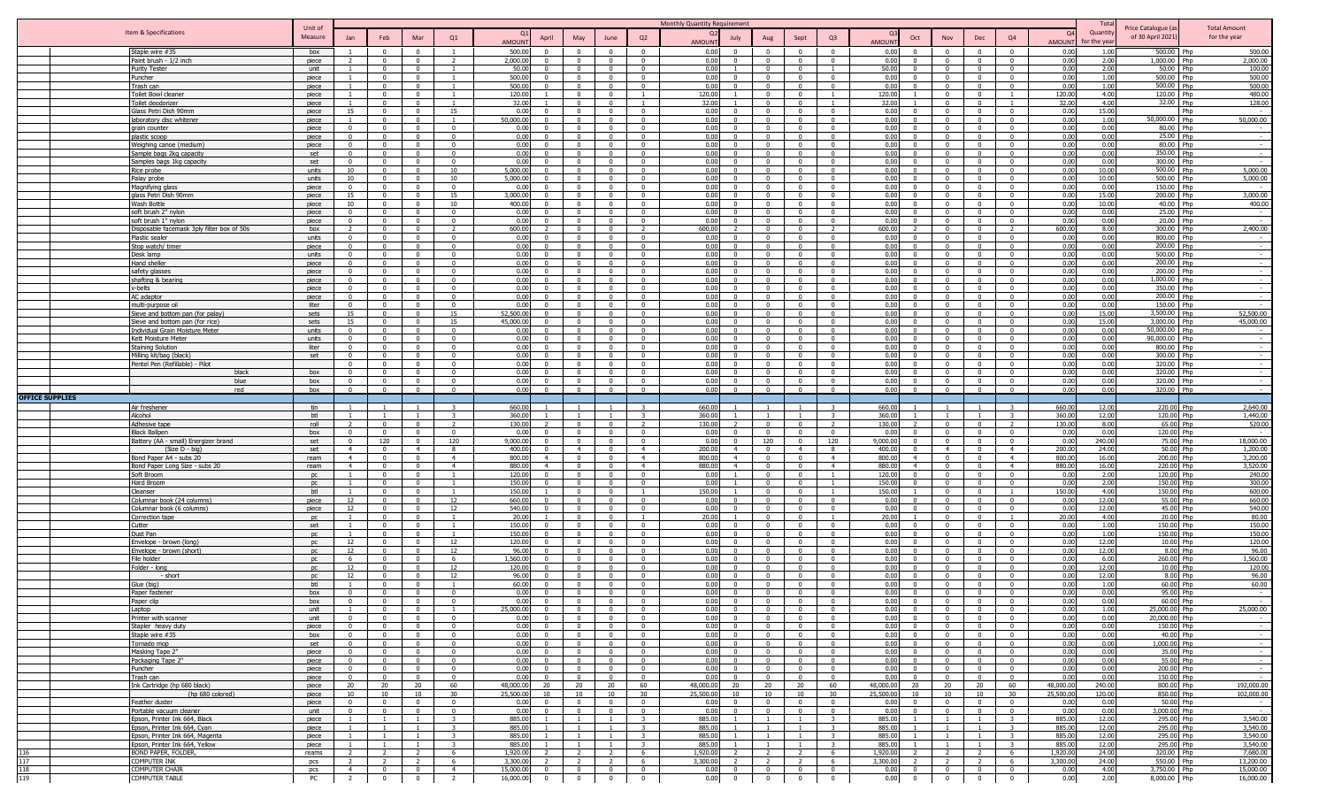|                        |                                                                   |                    |                                  |                                                |                                           |                                         |                                                                     |                                           |                                                                                      | Monthly Quantity Requirement                 |                                                                               |                                                    |                                                     |                    |                                     |                                                                                                    |                                            |                    | Tota           |                                         |                                     |
|------------------------|-------------------------------------------------------------------|--------------------|----------------------------------|------------------------------------------------|-------------------------------------------|-----------------------------------------|---------------------------------------------------------------------|-------------------------------------------|--------------------------------------------------------------------------------------|----------------------------------------------|-------------------------------------------------------------------------------|----------------------------------------------------|-----------------------------------------------------|--------------------|-------------------------------------|----------------------------------------------------------------------------------------------------|--------------------------------------------|--------------------|----------------|-----------------------------------------|-------------------------------------|
|                        | Item & Specifications                                             | Unit of<br>Measure |                                  |                                                | Mar                                       | Q1                                      |                                                                     |                                           |                                                                                      |                                              |                                                                               |                                                    | Q <sub>3</sub>                                      |                    |                                     |                                                                                                    | Q4                                         | <b>O</b>           | Quantity       | Price Catalogue (a<br>of 30 April 2021) | <b>Total Amount</b><br>for the year |
|                        |                                                                   |                    | Jan                              | Feb                                            |                                           |                                         | April<br><b>AMOUNT</b>                                              | May                                       | Q2<br>June                                                                           | July<br><b>AMOUNT</b>                        | Aug                                                                           | Sept                                               |                                                     | AMOUN <sup>®</sup> | Oct<br>Nov                          | Dec                                                                                                |                                            | AMOUN <sup>1</sup> | for the yea    |                                         |                                     |
|                        | Staple wire #35                                                   | box                |                                  | $\Omega$                                       | $\Omega$                                  |                                         | 500.00                                                              | $\Omega$                                  | $\Omega$<br>$\Omega$                                                                 | 0.00<br>$\Omega$                             |                                                                               | $\Omega$                                           | $\Omega$                                            | 0.00               | $\Omega$                            | $\Omega$                                                                                           | $\Omega$                                   | 0.00               | 1.00           | 500.00 Php                              | 500.00                              |
|                        | Paint brush - 1/2 inch                                            | piece              |                                  | $\Omega$                                       | $\Omega$                                  |                                         | 2,000.00                                                            |                                           | $\Omega$                                                                             | 0.00                                         |                                                                               | $\Omega$                                           |                                                     | 0.00               | $\Omega$                            |                                                                                                    |                                            | 0.00               | 2.00           | 1,000.00<br>Php                         | 2,000.00                            |
|                        | <b>Purity Tester</b>                                              | unit               |                                  | $\Omega$<br>$\Omega$                           | $\mathbf{0}$                              |                                         | 50.00                                                               | $\Omega$<br>$\sqrt{ }$                    | $\Omega$<br>$\Omega$<br>$\Omega$                                                     | 0.00<br>$\Omega$                             | $\Omega$<br>$\Omega$                                                          | $\Omega$<br>$\Omega$                               |                                                     | 50.00              | $\Omega$                            | $\Omega$<br>$\Omega$                                                                               | . വ                                        | 0.00               | 2.00           | 50.00 Php                               | 100.00                              |
|                        | Puncher<br>Frash can                                              | piece<br>piece     |                                  | $\mathbf{0}$                                   | $\mathbf{0}$<br>$\mathbf{0}$              | $\overline{1}$                          | 500.00<br>500.00                                                    | $\Omega$                                  | $\Omega$<br>$\Omega$<br>$\Omega$                                                     | 0.00<br>0.00<br>$\mathbf{0}$                 | $\mathbf{0}$                                                                  | $\Omega$                                           | $\Omega$                                            | 0.00<br>0.00       | $\Omega$                            | $\mathbf{0}$<br>$\overline{0}$                                                                     | $\mathbf{0}$                               | 0.00<br>0.00       | 1.00<br>1.00   | 500.00 Php<br>500.00 Php                | 500.00<br>500.00                    |
|                        | oilet Bowl cleaner                                                | piece              |                                  | $\Omega$                                       | $\Omega$                                  |                                         | 120.00                                                              |                                           | $\Omega$                                                                             | 120.00                                       | $\Omega$                                                                      |                                                    |                                                     | 120.00             |                                     | $\mathbf{0}$<br>$^{\circ}$                                                                         |                                            | 120.00             | 4.00           | 120.00 Php                              | 480.00                              |
|                        | oilet deodorizer                                                  | piece              | $\mathbf{1}$                     | $\Omega$                                       | $\Omega$                                  | -1.                                     | 32.00                                                               | $\mathbf{0}$                              | $^{\circ}$                                                                           | 32.00                                        | $\Omega$                                                                      | $\Omega$                                           |                                                     | 32.00              | $^{\circ}$                          | $\overline{\mathbf{0}}$                                                                            |                                            | 32.0               | 4.00           | 32.00 Php                               | 128.00                              |
|                        | Glass Petri Dish 90mm                                             | piece              | 15                               | $\Omega$                                       | $\Omega$                                  | 15                                      | 0.00                                                                | - 0                                       | $\mathbf{0}$<br>$\Omega$                                                             | 0.00                                         | $\Omega$                                                                      | $\Omega$                                           |                                                     | 0.00               |                                     | $\mathbf{0}$<br>$\Omega$                                                                           | $\Omega$                                   | 0.00               | 15.00          | Php                                     |                                     |
|                        | laboratory disc whitener                                          | piece              |                                  | $\Omega$                                       | $\Omega$                                  |                                         | 50,000,00                                                           | $\Omega$                                  | $\Omega$<br>$\Omega$                                                                 | 0.00                                         |                                                                               | $\Omega$                                           |                                                     | 0.00               | $\Omega$                            | $\Omega$                                                                                           | $\Omega$                                   | 0.00               | 1.00           | 50,000.00 Php                           | 50,000.00                           |
|                        | grain counter                                                     | piece              | $\Omega$                         |                                                | $\Omega$                                  | $\Omega$                                | 0.00                                                                |                                           | $\Omega$                                                                             | 0.00                                         |                                                                               | $\Omega$                                           |                                                     | 0.00               | $\Omega$                            |                                                                                                    |                                            | 0.00               | 0.00           | 80.00 Php                               |                                     |
|                        | plastic scoop                                                     | piece              | $\Omega$                         | $\Omega$                                       | $\mathbf{0}$                              | $\Omega$                                | 0.00                                                                | $\sqrt{ }$                                | $\sqrt{ }$<br>$\Omega$                                                               | 0.00<br>$\Omega$                             | $\Omega$                                                                      | $\Omega$                                           | $\Omega$                                            | 0.00               |                                     | $\Omega$<br>$\sqrt{ }$                                                                             | $\Omega$                                   | 0.00               | 0.00           | 25.00 Php                               |                                     |
|                        | <b>Neighing canoe (medium)</b>                                    | piece              | $\overline{0}$                   | $\sim$                                         | $\mathbf{0}$                              | $\Omega$                                | 0.00<br>$\Omega$                                                    | $\Omega$                                  | $\Omega$<br>$\Omega$                                                                 | 0.00<br>$\Omega$                             | $\Omega$                                                                      | $\Omega$                                           | $\Omega$                                            | 0.00               |                                     | $\sqrt{ }$<br>$\mathbf{0}$                                                                         | $\Omega$                                   | 0.00               | 0.00           | 80.00 Php                               |                                     |
|                        | Sample bags 2kg capacity                                          | set                | $\overline{0}$                   | $\Omega$                                       | $\mathbf{0}$                              | $\mathbf{0}$                            | 0.00<br>$\Omega$                                                    | $\Omega$                                  | $\Omega$<br>$\Omega$                                                                 | 0.00<br>$\Omega$                             | $\Omega$                                                                      | $\Omega$                                           | $\Omega$                                            | 0.00               |                                     | $\overline{0}$<br>$\Omega$                                                                         | $\Omega$                                   | 0.00               | 0.00           | 350.00 Php                              |                                     |
|                        | Samples bags 1kg capacity                                         | set                | $\Omega$                         | $\Omega$<br>$\Omega$                           | $\Omega$                                  | $\overline{0}$                          | 0.00<br>$\Omega$<br>5,000.00<br>$\Omega$                            | $\Omega$<br>$\Omega$                      | $\Omega$<br>$\overline{0}$<br>$^{\circ}$                                             | 0.00<br>$\Omega$<br>0.00<br>$\Omega$         | $\overline{0}$                                                                | $\Omega$                                           | $\Omega$<br>$^{\circ}$                              | 0.00<br>0.00       | $\Omega$<br>$\Omega$<br>$\Omega$    | $\Omega$<br>$\Omega$                                                                               | $\Omega$                                   | 0.00<br>0.00       | 0.00<br>10.00  | 300.00 Php<br>500.00 Php                | 5,000.00                            |
|                        | Rice probe<br>Palay probe                                         | units<br>units     | 10<br>10                         | $\Omega$                                       | $\mathbf{0}$<br>$\Omega$                  | 10<br>10                                | 5,000.00<br>$\Omega$                                                | $\Omega$                                  | $\mathbf{0}$<br>$\Omega$<br>$\Omega$                                                 | 0.00<br>$\Omega$                             | $\mathbf 0$<br>$\Omega$                                                       | $\mathbf{0}$<br>$\Omega$                           | $\Omega$                                            | 0.00               | $\Omega$                            | $\mathbf{0}$<br>$\Omega$                                                                           | $\mathbf{0}$<br>$\Omega$                   | 0.00               | 10.00          | 500.00 Php                              | 5,000.00                            |
|                        | Magnifying glass                                                  | piece              | $\mathbf{0}$                     | $\Omega$                                       | $\Omega$                                  | $\Omega$                                | 0.00                                                                |                                           | $\Omega$<br>$\Omega$                                                                 | 0.00<br>$\Omega$                             |                                                                               | $\Omega$                                           |                                                     | 0.00               | $\Omega$                            | $\Omega$                                                                                           | $\Omega$                                   | 0.00               | 0.00           | 150.00 Php                              |                                     |
|                        | glass Petri Dish 90mm                                             | piece              | 15                               | $\Omega$                                       | $\Omega$                                  | 15                                      | 3,000.00                                                            | $\Omega$                                  | $\Omega$<br>$\Omega$                                                                 | 0.00<br>$\Omega$                             | $\Omega$                                                                      | $\Omega$                                           | $\Omega$                                            | 0.00               | $\Omega$                            | $\Omega$                                                                                           | $\Omega$                                   | 0.00               | 15.00          | 200.00 Php                              | 3,000.00                            |
|                        | Wash Bottle                                                       | piece              | 10                               | $\Omega$                                       | $\mathbf{0}$                              | 10                                      | 400.00                                                              |                                           | $\Omega$<br>$\Omega$                                                                 | 0.00<br>$\Omega$                             | $\Omega$                                                                      | $\Omega$                                           | $\Omega$                                            | 0.00               | $\Omega$                            | $\Omega$                                                                                           |                                            | 0.00               | 10.00          | 40.00 Php                               | 400.00                              |
|                        | soft brush 2" nylon                                               | piece              | $\overline{0}$                   | $\mathbf{0}$                                   | $\mathbf{0}$                              | $\mathbf{0}$                            | 0.00                                                                | $\Omega$                                  | $\Omega$<br>$\Omega$                                                                 | 0.00<br>$\Omega$                             | $\mathbf{0}$                                                                  | $\mathbf{0}$                                       | $\Omega$                                            | 0.00               |                                     | $\mathbf{0}$<br>$\Omega$                                                                           | $\mathbf{0}$                               | 0.00               | 0.00           | 25.00 Php                               |                                     |
|                        | oft brush 1" nylon                                                | piece              | $\overline{0}$                   | $\Omega$                                       | $\Omega$                                  | $^{\circ}$                              | 0.00                                                                |                                           | $^{\circ}$<br>$\Omega$                                                               | 0.00<br>$\Omega$                             | $\Omega$                                                                      | $\Omega$                                           |                                                     | 0.00               |                                     | $\mathbf{0}$<br>$^{\circ}$                                                                         | $\Omega$                                   | 0.00               | 0.00           | 20.00 Php                               |                                     |
|                        | Disposable facemask 3ply filter box of 50s                        | box                | 2                                | $\Omega$                                       | $\mathbf{0}$                              | 2                                       | 600.00                                                              | $\mathbf{0}$                              | $^{\circ}$<br>- 2                                                                    | 600.00<br>$\mathcal{L}$                      | $\mathbf 0$                                                                   | $\Omega$                                           |                                                     | 600.00             | $^{\circ}$                          | $\overline{\mathbf{0}}$                                                                            | <sup>2</sup>                               | 600.00             | 8.00           | 300.00 Php                              | 2,400.00                            |
|                        | Plastic sealer                                                    | units              | $\overline{0}$                   | $\Omega$                                       | $\Omega$                                  | $\Omega$                                | 0.00                                                                | $\sqrt{ }$                                | $\Omega$<br>$\Omega$                                                                 | 0.00                                         | $\Omega$                                                                      | $\Omega$                                           |                                                     | 0.00               | $\Omega$                            | $\Omega$                                                                                           | $\Omega$                                   | 0.00               | 0.00           | 800.00 Php                              |                                     |
|                        | Stop watch/ timer                                                 | piece              | $\overline{0}$<br>$\Omega$       | $\Omega$                                       | $\Omega$<br>$\Omega$                      | $\Omega$<br>$\Omega$                    | 0.00<br>0.00                                                        | $\Omega$                                  | $\Omega$<br>$\Omega$<br>$\Omega$                                                     | 0.00<br>0.00                                 |                                                                               | $\Omega$<br>$\Omega$                               |                                                     | 0.00<br>0.00       | $\Omega$<br>$\Omega$                | $\Omega$                                                                                           |                                            | 0.00<br>0.00       | 0.00<br>0.00   | 200.00 Php<br>500.00 Php                |                                     |
|                        | Desk lamp<br>Hand sheller                                         | units<br>piece     | $\overline{0}$                   | $\Omega$                                       | $\mathbf{0}$                              | $\Omega$                                | 0.00                                                                | $\sqrt{ }$                                | $\sqrt{ }$<br>$\Omega$                                                               | 0.00<br>$\Omega$                             | $\sim$                                                                        | $\Omega$                                           | $\Omega$                                            | 0.00               | $\Omega$                            | $\sqrt{ }$                                                                                         | $\Omega$                                   | 0.00               | 0.00           | 200.00 Php                              |                                     |
|                        | afety glasses                                                     | piece              | $\overline{0}$                   | $\mathbf{0}$                                   | $\mathbf{0}$                              | $\mathbf{0}$                            | 0.00<br>$\Omega$                                                    | $\mathbf{0}$                              | $\Omega$<br>$\Omega$                                                                 | 0.00<br>$\Omega$                             | $\mathbf{0}$                                                                  | $\mathbf{0}$                                       | $\Omega$                                            | 0.00               |                                     | $\mathbf{0}$<br>$\Omega$                                                                           | $\mathbf{0}$                               | 0.00               | 0.00           | 200.00 Php                              |                                     |
|                        | shafting & bearing                                                | piece              | $^{\circ}$                       | $\Omega$                                       | $\Omega$                                  | $\Omega$                                | 0.00<br>$\Omega$                                                    | $\Omega$                                  | $\Omega$<br>$\overline{0}$                                                           | 0.00<br>$\Omega$                             | $\mathbf{0}$                                                                  | $\mathbf{0}$                                       | $\Omega$                                            | 0.00               | $\Omega$<br>$\Omega$                | $\Omega$                                                                                           | $\Omega$                                   | 0.00               | 0.00           | 1,000.00 Php                            |                                     |
|                        | v-belts                                                           | piece              | $\Omega$                         | $\Omega$                                       | $\Omega$                                  | $\overline{\mathbf{0}}$                 | 0.00<br>$\Omega$                                                    | $\Omega$                                  | $\Omega$<br>$\mathbf{0}$                                                             | 0.00<br>$\Omega$                             | $\overline{0}$                                                                | $\Omega$                                           | $\Omega$                                            | 0.00               | $\Omega$                            | $^{\circ}$<br>$\Omega$                                                                             | $\Omega$                                   | 0.00               | 0.00           | 350.00 Php                              | $\sim$                              |
|                        | AC adaptor                                                        | piece              | $\overline{0}$                   | $\mathbf{0}$                                   | $\overline{0}$                            | $\overline{0}$                          | 0.00<br>$\Omega$                                                    | $\Omega$                                  | $\mathbf{0}$<br>$\overline{\mathbf{0}}$                                              | 0.00<br>$\overline{0}$                       | $\mathbf{0}$                                                                  | $\overline{0}$                                     | $\mathbf{0}$                                        | 0.00               | $\Omega$                            | $\mathbf{0}$<br>$^{\circ}$                                                                         | $\overline{0}$                             | 0.00               | 0.00           | 200.00 Php                              | $\sim$                              |
|                        | multi-purpose oil                                                 | liter              | $^{\circ}$                       | $\Omega$                                       | $\Omega$                                  | $\Omega$                                | 0.00<br>$\Omega$                                                    | $\Omega$                                  | $\Omega$<br>$\Omega$                                                                 | 0.00<br>$\Omega$                             | $\Omega$                                                                      | $\Omega$                                           | $\Omega$                                            | 0.00               | $\Omega$                            | $\Omega$                                                                                           | $\Omega$                                   | 0.00               | 0.00           | 150.00 Php                              |                                     |
|                        | Sieve and bottom pan (for palay)                                  | sets               | 15                               | $\Omega$                                       | $\overline{0}$                            | 15                                      | 52.500.00                                                           | $\Omega$                                  | $\Omega$<br>$\Omega$                                                                 | 0.00<br>$\Omega$                             | $\Omega$                                                                      | $\Omega$                                           | $\Omega$                                            | 0.00               | $\Omega$                            | $\Omega$                                                                                           | $\Omega$                                   | 0.00               | 15.00          | 3,500.00 Php                            | 52,500.00                           |
|                        | Sieve and bottom pan (for rice)                                   | sets               | 15                               | $\Omega$                                       | $\Omega$                                  | 15                                      | 45,000,00<br>$\Omega$                                               | $\Omega$<br>$\sqrt{ }$                    | $\Omega$<br>$\Omega$<br>$\Omega$<br>$\Omega$                                         | 0.00<br>$\Omega$<br>$\Omega$                 | $\Omega$                                                                      | $\Omega$<br>$\Omega$                               | $\Omega$<br>$\Omega$                                | 0.00               | $\Omega$                            | $\Omega$<br>$\Omega$                                                                               | $\Omega$<br>$\Omega$                       | 0.00               | 15.00<br>0.00  | 3.000.00 Php                            | 45,000.00                           |
|                        | Individual Grain Moisture Meter<br>Kett Moisture Meter            | units<br>units     | $\overline{0}$<br>$\mathbf{0}$   | $\mathbf{0}$<br>$\Omega$                       | $\mathbf{0}$<br>$\mathbf{0}$              | $\mathbf{0}$<br>$\mathbf{0}$            | 0.00<br>0.00                                                        | $\Omega$                                  | $\Omega$<br>$\Omega$                                                                 | 0.00<br>0.00<br>$\Omega$                     | $\overline{0}$<br>$\mathbf{0}$                                                | $\mathbf{0}$                                       | $\Omega$                                            | 0.00<br>0.00       |                                     | $\mathbf{0}$<br>$\mathbf{0}$<br>$\Omega$                                                           | $\Omega$                                   | 0.00<br>0.00       | 0.00           | 50,000.00 Php<br>90,000.00 Php          |                                     |
|                        | taining Solution                                                  | liter              | $\overline{0}$                   | $\Omega$                                       | $\Omega$                                  | $^{\circ}$                              | 0.00                                                                |                                           | $\Omega$<br>$^{\circ}$                                                               | 0.00<br>$\Omega$                             | $\overline{0}$                                                                | $\Omega$                                           | $\Omega$                                            | 0.00               | $\Omega$                            | $^{\circ}$                                                                                         | $\Omega$                                   | 0.00               | 0.00           | 800.00 Php                              |                                     |
|                        | Milling kit/bag (black)                                           | set                | $\mathbf{0}$                     | $\Omega$                                       | $\Omega$                                  | $\overline{\mathbf{0}}$                 | 0.00                                                                | $\sqrt{ }$                                | $^{\circ}$<br>$\Omega$                                                               | 0.00<br>$\Omega$                             | $\Omega$                                                                      | $\Omega$                                           | $\Omega$                                            | 0.00               |                                     | $\mathbf{0}$<br>$\Omega$                                                                           | $\Omega$                                   | 0.00               | 0.00           | 300.00 Php                              |                                     |
|                        | Pentel Pen (Refillable) - Pilot                                   |                    | $\overline{0}$                   | $\Omega$                                       | $\Omega$                                  | $\Omega$                                | 0.00                                                                | $\sqrt{ }$                                | $\Omega$<br>$\Omega$                                                                 | 0.00                                         | $\Omega$                                                                      | $\Omega$                                           | $\Omega$                                            | 0.00               |                                     | $\mathbf{0}$<br>$\Omega$                                                                           | $\Omega$                                   | 0.00               | 0.00           | 320.00 Php                              |                                     |
|                        | black                                                             | hox                | $\Omega$                         | $\Omega$                                       | $\Omega$                                  | $\Omega$                                | 0.00                                                                | $\Omega$                                  | $\Omega$<br>$\Omega$                                                                 | 0.00                                         |                                                                               | $\Omega$                                           |                                                     | 0.00               | $\Omega$                            | $\Omega$                                                                                           |                                            | 0.00               | 0.00           | 320.00 Php                              |                                     |
|                        | blue                                                              | box                | $\Omega$                         |                                                | $\Omega$                                  | $\Omega$                                | 0.00                                                                |                                           | $\Omega$                                                                             | 0.00                                         |                                                                               | $\Omega$                                           |                                                     | 0.00               | $\Omega$                            |                                                                                                    |                                            | 0.00               | 0.00           | 320.00 Php                              |                                     |
|                        | red                                                               | box                | $\Omega$                         | $\sim$                                         | $\Omega$                                  | $\Omega$                                | 0.00<br>$\Omega$                                                    | $\sim$                                    | $\Omega$<br>$\Omega$                                                                 | 0.00<br>$\Omega$                             | $\overline{0}$                                                                | $\overline{0}$                                     | $\Omega$                                            | 0.00               |                                     | $\Omega$<br>$\overline{0}$                                                                         | $\Omega$                                   | 0.00               | 0.00           | 320.00 Php                              |                                     |
| <b>OFFICE SUPPLIES</b> |                                                                   |                    |                                  |                                                |                                           |                                         |                                                                     |                                           |                                                                                      |                                              |                                                                               |                                                    |                                                     |                    |                                     |                                                                                                    |                                            |                    |                |                                         |                                     |
|                        |                                                                   |                    |                                  |                                                |                                           |                                         |                                                                     |                                           |                                                                                      |                                              |                                                                               |                                                    |                                                     |                    |                                     |                                                                                                    |                                            |                    |                |                                         |                                     |
|                        | Air freshener                                                     | tin                |                                  |                                                | $\overline{1}$                            | 3                                       | 660.00                                                              |                                           | -3                                                                                   | 660.00                                       |                                                                               |                                                    |                                                     | 660.00             |                                     |                                                                                                    |                                            | 660.00             | 12.00          | 220.00 Php                              | 2,640.00                            |
|                        | Alcohol                                                           | btl                |                                  |                                                | $\overline{1}$                            | 3                                       | 360.00                                                              |                                           | -3                                                                                   | 360.00                                       |                                                                               |                                                    | $\mathbf{3}$                                        | 360.00             |                                     |                                                                                                    |                                            | 360.00             | 12.00          | 120.00 Php                              | 1,440.00                            |
|                        | Adhesive tape                                                     | roll               | $\Omega$                         | $\Omega$<br>$\Omega$                           | $\Omega$<br>$\Omega$                      | <sup>2</sup><br>$\Omega$                | 130.00<br>0.00<br>$\Omega$                                          | $\sqrt{ }$<br>$\sqrt{ }$                  | $\overline{\phantom{a}}$<br>$\Omega$<br>$\Omega$<br>$\Omega$                         | 130.00<br>$\Omega$                           | $\overline{0}$                                                                | $\Omega$<br>$\Omega$                               | $\Omega$                                            | 130.00             | $\Omega$<br>$\Omega$                | $\overline{0}$<br>$\Omega$                                                                         | $\overline{z}$<br>$\sqrt{2}$               | 130.00             | 8.00           | 65.00 Php                               | 520.00                              |
|                        | Black Ballpen                                                     | box<br>set         | $\overline{0}$                   | 120                                            | $\mathbf{0}$                              | 120                                     | 9,000.00                                                            | $\sqrt{ }$                                | $\Omega$<br>$\Omega$                                                                 | 0.00<br>0.00<br>$\mathbf{0}$                 | $\overline{0}$<br>120                                                         | $\overline{0}$                                     | 120                                                 | 0.00<br>9,000.00   |                                     | $\overline{0}$<br>$\Omega$                                                                         | $\Omega$                                   | 0.00<br>0.00       | 0.00<br>240.00 | 120.00 Php<br>75.00 Php                 | 18,000.00                           |
|                        | Battery (AA - small) Energizer brand<br>$(Size D - biq)$          | set                | $\overline{4}$                   | $\Omega$                                       | $\overline{4}$                            | 8                                       | 400.00                                                              | $\overline{4}$                            | $\overline{4}$<br>$\Omega$                                                           | 200.00<br>$\overline{4}$                     | $\overline{0}$                                                                | $\overline{4}$                                     | 8                                                   | 400.00             |                                     | $\overline{4}$<br>$\Omega$                                                                         | $\overline{4}$                             | 200.00             | 24.00          | 50.00 Php                               | 1,200.00                            |
|                        | Sond Paper A4 - subs 20                                           | ream               | 4                                |                                                | $\Omega$                                  | $\overline{4}$                          | 800.00                                                              |                                           | $\overline{4}$<br>$\Omega$                                                           | 800.00<br>$\overline{4}$                     | $\overline{0}$                                                                |                                                    | $\overline{a}$                                      | 800.00             | $\Omega$                            | $\Omega$                                                                                           | $\overline{4}$                             | 800.00             | 16.00          | 200.00 Php                              | 3,200.00                            |
|                        | Bond Paper Long Size - subs 20                                    | ream               | 4                                | $\Omega$                                       | $\mathbf{0}$                              | $\overline{4}$                          | 880.00<br>$\overline{4}$                                            | $\sqrt{ }$                                | $\mathbf{0}$<br>$\overline{4}$                                                       | 880.00<br>$\overline{4}$                     | $\overline{0}$                                                                | $\Omega$                                           | $-4$                                                | 880.00             |                                     | $\mathbf{0}$<br>$\Omega$                                                                           | $\overline{4}$                             | 880.00             | 16.00          | 220.00 Php                              | 3,520.00                            |
|                        | Soft Broom                                                        | nc                 |                                  | $\Omega$                                       | $\Omega$                                  |                                         | 120.00                                                              | $\sqrt{ }$                                | $\overline{0}$<br>$\Omega$                                                           | 0.00                                         | $\Omega$                                                                      | $\Omega$                                           |                                                     | 120.00             |                                     | $\mathbf{0}$<br>$\overline{0}$                                                                     | $\Omega$                                   | 0.00               | 2.00           | 120.00 Php                              | 240.00                              |
|                        | Hard Broom                                                        | no                 |                                  | $\Omega$                                       | $\Omega$                                  |                                         | 150.00                                                              | $\Omega$                                  | $\Omega$<br>$\Omega$                                                                 | 0.00                                         | $\Omega$                                                                      | $\Omega$                                           |                                                     | 150.00             | $\Omega$                            | $\Omega$                                                                                           | $\Omega$                                   | 0.00               | 2.00           | 150.00 Php                              | 300.00                              |
|                        | Cleanser                                                          | btl                |                                  | $\Omega$                                       | $\mathbf{0}$                              |                                         | 150.00<br>$\Omega$                                                  | $\Omega$                                  | $\Omega$                                                                             | 150.00                                       | $\Omega$                                                                      | $\Omega$                                           |                                                     | 150.00             | $\Omega$<br>$\Omega$                | $\Omega$                                                                                           | $\overline{1}$                             | 150.00             | 4.00           | 150.00 Php                              | 600.00                              |
|                        | Columnar book (24 columns)<br>Columnar book (6 columns)           | piece<br>piece     | 12<br>12                         | $\overline{0}$<br>$\mathbf{0}$                 | $\mathbf{0}$<br>$\mathbf{0}$              | 12<br>12                                | 660.00<br>540.00<br>$\overline{0}$                                  | $\overline{0}$<br>$\overline{0}$          | $\overline{0}$<br>$\mathbf{0}$<br>$\mathbf{0}$<br>$\Omega$                           | 0.00<br>$\mathbf{0}$<br>0.00<br>$\mathbf{0}$ | $\overline{0}$<br>$\overline{0}$                                              | $\overline{0}$<br>$\overline{0}$                   | $\overline{0}$<br>$\mathbf{0}$                      | 0.00<br>0.00       | $\mathbf{0}$                        | $\overline{0}$<br>$\overline{0}$<br>$\overline{0}$<br>$\overline{0}$                               | $\overline{0}$<br>$\overline{0}$           | 0.00<br>0.00       | 12.00<br>12.00 | 55.00 Php<br>45.00 Php                  | 660.00<br>540.00                    |
|                        | Correction tape                                                   | DC                 | $\mathbf{1}$                     | $\Omega$                                       | $\Omega$                                  | -1.                                     | 20.00                                                               | $\Omega$                                  | $\Omega$                                                                             | 20.00<br>$\overline{1}$                      | $\overline{0}$                                                                | $\mathbf{0}$                                       |                                                     | 20.00              |                                     | $\Omega$<br>$\Omega$                                                                               |                                            | 20.00              | 4.00           | 20.00 Php                               | 80.00                               |
|                        | Cutter                                                            | set                | $\mathbf{1}$                     | $\Omega$                                       | $\Omega$                                  | -1                                      | 150.00<br>$\Omega$                                                  | $^{\circ}$                                | $\Omega$<br>$\mathbf{0}$                                                             | 0.00<br>$\Omega$                             | $\Omega$                                                                      | $\Omega$                                           | $\Omega$                                            | 0.00               | $\Omega$                            | $^{\circ}$<br>$\Omega$                                                                             | $\Omega$                                   | 0.00               | 1.00           | 150.00 Php                              | 150.00                              |
|                        | Dust Pan                                                          | <b>DC</b>          | $\mathbf{1}$                     | $\Omega$                                       | $\overline{0}$                            | 1                                       | 150.00<br>$\Omega$                                                  | $\Omega$                                  | $\mathbf{0}$<br>$\overline{\mathbf{0}}$                                              | 0.00<br>$\mathbf 0$                          | $\overline{0}$                                                                | $\overline{0}$                                     | $\mathbf{0}$                                        | 0.00               | $\Omega$                            | $\mathbf{0}$<br>$\overline{\mathbf{0}}$                                                            | $\overline{0}$                             | 0.00               | 1.00           | 150.00 Php                              | 150.00                              |
|                        | Envelope - brown (long)                                           | DC.                | 12                               | $\Omega$                                       | $\Omega$                                  | 12                                      | 120.00<br>$\Omega$                                                  | $\Omega$                                  | $\Omega$<br>$\Omega$                                                                 | 0.00<br>$\Omega$                             | $\mathbf{0}$                                                                  | $\Omega$                                           | $\Omega$                                            | 0.00               | $\Omega$<br>$\Omega$                | $\Omega$                                                                                           | $\Omega$                                   | 0.00               | 12.00          | 10.00 Php                               | 120.00                              |
|                        | Envelope - brown (short)                                          | DC.                | 12                               | $\Omega$                                       | $\Omega$                                  | 12                                      | 96.00<br>$\Omega$                                                   | $\sqrt{ }$                                | $\Omega$<br>$\overline{0}$                                                           | 0.00<br>$\Omega$                             | $\overline{0}$                                                                | $\mathbf{0}$                                       | $\mathbf{0}$                                        | 0.00               | $\Omega$                            | $\overline{0}$                                                                                     | $\sqrt{2}$                                 | 0.00               | 12.00          | 8.00 Php                                | 96.00                               |
|                        | File holder                                                       | DC                 | 6                                | $\Omega$                                       | $\Omega$                                  | -6                                      | 1.560.00<br>$\Omega$                                                | $\Omega$                                  | $\Omega$<br>$\Omega$                                                                 | 0.00<br>$\Omega$                             | $\overline{0}$                                                                | $\Omega$                                           | $\Omega$<br>$\sim$                                  | 0.00               | $\Omega$<br>$\sqrt{ }$              | $\sqrt{ }$                                                                                         | $\sqrt{2}$                                 | 0.00               | 6.00           | 260.00 Php                              | 1,560.00                            |
|                        | Folder - long                                                     | <b>DC</b><br>no    | 12                               |                                                | $\Omega$<br>$\Omega$                      | 12                                      | 120.00                                                              |                                           | $\Omega$<br>$\Omega$<br>$\Omega$<br>$\Omega$                                         | 0.00<br>$\Omega$<br>$\Omega$                 | $\Omega$<br>$\Omega$                                                          | $\Omega$                                           |                                                     | 0.00               | $\Omega$<br>$\Omega$                | $\sqrt{ }$<br>$\Omega$                                                                             |                                            | 0.00               | 12.00          | 10.00 Php                               | 120.00                              |
|                        | - short                                                           | btl                | 12                               |                                                | $\Omega$                                  | 12                                      | 96.00<br>60.00                                                      |                                           | $\Omega$<br>$\Omega$                                                                 | 0.00<br>0.00<br>$\Omega$                     | $\Omega$                                                                      | $\Omega$                                           |                                                     | 0.00<br>0.00       | $\Omega$                            | $\Omega$                                                                                           |                                            | 0.00               | 12.00          | 8.00 Php                                | 96.00                               |
|                        | Glue (big)<br>Paper fastener                                      | box                | $\overline{0}$                   | $\Omega$                                       | $\Omega$                                  | $\Omega$                                | 0.00                                                                | $\Omega$                                  | $\Omega$<br>$\Omega$                                                                 | 0.00<br>$\Omega$                             | $\Omega$                                                                      | $\Omega$                                           | $\Omega$                                            | 0.00               |                                     | $\mathbf{0}$<br>$\Omega$                                                                           | $\Omega$                                   | 0.00<br>0.00       | 1.00<br>0.00   | 60.00 Php<br>95.00 Php                  | 60.00<br>$\sim$                     |
|                        | Paper clip                                                        | box                | $\overline{0}$                   | $\Omega$                                       | $\Omega$                                  | $\Omega$                                | 0.00                                                                | $\Omega$                                  | $\mathbf{0}$                                                                         | 0.00<br>$\Omega$                             | $\overline{0}$                                                                | $\overline{0}$                                     |                                                     | 0.00               |                                     | $\mathbf{0}$<br>$\overline{0}$                                                                     |                                            | 0.00               | 0.00           | 60.00 Php                               |                                     |
|                        | aptop                                                             | unit               |                                  |                                                |                                           |                                         | 25,000.00                                                           |                                           |                                                                                      |                                              |                                                                               |                                                    |                                                     | 0.00               |                                     |                                                                                                    |                                            | 0.0                |                | 25,000.00 Php                           | 25,000.00                           |
|                        | Printer with scanner                                              | unit               | $\overline{0}$                   | $\sim$ 0                                       | $\overline{0}$                            | $\Omega$                                | 0.00<br>$\overline{0}$                                              | $\overline{\mathbf{0}}$                   | $\mathbf{0}$<br>$\overline{0}$                                                       | 0.00<br>$\overline{0}$                       | $\overline{0}$                                                                | $\overline{0}$                                     | $\overline{0}$                                      | 0.00               | $\Omega$                            | $\mathbf{0}$<br>$\overline{0}$                                                                     | $\sim$                                     | 0.00               | 0.00           | 20,000.00 Php                           | $\sim$                              |
|                        | Stapler heavy duty                                                | piece              | $\overline{0}$                   | $\overline{0}$                                 | $\overline{0}$                            | $\overline{0}$                          | 0.00<br>$\overline{0}$                                              | $\overline{\mathbf{0}}$                   | $\overline{\mathbf{0}}$<br>$\overline{\mathbf{0}}$                                   | 0.00                                         | $\overline{0}$<br>$\overline{0}$                                              | $\overline{0}$                                     | $\overline{\mathbf{0}}$                             | 0.00               | $\Omega$                            | $\overline{0}$<br>$\overline{\mathbf{0}}$                                                          | $\overline{0}$                             | 0.00               | 0.00           | 150.00 Php                              | $\sim$                              |
|                        | Staple wire #35                                                   | box                | $\overline{0}$                   | $\overline{0}$                                 | $\overline{0}$                            | $\overline{0}$                          | 0.00<br>$\overline{0}$                                              | $\overline{\mathbf{0}}$                   | $\overline{0}$<br>$\overline{0}$                                                     | 0.00                                         | $\overline{\mathbf{0}}$<br>$\overline{0}$                                     | $\overline{0}$                                     | $\overline{0}$                                      | 0.00               | $\overline{0}$                      | $0$ 0                                                                                              | $\overline{0}$                             | 0.00               | 0.00           | 40.00 Php                               |                                     |
|                        | Tornado mop                                                       | set                | $\overline{0}$                   | $\overline{\mathbf{0}}$                        | $\overline{0}$                            | $\overline{0}$                          | 0.00<br>$\overline{0}$                                              | $\overline{0}$<br>$\sim$ 0                | $\mathbf{0}$<br>$\overline{0}$                                                       | 0.00                                         | $\overline{0}$<br>$\overline{\mathbf{0}}$                                     | $\overline{0}$                                     | $\overline{0}$                                      | 0.00               | $\overline{0}$<br>$\mathbf{0}$      | $\overline{0}$<br>$\overline{\mathbf{0}}$                                                          | $\overline{0}$                             | 0.00               | 0.00           | 1,000.00 Php                            | $\sim$<br>$\sim$                    |
|                        | Masking Tape 2"<br>Packaging Tape 2"                              | piece<br>piece     | $\overline{0}$<br>$\overline{0}$ | $\overline{\mathbf{0}}$<br>$\overline{0}$      | $\overline{0}$<br>$\overline{0}$          | $\overline{0}$<br>$\overline{0}$        | 0.00<br>$\overline{0}$<br>0.00<br>$\overline{0}$                    | $\sim$ 0                                  | $\overline{0}$<br>$\overline{0}$<br>$\overline{0}$<br>$\overline{\mathbf{0}}$        | 0.00<br>0.00                                 | $\overline{0}$<br>$\overline{0}$<br>$\overline{0}$<br>$\overline{\mathbf{0}}$ | $\overline{\mathbf{0}}$<br>$\overline{\mathbf{0}}$ | $\overline{\phantom{0}}$<br>$\overline{\mathbf{0}}$ | 0.00<br>0.00       | $\overline{0}$                      | $\overline{0}$<br>$\overline{\mathbf{0}}$<br>$\overline{0}$<br>$\overline{\mathbf{0}}$             | $\overline{\phantom{0}}$<br>$\overline{0}$ | 0.00<br>0.00       | 0.00<br>0.00   | 35.00 Php<br>55.00 Php                  | $\sim$                              |
|                        | Puncher                                                           | piece              | $\overline{0}$                   | $\mathbf{0}$                                   | $\mathbf{0}$                              | $\Omega$                                | 0.00<br>$\overline{0}$                                              | $\overline{\mathbf{0}}$                   | $\overline{0}$<br>$\overline{\mathbf{0}}$                                            | 0.00<br>$\overline{0}$                       | $\overline{0}$                                                                | $\overline{0}$                                     | $\overline{\mathbf{0}}$                             | 0.00               | $\overline{0}$                      | $\overline{0}$<br>$\overline{0}$                                                                   | $\overline{0}$                             | 0.00               | 0.00           | 200.00 Php                              | $\sim$                              |
|                        | Trash can                                                         | piece              | $\overline{0}$                   | $\overline{0}$                                 | $\overline{0}$                            | $\overline{0}$                          | 0.00<br>$\overline{0}$                                              | $\overline{\mathbf{0}}$                   | $\overline{0}$<br>$\overline{0}$                                                     | 0.00<br>$\overline{0}$                       | $\overline{0}$                                                                | $\overline{0}$                                     | $\overline{0}$                                      | 0.00               | $\overline{0}$                      | $\overline{0}$<br>$\overline{0}$                                                                   | $\overline{0}$                             | 0.00               | 0.00           | 150.00 Php                              | $\overline{\phantom{a}}$            |
|                        | Ink Cartridge (hp 680 black)                                      | piece              | 20                               | 20                                             | 20                                        | 60                                      | 48,000,00<br>20                                                     | 20                                        | 20<br>60                                                                             | 48,000.00                                    | 20<br>20                                                                      | 20                                                 | 60                                                  | 48,000.00          | 20 <sup>2</sup><br>20               | 20                                                                                                 | 60                                         | 48,000,00          | 240.00         | 800.00 Php                              | 192,000.00                          |
|                        | (hp 680 colored)                                                  | piece              | 10                               | 10                                             | $\frac{10}{2}$                            | 30                                      | 25,500.00<br>10                                                     | 10                                        | 30 <sup>2</sup><br>10                                                                | 25,500.00                                    | $\frac{10}{10}$<br>10                                                         | $\frac{10}{10}$                                    | 30                                                  | 25,500.00          | 10<br>10                            | 10                                                                                                 | 30                                         | 25,500.00          | 120.00         | 850.00 Php                              |                                     |
|                        | Feather duster                                                    | piece              | $\overline{0}$                   | $\overline{0}$                                 | $\overline{0}$                            | $\overline{0}$                          | 0.00<br>$\Omega$                                                    | $\overline{0}$                            | $\overline{0}$<br>$\overline{0}$                                                     | 0.00                                         | $\overline{0}$<br>$\overline{0}$                                              | $\overline{0}$                                     | $\overline{0}$                                      | 0.00               | $\Omega$                            | $\mathbf{0}$<br>$\overline{0}$                                                                     | $\Omega$                                   | 0.00               | 0.00           | 50.00 Php                               | $\sim$                              |
|                        | Portable vacuum cleaner                                           | unit               | $\overline{0}$                   | $\overline{0}$                                 | $\overline{0}$                            | $\overline{0}$                          | 0.00<br>$\Omega$                                                    | $\overline{0}$                            | $\mathbf{0}$<br>$\overline{0}$                                                       | 0.00                                         | $\overline{0}$<br>$\overline{0}$                                              | $\overline{0}$                                     | $\overline{0}$                                      | 0.00               |                                     | $\overline{0}$<br>$\overline{\mathbf{0}}$                                                          | $\overline{0}$                             | 0.00               | 0.00           | 3,000.00 Php                            | $\sim$                              |
|                        | Epson, Printer Ink 664, Black                                     | piece              | $\sim$ 1<br>1                    | $\sim$ 1<br>$\overline{1}$                     | $\sim$ 1<br>$\overline{1}$                | $\overline{\mathbf{3}}$<br>$\mathbf{3}$ | 885.00                                                              | $\overline{1}$                            | $\overline{1}$<br>$\overline{\mathbf{3}}$<br>$\overline{1}$                          | 885.00                                       | $\overline{1}$<br>$\overline{1}$<br>$\overline{1}$                            | $\overline{1}$                                     | $\overline{\mathbf{3}}$<br>$\mathbf{R}$             | 885.00             | $\overline{1}$                      | $\overline{1}$<br>$\overline{1}$                                                                   | $\overline{\mathbf{3}}$                    | 885.00             | 12.00          | 295.00 Php                              | 3,540.00                            |
|                        | Epson, Printer Ink 664, Cyan                                      | piece              |                                  |                                                | $\overline{1}$                            | $\overline{\mathbf{3}}$                 | 885.00                                                              |                                           | $\overline{\mathbf{3}}$<br>$\overline{\mathbf{3}}$                                   | 885.00                                       |                                                                               |                                                    |                                                     | 885.00             |                                     |                                                                                                    | $\overline{\mathbf{3}}$                    | 885.00             | 12.00<br>12.00 | 295.00 Php                              | 3,540.00<br>3,540.00                |
|                        | Epson, Printer Ink 664, Magenta<br>Epson, Printer Ink 664, Yellow | piece<br>piece     | 1                                | $\sim$ 1                                       | $\overline{1}$                            | $\mathbf{R}$                            | 885.00<br>885.00                                                    | $\overline{1}$                            | $\overline{\mathbf{3}}$<br>$\overline{1}$                                            | 885.00<br>885.00<br>$\overline{1}$           | $\blacksquare$                                                                | $\overline{1}$                                     | $\overline{\mathbf{3}}$                             | 885.00<br>885.00   |                                     | 1<br>$\blacksquare$                                                                                | $\overline{\mathbf{3}}$                    | 885.00<br>885.0    | 12.00          | 295.00 Php<br>295.00 Php                | 3,540.00                            |
| 116                    | BOND PAPER, FOLDER,                                               | reams              | $\overline{2}$                   | $\overline{2}$                                 | $\overline{2}$                            | 6                                       | 1,920.00                                                            | $\overline{2}$                            | $6\overline{6}$<br>$\overline{2}$                                                    | 1,920.00                                     | $\overline{2}$<br>$\overline{2}$                                              | $\overline{2}$                                     | 6 <sup>6</sup>                                      | 1,920.00           |                                     | $\overline{2}$<br>$\overline{2}$                                                                   | 6 <sup>6</sup>                             | 1,920.00           | 24.00          | 320.00 Php                              | 7,680.00                            |
| 117                    | Computer ink                                                      | pcs                | $\overline{2}$                   | $\overline{2}$                                 | $\overline{2}$                            | 6                                       | 3,300.00<br>$\overline{2}$                                          | $\overline{2}$                            | $\overline{2}$<br>6                                                                  | 3,300.00                                     | $\overline{2}$<br>$\overline{2}$                                              | $\overline{2}$                                     | 6 <sup>6</sup>                                      | 3,300.00           | $\overline{2}$                      | 2  <br>$\overline{2}$                                                                              | 6                                          | 3,300.00           | 24.00          | 550.00 Php                              | 102,000.00<br>13,200.00             |
| 118<br>119             | COMPUTER CHAIR<br>COMPUTER TABLE                                  | pcs<br>PC          | 4                                | $\overline{\mathbf{0}}$<br>$2 \qquad \qquad 0$ | $\overline{0}$<br>$\overline{\mathbf{0}}$ | $\overline{4}$<br>$\overline{2}$        | 15,000.00<br>$\overline{0}$<br>16,000.00<br>$\overline{\mathbf{0}}$ | $\overline{0}$<br>$\overline{\mathbf{0}}$ | $\mathbf{0}$<br>$\overline{0}$<br>$\overline{\mathbf{0}}$<br>$\overline{\mathbf{0}}$ | 0.00<br>$\overline{0}$<br>0.00               | $\overline{0}$<br>$\overline{\mathbf{0}}$<br>$\overline{\mathbf{0}}$          | $\overline{0}$<br>$\overline{\mathbf{0}}$          | $\overline{0}$<br>$\overline{\mathbf{0}}$           | 0.00<br>0.00       | $\Omega$<br>$\overline{\mathbf{0}}$ | $\overline{0}$<br>$\overline{\mathbf{0}}$<br>$\overline{\phantom{0}}$ 0<br>$\overline{\mathbf{0}}$ | $\Omega$<br>$\overline{\mathbf{0}}$        | 0.00<br>0.00       | 4.00<br>2.00   | 3,750.00 Php<br>8,000.00 Php            | 15,000.00<br>16,000.00              |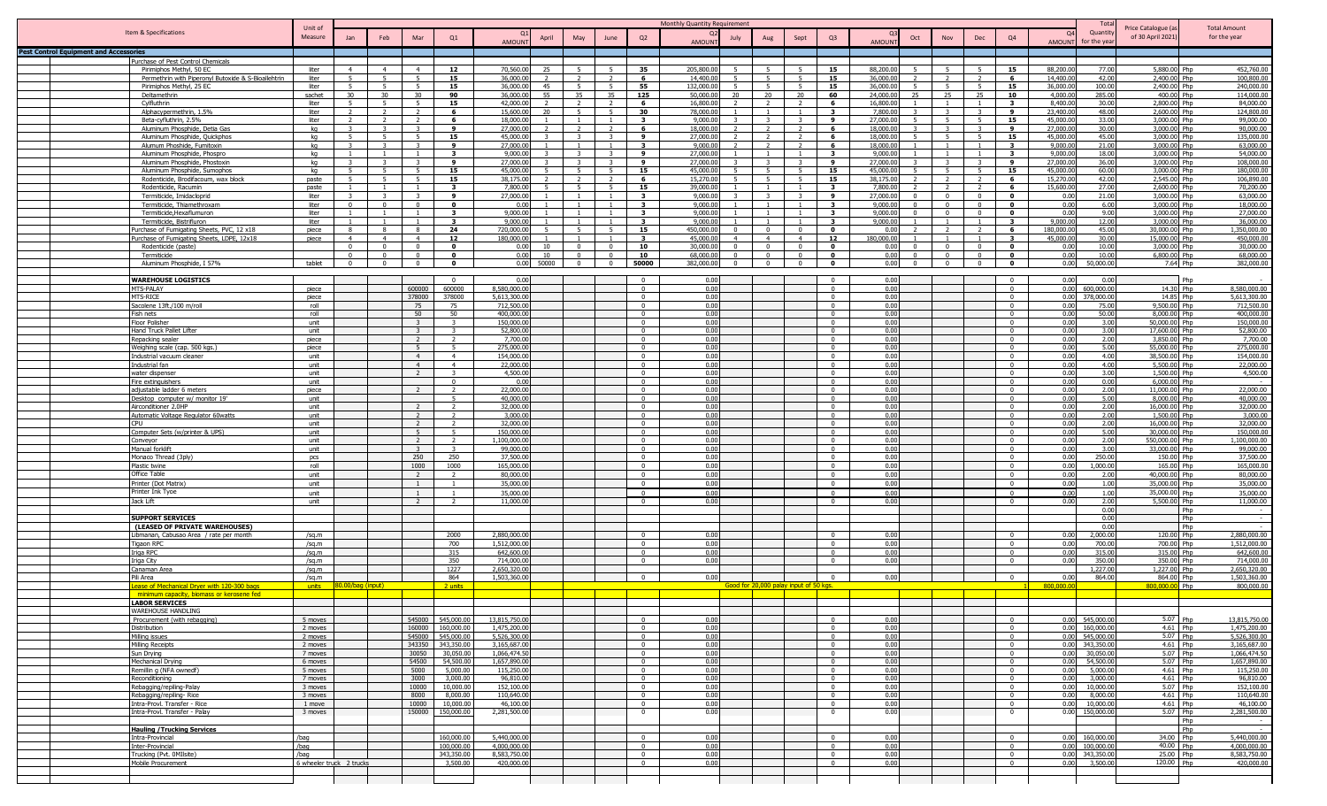|                                               |                                                                    |                          |                            |                           |                                  |                                            |                              |                 |                |                |                                         | Monthly Quantity Requirement      |                                        |                            |                                  |                        |                                |                                |                          |                       | Tota                               |                                        |                                     |
|-----------------------------------------------|--------------------------------------------------------------------|--------------------------|----------------------------|---------------------------|----------------------------------|--------------------------------------------|------------------------------|-----------------|----------------|----------------|-----------------------------------------|-----------------------------------|----------------------------------------|----------------------------|----------------------------------|------------------------|--------------------------------|--------------------------------|--------------------------|-----------------------|------------------------------------|----------------------------------------|-------------------------------------|
|                                               | Item & Specifications                                              | Unit of<br>Measure       | Jan                        | Feb                       | Mar                              | Q1                                         |                              | April           | May            | June           | Q2                                      | July                              | Aug                                    | Sept                       | Q <sub>3</sub>                   |                        | Oct<br>Nov                     | Dec                            | Q4                       | $\Omega$              | Quantit                            | Price Catalogue (a<br>of 30 April 2021 | <b>Total Amount</b><br>for the year |
| <b>Pest Control Equipment and Accessories</b> |                                                                    |                          |                            |                           |                                  |                                            | <b>AMOUNT</b>                |                 |                |                |                                         | AMOUNT                            |                                        |                            |                                  | <b>AMOUNT</b>          |                                |                                |                          | AMOUN <sup>®</sup>    | for the yea                        |                                        |                                     |
|                                               | Purchase of Pest Control Chemicals                                 |                          |                            |                           |                                  |                                            |                              |                 |                |                |                                         |                                   |                                        |                            |                                  |                        |                                |                                |                          |                       |                                    |                                        |                                     |
|                                               | Pirimiphos Methyl, 50 EC                                           | liter                    | 4                          | $\overline{4}$            | $\overline{4}$                   | 12                                         | 70,560.00                    | 25              | $\overline{5}$ | -5             | 35                                      | 205,800.0                         |                                        |                            | 15                               | 88,200.00              | -5                             | 5                              | 15                       | 88,200.00             | 77.00                              | 5,880.00 Php                           | 452,760.00                          |
|                                               | Permethrin with Piperonyl Butoxide & S-Bioallehtrin                | liter                    |                            |                           |                                  | 15                                         | 36,000.0                     |                 |                |                | 6                                       | 14,400.0                          |                                        |                            | 15                               | 36,000.0               |                                |                                | - 6                      | 14,400.0              | 42.00                              | 2,400.00 Php                           | 100,800.00                          |
|                                               | Pirimiphos Methyl, 25 EC<br>Deltamethrin                           | liter<br>sachet          | -5.<br>30                  | -5<br>30                  | - 5<br>30                        | 15<br>90                                   | 36,000.00<br>36,000.00       | 45<br>55        | 35             | -5<br>35       | 55<br>125                               | 132.000.0<br>5.<br>50,000.0<br>20 | 20                                     | -20                        | 15<br>60                         | 36,000.00<br>24,000.00 | - 5<br>25<br>25                | 5<br>25                        | 15<br>10                 | 36,000.0<br>4,000.0   | 100.00<br>285.00                   | 2,400.00 Php<br>400.00 Php             | 240,000.00<br>114,000.00            |
|                                               | Cylfluthrin                                                        | liter                    | 5                          | -5                        |                                  | 15                                         | 42,000.00                    |                 |                | $\overline{2}$ | - 6                                     | 16,800.0                          |                                        |                            | - 6                              | 16,800.00              |                                | $\overline{1}$                 | $\mathbf{3}$             | 8,400.0               | 30.00                              | 2,800.00 Php                           | 84,000.00                           |
|                                               | Alphacypermethrin, 1.5%                                            | liter                    |                            |                           |                                  | -6                                         | 15,600.00                    |                 |                |                | 30                                      | 78,000.0                          |                                        |                            | $\mathbf{3}$                     | 7,800.00               |                                |                                | $\mathbf{q}$             | 23,400.0              | 48.00                              | 2,600.00 Php                           | 124,800.00                          |
|                                               | Beta-cyfluthrin, 2.5%                                              | liter<br>ka              |                            |                           |                                  | 6<br>$\mathbf{Q}$                          | 18,000.00<br>27,000.00       |                 |                |                | $\overline{\mathbf{3}}$                 | 9,000.00<br>18,000.00             |                                        |                            | <b>q</b><br>-6                   | 27,000.00<br>18,000.00 | $\overline{5}$<br>$\mathbf{r}$ | 5 <sup>5</sup><br>$\mathbf{z}$ | 15<br>9                  | 45,000.0              | 33.00<br>30.00                     | 3,000.00 Php                           | 99,000.00<br>90,000.00              |
|                                               | Aluminum Phosphide, Detia Gas<br>Aluminum Phosphide, Quickphos     | ka                       | $\sim$                     | $\mathbf{E}$              |                                  | 15                                         | 45,000.00                    |                 | $\mathbf{r}$   |                | 6<br>9                                  | 27,000.00                         | $\sqrt{2}$                             |                            | -6                               | 18,000.00              | -5                             | 5                              | 15                       | 27,000.0<br>45,000.0  | 45.00                              | 3,000.00 Php<br>3,000.00 Php           | 135,000.00                          |
|                                               | Alumum Phoshide, Fumitoxin                                         | kq                       |                            |                           |                                  | 9                                          | 27,000.00                    |                 |                |                | $\overline{\mathbf{3}}$                 | 9,000.00                          |                                        |                            | - 6                              | 18,000.00              |                                |                                |                          | 9,000.0               | 21.00                              | 3,000.00 Php                           | 63,000.00                           |
|                                               | Aluminum Phosphide, Phospro                                        | kq                       | $\overline{1}$             |                           |                                  | $\mathbf{3}$                               | 9,000.00                     |                 | $\mathbf{R}$   | $\mathbf{R}$   | 9                                       | 27,000.00                         |                                        |                            | $\overline{\mathbf{3}}$          | 9,000.00               | $\overline{1}$                 | $\overline{1}$                 | $\mathbf{3}$             | 9,000.0               | 18.00                              | 3,000.00 Php                           | 54,000.00                           |
|                                               | Aluminum Phosphide, Phostoxin<br>Aluminum Phosphide, Sumophos      | kq<br>kq                 |                            |                           |                                  | 9<br>15                                    | 27,000.00<br>45,000.0        |                 | $\mathbf{z}$   |                | - 9<br>15                               | 27,000.00<br>45,000.0             |                                        |                            | - 9<br>15                        | 27,000.00<br>45,000.0  |                                | $\mathbf{3}$<br>5 <sup>5</sup> | 9<br>15                  | 27,000.00<br>45,000.0 | 36.00<br>60.00                     | 3,000.00 Php<br>3,000,00 Php           | 108,000.00<br>180,000.0             |
|                                               | Rodenticide, Brodifacoum, wax block                                | paste                    |                            | 5 <sup>2</sup>            | $\overline{5}$                   | 15                                         | 38,175.00                    |                 |                |                | 6                                       | 15,270.0                          |                                        |                            | 15                               | 38,175.00              |                                | $\overline{2}$                 | - 6                      | 15,270.0              | 42.00                              | 2,545.00 Php                           | 106,890.00                          |
|                                               | Rodenticide, Racumin                                               | paste                    |                            |                           |                                  | $\mathbf{3}$                               | 7,800.0                      |                 |                |                | 15                                      | 39,000.0                          |                                        |                            | $\mathbf{3}$                     | 7,800.0                |                                | $\overline{2}$                 | - 6                      | 15,600.0              | 27.00                              | 2,600.00 Php                           | 70,200.00                           |
|                                               | Termiticide, Imidacloprid                                          | liter                    | $\mathbf{0}$               | $\mathcal{R}$<br>$\Omega$ |                                  | 9<br>$\mathbf{0}$                          | 27,000.00<br>0.00            |                 |                | $\overline{1}$ | $\mathbf{3}$<br>$\overline{\mathbf{3}}$ | 9,000.0<br>9.000.0                |                                        |                            | 9<br>$\overline{\mathbf{3}}$     | 27,000.00<br>9.000.0   | $\overline{0}$<br>$\Omega$     | $\overline{0}$                 | $\bullet$<br>$^{\circ}$  | 0.00<br>0.00          | 21.00                              | 3,000.00 Php<br>3,000.00 Php           | 63,000.00<br>18,000.00              |
|                                               | Termiticide, Thiamethroxam<br>Termiticide, Hexaflumuron            | liter<br>liter           | $\overline{1}$             | -1-                       |                                  | $\overline{\mathbf{3}}$                    | 9,000.00                     |                 |                | $\overline{1}$ | $\overline{\mathbf{3}}$                 | 9,000.0                           |                                        |                            | $\overline{\mathbf{3}}$          | 9,000.00               | $\Omega$                       | $\mathbf{0}$<br>$\overline{0}$ | $\mathbf{o}$             | 0.00                  | 6.00<br>9.00                       | 3,000.00 Php                           | 27,000.00                           |
|                                               | Termiticide, Bistrifluron                                          | liter                    |                            |                           |                                  | $\mathbf{3}$                               | 9,000.00                     |                 |                |                | $\overline{\mathbf{3}}$                 | 9,000.0                           |                                        |                            | $\overline{\mathbf{3}}$          | 9,000.00               |                                | $\overline{1}$                 | 3                        | 9,000.00              | 12.00                              | 3,000.00 Php                           | 36,000.00                           |
|                                               | urchase of Fumigating Sheets, PVC, 12 x18                          | piece                    |                            |                           |                                  | 24                                         | 720.000.00                   |                 | $\overline{5}$ | $\overline{a}$ | 15                                      | 450,000.00                        |                                        |                            | $\mathbf{0}$                     | 0.00                   |                                | $\overline{2}$                 | -6                       | 180,000.00            | 45.00                              | 30,000,00 Php                          | 1.350.000.00                        |
|                                               | urchase of Fumigating Sheets, LDPE, 12x18<br>Rodenticide (paste)   | piece                    | $\overline{4}$<br>$\Omega$ | $\overline{a}$<br>$\sim$  |                                  | 12<br>$\Omega$                             | 180.000.00<br>0.00           | 10 <sup>1</sup> | $\mathsf{n}$   | $\Omega$       | $\overline{\mathbf{3}}$<br>10           | 45,000.0<br>30,000.00<br>$\Omega$ |                                        | $\overline{a}$<br>$\Omega$ | 12<br>$\Omega$                   | 180.000.00<br>0.00     | $\Omega$                       | $\overline{0}$                 | $\mathbf{3}$<br>$\Omega$ | 45,000.0<br>0.00      | 30.00<br>10.00                     | 15,000.00 Php<br>3,000.00 Php          | 450,000.00<br>30,000.00             |
|                                               | Termiticide                                                        |                          | $\sqrt{2}$                 |                           |                                  | $\mathbf{r}$                               | 0.00                         | 10              | $\sim$         | $\Omega$       | 10                                      | 68,000.00<br>$\Omega$             | $\Omega$                               | $\Omega$                   | $\Omega$                         | 0.00                   | $\Omega$                       | $\Omega$                       | $\Omega$                 | 0.00                  | 10.00                              | 6,800.00 Php                           | 68,000.00                           |
|                                               | Aluminum Phosphide, I 57%                                          | tablet                   | $\Omega$                   |                           |                                  | $\Omega$                                   |                              | 0.00 50000      | $\mathsf{n}$   | $\Omega$       | 50000                                   | 382,000.00<br>$\Omega$            | $\Omega$                               | $\Omega$                   | $\Omega$                         | 0.00                   | $\mathbf{0}$                   | $\overline{0}$                 | $\Omega$                 | 0.00                  | 50,000.00                          | 7.64 Php                               | 382,000.00                          |
|                                               |                                                                    |                          |                            |                           |                                  |                                            |                              |                 |                |                |                                         |                                   |                                        |                            |                                  |                        |                                |                                |                          |                       |                                    |                                        |                                     |
|                                               | <b>WAREHOUSE LOGISTICS</b><br>MTS-PALAY                            | piece                    |                            |                           | 600000                           | $\mathbf{0}$<br>600000                     | 0.00<br>8,580,000.00         |                 |                |                | $\overline{0}$<br>$\Omega$              | 0.00<br>0.00                      |                                        |                            | $\Omega$<br>$\Omega$             | 0.00<br>0.00           |                                |                                | $\Omega$                 | 0.00                  | 0.00<br>0.00 600,000.00            | 14.30 Php                              | l Phr<br>8,580,000.00               |
|                                               | <b>MTS-RICE</b>                                                    | piece                    |                            |                           | 378000                           | 378000                                     | 5.613.300.00                 |                 |                |                | $\Omega$                                | 0.00                              |                                        |                            | $\Omega$                         | 0.00                   |                                |                                | $\Omega$                 | 0.00                  | 378,000.00                         | 14.85 Php                              | 5.613.300.00                        |
|                                               | Sacolene 13ft./100 m/roll                                          | roll                     |                            |                           | 75                               | 75                                         | 712,500.00                   |                 |                |                | $\Omega$                                | 0.00                              |                                        |                            | $\Omega$                         | 0.00                   |                                |                                | $\Omega$                 | 0.00                  | 75.00                              | 9,500,00 Php                           | 712,500.00                          |
|                                               | Fish nets<br>Floor Polisher                                        | roll<br>unit             |                            |                           | 50<br>$\mathbf{r}$               | 50<br>$\mathbf{R}$                         | 400,000.00<br>150,000.0      |                 |                |                | $\Omega$<br>$\Omega$                    | 0.00<br>0.00                      |                                        |                            | $\Omega$<br>$\Omega$             | 0.00<br>0.00           |                                |                                | $\Omega$<br>$\Omega$     | 0.00<br>0.00          | 50.00<br>3.00                      | 8,000.00 Php<br>50,000.00 Php          | 400,000.00<br>150,000.00            |
|                                               | Hand Truck Pallet Lifter                                           | unit                     |                            |                           |                                  |                                            | 52,800.00                    |                 |                |                | $\Omega$                                | 0.00                              |                                        |                            | $\Omega$                         | 0.00                   |                                |                                |                          | 0.00                  | 3.00                               | 17,600,00 Php                          | 52,800.00                           |
|                                               | Repacking sealer                                                   | piece                    |                            |                           | $\overline{z}$                   | 2                                          | 7,700.00                     |                 |                |                | $^{\circ}$                              | 0.00                              |                                        |                            | $\Omega$                         | 0.00                   |                                |                                | $\Omega$                 | 0.00                  | 2.00                               | 3,850.00 Php                           | 7,700.00                            |
|                                               | Weighing scale (cap. 500 kgs.)                                     | piece                    |                            |                           |                                  | -5                                         | 275,000.00                   |                 |                |                | $\Omega$                                | 0.00                              |                                        |                            | $\Omega$                         | 0.00                   |                                |                                |                          | 0.00                  | 5.00                               | 55,000.00 Php                          | 275,000.00                          |
|                                               | industrial vacuum cleaner<br>ndustrial fan                         | unit<br>unit             |                            |                           | $\overline{4}$<br>$\overline{a}$ | $\overline{4}$<br>$\overline{4}$           | 154,000,00<br>22,000.00      |                 |                |                | $\Omega$                                | 0.00<br>0.00                      |                                        |                            | $\Omega$                         | 0.00<br>0.00           |                                |                                |                          | 0.00<br>0.00          | 4.00<br>4.00                       | 38,500.00 Php<br>5,500.00 Php          | 154,000.00<br>22,000.00             |
|                                               | water dispenser                                                    | unit                     |                            |                           |                                  | $\overline{z}$                             | 4,500.00                     |                 |                |                | $\sqrt{ }$                              | 0.00                              |                                        |                            | $\Omega$                         | 0.00                   |                                |                                | $\Omega$                 | 0.00                  | 3.00                               | 1,500.00 Php                           | 4,500.00                            |
|                                               | Fire extinguishers                                                 | unit                     |                            |                           |                                  | $\Omega$                                   | 0.00                         |                 |                |                | $\Omega$                                | 0.00                              |                                        |                            | $\Omega$                         | 0.00                   |                                |                                | $\mathbf{0}$             | 0.00                  | 0.00                               | 6,000.00 Php                           |                                     |
|                                               | adiustable ladder 6 meters                                         | piece                    |                            |                           |                                  |                                            | 22,000.00<br>40,000,00       |                 |                |                | $\Omega$<br>$\Omega$                    | 0.00<br>0.00                      |                                        |                            | $\Omega$<br>$\Omega$             | 0.00<br>0.00           |                                |                                | $\Omega$<br>$\Omega$     | 0.00<br>0.00          | 2.00<br>5.00                       | 11.000.00 Php<br>8.000.00 Php          | 22,000.00<br>40,000.00              |
|                                               | Desktop computer w/ monitor 19'<br>Airconditioner 2.0HP            | unit<br>unit             |                            |                           |                                  | -5<br>2                                    | 32,000.00                    |                 |                |                | $\overline{0}$                          | 0.00                              |                                        |                            | $\overline{0}$                   | 0.00                   |                                |                                | $\Omega$                 | 0.00                  | 2.00                               | 16,000.00 Php                          | 32,000.00                           |
|                                               | Automatic Voltage Regulator 60watts                                | unit                     |                            |                           | $\overline{z}$                   | $\overline{\phantom{a}}$                   | 3,000.00                     |                 |                |                | $\Omega$                                | 0.00                              |                                        |                            | $\Omega$                         | 0.00                   |                                |                                | $\Omega$                 | 0.00                  | 2.00                               | 1,500.00 Php                           | 3,000.00                            |
|                                               | <b>CPU</b>                                                         | unit                     |                            |                           | $\overline{\phantom{a}}$         | $\overline{2}$                             | 32.000.00                    |                 |                |                | $\Omega$                                | 0.00                              |                                        |                            | $\overline{0}$                   | 0.00                   |                                |                                | $\Omega$                 | 0.00                  | 2.00                               | 16,000,00 Php                          | 32,000.00                           |
|                                               | Computer Sets (w/printer & UPS)<br>Conveyor                        | unit<br>unit             |                            |                           | $\overline{5}$<br>$\overline{2}$ | 5 <sup>5</sup><br>$\overline{\phantom{a}}$ | 150,000.00<br>1,100,000.00   |                 |                |                | $\Omega$<br>$\Omega$                    | 0.00<br>0.00                      |                                        |                            | $\Omega$<br>$\Omega$             | 0.00<br>0.00           |                                |                                | $\Omega$<br>$\Omega$     | 0.00<br>0.00          | 5.00<br>2.00                       | 30,000,00 Php<br>550,000.00 Php        | 150,000.00<br>1,100,000.00          |
|                                               | Manual forklift                                                    | unit                     |                            |                           |                                  | 3                                          | 99,000.00                    |                 |                |                | $\Omega$                                | 0.00                              |                                        |                            | $\Omega$                         | 0.00                   |                                |                                | $\Omega$                 | 0.00                  | 3.00                               | 33,000.00 Php                          | 99,000.00                           |
|                                               | Monaco Thread (3ply)                                               | pcs                      |                            |                           | 250                              | 250                                        | 37,500.00                    |                 |                |                |                                         | 0.00                              |                                        |                            |                                  | 0.00                   |                                |                                |                          | 0.00                  | 250.00                             | 150.00 Php                             | 37,500.00                           |
|                                               | Plastic twine<br>Office Table                                      | roll                     |                            |                           | 1000<br>$\overline{2}$           | 1000<br>$\overline{2}$                     | 165,000.00<br>80,000,00      |                 |                |                | $\Omega$                                | 0.00<br>0.00                      |                                        |                            | $\Omega$                         | 0.00<br>0.00           |                                |                                | $\mathsf{n}$<br>$\Omega$ | 0.00<br>0.00          | 1,000.00                           | 165.00 Php<br>40,000,00 Php            | 165,000.00<br>80,000,00             |
|                                               | Printer (Dot Matrix)                                               | unit<br>unit             |                            |                           |                                  |                                            | 35,000.00                    |                 |                |                | $\overline{0}$<br>$\Omega$              | 0.00                              |                                        |                            | $\overline{0}$                   | 0.00                   |                                |                                |                          | 0.00                  | 2.00<br>1.00                       | 35,000.00 Php                          | 35,000.00                           |
|                                               | rinter Ink Tyoe                                                    | unit                     |                            |                           |                                  |                                            | 35,000.00                    |                 |                |                | $\Omega$                                | 0.00                              |                                        |                            |                                  | 0.00                   |                                |                                |                          | 0.00                  | 1.00                               | 35,000,00 Phn                          | 35,000.00                           |
|                                               | Jack Lift                                                          | unit                     |                            |                           | $\overline{2}$                   | $\overline{2}$                             | 11,000.00                    |                 |                |                | $\overline{0}$                          | 0.00                              |                                        |                            | $\overline{\mathbf{0}}$          | 0.00                   |                                |                                | $\Omega$                 | 0.00                  | 2.00                               | 5,500.00 Php                           | 11,000.00                           |
|                                               |                                                                    |                          |                            |                           |                                  |                                            |                              |                 |                |                |                                         |                                   |                                        |                            |                                  |                        |                                |                                |                          |                       | 0.00<br>0.00                       |                                        | Php                                 |
|                                               | <b>SUPPORT SERVICES</b><br>(LEASED OF PRIVATE WAREHOUSES)          |                          |                            |                           |                                  |                                            |                              |                 |                |                |                                         |                                   |                                        |                            |                                  |                        |                                |                                |                          |                       | 0.00                               |                                        | Php<br>$\sim$<br>Php                |
|                                               | Libmanan, Cabusao Area / rate per month                            | /sq.m                    |                            |                           |                                  | 2000                                       | 2,880,000.00                 |                 |                |                | $\Omega$                                | 0.00                              |                                        |                            | $\Omega$                         | 0.00                   |                                |                                | $\Omega$                 | 0.00                  | 2,000.00                           | 120.00 Php                             | 2,880,000.00                        |
|                                               | Tigaon RPO                                                         | /sa.m                    |                            |                           |                                  | 700                                        | 1,512,000.00                 |                 |                |                |                                         | 0.00                              |                                        |                            |                                  | 0.00                   |                                |                                |                          | 0.00                  | 700.00                             | 700.00 Php                             | 1.512.000.00                        |
|                                               | riga RPC<br>Iriga City                                             | /sq.m<br>/sq.m           |                            |                           |                                  | 315<br>350                                 | 642,600.00<br>714,000.00     |                 |                |                | $\Omega$<br>$\Omega$                    | 0.00<br>0.00                      |                                        |                            | $\Omega$                         | 0.00<br>0.00           |                                |                                |                          | 0.00<br>0.00          | 315.00<br>350.00                   | 315.00 Php<br>350.00 Php               | 642,600.00<br>714,000.00            |
|                                               | Canaman Area                                                       | /sq.m                    |                            |                           |                                  | 1227                                       | 2,650,320.00                 |                 |                |                |                                         |                                   |                                        |                            |                                  |                        |                                |                                |                          |                       | 1,227.00                           | 1,227.00 Php                           | 2.650.320.00                        |
|                                               | Pili Area                                                          | /sa.m                    |                            |                           |                                  | 864                                        | 1,503,360.00                 |                 |                |                |                                         | 0.00                              |                                        |                            |                                  | 0.00                   |                                |                                |                          | 0.00                  | 864.00                             | 864.00 Php                             | 1.503.360.00                        |
|                                               | ease of Mechanical Dryer with 120-300 bags                         | units                    | 30.00/bag (innut)          |                           |                                  | 2 units                                    |                              |                 |                |                |                                         |                                   | Good for 20,000 palay input of 50 kgs. |                            |                                  |                        |                                |                                |                          | 800,000.0             |                                    | 800,000.0                              | 800,000.00<br>Php                   |
|                                               | minimum capacity, biomass or kerosene fed<br><b>LABOR SERVICES</b> |                          |                            |                           |                                  |                                            |                              |                 |                |                |                                         |                                   |                                        |                            |                                  |                        |                                |                                |                          |                       |                                    |                                        |                                     |
|                                               | WAREHOUSE HANDLING                                                 |                          |                            |                           |                                  |                                            |                              |                 |                |                |                                         |                                   |                                        |                            |                                  |                        |                                |                                |                          |                       |                                    |                                        |                                     |
|                                               | Procurement (with rebagging)                                       | 5 moves                  |                            |                           |                                  | 545000 545,000.00                          | 13.815.750.00                |                 |                |                | $\Omega$                                | 0.00                              |                                        |                            | $^{\circ}$                       | 0.00                   |                                |                                | $\Omega$                 |                       | 0.00 545,000.00                    | 5.07 Php                               | 13,815,750.00                       |
|                                               | Distribution<br>Milling issues                                     | 2 moves<br>2 moves       |                            |                           |                                  | 160000 160,000.00<br>545000 545,000.00     | 1,475,200.00<br>5,526,300.00 |                 |                |                | $\overline{0}$<br>$\overline{0}$        | 0.00<br>0.00                      |                                        |                            | $\overline{0}$<br>$\overline{0}$ | 0.00<br>0.00           |                                |                                | $\mathbf{0}$<br>$\Omega$ |                       | 0.00 160,000.00<br>0.00 545,000.00 | 4.61 Php<br>5.07 Php                   | 1,475,200.00<br>5,526,300.00        |
|                                               | Milling Receipts                                                   | 2 moves                  |                            |                           | 343350                           | 343,350.00                                 | 3.165.687.00                 |                 |                |                | $\overline{0}$                          | 0.00                              |                                        |                            | $\overline{0}$                   | 0.00                   |                                |                                | $\overline{0}$           |                       | 0.00 343,350.00                    | 4.61 Php                               | 3.165.687.00                        |
|                                               | Sun Drying                                                         | 7 moves                  |                            |                           | 30050                            | 30,050.00                                  | 1.066.474.50                 |                 |                |                | $\Omega$                                | 0.00                              |                                        |                            | $\Omega$                         | 0.00                   |                                |                                | $\Omega$                 | 0.00                  | 30,050.00                          | 5.07 Php                               | 1.066.474.50                        |
|                                               | Mechanical Drying                                                  | 6 moves<br>5 moves       |                            |                           | 54500<br>5000                    | 54,500.00<br>5.000.00                      | 1,657,890.00<br>115,250.00   |                 |                |                | $\Omega$<br>$\Omega$                    | 0.00<br>0.00                      |                                        |                            | $\Omega$<br>$\Omega$             | 0.00<br>0.00           |                                |                                | $\Omega$<br>$\Omega$     | 0.00<br>0.00          | 54,500.00<br>5,000.00              | 5.07 Php<br>4.61 Php                   | 1,657,890.00<br>115,250.00          |
|                                               | Remillin q (NFA ownedf)<br>Reconditioning                          | 7 moves                  |                            |                           | 3000                             | 3,000.00                                   | 96.810.00                    |                 |                |                | $\Omega$                                | 0.00                              |                                        |                            | $\Omega$                         | 0.00                   |                                |                                | $\Omega$                 | 0.00                  | 3,000.00                           | $4.61$ Php                             | 96.810.00                           |
|                                               | Rebagging/repiling-Palay                                           | 3 moves                  |                            |                           | 10000                            | 10,000.00                                  | 152,100.00                   |                 |                |                | $\Omega$                                | 0.00                              |                                        |                            | $\Omega$                         | 0.00                   |                                |                                | $\Omega$                 | 0.00                  | 10,000.00                          | 5.07 Php                               | 152,100.00                          |
|                                               | Rebagging/repiling-Rice                                            | 3 moves                  |                            |                           | 8000                             | 8,000.00                                   | 110,640.00                   |                 |                |                | $\Omega$                                | 0.00                              |                                        |                            | $\Omega$                         | 0.00                   |                                |                                | $\Omega$                 | 0.00                  | 8,000.00                           | 4.61 Php                               | 110,640.00                          |
|                                               | Intra-Provl. Transfer - Rice<br>Intra-Provl. Transfer - Palay      | 1 move<br>3 moves        |                            |                           | 10000<br>150000                  | 10,000.00<br>150,000.00                    | 46,100.00<br>2,281,500.00    |                 |                |                | $\Omega$<br>$\overline{\mathbf{0}}$     | 0.00<br>0.00                      |                                        |                            | $\Omega$<br>0                    | 0.00<br>0.00           |                                |                                | $\overline{0}$           | 0.00                  | 10,000.00<br>0.00 150,000.00       | 4.61 Php<br>5.07 Php                   | 46,100.00<br>2,281,500.00           |
|                                               |                                                                    |                          |                            |                           |                                  |                                            |                              |                 |                |                |                                         |                                   |                                        |                            |                                  |                        |                                |                                | $\mathbf{0}$             |                       |                                    |                                        | Php                                 |
|                                               | <b>Hauling /Trucking Services</b>                                  |                          |                            |                           |                                  |                                            |                              |                 |                |                |                                         |                                   |                                        |                            |                                  |                        |                                |                                |                          |                       |                                    |                                        | Php                                 |
|                                               | Intra-Provincial                                                   | /bag                     |                            |                           |                                  | 160,000.00<br>100,000,00                   | 5,440,000.00<br>4.000.000.00 |                 |                |                | $\Omega$                                | 0.00                              |                                        |                            |                                  | 0.00                   |                                |                                | $^{\circ}$               |                       | 0.00 160,000.00                    | 34.00 Php                              | 5,440,000.00                        |
|                                               | Inter-Provincial<br>Trucking (Pvt. 0MIlsite)                       | /bag<br>/bag             |                            |                           |                                  | 343,350.00                                 | 8,583,750.00                 |                 |                |                | $\Omega$<br>$\overline{0}$              | 0.00<br>0.00                      |                                        |                            | $\Omega$<br>$\Omega$             | 0.00<br>0.00           |                                |                                | $\Omega$<br>$\Omega$     |                       | 0.00 100,000.00<br>0.00 343,350.00 | 40.00 Php<br>25.00 Php                 | 4,000,000.00<br>8,583,750.00        |
|                                               | Mobile Procurement                                                 | 6 wheeler truck 2 trucks |                            |                           |                                  | 3,500.00                                   | 420,000.00                   |                 |                |                | $\overline{0}$                          | 0.00                              |                                        |                            | $\overline{0}$                   | 0.00                   |                                |                                | $\Omega$                 |                       | 0.00 3,500.00                      | 120.00 Php                             | 420,000.00                          |
|                                               |                                                                    |                          |                            |                           |                                  |                                            |                              |                 |                |                |                                         |                                   |                                        |                            |                                  |                        |                                |                                |                          |                       |                                    |                                        |                                     |
|                                               |                                                                    |                          |                            |                           |                                  |                                            |                              |                 |                |                |                                         |                                   |                                        |                            |                                  |                        |                                |                                |                          |                       |                                    |                                        |                                     |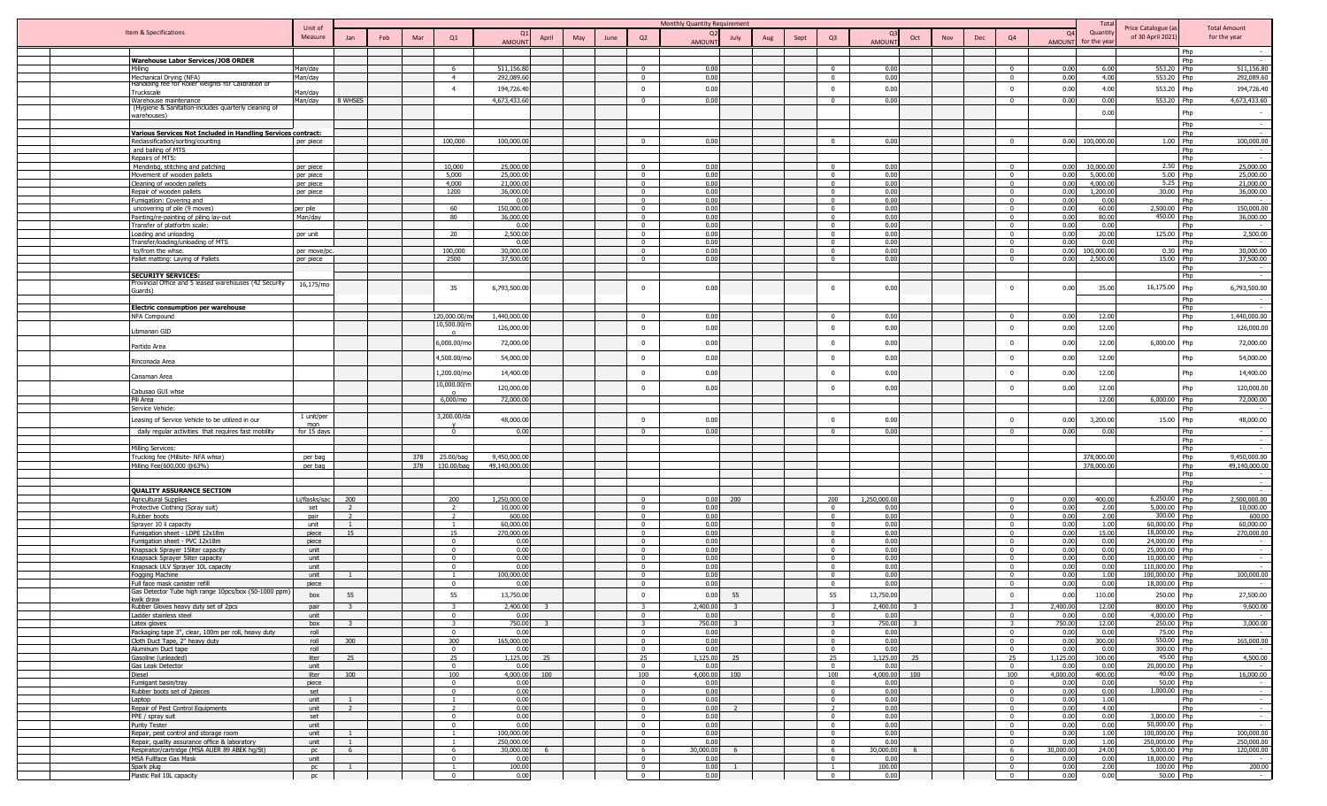|         |                                                                                       |                        |                                  |     |                                       |                             |       |     |      |                                     | Monthly Quantity Requirement |     |      |                                  |                    |            |     |                                  |              | Total                    |                                         |                                             |
|---------|---------------------------------------------------------------------------------------|------------------------|----------------------------------|-----|---------------------------------------|-----------------------------|-------|-----|------|-------------------------------------|------------------------------|-----|------|----------------------------------|--------------------|------------|-----|----------------------------------|--------------|--------------------------|-----------------------------------------|---------------------------------------------|
|         | Item & Specifications                                                                 | Unit of<br>Measure     |                                  |     |                                       |                             |       |     |      |                                     | $\Omega$                     |     |      |                                  |                    |            |     |                                  | $\Omega$     | Quantity                 | Price Catalogue (a<br>of 30 April 2021) | <b>Total Amount</b><br>for the year         |
|         |                                                                                       |                        | Jan                              | Feb | Q1<br>Mar                             | <b>AMOUN</b>                | April | May | June | Q2                                  | July<br>AMOUNT               | Aug | Sept | Q <sub>3</sub>                   | AMOUN <sup>®</sup> | Oct<br>Nov | Dec | Q4                               | <b>AMOUN</b> | for the yea              |                                         |                                             |
|         |                                                                                       |                        |                                  |     |                                       |                             |       |     |      |                                     |                              |     |      |                                  |                    |            |     |                                  |              |                          |                                         | Php                                         |
|         | <b>Warehouse Labor Services/JOB ORDER</b>                                             |                        |                                  |     |                                       |                             |       |     |      |                                     |                              |     |      |                                  |                    |            |     |                                  |              |                          |                                         | Php<br>$\sim$                               |
| Milling |                                                                                       | Man/day                |                                  |     | - 6<br>$\overline{4}$                 | 511,156.8<br>292,089.6      |       |     |      | $\Omega$<br>$\Omega$                | 0.00<br>0.00                 |     |      | $\Omega$<br>$\Omega$             | 0.00<br>0.00       |            |     | $\Omega$                         | 0.00<br>0.00 | 6.00<br>4.00             | 553.20 Php<br>553.20                    | 511,156.80<br>Php<br>292,089.60             |
|         | Mechanical Drying (NFA)<br>Handlding fee for Roller weights for Calibration of        | Man/day                |                                  |     |                                       |                             |       |     |      |                                     |                              |     |      |                                  |                    |            |     |                                  |              |                          |                                         |                                             |
|         | Truckscale                                                                            | Man/day                |                                  |     | $\overline{4}$                        | 194,726.4                   |       |     |      | $\Omega$                            | 0.00                         |     |      | $\Omega$                         | 0.00               |            |     | $\Omega$                         | 0.00         | 4.00                     | 553.20 Php                              | 194,726.40                                  |
|         | Warehouse maintenance                                                                 | Man/day                | 8 WHSES                          |     |                                       | 4,673,433,6                 |       |     |      | $\Omega$                            | 0.00                         |     |      | $\Omega$                         | 0.00               |            |     |                                  | 0.00         | 0.00                     | 553.20                                  | 4,673,433,60<br><b>Phn</b>                  |
|         | (Hygiene & Sanitation-includes quarterly cleaning of<br>warehouses)                   |                        |                                  |     |                                       |                             |       |     |      |                                     |                              |     |      |                                  |                    |            |     |                                  |              | 0.00                     |                                         | Php<br>$\sim$                               |
|         |                                                                                       |                        |                                  |     |                                       |                             |       |     |      |                                     |                              |     |      |                                  |                    |            |     |                                  |              |                          |                                         | Php<br>$\sim$                               |
|         | Various Services Not Included in Handling Services contract:                          |                        |                                  |     |                                       |                             |       |     |      |                                     |                              |     |      |                                  |                    |            |     |                                  |              |                          |                                         | Php                                         |
|         | Reclassification/sorting/counting                                                     | per piece              |                                  |     | 100,000                               | 100,000.0                   |       |     |      | $\sqrt{ }$                          | n c                          |     |      | $\Omega$                         | 0.00               |            |     | $\Omega$                         | 0.00         | 100,000.00               | 1.00 Php                                | 100,000.00                                  |
|         | and bailing of MTS                                                                    |                        |                                  |     |                                       |                             |       |     |      |                                     |                              |     |      |                                  |                    |            |     |                                  |              |                          |                                         | Php                                         |
|         | Repairs of MTS:                                                                       |                        |                                  |     |                                       |                             |       |     |      |                                     |                              |     |      |                                  |                    |            |     |                                  |              |                          |                                         | Php                                         |
|         | Mendinbg, stitching and patching<br>Movement of wooden pallets                        | per piece<br>per piece |                                  |     | 10,000<br>5,000                       | 25,000.0<br>25,000.0        |       |     |      | $\Omega$<br>$\overline{\mathbf{0}}$ | 0.0<br>0.00                  |     |      | $\Omega$                         | 0.00<br>0.00       |            |     | $\Omega$<br>$\overline{0}$       | 0.00<br>0.00 | 10,000.00<br>5,000.00    | 2.50 Php<br>5.00 Php                    | 25,000.00<br>25,000.00                      |
|         | Cleaning of wooden pallets                                                            | per piece              |                                  |     | 4,000                                 | 21,000.0                    |       |     |      | $\Omega$                            | 0.00                         |     |      | $\Omega$                         | 0.00               |            |     | $\overline{0}$                   | 0.00         | 4,000.00                 | 5.25 Php                                | 21,000.00                                   |
|         | Repair of wooden pallets                                                              | per piece              |                                  |     | 1200                                  | 36,000.0                    |       |     |      | $\Omega$                            | 0.00                         |     |      | $\Omega$                         | 0.00               |            |     | $\Omega$                         | 0.00         | 1,200,00                 | 30.00 Php                               | 36,000.00                                   |
|         | Fumigation: Covering and                                                              |                        |                                  |     |                                       | 0.0                         |       |     |      | $\overline{0}$                      | 0.00                         |     |      | $\Omega$                         | 0.00               |            |     | $\mathbf{0}$                     | 0.00         | 0.00                     |                                         | Php                                         |
|         | uncovering of pile (9 moves)                                                          | per pile               |                                  |     | 60                                    | 150,000.0                   |       |     |      | $\overline{0}$                      | 0.00                         |     |      | $\Omega$                         | 0.00               |            |     | $\mathbf{0}$                     | 0.00         | 60.00                    | 2,500.00 Php                            | 150,000.00                                  |
|         | Painting/re-painting of piling lay-out                                                | Man/day                |                                  |     | 80                                    | 36,000.0                    |       |     |      | $\mathbf{0}$                        | 0.00                         |     |      | $\Omega$                         | 0.00               |            |     | $\mathbf{0}$                     | 0.00         | 80.00                    | 450.00                                  | Php<br>36,000.00                            |
|         | Transfer of platfortm scale:<br>Loading and unloading                                 |                        |                                  |     | 20                                    | 0.01<br>2,500.0             |       |     |      | $\Omega$<br>$^{\circ}$              | 0.00<br>0.00                 |     |      | $\Omega$<br>$\Omega$             | 0.00<br>0.00       |            |     | $\Omega$<br>$^{\circ}$           | 0.00<br>0.00 | 0.00<br>20.00            | 125.00 Php                              | Php<br>2,500.00                             |
|         | Transfer/loading/unloading of MTS                                                     | per unit               |                                  |     |                                       | 0.01                        |       |     |      | $^{\circ}$                          | 0.00                         |     |      | $\Omega$                         | 0.00               |            |     | $\mathbf{0}$                     | 0.00         | 0.00                     |                                         | Php                                         |
|         | to/from the whse.                                                                     | per move/p             |                                  |     | 100,000                               | 30,000.0                    |       |     |      | $\Omega$                            | 0.00                         |     |      | $\Omega$                         | 0.00               |            |     | $\Omega$                         | 0.00         | 100,000.00               | 0.30 Php                                | 30,000.00                                   |
|         | Pallet matting: Laying of Pallets                                                     | per piece              |                                  |     | 2500                                  | 37,500.0                    |       |     |      | $\Omega$                            | 0.00                         |     |      | $\Omega$                         | 0.00               |            |     |                                  | 0.00         | 2,500.00                 | 15.00 Php                               | 37,500.00                                   |
|         |                                                                                       |                        |                                  |     |                                       |                             |       |     |      |                                     |                              |     |      |                                  |                    |            |     |                                  |              |                          |                                         | Php                                         |
|         | <b>SECURITY SERVICES:</b>                                                             |                        |                                  |     |                                       |                             |       |     |      |                                     |                              |     |      |                                  |                    |            |     |                                  |              |                          |                                         | Php                                         |
|         | Provincial Office and 5 leased warehouses (42 Security<br>Guards)                     | 16,175/mo              |                                  |     | 35                                    | 6,793,500.0                 |       |     |      | $\overline{0}$                      | 0.00                         |     |      | $\Omega$                         | 0.00               |            |     | $\Omega$                         | 0.00         | 35.00                    | 16,175.00                               | 6,793,500.00<br>Php                         |
|         |                                                                                       |                        |                                  |     |                                       |                             |       |     |      |                                     |                              |     |      |                                  |                    |            |     |                                  |              |                          |                                         | Php                                         |
|         | <u>Electric consumption per warehouse</u>                                             |                        |                                  |     |                                       |                             |       |     |      |                                     |                              |     |      |                                  |                    |            |     |                                  |              |                          |                                         | Php                                         |
|         | NFA Compound                                                                          |                        |                                  |     | 120,000.00/r                          | 1,440,000.0                 |       |     |      | $\overline{\mathbf{0}}$             | 0.00                         |     |      | $\Omega$                         | 0.00               |            |     | $\Omega$                         | 0.00         | 12.00                    |                                         | 1,440,000.00<br>Php                         |
|         | Libmanan GID                                                                          |                        |                                  |     | 10,500.00/                            | 126,000.0                   |       |     |      | $\Omega$                            | 0.00                         |     |      | $\Omega$                         | 0.00               |            |     | $\mathbf{0}$                     | 0.00         | 12.00                    |                                         | 126,000.00<br>Php                           |
|         |                                                                                       |                        |                                  |     | 5,000.00/m                            | 72,000.0                    |       |     |      | $\overline{\mathbf{0}}$             | 0.00                         |     |      | $\mathbf 0$                      | 0.00               |            |     | $\mathbf{0}$                     | 0.00         | 12.00                    | 6,000.00                                | 72,000.00<br>Php                            |
|         | Partido Area                                                                          |                        |                                  |     |                                       |                             |       |     |      |                                     |                              |     |      |                                  |                    |            |     |                                  |              |                          |                                         |                                             |
|         | Rinconada Area                                                                        |                        |                                  |     | ,500.00/m                             | 54,000.0                    |       |     |      | $\overline{0}$                      | 0.00                         |     |      | $\overline{0}$                   | 0.00               |            |     | $\overline{0}$                   | 0.00         | 12.00                    |                                         | 54,000.00<br>Php                            |
|         | Canaman Area                                                                          |                        |                                  |     | ,200.00/m                             | 14,400.0                    |       |     |      | $\overline{0}$                      | 0.00                         |     |      | $\overline{0}$                   | 0.00               |            |     | $\Omega$                         | 0.00         | 12.00                    |                                         | 14,400.00<br>Php                            |
|         | Cabusao GUI whse                                                                      |                        |                                  |     | 0,000.00/r                            | 120,000.0                   |       |     |      | $\overline{0}$                      | 0.00                         |     |      | $\Omega$                         | 0.00               |            |     | $\Omega$                         | 0.00         | 12.00                    |                                         | 120,000.00<br>Php                           |
|         | Pili Area                                                                             |                        |                                  |     | 6,000/mo                              | 72,000.0                    |       |     |      |                                     |                              |     |      |                                  |                    |            |     |                                  |              | 12.00                    | 6,000.00 Php                            | 72,000.00                                   |
|         | Service Vehicle                                                                       | 1 unit/per             |                                  |     | 3,200.00/da                           |                             |       |     |      |                                     |                              |     |      |                                  |                    |            |     |                                  |              |                          |                                         | Php                                         |
|         | Leasing of Service Vehicle to be utilized in our                                      | mon                    |                                  |     |                                       | 48,000.0                    |       |     |      | $\overline{0}$                      | 0.00                         |     |      | $\Omega$                         | 0.00               |            |     | $\Omega$                         | 0.00         | 3,200.00                 | 15.00 Php                               | 48,000.00                                   |
|         | daily regular activities that requires fast mobility                                  | for 15 days            |                                  |     | $\overline{0}$                        | 0.01                        |       |     |      | $\Omega$                            | 0.01                         |     |      | $\Omega$                         | 0.00               |            |     |                                  | 0.0          | 0.00                     |                                         | Php                                         |
|         |                                                                                       |                        |                                  |     |                                       |                             |       |     |      |                                     |                              |     |      |                                  |                    |            |     |                                  |              |                          |                                         | Php                                         |
|         | Milling Services:                                                                     |                        |                                  |     |                                       |                             |       |     |      |                                     |                              |     |      |                                  |                    |            |     |                                  |              |                          |                                         | Php                                         |
|         | Trucking fee (Millsite- NFA whse)<br>Milling Fee(600,000 @63%)                        | per bag<br>per bag     |                                  |     | 25.00/bag<br>378<br>378<br>130.00/bag | 9,450,000.0<br>49,140,000.0 |       |     |      |                                     |                              |     |      |                                  |                    |            |     |                                  |              | 378,000.00<br>378,000.00 |                                         | Php<br>9,450,000.00<br>49,140,000.00<br>Php |
|         |                                                                                       |                        |                                  |     |                                       |                             |       |     |      |                                     |                              |     |      |                                  |                    |            |     |                                  |              |                          |                                         | Php                                         |
|         |                                                                                       |                        |                                  |     |                                       |                             |       |     |      |                                     |                              |     |      |                                  |                    |            |     |                                  |              |                          |                                         | Php<br>$\sim$                               |
|         | QUALITY ASSURANCE SECTION                                                             |                        |                                  |     |                                       |                             |       |     |      |                                     |                              |     |      |                                  |                    |            |     |                                  |              |                          |                                         | Php                                         |
|         | Agricultural Supplies                                                                 | Li/flasks/sac          | 200                              |     | 200                                   | 1,250,000.0                 |       |     |      | $^{\circ}$                          | 0.00<br>200                  |     |      | 200                              | 1,250,000.00       |            |     | $^{\circ}$                       | 0.00         | 400.00                   | 6,250.00 Php                            | 2,500,000.00                                |
|         | Protective Clothing (Spray suit)                                                      | set                    | $\overline{2}$                   |     | <sup>2</sup>                          | 10,000.0                    |       |     |      | $\overline{0}$                      | 0.00                         |     |      | $\overline{0}$                   | 0.00               |            |     | $\mathbf{0}$                     | 0.00         | 2.00                     | 5,000.00 Php                            | 10,000.00                                   |
|         | Rubber boots                                                                          | nair                   | $\overline{2}$<br>$\overline{1}$ |     | <sup>2</sup><br>$\overline{1}$        | 600.0<br>60,000.0           |       |     |      | $\overline{0}$<br>$\sqrt{2}$        | 0.00<br>0.00                 |     |      | $\overline{0}$<br>$\Omega$       | 0.00<br>0.00       |            |     | $\mathbf{0}$<br>$\Omega$         | 0.00<br>0.00 | 2.00<br>1.00             | 300.00 Php<br>60.000.00 Php             | 600.00<br>60,000.00                         |
|         | Sprayer 10 li capacity<br>Fumigation sheet - LDPE 12x18m                              | unit<br>piece          | 15                               |     | 15                                    | 270,000.0                   |       |     |      | $\overline{0}$                      | 0.00                         |     |      | $\Omega$                         | 0.00               |            |     | $\Omega$                         | 0.00         | 15.00                    | 18,000.00 Php                           | 270,000.00                                  |
|         | Fumigation sheet - PVC 12x18m                                                         | piece                  |                                  |     | $\Omega$                              | 0.01                        |       |     |      | $\Omega$                            | 0.00                         |     |      | $\Omega$                         | 0.00               |            |     | $\Omega$                         | 0.00         | 0.00                     | 24,000.00 Phn                           |                                             |
|         | Knapsack Sprayer 15liter capacity                                                     | unit                   |                                  |     | $\Omega$                              | 0.01                        |       |     |      | $\Omega$                            | 0.00                         |     |      | $\Omega$                         | 0.00               |            |     | . വ                              | 0.00         | 0.00                     | 25,000.00 Php                           |                                             |
|         | Knapsack Sprayer 5liter capacity                                                      | unit                   |                                  |     | $\mathbf{0}$                          | 0.01                        |       |     |      | $^{\circ}$                          | 0.00                         |     |      | $\Omega$                         | 0.00               |            |     | $\Omega$                         | 0.00         | 0.00                     | 10,000.00 Php                           |                                             |
|         | Knapsack ULV Sprayer 10L capacity                                                     | unit                   |                                  |     | $\overline{0}$                        | 0.00                        |       |     |      | $\Omega$                            | 0.00                         |     |      | $\Omega$                         | 0.00               |            |     | $\Omega$                         | 0.00         | 0.00                     | 110,000.00 Php                          | $\sim$                                      |
|         | Fogging Machine                                                                       | unit                   |                                  |     | $\Omega$                              | 100,000.0                   |       |     |      | $\Omega$<br>$\Omega$                | 0.00                         |     |      | $\Omega$<br>$\Omega$             | 0.00               |            |     |                                  | 0.00         | 1.00                     | 100,000.00                              | 100,000.00                                  |
|         | Full face mask canister refill<br>Gas Detector Tube high range 10pcs/box (50-1000 ppm | piece                  |                                  |     |                                       | 0.0                         |       |     |      |                                     | 0.00                         |     |      |                                  | 0.00               |            |     | $\Omega$                         | 0.00         | 0.00                     | 18,000.00                               |                                             |
|         | kwik draw                                                                             | box                    | 55                               |     | 55                                    | 13,750.0                    |       |     |      | $\mathbf 0$                         | 0.00<br>55                   |     |      | 55                               | 13,750.00          |            |     | $\mathbf{0}$                     | 0.00         | 110.00                   | 250.00                                  | 27,500.00<br>Php                            |
|         | Pubber Cloyer begins duty cet of 2ncc                                                 | nair                   |                                  |     |                                       | 2.400                       |       |     |      |                                     | 24001                        |     |      |                                  |                    |            |     |                                  | 400f         |                          | 800.00                                  | 9.600.00                                    |
|         | Ladder stainless steel                                                                | unit                   |                                  |     | $\Omega$                              | 0.01                        |       |     |      | $\Omega$                            | 0.00                         |     |      | $\sqrt{ }$                       | 0.00               |            |     | $\Omega$                         | 0.00         | 0.00                     | 4,000.00 Php                            |                                             |
|         | Latex gloves                                                                          | box                    | $\overline{z}$                   |     | $\mathbf{r}$                          | 750.00                      |       |     |      | $\mathbf{r}$                        | 750.00                       |     |      | $\overline{z}$<br>$\Omega$       | 750.00             |            |     | $\Omega$                         | 750.00       | 12.00                    | 250.00 Php                              | 3,000.00                                    |
|         | Packaging tape 3", clear, 100m per roll, heavy duty<br>Cloth Duct Tape, 2" heavy duty | roll<br>roll           | 300                              |     | $\overline{0}$<br>300                 | 0.00<br>165,000.00          |       |     |      | $\overline{0}$<br>$\overline{0}$    | 0.00<br>0.00                 |     |      | $\overline{0}$                   | 0.00<br>0.00       |            |     | $\overline{0}$                   | 0.00<br>0.00 | 0.00<br>300.00           | 75.00 Php<br>$550.00$ Php               | $\sim$<br>165,000.00                        |
|         | Aluminum Duct tape                                                                    | roll                   |                                  |     | $\overline{0}$                        | 0.00                        |       |     |      | $\overline{0}$                      | 0.00                         |     |      | $\overline{0}$                   | 0.00               |            |     | $\overline{0}$                   | 0.00         | 0.00                     | 300.00 Php                              | $\sim$                                      |
|         | Gasoline (unleaded)                                                                   | liter                  | 25                               |     | 25                                    | 1,125.00                    | 25    |     |      | 25                                  | 1,125.00<br>25               |     |      | 25                               | 1,125.00           | 25         |     | 25                               | 1,125.00     | 100.00                   | 45.00 Php                               | 4,500.00                                    |
|         | Gas Leak Detector                                                                     | unit                   |                                  |     | $\overline{0}$                        | 0.00                        |       |     |      | $\overline{0}$                      | 0.00                         |     |      | $\overline{0}$                   | 0.00               |            |     | $\overline{0}$                   | 0.00         | 0.00                     | 20,000.00 Php                           | $\sim$                                      |
|         | Diesel                                                                                | liter                  | 100                              |     | 100                                   | 4,000.00                    | 100   |     |      | 100                                 | 4,000.00<br>100              |     |      | 100                              | 4,000.00 100       |            |     | 100                              | 4.000.00     | 400.00                   | 40.00 Php                               | 16,000.00                                   |
|         | Fumigant basin/tray                                                                   | piece                  |                                  |     | $\mathbf{0}$                          | 0.00                        |       |     |      | $\overline{\mathbf{0}}$             | 0.00                         |     |      | $\overline{0}$                   | 0.00               |            |     | $\overline{0}$                   | 0.00         | 0.00                     | 50.00 Php                               | $\sim$                                      |
|         | Rubber boots set of 2pieces<br>Laptop                                                 | set<br>unit            | $\overline{1}$                   |     | $\overline{0}$<br>$\overline{1}$      | 0.00<br>0.00                |       |     |      | $\overline{0}$<br>$\overline{0}$    | 0.00<br>0.00                 |     |      | $\overline{0}$<br>$\overline{0}$ | 0.00<br>0.00       |            |     | $\overline{0}$<br>$\overline{0}$ | 0.00<br>0.00 | 0.00<br>1.00             | 1,000.00 Php                            | Php<br>$\sim$                               |
|         | Repair of Pest Control Equipments                                                     | unit                   | $\overline{2}$                   |     | $\overline{2}$                        | 0.00                        |       |     |      | $\overline{0}$                      | 0.00<br>$\overline{z}$       |     |      | $\overline{2}$                   | 0.00               |            |     | $\overline{0}$                   | 0.00         | 4.00                     |                                         | Php<br>$\sim$                               |
|         | PPE / spray suit                                                                      | set                    |                                  |     | $\overline{0}$                        | 0.00                        |       |     |      | $\overline{0}$                      | 0.00                         |     |      | $\overline{0}$                   | 0.00               |            |     | $\overline{0}$                   | 0.00         | 0.00                     | 3,000.00 Php                            | $\sim$ $-$                                  |
|         | <b>Purity Tester</b>                                                                  | unit                   |                                  |     | $\overline{0}$                        | 0.00                        |       |     |      | $\overline{0}$                      | 0.00                         |     |      | $\overline{0}$                   | 0.00               |            |     | $\Omega$                         | 0.00         | 0.00                     | 50,000.00 Php                           | $\sim$                                      |
|         | Repair, pest control and storage room                                                 | unit                   |                                  |     |                                       | 100.000.0                   |       |     |      | $\Omega$                            | 0.00                         |     |      | $\sqrt{ }$                       | 0.00               |            |     | $\sqrt{2}$                       | 0.00         | 1.00                     | 100,000,00 Phn                          | 100,000.00                                  |
|         | Repair, quality assurance office & laboratory                                         | unit                   | $\overline{1}$                   |     | $\overline{1}$                        | 250,000.0                   |       |     |      | $\Omega$                            | 0.00                         |     |      | $\sqrt{ }$                       | 0.00               |            |     | $\sqrt{ }$                       | 0.00         | 1.00                     | 250,000.00 Php                          | 250,000.00                                  |
|         | Respirator/cartridge (MSA AUER 89 ABEK hq/St)                                         | <b>DC</b>              | 6                                |     | 6<br>$\overline{0}$                   | 30,000.0                    |       |     |      | 6<br>$\overline{0}$                 | 30,000.00<br>6               |     |      | -6<br>$\Omega$                   | 30,000.00<br>0.00  |            |     | 6<br>$\mathbf{0}$                | 30,000.00    | 24.00<br>0.00            | 5,000.00 Php                            | 120,000.00                                  |
|         | MSA Fullface Gas Mask<br>Spark plug                                                   | unit<br>pc             | $\mathbf{1}$                     |     |                                       | 0.01<br>100.0               |       |     |      | $\overline{0}$                      | 0.00<br>0.00<br>$\mathbf{1}$ |     |      |                                  | 100.00             |            |     | $\overline{0}$                   | 0.00<br>0.00 | 2.00                     | 18,000.00 Php<br>100.00 Php             | $\sim$<br>200.00                            |
|         | Plastic Pail 10L capacity                                                             | pc                     |                                  |     | $\overline{0}$                        | 0.00                        |       |     |      | $\overline{0}$                      | 0.00                         |     |      | $\overline{0}$                   | 0.00               |            |     | $\overline{\mathbf{0}}$          | 0.00         | 0.00                     | 50.00 Php                               | <b>State State</b>                          |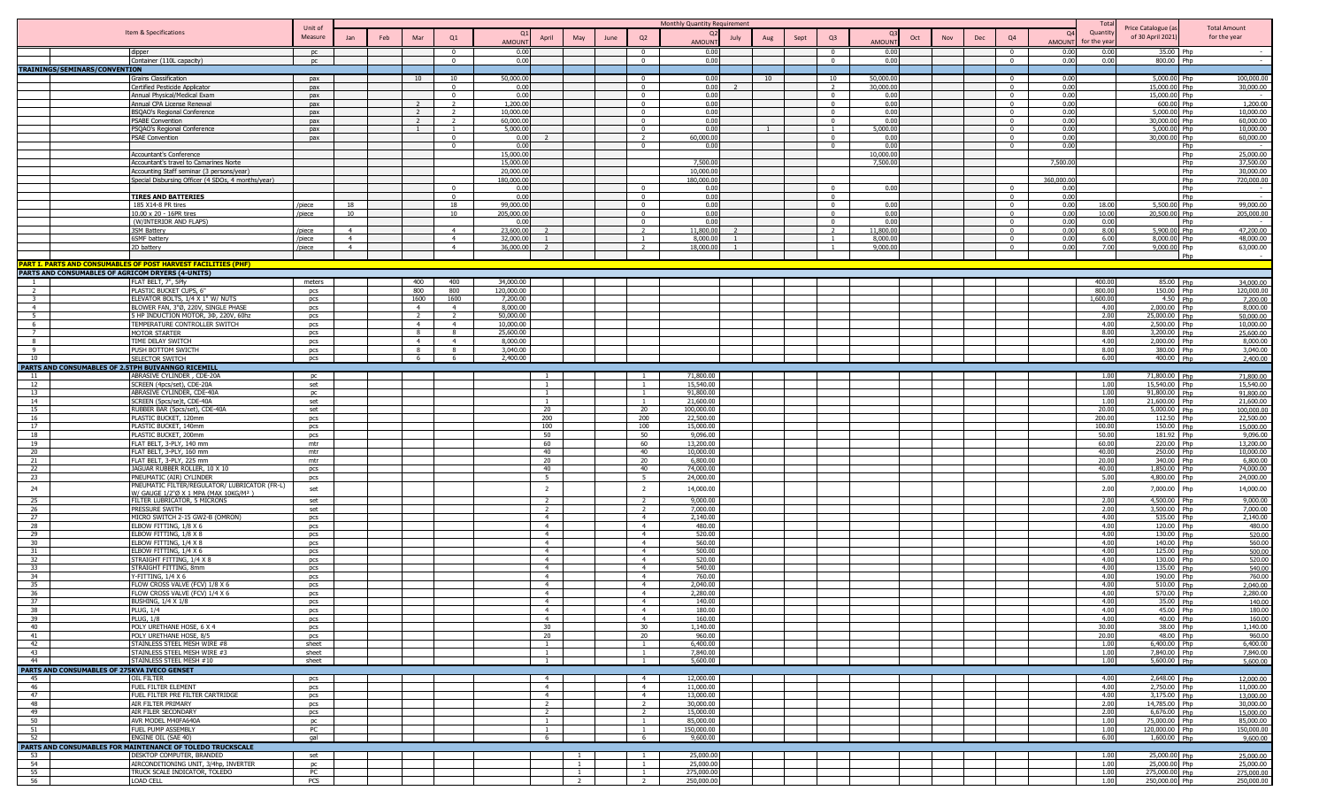|                                                    |                                                                                        | Unit of          |                                  |     |                      |                                  |                        |                                  |                                  |      |                                  | Monthly Quantity Requirement |      |    |      |                            |                      |     |     |                |              | Tota               | Price Catalogue (a               |            | <b>Total Amount</b>      |
|----------------------------------------------------|----------------------------------------------------------------------------------------|------------------|----------------------------------|-----|----------------------|----------------------------------|------------------------|----------------------------------|----------------------------------|------|----------------------------------|------------------------------|------|----|------|----------------------------|----------------------|-----|-----|----------------|--------------|--------------------|----------------------------------|------------|--------------------------|
|                                                    | Item & Specifications                                                                  | Measure          |                                  | Feb | Mar                  | Q1                               |                        | April                            | May                              | June | Q2                               | Q <sub>2</sub>               | July |    | Sept | Q <sub>3</sub>             | Oct                  | Nov | Dec | Q4             | 0.           | Quantit            | of 30 April 2021                 |            | for the year             |
|                                                    |                                                                                        |                  |                                  |     |                      |                                  | <b>AMOUNT</b>          |                                  |                                  |      |                                  | <b>AMOUNT</b>                |      |    |      |                            | <b>AMOUNT</b>        |     |     |                | AMOUNT       | for the yea        |                                  |            |                          |
|                                                    | dipper                                                                                 | DC               |                                  |     |                      | $\Omega$                         | 0.00<br>0.00           |                                  |                                  |      | $\Omega$<br>$\mathsf{n}$         | 0.00<br>0.00                 |      |    |      | $\Omega$<br>$\Omega$       | 0.00<br>0.00         |     |     | $\Omega$       | 0.00<br>0.00 | -0.00              | 800.00 Php                       | 35.00 Php  |                          |
| TRAININGS/SEMINARS/CONVENTION                      | Container (110L capacity)                                                              | pc               |                                  |     |                      |                                  |                        |                                  |                                  |      |                                  |                              |      |    |      |                            |                      |     |     |                |              | 0.00               |                                  |            |                          |
|                                                    | Grains Classification                                                                  | pax              |                                  |     | 10                   | 10                               | 50,000,00              |                                  |                                  |      | $\overline{0}$                   | 0.00                         |      | 10 |      | 10                         | 50,000,00            |     |     | $\Omega$       | 0.00         |                    | 5.000.00 Php                     |            | 100,000,00               |
|                                                    | Certified Pesticide Applicator                                                         | pax              |                                  |     |                      | $\overline{0}$                   | 0.00                   |                                  |                                  |      | $\overline{0}$                   | 0.00                         |      |    |      | $\overline{2}$             | 30,000.00            |     |     | $\Omega$       | 0.00         |                    | 15,000.00 Php                    |            | 30,000.00                |
|                                                    | Annual Physical/Medical Exam                                                           | pax              |                                  |     |                      | $\overline{0}$                   | 0.00                   |                                  |                                  |      | $\overline{0}$                   | 0.00<br>0.00                 |      |    |      | $\overline{0}$<br>$\Omega$ | 0.00<br>0.00         |     |     | $\overline{0}$ | 0.00<br>0.00 |                    | 15,000.00 Php                    |            | 1,200.00                 |
|                                                    | Annual CPA License Renewal<br><b>BSQAO's Regional Conference</b>                       | pax<br>pax       |                                  |     |                      | $\overline{2}$                   | 1,200.00<br>10,000.00  |                                  |                                  |      | $\overline{0}$<br>$\overline{0}$ | 0.00                         |      |    |      | $\Omega$                   | 0.00                 |     |     | $\Omega$       | 0.00         |                    | 600.00 Php<br>5,000.00 Php       |            | 10,000.00                |
|                                                    | <b>PSABE Convention</b>                                                                | pax              |                                  |     |                      | $\overline{2}$                   | 60,000.00              |                                  |                                  |      | $\overline{0}$                   | 0.00                         |      |    |      | $\overline{0}$             | 0.00                 |     |     | $\Omega$       | 0.00         |                    | 30,000.00 Php                    |            | 60,000.00                |
|                                                    | PSQAO's Regional Conference                                                            | nax              |                                  |     |                      |                                  | 5.000.00               |                                  |                                  |      | $\sqrt{ }$                       | 0.00                         |      |    |      | $\overline{1}$             | 5.000.00             |     |     | $\Omega$       | 0.00         |                    | 5,000,00 Php                     |            | 10,000.00                |
|                                                    | <b>PSAE Convention</b>                                                                 | nax              |                                  |     |                      | $\Omega$                         | 0.00                   |                                  |                                  |      | $\overline{2}$                   | 60.000.00                    |      |    |      | $\Omega$                   | 0.00                 |     |     | $\Omega$       | 0.00         |                    | 30.000.00 Php                    |            | 60,000.00                |
|                                                    | Accountant's Conference                                                                |                  |                                  |     |                      |                                  | 0.00<br>15,000.00      |                                  |                                  |      | $\Omega$                         | 0.00                         |      |    |      | $\Omega$                   | 0.00<br>10,000.00    |     |     |                | 0.00         |                    |                                  | Php<br>Php | $\sim$<br>25,000.00      |
|                                                    | Accountant's travel to Camarines Norte                                                 |                  |                                  |     |                      |                                  | 15,000.00              |                                  |                                  |      |                                  | 7,500.00                     |      |    |      |                            | 7,500.00             |     |     |                | 7,500.00     |                    |                                  | Php        | 37,500.00                |
|                                                    | Accounting Staff seminar (3 persons/year)                                              |                  |                                  |     |                      |                                  | 20,000.00              |                                  |                                  |      |                                  | 10,000.00                    |      |    |      |                            |                      |     |     |                |              |                    |                                  | Php        | 30,000.00                |
|                                                    | Special Disbursing Officer (4 SDOs, 4 months/year)                                     |                  |                                  |     |                      |                                  | 180,000.00             |                                  |                                  |      |                                  | 180,000.00                   |      |    |      |                            |                      |     |     |                | 360,000.00   |                    |                                  | Php        | 720,000.00               |
|                                                    | <b>TIRES AND BATTERIES</b>                                                             |                  |                                  |     |                      | $\Omega$<br>$\Omega$             | 0.00<br>0.00           |                                  |                                  |      | $\Omega$<br>$\Omega$             | 0.00<br>0.00                 |      |    |      | $\Omega$<br>$\Omega$       | 0.00                 |     |     |                | 0.00<br>0.00 |                    |                                  | Php<br>Php |                          |
|                                                    | 185 X14-8 PR tires                                                                     | /piece           | 18                               |     |                      | 18                               | 99,000.00              |                                  |                                  |      | $\Omega$                         | 0.00                         |      |    |      | $\Omega$                   | 0.00                 |     |     |                | 0.00         | 18.00              | 5,500.00 Php                     |            | 99,000.00                |
|                                                    | 10.00 x 20 - 16PR tires                                                                | /piece           | 10                               |     |                      | 10                               | 205,000.00             |                                  |                                  |      | $\Omega$                         | 0.00                         |      |    |      | $\Omega$                   | 0.00                 |     |     |                | 0.00         | 10.00              | 20,500.00                        | Php        | 205,000.00               |
|                                                    | (W/INTERIOR AND FLAPS)                                                                 |                  |                                  |     |                      |                                  | 0.00                   |                                  |                                  |      | $\Omega$                         | 0.00                         |      |    |      | $\bigcap$                  | 0.00                 |     |     |                | 0.00         | 0.00               |                                  | Php        |                          |
|                                                    | <b>SSM Battery</b>                                                                     | /piece           | $\overline{4}$                   |     |                      | $\overline{4}$                   | 23,600.00              |                                  |                                  |      |                                  | 1,800.00                     |      |    |      |                            | 11,800.00            |     |     |                | 0.00         | 8.00               | 5,900.00 Php                     |            | 47,200.00                |
|                                                    | 6SMF battery<br>2D battery                                                             | /piece<br>/piece | $\overline{4}$<br>$\overline{4}$ |     |                      | $\overline{4}$<br>$\overline{4}$ | 32,000.00<br>36,000.00 |                                  |                                  |      |                                  | 8,000.00<br>18,000.00        |      |    |      |                            | 8,000.00<br>9,000.00 |     |     |                | 0.00<br>0.00 | 6.00<br>7.00       | 8,000.00 Php<br>9,000.00 Php     |            | 48,000.00<br>63,000.00   |
|                                                    |                                                                                        |                  |                                  |     |                      |                                  |                        |                                  |                                  |      |                                  |                              |      |    |      |                            |                      |     |     |                |              |                    |                                  | Php        |                          |
|                                                    | <b>PART I. PARTS AND CONSUMABLES OF POST HARVEST FACILITIES (PHF)</b>                  |                  |                                  |     |                      |                                  |                        |                                  |                                  |      |                                  |                              |      |    |      |                            |                      |     |     |                |              |                    |                                  |            |                          |
| PARTS AND CONSUMABLES OF AGRICOM DRYERS (4-UNITS)  |                                                                                        |                  |                                  |     |                      |                                  |                        |                                  |                                  |      |                                  |                              |      |    |      |                            |                      |     |     |                |              |                    |                                  |            |                          |
|                                                    | FLAT BELT, 7", 5Ply                                                                    | meters           |                                  |     | 400                  | 400                              | 34,000.00              |                                  |                                  |      |                                  |                              |      |    |      |                            |                      |     |     |                |              | 400.00             | 85.00 Php                        |            | 34,000.00                |
| $\overline{2}$<br>$\overline{\mathbf{3}}$          | PLASTIC BUCKET CUPS, 6"<br>ELEVATOR BOLTS, 1/4 X 1" W/ NUTS                            | pcs              |                                  |     | 800<br>1600          | 800<br>1600                      | 120,000.00<br>7,200.00 |                                  |                                  |      |                                  |                              |      |    |      |                            |                      |     |     |                |              | 800.00<br>1,600.00 | 150.00 Php<br>4.50 Php           |            | 120,000.00<br>7,200.00   |
| $-4$                                               | BLOWER FAN, 3"Ø, 220V, SINGLE PHASE                                                    | pcs<br>pcs       |                                  |     | $\overline{4}$       | $\overline{4}$                   | 8,000.00               |                                  |                                  |      |                                  |                              |      |    |      |                            |                      |     |     |                |              | 4.00               | 2,000.00 Php                     |            | 8,000.00                 |
| 5 <sup>7</sup>                                     | 5 HP INDUCTION MOTOR, 3¢, 220V, 60hz                                                   | pcs              |                                  |     | $\overline{2}$       | $\overline{2}$                   | 50,000.00              |                                  |                                  |      |                                  |                              |      |    |      |                            |                      |     |     |                |              | 2.00               | 25,000.00 Php                    |            | 50,000.00                |
| 6 <sup>6</sup>                                     | TEMPERATURE CONTROLLER SWITCH                                                          | pcs              |                                  |     | $\overline{4}$       | $\overline{4}$                   | 10,000.00              |                                  |                                  |      |                                  |                              |      |    |      |                            |                      |     |     |                |              | 4.00               | 2,500.00 Php                     |            | 10,000.00                |
| $\overline{7}$                                     | MOTOR STARTER                                                                          | pcs              |                                  |     | 8                    | -8                               | 25,600.00              |                                  |                                  |      |                                  |                              |      |    |      |                            |                      |     |     |                |              | 8.00               | 3,200.00 Php                     |            | 25,600.00                |
| 8 <sup>2</sup><br>9                                | TIME DELAY SWITCH<br>PUSH BOTTOM SWICTH                                                | pcs<br>pcs       |                                  |     | $\overline{4}$<br>-8 | $\overline{4}$<br>-8             | 8,000.00<br>3,040.00   |                                  |                                  |      |                                  |                              |      |    |      |                            |                      |     |     |                |              | 4.00<br>8.00       | 2,000.00 Php<br>380.00 Php       |            | 8,000.00<br>3,040.00     |
| 10                                                 | SELECTOR SWITCH                                                                        | pcs              |                                  |     | 6                    | 6                                | 2,400.00               |                                  |                                  |      |                                  |                              |      |    |      |                            |                      |     |     |                |              | 6.00               | 400.00 Php                       |            | 2,400.00                 |
|                                                    | PARTS AND CONSUMABLES OF 2.5TPH BUIVANNGO RICEMILL                                     |                  |                                  |     |                      |                                  |                        |                                  |                                  |      |                                  |                              |      |    |      |                            |                      |     |     |                |              |                    |                                  |            |                          |
| - 11                                               | ABRASIVE CYLINDER, CDE-20A                                                             | pc               |                                  |     |                      |                                  |                        | -1                               |                                  |      | -1                               | 71,800.00                    |      |    |      |                            |                      |     |     |                |              | 1.00               | 71,800.00 Php                    |            | 71,800.00                |
| 12                                                 | SCREEN (4pcs/set), CDE-20A                                                             | set              |                                  |     |                      |                                  |                        | $\overline{1}$                   |                                  |      | $\overline{1}$                   | 15,540.00                    |      |    |      |                            |                      |     |     |                |              | 1.00               | 15,540.00 Php                    |            | 15,540.00                |
| 13<br>14                                           | ABRASIVE CYLINDER, CDE-40A<br>SCREEN (5pcs/se)t, CDE-40A                               | DC<br>set        |                                  |     |                      |                                  |                        | $\mathbf{1}$<br>$\overline{1}$   |                                  |      | $\overline{1}$<br>$\overline{1}$ | 91,800.00<br>21,600.00       |      |    |      |                            |                      |     |     |                |              | 1.00<br>1.00       | 91,800.00 Php<br>21,600.00 Php   |            | 91,800.00<br>21,600.00   |
| 15                                                 | RUBBER BAR (5pcs/set), CDE-40A                                                         | set              |                                  |     |                      |                                  |                        | 20                               |                                  |      | 20                               | 100,000.00                   |      |    |      |                            |                      |     |     |                |              | 20.00              | 5,000.00 Php                     |            | 100,000.00               |
| 16                                                 | PLASTIC BUCKET, 120mm                                                                  | pcs              |                                  |     |                      |                                  |                        | 200                              |                                  |      | 200                              | 22,500.00                    |      |    |      |                            |                      |     |     |                |              | 200.00             | 112.50 Php                       |            | 22,500.00                |
| 17                                                 | PLASTIC BUCKET, 140mm                                                                  | pcs              |                                  |     |                      |                                  |                        | 100                              |                                  |      | 100                              | 15,000.00                    |      |    |      |                            |                      |     |     |                |              | 100.00             | 150.00 Php                       |            | 15,000.00                |
| 18                                                 | PLASTIC BUCKET, 200mm                                                                  | pcs              |                                  |     |                      |                                  |                        | 50                               |                                  |      | 50                               | 9,096.00                     |      |    |      |                            |                      |     |     |                |              | 50.00              | 181.92 Php                       |            | 9,096.00                 |
| 19<br>20                                           | FLAT BELT, 3-PLY, 140 mm<br>FLAT BELT, 3-PLY, 160 mm                                   | mtr<br>mtr       |                                  |     |                      |                                  |                        | 60<br>40                         |                                  |      | 60<br>40                         | 13,200.00<br>10,000.00       |      |    |      |                            |                      |     |     |                |              | 60.00<br>40.00     | 220.00 Php<br>$250.00$ Php       |            | 13,200.00<br>10,000.00   |
| 21                                                 | FLAT BELT, 3-PLY, 225 mm                                                               | mtr              |                                  |     |                      |                                  |                        | 20                               |                                  |      | 20                               | 6,800.00                     |      |    |      |                            |                      |     |     |                |              | 20.00              | 340.00 Php                       |            | 6,800.00                 |
| 22                                                 | JAGUAR RUBBER ROLLER, 10 X 10                                                          | pcs              |                                  |     |                      |                                  |                        | 40                               |                                  |      | 40                               | 74,000.00                    |      |    |      |                            |                      |     |     |                |              | 40.00              | 1,850.00 Php                     |            | 74,000.00                |
| 23                                                 | PNEUMATIC (AIR) CYLINDER                                                               | pcs              |                                  |     |                      |                                  |                        | $-5$                             |                                  |      | 5 <sup>5</sup>                   | 24,000.00                    |      |    |      |                            |                      |     |     |                |              | 5.00               | 4,800.00 Php                     |            | 24,000.00                |
| 24                                                 | PNEUMATIC FILTER/REGULATOR/ LUBRICATOR (FR-L)<br>W/ GALIGE 1/2"Ø X 1 MPA (MAX 10KG/M2) | set              |                                  |     |                      |                                  |                        | $\overline{2}$                   |                                  |      | $\overline{2}$                   | 14,000.00                    |      |    |      |                            |                      |     |     |                |              | 2.00               | 7,000.00 Php                     |            | 14,000.00                |
| 25                                                 | FILTER LUBRICATOR, 5 MICRONS                                                           | set              |                                  |     |                      |                                  |                        | $\overline{2}$                   |                                  |      | $\overline{2}$                   | 9,000,00                     |      |    |      |                            |                      |     |     |                |              | 2.00               | 4,500.00 Phr                     |            | 9.000.00                 |
| 26                                                 | PRESSURE SWITH                                                                         | set              |                                  |     |                      |                                  |                        | $\overline{2}$                   |                                  |      | $\overline{2}$                   | 7.000.00                     |      |    |      |                            |                      |     |     |                |              | 2.00               | 3,500.00 Phn                     |            | 7,000.00                 |
| 27                                                 | MICRO SWITCH 2-15 GW2-B (OMRON)                                                        | pcs              |                                  |     |                      |                                  |                        | $\overline{4}$                   |                                  |      | $-4$                             | 2,140.00                     |      |    |      |                            |                      |     |     |                |              | 4.00               | 535.00 Php                       |            | 2,140.00                 |
| 28<br>29                                           | ELBOW FITTING, 1/8 X 6<br>ELBOW FITTING, 1/8 X 8                                       | pcs<br>pcs       |                                  |     |                      |                                  |                        | $\overline{4}$<br>$\overline{4}$ |                                  |      | $\overline{4}$<br>$\overline{4}$ | 480.00<br>520.00             |      |    |      |                            |                      |     |     |                |              | 4.00<br>4.00       | 120.00 Php<br>130.00 Phn         |            | 480.00<br>520.00         |
| 30                                                 | ELBOW FITTING, 1/4 X 8                                                                 | pcs              |                                  |     |                      |                                  |                        | $\overline{4}$                   |                                  |      | $-4$                             | 560.00                       |      |    |      |                            |                      |     |     |                |              | 4.00               | 140.00 Php                       |            | 560.00                   |
| 31                                                 | ELBOW FITTING, 1/4 X 6                                                                 | pcs              |                                  |     |                      |                                  |                        | $\overline{4}$                   |                                  |      | $-4$                             | 500.00                       |      |    |      |                            |                      |     |     |                |              | 4.00               | 125.00 Php                       |            | 500.00                   |
| 32                                                 | STRAIGHT FITTING, 1/4 X 8                                                              | pcs              |                                  |     |                      |                                  |                        | $\overline{4}$                   |                                  |      | $-4$                             | 520.00                       |      |    |      |                            |                      |     |     |                |              | 4.00               | 130.00 Php                       |            | 520.00                   |
| 33<br>34                                           | STRAIGHT FITTING, 8mm                                                                  | pcs              |                                  |     |                      |                                  |                        | $\overline{4}$<br>$\overline{4}$ |                                  |      | $\overline{4}$<br>$\overline{4}$ | 540.00<br>760.00             |      |    |      |                            |                      |     |     |                |              | 4.00<br>4.00       | 135.00 Php<br>190.00 Php         |            | 540.00<br>760.00         |
| 35                                                 | Y-FITTING, $1/4$ X 6<br>FLOW CROSS VALVE (FCV) 1/8 X 6                                 | pcs<br>pcs       |                                  |     |                      |                                  |                        | $\overline{4}$                   |                                  |      | $\overline{4}$                   | 2,040.00                     |      |    |      |                            |                      |     |     |                |              | 4.00               | 510.00 Php                       |            | 2,040.00                 |
| 36                                                 | LOW CROSS VALVE (FCV) 1/4 X 6                                                          | pcs              |                                  |     |                      |                                  |                        | $\overline{4}$                   |                                  |      | 4                                | 2,280.00                     |      |    |      |                            |                      |     |     |                |              | 4.00               | 570.00 Php                       |            | 2,280.00                 |
| 37                                                 | BUSHING, 1/4 X 1/8                                                                     | pcs              |                                  |     |                      |                                  |                        | $\overline{4}$                   |                                  |      | $\overline{4}$                   | 140.00                       |      |    |      |                            |                      |     |     |                |              | 4.00               |                                  | 35.00 Php  | 140.00                   |
|                                                    | <b>PLUG, 1/4</b>                                                                       | pcs              |                                  |     |                      |                                  |                        |                                  |                                  |      |                                  | 180.00                       |      |    |      |                            |                      |     |     |                |              | 4.00               | 45.00 Php                        |            | 180.00                   |
| 39<br>40                                           | <b>PLUG, 1/8</b><br>POLY URETHANE HOSE, 6 X 4                                          | pcs              |                                  |     |                      |                                  |                        | $\overline{4}$<br>30             |                                  |      | 4<br>30 <sup>2</sup>             | 160.00<br>1,140.00           |      |    |      |                            |                      |     |     |                |              | 4.00<br>30.00      | 40.00 Php                        | 38.00 Php  | 160.00<br>1,140.00       |
| $-41$                                              | POLY URETHANE HOSE, 8/5                                                                | pcs<br>pcs       |                                  |     |                      |                                  |                        | 20                               |                                  |      | 20                               | 960.00                       |      |    |      |                            |                      |     |     |                |              | 20.00              | 48.00 Php                        |            | 960.00                   |
| 42                                                 | STAINLESS STEEL MESH WIRE #8                                                           | sheet            |                                  |     |                      |                                  |                        | $\overline{1}$                   |                                  |      | $\overline{1}$                   | 6,400.00                     |      |    |      |                            |                      |     |     |                |              | 1.00               | 6,400.00 Php                     |            | 6,400.00                 |
| 43                                                 | STAINLESS STEEL MESH WIRE #3                                                           | sheet            |                                  |     |                      |                                  |                        | $\mathbf{1}$                     |                                  |      | $\mathbf{1}$                     | 7,840.00                     |      |    |      |                            |                      |     |     |                |              | 1.00               | 7,840.00 Php                     |            | 7,840.00                 |
| $-44$                                              | STAINLESS STEEL MESH #10                                                               | sheet            |                                  |     |                      |                                  |                        | 1                                |                                  |      | $\mathbf{1}$                     | 5,600.00                     |      |    |      |                            |                      |     |     |                |              | 1.00               | 5,600.00 Php                     |            | 5,600.00                 |
| PARTS AND CONSUMABLES OF 275KVA IVECO GENSET<br>45 | <b>OIL FILTER</b>                                                                      | pcs              |                                  |     |                      |                                  |                        | $\overline{4}$                   |                                  |      | $-4$                             | 12,000.00                    |      |    |      |                            |                      |     |     |                |              | 4.00               | 2,648.00 Php                     |            | 12,000.00                |
| 46                                                 | FUEL FILTER ELEMENT                                                                    | pcs              |                                  |     |                      |                                  |                        | $\overline{4}$                   |                                  |      | 4                                | 11,000.00                    |      |    |      |                            |                      |     |     |                |              | 4.00               | 2,750.00 Php                     |            | 11,000.00                |
| 47                                                 | FUEL FILTER PRE FILTER CARTRIDGE                                                       | pcs              |                                  |     |                      |                                  |                        | $\overline{4}$                   |                                  |      | 4                                | 13,000.00                    |      |    |      |                            |                      |     |     |                |              | 4.00               | 3,175.00 Php                     |            | 13,000.00                |
| 48                                                 | AIR FILTER PRIMARY                                                                     | pcs              |                                  |     |                      |                                  |                        | $\overline{2}$                   |                                  |      | 2                                | 30,000.00                    |      |    |      |                            |                      |     |     |                |              | 2.00               | 14,785.00 Php                    |            | 30,000,00                |
| 49<br>50                                           | AIR FILER SECONDARY<br>AVR MODEL M40FA640A                                             | pcs              |                                  |     |                      |                                  |                        | $\overline{2}$                   |                                  |      | $\overline{2}$                   | 15,000.00<br>85,000.00       |      |    |      |                            |                      |     |     |                |              | 2.00               | 6,676.00 Php<br>75,000.00 Php    |            | 15,000.00                |
| 51                                                 | FUEL PUMP ASSEMBLY                                                                     | pc<br>PC         |                                  |     |                      |                                  |                        | $\mathbf{1}$<br>1                |                                  |      | <sup>1</sup><br>$\mathbf{1}$     | 150,000.00                   |      |    |      |                            |                      |     |     |                |              | 1.00<br>1.00       | 120,000.00 Php                   |            | 85,000.00<br>150,000.00  |
| 52                                                 | ENGINE OIL (SAE 40)                                                                    | gal              |                                  |     |                      |                                  |                        | 6                                |                                  |      | 6                                | 9,600.00                     |      |    |      |                            |                      |     |     |                |              | 6.00               | $1.600.00$ Php                   |            | 9,600.00                 |
|                                                    | PARTS AND CONSUMABLES FOR MAINTENANCE OF TOLEDO TRUCKSCALE                             |                  |                                  |     |                      |                                  |                        |                                  |                                  |      |                                  |                              |      |    |      |                            |                      |     |     |                |              |                    |                                  |            |                          |
| 53                                                 | DESKTOP COMPUTER, BRANDED                                                              | set              |                                  |     |                      |                                  |                        |                                  | $\overline{1}$                   |      | <sup>1</sup>                     | 25,000.00                    |      |    |      |                            |                      |     |     |                |              | 1.00               | 25,000.00 Php                    |            | 25,000.00                |
| 54                                                 | AIRCONDITIONING UNIT, 3/4hp, INVERTER                                                  | pc               |                                  |     |                      |                                  |                        |                                  | $\overline{1}$                   |      | $\overline{1}$                   | 25,000.00                    |      |    |      |                            |                      |     |     |                |              | 1.00               | 25,000.00 Php                    |            | 25,000.00                |
| 55<br>56                                           | TRUCK SCALE INDICATOR, TOLEDO<br><b>LOAD CELL</b>                                      | PC<br>PCS        |                                  |     |                      |                                  |                        |                                  | $\overline{1}$<br>$\overline{2}$ |      | $\mathbf{1}$<br>$\overline{2}$   | 275,000.00<br>250,000.00     |      |    |      |                            |                      |     |     |                |              | 1.00<br>1.00       | 275,000.00 Php<br>250,000.00 Php |            | 275,000.00<br>250,000.00 |
|                                                    |                                                                                        |                  |                                  |     |                      |                                  |                        |                                  |                                  |      |                                  |                              |      |    |      |                            |                      |     |     |                |              |                    |                                  |            |                          |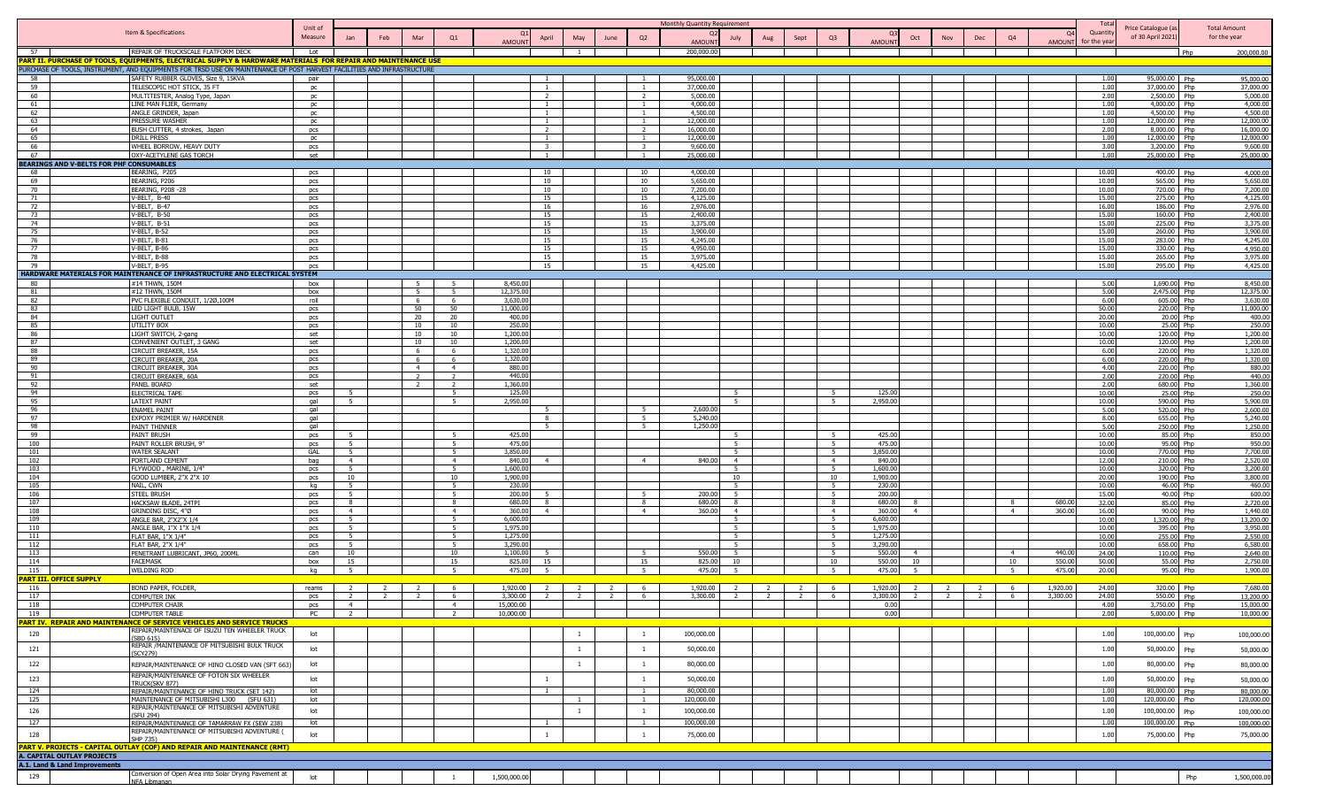|                                                |                                                                                                                                                               | Unit of    |                          |                                  |                     |                       |                          |      |                         | Monthly Quantity Requirement |               |      |                |                  |                |                                  |                |               | Tota           | Price Catalogue (a:      |              | <b>Total Amount</b>    |
|------------------------------------------------|---------------------------------------------------------------------------------------------------------------------------------------------------------------|------------|--------------------------|----------------------------------|---------------------|-----------------------|--------------------------|------|-------------------------|------------------------------|---------------|------|----------------|------------------|----------------|----------------------------------|----------------|---------------|----------------|--------------------------|--------------|------------------------|
|                                                | Item & Specifications                                                                                                                                         | Measure    | Jan                      | Mar<br>Feb                       | Q1                  |                       | April<br>May             | June | Q <sub>2</sub>          | Q <sub>2</sub><br>July       | Aug           | Sept | Q3             |                  | Oct            | <b>Nov</b><br>Dec                | Q4             | $Q^2$         | Quantit        | of 30 April 2021)        | for the year |                        |
|                                                |                                                                                                                                                               |            |                          |                                  |                     | <b>AMOUNT</b>         |                          |      |                         | <b>AMOUN</b>                 |               |      |                | <b>AMOUN</b>     |                |                                  |                | <b>AMOUNT</b> | for the yea    |                          |              |                        |
| 57                                             | REPAIR OF TRUCKSCALE FLATFORM DECK                                                                                                                            | Lot        |                          |                                  |                     |                       | $\overline{1}$           |      |                         | 200,000.00                   |               |      |                |                  |                |                                  |                |               |                |                          | Php          | 200,000.00             |
|                                                | <mark>ART II. PURCHASE OF TOOLS, EQUIPMENTS, ELECTRICAL SUPPLY &amp; HARDWARE MATERIALS  FOR REPAIR AND MAINTENANCE USE</mark>                                |            |                          |                                  |                     |                       |                          |      |                         |                              |               |      |                |                  |                |                                  |                |               |                |                          |              |                        |
| 58                                             | JRCHASE OF TOOLS, INSTRUMENT, AND EQUIPMENTS FOR TRSD USE ON MAINTENANCE OF POST HARVEST FACILITIES AND INFRASTRUCTURE<br>SAFETY RUBBER GLOVES, Size 9, 15KVA |            |                          |                                  |                     |                       |                          |      |                         | 95,000.00                    |               |      |                |                  |                |                                  |                |               | 1.00           | 95,000.00 Php            |              | 95,000.00              |
| 59                                             | TELESCOPIC HOT STICK, 35 FT                                                                                                                                   | pair<br>pc |                          |                                  |                     |                       | $\overline{1}$           |      | $\overline{1}$          | 37,000,00                    |               |      |                |                  |                |                                  |                |               | 1.00           | 37.000.00                | Php          | 37.000.00              |
| 60                                             | MULTITESTER, Analog Type, Japan                                                                                                                               | pc         |                          |                                  |                     |                       | $\overline{\phantom{a}}$ |      | 2                       | 5.000.00                     |               |      |                |                  |                |                                  |                |               | 2.00           | 2,500.00 Php             |              | 5,000.00               |
| 61                                             | LINE MAN FLIER, Germany                                                                                                                                       | pc         |                          |                                  |                     |                       | $\overline{1}$           |      | $\overline{1}$          | 4,000.00                     |               |      |                |                  |                |                                  |                |               | 1.00           | 4,000.00 Php             |              | 4,000.00               |
| 62                                             | ANGLE GRINDER, Japan                                                                                                                                          | <b>DC</b>  |                          |                                  |                     |                       |                          |      | $\overline{1}$          | 4,500.00                     |               |      |                |                  |                |                                  |                |               | 1.00           | 4,500.00 Php             |              | 4,500.00               |
| 63                                             | PRESSURE WASHER                                                                                                                                               | DC.        |                          |                                  |                     |                       |                          |      | $\overline{1}$          | 12.000.00                    |               |      |                |                  |                |                                  |                |               | 1.00           | 12.000.00 Php            |              | 12,000.00              |
| 64                                             | BUSH CUTTER, 4 strokes, Japan                                                                                                                                 | pcs        |                          |                                  |                     |                       | $\overline{2}$           |      | $\overline{2}$          | 16,000,00                    |               |      |                |                  |                |                                  |                |               | 2.00           | 8.000.00 Php             |              | 16,000.00              |
| 65                                             | DRILL PRESS                                                                                                                                                   | pc         |                          |                                  |                     |                       | $\overline{1}$           |      | $\mathbf{1}$            | 12,000.00                    |               |      |                |                  |                |                                  |                |               | 1.00           | 12,000.00 Php            |              | 12,000.00              |
| 66                                             | WHEEL BORROW, HEAVY DUTY                                                                                                                                      | pcs        |                          |                                  |                     |                       | $\overline{\mathbf{3}}$  |      | $\overline{\mathbf{3}}$ | 9,600.00                     |               |      |                |                  |                |                                  |                |               | 3.00           | 3,200.00 Php             |              | 9,600.00               |
| 67                                             | OXY-ACETYLENE GAS TORCH                                                                                                                                       | set        |                          |                                  |                     |                       | $\overline{1}$           |      | $\overline{1}$          | 25,000.00                    |               |      |                |                  |                |                                  |                |               | 1.00           | 25,000.00 Php            |              | 25,000.00              |
| <b>EARINGS AND V-BELTS FOR PHF CONSUMABLES</b> |                                                                                                                                                               |            |                          |                                  |                     |                       |                          |      |                         |                              |               |      |                |                  |                |                                  |                |               |                |                          |              |                        |
| 68<br>69                                       | BEARING, P205<br>BEARING, P206                                                                                                                                | pcs        |                          |                                  |                     |                       | 10<br>10                 |      | 10<br>10                | 4,000,00<br>5,650.00         |               |      |                |                  |                |                                  |                |               | 10.00<br>10.00 | 400.00 Php<br>565.00 Php |              | 4,000,00<br>5,650.00   |
| 70                                             | <b>BEARING, P208 -28</b>                                                                                                                                      | pcs<br>pcs |                          |                                  |                     |                       | 10                       |      | 10                      | 7,200.00                     |               |      |                |                  |                |                                  |                |               | 10.00          | 720.00 Php               |              | 7,200.00               |
| 71                                             | V-BELT, B-40                                                                                                                                                  | pcs        |                          |                                  |                     |                       | 15                       |      | 15                      | 4,125.00                     |               |      |                |                  |                |                                  |                |               | 15.00          | 275.00 Php               |              | 4,125.00               |
| 72                                             | V-BELT, B-47                                                                                                                                                  | pcs        |                          |                                  |                     |                       | 16                       |      | 16                      | 2,976.00                     |               |      |                |                  |                |                                  |                |               | 16.00          | 186.00 Php               |              | 2,976.00               |
| 73                                             | V-BELT, B-50                                                                                                                                                  | pcs        |                          |                                  |                     |                       | 15                       |      | 15                      | 2,400.00                     |               |      |                |                  |                |                                  |                |               | 15.00          | 160.00 Php               |              | 2,400.00               |
| 74                                             | V-BELT, B-51                                                                                                                                                  | pcs        |                          |                                  |                     |                       | 15                       |      | 15                      | 3,375.00                     |               |      |                |                  |                |                                  |                |               | 15.00          | 225.00 Php               |              | 3,375.00               |
| 75                                             | V-BELT, B-52                                                                                                                                                  | pcs        |                          |                                  |                     |                       | 15                       |      | 15                      | 3.900.00                     |               |      |                |                  |                |                                  |                |               | 15.00          | 260.00 Phn               |              | 3,900.00               |
| 76                                             | V-BELT, B-81                                                                                                                                                  | pcs        |                          |                                  |                     |                       | 15                       |      | 15                      | 4,245.00                     |               |      |                |                  |                |                                  |                |               | 15.00          | 283.00 Php               |              | 4,245.00               |
| 77                                             | V-BELT, B-86                                                                                                                                                  | pcs        |                          |                                  |                     |                       | 15                       |      | 15                      | 4,950.00                     |               |      |                |                  |                |                                  |                |               | 15.00          | 330.00 Php               |              | 4,950.00               |
| 78                                             | V-BELT, B-88<br>V-BELT, B-95                                                                                                                                  | pcs        |                          |                                  |                     |                       | 15<br>15                 |      | 15                      | 3,975.00<br>4,425.00         |               |      |                |                  |                |                                  |                |               | 15.00<br>15.00 | 265.00 Php<br>295.00 Php |              | 3,975.00<br>4,425.00   |
| 79                                             | IARDWARE MATERIALS FOR MAINTENANCE OF INFRASTRUCTURE AND ELECTRICAL SYSTEM                                                                                    | pcs        |                          |                                  |                     |                       |                          |      | 15                      |                              |               |      |                |                  |                |                                  |                |               |                |                          |              |                        |
| 80                                             | #14 THWN, 150M                                                                                                                                                | box        |                          | $\overline{5}$                   | 5                   | 8,450,00              |                          |      |                         |                              |               |      |                |                  |                |                                  |                |               | 5.00           | 1.690.00 Php             |              | 8,450.00               |
| 81                                             | #12 THWN, 150M                                                                                                                                                | box        |                          | $\overline{5}$                   | -5                  | 12,375.00             |                          |      |                         |                              |               |      |                |                  |                |                                  |                |               | 5.00           | 2,475.00 Php             |              | 12,375.00              |
| 82                                             | PVC FLEXIBLE CONDUIT, 1/20,100M                                                                                                                               | roll       |                          | 6                                | 6                   | 3,630.00              |                          |      |                         |                              |               |      |                |                  |                |                                  |                |               | 6.00           | 605.00 Php               |              | 3,630.00               |
| 83                                             | LED LIGHT BULB, 15W                                                                                                                                           | pcs        |                          | 50                               | 50                  | 11,000.00             |                          |      |                         |                              |               |      |                |                  |                |                                  |                |               | 50.00          | 220.00 Php               |              | 11,000.00              |
| 84                                             | LIGHT OUTLET                                                                                                                                                  | pcs        |                          | 20                               | 20                  | 400.00                |                          |      |                         |                              |               |      |                |                  |                |                                  |                |               | 20.00          | 20.00 Php                |              | 400.00                 |
| 85                                             | UTILITY BOX                                                                                                                                                   | pcs        |                          | 10                               | 10                  | 250.00                |                          |      |                         |                              |               |      |                |                  |                |                                  |                |               | 10.00          | 25.00 Php                |              | 250.00                 |
| 86                                             | LIGHT SWITCH, 2-gang                                                                                                                                          | set        |                          | 10                               | 10                  | 1,200.00              |                          |      |                         |                              |               |      |                |                  |                |                                  |                |               | 10.00          | 120.00 Php               |              | 1,200.00               |
| 87                                             | CONVENIENT OUTLET, 3 GANG                                                                                                                                     | set        |                          | 10                               | 10                  | 1,200.00              |                          |      |                         |                              |               |      |                |                  |                |                                  |                |               | 10.00          | 120.00 Php               |              | 1,200.00               |
| 88                                             | CIRCUIT BREAKER, 15A                                                                                                                                          | pcs        |                          | -6                               | 6                   | 1,320.00              |                          |      |                         |                              |               |      |                |                  |                |                                  |                |               | 6.00           | 220.00 Php               |              | 1,320.00               |
| 89                                             | CIRCUIT BREAKER, 20A                                                                                                                                          | pcs        |                          | 6                                | 6                   | 1,320.00              |                          |      |                         |                              |               |      |                |                  |                |                                  |                |               | 6.00           | 220.00 Php               |              | 1,320.00               |
| 90                                             | CIRCUIT BREAKER, 30A                                                                                                                                          | pcs        |                          | $\overline{4}$                   | $\overline{4}$      | 880.00                |                          |      |                         |                              |               |      |                |                  |                |                                  |                |               | 4.00           | 220.00 Php               |              | 880.00                 |
| 91                                             | CIRCUIT BREAKER, 60A                                                                                                                                          | pcs        |                          |                                  | $\mathcal{L}$       | 440.00<br>1,360.00    |                          |      |                         |                              |               |      |                |                  |                |                                  |                |               | 2.00           | 220.00 Php<br>680.00 Php |              | 440.00<br>1,360.00     |
| 92<br>94                                       | PANEL BOARD<br><b>ELECTRICAL TAPE</b>                                                                                                                         | set<br>pcs | -5                       |                                  | - 5                 | 125.00                |                          |      |                         | $-5$                         |               |      |                | 125.00           |                |                                  |                |               | 2.00<br>10.00  | 25.00 Php                |              | 250.00                 |
| 95                                             | <b>LATEXT PAINT</b>                                                                                                                                           | aal        | -5.                      |                                  | $5 -$               | 2,950.00              |                          |      |                         | $-5$                         |               |      |                | 2,950.0          |                |                                  |                |               | 10.00          | 590.00 Php               |              | 5,900.00               |
| 96                                             | <b>ENAMEL PAINT</b>                                                                                                                                           | gal        |                          |                                  |                     |                       |                          |      | $\overline{5}$          | 2,600.0                      |               |      |                |                  |                |                                  |                |               | 5.00           | 520.00 Php               |              | 2,600.00               |
| 97                                             | EXPOXY PRIMIER W/ HARDENER                                                                                                                                    | gal        |                          |                                  |                     |                       | 8                        |      | $\overline{5}$          | 5,240.0                      |               |      |                |                  |                |                                  |                |               | 8.00           | 655.00 Php               |              | 5,240.00               |
| 98                                             | PAINT THINNER                                                                                                                                                 | gal        |                          |                                  |                     |                       | $\overline{a}$           |      | $5^{\circ}$             | 1,250.00                     |               |      |                |                  |                |                                  |                |               | 5.00           | 250.00 Php               |              | 1,250.00               |
| 99                                             | PAINT BRUSH                                                                                                                                                   | pcs        | 5                        |                                  |                     | 425.00                |                          |      |                         |                              |               |      |                | 425.00           |                |                                  |                |               | 10.00          | 85.00 Php                |              | 850.00                 |
| 100                                            | PAINT ROLLER BRUSH, 9"                                                                                                                                        | pcs        | 5                        |                                  | -5                  | 475.00                |                          |      |                         | -5                           |               |      | - 5            | 475.00           |                |                                  |                |               | 10.00          | 95.00 Php                |              | 950.00                 |
| 101                                            | <b>WATER SEALANT</b>                                                                                                                                          | GAL        | 5                        |                                  | 5                   | 3,850.00              |                          |      |                         | 5                            |               |      | 5              | 3,850.00         |                |                                  |                |               | 10.00          | 770.00 Php               |              | 7,700.00               |
| 102                                            | PORTLAND CEMENT                                                                                                                                               | bag        | $\overline{4}$           |                                  | $\overline{4}$      | 840.00                |                          |      | $\overline{4}$          | 840.00<br>$\overline{4}$     |               |      | $\overline{4}$ | 840.00           |                |                                  |                |               | 12.00          | 210.00 Php               |              | 2,520.00               |
| 103                                            | FLYWOOD, MARINE, 1/4"                                                                                                                                         | pcs        | 5                        |                                  | 5                   | 1,600.00              |                          |      |                         | - 5                          |               |      | 5              | 1,600.00         |                |                                  |                |               | 10.00          | 320.00 Php               |              | 3,200.00               |
| 104                                            | GOOD LUMBER, 2"X 2"X 10"                                                                                                                                      | pcs        | 10                       |                                  | 10                  | 1,900.00              |                          |      |                         | 10                           |               |      | 10             | 1,900.00         |                |                                  |                |               | 20.00          | 190.00 Php               |              | 3,800.00               |
| 105                                            | NAIL, CWN                                                                                                                                                     | kq         | 5                        |                                  | 5                   | 230.00<br>200.00      |                          |      |                         | 5 <sup>5</sup><br>200.00     |               |      | - 5            | 230.00<br>200.00 |                |                                  |                |               | 10.00          | 46.00 Php                |              | 460.00                 |
| 106<br>107                                     | <b>STEEL BRUSH</b><br>HACKSAW BLADE, 24TPI                                                                                                                    | pcs        | 5 <sub>5</sub><br>-8     |                                  | 5<br>8              | 680.00                |                          |      | 8                       | 680.00<br>-8                 |               |      | 5<br>8         | 680.00           |                |                                  | -8             | 680.0         | 15.00<br>32.00 | 40.00 Php<br>85.00 Php   |              | 600.00<br>2,720.00     |
| 108                                            | GRINDING DISC, 4"Ø                                                                                                                                            | pcs<br>pcs | $\overline{4}$           |                                  | 4                   | 360.00                | $\overline{4}$           |      | $\overline{4}$          | 360.00<br>$\overline{4}$     |               |      | $\overline{4}$ | 360.00           | $\overline{4}$ |                                  | $\overline{4}$ | 360.0         | 16.00          | 90.00 Php                |              | 1,440.00               |
| 109                                            | ANGLE BAR, 2"X2"X 1/4                                                                                                                                         | pcs        | 5                        |                                  | -5                  | 6,600.00              |                          |      |                         | - 5                          |               |      | $-5$           | 6,600.00         |                |                                  |                |               | 10.00          | 1,320.00 Php             |              | 13,200.00              |
| 110                                            | ANGLE BAR, 1"X 1"X 1/4                                                                                                                                        | pcs        | -5.                      |                                  | 5 <sup>5</sup>      | 1,975.0               |                          |      |                         | $\overline{5}$               |               |      |                | 1,975.0          |                |                                  |                |               | 10.00          | 395.00                   | Php          | 3,950.00               |
| 111                                            | FLAT BAR, 1"X 1/4"                                                                                                                                            | pcs        | 5 <sup>1</sup>           |                                  | -5                  | 1,275.00              |                          |      |                         | $-5$                         |               |      | 5 <sup>5</sup> | 1,275.0          |                |                                  |                |               | 10.00          | 255.00 Php               |              | 2,550.00               |
| 112                                            | FLAT BAR, 2"X 1/4"                                                                                                                                            | pcs        | 5 <sup>1</sup>           |                                  | $\overline{5}$      | 3,290.00              |                          |      |                         | $\overline{5}$               |               |      | $\overline{5}$ | 3,290.00         |                |                                  |                |               | 10.00          | 658.00 Php               |              | 6,580.00               |
| 113                                            | PENETRANT LUBRICANT, JP60, 200ML                                                                                                                              | can        | 10                       |                                  | 10                  | 1,100.00              |                          |      | 5                       | 550.00<br>$-5$               |               |      | $5^{\circ}$    | 550.00           | $\overline{4}$ |                                  | $\overline{4}$ | 440.0         | 24.00          | 110.00 Php               |              | 2,640.00               |
| 114                                            | <b>FACEMASK</b>                                                                                                                                               | box        | 15                       |                                  | 15                  | 825.00                |                          |      | 15                      | 825.00<br>10 <sup>1</sup>    |               |      | 10             | 550.00           | 10             |                                  | 10             | 550.0         | 50.00          | 55.00 Php                |              | 2,750.00               |
| 115                                            | <b>WELDING ROD</b>                                                                                                                                            | kg         | 5 <sup>2</sup>           |                                  | - 5                 | 475.00                |                          |      | - 5                     | 475.00<br>5                  |               |      | $-5$           | 475.00           | -5             |                                  | - 5            | 475.00        | 20.00          | 95.00 Php                |              | 1,900.00               |
| <mark>ART III. OFFICE SUPPLY</mark>            |                                                                                                                                                               |            |                          |                                  |                     |                       |                          |      |                         |                              |               |      |                |                  |                |                                  |                |               |                |                          |              |                        |
| 116                                            | <b>BOND PAPER, FOLDER</b>                                                                                                                                     | reams      |                          |                                  | -6                  | 1,920.00              | $\overline{2}$           |      | -6                      | 1,920.00                     |               |      | - 6            | 1,920.00         |                |                                  | 6              | 1,920.00      | 24.00          | 320.00 Php               |              | 7,680.00               |
| 117                                            | <b>COMPUTER INK</b><br>COMPUTER CHAIR                                                                                                                         | pcs        | <sup>2</sup>             | $\overline{2}$<br>$\overline{2}$ | 6<br>$\overline{4}$ | 3,300.00<br>15,000.00 | $\overline{2}$           |      | -6                      | 3,300.00                     | $\mathcal{L}$ |      | 6              | 3,300.00<br>0.00 | $\overline{2}$ | $\overline{2}$<br>$\overline{2}$ | -6             | 3,300.00      | 24.00          | 550.00 Php<br>3,750.00   | Php          | 13,200.00<br>15,000.00 |
| 118<br>119                                     | COMPUTER TABLE                                                                                                                                                | pcs        | $\overline{4}$<br>PC 2 1 |                                  | $\overline{2}$      | 10,000.00             |                          |      |                         |                              |               |      |                | 0.00             |                |                                  |                |               | 4.00<br>2.00   | 5,000.00 Php             |              | 10,000.00              |
|                                                | ART IV. REPAIR AND MAINTENANCE OF SERVICE VEHICLES AND SERVICE TRUCKS                                                                                         |            |                          |                                  |                     |                       |                          |      |                         |                              |               |      |                |                  |                |                                  |                |               |                |                          |              |                        |
|                                                | REPAIR/MAINTENACE OF ISUZU TEN WHEELER TRUCK                                                                                                                  |            |                          |                                  |                     |                       |                          |      |                         |                              |               |      |                |                  |                |                                  |                |               |                |                          |              |                        |
| 120                                            | (SBD 615)                                                                                                                                                     | lot        |                          |                                  |                     |                       | $\overline{1}$           |      | $\mathbf{1}$            | 100,000.00                   |               |      |                |                  |                |                                  |                |               | 1.00           | 100,000.00 Php           |              | 100,000.00             |
| 121                                            | REPAIR / MAINTENANCE OF MITSUBISHI BULK TRUCK                                                                                                                 | lot        |                          |                                  |                     |                       | $\overline{1}$           |      | $\mathbf{1}$            | 50,000.00                    |               |      |                |                  |                |                                  |                |               | 1.00           | 50,000.00                | Php          | 50,000.00              |
|                                                | (SCY279)                                                                                                                                                      |            |                          |                                  |                     |                       |                          |      |                         |                              |               |      |                |                  |                |                                  |                |               |                |                          |              |                        |
| 122                                            | REPAIR/MAINTENANCE OF HINO CLOSED VAN (SFT 663)                                                                                                               | lot        |                          |                                  |                     |                       | -1                       |      | 1                       | 80,000.00                    |               |      |                |                  |                |                                  |                |               | 1.00           | 80,000.00                | Php          | 80,000.00              |
|                                                | REPAIR/MAINTENANCE OF FOTON SIX WHEELER                                                                                                                       |            |                          |                                  |                     |                       |                          |      |                         |                              |               |      |                |                  |                |                                  |                |               |                |                          |              |                        |
| 123                                            | TRUCK(SKV 877)                                                                                                                                                | lot        |                          |                                  |                     |                       | 1                        |      | $\mathbf{1}$            | 50,000.00                    |               |      |                |                  |                |                                  |                |               | 1.00           | 50,000.00                | Php          | 50,000.00              |
| 124                                            | REPAIR/MAINTENANCE OF HINO TRUCK (SET 142)                                                                                                                    | lot        |                          |                                  |                     |                       |                          |      | $\mathbf{1}$            | 80,000.00                    |               |      |                |                  |                |                                  |                |               | 1.00           | 80,000.00 Php            |              | 80,000.00              |
| 125                                            | MAINTENANCE OF MITSUBISHI L300 (SFU 631)                                                                                                                      | lot        |                          |                                  |                     |                       |                          |      | $\mathbf{1}$            | 120,000.00                   |               |      |                |                  |                |                                  |                |               | 1.00           | 120,000.00 Php           |              | 120,000.00             |
| 126                                            | REPAIR/MAINTENANCE OF MITSUBISHI ADVENTURE                                                                                                                    | lot        |                          |                                  |                     |                       | -1                       |      | $\mathbf{1}$            | 100,000.00                   |               |      |                |                  |                |                                  |                |               | 1.00           | 100,000.00               | Php          | 100,000.00             |
| 127                                            | (SFU 294)<br>REPAIR/MAINTENANCE OF TAMARRAW FX (SEW 238)                                                                                                      | lot        |                          |                                  |                     |                       |                          |      | $\mathbf{1}$            | 100,000.00                   |               |      |                |                  |                |                                  |                |               | 1.00           | 100,000.00               |              | 100,000.00             |
|                                                | REPAIR/MAINTENANCE OF MITSUBISHI ADVENTURE (                                                                                                                  |            |                          |                                  |                     |                       |                          |      |                         |                              |               |      |                |                  |                |                                  |                |               |                |                          |              |                        |
| 128                                            | SHP 735)                                                                                                                                                      | lot        |                          |                                  |                     |                       | $\mathbf{1}$             |      | $\mathbf{1}$            | 75,000.00                    |               |      |                |                  |                |                                  |                |               | 1.00           | 75,000.00                | Php          | 75,000.00              |
|                                                | PART V. PROJECTS - CAPITAL OUTLAY (COF) AND REPAIR AND MAINTENANCE (RMT)                                                                                      |            |                          |                                  |                     |                       |                          |      |                         |                              |               |      |                |                  |                |                                  |                |               |                |                          |              |                        |
| A. CAPITAL OUTLAY PROJECTS                     |                                                                                                                                                               |            |                          |                                  |                     |                       |                          |      |                         |                              |               |      |                |                  |                |                                  |                |               |                |                          |              |                        |
| A.1. Land & Land Improvements                  |                                                                                                                                                               |            |                          |                                  |                     |                       |                          |      |                         |                              |               |      |                |                  |                |                                  |                |               |                |                          |              |                        |
| 129                                            | Conversion of Open Area into Solar Drying Pavement at                                                                                                         | lot        |                          |                                  |                     | 1,500,000.00          |                          |      |                         |                              |               |      |                |                  |                |                                  |                |               |                |                          | Php          | 1,500,000.00           |
|                                                | NFA Libmanan                                                                                                                                                  |            |                          |                                  |                     |                       |                          |      |                         |                              |               |      |                |                  |                |                                  |                |               |                |                          |              |                        |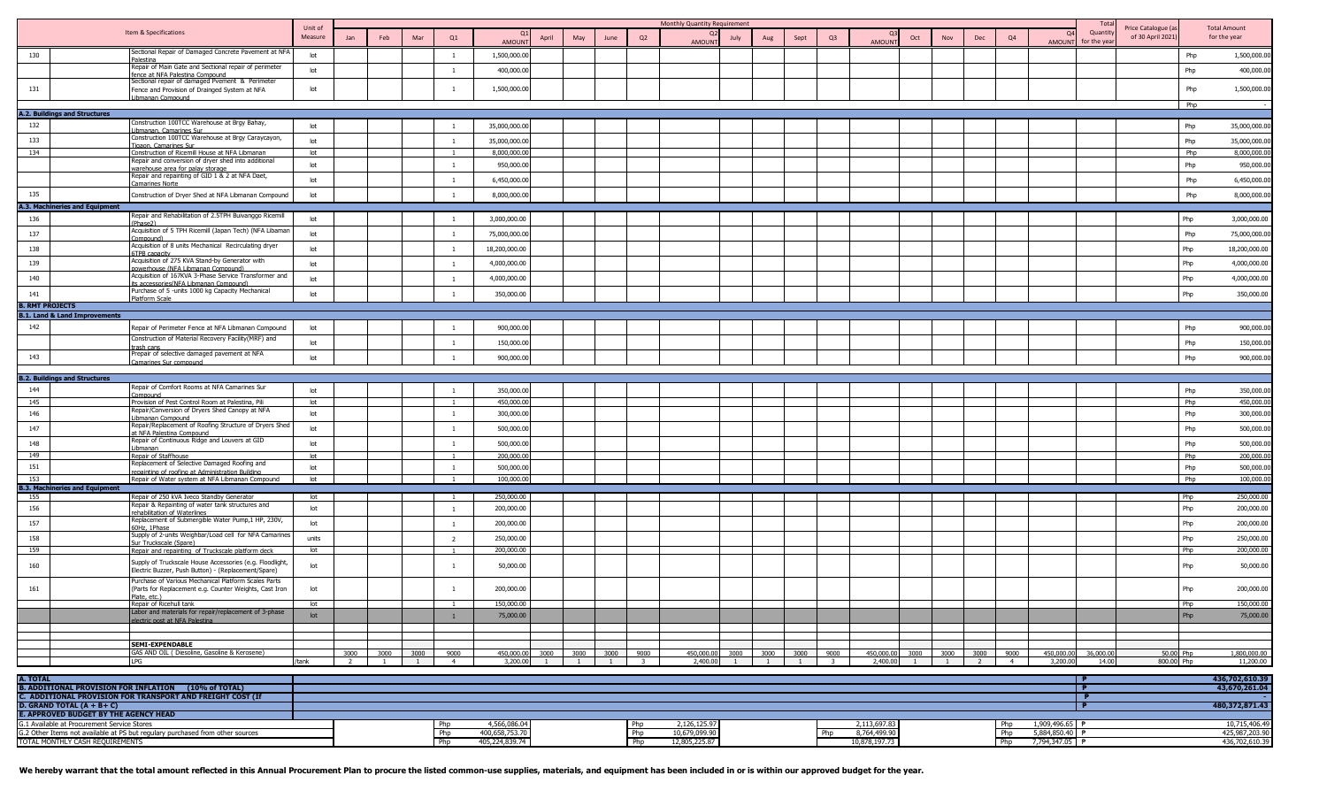|                        |                                                                                                                           | Unit of         |                     |     |                          |                        |                          |           |           |                      |      | Monthly Quantity Requirement |           |           |           |                                 |                        |      |                           |                        |                        |                           | Tota                   | Price Catalogue (a      |            | <b>Total Amount</b>             |
|------------------------|---------------------------------------------------------------------------------------------------------------------------|-----------------|---------------------|-----|--------------------------|------------------------|--------------------------|-----------|-----------|----------------------|------|------------------------------|-----------|-----------|-----------|---------------------------------|------------------------|------|---------------------------|------------------------|------------------------|---------------------------|------------------------|-------------------------|------------|---------------------------------|
|                        | Item & Specifications                                                                                                     | Measure         | Jan                 | Feb | Mar                      | Q1                     | <b>AMOUNT</b>            | April     | May       | June                 | Q2   | $\Omega$<br><b>AMOUNT</b>    | July      | Aug       | Sept      | Q3                              | AMOUNT                 | Oct  | Nov                       | Dec                    | Q <sub>4</sub>         | $\Omega$<br><b>AMOUNT</b> | Quantit<br>or the year | of 30 April 2021        |            | for the year                    |
| 130                    | Sectional Repair of Damaged Concrete Pavement at NFA                                                                      | lot             |                     |     |                          | <sup>1</sup>           | 1,500,000.00             |           |           |                      |      |                              |           |           |           |                                 |                        |      |                           |                        |                        |                           |                        |                         | Php        | 1,500,000.00                    |
|                        | alestina<br>Repair of Main Gate and Sectional repair of perimeter                                                         | lot             |                     |     |                          | $\mathbf{1}$           | 400,000.00               |           |           |                      |      |                              |           |           |           |                                 |                        |      |                           |                        |                        |                           |                        |                         | Php        | 400,000.00                      |
|                        | ence at NFA Palestina Compound<br>Sectional repair of damaged Pvement & Perimeter                                         |                 |                     |     |                          |                        |                          |           |           |                      |      |                              |           |           |           |                                 |                        |      |                           |                        |                        |                           |                        |                         |            |                                 |
| 131                    | Fence and Provision of Drainged System at NFA<br>ibmanan Comnound                                                         | lot             |                     |     |                          | -1                     | 1,500,000.00             |           |           |                      |      |                              |           |           |           |                                 |                        |      |                           |                        |                        |                           |                        |                         | Php        | 1,500,000.00                    |
|                        | <b>A.2. Buildings and Structures</b>                                                                                      |                 |                     |     |                          |                        |                          |           |           |                      |      |                              |           |           |           |                                 |                        |      |                           |                        |                        |                           |                        |                         | Php        |                                 |
| 132                    | Construction 100TCC Warehouse at Brgy Bahay,                                                                              | lot             |                     |     |                          | $\overline{1}$         | 35,000,000.00            |           |           |                      |      |                              |           |           |           |                                 |                        |      |                           |                        |                        |                           |                        |                         | Php        | 35,000,000.00                   |
| 133                    | ibmanan. Camarines Sur<br>Construction 100TCC Warehouse at Brgy Caraycayon,                                               | lot             |                     |     |                          | $\overline{1}$         | 35,000,000.00            |           |           |                      |      |                              |           |           |           |                                 |                        |      |                           |                        |                        |                           |                        |                         | Php        | 35,000,000.00                   |
| 134                    | Tigaon, Camarines Sur<br>Construction of Ricemill House at NFA Libmanan                                                   | lot             |                     |     |                          |                        | 8,000,000.00             |           |           |                      |      |                              |           |           |           |                                 |                        |      |                           |                        |                        |                           |                        |                         | Php        | 8,000,000.00                    |
|                        | Repair and conversion of dryer shed into additional<br>warehouse area for palay storage                                   | lot             |                     |     |                          | $\overline{1}$         | 950,000.00               |           |           |                      |      |                              |           |           |           |                                 |                        |      |                           |                        |                        |                           |                        |                         | Php        | 950,000.00                      |
|                        | Repair and repainting of GID 1 & 2 at NFA Daet,<br>amarines Norte                                                         | lot             |                     |     |                          | $\mathbf{1}$           | 6,450,000.00             |           |           |                      |      |                              |           |           |           |                                 |                        |      |                           |                        |                        |                           |                        |                         | Php        | 6,450,000.00                    |
| 135                    | Construction of Dryer Shed at NFA Libmanan Compound                                                                       | lot             |                     |     |                          | <sup>1</sup>           | 8,000,000.00             |           |           |                      |      |                              |           |           |           |                                 |                        |      |                           |                        |                        |                           |                        |                         | Php        | 8,000,000.00                    |
|                        | A.3. Machineries and Equipment                                                                                            |                 |                     |     |                          |                        |                          |           |           |                      |      |                              |           |           |           |                                 |                        |      |                           |                        |                        |                           |                        |                         |            |                                 |
| 136                    | Repair and Rehabilitation of 2.5TPH Buivanggo Ricemill<br>Phase?                                                          | lot             |                     |     |                          | $\overline{1}$         | 3,000,000.00             |           |           |                      |      |                              |           |           |           |                                 |                        |      |                           |                        |                        |                           |                        |                         | Php        | 3,000,000.00                    |
| 137                    | Acquisition of 5 TPH Ricemill (Japan Tech) (NFA Libamar<br>`ompound`                                                      | lot             |                     |     |                          | <sup>1</sup>           | 75,000,000.00            |           |           |                      |      |                              |           |           |           |                                 |                        |      |                           |                        |                        |                           |                        |                         | Php        | 75,000,000.00                   |
| 138                    | Acquisition of 8 units Mechanical Recirculating dryer<br><b>STPR canacity</b>                                             | lot             |                     |     |                          | <sup>1</sup>           | 18,200,000.00            |           |           |                      |      |                              |           |           |           |                                 |                        |      |                           |                        |                        |                           |                        |                         | Php        | 18,200,000.00                   |
| 139                    | Acquisition of 275 KVA Stand-by Generator with<br>powerhouse (NFA Libmanan Compound)                                      | lot             |                     |     |                          | <sup>1</sup>           | 4,000,000.00             |           |           |                      |      |                              |           |           |           |                                 |                        |      |                           |                        |                        |                           |                        |                         | Php        | 4,000,000.00                    |
| 140                    | Acquisition of 167KVA 3-Phase Service Transformer and<br>ts accessories(NFA Libmanan Compound)                            | lot             |                     |     |                          | 1                      | 4,000,000.00             |           |           |                      |      |                              |           |           |           |                                 |                        |      |                           |                        |                        |                           |                        |                         | Php        | 4,000,000.00                    |
| 141                    | Purchase of 5 -units 1000 kg Capacity Mechanical<br>Platform Scale                                                        | lot             |                     |     |                          | <sup>1</sup>           | 350,000.00               |           |           |                      |      |                              |           |           |           |                                 |                        |      |                           |                        |                        |                           |                        |                         | Php        | 350,000.00                      |
| <b>B. RMT PROJECTS</b> |                                                                                                                           |                 |                     |     |                          |                        |                          |           |           |                      |      |                              |           |           |           |                                 |                        |      |                           |                        |                        |                           |                        |                         |            |                                 |
|                        | <b>B.1. Land &amp; Land Improvements</b>                                                                                  |                 |                     |     |                          |                        |                          |           |           |                      |      |                              |           |           |           |                                 |                        |      |                           |                        |                        |                           |                        |                         |            |                                 |
| 142                    | Repair of Perimeter Fence at NFA Libmanan Compound<br>Construction of Material Recovery Facility(MRF) and                 | lot             |                     |     |                          | $\overline{1}$         | 900,000.00               |           |           |                      |      |                              |           |           |           |                                 |                        |      |                           |                        |                        |                           |                        |                         | Php        | 900,000.00                      |
|                        | Prepair of selective damaged pavement at NFA                                                                              | lot             |                     |     |                          | <sup>1</sup>           | 150,000.00               |           |           |                      |      |                              |           |           |           |                                 |                        |      |                           |                        |                        |                           |                        |                         | Php        | 150,000.00                      |
| 143                    | Camarines Sur compound                                                                                                    | Iot             |                     |     |                          | -1                     | 900,000.00               |           |           |                      |      |                              |           |           |           |                                 |                        |      |                           |                        |                        |                           |                        |                         | Php        | 900,000.00                      |
|                        | <b>B.2. Buildings and Structures</b>                                                                                      |                 |                     |     |                          |                        |                          |           |           |                      |      |                              |           |           |           |                                 |                        |      |                           |                        |                        |                           |                        |                         |            |                                 |
| 144                    | Repair of Comfort Rooms at NFA Camarines Sur<br>ompound                                                                   | lot             |                     |     |                          | 1                      | 350,000.00               |           |           |                      |      |                              |           |           |           |                                 |                        |      |                           |                        |                        |                           |                        |                         | Php        | 350,000.00                      |
| 145                    | Provision of Pest Control Room at Palestina, Pili                                                                         | lot             |                     |     |                          | $\overline{1}$         | 450,000.00               |           |           |                      |      |                              |           |           |           |                                 |                        |      |                           |                        |                        |                           |                        |                         | Php        | 450,000.00                      |
| 146                    | Repair/Conversion of Dryers Shed Canopy at NFA<br>bmanan Compound                                                         | lot             |                     |     |                          | $\overline{1}$         | 300,000.00               |           |           |                      |      |                              |           |           |           |                                 |                        |      |                           |                        |                        |                           |                        |                         | Php        | 300,000.00                      |
| 147                    | Repair/Replacement of Roofing Structure of Dryers Shed<br>at NFA Palestina Compound                                       | lot             |                     |     |                          | $\mathbf{1}$           | 500,000.00               |           |           |                      |      |                              |           |           |           |                                 |                        |      |                           |                        |                        |                           |                        |                         | Php        | 500,000.00                      |
| 148                    | Repair of Continuous Ridge and Louvers at GID<br>ibmanan                                                                  | lot             |                     |     |                          | $\overline{1}$         | 500,000.00               |           |           |                      |      |                              |           |           |           |                                 |                        |      |                           |                        |                        |                           |                        |                         | Php        | 500,000.00                      |
| 149<br>151             | Repair of Staffhouse<br>Replacement of Selective Damaged Roofing and                                                      | $_{\text{lot}}$ |                     |     |                          |                        | 200,000,00               |           |           |                      |      |                              |           |           |           |                                 |                        |      |                           |                        |                        |                           |                        |                         | Php        | 200,000.00                      |
| 153                    | painting of roofing at Administration Building<br>Repair of Water system at NFA Libmanan Compound                         | lot<br>lot      |                     |     |                          | $\overline{1}$         | 500,000.00<br>100,000.00 |           |           |                      |      |                              |           |           |           |                                 |                        |      |                           |                        |                        |                           |                        |                         | Php<br>Php | 500,000.00<br>100,000.00        |
|                        | <b>B.3. Machineries and Equipment</b>                                                                                     |                 |                     |     |                          |                        |                          |           |           |                      |      |                              |           |           |           |                                 |                        |      |                           |                        |                        |                           |                        |                         |            |                                 |
| 155<br>156             | Repair of 250 kVA Iveco Standby Generator<br>Repair & Repainting of water tank structures and                             | lot<br>lot      |                     |     |                          |                        | 250,000.00<br>200,000.00 |           |           |                      |      |                              |           |           |           |                                 |                        |      |                           |                        |                        |                           |                        |                         | Php<br>Php | 250,000.00<br>200,000.00        |
|                        | rehabilitation of Waterlines<br>Replacement of Submergible Water Pump,1 HP, 230V,                                         | lot             |                     |     |                          | $\overline{1}$         |                          |           |           |                      |      |                              |           |           |           |                                 |                        |      |                           |                        |                        |                           |                        |                         |            |                                 |
| 157                    | SOHz, 1Phase<br>Supply of 2-units Weighbar/Load cell for NFA Camarines                                                    |                 |                     |     |                          | <sup>1</sup>           | 200,000.00               |           |           |                      |      |                              |           |           |           |                                 |                        |      |                           |                        |                        |                           |                        |                         | Php        | 200,000.00                      |
| 158<br>159             | ur Truckscale (Spare)<br>Repair and repainting of Truckscale platform deck                                                | units<br>lot    |                     |     |                          | $\overline{2}$         | 250,000.00<br>200,000.00 |           |           |                      |      |                              |           |           |           |                                 |                        |      |                           |                        |                        |                           |                        |                         | Php<br>Php | 250,000.00<br>200,000.00        |
|                        | Supply of Truckscale House Accessories (e.g. Floodlight,                                                                  |                 |                     |     |                          |                        |                          |           |           |                      |      |                              |           |           |           |                                 |                        |      |                           |                        |                        |                           |                        |                         |            |                                 |
| 160                    | Electric Buzzer, Push Button) - (Replacement/Spare)                                                                       | lot             |                     |     |                          | <sup>1</sup>           | 50,000.00                |           |           |                      |      |                              |           |           |           |                                 |                        |      |                           |                        |                        |                           |                        |                         | Php        | 50,000.00                       |
| 161                    | Purchase of Various Mechanical Platform Scales Parts<br>Parts for Replacement e.g. Counter Weights, Cast Iron             | lot             |                     |     |                          | -1                     | 200,000.00               |           |           |                      |      |                              |           |           |           |                                 |                        |      |                           |                        |                        |                           |                        |                         | Php        | 200,000.00                      |
|                        | Plate etc)<br>Repair of Ricehull tank                                                                                     | lot             |                     |     |                          | $\overline{1}$         | 150,000.00               |           |           |                      |      |                              |           |           |           |                                 |                        |      |                           |                        |                        |                           |                        |                         | Php        | 150,000.00                      |
|                        | Labor and materials for repair/replacement of 3-phase<br>lectric post at NFA Palestina                                    | Iot             |                     |     |                          | 1                      | 75,000.00                |           |           |                      |      |                              |           |           |           |                                 |                        |      |                           |                        |                        |                           |                        |                         | Php        | 75,000.00                       |
|                        |                                                                                                                           |                 |                     |     |                          |                        |                          |           |           |                      |      |                              |           |           |           |                                 |                        |      |                           |                        |                        |                           |                        |                         |            |                                 |
|                        | SEMI-EXPENDABLE                                                                                                           |                 |                     |     |                          |                        |                          |           |           |                      |      |                              |           |           |           |                                 |                        |      |                           |                        |                        |                           |                        |                         |            |                                 |
|                        | GAS AND OIL ( Diesoline, Gasoline & Kerosene)<br><b>LPG</b>                                                               | /tank           | 3000<br>$2^{\circ}$ |     | 3000 3000<br>$1 \quad 1$ | 9000<br>$\overline{4}$ | 450,000,00<br>3,200.00   | 3000<br>1 | 3000<br>1 | 3000<br>$\mathbf{1}$ | 9000 | 450,000.00<br>2,400.00       | 3000<br>1 | 3000<br>1 | 3000<br>1 | 9000<br>$\overline{\mathbf{3}}$ | 450,000.00<br>2,400.00 | 3000 | 3000<br>$1 \quad 1 \quad$ | 3000<br>$\overline{2}$ | 9000<br>$\overline{4}$ | 450,000,00<br>3,200.00    | 36,000.0<br>14.00      | 50.00 Php<br>800.00 Php |            | 1.800.000.00<br>11,200.00       |
|                        |                                                                                                                           |                 |                     |     |                          |                        |                          |           |           |                      |      |                              |           |           |           |                                 |                        |      |                           |                        |                        |                           |                        |                         |            |                                 |
|                        | A. TOTAL<br>B. ADDITIONAL PROVISION FOR INFLATION (10% of TOTAL)<br>C. ADDITIONAL PROVISION FOR TRANSPORT AND ERFIGHT COS |                 |                     |     |                          |                        |                          |           |           |                      |      |                              |           |           |           |                                 |                        |      |                           |                        |                        |                           | $\mathbf{P}$           |                         |            | 436,702,610.39<br>43,670,261.04 |
|                        |                                                                                                                           |                 |                     |     |                          |                        |                          |           |           |                      |      |                              |           |           |           |                                 |                        |      |                           |                        |                        |                           |                        |                         |            |                                 |

| (10% of TOTAL)<br><b>B. ADDITIONAL PROVISION FOR INFLATION</b>                |                                                                      | 43,670,261.0   |
|-------------------------------------------------------------------------------|----------------------------------------------------------------------|----------------|
| C. ADDITIONAL PROVISION FOR TRANSPORT AND FREIGHT COST (If                    |                                                                      |                |
| D. GRAND TOTAL $(A + B + C)$                                                  |                                                                      | 480,372,871.43 |
| <b>E. APPROVED BUDGET BY THE AGENCY HEAD</b>                                  |                                                                      |                |
| G.1 Available at Procurement Service Stores                                   | 2.113.697.8<br>1,909,496.65<br>4.566.086.u<br>Phn<br>,120,123.3      | 10,715,406.49  |
| G.2 Other Items not available at PS but regulary purchased from other sources | 10,679,099.90<br>8.764.499.9<br>5.884.850.4<br>400.658.753.<br>- Phr | 425,987,203.9  |
| TOTAL MONTHLY CASH REQUIREMENTS                                               | 405,224,839.7<br>10,878,197.7<br>12,805,225.8                        | 436,702,610.39 |

We hereby warrant that the total amount reflected in this Annual Procurement Plan to procure the listed common-use supplies, materials, and equipment has been included in or is within our approved budget for the year.